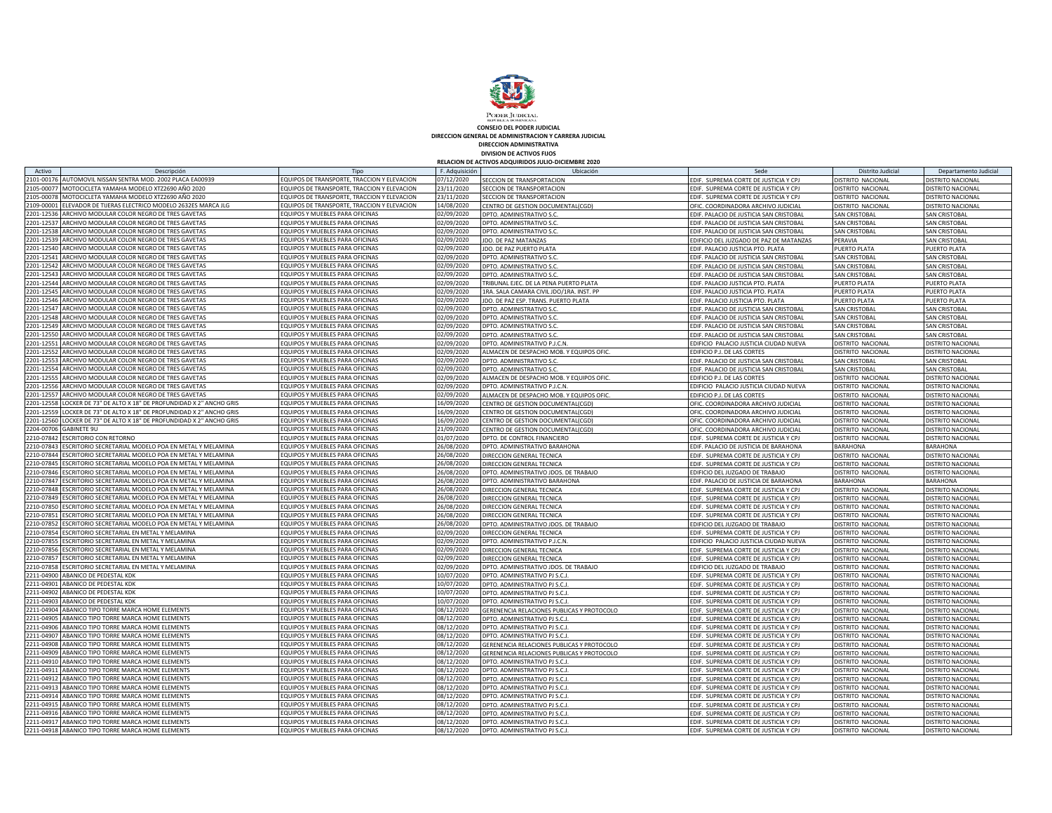

**DIRECCION GENERAL DE ADMINISTRACION Y CARRERA JUDICIAL CONSEJO DEL PODER JUDICIAL**

**DIVISION DE ACTIVOS FIJOS DIRECCION ADMINISTRATIVA**

**RELACION DE ACTIVOS ADQUIRIDOS JULIO-DICIEMBRE 2020**

| Activo                 | Descripción                                                | Tipo                                        | F. Adquisición | Ubicación                                         | Sede                                    | Distrito Judicial        | Departamento Judicial    |
|------------------------|------------------------------------------------------------|---------------------------------------------|----------------|---------------------------------------------------|-----------------------------------------|--------------------------|--------------------------|
| 2101-00176             | AUTOMOVIL NISSAN SENTRA MOD. 2002 PLACA EA00939            | EQUIPOS DE TRANSPORTE, TRACCION Y ELEVACION | 07/12/2020     | SECCION DE TRANSPORTACION                         | EDIF. SUPREMA CORTE DE JUSTICIA Y CPJ   | DISTRITO NACIONAL        | <b>DISTRITO NACIONAL</b> |
| 2105-00077             | MOTOCICLETA YAMAHA MODELO XTZ2690 AÑO 2020                 | EQUIPOS DE TRANSPORTE, TRACCION Y ELEVACION | 23/11/2020     | SECCION DE TRANSPORTACION                         | EDIF. SUPREMA CORTE DE JUSTICIA Y CPJ   | <b>DISTRITO NACIONAL</b> | <b>DISTRITO NACIONAL</b> |
| 2105-00078             | MOTOCICLETA YAMAHA MODELO XTZ2690 AÑO 2020                 | EQUIPOS DE TRANSPORTE, TRACCION Y ELEVACION | 23/11/2020     | SECCION DE TRANSPORTACION                         | EDIF. SUPREMA CORTE DE JUSTICIA Y CPJ   | DISTRITO NACIONAL        | DISTRITO NACIONAL        |
| 2109-00001             | ELEVADOR DE TIJERAS ELECTRICO MODELO 2632ES MARCA JLG      | EQUIPOS DE TRANSPORTE, TRACCION Y ELEVACION | 14/08/2020     | CENTRO DE GESTION DOCUMENTAL(CGD)                 | OFIC. COORDINADORA ARCHIVO JUDICIAL     | DISTRITO NACIONAL        | DISTRITO NACIONAL        |
| 2201-12536             | ARCHIVO MODULAR COLOR NEGRO DE TRES GAVETAS                | EQUIPOS Y MUEBLES PARA OFICINAS             | 02/09/2020     | DPTO, ADMINISTRATIVO S.O                          | EDIF, PALACIO DE JUSTICIA SAN CRISTOBAL | <b>SAN CRISTOBAL</b>     | <b>SAN CRISTOBAI</b>     |
| 2201-12537             | ARCHIVO MODULAR COLOR NEGRO DE TRES GAVETAS                | EQUIPOS Y MUEBLES PARA OFICINAS             | 02/09/2020     | DPTO. ADMINISTRATIVO S.C                          | EDIF. PALACIO DE JUSTICIA SAN CRISTOBAL | SAN CRISTOBAL            | <b>SAN CRISTOBAI</b>     |
| 2201-12538             | ARCHIVO MODULAR COLOR NEGRO DE TRES GAVETAS                | QUIPOS Y MUEBLES PARA OFICINAS              | 02/09/2020     | DPTO. ADMINISTRATIVO S.C.                         | EDIF. PALACIO DE JUSTICIA SAN CRISTOBAL | SAN CRISTOBAL            | <b>SAN CRISTOBAI</b>     |
| 2201-12539             | ARCHIVO MODULAR COLOR NEGRO DE TRES GAVETAS                | EQUIPOS Y MUEBLES PARA OFICINAS             | 02/09/2020     | JDO. DE PAZ MATANZAS                              | EDIFICIO DEL JUZGADO DE PAZ DE MATANZAS | PERAVIA                  | <b>SAN CRISTOBA</b>      |
| 2201-12540             | ARCHIVO MODULAR COLOR NEGRO DE TRES GAVETAS                | EQUIPOS Y MUEBLES PARA OFICINAS             | 02/09/2020     | JDO. DE PAZ PUERTO PLATA                          | EDIF. PALACIO JUSTICIA PTO. PLATA       | PUERTO PLATA             | PUERTO PLATA             |
| 2201-12541             | ARCHIVO MODULAR COLOR NEGRO DE TRES GAVETAS                | EQUIPOS Y MUEBLES PARA OFICINAS             | 02/09/2020     | DPTO, ADMINISTRATIVO S.C                          | EDIF, PALACIO DE JUSTICIA SAN CRISTOBAL | SAN CRISTOBAL            | <b>SAN CRISTOBAL</b>     |
|                        | 2201-12542 ARCHIVO MODULAR COLOR NEGRO DE TRES GAVETAS     | EQUIPOS Y MUEBLES PARA OFICINAS             | 02/09/2020     | DPTO, ADMINISTRATIVO S.C.                         | EDIF. PALACIO DE JUSTICIA SAN CRISTOBAL | SAN CRISTOBAL            | <b>SAN CRISTOBAL</b>     |
| 2201-12543             | ARCHIVO MODULAR COLOR NEGRO DE TRES GAVETAS                | EQUIPOS Y MUEBLES PARA OFICINAS             | 02/09/2020     | OPTO. ADMINISTRATIVO S.C                          | EDIF. PALACIO DE JUSTICIA SAN CRISTOBAL | SAN CRISTOBAL            | <b>SAN CRISTOBA</b>      |
|                        | 2201-12544 ARCHIVO MODULAR COLOR NEGRO DE TRES GAVETAS     | EQUIPOS Y MUEBLES PARA OFICINAS             | 02/09/2020     | TRIBUNAL EJEC. DE LA PENA PUERTO PLATA            | EDIF. PALACIO JUSTICIA PTO. PLATA       | PUERTO PLATA             | PUERTO PLATA             |
| 2201-12545             | ARCHIVO MODULAR COLOR NEGRO DE TRES GAVETAS                | EQUIPOS Y MUEBLES PARA OFICINAS             | 02/09/2020     | 1RA. SALA CAMARA CIVIL JDO/1RA. INST. PP          | EDIF. PALACIO JUSTICIA PTO. PLATA       | PUERTO PLATA             | PUERTO PLATA             |
| 2201-12546             | ARCHIVO MODULAR COLOR NEGRO DE TRES GAVETAS                | EQUIPOS Y MUEBLES PARA OFICINAS             | 02/09/2020     | JDO. DE PAZ ESP. TRANS. PUERTO PLATA              | EDIF. PALACIO JUSTICIA PTO. PLATA       | PUERTO PLATA             | PUERTO PLATA             |
| 2201-12547             | ARCHIVO MODULAR COLOR NEGRO DE TRES GAVETAS                | EQUIPOS Y MUEBLES PARA OFICINAS             | 02/09/2020     | DPTO, ADMINISTRATIVO S.O                          | EDIF. PALACIO DE JUSTICIA SAN CRISTOBAL | SAN CRISTOBAL            | <b>SAN CRISTOBAI</b>     |
|                        | 2201-12548 ARCHIVO MODULAR COLOR NEGRO DE TRES GAVETAS     | EQUIPOS Y MUEBLES PARA OFICINAS             | 02/09/2020     | DPTO, ADMINISTRATIVO S.C                          | EDIF. PALACIO DE JUSTICIA SAN CRISTOBAL | SAN CRISTOBAL            | SAN CRISTOBAI            |
| 2201-12549             | ARCHIVO MODULAR COLOR NEGRO DE TRES GAVETAS                | <b>EQUIPOS Y MUEBLES PARA OFICINAS</b>      | 02/09/2020     | DPTO, ADMINISTRATIVO S.C                          | EDIF. PALACIO DE JUSTICIA SAN CRISTOBAL | SAN CRISTOBAL            | SAN CRISTOBAL            |
| 2201-12550             | ARCHIVO MODULAR COLOR NEGRO DE TRES GAVETAS                | EQUIPOS Y MUEBLES PARA OFICINAS             | 02/09/2020     | DPTO. ADMINISTRATIVO S.C                          | EDIF. PALACIO DE JUSTICIA SAN CRISTOBAL | SAN CRISTOBAL            | SAN CRISTOBAI            |
| 2201-12551             | ARCHIVO MODULAR COLOR NEGRO DE TRES GAVETAS                | EQUIPOS Y MUEBLES PARA OFICINAS             | 02/09/2020     | DPTO. ADMINISTRATIVO P.J.C.N                      | EDIFICIO PALACIO JUSTICIA CIUDAD NUEVA  | DISTRITO NACIONAL        | <b>DISTRITO NACIONAL</b> |
| 2201-12552             | ARCHIVO MODULAR COLOR NEGRO DE TRES GAVETAS                | EQUIPOS Y MUEBLES PARA OFICINAS             | 02/09/2020     | ALMACEN DE DESPACHO MOB. Y EQUIPOS OFIC           | EDIFICIO P.J. DE LAS CORTES             | DISTRITO NACIONAL        | <b>DISTRITO NACIONAL</b> |
| 2201-12553             | ARCHIVO MODULAR COLOR NEGRO DE TRES GAVETAS                | EQUIPOS Y MUEBLES PARA OFICINAS             | 02/09/2020     | DPTO. ADMINISTRATIVO S.C.                         | EDIF. PALACIO DE JUSTICIA SAN CRISTOBAL | SAN CRISTOBAL            | <b>SAN CRISTOBAL</b>     |
|                        | 2201-12554 ARCHIVO MODULAR COLOR NEGRO DE TRES GAVETAS     | EQUIPOS Y MUEBLES PARA OFICINAS             | 02/09/2020     | DPTO, ADMINISTRATIVO S.C                          | EDIF, PALACIO DE JUSTICIA SAN CRISTOBAL | SAN CRISTOBAL            | <b>SAN CRISTOBA</b>      |
| 2201-12555             | ARCHIVO MODULAR COLOR NEGRO DE TRES GAVETAS                | EQUIPOS Y MUEBLES PARA OFICINAS             | 02/09/2020     | ALMACEN DE DESPACHO MOB. Y EQUIPOS OFIC           | EDIFICIO P.J. DE LAS CORTES             | DISTRITO NACIONAL        | DISTRITO NACIONAL        |
| 2201-12556             | ARCHIVO MODULAR COLOR NEGRO DE TRES GAVETAS                | EQUIPOS Y MUEBLES PARA OFICINAS             | 02/09/2020     | DPTO. ADMINISTRATIVO P.J.C.N                      | EDIFICIO PALACIO JUSTICIA CIUDAD NUEVA  | DISTRITO NACIONAL        | DISTRITO NACIONAL        |
| 2201-12557             | ARCHIVO MODULAR COLOR NEGRO DE TRES GAVETAS                | EQUIPOS Y MUEBLES PARA OFICINAS             | 02/09/2020     | ALMACEN DE DESPACHO MOB. Y EQUIPOS OFIC.          | EDIFICIO P.J. DE LAS CORTES             | DISTRITO NACIONAL        | DISTRITO NACIONAL        |
| 2201-12558             | LOCKER DE 73" DE ALTO X 18" DE PROFUNDIDAD X 2" ANCHO GRIS | EQUIPOS Y MUEBLES PARA OFICINAS             | 16/09/2020     | CENTRO DE GESTION DOCUMENTAL(CGD                  | OFIC. COORDINADORA ARCHIVO JUDICIAL     | DISTRITO NACIONAL        | <b>DISTRITO NACIONAL</b> |
| 2201-12559             | LOCKER DE 73" DE ALTO X 18" DE PROFUNDIDAD X 2" ANCHO GRIS | EQUIPOS Y MUEBLES PARA OFICINAS             | 16/09/2020     | CENTRO DE GESTION DOCUMENTAL(CGD                  | OFIC. COORDINADORA ARCHIVO JUDICIAL     | DISTRITO NACIONAL        | DISTRITO NACIONAL        |
| 2201-12560             | LOCKER DE 73" DE ALTO X 18" DE PROFUNDIDAD X 2" ANCHO GRIS | EQUIPOS Y MUEBLES PARA OFICINAS             | 16/09/2020     | CENTRO DE GESTION DOCUMENTAL(CGD)                 | OFIC. COORDINADORA ARCHIVO JUDICIAL     | DISTRITO NACIONAL        | DISTRITO NACIONAL        |
| 2204-00706 GABINETE 9U |                                                            | EQUIPOS Y MUEBLES PARA OFICINAS             | 21/09/2020     | CENTRO DE GESTION DOCUMENTAL(CGD)                 | OFIC. COORDINADORA ARCHIVO JUDICIAL     | DISTRITO NACIONAL        | <b>DISTRITO NACIONAL</b> |
| 2210-07842             | <b>ESCRITORIO CON RETORNO</b>                              | EQUIPOS Y MUEBLES PARA OFICINAS             | 01/07/2020     | DPTO, DE CONTROL FINANCIERO                       | EDIF. SUPREMA CORTE DE JUSTICIA Y CPJ   | DISTRITO NACIONAL        | DISTRITO NACIONAL        |
| 2210-07843             | ESCRITORIO SECRETARIAL MODELO POA EN METAL Y MELAMINA      | EQUIPOS Y MUEBLES PARA OFICINAS             | 26/08/2020     | DPTO. ADMINISTRATIVO BARAHONA                     | EDIF. PALACIO DE JUSTICIA DE BARAHONA   | <b>BARAHONA</b>          | <b>BARAHONA</b>          |
| 2210-07844             | ESCRITORIO SECRETARIAL MODELO POA EN METAL Y MELAMINA      | QUIPOS Y MUEBLES PARA OFICINAS              | 26/08/2020     | DIRECCION GENERAL TECNICA                         | EDIF. SUPREMA CORTE DE JUSTICIA Y CPJ   | DISTRITO NACIONAL        | DISTRITO NACIONAL        |
| 2210-07845             | ESCRITORIO SECRETARIAL MODELO POA EN METAL Y MELAMINA      | EQUIPOS Y MUEBLES PARA OFICINAS             | 26/08/2020     | DIRECCION GENERAL TECNICA                         | EDIF. SUPREMA CORTE DE JUSTICIA Y CPJ   | DISTRITO NACIONAL        | <b>DISTRITO NACIONAL</b> |
| 2210-07846             | ESCRITORIO SECRETARIAL MODELO POA EN METAL Y MELAMINA      | EQUIPOS Y MUEBLES PARA OFICINAS             | 26/08/2020     | DPTO. ADMINISTRATIVO JDOS. DE TRABAJO             | EDIFICIO DEL JUZGADO DE TRABAJO         | DISTRITO NACIONAL        | DISTRITO NACIONAL        |
| 2210-07847             | ESCRITORIO SECRETARIAL MODELO POA EN METAL Y MELAMINA      | EQUIPOS Y MUEBLES PARA OFICINAS             | 26/08/2020     | DPTO. ADMINISTRATIVO BARAHONA                     | EDIF. PALACIO DE JUSTICIA DE BARAHONA   | BARAHONA                 | BARAHONA                 |
| 2210-07848             | ESCRITORIO SECRETARIAL MODELO POA EN METAL Y MELAMINA      | EQUIPOS Y MUEBLES PARA OFICINAS             | 26/08/2020     | DIRECCION GENERAL TECNICA                         | EDIF. SUPREMA CORTE DE JUSTICIA Y CPJ   | DISTRITO NACIONAL        | DISTRITO NACIONAL        |
| 2210-07849             | ESCRITORIO SECRETARIAL MODELO POA EN METAL Y MELAMINA      | EQUIPOS Y MUEBLES PARA OFICINAS             | 26/08/2020     | DIRECCION GENERAL TECNICA                         | EDIF. SUPREMA CORTE DE JUSTICIA Y CPJ   | DISTRITO NACIONAL        | DISTRITO NACIONAL        |
| 2210-07850             | ESCRITORIO SECRETARIAL MODELO POA EN METAL Y MELAMINA      | EQUIPOS Y MUEBLES PARA OFICINAS             | 26/08/2020     | DIRECCION GENERAL TECNICA                         | EDIF. SUPREMA CORTE DE JUSTICIA Y CPJ   | DISTRITO NACIONAL        | DISTRITO NACIONAL        |
| 2210-07851             | SCRITORIO SECRETARIAL MODELO POA EN METAL Y MELAMINA       | EQUIPOS Y MUEBLES PARA OFICINAS             | 26/08/2020     | <b>DIRECCION GENERAL TECNICA</b>                  | EDIF. SUPREMA CORTE DE JUSTICIA Y CPJ   | DISTRITO NACIONAL        | <b>DISTRITO NACIONAL</b> |
| 2210-07852             | ESCRITORIO SECRETARIAL MODELO POA EN METAL Y MELAMINA      | EQUIPOS Y MUEBLES PARA OFICINAS             | 26/08/2020     | DPTO. ADMINISTRATIVO JDOS. DE TRABAJO             | EDIFICIO DEL JUZGADO DE TRABAJO         | DISTRITO NACIONAL        | DISTRITO NACIONAL        |
| 2210-07854             | ESCRITORIO SECRETARIAL EN METAL Y MELAMINA                 | EQUIPOS Y MUEBLES PARA OFICINAS             | 02/09/2020     | DIRECCION GENERAL TECNICA                         | EDIF. SUPREMA CORTE DE JUSTICIA Y CPJ   | DISTRITO NACIONAL        | DISTRITO NACIONAL        |
| 2210-07855             | ESCRITORIO SECRETARIAL EN METAL Y MELAMINA                 | EQUIPOS Y MUEBLES PARA OFICINAS             | 02/09/2020     | DPTO. ADMINISTRATIVO P.J.C.N                      | EDIFICIO PALACIO JUSTICIA CIUDAD NUEVA  | DISTRITO NACIONAL        | DISTRITO NACIONAL        |
| 2210-07856             | ESCRITORIO SECRETARIAL EN METAL Y MELAMINA                 | EQUIPOS Y MUEBLES PARA OFICINAS             | 02/09/2020     | <b>DIRECCION GENERAL TECNICA</b>                  | EDIF. SUPREMA CORTE DE JUSTICIA Y CPJ   | DISTRITO NACIONAL        | <b>DISTRITO NACIONAL</b> |
| 2210-07857             | ESCRITORIO SECRETARIAL EN METAL Y MELAMINA                 | EQUIPOS Y MUEBLES PARA OFICINAS             | 02/09/2020     | DIRECCION GENERAL TECNICA                         | EDIF. SUPREMA CORTE DE JUSTICIA Y CPJ   | DISTRITO NACIONAL        | DISTRITO NACIONAL        |
| 2210-07858             | ESCRITORIO SECRETARIAL EN METAL Y MELAMINA                 | EQUIPOS Y MUEBLES PARA OFICINAS             | 02/09/2020     | DPTO. ADMINISTRATIVO JDOS. DE TRABAJO             | EDIFICIO DEL JUZGADO DE TRABAJO         | DISTRITO NACIONAL        | DISTRITO NACIONAL        |
| 2211-04900             | ABANICO DE PEDESTAL KDK                                    | EQUIPOS Y MUEBLES PARA OFICINAS             | 10/07/2020     | DPTO. ADMINISTRATIVO PJ S.C.,                     | EDIF. SUPREMA CORTE DE JUSTICIA Y CPJ   | DISTRITO NACIONAL        | DISTRITO NACIONAL        |
| 2211-04901             | ABANICO DE PEDESTAL KDK                                    | <b>QUIPOS Y MUEBLES PARA OFICINAS</b>       | 10/07/2020     | DPTO, ADMINISTRATIVO PJ S.C.J.                    | EDIF. SUPREMA CORTE DE JUSTICIA Y CPJ   | DISTRITO NACIONAL        | <b>DISTRITO NACIONAL</b> |
| 2211-04902             | ABANICO DE PEDESTAL KDK                                    | EQUIPOS Y MUEBLES PARA OFICINAS             | 10/07/2020     | DPTO, ADMINISTRATIVO PJ S.C.J.                    | EDIF. SUPREMA CORTE DE JUSTICIA Y CPJ   | DISTRITO NACIONAL        | DISTRITO NACIONAL        |
| 2211-04903             | ABANICO DE PEDESTAL KDK                                    | EQUIPOS Y MUEBLES PARA OFICINAS             | 10/07/2020     | DPTO, ADMINISTRATIVO PJ S.C.J.                    | EDIF. SUPREMA CORTE DE JUSTICIA Y CPJ   | DISTRITO NACIONAL        | <b>JISTRITO NACIONAL</b> |
| 2211-04904             | ABANICO TIPO TORRE MARCA HOME ELEMENTS                     | EQUIPOS Y MUEBLES PARA OFICINAS             | 08/12/2020     | GERENENCIA RELACIONES PUBLICAS Y PROTOCOLO        | EDIF. SUPREMA CORTE DE JUSTICIA Y CPJ   | DISTRITO NACIONAL        | DISTRITO NACIONAL        |
| 2211-04905             | ABANICO TIPO TORRE MARCA HOME ELEMENTS                     | QUIPOS Y MUEBLES PARA OFICINAS              | 08/12/2020     | DPTO. ADMINISTRATIVO PJ S.C.J.                    | EDIF. SUPREMA CORTE DE JUSTICIA Y CPJ   | DISTRITO NACIONAL        | DISTRITO NACIONAL        |
| 2211-04906             | ABANICO TIPO TORRE MARCA HOME ELEMENTS                     | EQUIPOS Y MUEBLES PARA OFICINAS             | 08/12/2020     | DPTO. ADMINISTRATIVO PJ S.C.J                     | EDIF. SUPREMA CORTE DE JUSTICIA Y CPJ   | DISTRITO NACIONAL        | DISTRITO NACIONAL        |
| 2211-04907             | ABANICO TIPO TORRE MARCA HOME ELEMENTS                     | EQUIPOS Y MUEBLES PARA OFICINAS             | 08/12/2020     | DPTO. ADMINISTRATIVO PJ S.C.J.                    | EDIF. SUPREMA CORTE DE JUSTICIA Y CPJ   | DISTRITO NACIONAL        | DISTRITO NACIONAL        |
| 2211-04908             | ABANICO TIPO TORRE MARCA HOME ELEMENTS                     | EQUIPOS Y MUEBLES PARA OFICINAS             | 08/12/2020     | <b>GERENENCIA RELACIONES PUBLICAS Y PROTOCOLO</b> | EDIF. SUPREMA CORTE DE JUSTICIA Y CPJ   | DISTRITO NACIONAL        | <b>DISTRITO NACIONAL</b> |
| 2211-04909             | ABANICO TIPO TORRE MARCA HOME ELEMENTS                     | EQUIPOS Y MUEBLES PARA OFICINAS             | 08/12/2020     | GERENENCIA RELACIONES PUBLICAS Y PROTOCOLO        | EDIF. SUPREMA CORTE DE JUSTICIA Y CPJ   | DISTRITO NACIONAL        | DISTRITO NACIONAL        |
| 2211-04910             | ABANICO TIPO TORRE MARCA HOME ELEMENTS                     | EQUIPOS Y MUEBLES PARA OFICINAS             | 08/12/2020     | DPTO. ADMINISTRATIVO PJ S.C.J                     | EDIF. SUPREMA CORTE DE JUSTICIA Y CPJ   | DISTRITO NACIONAL        | <b>DISTRITO NACIONAL</b> |
| 2211-04911             | ABANICO TIPO TORRE MARCA HOME ELEMENTS                     | EQUIPOS Y MUEBLES PARA OFICINAS             | 08/12/2020     | DPTO. ADMINISTRATIVO PJ S.C.                      | EDIF. SUPREMA CORTE DE JUSTICIA Y CPJ   | DISTRITO NACIONAL        | DISTRITO NACIONAL        |
| 2211-04912             | ABANICO TIPO TORRE MARCA HOME ELEMENTS                     | EQUIPOS Y MUEBLES PARA OFICINAS             | 08/12/2020     | DPTO. ADMINISTRATIVO PJ S.C.J.                    | EDIF. SUPREMA CORTE DE JUSTICIA Y CPJ   | DISTRITO NACIONAL        | DISTRITO NACIONAL        |
| 2211-04913             | ABANICO TIPO TORRE MARCA HOME ELEMENTS                     | EQUIPOS Y MUEBLES PARA OFICINAS             | 08/12/2020     | DPTO. ADMINISTRATIVO PJ S.C.J.                    | EDIF. SUPREMA CORTE DE JUSTICIA Y CPJ   | DISTRITO NACIONAL        | DISTRITO NACIONAL        |
| 2211-04914             | ABANICO TIPO TORRE MARCA HOME ELEMENTS                     | EQUIPOS Y MUEBLES PARA OFICINAS             | 08/12/2020     | DPTO, ADMINISTRATIVO PJ S.C.J.                    | EDIF. SUPREMA CORTE DE JUSTICIA Y CPJ   | DISTRITO NACIONAL        | DISTRITO NACIONAL        |
| 2211-04915             | ABANICO TIPO TORRE MARCA HOME ELEMENTS                     | EQUIPOS Y MUEBLES PARA OFICINAS             | 08/12/2020     | DPTO, ADMINISTRATIVO PJ S.C.,                     | EDIF. SUPREMA CORTE DE JUSTICIA Y CPJ   | <b>DISTRITO NACIONAL</b> | DISTRITO NACIONAL        |
| 2211-04916             | ABANICO TIPO TORRE MARCA HOME ELEMENTS                     | EQUIPOS Y MUEBLES PARA OFICINAS             | 08/12/2020     | DPTO, ADMINISTRATIVO PJ S.C.J.                    | EDIF. SUPREMA CORTE DE JUSTICIA Y CPJ   | DISTRITO NACIONAL        | <b>DISTRITO NACIONAL</b> |
|                        | 2211-04917 ABANICO TIPO TORRE MARCA HOME ELEMENTS          | EQUIPOS Y MUEBLES PARA OFICINAS             | 08/12/2020     | DPTO. ADMINISTRATIVO PJ S.C.J.                    | EDIF. SUPREMA CORTE DE JUSTICIA Y CPJ   | DISTRITO NACIONAL        | DISTRITO NACIONAL        |
|                        | 2211-04918 ABANICO TIPO TORRE MARCA HOME ELEMENTS          | EQUIPOS Y MUEBLES PARA OFICINAS             | 08/12/2020     | DPTO. ADMINISTRATIVO PJ S.C.J                     | EDIF. SUPREMA CORTE DE JUSTICIA Y CPJ   | DISTRITO NACIONAL        | <b>DISTRITO NACIONAL</b> |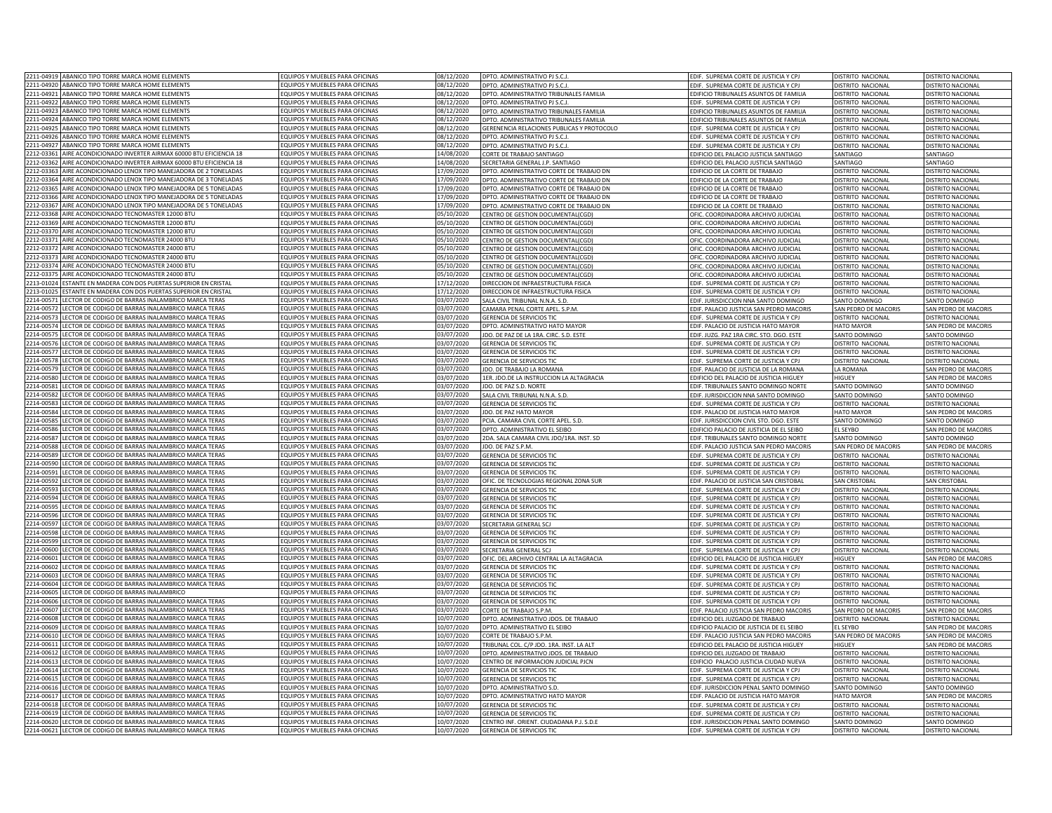|                                                                                                                                                                                                                                                                                                                                             | 2211-04919 ABANICO TIPO TORRE MARCA HOME ELEMENTS                                                                              | EQUIPOS Y MUEBLES PARA OFICINAS                                    | 08/12/2020              | DPTO. ADMINISTRATIVO PJ S.C.J                                                | EDIF. SUPREMA CORTE DE JUSTICIA Y CPJ                                           | DISTRITO NACIONAL                 | DISTRITO NACIONAL                  |
|---------------------------------------------------------------------------------------------------------------------------------------------------------------------------------------------------------------------------------------------------------------------------------------------------------------------------------------------|--------------------------------------------------------------------------------------------------------------------------------|--------------------------------------------------------------------|-------------------------|------------------------------------------------------------------------------|---------------------------------------------------------------------------------|-----------------------------------|------------------------------------|
|                                                                                                                                                                                                                                                                                                                                             | 2211-04920 ABANICO TIPO TORRE MARCA HOME ELEMENTS                                                                              | EQUIPOS Y MUEBLES PARA OFICINAS                                    | 08/12/2020              | DPTO. ADMINISTRATIVO PJ S.C.J.                                               | EDIF. SUPREMA CORTE DE JUSTICIA Y CPJ                                           | DISTRITO NACIONAL                 | DISTRITO NACIONAL                  |
|                                                                                                                                                                                                                                                                                                                                             | 2211-04921 ABANICO TIPO TORRE MARCA HOME ELEMENTS                                                                              | EQUIPOS Y MUEBLES PARA OFICINAS                                    | 08/12/2020              | DPTO. ADMINISTRATIVO TRIBUNALES FAMILIA                                      | EDIFICIO TRIBUNALES ASUNTOS DE FAMILIA                                          | DISTRITO NACIONAL                 | <b>DISTRITO NACIONAL</b>           |
| 2211-04922                                                                                                                                                                                                                                                                                                                                  | ABANICO TIPO TORRE MARCA HOME ELEMENTS                                                                                         | EQUIPOS Y MUEBLES PARA OFICINAS                                    | 08/12/2020              |                                                                              |                                                                                 |                                   |                                    |
|                                                                                                                                                                                                                                                                                                                                             |                                                                                                                                |                                                                    |                         | DPTO. ADMINISTRATIVO PJ S.C.J.                                               | EDIF. SUPREMA CORTE DE JUSTICIA Y CPJ                                           | DISTRITO NACIONAL                 | DISTRITO NACIONAL                  |
| 2211-04923                                                                                                                                                                                                                                                                                                                                  | ABANICO TIPO TORRE MARCA HOME ELEMENTS                                                                                         | EQUIPOS Y MUEBLES PARA OFICINAS                                    | 08/12/2020              | DPTO. ADMINISTRATIVO TRIBUNALES FAMILIA                                      | EDIFICIO TRIBUNALES ASUNTOS DE FAMILIA                                          | DISTRITO NACIONAL                 | <b>DISTRITO NACIONAL</b>           |
| 2211-04924                                                                                                                                                                                                                                                                                                                                  | ABANICO TIPO TORRE MARCA HOME FLEMENTS                                                                                         | FOUIPOS Y MUEBLES PARA OFICINAS                                    | 8/12/2020               | DPTO. ADMINISTRATIVO TRIBUNALES FAMILIA                                      | DIFICIO TRIBUNALES ASUNTOS DE FAMILIA                                           | DISTRITO NACIONAL                 | DISTRITO NACIONAL                  |
| 2211-04925                                                                                                                                                                                                                                                                                                                                  | ABANICO TIPO TORRE MARCA HOME ELEMENTS                                                                                         | EQUIPOS Y MUEBLES PARA OFICINAS                                    | 8/12/2020               | GERENENCIA RELACIONES PUBLICAS Y PROTOCOLO                                   | DIF. SUPREMA CORTE DE JUSTICIA Y CPJ                                            | DISTRITO NACIONAL                 | DISTRITO NACIONAL                  |
| 2211-04926                                                                                                                                                                                                                                                                                                                                  | ABANICO TIPO TORRE MARCA HOME ELEMENTS                                                                                         | EQUIPOS Y MUEBLES PARA OFICINAS                                    | 8/12/2020               | DPTO. ADMINISTRATIVO PJ S.C.J.                                               | DIF. SUPREMA CORTE DE JUSTICIA Y CPJ                                            | <b>ISTRITO NACIONAL</b>           | DISTRITO NACIONAL                  |
| 2211-04927                                                                                                                                                                                                                                                                                                                                  | ABANICO TIPO TORRE MARCA HOME ELEMENTS                                                                                         | EQUIPOS Y MUEBLES PARA OFICINAS                                    | 3/12/2020               | DPTO. ADMINISTRATIVO PJ S.C.J.                                               | EDIF. SUPREMA CORTE DE JUSTICIA Y CPJ                                           | <b>ISTRITO NACIONAL</b>           | DISTRITO NACIONAL                  |
| 2212-03361                                                                                                                                                                                                                                                                                                                                  | AIRE ACONDICIONADO INVERTER AIRMAX 60000 BTU EFICIENCIA 18                                                                     | EQUIPOS Y MUEBLES PARA OFICINAS                                    | 14/08/2020              | CORTE DE TRABAJO SANTIAGO                                                    | DIFICIO DEL PALACIO JUSTICIA SANTIAGO                                           | ANTIAGO                           | SANTIAGO                           |
|                                                                                                                                                                                                                                                                                                                                             | 2212-03362 AIRE ACONDICIONADO INVERTER AIRMAX 60000 BTU EFICIENCIA 18                                                          | EQUIPOS Y MUEBLES PARA OFICINAS                                    | 14/08/2020              | SECRETARIA GENERAL J.P. SANTIAGO                                             | EDIFICIO DEL PALACIO JUSTICIA SANTIAGO                                          | <b>SANTIAGO</b>                   | SANTIAGO                           |
| 2212-03363                                                                                                                                                                                                                                                                                                                                  | AIRE ACONDICIONADO LENOX TIPO MANEJADORA DE 2 TONELADAS                                                                        | EQUIPOS Y MUEBLES PARA OFICINAS                                    | 17/09/2020              | DPTO. ADMINISTRATIVO CORTE DE TRABAJO DN                                     | EDIFICIO DE LA CORTE DE TRABAJO                                                 | DISTRITO NACIONAL                 | DISTRITO NACIONAL                  |
| 2212-03364                                                                                                                                                                                                                                                                                                                                  | AIRE ACONDICIONADO LENOX TIPO MANEJADORA DE 3 TONELADAS                                                                        | EQUIPOS Y MUEBLES PARA OFICINAS                                    | 17/09/2020              | DPTO. ADMINISTRATIVO CORTE DE TRABAJO DN                                     | EDIFICIO DE LA CORTE DE TRABAJO                                                 | <b>DISTRITO NACIONAL</b>          | <b>DISTRITO NACIONAL</b>           |
| 2212-03365                                                                                                                                                                                                                                                                                                                                  | AIRE ACONDICIONADO LENOX TIPO MANEJADORA DE 5 TONELADAS                                                                        | EQUIPOS Y MUEBLES PARA OFICINAS                                    | 17/09/2020              | DPTO. ADMINISTRATIVO CORTE DE TRABAJO DN                                     | DIFICIO DE LA CORTE DE TRABAJO                                                  |                                   | DISTRITO NACIONA                   |
|                                                                                                                                                                                                                                                                                                                                             |                                                                                                                                |                                                                    |                         |                                                                              |                                                                                 | DISTRITO NACIONAL                 |                                    |
| 2212-03366                                                                                                                                                                                                                                                                                                                                  | AIRE ACONDICIONADO LENOX TIPO MANEJADORA DE 5 TONELADAS                                                                        | EQUIPOS Y MUEBLES PARA OFICINAS                                    | 17/09/2020              | DPTO. ADMINISTRATIVO CORTE DE TRABAJO DN                                     | DIFICIO DE LA CORTE DE TRABAJO                                                  | DISTRITO NACIONAL                 | <b>DISTRITO NACIONAL</b>           |
| 2212-03367                                                                                                                                                                                                                                                                                                                                  | AIRE ACONDICIONADO LENOX TIPO MANEJADORA DE 5 TONELADAS                                                                        | EQUIPOS Y MUEBLES PARA OFICINAS                                    | 17/09/2020              | DPTO. ADMINISTRATIVO CORTE DE TRABAJO DN                                     | DIFICIO DE LA CORTE DE TRABAJO                                                  | DISTRITO NACIONAL                 | DISTRITO NACIONAL                  |
| 2212-03368                                                                                                                                                                                                                                                                                                                                  | AIRE ACONDICIONADO TECNOMASTER 12000 BTL                                                                                       | FOUIPOS Y MUFBLES PARA OFICINAS                                    | 05/10/2020              | CENTRO DE GESTION DOCUMENTAL(CGD                                             | OFIC. COORDINADORA ARCHIVO JUDICIAL                                             | DISTRITO NACIONAL                 | DISTRITO NACIONAL                  |
|                                                                                                                                                                                                                                                                                                                                             | 2212-03369 AIRE ACONDICIONADO TECNOMASTER 12000 BTU                                                                            | EQUIPOS Y MUEBLES PARA OFICINAS                                    | 05/10/2020              | CENTRO DE GESTION DOCUMENTAL(CGD)                                            | OFIC. COORDINADORA ARCHIVO JUDICIAL                                             | DISTRITO NACIONAL                 | DISTRITO NACIONAL                  |
| 2212-03370                                                                                                                                                                                                                                                                                                                                  | AIRE ACONDICIONADO TECNOMASTER 12000 BTU                                                                                       | EQUIPOS Y MUEBLES PARA OFICINAS                                    | 05/10/2020              | CENTRO DE GESTION DOCUMENTAL(CGD)                                            | OFIC. COORDINADORA ARCHIVO JUDICIAL                                             | DISTRITO NACIONAL                 | <b>DISTRITO NACIONAL</b>           |
| 2212-03371                                                                                                                                                                                                                                                                                                                                  | AIRE ACONDICIONADO TECNOMASTER 24000 BTU                                                                                       | EQUIPOS Y MUEBLES PARA OFICINAS                                    | 05/10/2020              | CENTRO DE GESTION DOCUMENTAL(CGD)                                            | OFIC. COORDINADORA ARCHIVO JUDICIAL                                             | DISTRITO NACIONAL                 | <b>DISTRITO NACIONAL</b>           |
| 2212-03372                                                                                                                                                                                                                                                                                                                                  | AIRE ACONDICIONADO TECNOMASTER 24000 BTU                                                                                       | EQUIPOS Y MUEBLES PARA OFICINAS                                    | 05/10/2020              | CENTRO DE GESTION DOCUMENTAL(CGD)                                            | OFIC. COORDINADORA ARCHIVO JUDICIAL                                             | DISTRITO NACIONAL                 | DISTRITO NACIONAL                  |
| 2212-03373                                                                                                                                                                                                                                                                                                                                  | AIRE ACONDICIONADO TECNOMASTER 24000 BTU                                                                                       | OUIPOS Y MUEBLES PARA OFICINAS                                     | 5/10/2020               |                                                                              | OFIC, COORDINADORA ARCHIVO JUDICIAL                                             | DISTRITO NACIONAL                 | DISTRITO NACIONAL                  |
|                                                                                                                                                                                                                                                                                                                                             |                                                                                                                                |                                                                    |                         | CENTRO DE GESTION DOCUMENTAL(CGD)                                            |                                                                                 |                                   |                                    |
| 2212-03374                                                                                                                                                                                                                                                                                                                                  | AIRE ACONDICIONADO TECNOMASTER 24000 BTU                                                                                       | OUIPOS Y MUEBLES PARA OFICINAS                                     | 5/10/2020               | CENTRO DE GESTION DOCUMENTAL(CGD)                                            | JEIC, COORDINADORA ARCHIVO IUDICIAI                                             | <b>JISTRITO NACIONAL</b>          | DISTRITO NACIONAL                  |
| 2212-03375                                                                                                                                                                                                                                                                                                                                  | <b>IRE ACONDICIONADO TECNOMASTER 24000 BTU</b>                                                                                 | QUIPOS Y MUEBLES PARA OFICINAS                                     | 5/10/2020               | CENTRO DE GESTION DOCUMENTAL(CGD)                                            | JEIC, COORDINADORA ARCHIVO IUDICIAI                                             | DISTRITO NACIONAL                 | DISTRITO NACIONAL                  |
| 2213-01024                                                                                                                                                                                                                                                                                                                                  | STANTE EN MADERA CON DOS PUERTAS SUPERIOR EN CRISTAL                                                                           | OUIPOS Y MUEBLES PARA OFICINAS                                     | /12/2020                | DIRECCION DE INFRAESTRUCTURA FISICA                                          | DIF. SUPREMA CORTE DE JUSTICIA Y CPJ                                            | <b>ISTRITO NACIONAL</b>           | DISTRITO NACIONAL                  |
| 2213-01025                                                                                                                                                                                                                                                                                                                                  | STANTE EN MADERA CON DOS PUERTAS SUPERIOR EN CRISTAL                                                                           | EQUIPOS Y MUEBLES PARA OFICINAS                                    | 7/12/2020               | DIRECCION DE INFRAESTRUCTURA FISICA                                          | DIF. SUPREMA CORTE DE JUSTICIA Y CPJ                                            | ISTRITO NACIONAL                  | DISTRITO NACIONAL                  |
| 2214-00571                                                                                                                                                                                                                                                                                                                                  | LECTOR DE CODIGO DE BARRAS INALAMBRICO MARCA TERAS                                                                             | EQUIPOS Y MUEBLES PARA OFICINAS                                    | 03/07/2020              | SALA CIVIL TRIBUNAL N.N.A. S.D                                               | EDIF. JURISDICCION NNA SANTO DOMINGO                                            | <b>SANTO DOMINGC</b>              | SANTO DOMINGO                      |
| 2214-00572                                                                                                                                                                                                                                                                                                                                  | LECTOR DE CODIGO DE BARRAS INALAMBRICO MARCA TERAS                                                                             | EQUIPOS Y MUEBLES PARA OFICINAS                                    | 03/07/2020              | CAMARA PENAL CORTE APEL, S.P.M.                                              | EDIF. PALACIO JUSTICIA SAN PEDRO MACORIS                                        | SAN PEDRO DE MACORIS              | SAN PEDRO DE MACORIS               |
| 2214-00573                                                                                                                                                                                                                                                                                                                                  | LECTOR DE CODIGO DE BARRAS INALAMBRICO MARCA TERAS                                                                             | EQUIPOS Y MUEBLES PARA OFICINAS                                    | 03/07/2020              | <b>GERENCIA DE SERVICIOS TIO</b>                                             | EDIF. SUPREMA CORTE DE JUSTICIA Y CPJ                                           | DISTRITO NACIONAL                 | DISTRITO NACIONAL                  |
| 2214-0057                                                                                                                                                                                                                                                                                                                                   | LECTOR DE CODIGO DE BARRAS INALAMBRICO MARCA TERAS                                                                             | <b>FOUIPOS Y MUFBLES PARA OFICINAS</b>                             | 03/07/2020              | DPTO. ADMINISTRATIVO HATO MAYOR                                              | EDIF, PALACIO DE JUSTICIA HATO MAYOR                                            | <b>HATO MAYOR</b>                 | SAN PEDRO DE MACORIS               |
| 2214-0057                                                                                                                                                                                                                                                                                                                                   | LECTOR DE CODIGO DE BARRAS INALAMBRICO MARCA TERAS                                                                             | FOUIPOS Y MUFBLES PARA OFICINAS                                    | 13/07/2020              | IDO. DE PAZ DE LA 1RA. CIRC. S.D. ESTE                                       | EDIF. JUZG. PAZ 1RA CIRC. STO. DGO. ESTE                                        | SANTO DOMINGO                     | SANTO DOMINGO                      |
| 2214-00576                                                                                                                                                                                                                                                                                                                                  | LECTOR DE CODIGO DE BARRAS INALAMBRICO MARCA TERAS                                                                             | EQUIPOS Y MUEBLES PARA OFICINAS                                    | 03/07/2020              | <b>GERENCIA DE SERVICIOS TIO</b>                                             | EDIF. SUPREMA CORTE DE JUSTICIA Y CPJ                                           | DISTRITO NACIONAL                 | DISTRITO NACIONA                   |
|                                                                                                                                                                                                                                                                                                                                             |                                                                                                                                |                                                                    |                         |                                                                              |                                                                                 |                                   |                                    |
| 2214-0057                                                                                                                                                                                                                                                                                                                                   | LECTOR DE CODIGO DE BARRAS INALAMBRICO MARCA TERAS                                                                             | EQUIPOS Y MUEBLES PARA OFICINAS                                    | 03/07/2020              | <b>GERENCIA DE SERVICIOS TIO</b>                                             | EDIF. SUPREMA CORTE DE JUSTICIA Y CPJ                                           | DISTRITO NACIONAL                 | DISTRITO NACIONA                   |
| 2214-00578                                                                                                                                                                                                                                                                                                                                  | LECTOR DE CODIGO DE BARRAS INALAMBRICO MARCA TERAS                                                                             | FOUIPOS Y MUFBLES PARA OFICINAS                                    | 03/07/2020              | <b>GERENCIA DE SERVICIOS TI</b>                                              | EDIF. SUPREMA CORTE DE JUSTICIA Y CPJ                                           | DISTRITO NACIONAL                 | DISTRITO NACIONAL                  |
| 2214-00579                                                                                                                                                                                                                                                                                                                                  | LECTOR DE CODIGO DE BARRAS INALAMBRICO MARCA TERAS                                                                             | EQUIPOS Y MUEBLES PARA OFICINAS                                    | 03/07/2020              | IDO. DE TRABAIO LA ROMANA                                                    | EDIF. PALACIO DE JUSTICIA DE LA ROMANA                                          | LA ROMANA                         | SAN PEDRO DE MACORIS               |
| 2214-00580                                                                                                                                                                                                                                                                                                                                  | LECTOR DE CODIGO DE BARRAS INALAMBRICO MARCA TERAS                                                                             | EQUIPOS Y MUEBLES PARA OFICINAS                                    | 03/07/2020              | 1ER. JDO.DE LA INSTRUCCION LA ALTAGRACIA                                     | EDIFICIO DEL PALACIO DE JUSTICIA HIGUEY                                         | HIGUEY                            | SAN PEDRO DE MACORIS               |
| 2214-00581                                                                                                                                                                                                                                                                                                                                  | LECTOR DE CODIGO DE BARRAS INALAMBRICO MARCA TERAS                                                                             | EQUIPOS Y MUEBLES PARA OFICINAS                                    | 03/07/2020              | JDO. DE PAZ S.D. NORTE                                                       | EDIF. TRIBUNALES SANTO DOMINGO NORTE                                            | SANTO DOMINGO                     | SANTO DOMINGO                      |
| 2214-00582                                                                                                                                                                                                                                                                                                                                  | LECTOR DE CODIGO DE BARRAS INALAMBRICO MARCA TERAS                                                                             | EQUIPOS Y MUEBLES PARA OFICINAS                                    | 03/07/2020              | SALA CIVIL TRIBUNAL N.N.A. S.D.                                              | EDIF. JURISDICCION NNA SANTO DOMINGO                                            | SANTO DOMINGO                     | SANTO DOMINGO                      |
| 2214-00583                                                                                                                                                                                                                                                                                                                                  | LECTOR DE CODIGO DE BARRAS INALAMBRICO MARCA TERAS                                                                             | EQUIPOS Y MUEBLES PARA OFICINAS                                    | 03/07/2020              | <b>GERENCIA DE SERVICIOS TIC</b>                                             | EDIF. SUPREMA CORTE DE JUSTICIA Y CPJ                                           | DISTRITO NACIONAL                 | DISTRITO NACIONAL                  |
| 2214-00584                                                                                                                                                                                                                                                                                                                                  | LECTOR DE CODIGO DE BARRAS INALAMBRICO MARCA TERAS                                                                             | EQUIPOS Y MUEBLES PARA OFICINAS                                    | 03/07/2020              | IDO. DE PAZ HATO MAYOR                                                       | EDIF. PALACIO DE JUSTICIA HATO MAYOR                                            | HATO MAYOR                        | SAN PEDRO DE MACORIS               |
| 2214-00585                                                                                                                                                                                                                                                                                                                                  | LECTOR DE CODIGO DE BARRAS INALAMBRICO MARCA TERAS                                                                             | EQUIPOS Y MUEBLES PARA OFICINAS                                    | 03/07/2020              | PCIA, CAMARA CIVIL CORTE APEL, S.D.                                          | DIF. JURISDICCION CIVIL STO. DGO. ESTE                                          | SANTO DOMINGO                     | SANTO DOMINGO                      |
| 2214-00586                                                                                                                                                                                                                                                                                                                                  |                                                                                                                                |                                                                    |                         |                                                                              |                                                                                 |                                   |                                    |
|                                                                                                                                                                                                                                                                                                                                             | LECTOR DE CODIGO DE BARRAS INALAMBRICO MARCA TERAS                                                                             | EQUIPOS Y MUEBLES PARA OFICINAS                                    | 3/07/2020               | DPTO. ADMINISTRATIVO EL SEIBO                                                | DIFICIO PALACIO DE JUSTICIA DE EL SEIBO                                         | L SEYBO                           | SAN PEDRO DE MACORIS               |
|                                                                                                                                                                                                                                                                                                                                             | 2214-00587 LECTOR DE CODIGO DE BARRAS INALAMBRICO MARCA TERAS                                                                  | EQUIPOS Y MUEBLES PARA OFICINAS                                    | 03/07/2020              | 2DA. SALA CAMARA CIVIL JDO/1RA. INST. SD                                     | EDIF. TRIBUNALES SANTO DOMINGO NORTE                                            | ANTO DOMINGO                      | SANTO DOMINGO                      |
|                                                                                                                                                                                                                                                                                                                                             | 2214-00588 LECTOR DE CODIGO DE BARRAS INALAMBRICO MARCA TERAS                                                                  | EQUIPOS Y MUEBLES PARA OFICINAS                                    | 3/07/2020               | JDO. DE PAZ S.P.M.                                                           | EDIF. PALACIO JUSTICIA SAN PEDRO MACORIS                                        | SAN PEDRO DE MACORIS              | SAN PEDRO DE MACORIS               |
|                                                                                                                                                                                                                                                                                                                                             | 2214-00589 LECTOR DE CODIGO DE BARRAS INALAMBRICO MARCA TERAS                                                                  | EQUIPOS Y MUEBLES PARA OFICINAS                                    | 03/07/2020              | <b>GERENCIA DE SERVICIOS TI</b>                                              | EDIF. SUPREMA CORTE DE JUSTICIA Y CP.                                           | <b>DISTRITO NACIONA</b>           | DISTRITO NACIONA                   |
|                                                                                                                                                                                                                                                                                                                                             | 2214-00590 LECTOR DE CODIGO DE BARRAS INALAMBRICO MARCA TERAS                                                                  | EQUIPOS Y MUEBLES PARA OFICINAS                                    | 03/07/2020              | <b>GERENCIA DE SERVICIOS TIO</b>                                             | EDIF. SUPREMA CORTE DE JUSTICIA Y CPJ                                           | DISTRITO NACIONAL                 |                                    |
| 2214-00591                                                                                                                                                                                                                                                                                                                                  |                                                                                                                                |                                                                    |                         |                                                                              |                                                                                 |                                   | DISTRITO NACIONAL                  |
| 2214-00592                                                                                                                                                                                                                                                                                                                                  | LECTOR DE CODIGO DE BARRAS INALAMBRICO MARCA TERAS                                                                             | EQUIPOS Y MUEBLES PARA OFICINAS                                    | 3/07/2020               | <b>GERENCIA DE SERVICIOS TIO</b>                                             |                                                                                 |                                   | DISTRITO NACIONAL                  |
|                                                                                                                                                                                                                                                                                                                                             |                                                                                                                                | FOUIPOS Y MUEBLES PARA OFICINAS                                    |                         |                                                                              | EDIF. SUPREMA CORTE DE JUSTICIA Y CPJ                                           | DISTRITO NACIONAL                 |                                    |
|                                                                                                                                                                                                                                                                                                                                             | LECTOR DE CODIGO DE BARRAS INALAMBRICO MARCA TERAS                                                                             |                                                                    | 3/07/2020               | OFIC. DE TECNOLOGIAS REGIONAL ZONA SUR                                       | EDIF. PALACIO DE JUSTICIA SAN CRISTOBAL                                         | SAN CRISTOBAL                     | <b>SAN CRISTOBAL</b>               |
|                                                                                                                                                                                                                                                                                                                                             | LECTOR DE CODIGO DE BARRAS INALAMBRICO MARCA TERAS                                                                             | EQUIPOS Y MUEBLES PARA OFICINAS                                    | 03/07/2020              | <b>GERENCIA DE SERVICIOS TI</b>                                              | FDIE. SUPREMA CORTE DE IUSTICIA Y CP                                            | DISTRITO NACIONAL                 | DISTRITO NACIONA                   |
|                                                                                                                                                                                                                                                                                                                                             | LECTOR DE CODIGO DE BARRAS INALAMBRICO MARCA TERAS                                                                             | EQUIPOS Y MUEBLES PARA OFICINAS                                    | 03/07/2020              | <b>GERENCIA DE SERVICIOS TIO</b>                                             | DIF. SUPREMA CORTE DE JUSTICIA Y CPJ                                            | DISTRITO NACIONAL                 | DISTRITO NACIONAL                  |
|                                                                                                                                                                                                                                                                                                                                             | LECTOR DE CODIGO DE BARRAS INALAMBRICO MARCA TERAS                                                                             | EQUIPOS Y MUEBLES PARA OFICINAS                                    | 03/07/2020              | <b>GERENCIA DE SERVICIOS TIC</b>                                             | EDIF. SUPREMA CORTE DE JUSTICIA Y CPJ                                           | DISTRITO NACIONAL                 | <b>DISTRITO NACIONAL</b>           |
|                                                                                                                                                                                                                                                                                                                                             | LECTOR DE CODIGO DE BARRAS INALAMBRICO MARCA TERAS                                                                             | EQUIPOS Y MUEBLES PARA OFICINAS                                    | 03/07/2020              | <b>GERENCIA DE SERVICIOS TIO</b>                                             | EDIF. SUPREMA CORTE DE JUSTICIA Y CPJ                                           | DISTRITO NACIONAL                 | DISTRITO NACIONAL                  |
|                                                                                                                                                                                                                                                                                                                                             | LECTOR DE CODIGO DE BARRAS INALAMBRICO MARCA TERAS                                                                             | EQUIPOS Y MUEBLES PARA OFICINAS                                    | 03/07/2020              | SECRETARIA GENERAL SCJ                                                       | EDIF. SUPREMA CORTE DE JUSTICIA Y CPJ                                           | DISTRITO NACIONAL                 | <b>DISTRITO NACIONAL</b>           |
|                                                                                                                                                                                                                                                                                                                                             | LECTOR DE CODIGO DE BARRAS INALAMBRICO MARCA TERAS                                                                             | EQUIPOS Y MUEBLES PARA OFICINAS                                    | 03/07/2020              | <b>GERENCIA DE SERVICIOS TIC</b>                                             | EDIF. SUPREMA CORTE DE JUSTICIA Y CPJ                                           | DISTRITO NACIONAL                 | DISTRITO NACIONAL                  |
|                                                                                                                                                                                                                                                                                                                                             | LECTOR DE CODIGO DE BARRAS INALAMBRICO MARCA TERAS                                                                             | EQUIPOS Y MUEBLES PARA OFICINAS                                    | 03/07/2020              | <b>GERENCIA DE SERVICIOS TIO</b>                                             | EDIF. SUPREMA CORTE DE JUSTICIA Y CPJ                                           | DISTRITO NACIONAL                 | <b>DISTRITO NACIONAL</b>           |
|                                                                                                                                                                                                                                                                                                                                             | FCTOR DE CODIGO DE BARRAS INALAMBRICO MARCA TERAS                                                                              | OUIPOS Y MUEBLES PARA OFICINAS                                     | 3/07/2020               | SECRETARIA GENERAL SCJ                                                       | EDIF. SUPREMA CORTE DE JUSTICIA Y CPJ                                           | DISTRITO NACIONAL                 | DISTRITO NACIONAL                  |
|                                                                                                                                                                                                                                                                                                                                             | LECTOR DE CODIGO DE BARRAS INALAMBRICO MARCA TERAS                                                                             | QUIPOS Y MUEBLES PARA OFICINAS                                     | 3/07/2020               |                                                                              |                                                                                 | HIGUFY                            | <b>SAN PEDRO DE MACORIS</b>        |
|                                                                                                                                                                                                                                                                                                                                             | LECTOR DE CODIGO DE BARRAS INALAMBRICO MARCA TERAS                                                                             | QUIPOS Y MUEBLES PARA OFICINAS                                     | 3/07/2020               | OFIC. DEL ARCHIVO CENTRAL LA ALTAGRACIA<br><b>GERENCIA DE SERVICIOS TIO</b>  | DIFICIO DEL PALACIO DE JUSTICIA HIGUEY<br>DIF. SUPREMA CORTE DE JUSTICIA Y CPJ  | <b>ISTRITO NACIONAL</b>           | DISTRITO NACIONAL                  |
|                                                                                                                                                                                                                                                                                                                                             |                                                                                                                                |                                                                    |                         |                                                                              |                                                                                 |                                   |                                    |
|                                                                                                                                                                                                                                                                                                                                             | ECTOR DE CODIGO DE BARRAS INALAMBRICO MARCA TERAS                                                                              | OUIPOS Y MUEBLES PARA OFICINAS                                     | 3/07/2020               | <b>GERENCIA DE SERVICIOS TIO</b>                                             | DIF. SUPREMA CORTE DE JUSTICIA Y CPJ                                            | <b>ISTRITO NACIONAL</b>           | DISTRITO NACIONAL                  |
|                                                                                                                                                                                                                                                                                                                                             | 2214-00604 LECTOR DE CODIGO DE BARRAS INALAMBRICO MARCA TERAS                                                                  | EQUIPOS Y MUEBLES PARA OFICINAS                                    | 03/07/2020              | <b>GERENCIA DE SERVICIOS TIO</b>                                             | DIF. SUPREMA CORTE DE JUSTICIA Y CPJ                                            | ISTRITO NACIONAL                  | <b>DISTRITO NACIONAL</b>           |
|                                                                                                                                                                                                                                                                                                                                             | LECTOR DE CODIGO DE BARRAS INALAMBRICO                                                                                         | EQUIPOS Y MUEBLES PARA OFICINAS                                    | 03/07/2020              | <b>GERENCIA DE SERVICIOS TIO</b>                                             | EDIF. SUPREMA CORTE DE JUSTICIA Y CPJ                                           | DISTRITO NACIONAL                 | DISTRITO NACIONAL                  |
|                                                                                                                                                                                                                                                                                                                                             | 2214-00606 LECTOR DE CODIGO DE BARRAS INALAMBRICO MARCA TERAS                                                                  | EQUIPOS Y MUEBLES PARA OFICINAS                                    | 03/07/2020              | <b>GERENCIA DE SERVICIOS TIO</b>                                             | EDIF. SUPREMA CORTE DE JUSTICIA Y CPJ                                           | DISTRITO NACIONAL                 | <b>DISTRITO NACIONAL</b>           |
|                                                                                                                                                                                                                                                                                                                                             | LECTOR DE CODIGO DE BARRAS INALAMBRICO MARCA TERAS                                                                             | FOUIPOS Y MUFBLES PARA OFICINAS                                    | 03/07/2020              | CORTE DE TRABAJO S.P.M.                                                      | EDIF. PALACIO JUSTICIA SAN PEDRO MACORIS                                        | SAN PEDRO DE MACORIS              | SAN PEDRO DE MACORIS               |
|                                                                                                                                                                                                                                                                                                                                             | LECTOR DE CODIGO DE BARRAS INALAMBRICO MARCA TERAS                                                                             | FOUIPOS Y MUFBLES PARA OFICINAS                                    | 10/07/2020              | DPTO. ADMINISTRATIVO JDOS. DE TRABAJO                                        | FDIFICIO DEL IUZGADO DE TRABAIO                                                 | DISTRITO NACIONAL                 | DISTRITO NACIONAL                  |
|                                                                                                                                                                                                                                                                                                                                             | LECTOR DE CODIGO DE BARRAS INALAMBRICO MARCA TERAS                                                                             | FOUIPOS Y MUFBLES PARA OFICINAS                                    | 10/07/2020              | DPTO. ADMINISTRATIVO EL SEIBO                                                | EDIFICIO PALACIO DE JUSTICIA DE EL SEIBO                                        | FI SFYBO                          | SAN PEDRO DE MACORIS               |
|                                                                                                                                                                                                                                                                                                                                             | LECTOR DE CODIGO DE BARRAS INALAMBRICO MARCA TERAS                                                                             | EQUIPOS Y MUEBLES PARA OFICINAS                                    | 10/07/2020              | CORTE DE TRABAJO S.P.M                                                       | FDIE, PALACIO IUSTICIA SAN PEDRO MACORIS                                        | SAN PEDRO DE MACORIS              | SAN PEDRO DE MACORIS               |
|                                                                                                                                                                                                                                                                                                                                             | LECTOR DE CODIGO DE BARRAS INALAMBRICO MARCA TERAS                                                                             | FOUIPOS Y MUFBLES PARA OFICINAS                                    |                         |                                                                              |                                                                                 | <b>HIGUEY</b>                     |                                    |
|                                                                                                                                                                                                                                                                                                                                             |                                                                                                                                |                                                                    | 10/07/2020              | TRIBUNAL COL. C/P JDO. 1RA. INST. LA ALT                                     | DIFICIO DEL PALACIO DE JUSTICIA HIGUEY                                          |                                   | SAN PEDRO DE MACORIS               |
|                                                                                                                                                                                                                                                                                                                                             | LECTOR DE CODIGO DE BARRAS INALAMBRICO MARCA TERAS                                                                             | EQUIPOS Y MUEBLES PARA OFICINAS                                    | 10/07/2020              | DPTO. ADMINISTRATIVO JDOS. DE TRABAJO                                        | EDIFICIO DEL JUZGADO DE TRABAJO                                                 | DISTRITO NACIONAL                 | <b>DISTRITO NACIONAL</b>           |
|                                                                                                                                                                                                                                                                                                                                             | LECTOR DE CODIGO DE BARRAS INALAMBRICO MARCA TERAS                                                                             | EQUIPOS Y MUEBLES PARA OFICINAS                                    | 10/07/2020              | CENTRO DE INFORMACION JUDICIAL PJCN                                          | EDIFICIO PALACIO JUSTICIA CIUDAD NUEVA                                          | DISTRITO NACIONAL                 | <b>DISTRITO NACIONAL</b>           |
|                                                                                                                                                                                                                                                                                                                                             | 2214-00614 LECTOR DE CODIGO DE BARRAS INALAMBRICO MARCA TERAS                                                                  | EQUIPOS Y MUEBLES PARA OFICINAS                                    | 10/07/2020              | <b>GERENCIA DE SERVICIOS TIO</b>                                             | EDIF. SUPREMA CORTE DE JUSTICIA Y CPJ                                           | DISTRITO NACIONAL                 | <b>DISTRITO NACIONAL</b>           |
|                                                                                                                                                                                                                                                                                                                                             | LECTOR DE CODIGO DE BARRAS INALAMBRICO MARCA TERAS                                                                             | EQUIPOS Y MUEBLES PARA OFICINAS                                    | 10/07/2020              | <b>GERENCIA DE SERVICIOS TIO</b>                                             | EDIF. SUPREMA CORTE DE JUSTICIA Y CPJ                                           | DISTRITO NACIONAL                 | DISTRITO NACIONAL                  |
|                                                                                                                                                                                                                                                                                                                                             | LECTOR DE CODIGO DE BARRAS INALAMBRICO MARCA TERAS                                                                             | EQUIPOS Y MUEBLES PARA OFICINAS                                    | 10/07/2020              | DPTO. ADMINISTRATIVO S.D.                                                    | EDIF. JURISDICCION PENAL SANTO DOMINGO                                          | SANTO DOMINGO                     | SANTO DOMINGO                      |
|                                                                                                                                                                                                                                                                                                                                             | LECTOR DE CODIGO DE BARRAS INALAMBRICO MARCA TERAS                                                                             | FOUIPOS Y MUEBLES PARA OFICINAS                                    | 10/07/2020              | DPTO. ADMINISTRATIVO HATO MAYOR                                              | EDIF. PALACIO DE JUSTICIA HATO MAYOR                                            | HATO MAYOR                        | SAN PEDRO DE MACORIS               |
|                                                                                                                                                                                                                                                                                                                                             | LECTOR DE CODIGO DE BARRAS INALAMBRICO MARCA TERAS                                                                             | EQUIPOS Y MUEBLES PARA OFICINAS                                    | 10/07/2020              | <b>GERENCIA DE SERVICIOS TIC</b>                                             | DIF. SUPREMA CORTE DE JUSTICIA Y CPJ                                            | <b>DISTRITO NACIONAL</b>          | DISTRITO NACIONAL                  |
|                                                                                                                                                                                                                                                                                                                                             | LECTOR DE CODIGO DE BARRAS INALAMBRICO MARCA TERAS                                                                             | EQUIPOS Y MUEBLES PARA OFICINAS                                    | 0/07/2020               | <b>GERENCIA DE SERVICIOS TIO</b>                                             | DIF. SUPREMA CORTE DE JUSTICIA Y CPJ                                            | <b>DISTRITO NACIONAL</b>          | DISTRITO NACIONAL                  |
|                                                                                                                                                                                                                                                                                                                                             |                                                                                                                                |                                                                    |                         |                                                                              |                                                                                 |                                   |                                    |
| 2214-00593<br>2214-00594<br>2214-00595<br>2214-00596<br>2214-00597<br>2214-00598<br>2214-0059<br>2214-00600<br>2214-00601<br>2214-00602<br>2214-00603<br>2214-00605<br>2214-00607<br>2214-00608<br>2214-00609<br>2214-00610<br>2214-00611<br>2214-00612<br>2214-00613<br>2214-00615<br>2214-00616<br>2214-00617<br>2214-00618<br>2214-00619 | 2214-00620 LECTOR DE CODIGO DE BARRAS INALAMBRICO MARCA TERAS<br>2214-00621 LECTOR DE CODIGO DE BARRAS INALAMBRICO MARCA TERAS | EQUIPOS Y MUEBLES PARA OFICINAS<br>EQUIPOS Y MUEBLES PARA OFICINAS | 0/07/2020<br>10/07/2020 | CENTRO INF. ORIENT. CIUDADANA P.J. S.D.E<br><b>GERENCIA DE SERVICIOS TIO</b> | EDIF. JURISDICCION PENAL SANTO DOMINGO<br>EDIF. SUPREMA CORTE DE JUSTICIA Y CPJ | ANTO DOMINGO<br>DISTRITO NACIONAL | SANTO DOMINGO<br>DISTRITO NACIONAL |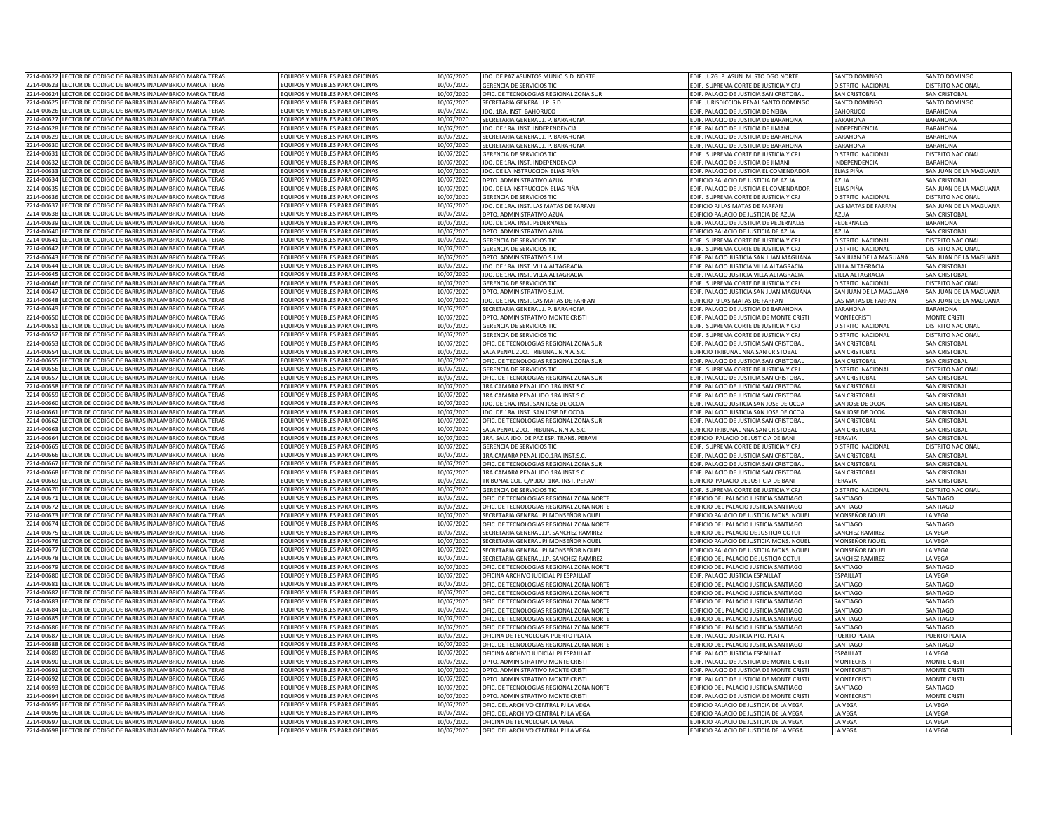| 2214-00622 | LECTOR DE CODIGO DE BARRAS INALAMBRICO MARCA TERAS            | FOUIPOS Y MUFBLES PARA OFICINAS        | 10/07/2020 | JDO. DE PAZ ASUNTOS MUNIC. S.D. NORTE        | EDIF. JUZG. P. ASUN. M. STO DGO NORTE     | SANTO DOMINGO          | SANTO DOMINGO            |
|------------|---------------------------------------------------------------|----------------------------------------|------------|----------------------------------------------|-------------------------------------------|------------------------|--------------------------|
| 2214-00623 | LECTOR DE CODIGO DE BARRAS INALAMBRICO MARCA TERAS            | FOUIPOS Y MUEBLES PARA OFICINAS        | 10/07/2020 | <b>GERENCIA DE SERVICIOS TIO</b>             | FDIE. SUPREMA CORTE DE IUSTICIA Y CP      | DISTRITO NACIONAL      | <b>DISTRITO NACIONA</b>  |
|            | 2214-00624 LECTOR DE CODIGO DE BARRAS INALAMBRICO MARCA TERAS | EQUIPOS Y MUEBLES PARA OFICINAS        | 10/07/2020 |                                              |                                           |                        |                          |
|            |                                                               |                                        |            | OFIC. DE TECNOLOGIAS REGIONAL ZONA SUR       | EDIF. PALACIO DE JUSTICIA SAN CRISTOBAL   | SAN CRISTOBAL          | <b>SAN CRISTOBAL</b>     |
|            | 2214-00625 LECTOR DE CODIGO DE BARRAS INALAMBRICO MARCA TERAS | EQUIPOS Y MUEBLES PARA OFICINAS        | 10/07/2020 | SECRETARIA GENERAL J.P. S.D.                 | EDIF. JURISDICCION PENAL SANTO DOMINGO    | SANTO DOMINGO          | SANTO DOMINGO            |
| 2214-00626 | LECTOR DE CODIGO DE BARRAS INALAMBRICO MARCA TERAS            | EQUIPOS Y MUEBLES PARA OFICINAS        | 10/07/2020 | JDO. 1RA. INST. BAHORUCO                     | EDIF. PALACIO DE JUSTICIA DE NEIBA        | BAHORUCO               | <b>BARAHONA</b>          |
| 2214-00627 | LECTOR DE CODIGO DE BARRAS INALAMBRICO MARCA TERAS            | FOUIPOS Y MUEBLES PARA OFICINAS        | 10/07/2020 | SECRETARIA GENERAL L.P. BARAHONA             | EDIF. PALACIO DE JUSTICIA DE BARAHONA     | <b>BARAHONA</b>        | <b>BARAHONA</b>          |
| 2214-00628 | <b>FCTOR DE CODIGO DE BARRAS INALAMBRICO MARCA TERAS</b>      | FOUIPOS Y MUEBLES PARA OFICINAS        | 10/07/2020 | IDO. DE 1RA. INST. INDEPENDENCIA             | FDIF. PALACIO DE IUSTICIA DE IIMANI       | INDEPENDENCIA          | <b>BARAHONA</b>          |
| 2214-00629 | LECTOR DE CODIGO DE BARRAS INALAMBRICO MARCA TERAS            | EQUIPOS Y MUEBLES PARA OFICINAS        | 10/07/2020 | SECRETARIA GENERAL I. P. BARAHONA            | FDIF. PALACIO DE IUSTICIA DE BARAHONA     | BARAHONA               | <b>BARAHONA</b>          |
| 2214-00630 | LECTOR DE CODIGO DE BARRAS INALAMBRICO MARCA TERAS            | EQUIPOS Y MUEBLES PARA OFICINAS        | 10/07/2020 | SECRETARIA GENERAL J. P. BARAHONA            | EDIF. PALACIO DE JUSTICIA DE BARAHONA     | <b>BARAHONA</b>        | <b>BARAHONA</b>          |
| 2214-00631 | ECTOR DE CODIGO DE BARRAS INALAMBRICO MARCA TERAS             | FOUIPOS Y MUEBLES PARA OFICINAS        | 0/07/2020  | <b>GERENCIA DE SERVICIOS TIC</b>             | EDIF. SUPREMA CORTE DE JUSTICIA Y CPJ     | DISTRITO NACIONAL      | <b>ISTRITO NACIONAL</b>  |
|            | 2214-00632 LECTOR DE CODIGO DE BARRAS INALAMBRICO MARCA TERAS | EQUIPOS Y MUEBLES PARA OFICINAS        | 10/07/2020 | JDO. DE 1RA. INST. INDEPENDENCIA             | EDIF. PALACIO DE JUSTICIA DE JIMANI       | INDEPENDENCIA          | <b>BARAHONA</b>          |
|            | 2214-00633 LECTOR DE CODIGO DE BARRAS INALAMBRICO MARCA TERAS | EQUIPOS Y MUEBLES PARA OFICINAS        | 10/07/2020 | JDO. DE LA INSTRUCCION ELIAS PIÑA            | EDIF. PALACIO DE JUSTICIA EL COMENDADOR   | ELIAS PIÑA             | SAN JUAN DE LA MAGUANA   |
|            |                                                               |                                        |            |                                              |                                           |                        |                          |
|            | 2214-00634 LECTOR DE CODIGO DE BARRAS INALAMBRICO MARCA TERAS | EQUIPOS Y MUEBLES PARA OFICINAS        | 10/07/2020 | DPTO. ADMINISTRATIVO AZUA                    | EDIFICIO PALACIO DE JUSTICIA DE AZUA      | <b>AZUA</b>            | <b>SAN CRISTOBAL</b>     |
| 2214-00635 | LECTOR DE CODIGO DE BARRAS INALAMBRICO MARCA TERAS            | EQUIPOS Y MUEBLES PARA OFICINAS        | 10/07/2020 | JDO. DE LA INSTRUCCION ELIAS PIÑA            | EDIF. PALACIO DE JUSTICIA EL COMENDADOF   | ELIAS PIÑA             | SAN JUAN DE LA MAGUANA   |
| 2214-00636 | LECTOR DE CODIGO DE BARRAS INALAMBRICO MARCA TERAS            | EQUIPOS Y MUEBLES PARA OFICINAS        | 10/07/2020 | <b>GERENCIA DE SERVICIOS TIO</b>             | EDIF. SUPREMA CORTE DE JUSTICIA Y CPJ     | DISTRITO NACIONAL      | <b>DISTRITO NACIONA</b>  |
| 2214-00637 | LECTOR DE CODIGO DE BARRAS INALAMBRICO MARCA TERAS            | EQUIPOS Y MUEBLES PARA OFICINAS        | 10/07/2020 | IDO. DE 1RA. INST. LAS MATAS DE FAREAN       | EDIFICIO PJ LAS MATAS DE FARFAN           | LAS MATAS DE FARFAN    | SAN JUAN DE LA MAGUANA   |
| 2214-00638 | LECTOR DE CODIGO DE BARRAS INALAMBRICO MARCA TERAS            | FOUIPOS Y MUEBLES PARA OFICINAS        | 10/07/2020 | DPTO. ADMINISTRATIVO AZUA                    | EDIFICIO PALACIO DE IUSTICIA DE AZUA      | Δ711 Δ                 | <b>SAN CRISTOBAL</b>     |
| 2214-00639 | LECTOR DE CODIGO DE BARRAS INALAMBRICO MARCA TERAS            | EQUIPOS Y MUEBLES PARA OFICINAS        | 10/07/2020 | JDO. DE 1RA. INST. PEDERNALES                | EDIF. PALACIO DE JUSTICIA DE PEDERNALES   | PEDERNALES             | <b>BARAHONA</b>          |
| 2214-00640 | LECTOR DE CODIGO DE BARRAS INALAMBRICO MARCA TERAS            | EQUIPOS Y MUEBLES PARA OFICINAS        | 10/07/2020 | DPTO, ADMINISTRATIVO AZUA                    | EDIFICIO PALACIO DE JUSTICIA DE AZUA      | <b>AZUA</b>            | <b>SAN CRISTOBAL</b>     |
| 2214-00641 | LECTOR DE CODIGO DE BARRAS INALAMBRICO MARCA TERAS            | EQUIPOS Y MUEBLES PARA OFICINAS        | 10/07/2020 | <b>GERENCIA DE SERVICIOS TIC</b>             | EDIF. SUPREMA CORTE DE JUSTICIA Y CPJ     | DISTRITO NACIONAL      | DISTRITO NACIONAL        |
| 2214-00642 | LECTOR DE CODIGO DE BARRAS INALAMBRICO MARCA TERAS            | EQUIPOS Y MUEBLES PARA OFICINAS        | 10/07/2020 | <b>GERENCIA DE SERVICIOS TIC</b>             | EDIF. SUPREMA CORTE DE JUSTICIA Y CPJ     | DISTRITO NACIONAL      | DISTRITO NACIONAL        |
| 2214-00643 | LECTOR DE CODIGO DE BARRAS INALAMBRICO MARCA TERAS            | EQUIPOS Y MUEBLES PARA OFICINAS        | 10/07/2020 | DPTO, ADMINISTRATIVO S.J.M                   | EDIF, PALACIO JUSTICIA SAN JUAN MAGUANA   |                        |                          |
|            |                                                               |                                        |            |                                              |                                           | SAN JUAN DE LA MAGUANA | SAN JUAN DE LA MAGUANA   |
| 2214-00644 | <b>FCTOR DE CODIGO DE BARRAS INALAMBRICO MARCA TERAS</b>      | FOUIPOS Y MUEBLES PARA OFICINAS        | 10/07/2020 | JDO. DE 1RA. INST. VILLA ALTAGRACIA          | EDIF. PALACIO JUSTICIA VILLA ALTAGRACIA   | VII LA ALTAGRACIA      | SAN CRISTOBAL            |
| 2214-00645 | ECTOR DE CODIGO DE BARRAS INALAMBRICO MARCA TERAS             | QUIPOS Y MUEBLES PARA OFICINAS         | 0/07/2020  | IDO DE 1RA INST. VII LA ALTAGRACIA           | EDIF. PALACIO JUSTICIA VILLA ALTAGRACIA   | VILLA ALTAGRACIA       | SAN CRISTORAL            |
| 2214-00646 | ECTOR DE CODIGO DE BARRAS INALAMBRICO MARCA TERAS             | QUIPOS Y MUEBLES PARA OFICINAS         | 0/07/2020  | <b>GERENCIA DE SERVICIOS TIC</b>             | EDIF. SUPREMA CORTE DE JUSTICIA Y CPJ     | DISTRITO NACIONAL      | <b>ISTRITO NACIONAL</b>  |
| 2214-00647 | <b>FCTOR DE CODIGO DE BARRAS INALAMBRICO MARCA TERAS</b>      | OUIPOS Y MUEBLES PARA OFICINAS         | 0/07/2020  | DPTO. ADMINISTRATIVO S.I.M                   | EDIF. PALACIO JUSTICIA SAN JUAN MAGUANA   | SAN JUAN DE LA MAGUANA | AN JUAN DE LA MAGUANA    |
| 2214-00648 | ECTOR DE CODIGO DE BARRAS INALAMBRICO MARCA TERAS             | EQUIPOS Y MUEBLES PARA OFICINAS        | 10/07/2020 | JDO. DE 1RA. INST. LAS MATAS DE FARFAN       | EDIFICIO PJ LAS MATAS DE FARFAN           | AS MATAS DE FARFAN     | AN JUAN DE LA MAGUANA    |
| 2214-00649 | LECTOR DE CODIGO DE BARRAS INALAMBRICO MARCA TERAS            | EQUIPOS Y MUEBLES PARA OFICINAS        | 10/07/2020 | SECRETARIA GENERAL J. P. BARAHONA            | EDIF, PALACIO DE JUSTICIA DE BARAHONA     | <b>BARAHONA</b>        | BARAHONA                 |
| 2214-00650 | LECTOR DE CODIGO DE BARRAS INALAMBRICO MARCA TERAS            | EQUIPOS Y MUEBLES PARA OFICINAS        | 10/07/2020 | DPTO. ADMINISTRATIVO MONTE CRISTI            | EDIF. PALACIO DE JUSTICIA DE MONTE CRIST  | <b>MONTECRISTI</b>     | <b>MONTE CRISTI</b>      |
| 2214-0065  | LECTOR DE CODIGO DE BARRAS INALAMBRICO MARCA TERAS            | EQUIPOS Y MUEBLES PARA OFICINAS        | 10/07/2020 | <b>GERENCIA DE SERVICIOS TIC</b>             | EDIF. SUPREMA CORTE DE JUSTICIA Y CPJ     | DISTRITO NACIONAL      | <b>DISTRITO NACIONAL</b> |
| 2214-00652 | LECTOR DE CODIGO DE BARRAS INALAMBRICO MARCA TERAS            | <b>FOUIPOS Y MUFBLES PARA OFICINAS</b> | 10/07/2020 | <b>GERENCIA DE SERVICIOS TI</b>              | EDIF. SUPREMA CORTE DE JUSTICIA Y CP.     | DISTRITO NACIONAL      | <b>DISTRITO NACIONA</b>  |
| 2214-00653 | LECTOR DE CODIGO DE BARRAS INALAMBRICO MARCA TERAS            | EQUIPOS Y MUEBLES PARA OFICINAS        | 10/07/2020 | OFIC. DE TECNOLOGIAS REGIONAL ZONA SUR       | EDIF. PALACIO DE JUSTICIA SAN CRISTOBAI   | SAN CRISTORA           | SAN CRISTOBAL            |
| 2214-00654 | <b>FCTOR DE CODIGO DE BARRAS INALAMBRICO MARCA TERAS</b>      | <b>FOUIPOS Y MUFBLES PARA OFICINAS</b> | 10/07/2020 | SALA PENAL 2DO. TRIBUNAL N.N.A. S.C          | EDIFICIO TRIBUNAL NNA SAN CRISTOBAL       | SAN CRISTOBAL          | <b>SAN CRISTOBAI</b>     |
|            |                                                               |                                        |            |                                              |                                           |                        |                          |
| 2214-00655 | <b>FCTOR DE CODIGO DE BARRAS INALAMBRICO MARCA TERAS</b>      | FOUIPOS Y MUEBLES PARA OFICINAS        | 10/07/2020 | OFIC. DE TECNOLOGIAS REGIONAL ZONA SUR       | EDIE, PALACIO DE IUSTICIA SAN CRISTOBAL   | SAN CRISTOBAL          | <b>SAN CRISTOBAI</b>     |
| 2214-00656 | LECTOR DE CODIGO DE BARRAS INALAMBRICO MARCA TERAS            | EQUIPOS Y MUEBLES PARA OFICINAS        | 10/07/2020 | <b>GERENCIA DE SERVICIOS TIC</b>             | FDIE. SUPREMA CORTE DE IUSTICIA Y CP      | DISTRITO NACIONA       | DISTRITO NACIONAL        |
| 2214-00657 | LECTOR DE CODIGO DE BARRAS INALAMBRICO MARCA TERAS            | EQUIPOS Y MUEBLES PARA OFICINAS        | 10/07/2020 | OFIC. DE TECNOLOGIAS REGIONAL ZONA SUR       | EDIF. PALACIO DE JUSTICIA SAN CRISTOBAL   | <b>SAN CRISTOBAL</b>   | <b>SAN CRISTOBAL</b>     |
| 2214-00658 | LECTOR DE CODIGO DE BARRAS INALAMBRICO MARCA TERAS            | EQUIPOS Y MUEBLES PARA OFICINAS        | 10/07/2020 | 1RA.CAMARA PENAL JDO.1RA.INST.S.C.           | EDIF. PALACIO DE JUSTICIA SAN CRISTOBAL   | SAN CRISTOBAL          | <b>SAN CRISTOBAL</b>     |
| 2214-00659 | <b>FCTOR DE CODIGO DE BARRAS INALAMBRICO MARCA TERAS</b>      | FOUIPOS Y MUFBLES PARA OFICINAS        | 10/07/2020 | 1RA.CAMARA PENAL JDO.1RA.INST.S.C            | EDIF. PALACIO DE JUSTICIA SAN CRISTOBAL   | SAN CRISTOBAL          | <b>SAN CRISTOBAL</b>     |
| 2214-00660 | <b>FCTOR DE CODIGO DE BARRAS INALAMBRICO MARCA TERAS</b>      | FOUIPOS Y MUEBLES PARA OFICINAS        | 10/07/2020 | IDO. DE 1RA. INST. SAN JOSE DE OCOA          | EDIF. PALACIO JUSTICIA SAN JOSE DE OCOA   | SAN JOSE DE OCOA       | <b>SAN CRISTOBAL</b>     |
| 2214-00661 | LECTOR DE CODIGO DE BARRAS INALAMBRICO MARCA TERAS            | EQUIPOS Y MUEBLES PARA OFICINAS        | 10/07/2020 | IDO. DE 1RA. INST. SAN JOSE DE OCOA          | EDIE, PALACIO JUSTICIA SAN JOSE DE OCOA   | SAN JOSE DE OCOA       | <b>SAN CRISTOBAL</b>     |
| 2214-00662 | LECTOR DE CODIGO DE BARRAS INALAMBRICO MARCA TERAS            | EQUIPOS Y MUEBLES PARA OFICINAS        | 10/07/2020 | OFIC. DE TECNOLOGIAS REGIONAL ZONA SUR       | EDIF. PALACIO DE JUSTICIA SAN CRISTOBAL   | SAN CRISTOBAL          | SAN CRISTOBAL            |
| 2214-00663 | FCTOR DE CODIGO DE BARRAS INALAMBRICO MARCA TERAS             | FOUIPOS Y MUEBLES PARA OFICINAS        | 0/07/2020  | SALA PENAL 2DO. TRIBUNAL N.N.A. S.C          | EDIFICIO TRIBUNAL NNA SAN CRISTOBAL       | SAN CRISTOBAL          | <b>SAN CRISTOBAL</b>     |
|            | 2214-00664 LECTOR DE CODIGO DE BARRAS INALAMBRICO MARCA TERAS | EQUIPOS Y MUEBLES PARA OFICINAS        | 10/07/2020 | 1RA. SALA JDO. DE PAZ ESP. TRANS. PERAVI     | EDIFICIO PALACIO DE JUSTICIA DE BANI      | PFRAVIA                | AN CRISTOBAL             |
|            |                                                               |                                        |            |                                              |                                           |                        |                          |
| 2214-00665 | LECTOR DE CODIGO DE BARRAS INALAMBRICO MARCA TERAS            | EQUIPOS Y MUEBLES PARA OFICINAS        | 10/07/2020 | <b>GERENCIA DE SERVICIOS TIC</b>             | EDIF. SUPREMA CORTE DE JUSTICIA Y CPJ     | DISTRITO NACIONAL      | DISTRITO NACIONAL        |
|            | 2214-00666 LECTOR DE CODIGO DE BARRAS INALAMBRICO MARCA TERAS | EQUIPOS Y MUEBLES PARA OFICINAS        | 10/07/2020 | 1RA.CAMARA PENAL JDO.1RA.INST.S.C            | EDIF. PALACIO DE JUSTICIA SAN CRISTOBAI   | SAN CRISTOBAL          | <b>SAN CRISTOBAL</b>     |
| 2214-00667 | LECTOR DE CODIGO DE BARRAS INALAMBRICO MARCA TERAS            | EQUIPOS Y MUEBLES PARA OFICINAS        | 10/07/2020 | OFIC. DE TECNOLOGIAS REGIONAL ZONA SUR       | EDIF. PALACIO DE JUSTICIA SAN CRISTOBAL   | <b>SAN CRISTOBA</b>    | <b>SAN CRISTOBA</b>      |
| 2214-00668 | LECTOR DE CODIGO DE BARRAS INALAMBRICO MARCA TERAS            | EQUIPOS Y MUEBLES PARA OFICINAS        | 10/07/2020 | 1RA.CAMARA PENAL JDO.1RA.INST.S.C            | EDIF. PALACIO DE JUSTICIA SAN CRISTOBAL   | SAN CRISTOBAL          | SAN CRISTOBAI            |
| 2214-00669 | LECTOR DE CODIGO DE BARRAS INALAMBRICO MARCA TERAS            | EQUIPOS Y MUEBLES PARA OFICINAS        | 10/07/2020 | TRIBUNAL COL, C/P JDO, 1RA, INST, PERAVI     | EDIFICIO PALACIO DE JUSTICIA DE BANI      | PERAVIA                | <b>SAN CRISTOBAL</b>     |
| 2214-00670 | LECTOR DE CODIGO DE BARRAS INALAMBRICO MARCA TERAS            | EQUIPOS Y MUEBLES PARA OFICINAS        | 10/07/2020 | <b>GERENCIA DE SERVICIOS TIO</b>             | EDIF. SUPREMA CORTE DE JUSTICIA Y CPJ     | DISTRITO NACIONAL      | DISTRITO NACIONA         |
| 2214-0067  | LECTOR DE CODIGO DE BARRAS INALAMBRICO MARCA TERAS            | EQUIPOS Y MUEBLES PARA OFICINAS        | 10/07/2020 | OFIC. DE TECNOLOGIAS REGIONAL ZONA NORTI     | EDIFICIO DEL PALACIO JUSTICIA SANTIAGO    | SANTIAGO               | SANTIAGO                 |
| 2214-0067  | LECTOR DE CODIGO DE BARRAS INALAMBRICO MARCA TERAS            | EQUIPOS Y MUEBLES PARA OFICINAS        | 10/07/2020 | OFIC. DE TECNOLOGIAS REGIONAL ZONA NORTE     | EDIFICIO DEL PALACIO JUSTICIA SANTIAGO    | SANTIAGO               | SANTIAGO                 |
| 2214-00673 | LECTOR DE CODIGO DE BARRAS INALAMBRICO MARCA TERAS            | EQUIPOS Y MUEBLES PARA OFICINAS        | 10/07/2020 | SECRETARIA GENERAL PJ MONSEÑOR NOUEL         | EDIFICIO PALACIO DE JUSTICIA MONS. NOUE   | MONSEÑOR NOUEL         | LA VEGA                  |
| 2214-00674 | LECTOR DE CODIGO DE BARRAS INALAMBRICO MARCA TERAS            | EQUIPOS Y MUEBLES PARA OFICINAS        | 10/07/2020 | OFIC. DE TECNOLOGIAS REGIONAL ZONA NORTE     | EDIFICIO DEL PALACIO JUSTICIA SANTIAGO    | SANTIAGO               | SANTIAGO                 |
| 2214-00675 | LECTOR DE CODIGO DE BARRAS INALAMBRICO MARCA TERAS            | EQUIPOS Y MUEBLES PARA OFICINAS        | 10/07/2020 | SECRETARIA GENERAL J.P. SANCHEZ RAMIREZ      | EDIFICIO DEL PALACIO DE JUSTICIA COTUI    | SANCHEZ RAMIREZ        | LA VEGA                  |
| 2214-00676 | <b>FCTOR DE CODIGO DE BARRAS INALAMBRICO MARCA TERAS</b>      | FOUIPOS Y MUEBLES PARA OFICINAS        | 10/07/2020 | SECRETARIA GENERAL PJ MONSEÑOR NOUEL         | EDIFICIO PALACIO DE JUSTICIA MONS. NOUEI  | MONSFÑOR NOUFI         | <b>IA VFGA</b>           |
| 2214-00677 | ECTOR DE CODIGO DE BARRAS INALAMBRICO MARCA TERAS             | QUIPOS Y MUEBLES PARA OFICINAS         | 0/07/2020  | <b>SECRETARIA GENERAL PI MONSEÑOR NOLIEI</b> |                                           |                        |                          |
|            | FCTOR DE CODIGO DE BARRAS INALAMBRICO MARCA TERAS             | OUIPOS Y MUEBLES PARA OFICINAS         |            |                                              | EDIFICIO PALACIO DE JUSTICIA MONS. NOUEI  | MONSEÑOR NOUEL         | A VEGA                   |
| 2214-00678 |                                                               |                                        | 0/07/2020  | SECRETARIA GENERAL J.P. SANCHEZ RAMIREZ      | DIFICIO DEL PALACIO DE JUSTICIA COTUI     | SANCHEZ RAMIREZ        | A VEGA                   |
| 2214-00679 | ECTOR DE CODIGO DE BARRAS INALAMBRICO MARCA TERAS             | OUIPOS Y MUEBLES PARA OFICINAS         | 0/07/2020  | OFIC. DE TECNOLOGIAS REGIONAL ZONA NORTE     | EDIFICIO DEL PALACIO JUSTICIA SANTIAGO    | SANTIAGO               | <b>ANTIAGO</b>           |
| 2214-00680 | ECTOR DE CODIGO DE BARRAS INALAMBRICO MARCA TERAS             | QUIPOS Y MUEBLES PARA OFICINAS         | 10/07/2020 | OFICINA ARCHIVO JUDICIAL PJ ESPAILLAT        | EDIF, PALACIO JUSTICIA ESPAILLAT          | ESPAILLAT              | A VEGA                   |
| 2214-00681 | LECTOR DE CODIGO DE BARRAS INALAMBRICO MARCA TERAS            | EQUIPOS Y MUEBLES PARA OFICINAS        | 10/07/2020 | OFIC. DE TECNOLOGIAS REGIONAL ZONA NORTI     | EDIFICIO DEL PALACIO JUSTICIA SANTIAGO    | SANTIAGO               | <b>SANTIAGO</b>          |
| 2214-00682 | LECTOR DE CODIGO DE BARRAS INALAMBRICO MARCA TERAS            | EQUIPOS Y MUEBLES PARA OFICINAS        | 10/07/2020 | OFIC. DE TECNOLOGIAS REGIONAL ZONA NORTI     | EDIFICIO DEL PALACIO JUSTICIA SANTIAGO    | SANTIAGO               | SANTIAGO                 |
| 2214-00683 | LECTOR DE CODIGO DE BARRAS INALAMBRICO MARCA TERAS            | <b>FOUIPOS Y MUFBLES PARA OFICINAS</b> | 10/07/2020 | OFIC. DE TECNOLOGIAS REGIONAL ZONA NORTE     | EDIFICIO DEL PALACIO JUSTICIA SANTIAGO    | SANTIAGO               | SANTIAGO                 |
| 2214-00684 | LECTOR DE CODIGO DE BARRAS INALAMBRICO MARCA TERAS            | FOUIPOS Y MUEBLES PARA OFICINAS        | 10/07/2020 | OFIC. DE TECNOLOGIAS REGIONAL ZONA NORTE     | EDIFICIO DEL PALACIO JUSTICIA SANTIAGO    | SANTIAGO               | SANTIAGO                 |
| 2214-00685 | LECTOR DE CODIGO DE BARRAS INALAMBRICO MARCA TERAS            | EQUIPOS Y MUEBLES PARA OFICINAS        | 10/07/2020 | OFIC. DE TECNOLOGIAS REGIONAL ZONA NORTI     | EDIFICIO DEL PALACIO JUSTICIA SANTIAGO    | SANTIAGO               | SANTIAGO                 |
| 2214-00686 | LECTOR DE CODIGO DE BARRAS INALAMBRICO MARCA TERAS            | EQUIPOS Y MUEBLES PARA OFICINAS        | 10/07/2020 | OFIC. DE TECNOLOGIAS REGIONAL ZONA NORTE     | EDIFICIO DEL PALACIO JUSTICIA SANTIAGO    | SANTIAGO               | SANTIAGO                 |
| 2214-00687 | LECTOR DE CODIGO DE BARRAS INALAMBRICO MARCA TERAS            | <b>FOUIPOS Y MUFBLES PARA OFICINAS</b> | 10/07/2020 | OFICINA DE TECNOLOGIA PUERTO PLATA           | EDIF, PALACIO JUSTICIA PTO, PLATA         | PUERTO PLATA           | PUERTO PLATA             |
| 2214-00688 | LECTOR DE CODIGO DE BARRAS INALAMBRICO MARCA TERAS            | EQUIPOS Y MUEBLES PARA OFICINAS        | 10/07/2020 | OFIC. DE TECNOLOGIAS REGIONAL ZONA NORTE     | EDIFICIO DEL PALACIO JUSTICIA SANTIAGO    | SANTIAGO               | SANTIAGO                 |
| 2214-00689 | LECTOR DE CODIGO DE BARRAS INALAMBRICO MARCA TERAS            | EQUIPOS Y MUEBLES PARA OFICINAS        | 10/07/2020 | OFICINA ARCHIVO JUDICIAL PJ ESPAILLAT        | EDIF. PALACIO JUSTICIA ESPAILLAT          | <b>ESPAILLAT</b>       | LA VEGA                  |
|            |                                                               |                                        |            |                                              |                                           |                        |                          |
| 2214-00690 | LECTOR DE CODIGO DE BARRAS INALAMBRICO MARCA TERAS            | EQUIPOS Y MUEBLES PARA OFICINAS        | 10/07/2020 | DPTO, ADMINISTRATIVO MONTE CRISTI            | EDIF. PALACIO DE JUSTICIA DE MONTE CRISTI | <b>MONTECRIST</b>      | <b>MONTE CRISTI</b>      |
| 2214-00691 | LECTOR DE CODIGO DE BARRAS INALAMBRICO MARCA TERAS            | FOUIPOS Y MUEBLES PARA OFICINAS        | 10/07/2020 | DPTO. ADMINISTRATIVO MONTE CRISTI            | EDIF. PALACIO DE JUSTICIA DE MONTE CRISTI | <b>MONTECRISTI</b>     | <b>MONTE CRISTI</b>      |
| 2214-00692 | <b>FCTOR DE CODIGO DE BARRAS INALAMBRICO MARCA TERAS</b>      | FOUIPOS Y MUEBLES PARA OFICINAS        | 10/07/2020 | DPTO. ADMINISTRATIVO MONTE CRISTI            | EDIF. PALACIO DE JUSTICIA DE MONTE CRISTI | <b>MONTECRISTI</b>     | <b>MONTE CRISTI</b>      |
| 2214-00693 | LECTOR DE CODIGO DE BARRAS INALAMBRICO MARCA TERAS            | FOUIPOS Y MUEBLES PARA OFICINAS        | 10/07/2020 | OFIC. DE TECNOLOGIAS REGIONAL ZONA NORTE     | EDIFICIO DEL PALACIO JUSTICIA SANTIAGO    | SANTIAGO               | SANTIAGO                 |
| 2214-00694 | LECTOR DE CODIGO DE BARRAS INALAMBRICO MARCA TERAS            | EQUIPOS Y MUEBLES PARA OFICINAS        | 0/07/2020  | DPTO. ADMINISTRATIVO MONTE CRISTI            | EDIF. PALACIO DE JUSTICIA DE MONTE CRISTI | MONTECRISTI            | MONTE CRISTI             |
| 2214-0069  | ECTOR DE CODIGO DE BARRAS INALAMBRICO MARCA TERAS             | <b>QUIPOS Y MUEBLES PARA OFICINAS</b>  | 0/07/2020  | OFIC. DEL ARCHIVO CENTRAL PJ LA VEGA         | EDIFICIO PALACIO DE JUSTICIA DE LA VEGA   | LA VEGA                | A VEGA                   |
| 2214-00696 | LECTOR DE CODIGO DE BARRAS INALAMBRICO MARCA TERAS            | EQUIPOS Y MUEBLES PARA OFICINAS        | 10/07/2020 | OFIC. DEL ARCHIVO CENTRAL PLLA VEGA          | EDIFICIO PALACIO DE ILISTICIA DE LA VEGA  | A VFGA                 | A VFGA                   |
|            | 2214-00697 LECTOR DE CODIGO DE BARRAS INALAMBRICO MARCA TERAS | EQUIPOS Y MUEBLES PARA OFICINAS        | 10/07/2020 | OFICINA DE TECNOLOGIA LA VEGA                | EDIFICIO PALACIO DE JUSTICIA DE LA VEGA   | LA VEGA                | A VEGA                   |
|            | 2214-00698 LECTOR DE CODIGO DE BARRAS INALAMBRICO MARCA TERAS | EQUIPOS Y MUEBLES PARA OFICINAS        | 10/07/2020 | OFIC. DEL ARCHIVO CENTRAL PJ LA VEGA         | EDIFICIO PALACIO DE JUSTICIA DE LA VEGA   | LA VEGA                | LA VEGA                  |
|            |                                                               |                                        |            |                                              |                                           |                        |                          |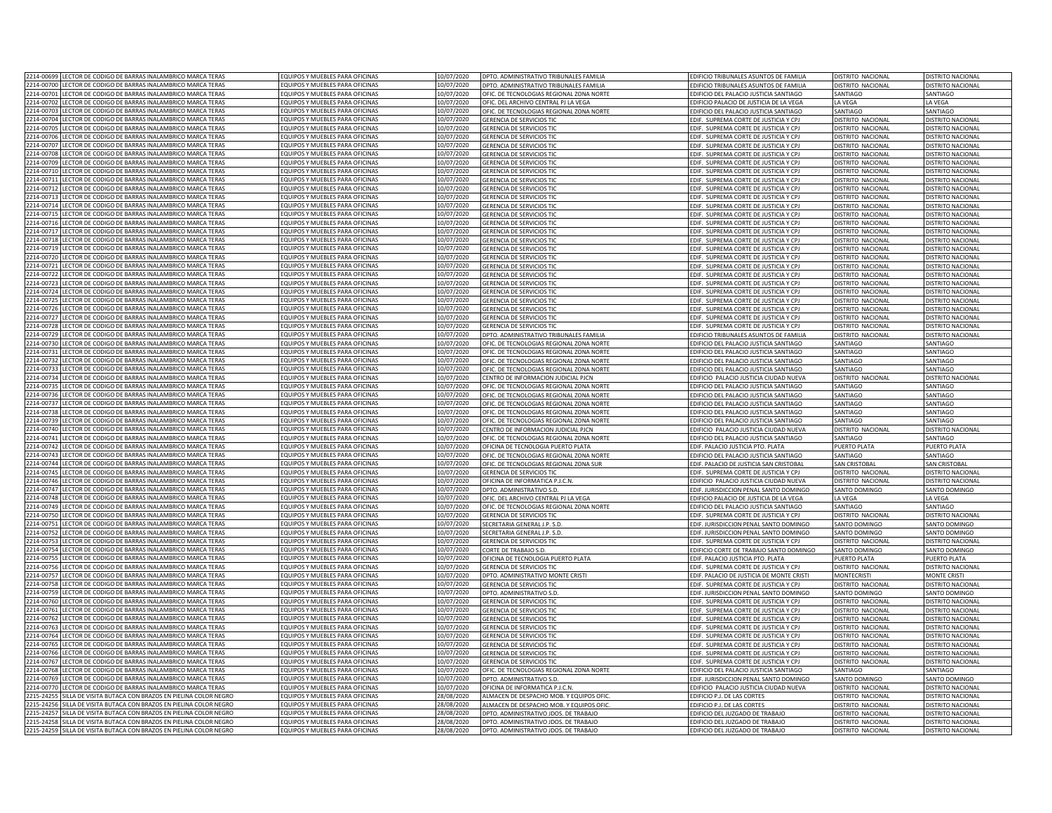| 2214-00699<br>LECTOR DE CODIGO DE BARRAS INALAMBRICO MARCA TERAS                                                                   | EQUIPOS Y MUEBLES PARA OFICINAS                                          | 10/07/2020              | DPTO. ADMINISTRATIVO TRIBUNALES FAMILIA                               | EDIFICIO TRIBUNALES ASUNTOS DE FAMILIA        | DISTRITO NACIONAL        | DISTRITO NACIONAL        |
|------------------------------------------------------------------------------------------------------------------------------------|--------------------------------------------------------------------------|-------------------------|-----------------------------------------------------------------------|-----------------------------------------------|--------------------------|--------------------------|
| 2214-00700<br>LECTOR DE CODIGO DE BARRAS INALAMBRICO MARCA TERAS                                                                   | EQUIPOS Y MUEBLES PARA OFICINAS                                          | 10/07/2020              | DPTO. ADMINISTRATIVO TRIBUNALES FAMILIA                               | EDIFICIO TRIBUNALES ASUNTOS DE FAMILIA        | DISTRITO NACIONAL        | DISTRITO NACIONAL        |
| 2214-00701<br>LECTOR DE CODIGO DE BARRAS INALAMBRICO MARCA TERAS                                                                   | EQUIPOS Y MUEBLES PARA OFICINAS                                          | 10/07/2020              | OFIC. DE TECNOLOGIAS REGIONAL ZONA NORTE                              | EDIFICIO DEL PALACIO JUSTICIA SANTIAGO        | SANTIAGO                 | SANTIAGO                 |
| ECTOR DE CODIGO DE BARRAS INALAMBRICO MARCA TERAS<br>2214-00702                                                                    | EQUIPOS Y MUEBLES PARA OFICINAS                                          | 10/07/2020              |                                                                       |                                               | LA VEGA                  | LA VEGA                  |
|                                                                                                                                    |                                                                          |                         | OFIC. DEL ARCHIVO CENTRAL PJ LA VEGA                                  | EDIFICIO PALACIO DE JUSTICIA DE LA VEGA       |                          |                          |
| 2214-00703<br>ECTOR DE CODIGO DE BARRAS INALAMBRICO MARCA TERAS                                                                    | QUIPOS Y MUEBLES PARA OFICINAS                                           | 0/07/2020               | OFIC. DE TECNOLOGIAS REGIONAL ZONA NORTE                              | EDIFICIO DEL PALACIO JUSTICIA SANTIAGO        | SANTIAGO                 | SANTIAGO                 |
| ECTOR DE CODIGO DE BARRAS INALAMBRICO MARCA TERAS<br>2214-00704                                                                    | <b>COUIPOS Y MUEBLES PARA OFICINAS</b>                                   | 0/07/2020               | SERENCIA DE SERVICIOS TIC                                             | EDIF. SUPREMA CORTE DE JUSTICIA Y CPJ         | <b>DISTRITO NACIONAL</b> | <b>DISTRITO NACIONAL</b> |
| 2214-00705<br>ECTOR DE CODIGO DE BARRAS INALAMBRICO MARCA TERAS                                                                    | <b>QUIPOS Y MUEBLES PARA OFICINAS</b>                                    | 0/07/2020               | <b>GERENCIA DE SERVICIOS TIC</b>                                      | EDIF. SUPREMA CORTE DE JUSTICIA Y CPJ         | <b>JISTRITO NACIONAL</b> | <b>ISTRITO NACIONAL</b>  |
| 2214-0070<br>ECTOR DE CODIGO DE BARRAS INALAMBRICO MARCA TERAS                                                                     | <b>COUIPOS Y MUEBLES PARA OFICINAS</b>                                   | 0/07/2020               | <b>GERENCIA DE SERVICIOS TIC</b>                                      | EDIF. SUPREMA CORTE DE JUSTICIA Y CPJ         | <b>ISTRITO NACIONAL</b>  | <b>ISTRITO NACIONAL</b>  |
| 2214-00707<br>ECTOR DE CODIGO DE BARRAS INALAMBRICO MARCA TERAS                                                                    | EQUIPOS Y MUEBLES PARA OFICINAS                                          | 0/07/2020               | <b>GERENCIA DE SERVICIOS TIO</b>                                      | EDIF. SUPREMA CORTE DE JUSTICIA Y CPJ         | <b>ISTRITO NACIONAL</b>  | <b>ISTRITO NACIONAL</b>  |
| LECTOR DE CODIGO DE BARRAS INALAMBRICO MARCA TERAS<br>2214-00708                                                                   | EQUIPOS Y MUEBLES PARA OFICINAS                                          | 10/07/2020              | GERENCIA DE SERVICIOS TIC                                             | EDIF. SUPREMA CORTE DE JUSTICIA Y CPJ         | <b>ISTRITO NACIONAL</b>  | <b>DISTRITO NACIONAL</b> |
| LECTOR DE CODIGO DE BARRAS INALAMBRICO MARCA TERAS<br>2214-00709                                                                   | EQUIPOS Y MUEBLES PARA OFICINAS                                          | 10/07/2020              | <b>GERENCIA DE SERVICIOS TIO</b>                                      | EDIF. SUPREMA CORTE DE JUSTICIA Y CPJ         | <b>ISTRITO NACIONAL</b>  | DISTRITO NACIONAL        |
| LECTOR DE CODIGO DE BARRAS INALAMBRICO MARCA TERAS<br>2214-0071                                                                    | EQUIPOS Y MUEBLES PARA OFICINAS                                          | 10/07/2020              | <b>GERENCIA DE SERVICIOS TIO</b>                                      | EDIF. SUPREMA CORTE DE JUSTICIA Y CPJ         | <b>DISTRITO NACIONAL</b> | DISTRITO NACIONA         |
| ECTOR DE CODIGO DE BARRAS INALAMBRICO MARCA TERAS<br>2214-0071                                                                     | EQUIPOS Y MUEBLES PARA OFICINAS                                          | 10/07/2020              | <b>GERENCIA DE SERVICIOS TIO</b>                                      | EDIF. SUPREMA CORTE DE JUSTICIA Y CPJ         | DISTRITO NACIONAL        | DISTRITO NACIONA         |
| 2214-0071<br>ECTOR DE CODIGO DE BARRAS INALAMBRICO MARCA TERAS                                                                     | EQUIPOS Y MUEBLES PARA OFICINAS                                          | 0/07/2020               | <b>GERENCIA DE SERVICIOS TIO</b>                                      | EDIF. SUPREMA CORTE DE JUSTICIA Y CPJ         | ISTRITO NACIONAL         | <b>DISTRITO NACIONAL</b> |
| 2214-0071<br>ECTOR DE CODIGO DE BARRAS INALAMBRICO MARCA TERAS                                                                     | <b>QUIPOS Y MUEBLES PARA OFICINAS</b>                                    | 0/07/2020               | <b>SERENCIA DE SERVICIOS TIC</b>                                      | EDIF. SUPREMA CORTE DE JUSTICIA Y CPJ         | <b>ISTRITO NACIONAL</b>  | <b>DISTRITO NACIONAL</b> |
| 2214-0071<br>ECTOR DE CODIGO DE BARRAS INALAMBRICO MARCA TERAS                                                                     | EQUIPOS Y MUEBLES PARA OFICINAS                                          | 0/07/2020               | <b>GERENCIA DE SERVICIOS TIC</b>                                      | EDIF. SUPREMA CORTE DE JUSTICIA Y CPJ         | <b>ISTRITO NACIONAL</b>  | <b>DISTRITO NACIONAL</b> |
| ECTOR DE CODIGO DE BARRAS INALAMBRICO MARCA TERAS<br>2214-00715                                                                    | EQUIPOS Y MUEBLES PARA OFICINAS                                          | 10/07/2020              | GERENCIA DE SERVICIOS TIC                                             | DIF. SUPREMA CORTE DE JUSTICIA Y CPJ          | <b>ISTRITO NACIONAL</b>  | <b>DISTRITO NACIONAL</b> |
| 2214-00716<br>LECTOR DE CODIGO DE BARRAS INALAMBRICO MARCA TERAS                                                                   | EQUIPOS Y MUEBLES PARA OFICINAS                                          | 10/07/2020              | <b>GERENCIA DE SERVICIOS TIC</b>                                      | EDIF. SUPREMA CORTE DE JUSTICIA Y CPJ         | DISTRITO NACIONAL        | DISTRITO NACIONAL        |
| ECTOR DE CODIGO DE BARRAS INALAMBRICO MARCA TERAS<br>2214-0071                                                                     | EQUIPOS Y MUEBLES PARA OFICINAS                                          | 10/07/2020              | GERENCIA DE SERVICIOS TIC                                             | EDIF. SUPREMA CORTE DE JUSTICIA Y CPJ         | DISTRITO NACIONAL        | DISTRITO NACIONAL        |
| 2214-00718<br>ECTOR DE CODIGO DE BARRAS INALAMBRICO MARCA TERAS                                                                    | EQUIPOS Y MUEBLES PARA OFICINAS                                          |                         | <b>GERENCIA DE SERVICIOS TIO</b>                                      | EDIF. SUPREMA CORTE DE JUSTICIA Y CPJ         | DISTRITO NACIONAL        | DISTRITO NACIONAL        |
| 2214-00719<br>FCTOR DE CODIGO DE BARRAS INALAMBRICO MARCA TERAS                                                                    | <b>COUIPOS Y MUEBLES PARA OFICINAS</b>                                   | 10/07/2020<br>0/07/2020 |                                                                       |                                               |                          |                          |
|                                                                                                                                    |                                                                          |                         | GERENCIA DE SERVICIOS TIC                                             | EDIF. SUPREMA CORTE DE JUSTICIA Y CPJ         | <b>ISTRITO NACIONAL</b>  | DISTRITO NACIONAL        |
| 2214-00720<br>ECTOR DE CODIGO DE BARRAS INALAMBRICO MARCA TERAS                                                                    | <b>QUIPOS Y MUEBLES PARA OFICINAS</b>                                    | 0/07/2020               | <b>GERENCIA DE SERVICIOS TIC</b>                                      | EDIF. SUPREMA CORTE DE JUSTICIA Y CPJ         | <b>JISTRITO NACIONAL</b> | <b>JISTRITO NACIONAL</b> |
| 2214-00721<br>ECTOR DE CODIGO DE BARRAS INALAMBRICO MARCA TERAS                                                                    | QUIPOS Y MUEBLES PARA OFICINAS                                           | 0/07/2020               | <b>GERENCIA DE SERVICIOS TIC</b>                                      | DIF. SUPREMA CORTE DE JUSTICIA Y CPJ          | <b>ISTRITO NACIONAL</b>  | <b>ISTRITO NACIONAL</b>  |
| 2214-00723<br><b>ECTOR DE CODIGO DE BARRAS INALAMBRICO MARCA TERAS</b>                                                             | <b>QUIPOS Y MUEBLES PARA OFICINAS</b>                                    | 0/07/2020               | <b>GERENCIA DE SERVICIOS TIC</b>                                      | DIF. SUPREMA CORTE DE JUSTICIA Y CPJ          | <b>JISTRITO NACIONAL</b> | <b>ISTRITO NACIONAL</b>  |
| ECTOR DE CODIGO DE BARRAS INALAMBRICO MARCA TERAS<br>2214-00723                                                                    | EQUIPOS Y MUEBLES PARA OFICINAS                                          | 10/07/2020              | <b>SERENCIA DE SERVICIOS TIO</b>                                      | DIF. SUPREMA CORTE DE JUSTICIA Y CPJ          | <b>ISTRITO NACIONAL</b>  | <b>ISTRITO NACIONAL</b>  |
| ECTOR DE CODIGO DE BARRAS INALAMBRICO MARCA TERAS<br>2214-00724                                                                    | EQUIPOS Y MUEBLES PARA OFICINAS                                          | 10/07/2020              | <b>GERENCIA DE SERVICIOS TIO</b>                                      | EDIF. SUPREMA CORTE DE JUSTICIA Y CPJ         | DISTRITO NACIONAL        | DISTRITO NACIONAL        |
| 2214-00725<br>LECTOR DE CODIGO DE BARRAS INALAMBRICO MARCA TERAS                                                                   | EQUIPOS Y MUEBLES PARA OFICINAS                                          | 10/07/2020              | GERENCIA DE SERVICIOS TIC                                             | EDIF. SUPREMA CORTE DE JUSTICIA Y CPJ         | <b>DISTRITO NACIONAL</b> | DISTRITO NACIONAL        |
| ECTOR DE CODIGO DE BARRAS INALAMBRICO MARCA TERAS<br>2214-00726                                                                    | EQUIPOS Y MUEBLES PARA OFICINAS                                          | 0/07/2020               | <b>GERENCIA DE SERVICIOS TI</b>                                       | EDIF. SUPREMA CORTE DE JUSTICIA Y CP.         | <b>ISTRITO NACIONA</b>   | <b>DISTRITO NACIONA</b>  |
| ECTOR DE CODIGO DE BARRAS INALAMBRICO MARCA TERAS<br>2214-00727                                                                    | EQUIPOS Y MUEBLES PARA OFICINAS                                          | 0/07/2020               | GERENCIA DE SERVICIOS TIC                                             | EDIF. SUPREMA CORTE DE JUSTICIA Y CPJ         | <b>ISTRITO NACIONAL</b>  | DISTRITO NACIONAL        |
| LECTOR DE CODIGO DE BARRAS INALAMBRICO MARCA TERAS<br>2214-00728                                                                   | FOUIPOS Y MUFBLES PARA OFICINAS                                          | 10/07/2020              | <b>GERENCIA DE SERVICIOS TIC</b>                                      | FDIE. SUPREMA CORTE DE IUSTICIA Y CPI         | DISTRITO NACIONAL        | DISTRITO NACIONA         |
| 2214-0072<br>ECTOR DE CODIGO DE BARRAS INALAMBRICO MARCA TERAS                                                                     | FOUIPOS Y MUFBLES PARA OFICINAS                                          | 10/07/2020              | DPTO. ADMINISTRATIVO TRIBUNALES FAMILIA                               | <b>EDIFICIO TRIBUNALES ASUNTOS DE FAMILIA</b> | DISTRITO NACIONAL        | DISTRITO NACIONA         |
| ECTOR DE CODIGO DE BARRAS INALAMBRICO MARCA TERAS<br>2214-0073                                                                     | EQUIPOS Y MUEBLES PARA OFICINAS                                          | 10/07/2020              | OFIC. DE TECNOLOGIAS REGIONAL ZONA NORTE                              | EDIFICIO DEL PALACIO JUSTICIA SANTIAGO        | SANTIAGO                 | SANTIAGO                 |
| 2214-00731<br>ECTOR DE CODIGO DE BARRAS INALAMBRICO MARCA TERAS                                                                    | EQUIPOS Y MUEBLES PARA OFICINAS                                          | 10/07/2020              | OFIC. DE TECNOLOGIAS REGIONAL ZONA NORTE                              | EDIFICIO DEL PALACIO JUSTICIA SANTIAGO        | SANTIAGO                 | SANTIAGO                 |
| 2214-00732<br>LECTOR DE CODIGO DE BARRAS INALAMBRICO MARCA TERAS                                                                   | EQUIPOS Y MUEBLES PARA OFICINAS                                          | 10/07/2020              | OFIC. DE TECNOLOGIAS REGIONAL ZONA NORTE                              | EDIFICIO DEL PALACIO JUSTICIA SANTIAGO        | SANTIAGO                 | SANTIAGO                 |
| 2214-00733<br>LECTOR DE CODIGO DE BARRAS INALAMBRICO MARCA TERAS                                                                   | EQUIPOS Y MUEBLES PARA OFICINAS                                          | 10/07/2020              | OFIC. DE TECNOLOGIAS REGIONAL ZONA NORTE                              | EDIFICIO DEL PALACIO JUSTICIA SANTIAGO        | SANTIAGO                 | SANTIAGO                 |
| 2214-00734<br>ECTOR DE CODIGO DE BARRAS INALAMBRICO MARCA TERAS                                                                    | EQUIPOS Y MUEBLES PARA OFICINAS                                          |                         |                                                                       |                                               |                          |                          |
|                                                                                                                                    |                                                                          | 10/07/2020              | CENTRO DE INFORMACION JUDICIAL PJCN                                   | EDIFICIO PALACIO JUSTICIA CIUDAD NUEVA        | DISTRITO NACIONAL        | DISTRITO NACIONAL        |
| 2214-00735<br>ECTOR DE CODIGO DE BARRAS INALAMBRICO MARCA TERAS                                                                    | EQUIPOS Y MUEBLES PARA OFICINAS                                          | 0/07/2020               | OFIC. DE TECNOLOGIAS REGIONAL ZONA NORTE                              | EDIFICIO DEL PALACIO JUSTICIA SANTIAGO        | SANTIAGO                 | SANTIAGO                 |
| 2214-00736<br>ECTOR DE CODIGO DE BARRAS INALAMBRICO MARCA TERAS                                                                    | <b>COUIPOS Y MUEBLES PARA OFICINAS</b>                                   | 10/07/2020              | OFIC. DE TECNOLOGIAS REGIONAL ZONA NORTE                              | DIFICIO DEL PALACIO JUSTICIA SANTIAGO         | SANTIAGO                 | SANTIAGO                 |
| 2214-0073<br>ECTOR DE CODIGO DE BARRAS INALAMBRICO MARCA TERAS                                                                     | <b>QUIPOS Y MUEBLES PARA OFICINAS</b>                                    | 0/07/2020               | OFIC. DE TECNOLOGIAS REGIONAL ZONA NORTE                              | DIFICIO DEL PALACIO JUSTICIA SANTIAGO         | SANTIAGO                 | SANTIAGO                 |
| 2214-00738<br>ECTOR DE CODIGO DE BARRAS INALAMBRICO MARCA TERAS                                                                    | EQUIPOS Y MUEBLES PARA OFICINAS                                          | 0/07/2020               | OFIC. DE TECNOLOGIAS REGIONAL ZONA NORTE                              | DIFICIO DEL PALACIO JUSTICIA SANTIAGO         | SANTIAGO                 | <b>ANTIAGO</b>           |
| 2214-00739<br>ECTOR DE CODIGO DE BARRAS INALAMBRICO MARCA TERAS                                                                    | <b>EQUIPOS Y MUEBLES PARA OFICINAS</b>                                   | 0/07/2020               | OFIC. DE TECNOLOGIAS REGIONAL ZONA NORTE                              | DIFICIO DEL PALACIO JUSTICIA SANTIAGO         | ANTIAGO                  | SANTIAGO                 |
| LECTOR DE CODIGO DE BARRAS INALAMBRICO MARCA TERAS<br>2214-00740                                                                   | EQUIPOS Y MUEBLES PARA OFICINAS                                          | 10/07/2020              | CENTRO DE INFORMACIÓN IUDICIAL PICN                                   | DIFICIO PALACIO JUSTICIA CIUDAD NUEVA         | ISTRITO NACIONAL         | <b>DISTRITO NACIONAL</b> |
| LECTOR DE CODIGO DE BARRAS INALAMBRICO MARCA TERAS<br>2214-00741                                                                   | EQUIPOS Y MUEBLES PARA OFICINAS                                          | 10/07/2020              | OFIC. DE TECNOLOGIAS REGIONAL ZONA NORTE                              | EDIFICIO DEL PALACIO JUSTICIA SANTIAGO        | SANTIAGO                 | SANTIAGO                 |
| LECTOR DE CODIGO DE BARRAS INALAMBRICO MARCA TERAS<br>2214-00742                                                                   | EQUIPOS Y MUEBLES PARA OFICINAS                                          | 10/07/2020              | OFICINA DE TECNOLOGIA PUERTO PLATA                                    | EDIF. PALACIO JUSTICIA PTO. PLATA             | PUERTO PLATA             | PUERTO PLATA             |
| ECTOR DE CODIGO DE BARRAS INALAMBRICO MARCA TERAS<br>2214-00743                                                                    | EQUIPOS Y MUEBLES PARA OFICINAS                                          | 0/07/2020               | OFIC. DE TECNOLOGIAS REGIONAL ZONA NORTE                              | EDIFICIO DEL PALACIO JUSTICIA SANTIAGO        | SANTIAGO                 | SANTIAGO                 |
| 2214-00744<br>ECTOR DE CODIGO DE BARRAS INALAMBRICO MARCA TERAS                                                                    | EQUIPOS Y MUEBLES PARA OFICINAS                                          | 0/07/2020               | OFIC. DE TECNOLOGIAS REGIONAL ZONA SUR                                | EDIF. PALACIO DE JUSTICIA SAN CRISTOBAL       | SAN CRISTOBAL            | SAN CRISTORA             |
| 2214-0074<br>ECTOR DE CODIGO DE BARRAS INALAMBRICO MARCA TERAS                                                                     | EQUIPOS Y MUEBLES PARA OFICINAS                                          | 0/07/2020               | <b>GERENCIA DE SERVICIOS TIC</b>                                      | EDIF. SUPREMA CORTE DE JUSTICIA Y CPJ         | <b>DISTRITO NACIONAL</b> | <b>DISTRITO NACIONAL</b> |
| 2214-0074<br>ECTOR DE CODIGO DE BARRAS INALAMBRICO MARCA TERAS                                                                     | EQUIPOS Y MUEBLES PARA OFICINAS                                          | 0/07/2020               | OFICINA DE INFORMATICA P.J.C.N                                        | DIFICIO PALACIO JUSTICIA CIUDAD NUEVA         | <b>ISTRITO NACIONAL</b>  | <b>DISTRITO NACIONAL</b> |
| ECTOR DE CODIGO DE BARRAS INALAMBRICO MARCA TERAS<br>2214-00747                                                                    | EQUIPOS Y MUEBLES PARA OFICINAS                                          | 10/07/2020              | DPTO. ADMINISTRATIVO S.D.                                             | DIF. JURISDICCION PENAL SANTO DOMINGO         | SANTO DOMINGO            | SANTO DOMINGO            |
| 2214-00748<br>LECTOR DE CODIGO DE BARRAS INALAMBRICO MARCA TERAS                                                                   | EQUIPOS Y MUEBLES PARA OFICINAS                                          | 10/07/2020              | OFIC. DEL ARCHIVO CENTRAL PJ LA VEGA                                  | EDIFICIO PALACIO DE JUSTICIA DE LA VEGA       | LA VEGA                  | LA VEGA                  |
| 2214-00749<br>LECTOR DE CODIGO DE BARRAS INALAMBRICO MARCA TERAS                                                                   | EQUIPOS Y MUEBLES PARA OFICINAS                                          | 10/07/2020              | OFIC. DE TECNOLOGIAS REGIONAL ZONA NORTE                              | EDIFICIO DEL PALACIO JUSTICIA SANTIAGO        | SANTIAGO                 | SANTIAGO                 |
| ECTOR DE CODIGO DE BARRAS INALAMBRICO MARCA TERAS<br>2214-00750                                                                    | EQUIPOS Y MUEBLES PARA OFICINAS                                          |                         |                                                                       |                                               |                          |                          |
| 2214-00751<br>FCTOR DE CODIGO DE BARRAS INALAMBRICO MARCA TERAS                                                                    | OUIPOS Y MUEBLES PARA OFICINAS                                           | 10/07/2020<br>0/07/2020 | GERENCIA DE SERVICIOS TIC                                             | EDIF. SUPREMA CORTE DE JUSTICIA Y CPJ         | DISTRITO NACIONAL        | DISTRITO NACIONAL        |
|                                                                                                                                    |                                                                          |                         | SECRETARIA GENERAL J.P. S.D.                                          | DIF. JURISDICCION PENAL SANTO DOMINGO         | SANTO DOMINGO            | SANTO DOMINGO            |
| 2214-00752<br>ECTOR DE CODIGO DE BARRAS INALAMBRICO MARCA TERAS<br>2214-00753<br>ECTOR DE CODIGO DE BARRAS INALAMBRICO MARCA TERAS | <b>QUIPOS Y MUEBLES PARA OFICINAS</b><br>OLIIPOS Y MUERLES PARA OFICINAS | 0/07/2020               | SECRETARIA GENERAL J.P. S.D.                                          | DIE. IURISDICCION PENAL SANTO DOMINGO         | SANTO DOMINGO            | <b>SANTO DOMINGO</b>     |
|                                                                                                                                    |                                                                          | 0/07/2020               | <b>GERENCIA DE SERVICIOS TIC</b>                                      | DIF. SUPREMA CORTE DE JUSTICIA Y CPJ          | <b>ISTRITO NACIONAL</b>  | <b>ISTRITO NACIONAL</b>  |
| 2214-00754<br>CTOR DE CODIGO DE BARRAS INALAMBRICO MARCA TERAS                                                                     | OUIPOS Y MUEBLES PARA OFICINAS                                           | 0/07/2020               | CORTE DE TRABAJO S.D.                                                 | DIFICIO CORTE DE TRABAJO SANTO DOMINGO        | <b>SANTO DOMINGO</b>     | ANTO DOMINGO             |
| ECTOR DE CODIGO DE BARRAS INALAMBRICO MARCA TERAS<br>2214-0075                                                                     | EQUIPOS Y MUEBLES PARA OFICINAS                                          | 10/07/2020              | OFICINA DE TECNOLOGIA PUERTO PLATA                                    | DIF. PALACIO JUSTICIA PTO. PLATA              | UERTO PLATA              | <b>UFRTO PLATA</b>       |
| 2214-0075<br>ECTOR DE CODIGO DE BARRAS INALAMBRICO MARCA TERAS                                                                     | EQUIPOS Y MUEBLES PARA OFICINAS                                          | 10/07/2020              | <b>GERENCIA DE SERVICIOS TIO</b>                                      | EDIF. SUPREMA CORTE DE JUSTICIA Y CP.         | DISTRITO NACIONAL        | DISTRITO NACIONAL        |
| 2214-0075<br>ECTOR DE CODIGO DE BARRAS INALAMBRICO MARCA TERAS                                                                     | EQUIPOS Y MUEBLES PARA OFICINAS                                          | 10/07/2020              | DPTO, ADMINISTRATIVO MONTE CRISTI                                     | EDIF. PALACIO DE JUSTICIA DE MONTE CRIST      | <b>MONTECRIST</b>        | <b>MONTE CRISTI</b>      |
| 2214-00758<br><b>FCTOR DE CODIGO DE BARRAS INALAMBRICO MARCA TERAS</b>                                                             | FOUIPOS Y MUFBLES PARA OFICINAS                                          | 10/07/2020              | <b>GERENCIA DE SERVICIOS TIO</b>                                      | EDIF. SUPREMA CORTE DE JUSTICIA Y CP.         | <b>ISTRITO NACIONAL</b>  | <b>DISTRITO NACIONA</b>  |
| LECTOR DE CODIGO DE BARRAS INALAMBRICO MARCA TERAS<br>2214-00759                                                                   | EQUIPOS Y MUEBLES PARA OFICINAS                                          | 0/07/2020               | DPTO. ADMINISTRATIVO S.D.                                             | EDIF. JURISDICCION PENAL SANTO DOMINGO        | <b>SANTO DOMINGO</b>     | SANTO DOMINGO            |
| 2214-00760<br>LECTOR DE CODIGO DE BARRAS INALAMBRICO MARCA TERAS                                                                   | EQUIPOS Y MUEBLES PARA OFICINAS                                          | 10/07/2020              | <b>GERENCIA DE SERVICIOS TIC</b>                                      | EDIF. SUPREMA CORTE DE JUSTICIA Y CP.         | <b>DISTRITO NACIONAL</b> | <b>DISTRITO NACIONA</b>  |
| 2214-0076<br>ECTOR DE CODIGO DE BARRAS INALAMBRICO MARCA TERAS                                                                     | EQUIPOS Y MUEBLES PARA OFICINAS                                          | 10/07/2020              | <b>SERENCIA DE SERVICIOS TIO</b>                                      | EDIF. SUPREMA CORTE DE JUSTICIA Y CP.         | <b>JISTRITO NACIONA</b>  | <b>DISTRITO NACIONA</b>  |
| ECTOR DE CODIGO DE BARRAS INALAMBRICO MARCA TERAS<br>2214-0076                                                                     | EQUIPOS Y MUEBLES PARA OFICINAS                                          | 10/07/2020              | <b>GERENCIA DE SERVICIOS TIO</b>                                      | EDIF. SUPREMA CORTE DE JUSTICIA Y CP.         | DISTRITO NACIONAL        | DISTRITO NACIONAL        |
| ECTOR DE CODIGO DE BARRAS INALAMBRICO MARCA TERAS<br>2214-00763                                                                    | FOUIPOS Y MUFBLES PARA OFICINAS                                          | 10/07/2020              | <b>GERENCIA DE SERVICIOS TIC</b>                                      | EDIF. SUPREMA CORTE DE JUSTICIA Y CPJ         | DISTRITO NACIONAL        | DISTRITO NACIONAL        |
| 2214-00764<br>LECTOR DE CODIGO DE BARRAS INALAMBRICO MARCA TERAS                                                                   | EQUIPOS Y MUEBLES PARA OFICINAS                                          | 10/07/2020              | <b>GERENCIA DE SERVICIOS TIO</b>                                      | EDIF. SUPREMA CORTE DE JUSTICIA Y CPJ         | <b>JISTRITO NACIONAL</b> | DISTRITO NACIONA         |
| 2214-00765<br>LECTOR DE CODIGO DE BARRAS INALAMBRICO MARCA TERAS                                                                   | EQUIPOS Y MUEBLES PARA OFICINAS                                          | 10/07/2020              | GERENCIA DE SERVICIOS TIC                                             | EDIF. SUPREMA CORTE DE JUSTICIA Y CPJ         | DISTRITO NACIONAL        | DISTRITO NACIONAL        |
| ECTOR DE CODIGO DE BARRAS INALAMBRICO MARCA TERAS<br>2214-00766                                                                    | EQUIPOS Y MUEBLES PARA OFICINAS                                          | 10/07/2020              | <b>GERENCIA DE SERVICIOS TIO</b>                                      | EDIF. SUPREMA CORTE DE JUSTICIA Y CPJ         | DISTRITO NACIONAL        | DISTRITO NACIONAL        |
| 2214-00767<br>ECTOR DE CODIGO DE BARRAS INALAMBRICO MARCA TERAS                                                                    | EQUIPOS Y MUEBLES PARA OFICINAS                                          | 10/07/2020              | <b>GERENCIA DE SERVICIOS TIC</b>                                      | EDIF. SUPREMA CORTE DE JUSTICIA Y CPJ         | <b>DISTRITO NACIONAL</b> | DISTRITO NACIONAL        |
| ECTOR DE CODIGO DE BARRAS INALAMBRICO MARCA TERAS<br>2214-00768                                                                    | OUIPOS Y MUEBLES PARA OFICINAS                                           | 0/07/2020               |                                                                       |                                               | SANTIAGO                 | <b>SANTIAGO</b>          |
| 2214-00769<br>ECTOR DE CODIGO DE BARRAS INALAMBRICO MARCA TERAS                                                                    | <b>QUIPOS Y MUEBLES PARA OFICINAS</b>                                    | 0/07/2020               | OFIC. DE TECNOLOGIAS REGIONAL ZONA NORTE<br>DPTO. ADMINISTRATIVO S.D. | <b>EDIFICIO DEL PALACIO JUSTICIA SANTIAGO</b> | SANTO DOMINGO            | SANTO DOMINGO            |
|                                                                                                                                    |                                                                          |                         |                                                                       | DIF. JURISDICCION PENAL SANTO DOMINGO         |                          |                          |
| 2214-00770<br>ECTOR DE CODIGO DE BARRAS INALAMBRICO MARCA TERAS                                                                    | <b>QUIPOS Y MUEBLES PARA OFICINAS</b>                                    | 0/07/2020               | OFICINA DE INFORMATICA P.J.C.N                                        | DIFICIO PALACIO JUSTICIA CIUDAD NUEVA         | <b>ISTRITO NACIONAL</b>  | <b>ISTRITO NACIONAL</b>  |
| 2215-2425<br>ILLA DE VISITA BUTACA CON BRAZOS EN PIELINA COLOR NEGRO                                                               | EQUIPOS Y MUEBLES PARA OFICINAS                                          | 18/08/2020              | ALMACEN DE DESPACHO MOB. Y EQUIPOS OFIC                               | DIFICIO P.J. DE LAS CORTES                    | <b>ISTRITO NACIONAL</b>  | <b>ISTRITO NACIONA</b>   |
| SILLA DE VISITA BUTACA CON BRAZOS EN PIELINA COLOR NEGRO<br>2215-24256                                                             | EQUIPOS Y MUEBLES PARA OFICINAS                                          | 28/08/2020              | ALMACEN DE DESPACHO MOB. Y EQUIPOS OFIC                               | EDIFICIO P.J. DE LAS CORTES                   | <b>ISTRITO NACIONAL</b>  | DISTRITO NACIONAL        |
| SILLA DE VISITA BUTACA CON BRAZOS EN PIELINA COLOR NEGRO<br>2215-24257                                                             | EQUIPOS Y MUEBLES PARA OFICINAS                                          | 28/08/2020              | DPTO. ADMINISTRATIVO JDOS. DE TRABAJO                                 | EDIFICIO DEL JUZGADO DE TRABAJO               | DISTRITO NACIONAL        | <b>DISTRITO NACIONAL</b> |
| SILLA DE VISITA BUTACA CON BRAZOS EN PIELINA COLOR NEGRO<br>2215-24258                                                             | EQUIPOS Y MUEBLES PARA OFICINAS                                          | 28/08/2020              | DPTO. ADMINISTRATIVO JDOS. DE TRABAJO                                 | EDIFICIO DEL JUZGADO DE TRABAJO               | DISTRITO NACIONAL        | DISTRITO NACIONA         |
| 2215-24259 SILLA DE VISITA BUTACA CON BRAZOS EN PIELINA COLOR NEGRO                                                                | EQUIPOS Y MUEBLES PARA OFICINAS                                          | 28/08/2020              | DPTO. ADMINISTRATIVO JDOS. DE TRABAJO                                 | EDIFICIO DEL JUZGADO DE TRABAJO               | DISTRITO NACIONAL        | <b>DISTRITO NACIONAL</b> |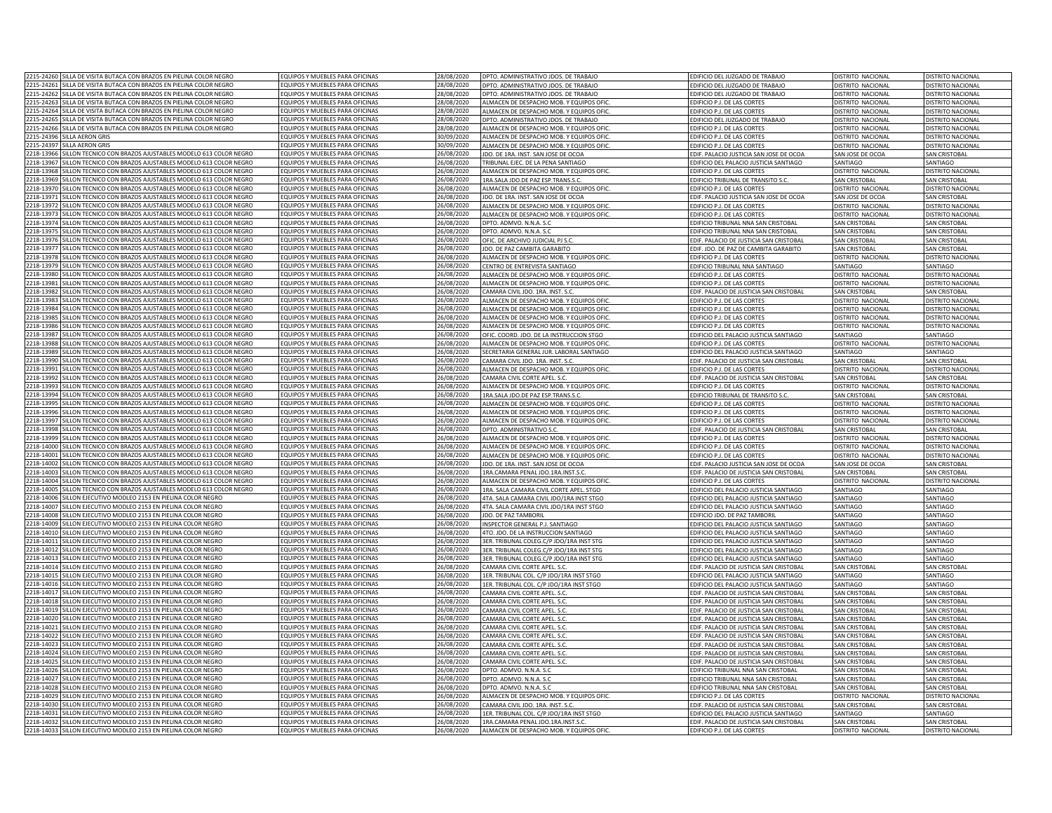| SILLA DE VISITA BUTACA CON BRAZOS EN PIELINA COLOR NEGRO<br>2215-24260                                                           | QUIPOS Y MUEBLES PARA OFICINAS                                          | 28/08/2020               | DPTO. ADMINISTRATIVO JDOS. DE TRABAJO    | EDIFICIO DEL JUZGADO DE TRABAJO         | DISTRITO NACIONAL        | DISTRITO NACIONAL        |
|----------------------------------------------------------------------------------------------------------------------------------|-------------------------------------------------------------------------|--------------------------|------------------------------------------|-----------------------------------------|--------------------------|--------------------------|
| 2215-24261<br>SILLA DE VISITA BUTACA CON BRAZOS EN PIELINA COLOR NEGRO                                                           | QUIPOS Y MUEBLES PARA OFICINAS                                          | 28/08/2020               | DPTO. ADMINISTRATIVO JDOS. DE TRABAJO    | EDIFICIO DEL JUZGADO DE TRABAJO         | DISTRITO NACIONAL        | DISTRITO NACIONAL        |
| 2215-24262 SILLA DE VISITA BUTACA CON BRAZOS EN PIELINA COLOR NEGRO                                                              | EQUIPOS Y MUEBLES PARA OFICINAS                                         | 28/08/2020               | DPTO. ADMINISTRATIVO JDOS. DE TRABAJO    | EDIFICIO DEL JUZGADO DE TRABAJO         | DISTRITO NACIONAL        | DISTRITO NACIONAL        |
| 2215-24263<br>SILLA DE VISITA BUTACA CON BRAZOS EN PIELINA COLOR NEGRO                                                           | QUIPOS Y MUEBLES PARA OFICINAS                                          | 28/08/2020               |                                          |                                         |                          |                          |
| 2215-24264                                                                                                                       |                                                                         |                          | ALMACEN DE DESPACHO MOB. Y EQUIPOS OFI   | EDIFICIO P.J. DE LAS CORTES             | DISTRITO NACIONAL        | <b>DISTRITO NACIONAL</b> |
| ILLA DE VISITA BUTACA CON BRAZOS EN PIELINA COLOR NEGRO                                                                          | QUIPOS Y MUEBLES PARA OFICINAS                                          | 28/08/2020               | ALMACEN DE DESPACHO MOB. Y EQUIPOS OFIC  | EDIFICIO P.J. DE LAS CORTES             | DISTRITO NACIONAL        | <b>ISTRITO NACIONAL</b>  |
| 2215-24265<br><b>ILLA DE VISITA BUTACA CON BRAZOS EN PIELINA COLOR NEGRO</b>                                                     | QUIPOS Y MUEBLES PARA OFICINAS                                          | 28/08/2020               | DPTO, ADMINISTRATIVO JDOS, DE TRABAJO    | EDIFICIO DEL JUZGADO DE TRABAJO         | DISTRITO NACIONAL        | <b>ISTRITO NACIONAL</b>  |
| 2215-24266<br>ILLA DE VISITA BUTACA CON BRAZOS EN PIELINA COLOR NEGRO                                                            | QUIPOS Y MUEBLES PARA OFICINAS                                          | 28/08/2020               | ALMACEN DE DESPACHO MOB. Y FOUIPOS OFIC  | EDIFICIO P.J. DE LAS CORTES             | DISTRITO NACIONAL        | <b>JISTRITO NACIONAL</b> |
| 2215-2439<br><b>ILLA AERON GRIS</b>                                                                                              | QUIPOS Y MUEBLES PARA OFICINAS                                          | 30/09/2020               | ALMACEN DE DESPACHO MOB. Y EQUIPOS OFIC  | EDIFICIO P.J. DE LAS CORTES             | DISTRITO NACIONAL        | <b>ISTRITO NACIONAL</b>  |
| 2215-24397<br><b>ILLA AERON GRIS</b>                                                                                             | QUIPOS Y MUEBLES PARA OFICINAS                                          | 0/09/2020                | ALMACEN DE DESPACHO MOB. Y EQUIPOS OFIC  | EDIFICIO P.J. DE LAS CORTES             | <b>DISTRITO NACIONAL</b> | <b>ISTRITO NACIONAL</b>  |
| SILLON TECNICO CON BRAZOS AJUSTABLES MODELO 613 COLOR NEGRO<br>2218-13966                                                        | EQUIPOS Y MUEBLES PARA OFICINAS                                         | 26/08/2020               | JDO. DE 1RA. INST. SAN JOSE DE OCOA      | EDIF. PALACIO JUSTICIA SAN JOSE DE OCOA | SAN JOSE DE OCOA         | <b>SAN CRISTOBAL</b>     |
| 2218-13967<br>SILLON TECNICO CON BRAZOS AJUSTABLES MODELO 613 COLOR NEGRO                                                        | EQUIPOS Y MUEBLES PARA OFICINAS                                         | 26/08/2020               | TRIBUNAL EJEC. DE LA PENA SANTIAGO       | EDIFICIO DEL PALACIO JUSTICIA SANTIAGO  | SANTIAGO                 | SANTIAGO                 |
| SILLON TECNICO CON BRAZOS AJUSTABLES MODELO 613 COLOR NEGRO<br>2218-13968                                                        | EQUIPOS Y MUEBLES PARA OFICINAS                                         | 26/08/2020               | ALMACEN DE DESPACHO MOB. Y EQUIPOS OFIC. | EDIFICIO P.J. DE LAS CORTES             | DISTRITO NACIONAL        | DISTRITO NACIONAL        |
|                                                                                                                                  |                                                                         |                          |                                          |                                         |                          |                          |
| SILLON TECNICO CON BRAZOS AJUSTABLES MODELO 613 COLOR NEGRO<br>2218-13969                                                        | QUIPOS Y MUEBLES PARA OFICINAS                                          | 26/08/2020               | 1RA.SALA JDO.DE PAZ ESP.TRANS.S.C        | EDIFICIO TRIBUNAL DE TRANSITO S.C       | <b>SAN CRISTOBAL</b>     | <b>SAN CRISTOBA</b>      |
| ILLON TECNICO CON BRAZOS AJUSTABLES MODELO 613 COLOR NEGRO<br>2218-1397                                                          | QUIPOS Y MUEBLES PARA OFICINAS                                          | 26/08/2020               | ALMACEN DE DESPACHO MOB. Y EQUIPOS OFIC  | EDIFICIO P.J. DE LAS CORTES             | DISTRITO NACIONA         | <b>ISTRITO NACIONA</b>   |
| 2218-1397<br>ILLON TECNICO CON BRAZOS AJUSTABLES MODELO 613 COLOR NEGRO                                                          | QUIPOS Y MUEBLES PARA OFICINAS                                          | 26/08/2020               | JDO, DE 1RA, INST, SAN JOSE DE OCOA      | EDIF, PALACIO JUSTICIA SAN JOSE DE OCOA | SAN JOSE DE OCOA         | <b>SAN CRISTOBAL</b>     |
| 2218-1397<br>ILLON TECNICO CON BRAZOS AJUSTABLES MODELO 613 COLOR NEGRO                                                          | OUIPOS Y MUEBLES PARA OFICINAS                                          | 26/08/2020               | ALMACEN DE DESPACHO MOB. Y EQUIPOS OFIC  | EDIFICIO P.J. DE LAS CORTES             | DISTRITO NACIONAL        | <b>DISTRITO NACIONAL</b> |
| ILLON TECNICO CON BRAZOS AJUSTABLES MODELO 613 COLOR NEGRO<br>2218-1397                                                          | QUIPOS Y MUEBLES PARA OFICINAS                                          | 26/08/2020               | ALMACEN DE DESPACHO MOB. Y EQUIPOS OFIC  | EDIFICIO P.J. DE LAS CORTES             | DISTRITO NACIONAL        | <b>DISTRITO NACIONAL</b> |
| 2218-13974<br>SILLON TECNICO CON BRAZOS AJUSTABLES MODELO 613 COLOR NEGRO                                                        | QUIPOS Y MUEBLES PARA OFICINAS                                          | 26/08/2020               | DPTO. ADMVO. N.N.A. S.C                  | EDIFICIO TRIBUNAL NNA SAN CRISTOBAL     | SAN CRISTOBAL            | <b>SAN CRISTOBAL</b>     |
| 2218-13975<br>SILLON TECNICO CON BRAZOS AJUSTABLES MODELO 613 COLOR NEGRO                                                        | EQUIPOS Y MUEBLES PARA OFICINAS                                         | 26/08/2020               | DPTO. ADMVO. N.N.A. S.C                  | EDIFICIO TRIBUNAL NNA SAN CRISTOBAL     | <b>SAN CRISTOBAL</b>     | <b>SAN CRISTOBAL</b>     |
| 2218-13976                                                                                                                       | <b>QUIPOS Y MUEBLES PARA OFICINAS</b>                                   |                          |                                          |                                         |                          |                          |
| SILLON TECNICO CON BRAZOS AJUSTABLES MODELO 613 COLOR NEGRO<br><b>ILLON TECNICO CON BRAZOS AIUSTABLES MODELO 613 COLOR NEGRO</b> | OUIPOS Y MUEBLES PARA OFICINAS                                          | 26/08/2020               | OFIC. DE ARCHIVO JUDICIAL PJ S.C         | EDIF. PALACIO DE JUSTICIA SAN CRISTOBAL | <b>SAN CRISTOBAL</b>     | <b>SAN CRISTOBAL</b>     |
| 2218-13977                                                                                                                       |                                                                         | 26/08/2020               | JDO. DE PAZ CAMBITA GARABITO             | EDIF. JDO. DE PAZ DE CAMBITA GARABITO   | SAN CRISTOBAL            | SAN CRISTOBAL            |
| 2218-13978<br>ILLON TECNICO CON BRAZOS AJUSTABLES MODELO 613 COLOR NEGRO                                                         | QUIPOS Y MUEBLES PARA OFICINAS                                          | 26/08/2020               | ALMACEN DE DESPACHO MOB. Y EQUIPOS OFIC. | EDIFICIO P.J. DE LAS CORTES             | DISTRITO NACIONAL        | <b>DISTRITO NACIONAL</b> |
| 2218-13979<br>ILLON TECNICO CON BRAZOS AJUSTABLES MODELO 613 COLOR NEGRO                                                         | QUIPOS Y MUEBLES PARA OFICINAS                                          | 26/08/2020               | CENTRO DE ENTREVISTA SANTIAGO            | EDIFICIO TRIBUNAL NNA SANTIAGO          | SANTIAGO                 | SANTIAGO                 |
| 2218-1398<br>ILLON TECNICO CON BRAZOS ALUSTABLES MODELO 613 COLOR NEGRO                                                          | <b>OUIPOS Y MUEBLES PARA OFICINAS</b>                                   | 26/08/2020               | ALMACEN DE DESPACHO MOB. Y EQUIPOS OFIC  | EDIFICIO P.J. DE LAS CORTES             | DISTRITO NACIONAL        | <b>ISTRITO NACIONAL</b>  |
| ILLON TECNICO CON BRAZOS AJUSTABLES MODELO 613 COLOR NEGRO<br>2218-13981                                                         | QUIPOS Y MUEBLES PARA OFICINAS                                          | 26/08/2020               | ALMACEN DE DESPACHO MOB. Y EQUIPOS OFIC  | EDIFICIO P.J. DE LAS CORTES             | DISTRITO NACIONAL        | <b>ISTRITO NACIONAL</b>  |
| ILLON TECNICO CON BRAZOS AJUSTABLES MODELO 613 COLOR NEGRO<br>2218-13982                                                         | QUIPOS Y MUEBLES PARA OFICINAS                                          | 26/08/2020               | CAMARA CIVIL JDO, 1RA, INST, S.C         | EDIF. PALACIO DE JUSTICIA SAN CRISTOBAL | <b>SAN CRISTOBAL</b>     | <b>SAN CRISTOBA</b>      |
| 2218-13983<br>ILLON TECNICO CON BRAZOS AJUSTABLES MODELO 613 COLOR NEGRO                                                         | QUIPOS Y MUEBLES PARA OFICINAS                                          | 26/08/2020               | ALMACEN DE DESPACHO MOB. Y EQUIPOS OFIC  | EDIFICIO P.J. DE LAS CORTES             | DISTRITO NACIONAL        | DISTRITO NACIONAL        |
| 2218-13984<br><b>ILLON TECNICO CON BRAZOS AIUSTABLES MODELO 613 COLOR NEGRO</b>                                                  | OUIPOS Y MUEBLES PARA OFICINAS                                          | 26/08/2020               |                                          |                                         |                          |                          |
| ILLON TECNICO CON BRAZOS AJUSTABLES MODELO 613 COLOR NEGRO<br>2218-1398                                                          |                                                                         |                          | ALMACEN DE DESPACHO MOB. Y EQUIPOS OFI   | EDIFICIO P.J. DE LAS CORTES             | DISTRITO NACIONAL        | <b>DISTRITO NACIONAL</b> |
|                                                                                                                                  | QUIPOS Y MUEBLES PARA OFICINAS                                          | 26/08/2020               | ALMACEN DE DESPACHO MOB. Y EQUIPOS OFIC  | EDIFICIO P.J. DE LAS CORTES             | DISTRITO NACIONAL        | <b>ISTRITO NACIONAL</b>  |
| ILLON TECNICO CON BRAZOS AJUSTABLES MODELO 613 COLOR NEGRO<br>2218-13986                                                         | QUIPOS Y MUEBLES PARA OFICINAS                                          | 26/08/2020               | ALMACEN DE DESPACHO MOB. Y EQUIPOS OFIC  | <b>EDIFICIO P.I. DE LAS CORTES</b>      | DISTRITO NACIONAL        | <b>JISTRITO NACIONAL</b> |
| 2218-1398<br>ILLON TECNICO CON BRAZOS AJUSTABLES MODELO 613 COLOR NEGRO                                                          | QUIPOS Y MUEBLES PARA OFICINAS                                          | 26/08/2020               | OFIC, COORD, JDO, DE LA INSTRUCCION STGO | EDIFICIO DEL PALACIO ILISTICIA SANTIAGO | SANTIAGO                 | SANTIAGO                 |
| 2218-13988<br>ILLON TECNICO CON BRAZOS AJUSTABLES MODELO 613 COLOR NEGRO                                                         | QUIPOS Y MUEBLES PARA OFICINAS                                          | 26/08/2020               | ALMACEN DE DESPACHO MOB. Y EQUIPOS OFI   | EDIFICIO P.J. DE LAS CORTES             | DISTRITO NACIONAL        | <b>DISTRITO NACIONAL</b> |
| 2218-13989<br>SILLON TECNICO CON BRAZOS AJUSTABLES MODELO 613 COLOR NEGRO                                                        | QUIPOS Y MUEBLES PARA OFICINAS                                          | 26/08/2020               | SECRETARIA GENERAL JUR. LABORAL SANTIAGO | EDIFICIO DEL PALACIO JUSTICIA SANTIAGO  | SANTIAGO                 | SANTIAGO                 |
| 2218-13990<br>SILLON TECNICO CON BRAZOS AJUSTABLES MODELO 613 COLOR NEGRO                                                        | QUIPOS Y MUEBLES PARA OFICINAS                                          | 26/08/2020               | CAMARA CIVIL JDO. 1RA. INST. S.C.        | EDIF. PALACIO DE JUSTICIA SAN CRISTOBAL | <b>SAN CRISTOBAL</b>     | <b>SAN CRISTOBAL</b>     |
| 2218-13991<br>SILLON TECNICO CON BRAZOS AJUSTABLES MODELO 613 COLOR NEGRO                                                        | EQUIPOS Y MUEBLES PARA OFICINAS                                         | 26/08/2020               | ALMACEN DE DESPACHO MOB. Y EQUIPOS OFIC. | EDIFICIO P.J. DE LAS CORTES             | DISTRITO NACIONAL        | DISTRITO NACIONAL        |
| 2218-13992<br>ILLON TECNICO CON BRAZOS AJUSTABLES MODELO 613 COLOR NEGRO                                                         | QUIPOS Y MUEBLES PARA OFICINAS                                          | 26/08/2020               |                                          |                                         |                          |                          |
|                                                                                                                                  |                                                                         |                          | CAMARA CIVIL CORTE APEL. S.C.            | EDIF. PALACIO DE JUSTICIA SAN CRISTOBAL | <b>SAN CRISTOBAL</b>     | <b>SAN CRISTOBAL</b>     |
| 2218-13993<br>ILLON TECNICO CON BRAZOS AJUSTABLES MODELO 613 COLOR NEGRO                                                         | QUIPOS Y MUEBLES PARA OFICINAS                                          | 26/08/2020               | ALMACEN DE DESPACHO MOB. Y EQUIPOS OFIC. | EDIFICIO P.J. DE LAS CORTES             | DISTRITO NACIONAL        | <b>DISTRITO NACIONAL</b> |
| ILLON TECNICO CON BRAZOS AJUSTABLES MODELO 613 COLOR NEGRO<br>2218-13994                                                         | QUIPOS Y MUEBLES PARA OFICINAS                                          | 26/08/2020               | RA.SALA JDO.DE PAZ ESP.TRANS.S.C         | EDIFICIO TRIBUNAL DE TRANSITO S.C       | SAN CRISTOBAL            | <b>SAN CRISTOBAL</b>     |
| 2218-1399<br>ILLON TECNICO CON BRAZOS AJUSTABLES MODELO 613 COLOR NEGRO                                                          | QUIPOS Y MUEBLES PARA OFICINAS                                          | 26/08/2020               | ALMACEN DE DESPACHO MOB. Y FOUIPOS OFIC  | EDIFICIO P.J. DE LAS CORTES             | DISTRITO NACIONAL        | <b>JISTRITO NACIONAL</b> |
| 2218-1399<br>ILLON TECNICO CON BRAZOS AJUSTABLES MODELO 613 COLOR NEGRO                                                          | QUIPOS Y MUEBLES PARA OFICINAS                                          | 26/08/2020               | ALMACEN DE DESPACHO MOB. Y EQUIPOS OFIC  | EDIFICIO P.J. DE LAS CORTES             | DISTRITO NACIONAL        | <b>ISTRITO NACIONAL</b>  |
| 2218-1399<br>ILLON TECNICO CON BRAZOS AJUSTABLES MODELO 613 COLOR NEGRO                                                          | QUIPOS Y MUEBLES PARA OFICINAS                                          | 26/08/2020               | ALMACEN DE DESPACHO MOB. Y EQUIPOS OFIC  | EDIFICIO P.J. DE LAS CORTES             | DISTRITO NACIONAL        | <b>ISTRITO NACIONAL</b>  |
| SILLON TECNICO CON BRAZOS AJUSTABLES MODELO 613 COLOR NEGRO<br>2218-13998                                                        | EQUIPOS Y MUEBLES PARA OFICINAS                                         | 26/08/2020               | DPTO. ADMINISTRATIVO S.C                 | EDIF. PALACIO DE JUSTICIA SAN CRISTOBAL | SAN CRISTOBAL            | <b>SAN CRISTOBAL</b>     |
| 2218-13999<br>SILLON TECNICO CON BRAZOS AJUSTABLES MODELO 613 COLOR NEGRO                                                        | EQUIPOS Y MUEBLES PARA OFICINAS                                         | 26/08/2020               | ALMACEN DE DESPACHO MOB. Y EQUIPOS OFIC  | EDIFICIO P.J. DE LAS CORTES             | DISTRITO NACIONAL        | DISTRITO NACIONAL        |
|                                                                                                                                  |                                                                         |                          |                                          |                                         |                          |                          |
| SILLON TECNICO CON BRAZOS AJUSTABLES MODELO 613 COLOR NEGRO<br>2218-14000                                                        | EQUIPOS Y MUEBLES PARA OFICINAS                                         | 26/08/2020               | ALMACEN DE DESPACHO MOB. Y EQUIPOS OFIC  | EDIFICIO P.J. DE LAS CORTES             | DISTRITO NACIONAL        | DISTRITO NACIONAL        |
| SILLON TECNICO CON BRAZOS AJUSTABLES MODELO 613 COLOR NEGRO<br>2218-14001                                                        | QUIPOS Y MUEBLES PARA OFICINAS                                          | 26/08/2020               | ALMACEN DE DESPACHO MOB. Y EQUIPOS OFIC  | EDIFICIO P.J. DE LAS CORTES             | DISTRITO NACIONAL        | <b>ISTRITO NACIONA</b>   |
| SILLON TECNICO CON BRAZOS AJUSTABLES MODELO 613 COLOR NEGRO<br>2218-14002                                                        | QUIPOS Y MUEBLES PARA OFICINAS                                          | 26/08/2020               | IDO. DE 1RA. INST. SAN JOSE DE OCOA      | EDIF. PALACIO JUSTICIA SAN JOSE DE OCOA | SAN JOSE DE OCOA         | SAN CRISTOBA             |
| 2218-1400<br>ILLON TECNICO CON BRAZOS AJUSTABLES MODELO 613 COLOR NEGRO                                                          | QUIPOS Y MUEBLES PARA OFICINAS                                          | 26/08/2020               | 1RA.CAMARA PENAL JDO.1RA.INST.S.C        | EDIF, PALACIO DE JUSTICIA SAN CRISTOBAL | SAN CRISTOBAL            | <b>SAN CRISTOBAL</b>     |
| 2218-14004<br>ILLON TECNICO CON BRAZOS AJUSTABLES MODELO 613 COLOR NEGRO                                                         | OUIPOS Y MUEBLES PARA OFICINAS                                          | 26/08/2020               | ALMACEN DE DESPACHO MOB. Y EQUIPOS OFIC  | EDIFICIO P.J. DE LAS CORTES             | DISTRITO NACIONAL        | DISTRITO NACIONAL        |
| ILLON TECNICO CON BRAZOS AJUSTABLES MODELO 613 COLOR NEGRO<br>2218-14005                                                         | QUIPOS Y MUEBLES PARA OFICINAS                                          | 26/08/2020               | 1RA. SALA CAMARA CIVIL CORTE APEL. STGO  | EDIFICIO DEL PALACIO JUSTICIA SANTIAGO  | SANTIAGO                 | SANTIAGO                 |
| 2218-14006<br>SILLON EJECUTIVO MODLEO 2153 EN PIELINA COLOR NEGRO                                                                | QUIPOS Y MUEBLES PARA OFICINAS                                          | 26/08/2020               | 4TA. SALA CAMARA CIVIL JDO/1RA INST STGO | EDIFICIO DEL PALACIO JUSTICIA SANTIAGO  | SANTIAGO                 | SANTIAGO                 |
| 2218-14007<br>SILLON EJECUTIVO MODLEO 2153 EN PIELINA COLOR NEGRO                                                                | QUIPOS Y MUEBLES PARA OFICINAS                                          | 26/08/2020               | 4TA. SALA CAMARA CIVIL JDO/1RA INST STGO | EDIFICIO DEL PALACIO JUSTICIA SANTIAGO  | SANTIAGO                 | SANTIAGO                 |
| 2218-14008<br>ILLON EJECUTIVO MODLEO 2153 EN PIELINA COLOR NEGRO                                                                 | QUIPOS Y MUEBLES PARA OFICINAS                                          | 26/08/2020               | JDO. DE PAZ TAMBORIL                     | EDIFICIO JDO. DE PAZ TAMBORIL           | SANTIAGO                 | SANTIAGO                 |
|                                                                                                                                  |                                                                         |                          |                                          |                                         |                          |                          |
| 2218-14009<br>JI LON EJECUTIVO MODLEO 2153 EN PIELINA COLOR NEGRO                                                                | <b>OUIPOS Y MUEBLES PARA OFICINAS</b>                                   | 26/08/2020               | INSPECTOR GENERAL P.J. SANTIAGO          | EDIFICIO DEL PALACIO JUSTICIA SANTIAGO  | SANTIAGO                 | SANTIAGO                 |
| 2218-14010<br>ILLON EJECUTIVO MODLEO 2153 EN PIELINA COLOR NEGRO                                                                 | QUIPOS Y MUEBLES PARA OFICINAS                                          | 26/08/2020               | 4TO. JDO. DE LA INSTRUCCION SANTIAGO     | EDIFICIO DEL PALACIO JUSTICIA SANTIAGO  | SANTIAGO                 | SANTIAGO                 |
| 2218-14011<br>ILLON EJECUTIVO MODLEO 2153 EN PIELINA COLOR NEGRO                                                                 | QUIPOS Y MUEBLES PARA OFICINAS                                          | 26/08/2020               | BER. TRIBUNAL COLEG.C/P JDO/1RA INST STG | EDIFICIO DEL PALACIO JUSTICIA SANTIAGO  | SANTIAGO                 | ANTIAGO                  |
| 2218-14012<br>JI LON EJECUTIVO MODLEO 2153 EN PIELINA COLOR NEGRO                                                                | QUIPOS Y MUEBLES PARA OFICINAS                                          | 26/08/2020               | BER. TRIBUNAL COLEG.C/P JDO/1RA INST STG | EDIFICIO DEL PALACIO ILISTICIA SANTIAGO | SANTIAGO                 | ANTIAGO                  |
| 2218-14013<br>ILLON EJECUTIVO MODLEO 2153 EN PIELINA COLOR NEGRO                                                                 | QUIPOS Y MUEBLES PARA OFICINAS                                          | 26/08/2020               | 3ER. TRIBUNAL COLEG.C/P JDO/1RA INST STG | EDIFICIO DEL PALACIO JUSTICIA SANTIAGO  | SANTIAGO                 | <b>ANTIAGO</b>           |
| ILLON EJECUTIVO MODLEO 2153 EN PIELINA COLOR NEGRO<br>2218-1401                                                                  | QUIPOS Y MUEBLES PARA OFICINAS                                          | 26/08/2020               | CAMARA CIVIL CORTE APEL. S.C.            | EDIF, PALACIO DE JUSTICIA SAN CRISTOBAL | <b>SAN CRISTOBAL</b>     | <b>SAN CRISTOBAL</b>     |
| 2218-14015<br>ILLON EJECUTIVO MODLEO 2153 EN PIELINA COLOR NEGRO                                                                 | QUIPOS Y MUEBLES PARA OFICINAS                                          | 26/08/2020               | 1ER. TRIBUNAL COL. C/P JDO/1RA INST STGO | EDIFICIO DEL PALACIO JUSTICIA SANTIAGO  | <b>SANTIAGO</b>          | SANTIAGO                 |
| JLLON EJECUTIVO MODLEO 2153 EN PIELINA COLOR NEGRO<br>2218-14016                                                                 | OUIPOS Y MUEBLES PARA OFICINAS                                          | 26/08/2020               | 1ER. TRIBUNAL COL. C/P JDO/1RA INST STGO | EDIFICIO DEL PALACIO JUSTICIA SANTIAGO  | SANTIAGO                 | SANTIAGO                 |
| ILLON EJECUTIVO MODLEO 2153 EN PIELINA COLOR NEGRO<br>2218-14011                                                                 | QUIPOS Y MUEBLES PARA OFICINAS                                          | 26/08/2020               | CAMARA CIVIL CORTE APEL. S.C             | EDIF. PALACIO DE JUSTICIA SAN CRISTOBAL | SAN CRISTOBAI            | SAN CRISTOBA             |
| SILLON EJECUTIVO MODLEO 2153 EN PIELINA COLOR NEGRO<br>2218-14018                                                                | QUIPOS Y MUEBLES PARA OFICINAS                                          | 26/08/2020               | CAMARA CIVIL CORTE APEL, S.C             | FDIF. PALACIO DE IUSTICIA SAN CRISTOBAL | SAN CRISTOBAL            | <b>SAN CRISTOBAL</b>     |
|                                                                                                                                  |                                                                         |                          |                                          |                                         |                          |                          |
| 2218-14019<br>ILLON EJECUTIVO MODLEO 2153 EN PIELINA COLOR NEGRO                                                                 | QUIPOS Y MUEBLES PARA OFICINAS                                          | 26/08/2020               | CAMARA CIVIL CORTE APEL, S.C             | EDIF, PALACIO DE JUSTICIA SAN CRISTOBAL | SAN CRISTOBA             | SAN CRISTOBAL            |
| 2218-1402<br>ILLON EJECUTIVO MODLEO 2153 EN PIELINA COLOR NEGRO                                                                  | QUIPOS Y MUEBLES PARA OFICINAS                                          | 26/08/2020               | CAMARA CIVIL CORTE APEL. S.C             | EDIF. PALACIO DE JUSTICIA SAN CRISTOBAL | SAN CRISTOBAI            | SAN CRISTOBA             |
| ILLON EJECUTIVO MODLEO 2153 EN PIELINA COLOR NEGRO<br>2218-14021                                                                 | QUIPOS Y MUEBLES PARA OFICINAS                                          | 26/08/2020               | CAMARA CIVIL CORTE APEL. S.C.            | EDIF. PALACIO DE JUSTICIA SAN CRISTOBAL | SAN CRISTOBAL            | SAN CRISTORAL            |
| 2218-14022<br>SILLON EJECUTIVO MODLEO 2153 EN PIELINA COLOR NEGRO                                                                | QUIPOS Y MUEBLES PARA OFICINAS                                          | 26/08/2020               | CAMARA CIVIL CORTE APEL. S.C             | EDIF. PALACIO DE JUSTICIA SAN CRISTOBAL | <b>SAN CRISTOBAL</b>     | <b>SAN CRISTOBAL</b>     |
| 2218-14023<br>SILLON EJECUTIVO MODLEO 2153 EN PIELINA COLOR NEGRO                                                                | QUIPOS Y MUEBLES PARA OFICINAS                                          | 26/08/2020               | CAMARA CIVIL CORTE APEL. S.C             | EDIF. PALACIO DE JUSTICIA SAN CRISTOBAL | <b>SAN CRISTOBAL</b>     | <b>SAN CRISTOBAL</b>     |
| 2218-14024<br>SILLON EJECUTIVO MODLEO 2153 EN PIELINA COLOR NEGRO                                                                | QUIPOS Y MUEBLES PARA OFICINAS                                          | 26/08/2020               | CAMARA CIVIL CORTE APEL. S.C.            | EDIF. PALACIO DE JUSTICIA SAN CRISTOBAL | <b>SAN CRISTOBAL</b>     | <b>SAN CRISTOBAL</b>     |
| 2218-14025                                                                                                                       |                                                                         |                          |                                          |                                         |                          | SAN CRISTOBAL            |
| ILLON EJECUTIVO MODLEO 2153 EN PIELINA COLOR NEGRO<br>2218-14026<br><b>ILLON EIFCUTIVO MODLEO 2153 EN PIELINA COLOR NEGRO</b>    | QUIPOS Y MUEBLES PARA OFICINAS<br><b>OUIPOS Y MUEBLES PARA OFICINAS</b> | 26/08/2020<br>26/08/2020 | CAMARA CIVIL CORTE APEL. S.C.            | EDIF. PALACIO DE JUSTICIA SAN CRISTOBAL | SAN CRISTOBAL            |                          |
|                                                                                                                                  |                                                                         |                          | DPTO. ADMVO. N.N.A. S.C                  | EDIFICIO TRIBUNAL NNA SAN CRISTOBAL     | SAN CRISTOBAL            | SAN CRISTOBAL            |
| 2218-14027<br>ILLON EJECUTIVO MODLEO 2153 EN PIELINA COLOR NEGRO                                                                 | QUIPOS Y MUEBLES PARA OFICINAS                                          | 26/08/2020               | DPTO, ADMVO, N.N.A. S.C.                 | EDIFICIO TRIBUNAL NNA SAN CRISTOBAL     | SAN CRISTOBAL            | SAN CRISTOBAL            |
| 2218-14028<br>ILLON EJECUTIVO MODLEO 2153 EN PIELINA COLOR NEGRO                                                                 | QUIPOS Y MUEBLES PARA OFICINAS                                          | 26/08/2020               | DPTO, ADMVO, N.N.A. S.C                  | EDIFICIO TRIBUNAL NNA SAN CRISTOBAL     | SAN CRISTOBAL            | <b>SAN CRISTOBAL</b>     |
| 2218-14029<br>ILLON EJECUTIVO MODLEO 2153 EN PIELINA COLOR NEGRO                                                                 | QUIPOS Y MUEBLES PARA OFICINAS                                          | 26/08/2020               | ALMACEN DE DESPACHO MOB. Y EQUIPOS OFIC  | EDIFICIO P.J. DE LAS CORTES             | <b>DISTRITO NACIONAL</b> | <b>ISTRITO NACIONAL</b>  |
| SILLON EJECUTIVO MODLEO 2153 EN PIELINA COLOR NEGRO<br>2218-14030                                                                | QUIPOS Y MUEBLES PARA OFICINAS                                          | 26/08/2020               | CAMARA CIVIL JDO, 1RA, INST, S.C         | EDIF. PALACIO DE JUSTICIA SAN CRISTOBAL | SAN CRISTOBAI            | SAN CRISTOBAL            |
| SILLON EJECUTIVO MODLEO 2153 EN PIELINA COLOR NEGRO<br>2218-14031                                                                | EQUIPOS Y MUEBLES PARA OFICINAS                                         | 26/08/2020               | 1ER. TRIBUNAL COL. C/P JDO/1RA INST STGO | EDIFICIO DEL PALACIO JUSTICIA SANTIAGO  | SANTIAGO                 | SANTIAGO                 |
| SILLON EJECUTIVO MODLEO 2153 EN PIELINA COLOR NEGRO<br>2218-14032                                                                | QUIPOS Y MUEBLES PARA OFICINAS                                          | 26/08/2020               | 1RA.CAMARA PENAL JDO.1RA.INST.S.C.       | EDIF. PALACIO DE JUSTICIA SAN CRISTOBAL | <b>SAN CRISTOBAL</b>     | <b>SAN CRISTORAL</b>     |
| 2218-14033 SILLON EJECUTIVO MODLEO 2153 EN PIELINA COLOR NEGRO                                                                   | QUIPOS Y MUEBLES PARA OFICINAS                                          | 26/08/2020               | ALMACEN DE DESPACHO MOB. Y EQUIPOS OFIC  | EDIFICIO P.J. DE LAS CORTES             | DISTRITO NACIONAL        | DISTRITO NACIONAL        |
|                                                                                                                                  |                                                                         |                          |                                          |                                         |                          |                          |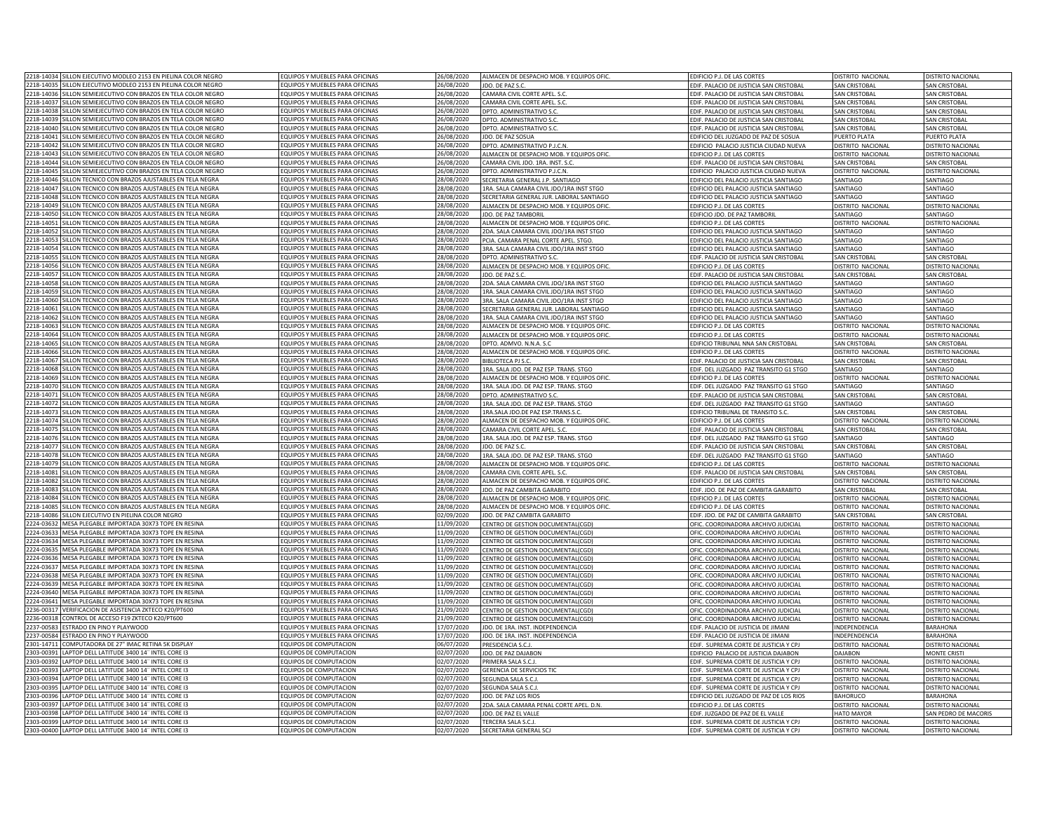|           | 2218-14034 SILLON EJECUTIVO MODLEO 2153 EN PIELINA COLOR NEGRO                                      | EQUIPOS Y MUEBLES PARA OFICINAS                                   | 26/08/2020 | ALMACEN DE DESPACHO MOB. Y EQUIPOS OFIC  | EDIFICIO P.J. DE LAS CORTES                    | DISTRITO NACIONAL    | DISTRITO NACIONAL           |
|-----------|-----------------------------------------------------------------------------------------------------|-------------------------------------------------------------------|------------|------------------------------------------|------------------------------------------------|----------------------|-----------------------------|
|           | 2218-14035 SILLON EJECUTIVO MODLEO 2153 EN PIELINA COLOR NEGRO                                      | EQUIPOS Y MUEBLES PARA OFICINAS                                   | 26/08/2020 | JDO. DE PAZ S.C.                         | EDIF. PALACIO DE JUSTICIA SAN CRISTOBAL        | SAN CRISTOBAL        | <b>SAN CRISTOBAL</b>        |
|           | 218-14036 SILLON SEMIEJECUTIVO CON BRAZOS EN TELA COLOR NEGRO                                       | EQUIPOS Y MUEBLES PARA OFICINAS                                   | 26/08/2020 | CAMARA CIVIL CORTE APEL. S.C             | EDIF. PALACIO DE JUSTICIA SAN CRISTOBAL        | <b>SAN CRISTOBAL</b> | <b>SAN CRISTOBAL</b>        |
| 218-14037 | SILLON SEMIEJECUTIVO CON BRAZOS EN TELA COLOR NEGRO                                                 | EQUIPOS Y MUEBLES PARA OFICINAS                                   | 26/08/2020 |                                          |                                                |                      |                             |
| 218-14038 |                                                                                                     |                                                                   |            | CAMARA CIVIL CORTE APEL. S.C             | EDIF. PALACIO DE JUSTICIA SAN CRISTOBAL        | SAN CRISTOBAL        | <b>SAN CRISTOBAL</b>        |
|           | ILLON SEMIEJECUTIVO CON BRAZOS EN TELA COLOR NEGRO                                                  | EQUIPOS Y MUEBLES PARA OFICINAS                                   | 6/08/2020  | OPTO. ADMINISTRATIVO S.C                 | EDIF. PALACIO DE JUSTICIA SAN CRISTOBAL        | SAN CRISTOBAL        | SAN CRISTOBAL               |
| 218-14039 | LLON SEMIFIECUTIVO CON BRAZOS EN TELA COLOR NEGRO                                                   | OUIPOS Y MUEBLES PARA OFICINAS                                    | 16/08/2020 | PTO, ADMINISTRATIVO S.C                  | DIF, PALACIO DE JUSTICIA SAN CRISTOBAL         | <b>SAN CRISTOBAL</b> | SAN CRISTOBAL               |
| 218-14040 | LLON SEMIEJECUTIVO CON BRAZOS EN TELA COLOR NEGRO                                                   | EQUIPOS Y MUEBLES PARA OFICINAS                                   | 6/08/2020  | DPTO, ADMINISTRATIVO S.C.                | DIF, PALACIO DE JUSTICIA SAN CRISTOBAL         | SAN CRISTOBAL        | SAN CRISTOBAL               |
| 218-1404  | LLON SEMIEJECUTIVO CON BRAZOS EN TELA COLOR NEGRO                                                   | EQUIPOS Y MUEBLES PARA OFICINAS                                   | 6/08/2020  | JDO. DE PAZ SOSUA                        | DIFICIO DEL JUZGADO DE PAZ DE SOSUA            | PUERTO PLATA         | UERTO PLATA                 |
| 18-14042  | LLON SEMIEJECUTIVO CON BRAZOS EN TELA COLOR NEGRO                                                   | EQUIPOS Y MUEBLES PARA OFICINAS                                   | 6/08/2020  | PTO. ADMINISTRATIVO P.J.C.N.             | DIFICIO PALACIO JUSTICIA CIUDAD NUEVA          | DISTRITO NACIONAL    | <b>ISTRITO NACIONAL</b>     |
| 218-14043 | SILLON SEMIEJECUTIVO CON BRAZOS EN TELA COLOR NEGRO                                                 | EQUIPOS Y MUEBLES PARA OFICINAS                                   | 16/08/2020 | ALMACEN DE DESPACHO MOB. Y EQUIPOS OFIC  | DIFICIO P.J. DE LAS CORTES                     | DISTRITO NACIONAL    | <b>ISTRITO NACIONAL</b>     |
| 218-14044 | SILLON SEMIEJECUTIVO CON BRAZOS EN TELA COLOR NEGRO                                                 | EQUIPOS Y MUEBLES PARA OFICINAS                                   | 26/08/2020 | CAMARA CIVIL JDO. 1RA. INST. S.C         | EDIF. PALACIO DE JUSTICIA SAN CRISTOBAL        | SAN CRISTOBAL        | <b>SAN CRISTOBAL</b>        |
| 218-14045 | SILLON SEMIEJECUTIVO CON BRAZOS EN TELA COLOR NEGRO                                                 | EQUIPOS Y MUEBLES PARA OFICINAS                                   | 26/08/2020 | DPTO. ADMINISTRATIVO P.J.C.N             | EDIFICIO PALACIO JUSTICIA CIUDAD NUEVA         | DISTRITO NACIONAL    | DISTRITO NACIONAL           |
| 218-14046 | ILLON TECNICO CON BRAZOS AJUSTABLES EN TELA NEGRA                                                   | EQUIPOS Y MUEBLES PARA OFICINAS                                   | 28/08/2020 | SECRETARIA GENERAL J.P. SANTIAGO         | EDIFICIO DEL PALACIO JUSTICIA SANTIAGO         | SANTIAGO             | SANTIAGO                    |
| 18-1404   | ILLON TECNICO CON BRAZOS AJUSTABLES EN TELA NEGRA                                                   | EQUIPOS Y MUEBLES PARA OFICINAS                                   | 28/08/2020 | 1RA. SALA CAMARA CIVIL JDO/1RA INST STGO | <b>EDIFICIO DEL PALACIO ILISTICIA SANTIAGO</b> | SANTIAGO             | SANTIAGO                    |
| 218-1404  |                                                                                                     |                                                                   |            |                                          |                                                |                      |                             |
|           | ILLON TECNICO CON BRAZOS AJUSTABLES EN TELA NEGRA                                                   | EQUIPOS Y MUEBLES PARA OFICINAS                                   | 18/08/2020 | SECRETARIA GENERAL JUR. LABORAL SANTIAGO | EDIFICIO DEL PALACIO JUSTICIA SANTIAGO         | SANTIAGO             | SANTIAGO                    |
| 18-1404   | ILLON TECNICO CON BRAZOS AJUSTABLES EN TELA NEGRA                                                   | EQUIPOS Y MUEBLES PARA OFICINAS                                   | 28/08/2020 | ALMACEN DE DESPACHO MOB. Y EQUIPOS OFIC  | EDIFICIO P.J. DE LAS CORTES                    | DISTRITO NACIONAL    | DISTRITO NACIONAL           |
| 218-1405  | ILLON TECNICO CON BRAZOS AJUSTABLES EN TELA NEGRA                                                   | EQUIPOS Y MUEBLES PARA OFICINAS                                   | 28/08/2020 | JDO. DE PAZ TAMBORII                     | DIFICIO JDO. DE PAZ TAMBORII                   | SANTIAGO             | SANTIAGO                    |
|           | 218-14051 SILLON TECNICO CON BRAZOS AJUSTABLES EN TELA NEGRA                                        | EQUIPOS Y MUEBLES PARA OFICINAS                                   | 28/08/2020 | ALMACEN DE DESPACHO MOB. Y EQUIPOS OFIC  | EDIFICIO P.J. DE LAS CORTES                    | DISTRITO NACIONAL    | DISTRITO NACIONAL           |
|           | 218-14052 SILLON TECNICO CON BRAZOS AJUSTABLES EN TELA NEGRA                                        | EQUIPOS Y MUEBLES PARA OFICINAS                                   | 28/08/2020 | 2DA. SALA CAMARA CIVIL JDO/1RA INST STGO | EDIFICIO DEL PALACIO JUSTICIA SANTIAGO         | SANTIAGO             | SANTIAGO                    |
|           | 218-14053 SILLON TECNICO CON BRAZOS AJUSTABLES EN TELA NEGRA                                        | EQUIPOS Y MUEBLES PARA OFICINAS                                   | 28/08/2020 | PCIA, CAMARA PENAL CORTE APEL, STGO.     | EDIFICIO DEL PALACIO JUSTICIA SANTIAGO         | SANTIAGO             | SANTIAGO                    |
| 218-14054 | ILLON TECNICO CON BRAZOS AJUSTABLES EN TELA NEGRA                                                   | FOUIPOS Y MUEBLES PARA OFICINAS                                   | 28/08/2020 | 3RA. SALA CAMARA CIVIL JDO/1RA INST STGO | DIFICIO DEL PALACIO JUSTICIA SANTIAGO          | SANTIAGO             | SANTIAGO                    |
| 218-14055 | ILLON TECNICO CON BRAZOS AJUSTABLES EN TELA NEGRA                                                   | QUIPOS Y MUEBLES PARA OFICINAS                                    | 18/08/2020 | OPTO. ADMINISTRATIVO S.C.                | DIF. PALACIO DE JUSTICIA SAN CRISTOBAL         | SAN CRISTOBAL        | SAN CRISTOBAL               |
| 218-14056 | ILLON TECNICO CON BRAZOS AJUSTABLES EN TELA NEGRA                                                   | QUIPOS Y MUEBLES PARA OFICINAS                                    | 28/08/2020 | ALMACEN DE DESPACHO MOB. Y EQUIPOS OFIC. | DIFICIO P.J. DE LAS CORTES                     | DISTRITO NACIONAL    | <b>DISTRITO NACIONAL</b>    |
| 18-1405   | LION TECNICO CON BRAZOS AIUSTABLES EN TELA NEGRA                                                    | FOUIPOS Y MUEBLES PARA OFICINAS                                   |            |                                          |                                                |                      |                             |
|           |                                                                                                     |                                                                   | 18/08/2020 | JDO. DE PAZ S.C.                         | DIF, PALACIO DE JUSTICIA SAN CRISTOBAL         | SAN CRISTOBAL        | AN CRISTOBAL                |
| 18-1405   | LLON TECNICO CON BRAZOS AJUSTABLES EN TELA NEGRA                                                    | EQUIPOS Y MUEBLES PARA OFICINAS                                   | 18/08/2020 | 2DA. SALA CAMARA CIVIL JDO/1RA INST STGO | DIFICIO DEL PALACIO JUSTICIA SANTIAGO          | SANTIAGO             | SANTIAGO                    |
| 218-1405  | LLON TECNICO CON BRAZOS AJUSTABLES EN TELA NEGRA                                                    | EQUIPOS Y MUEBLES PARA OFICINAS                                   | 18/08/2020 | 1RA. SALA CAMARA CIVIL JDO/1RA INST STGO | DIFICIO DEL PALACIO JUSTICIA SANTIAGO          | SANTIAGO             | SANTIAGO                    |
| 18-14060  | LLON TECNICO CON BRAZOS AJUSTABLES EN TELA NEGRA                                                    | EQUIPOS Y MUEBLES PARA OFICINAS                                   | 28/08/2020 | 3RA. SALA CAMARA CIVIL JDO/1RA INST STGO | EDIFICIO DEL PALACIO JUSTICIA SANTIAGO         | SANTIAGO             | SANTIAGO                    |
| 18-1406   | ILLON TECNICO CON BRAZOS AJUSTABLES EN TELA NEGRA                                                   | EQUIPOS Y MUEBLES PARA OFICINAS                                   | 28/08/2020 | SECRETARIA GENERAL JUR. LABORAL SANTIAGO | EDIFICIO DEL PALACIO JUSTICIA SANTIAGO         | SANTIAGO             | SANTIAGO                    |
| 218-1406  | ILLON TECNICO CON BRAZOS AJUSTABLES EN TELA NEGRA                                                   | FOUIPOS Y MUFBLES PARA OFICINAS                                   | 28/08/2020 | 1RA, SALA CAMARA CIVIL JDO/1RA INST STGO | EDIFICIO DEL PALACIO JUSTICIA SANTIAGO         | SANTIAGO             | SANTIAGO                    |
| 18-1406   | LLON TECNICO CON BRAZOS AJUSTABLES EN TELA NEGRA                                                    | EQUIPOS Y MUEBLES PARA OFICINAS                                   | 28/08/2020 | ALMACEN DE DESPACHO MOB. Y EQUIPOS OFI   | EDIFICIO P.J. DE LAS CORTES                    | DISTRITO NACIONAL    | <b>DISTRITO NACIONA</b>     |
| 218-14064 | ILLON TECNICO CON BRAZOS AJUSTABLES EN TELA NEGRA                                                   | EQUIPOS Y MUEBLES PARA OFICINAS                                   | 28/08/2020 | ALMACEN DE DESPACHO MOB. Y EQUIPOS OFIC  | EDIFICIO P.J. DE LAS CORTES                    | DISTRITO NACIONAL    | <b>ISTRITO NACIONAL</b>     |
| 18-14065  | SILLON TECNICO CON BRAZOS AJUSTABLES EN TELA NEGRA                                                  | FOUIPOS Y MUFBLES PARA OFICINAS                                   | 28/08/2020 | DPTO, ADMVO, N.N.A. S.C                  | EDIFICIO TRIBUNAL NNA SAN CRISTOBAL            | <b>SAN CRISTOBAL</b> | SAN CRISTOBAL               |
| 218-14066 | ILLON TECNICO CON BRAZOS AJUSTABLES EN TELA NEGRA                                                   | EQUIPOS Y MUEBLES PARA OFICINAS                                   | 28/08/2020 | ALMACEN DE DESPACHO MOB. Y EQUIPOS OFIC. | EDIFICIO P.J. DE LAS CORTES                    | DISTRITO NACIONAL    | DISTRITO NACIONAL           |
|           |                                                                                                     |                                                                   |            |                                          |                                                |                      |                             |
| 218-14067 | SILLON TECNICO CON BRAZOS AJUSTABLES EN TELA NEGRA                                                  | EQUIPOS Y MUEBLES PARA OFICINAS                                   | 28/08/2020 | <b>BIBLIOTECA PJ S.C</b>                 | EDIF. PALACIO DE JUSTICIA SAN CRISTOBAL        | SAN CRISTOBAL        | <b>SAN CRISTOBAL</b>        |
|           | 218-14068 SILLON TECNICO CON BRAZOS AJUSTABLES EN TELA NEGRA                                        | EQUIPOS Y MUEBLES PARA OFICINAS                                   | 28/08/2020 | 1RA. SALA JDO. DE PAZ ESP. TRANS. STGO   | EDIF. DEL JUZGADO PAZ TRANSITO G1 STGO         | SANTIAGO             | SANTIAGO                    |
| 218-14069 | ILLON TECNICO CON BRAZOS AJUSTABLES EN TELA NEGRA                                                   | EQUIPOS Y MUEBLES PARA OFICINAS                                   | 28/08/2020 | ALMACEN DE DESPACHO MOB. Y EQUIPOS OFIC  | EDIFICIO P.J. DE LAS CORTES                    | DISTRITO NACIONAL    | DISTRITO NACIONAL           |
| 218-14070 | ILLON TECNICO CON BRAZOS AJUSTABLES EN TELA NEGRA                                                   | EQUIPOS Y MUEBLES PARA OFICINAS                                   | 28/08/2020 | 1RA. SALA JDO. DE PAZ ESP. TRANS. STGO   | EDIF. DEL JUZGADO PAZ TRANSITO G1 STGO         | SANTIAGO             | SANTIAGO                    |
| 218-14071 | ILLON TECNICO CON BRAZOS AJUSTABLES EN TELA NEGRA                                                   | EQUIPOS Y MUEBLES PARA OFICINAS                                   | 28/08/2020 | DPTO. ADMINISTRATIVO S.C                 | EDIF. PALACIO DE JUSTICIA SAN CRISTOBAL        | SAN CRISTOBAL        | SAN CRISTOBAL               |
| 218-14072 | ILLON TECNICO CON BRAZOS AJUSTABLES EN TELA NEGRA                                                   | EQUIPOS Y MUEBLES PARA OFICINAS                                   | 28/08/2020 | 1RA. SALA JDO. DE PAZ ESP. TRANS. STGO   | DIF. DEL JUZGADO PAZ TRANSITO G1 STGO          | SANTIAGO             | <b>SANTIAGO</b>             |
| 18-1407   | ILLON TECNICO CON BRAZOS AJUSTABLES EN TELA NEGRA                                                   | EQUIPOS Y MUEBLES PARA OFICINAS                                   | 28/08/2020 | IRA.SALA JDO.DE PAZ ESP.TRANS.S.C.       | DIFICIO TRIBUNAL DE TRANSITO S.C.              | SAN CRISTOBAL        | <b>SAN CRISTOBAL</b>        |
| 18-14074  | ILLON TECNICO CON BRAZOS AJUSTABLES EN TELA NEGRA                                                   | EQUIPOS Y MUEBLES PARA OFICINAS                                   | 18/08/2020 | ALMACEN DE DESPACHO MOB. Y EQUIPOS OFIC. | DIFICIO P.J. DE LAS CORTES                     | DISTRITO NACIONAL    | DISTRITO NACIONAL           |
| 218-14075 | ILLON TECNICO CON BRAZOS AJUSTABLES EN TELA NEGRA                                                   | EQUIPOS Y MUEBLES PARA OFICINAS                                   | 28/08/2020 | CAMARA CIVIL CORTE APEL. S.C             | DIF. PALACIO DE JUSTICIA SAN CRISTOBAL         | SAN CRISTOBAL        | <b>SAN CRISTOBAL</b>        |
| 218-14076 |                                                                                                     |                                                                   |            |                                          |                                                |                      |                             |
|           | SILLON TECNICO CON BRAZOS AJUSTABLES EN TELA NEGRA                                                  | EQUIPOS Y MUEBLES PARA OFICINAS                                   | 28/08/2020 | 1RA. SALA JDO. DE PAZ ESP. TRANS. STGO   | EDIF. DEL JUZGADO PAZ TRANSITO G1 STGO         | SANTIAGO             | SANTIAGO                    |
| 18-1407   | SILLON TECNICO CON BRAZOS AJUSTABLES EN TELA NEGRA                                                  | EQUIPOS Y MUEBLES PARA OFICINAS                                   | 28/08/2020 | JDO. DE PAZ S.C.                         | EDIF. PALACIO DE JUSTICIA SAN CRISTOBAL        | SAN CRISTOBAL        | <b>SAN CRISTOBAL</b>        |
| 18-1407   | ILLON TECNICO CON BRAZOS AJUSTABLES EN TELA NEGRA                                                   | EQUIPOS Y MUEBLES PARA OFICINAS                                   | 28/08/2020 | 1RA. SALA JDO. DE PAZ ESP. TRANS. STGO   | EDIF. DEL JUZGADO PAZ TRANSITO G1 STGO         | SANTIAGO             | SANTIAGO                    |
| 18-1407   | ILLON TECNICO CON BRAZOS AJUSTABLES EN TELA NEGRA                                                   | EQUIPOS Y MUEBLES PARA OFICINAS                                   | 28/08/2020 | ALMACEN DE DESPACHO MOB. Y EQUIPOS OFIC  | EDIFICIO P.J. DE LAS CORTES                    | DISTRITO NACIONAL    | DISTRITO NACIONAL           |
| 218-1408  | ILLON TECNICO CON BRAZOS AJUSTABLES EN TELA NEGRA                                                   | EQUIPOS Y MUEBLES PARA OFICINAS                                   | 28/08/2020 | CAMARA CIVIL CORTE APEL, S.C             | EDIF. PALACIO DE JUSTICIA SAN CRISTOBAL        | <b>SAN CRISTOBAI</b> | SAN CRISTOBAL               |
| 18-1408   | ILLON TECNICO CON BRAZOS AJUSTABLES EN TELA NEGRA                                                   | EQUIPOS Y MUEBLES PARA OFICINAS                                   | 28/08/2020 | ALMACEN DE DESPACHO MOB. Y EQUIPOS OFIC  | EDIFICIO P.J. DE LAS CORTES                    | DISTRITO NACIONAL    | <b>DISTRITO NACIONAL</b>    |
| 218-1408  | ILLON TECNICO CON BRAZOS AJUSTABLES EN TELA NEGRA                                                   | EQUIPOS Y MUEBLES PARA OFICINAS                                   | 18/08/2020 | JDO. DE PAZ CAMBITA GARABITO             | EDIF, JDO, DE PAZ DE CAMBITA GARABITO          | SAN CRISTOBAL        | SAN CRISTOBAL               |
|           | 218-14084 SILLON TECNICO CON BRAZOS AJUSTABLES EN TELA NEGRA                                        | EQUIPOS Y MUEBLES PARA OFICINAS                                   | 28/08/2020 | ALMACEN DE DESPACHO MOB. Y EQUIPOS OFIC  | DIFICIO P.J. DE LAS CORTES                     | DISTRITO NACIONAL    | <b>DISTRITO NACIONAL</b>    |
| 218-14085 | SILLON TECNICO CON BRAZOS AJUSTABLES EN TELA NEGRA                                                  | EQUIPOS Y MUEBLES PARA OFICINAS                                   | 28/08/2020 | ALMACEN DE DESPACHO MOB. Y EQUIPOS OFIC. | EDIFICIO P.J. DE LAS CORTES                    | DISTRITO NACIONAL    | DISTRITO NACIONAL           |
|           | 218-14086 SILLON EJECUTIVO EN PIELINA COLOR NEGRO                                                   | EQUIPOS Y MUEBLES PARA OFICINAS                                   | 02/09/2020 | JDO. DE PAZ CAMBITA GARABITO             | EDIF. JDO. DE PAZ DE CAMBITA GARABITO          | SAN CRISTOBAL        | <b>SAN CRISTOBAL</b>        |
| 224-03632 |                                                                                                     |                                                                   |            |                                          |                                                |                      |                             |
| 224-0363  | MESA PLEGABLE IMPORTADA 30X73 TOPE EN RESINA<br><b>IESA PLEGABLE IMPORTADA 30X73 TOPE EN RESINA</b> | EQUIPOS Y MUEBLES PARA OFICINAS<br>QUIPOS Y MUEBLES PARA OFICINAS | 11/09/2020 | CENTRO DE GESTION DOCUMENTAL(CGD)        | OFIC. COORDINADORA ARCHIVO JUDICIAL            | DISTRITO NACIONAL    | DISTRITO NACIONAL           |
|           |                                                                                                     |                                                                   | 1/09/2020  | CENTRO DE GESTION DOCUMENTAL(CGD)        | OFIC. COORDINADORA ARCHIVO JUDICIAL            | DISTRITO NACIONAL    | <b>DISTRITO NACIONAL</b>    |
| 224-03634 | MESA PLEGABLE IMPORTADA 30X73 TOPE EN RESINA                                                        | EQUIPOS Y MUEBLES PARA OFICINAS                                   | 1/09/2020  | CENTRO DE GESTION DOCUMENTAL (CGD)       | OFIC, COORDINADORA ARCHIVO IUDICIAI            | DISTRITO NACIONAL    | <b>DISTRITO NACIONAL</b>    |
| 224-0363  | <b>IESA PLEGABLE IMPORTADA 30X73 TOPE EN RESINA</b>                                                 | QUIPOS Y MUEBLES PARA OFICINAS                                    | 1/09/2020  | CENTRO DE GESTION DOCUMENTAL (CGD)       | OFIC, COORDINADORA ARCHIVO IUDICIAI            | DISTRITO NACIONAL    | <b>ISTRITO NACIONAL</b>     |
| 224-0363  | <b>IFSA PLEGABLE IMPORTADA 30X73 TOPE EN RESINA</b>                                                 | OUIPOS Y MUEBLES PARA OFICINAS                                    | 1/09/2020  | CENTRO DE GESTION DOCUMENTAL(CGD)        | OFIC. COORDINADORA ARCHIVO JUDICIAL            | DISTRITO NACIONAL    | <b>ISTRITO NACIONAL</b>     |
| 224-0363  | <b>IFSA PLEGABLE IMPORTADA 30X73 TOPE EN RESINA</b>                                                 | FOUIPOS Y MUEBLES PARA OFICINAS                                   | 11/09/2020 | CENTRO DE GESTION DOCUMENTAL(CGD)        | JEIC, COORDINADORA ARCHIVO IUDICIAI            | DISTRITO NACIONAL    | <b>ISTRITO NACIONAL</b>     |
| 224-03638 | MESA PLEGABLE IMPORTADA 30X73 TOPE EN RESINA                                                        | EQUIPOS Y MUEBLES PARA OFICINAS                                   | 11/09/2020 | CENTRO DE GESTION DOCUMENTAL(CGD)        | OFIC. COORDINADORA ARCHIVO JUDICIAL            | DISTRITO NACIONAL    | <b>ISTRITO NACIONAL</b>     |
| 224-03639 | MESA PLEGABLE IMPORTADA 30X73 TOPE EN RESINA                                                        | EQUIPOS Y MUEBLES PARA OFICINAS                                   | 11/09/2020 | CENTRO DE GESTION DOCUMENTAL(CGD)        | OFIC. COORDINADORA ARCHIVO JUDICIAI            | DISTRITO NACIONAL    | <b>ISTRITO NACIONAL</b>     |
| 224-03640 | MESA PLEGABLE IMPORTADA 30X73 TOPE EN RESINA                                                        | EQUIPOS Y MUEBLES PARA OFICINAS                                   | 11/09/2020 | CENTRO DE GESTION DOCUMENTAL(CGD)        | OFIC. COORDINADORA ARCHIVO JUDICIAL            | DISTRITO NACIONAL    | <b>DISTRITO NACIONAL</b>    |
| 224-0364  | MESA PLEGABLE IMPORTADA 30X73 TOPE EN RESINA                                                        | EQUIPOS Y MUEBLES PARA OFICINAS                                   | 11/09/2020 | CENTRO DE GESTION DOCUMENTALICGD         | OFIC. COORDINADORA ARCHIVO JUDICIAL            | DISTRITO NACIONAL    | <b>JISTRITO NACIONAL</b>    |
| 236-0031  | VERIFICACION DE ASISTENCIA ZKTECO K20/PT600                                                         | FOUIPOS Y MUFBLES PARA OFICINAS                                   | 21/09/2020 |                                          |                                                |                      | <b>ISTRITO NACIONA</b>      |
| 236-0031  |                                                                                                     |                                                                   |            | CENTRO DE GESTION DOCUMENTAL(CGD)        | OFIC. COORDINADORA ARCHIVO JUDICIAL            | DISTRITO NACIONAL    |                             |
|           | ONTROL DE ACCESO F19 ZKTECO K20/PT600                                                               | EQUIPOS Y MUEBLES PARA OFICINAS                                   | 1/09/2020  | CENTRO DE GESTION DOCUMENTALICGD         | OFIC, COORDINADORA ARCHIVO IUDICIAI            | DISTRITO NACIONAL    | <b>JISTRITO NACIONAL</b>    |
| 237-0058  | STRADO EN PINO Y PLAYWOOD                                                                           | EQUIPOS Y MUEBLES PARA OFICINAS                                   | 17/07/2020 | JDO. DE 1RA. INST. INDEPENDENCIA         | EDIF. PALACIO DE JUSTICIA DE JIMANI            | INDEPENDENCIA        | BARAHONA                    |
| 237-0058  | STRADO EN PINO Y PI AYWOOD                                                                          | FOUIPOS Y MUFBLES PARA OFICINAS                                   | 17/07/2020 | JDO. DE 1RA. INST. INDEPENDENCIA         | EDIF. PALACIO DE JUSTICIA DE JIMANI            | INDEPENDENCIA        | <b>BARAHONA</b>             |
| 301-14711 | COMPUTADORA DE 27" IMAC RETINA 5K DISPLAY                                                           | EQUIPOS DE COMPUTACION                                            | 06/07/2020 | PRESIDENCIA S.C.I.                       | EDIF. SUPREMA CORTE DE JUSTICIA Y CPJ          | DISTRITO NACIONAL    | DISTRITO NACIONAL           |
| 303-00391 | LAPTOP DELL LATITUDE 3400 14" INTEL CORE I3                                                         | EQUIPOS DE COMPUTACION                                            | 02/07/2020 | JDO. DE PAZ DAJABON                      | EDIFICIO PALACIO DE JUSTICIA DAJABON           | <b>DAJABON</b>       | <b>MONTE CRISTI</b>         |
|           | 303-00392 LAPTOP DELL LATITUDE 3400 14" INTEL CORE I3                                               | EQUIPOS DE COMPUTACION                                            | 02/07/2020 | PRIMERA SALA S.C.J.                      | EDIF. SUPREMA CORTE DE JUSTICIA Y CPJ          | DISTRITO NACIONAL    | DISTRITO NACIONAL           |
| 303-0039  | LAPTOP DELL LATITUDE 3400 14" INTEL CORE I3                                                         | EQUIPOS DE COMPUTACION                                            | 02/07/2020 | GERENCIA DE SERVICIOS TIC                | EDIF. SUPREMA CORTE DE JUSTICIA Y CPJ          | DISTRITO NACIONAL    | DISTRITO NACIONAL           |
| 303-00394 | APTOP DELL LATITUDE 3400 14" INTEL CORE I3                                                          | FOUIPOS DE COMPUTACION                                            | 02/07/2020 | SEGUNDA SALA S.C.J.                      | EDIF. SUPREMA CORTE DE JUSTICIA Y CPJ          | DISTRITO NACIONAL    | <b>DISTRITO NACIONAL</b>    |
| 303-0039  | APTOP DELL LATITUDE 3400 14" INTEL CORE I3                                                          | <b>EQUIPOS DE COMPUTACION</b>                                     | 02/07/2020 | SEGUNDA SALA S.C.L                       | EDIF. SUPREMA CORTE DE JUSTICIA Y CPJ          | DISTRITO NACIONAL    | <b>DISTRITO NACIONAL</b>    |
|           |                                                                                                     |                                                                   |            |                                          |                                                |                      |                             |
| 303-00396 | APTOP DELL LATITUDE 3400 14" INTEL CORE I3                                                          | <b>EQUIPOS DE COMPUTACION</b>                                     | 02/07/2020 | JDO. DE PAZ LOS RIOS                     | EDIFICIO DEL JUZGADO DE PAZ DE LOS RIOS        | <b>BAHORUCO</b>      | <b>BARAHONA</b>             |
| 303-0039  | APTOP DELL LATITUDE 3400 14" INTEL CORE IE                                                          | QUIPOS DE COMPUTACION                                             | 02/07/2020 | 2DA. SALA CAMARA PENAL CORTE APEL. D.N.  | DIFICIO P.J. DE LAS CORTES                     | DISTRITO NACIONAL    | <b>ISTRITO NACIONAL</b>     |
| 303-00398 | LAPTOP DELL LATITUDE 3400 14" INTEL CORE I3                                                         | EQUIPOS DE COMPUTACION                                            | 02/07/2020 | IDO. DE PAZ EL VALLE                     | FDIF. IUZGADO DE PAZ DE FL VALLI               | <b>HATO MAYOR</b>    | <b>SAN PEDRO DE MACORIS</b> |
|           | 303-00399 LAPTOP DELL LATITUDE 3400 14" INTEL CORE I3                                               | EQUIPOS DE COMPUTACION                                            | 02/07/2020 | TERCERA SALA S.C.J.                      | EDIF. SUPREMA CORTE DE JUSTICIA Y CPJ          | DISTRITO NACIONAL    | DISTRITO NACIONAL           |
|           |                                                                                                     |                                                                   |            |                                          |                                                |                      |                             |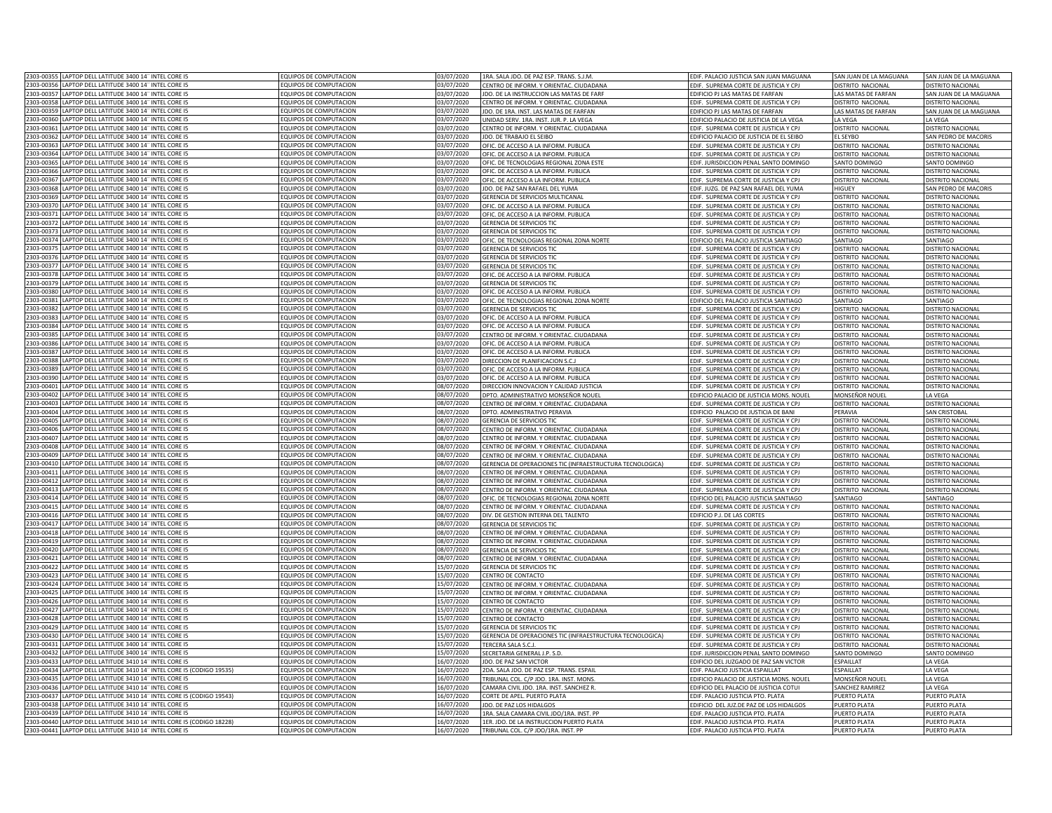| LAPTOP DELL LATITUDE 3400 14" INTEL CORE I5<br>2303-00355                                                             | EQUIPOS DE COMPUTACION                           | 03/07/2020 | 1RA. SALA JDO. DE PAZ ESP. TRANS. S.J.M.                  | EDIF. PALACIO JUSTICIA SAN JUAN MAGUANA  | SAN JUAN DE LA MAGUANA   | SAN JUAN DE LA MAGUANA   |
|-----------------------------------------------------------------------------------------------------------------------|--------------------------------------------------|------------|-----------------------------------------------------------|------------------------------------------|--------------------------|--------------------------|
| 2303-00356<br>LAPTOP DELL LATITUDE 3400 14" INTEL CORE I5                                                             | EQUIPOS DE COMPUTACION                           | 03/07/2020 | CENTRO DE INFORM. Y ORIENTAC. CIUDADANA                   | EDIF. SUPREMA CORTE DE JUSTICIA Y CPJ    | DISTRITO NACIONAL        | DISTRITO NACIONAL        |
| 2303-00357<br>LAPTOP DELL LATITUDE 3400 14" INTEL CORE I5                                                             | EQUIPOS DE COMPUTACION                           | 03/07/2020 | IDO. DE LA INSTRUCCION LAS MATAS DE FARF                  | EDIFICIO PJ LAS MATAS DE FARFAN          | LAS MATAS DE FARFAN      | SAN JUAN DE LA MAGUANA   |
| 2303-00358<br>APTOP DELL LATITUDE 3400 14" INTEL CORE I5                                                              | EQUIPOS DE COMPUTACION                           | 03/07/2020 | CENTRO DE INFORM. Y ORIENTAC. CIUDADANA                   | EDIF. SUPREMA CORTE DE JUSTICIA Y CPJ    | DISTRITO NACIONAL        | DISTRITO NACIONAL        |
| 2303-0035<br>APTOP DELL LATITUDE 3400 14" INTEL CORE I5                                                               | EQUIPOS DE COMPUTACION                           | 03/07/2020 | DO. DE 1RA. INST. LAS MATAS DE FARFAN                     | EDIFICIO PJ LAS MATAS DE FARFAN          | AS MATAS DE FARFAN       | SAN JUAN DE LA MAGUANA   |
| 2303-00360<br>APTOP DELL LATITUDE 3400 14" INTEL CORE IS                                                              | FOUIPOS DE COMPUTACION                           | 03/07/2020 | INIDAD SERV. 1RA. INST. IUR. P. LA VEGA                   | EDIFICIO PALACIO DE JUSTICIA DE LA VEGA  | A VFGA                   | <b>A VEGA</b>            |
| 2303-00361<br>APTOP DELL LATITUDE 3400 14" INTEL CORE I5                                                              | EQUIPOS DE COMPUTACION                           | 03/07/2020 | ENTRO DE INFORM. Y ORIENTAC. CIUDADANA                    | FDIE. SUPREMA CORTE DE JUSTICIA Y CPI    | <b>DISTRITO NACIONAL</b> | DISTRITO NACIONAL        |
| 2303-0036<br>APTOP DELL LATITUDE 3400 14" INTEL CORE I5                                                               | EQUIPOS DE COMPUTACION                           | 03/07/2020 | DO. DE TRABAJO EL SEIBO                                   | EDIFICIO PALACIO DE JUSTICIA DE EL SEIBO | L SEYBO                  | AN PEDRO DE MACORIS      |
|                                                                                                                       |                                                  |            |                                                           |                                          |                          |                          |
| 2303-0036<br>APTOP DELL LATITUDE 3400 14" INTEL CORE I5                                                               | EQUIPOS DE COMPUTACION                           | 03/07/2020 | OFIC. DE ACCESO A LA INFORM. PUBLICA                      | EDIF. SUPREMA CORTE DE JUSTICIA Y CPJ    | ISTRITO NACIONAL         | <b>DISTRITO NACIONAL</b> |
| APTOP DELL LATITUDE 3400 14" INTEL CORE I5<br>2303-00364                                                              | EQUIPOS DE COMPUTACION                           | 03/07/2020 | OFIC. DE ACCESO A LA INFORM. PUBLICA                      | EDIF. SUPREMA CORTE DE JUSTICIA Y CPJ    | ISTRITO NACIONAL         | <b>DISTRITO NACIONAL</b> |
| LAPTOP DELL LATITUDE 3400 14" INTEL CORE I5<br>2303-0036                                                              | EQUIPOS DE COMPUTACION                           | 03/07/2020 | OFIC. DE TECNOLOGIAS REGIONAL ZONA ESTI                   | EDIF. JURISDICCION PENAL SANTO DOMINGO   | SANTO DOMINGO            | SANTO DOMINGO            |
| APTOP DELL LATITUDE 3400 14" INTEL CORE I5<br>2303-0036                                                               | EQUIPOS DE COMPUTACION                           | 03/07/2020 | OFIC. DE ACCESO A LA INFORM. PUBLICA                      | EDIF. SUPREMA CORTE DE JUSTICIA Y CPJ    | DISTRITO NACIONAL        | <b>DISTRITO NACIONAL</b> |
| LAPTOP DELL LATITUDE 3400 14" INTEL CORE I5<br>2303-0036                                                              | EQUIPOS DE COMPUTACION                           | 03/07/2020 | OFIC. DE ACCESO A LA INFORM. PUBLICA                      | EDIF. SUPREMA CORTE DE JUSTICIA Y CPJ    | DISTRITO NACIONAL        | <b>DISTRITO NACIONA</b>  |
| 2303-0036<br>APTOP DELL LATITUDE 3400 14" INTEL CORE I5                                                               | EQUIPOS DE COMPUTACION                           | 03/07/2020 | JDO. DE PAZ SAN RAFAEL DEL YUMA                           | EDIF. JUZG. DE PAZ SAN RAFAEL DEL YUMA   | HIGHEY                   | SAN PEDRO DE MACORIS     |
| 303-0036<br>APTOP DELL LATITUDE 3400 14" INTEL CORE I5                                                                | EQUIPOS DE COMPUTACION                           | 03/07/2020 | <b>GERENCIA DE SERVICIOS MULTICANAL</b>                   | EDIF. SUPREMA CORTE DE JUSTICIA Y CPJ    | <b>DISTRITO NACIONAL</b> | <b>DISTRITO NACIONAL</b> |
| 303-0037<br>APTOP DELL LATITUDE 3400 14" INTEL CORE I5                                                                | EQUIPOS DE COMPUTACION                           | 03/07/2020 | OFIC. DE ACCESO A LA INFORM. PUBLICA                      | EDIF. SUPREMA CORTE DE JUSTICIA Y CPJ    | ISTRITO NACIONAL         | <b>DISTRITO NACIONAL</b> |
| LAPTOP DELL LATITUDE 3400 14" INTEL CORE I5<br>2303-0037                                                              | EQUIPOS DE COMPUTACION                           | 03/07/2020 | OFIC. DE ACCESO A LA INFORM. PUBLICA                      | EDIF. SUPREMA CORTE DE JUSTICIA Y CPJ    | <b>ISTRITO NACIONAL</b>  | DISTRITO NACIONAL        |
| 2303-00372<br>LAPTOP DELL LATITUDE 3400 14" INTEL CORE I5                                                             | EQUIPOS DE COMPUTACION                           | 03/07/2020 | GERENCIA DE SERVICIOS TIC                                 | EDIF. SUPREMA CORTE DE JUSTICIA Y CPJ    | DISTRITO NACIONAL        | DISTRITO NACIONAL        |
| 2303-00373<br>LAPTOP DELL LATITUDE 3400 14" INTEL CORE I5                                                             | EQUIPOS DE COMPUTACION                           | 03/07/2020 | GERENCIA DE SERVICIOS TIC                                 | EDIF. SUPREMA CORTE DE JUSTICIA Y CPJ    | DISTRITO NACIONAL        | DISTRITO NACIONAL        |
| 2303-00374<br>LAPTOP DELL LATITUDE 3400 14" INTEL CORE I5                                                             | EQUIPOS DE COMPUTACION                           | 03/07/2020 | OFIC. DE TECNOLOGIAS REGIONAL ZONA NORTE                  | EDIFICIO DEL PALACIO JUSTICIA SANTIAGO   | SANTIAGO                 | SANTIAGO                 |
| 2303-0037<br>APTOP DELL LATITUDE 3400 14" INTEL CORE I5                                                               | FOUIPOS DE COMPUTACION                           | 03/07/2020 | <b>GERENCIA DE SERVICIOS TIC</b>                          | EDIF. SUPREMA CORTE DE JUSTICIA Y CPJ    | <b>DISTRITO NACIONAL</b> | DISTRITO NACIONAL        |
| 2303-0037<br>APTOP DELL LATITUDE 3400 14" INTEL CORE I5                                                               | <b>QUIPOS DE COMPUTACION</b>                     | 03/07/2020 | <b>GERENCIA DE SERVICIOS TIC</b>                          | EDIF. SUPREMA CORTE DE JUSTICIA Y CPJ    | <b>JISTRITO NACIONAL</b> | DISTRITO NACIONAL        |
| 2303-0037<br>APTOP DELL LATITUDE 3400 14" INTEL CORE I5                                                               | EQUIPOS DE COMPUTACION                           | 03/07/2020 | <b>SERENCIA DE SERVICIOS TIC</b>                          | EDIF. SUPREMA CORTE DE JUSTICIA Y CPJ    | <b>ISTRITO NACIONAL</b>  | DISTRITO NACIONAL        |
| 2303-0037<br>APTOP DELL LATITUDE 3400 14" INTEL CORE I5                                                               | OUIPOS DE COMPUTACION                            | 03/07/2020 | OFIC. DE ACCESO A LA INFORM. PUBLICA                      | EDIF. SUPREMA CORTE DE JUSTICIA Y CPJ    | <b>ISTRITO NACIONAL</b>  | <b>DISTRITO NACIONAL</b> |
| APTOP DELL LATITUDE 3400 14" INTEL CORE I5<br>2303-0037                                                               | <b>QUIPOS DE COMPUTACION</b>                     | 03/07/2020 | ERENCIA DE SERVICIOS TIC                                  | EDIF. SUPREMA CORTE DE JUSTICIA Y CPJ    | <b>ISTRITO NACIONAL</b>  | <b>DISTRITO NACIONAL</b> |
| APTOP DELL LATITUDE 3400 14" INTEL CORE I5<br>2303-0038                                                               | EQUIPOS DE COMPUTACION                           | 03/07/2020 | OFIC. DE ACCESO A LA INFORM. PUBLICA                      | EDIF. SUPREMA CORTE DE JUSTICIA Y CP.    | <b>DISTRITO NACIONAL</b> | DISTRITO NACIONAL        |
| 2303-0038<br>LAPTOP DELL LATITUDE 3400 14" INTEL CORE I5                                                              | EQUIPOS DE COMPUTACION                           | 03/07/2020 | OFIC. DE TECNOLOGIAS REGIONAL ZONA NORTE                  | EDIFICIO DEL PALACIO JUSTICIA SANTIAGO   | SANTIAGO                 | SANTIAGO                 |
| LAPTOP DELL LATITUDE 3400 14" INTEL CORE I5<br>2303-00382                                                             | EQUIPOS DE COMPUTACION                           | 03/07/2020 | GERENCIA DE SERVICIOS TIO                                 | EDIF. SUPREMA CORTE DE JUSTICIA Y CP.    | ISTRITO NACIONAL         | DISTRITO NACIONAL        |
| 2303-0038<br>LAPTOP DELL LATITUDE 3400 14" INTEL CORE I5                                                              | FOUIPOS DE COMPUTACION                           | 03/07/2020 | OFIC. DE ACCESO A LA INFORM. PUBLICA                      | EDIF. SUPREMA CORTE DE JUSTICIA Y CPJ    | DISTRITO NACIONAL        | DISTRITO NACIONA         |
| LAPTOP DELL LATITUDE 3400 14" INTEL CORE I5<br>2303-00384                                                             | FOUIPOS DE COMPUTACION                           | 03/07/2020 | OFIC. DE ACCESO A LA INFORM. PUBLICA                      | FDIE. SUPREMA CORTE DE IUSTICIA Y CP     | DISTRITO NACIONAL        | DISTRITO NACIONA         |
| 2303-0038<br>LAPTOP DELL LATITUDE 3400 14" INTEL CORE I5                                                              | EQUIPOS DE COMPUTACION                           | 03/07/2020 | CENTRO DE INFORM, Y ORIENTAC, CIUDADANA                   | EDIF. SUPREMA CORTE DE JUSTICIA Y CP.    | <b>JISTRITO NACIONAL</b> | DISTRITO NACIONA         |
| LAPTOP DELL LATITUDE 3400 14" INTEL CORE I5<br>2303-0038                                                              | EQUIPOS DE COMPUTACION                           | 03/07/2020 | OFIC. DE ACCESO A LA INFORM. PUBLICA                      | EDIF. SUPREMA CORTE DE JUSTICIA Y CP.    | DISTRITO NACIONAL        | <b>DISTRITO NACIONAL</b> |
| 2303-00387<br>LAPTOP DELL LATITUDE 3400 14" INTEL CORE I5                                                             | EQUIPOS DE COMPUTACION                           | 03/07/2020 | OFIC. DE ACCESO A LA INFORM. PUBLICA                      | EDIF. SUPREMA CORTE DE JUSTICIA Y CPJ    | DISTRITO NACIONAL        | DISTRITO NACIONAL        |
| 2303-00388<br>LAPTOP DELL LATITUDE 3400 14" INTEL CORE I5                                                             | EQUIPOS DE COMPUTACION                           | 03/07/2020 | DIRECCION DE PLANIFICACION S.C.J                          | EDIF. SUPREMA CORTE DE JUSTICIA Y CPJ    | DISTRITO NACIONAL        | DISTRITO NACIONAL        |
| 2303-00389                                                                                                            |                                                  |            |                                                           |                                          |                          |                          |
| LAPTOP DELL LATITUDE 3400 14" INTEL CORE I5<br>2303-00390                                                             | EQUIPOS DE COMPUTACION                           | 03/07/2020 | OFIC. DE ACCESO A LA INFORM. PUBLICA                      | EDIF. SUPREMA CORTE DE JUSTICIA Y CPJ    | DISTRITO NACIONAL        | <b>DISTRITO NACIONAL</b> |
| APTOP DELL LATITUDE 3400 14" INTEL CORE I5                                                                            | EQUIPOS DE COMPUTACION                           | 03/07/2020 | OFIC. DE ACCESO A LA INFORM. PUBLICA                      | EDIF. SUPREMA CORTE DE JUSTICIA Y CPJ    | DISTRITO NACIONAL        | DISTRITO NACIONAL        |
| 2303-00401<br>LAPTOP DELL LATITUDE 3400 14" INTEL CORE I5<br>2303-00402<br>APTOP DELL LATITUDE 3400 14" INTEL CORE I5 | EQUIPOS DE COMPUTACION<br>FOUIPOS DE COMPUTACION | 08/07/2020 | DIRECCION INNOVACION Y CALIDAD JUSTICIA                   | EDIF. SUPREMA CORTE DE JUSTICIA Y CPJ    | <b>DISTRITO NACIONAL</b> | DISTRITO NACIONAL        |
|                                                                                                                       |                                                  | 08/07/2020 | PTO. ADMINISTRATIVO MONSEÑOR NOUEL                        | EDIFICIO PALACIO DE JUSTICIA MONS. NOUE  | MONSEÑOR NOUEL           | LA VEGA                  |
| 2303-00403<br>APTOP DELL LATITUDE 3400 14" INTEL CORE I5                                                              | EQUIPOS DE COMPUTACION                           | 08/07/2020 | ENTRO DE INFORM. Y ORIENTAC. CIUDADANA                    | EDIF. SUPREMA CORTE DE JUSTICIA Y CPJ    | DISTRITO NACIONAL        | DISTRITO NACIONAL        |
| 2303-00404<br>APTOP DELL LATITUDE 3400 14" INTEL CORE I5                                                              | EQUIPOS DE COMPUTACION                           | 08/07/2020 | DPTO. ADMINISTRATIVO PERAVIA                              | EDIFICIO PALACIO DE JUSTICIA DE BANI     | PERAVIA                  | <b>AN CRISTOBAL</b>      |
| 2303-0040<br>APTOP DELL LATITUDE 3400 14" INTEL CORE I5                                                               | EQUIPOS DE COMPUTACION                           | 08/07/2020 | <b>SERENCIA DE SERVICIOS TIC</b>                          | EDIF. SUPREMA CORTE DE JUSTICIA Y CPJ    | ISTRITO NACIONAL         | <b>DISTRITO NACIONAL</b> |
| 2303-00406<br>APTOP DELL LATITUDE 3400 14" INTEL CORE I5                                                              | EQUIPOS DE COMPUTACION                           | 08/07/2020 | ENTRO DE INFORM. Y ORIENTAC. CIUDADANA                    | EDIF. SUPREMA CORTE DE JUSTICIA Y CP.    | ISTRITO NACIONAL         | DISTRITO NACIONAL        |
| 2303-0040<br>APTOP DELL LATITUDE 3400 14" INTEL CORE I5                                                               | EQUIPOS DE COMPUTACION                           | 08/07/2020 | CENTRO DE INFORM. Y ORIENTAC. CIUDADANA                   | EDIF. SUPREMA CORTE DE JUSTICIA Y CP.    | DISTRITO NACIONAL        | DISTRITO NACIONAL        |
| APTOP DELL LATITUDE 3400 14" INTEL CORE I5<br>2303-0040                                                               | EQUIPOS DE COMPUTACION                           | 08/07/2020 | CENTRO DE INFORM. Y ORIENTAC. CIUDADANA                   | EDIF. SUPREMA CORTE DE JUSTICIA Y CPJ    | DISTRITO NACIONAL        | <b>DISTRITO NACIONA</b>  |
| APTOP DELL LATITUDE 3400 14" INTEL CORE I5<br>2303-0040                                                               | EQUIPOS DE COMPUTACION                           | 08/07/2020 | CENTRO DE INFORM. Y ORIENTAC. CIUDADANA                   | EDIF. SUPREMA CORTE DE JUSTICIA Y CP.    | <b>DISTRITO NACIONAL</b> | DISTRITO NACIONA         |
| APTOP DELL LATITUDE 3400 14" INTEL CORE I5<br>303-004                                                                 | EQUIPOS DE COMPUTACION                           | 08/07/2020 | GERENCIA DE OPERACIONES TIC (INFRAESTRUCTURA TECNOLOGICA) | EDIF. SUPREMA CORTE DE JUSTICIA Y CPJ    | <b>ISTRITO NACIONAL</b>  | <b>DISTRITO NACIONAL</b> |
| 303-0041<br>LAPTOP DELL LATITUDE 3400 14" INTEL CORE I5                                                               | EQUIPOS DE COMPUTACION                           | 08/07/2020 | ENTRO DE INFORM, Y ORIENTAC, CIUDADANA                    | EDIF. SUPREMA CORTE DE JUSTICIA Y CPJ    | <b>DISTRITO NACIONAL</b> | <b>DISTRITO NACIONAL</b> |
| 303-0041<br>APTOP DELL LATITUDE 3400 14" INTEL CORE I5                                                                | EQUIPOS DE COMPUTACION                           | 08/07/2020 | ENTRO DE INFORM. Y ORIENTAC. CIUDADANA                    | EDIF. SUPREMA CORTE DE JUSTICIA Y CPJ    | <b>ISTRITO NACIONAL</b>  | DISTRITO NACIONAL        |
| LAPTOP DELL LATITUDE 3400 14" INTEL CORE I5<br>2303-0041                                                              | EQUIPOS DE COMPUTACION                           | 08/07/2020 | ENTRO DE INFORM. Y ORIENTAC. CIUDADANA                    | EDIF. SUPREMA CORTE DE JUSTICIA Y CPJ    | <b>ISTRITO NACIONAL</b>  | DISTRITO NACIONAL        |
| 2303-00414<br>LAPTOP DELL LATITUDE 3400 14" INTEL CORE I5                                                             | EQUIPOS DE COMPUTACION                           | 08/07/2020 | OFIC. DE TECNOLOGIAS REGIONAL ZONA NORTE                  | EDIFICIO DEL PALACIO JUSTICIA SANTIAGO   | SANTIAGO                 | SANTIAGO                 |
| 2303-00415<br>LAPTOP DELL LATITUDE 3400 14" INTEL CORE I5                                                             | EQUIPOS DE COMPUTACION                           | 08/07/2020 | CENTRO DE INFORM. Y ORIENTAC. CIUDADANA                   | EDIF. SUPREMA CORTE DE JUSTICIA Y CPJ    | DISTRITO NACIONAL        | <b>DISTRITO NACIONAL</b> |
| LAPTOP DELL LATITUDE 3400 14" INTEL CORE I5<br>2303-00416                                                             | EQUIPOS DE COMPUTACION                           | 08/07/2020 | DIV. DE GESTION INTERNA DEL TALENTO                       | EDIFICIO P.J. DE LAS CORTES              | DISTRITO NACIONAL        | <b>DISTRITO NACIONAL</b> |
| 2303-00411<br>APTOP DELL LATITUDE 3400 14" INTEL CORE I5                                                              | FOUIPOS DE COMPUTACION                           | 08/07/2020 | <b>GERENCIA DE SERVICIOS TIC</b>                          | EDIF. SUPREMA CORTE DE JUSTICIA Y CPJ    | <b>DISTRITO NACIONAL</b> | <b>DISTRITO NACIONAL</b> |
| 2303-0041<br>APTOP DELL LATITUDE 3400 14" INTEL CORE I5                                                               | <b>QUIPOS DE COMPUTACION</b>                     | 08/07/2020 | ENTRO DE INFORM. Y ORIENTAC. CIUDADANA                    | EDIF. SUPREMA CORTE DE JUSTICIA Y CPJ    | <b>JISTRITO NACIONAL</b> | DISTRITO NACIONAL        |
| 2303-0041<br>APTOP DELL LATITUDE 3400 14" INTEL CORE I5                                                               | <b>QUIPOS DE COMPUTACION</b>                     | 08/07/2020 | ENTRO DE INFORM. Y ORIENTAC. CIUDADANA                    | EDIF. SUPREMA CORTE DE JUSTICIA Y CPJ    | <b>ISTRITO NACIONAL</b>  | DISTRITO NACIONAL        |
| 2303-00420<br>APTOP DELL LATITUDE 3400 14" INTEL CORE I5                                                              | <b>QUIPOS DE COMPUTACION</b>                     | 08/07/2020 | <b>FRENCIA DE SERVICIOS TIC</b>                           | FDIE. SUPREMA CORTE DE IUSTICIA Y CPI    | <b>ISTRITO NACIONAL</b>  | <b>JISTRITO NACIONAL</b> |
| APTOP DELL LATITUDE 3400 14" INTEL CORE I5<br>2303-0042                                                               | EQUIPOS DE COMPUTACION                           | 08/07/2020 | ENTRO DE INFORM. Y ORIENTAC. CIUDADANA                    | EDIF. SUPREMA CORTE DE JUSTICIA Y CPJ    | <b>ISTRITO NACIONAL</b>  | <b>ISTRITO NACIONAL</b>  |
| 2303-00422<br>APTOP DELL LATITUDE 3400 14" INTEL CORE I5                                                              | EQUIPOS DE COMPUTACION                           | 15/07/2020 | <b>GERENCIA DE SERVICIOS TIO</b>                          | EDIF. SUPREMA CORTE DE JUSTICIA Y CPJ    | DISTRITO NACIONAL        | DISTRITO NACIONAL        |
| 2303-00423<br>APTOP DELL LATITUDE 3400 14" INTEL CORE I5                                                              | EQUIPOS DE COMPUTACION                           | 15/07/2020 | CENTRO DE CONTACTO                                        | EDIF. SUPREMA CORTE DE JUSTICIA Y CPJ    | <b>DISTRITO NACIONAL</b> | DISTRITO NACIONAL        |
| 2303-00424<br>APTOP DELL LATITUDE 3400 14" INTEL CORE I5                                                              | EQUIPOS DE COMPUTACION                           | 15/07/2020 | CENTRO DE INFORM. Y ORIENTAC. CIUDADANA                   | EDIF. SUPREMA CORTE DE JUSTICIA Y CP.    | ISTRITO NACIONAL         | DISTRITO NACIONA         |
| 2303-0042<br>APTOP DELL LATITUDE 3400 14" INTEL CORE I5                                                               | <b>EQUIPOS DE COMPUTACION</b>                    | 15/07/2020 | CENTRO DE INFORM. Y ORIENTAC. CIUDADANA                   | EDIF. SUPREMA CORTE DE JUSTICIA Y CPJ    | ISTRITO NACIONAL         | DISTRITO NACIONAL        |
| LAPTOP DELL LATITUDE 3400 14" INTEL CORE I5<br>2303-0042                                                              | FOUIPOS DE COMPUTACION                           | 15/07/2020 | CENTRO DE CONTACTO                                        | FDIE. SUPREMA CORTE DE IUSTICIA Y CPI    | DISTRITO NACIONAL        | DISTRITO NACIONAL        |
| 303-0042<br>LAPTOP DELL LATITUDE 3400 14" INTEL CORE I5                                                               | EQUIPOS DE COMPUTACION                           | 15/07/2020 | CENTRO DE INFORM, Y ORIENTAC, CIUDADANA                   | EDIF. SUPREMA CORTE DE JUSTICIA Y CP.    | DISTRITO NACIONAL        | DISTRITO NACIONA         |
| 2303-0042<br>APTOP DELL LATITUDE 3400 14" INTEL CORE I5                                                               | EQUIPOS DE COMPUTACION                           | 15/07/2020 | <b>ENTRO DE CONTACTO</b>                                  | EDIF. SUPREMA CORTE DE JUSTICIA Y CP.    | DISTRITO NACIONAL        | DISTRITO NACIONAL        |
| LAPTOP DELL LATITUDE 3400 14" INTEL CORE I5<br>2303-00429                                                             | FOUIPOS DE COMPUTACION                           | 15/07/2020 | <b>GERENCIA DE SERVICIOS TIC</b>                          | EDIF. SUPREMA CORTE DE JUSTICIA Y CPJ    | <b>JISTRITO NACIONAL</b> | DISTRITO NACIONA         |
| 2303-00430<br>LAPTOP DELL LATITUDE 3400 14" INTEL CORE I5                                                             | EQUIPOS DE COMPUTACION                           | 15/07/2020 | GERENCIA DE OPERACIONES TIC (INFRAESTRUCTURA TECNOLOGICA) | EDIF. SUPREMA CORTE DE JUSTICIA Y CPJ    | DISTRITO NACIONAL        | DISTRITO NACIONAL        |
| 2303-00431<br>LAPTOP DELL LATITUDE 3400 14" INTEL CORE I5                                                             | EQUIPOS DE COMPUTACION                           | 15/07/2020 | TERCERA SALA S.C.J.                                       | EDIF. SUPREMA CORTE DE JUSTICIA Y CPJ    | DISTRITO NACIONAL        | <b>DISTRITO NACIONAL</b> |
| 2303-00432<br>LAPTOP DELL LATITUDE 3400 14" INTEL CORE I5                                                             | EQUIPOS DE COMPUTACION                           | 15/07/2020 | SECRETARIA GENERAL J.P. S.D.                              | EDIF. JURISDICCION PENAL SANTO DOMINGO   | SANTO DOMINGO            | SANTO DOMINGO            |
| 2303-00433<br>APTOP DELL LATITUDE 3410 14" INTEL CORE I5                                                              | EQUIPOS DE COMPUTACION                           | 16/07/2020 | IDO. DE PAZ SAN VICTOR                                    | EDIFICIO DEL JUZGADO DE PAZ SAN VICTOR   | ESPAILLAT                | LA VEGA                  |
| APTOP DELL LATITUDE 3410 14" INTEL CORE I5 (CODIGO 19535)<br>2303-00434                                               | FOUIPOS DE COMPUTACION                           | 16/07/2020 | PDA. SALA JDO. DE PAZ ESP. TRANS. ESPAIL                  | <b>EDIF. PALACIO JUSTICIA ESPAILLAT</b>  | SPAILLAT                 | LA VEGA                  |
| 2303-0043<br>APTOP DELL LATITUDE 3410 14" INTEL CORE I5                                                               | <b>EQUIPOS DE COMPUTACION</b>                    | 16/07/2020 | RIBUNAL COL. C/P JDO. 1RA. INST. MONS                     | EDIFICIO PALACIO DE JUSTICIA MONS. NOUEL | MONSEÑOR NOUEL           | LA VEGA                  |
| 2303-00436<br>APTOP DELL LATITUDE 3410 14" INTEL CORE I5                                                              | <b>EQUIPOS DE COMPUTACION</b>                    | 16/07/2020 | AMARA CIVIL JDO. 1RA. INST. SANCHEZ R.                    | EDIFICIO DEL PALACIO DE JUSTICIA COTUI   | <b>SANCHEZ RAMIREZ</b>   | LA VEGA                  |
| 2303-00437<br>APTOP DELL LATITUDE 3410 14" INTEL CORE I5 (CODIGO 19543)                                               | EQUIPOS DE COMPUTACION                           | 16/07/2020 | CORTE DE APEL. PUERTO PLATA                               | EDIF. PALACIO JUSTICIA PTO. PLATA        | UERTO PLATA              | PUERTO PLATA             |
| 2303-00438<br>APTOP DELL LATITUDE 3410 14" INTEL CORE I5                                                              | EQUIPOS DE COMPUTACION                           | 16/07/2020 | DO. DE PAZ LOS HIDALGOS                                   | EDIFICIO DEL JUZ.DE PAZ DE LOS HIDALGOS  | PUERTO PLATA             | UERTO PLATA              |
| LAPTOP DELL LATITUDE 3410 14" INTEL CORE I5<br>2303-00439                                                             | EQUIPOS DE COMPUTACION                           | 16/07/2020 | 1RA. SALA CAMARA CIVIL JDO/1RA. INST. PP                  | EDIF. PALACIO JUSTICIA PTO. PLATA        | PUERTO PLATA             | PUERTO PLATA             |
| LAPTOP DELL LATITUDE 3410 14" INTEL CORE I5 (CODIGO 18228)<br>2303-00440                                              | EQUIPOS DE COMPUTACION                           | 16/07/2020 | 1ER. JDO. DE LA INSTRUCCION PUERTO PLATA                  | EDIF. PALACIO JUSTICIA PTO. PLATA        | PUERTO PLATA             | <b>PUERTO PLATA</b>      |
| 2303-00441 LAPTOP DELL LATITUDE 3410 14" INTEL CORE I5                                                                | EQUIPOS DE COMPUTACION                           | 16/07/2020 | TRIBUNAL COL. C/P JDO/1RA. INST. PP                       | EDIF. PALACIO JUSTICIA PTO. PLATA        | PUERTO PLATA             | PUERTO PLATA             |
|                                                                                                                       |                                                  |            |                                                           |                                          |                          |                          |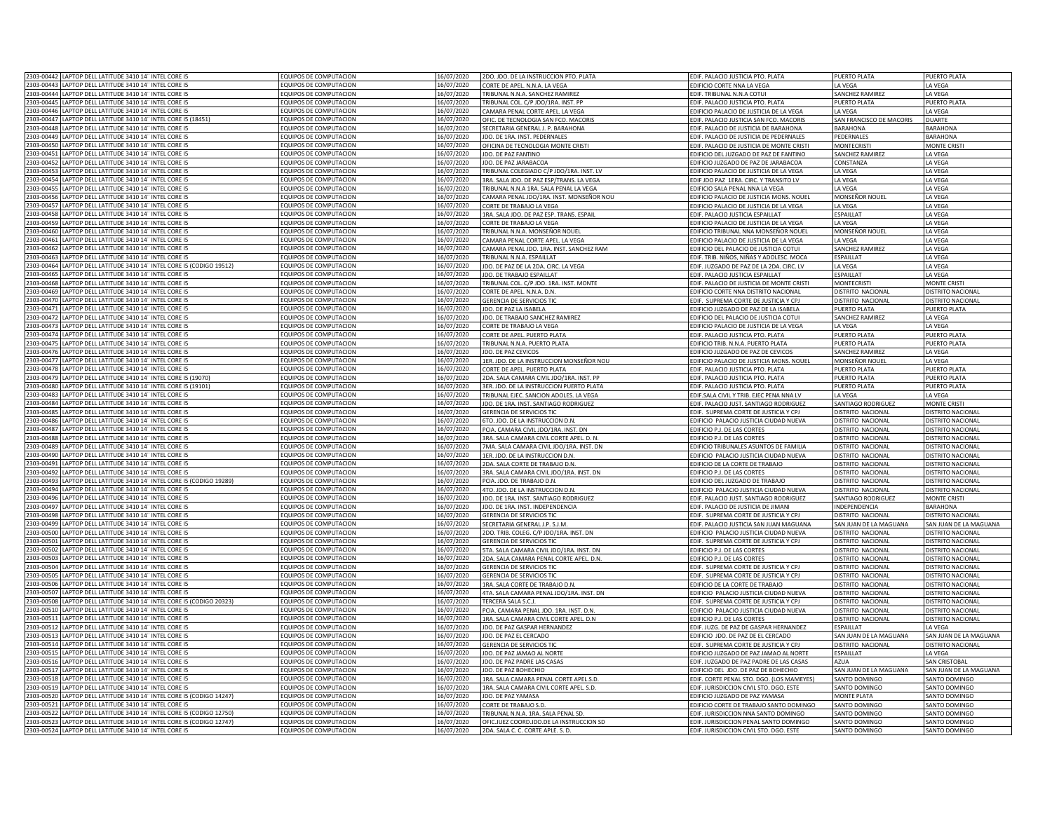|                          | 2303-00442 LAPTOP DELL LATITUDE 3410 14" INTEL CORE I5                                    | EQUIPOS DE COMPUTACION                         | 16/07/2020              | 2DO. JDO. DE LA INSTRUCCION PTO. PLATA         | EDIF. PALACIO JUSTICIA PTO. PLATA         | PUERTO PLATA             | PUERTO PLATA             |
|--------------------------|-------------------------------------------------------------------------------------------|------------------------------------------------|-------------------------|------------------------------------------------|-------------------------------------------|--------------------------|--------------------------|
|                          | 2303-00443 LAPTOP DELL LATITUDE 3410 14" INTEL CORE I5                                    | EQUIPOS DE COMPUTACION                         | 16/07/2020              | CORTE DE APEL. N.N.A. LA VEGA                  | EDIFICIO CORTE NNA LA VEGA                | LA VEGA                  | LA VEGA                  |
|                          |                                                                                           |                                                |                         |                                                |                                           |                          |                          |
|                          | 2303-00444 LAPTOP DELL LATITUDE 3410 14" INTEL CORE I5                                    | EQUIPOS DE COMPUTACION                         | 16/07/2020              | TRIBUNAL N.N.A. SANCHEZ RAMIREZ                | EDIF. TRIBUNAL N.N.A COTUI                | SANCHEZ RAMIREZ          | LA VEGA                  |
| 2303-00445               | LAPTOP DELL LATITUDE 3410 14" INTEL CORE I5                                               | EQUIPOS DE COMPUTACION                         | 16/07/2020              | TRIBUNAL COL. C/P JDO/1RA. INST. PP            | EDIF. PALACIO JUSTICIA PTO. PLATA         | PUERTO PLATA             | PUERTO PLATA             |
| 2303-00446               | LAPTOP DELL LATITUDE 3410 14" INTEL CORE I5                                               | <b>QUIPOS DE COMPUTACION</b>                   | 6/07/2020               | CAMARA PENAL CORTE APEL. LA VEGA               | EDIFICIO PALACIO DE JUSTICIA DE LA VEGA   | LA VEGA                  | LA VEGA                  |
| 2303-00447               | APTOP DELL LATITUDE 3410 14" INTEL CORE I5 (18451)                                        | OUIPOS DE COMPUTACION                          | 6/07/2020               | OFIC. DE TECNOLOGIA SAN FCO. MACORIS           | EDIF. PALACIO JUSTICIA SAN FCO. MACORIS   | SAN FRANCISCO DE MACORIS | <b>DUARTE</b>            |
| 2303-00448               | APTOP DELL LATITUDE 3410 14" INTEL CORE I5                                                | QUIPOS DE COMPUTACION                          | 6/07/2020               | <b>FCRETARIA GENERAL L.P. BARAHONA</b>         | EDIF. PALACIO DE JUSTICIA DE BARAHONA     | BARAHONA                 | <b>BARAHONA</b>          |
| 2303-00449               | APTOP DELL LATITUDE 3410 14" INTEL CORE I5                                                | QUIPOS DE COMPUTACION                          | 16/07/2020              | DO. DE 1RA. INST. PEDERNALES                   | EDIF. PALACIO DE JUSTICIA DE PEDERNALES   | PEDERNALES               | <b>BARAHONA</b>          |
| 2303-00450               | APTOP DELL LATITUDE 3410 14" INTEL CORE I5                                                | QUIPOS DE COMPUTACION                          | 6/07/2020               | OFICINA DE TECNOLOGIA MONTE CRISTI             | EDIF. PALACIO DE JUSTICIA DE MONTE CRISTI | MONTECRISTI              | <b>MONTE CRISTI</b>      |
| 2303-00451               | LAPTOP DELL LATITUDE 3410 14" INTEL CORE I5                                               | EQUIPOS DE COMPUTACION                         | 6/07/2020               | DO. DE PAZ FANTINO                             | DIFICIO DEL JUZGADO DE PAZ DE FANTINO     | <b>SANCHEZ RAMIREZ</b>   | A VEGA                   |
| 2303-00452               | LAPTOP DELL LATITUDE 3410 14" INTEL CORE I5                                               | EQUIPOS DE COMPUTACION                         | 16/07/2020              | JDO. DE PAZ JARABACOA                          | EDIFICIO JUZGADO DE PAZ DE JARABACOA      | CONSTANZA                | LA VEGA                  |
|                          |                                                                                           |                                                |                         |                                                |                                           |                          |                          |
| 2303-00453               | LAPTOP DELL LATITUDE 3410 14" INTEL CORE I5                                               | EQUIPOS DE COMPUTACION                         | 16/07/2020              | TRIBUNAL COLEGIADO C/P JDO/1RA. INST. LV       | EDIFICIO PALACIO DE JUSTICIA DE LA VEGA   | LA VEGA                  | LA VEGA                  |
| 2303-00454               | LAPTOP DELL LATITUDE 3410 14" INTEL CORE I5                                               | EQUIPOS DE COMPUTACION                         | 16/07/2020              | 3RA. SALA JDO. DE PAZ ESP/TRANS. LA VEGA       | EDIF JDO PAZ 1ERA. CIRC. Y TRANSITO LV    | LA VEGA                  | LA VEGA                  |
| 2303-0045                | APTOP DELL LATITUDE 3410 14" INTEL CORE I5                                                | <b>QUIPOS DE COMPUTACION</b>                   | 6/07/2020               | TRIBUNAL N.N.A 1RA. SALA PENAL LA VEGA         | EDIFICIO SALA PENAL NNA LA VEGA           | LA VEGA                  | LA VEGA                  |
| 2303-00456               | APTOP DELL LATITUDE 3410 14" INTEL CORE I5                                                | QUIPOS DE COMPUTACION                          | 6/07/2020               | CAMARA PENAL JDO/1RA. INST. MONSEÑOR NOU       | EDIFICIO PALACIO DE JUSTICIA MONS. NOUEL  | MONSEÑOR NOUEL           | LA VEGA                  |
| 2303-00457               | APTOP DELL LATITUDE 3410 14" INTEL CORE I5                                                | QUIPOS DE COMPUTACION                          | 6/07/2020               | CORTE DE TRABAJO LA VEGA                       | EDIFICIO PALACIO DE JUSTICIA DE LA VEGA   | LA VEGA                  | LA VEGA                  |
| 2303-00458               | APTOP DELLI ATITUDE 3410 14" INTEL CORE IS                                                | OUIPOS DE COMPUTACION                          | 16/07/2020              | IRA. SALA JDO. DE PAZ ESP. TRANS. ESPAIL       | EDIF. PALACIO JUSTICIA ESPAILLAT          | ESPAILLAT                | LA VEGA                  |
| 2303-00459               | LAPTOP DELL LATITUDE 3410 14" INTEL CORE I5                                               | <b>QUIPOS DE COMPUTACION</b>                   | 16/07/2020              | CORTE DE TRABAJO LA VEGA                       | EDIFICIO PALACIO DE JUSTICIA DE LA VEGA   | LA VEGA                  | LA VEGA                  |
| 2303-00460               | LAPTOP DELL LATITUDE 3410 14" INTEL CORE I5                                               | <b>QUIPOS DE COMPUTACION</b>                   | 16/07/2020              | TRIBUNAL N.N.A. MONSEÑOR NOUEL                 | EDIFICIO TRIBUNAL NNA MONSEÑOR NOUEL      | MONSEÑOR NOUEL           | LA VEGA                  |
| 2303-00461               | LAPTOP DELL LATITUDE 3410 14" INTEL CORE I5                                               | <b>QUIPOS DE COMPUTACION</b>                   | 16/07/2020              | CAMARA PENAL CORTE APEL. LA VEGA               | EDIFICIO PALACIO DE JUSTICIA DE LA VEGA   | LA VEGA                  | LA VEGA                  |
| 2303-00462               | LAPTOP DELL LATITUDE 3410 14" INTEL CORE I5                                               | <b>EQUIPOS DE COMPUTACION</b>                  | 6/07/2020               | CAMARA PENAL JDO. 1RA. INST. SANCHEZ RAM       | EDIFICIO DEL PALACIO DE JUSTICIA COTUI    | SANCHEZ RAMIREZ          | LA VEGA                  |
| 2303-00463               | APTOP DELLI ATITUDE 3410 14" INTEL CORE IS                                                | <b>COUIPOS DE COMPUTACION</b>                  | 6/07/2020               | <b>FRIBUNAL N.N.A. ESPAILLAT</b>               | EDIF. TRIB. NIÑOS, NIÑAS Y ADOLESC. MOCA  | <b>FSPAILLAT</b>         | LA VEGA                  |
| 2303-00464               | LAPTOP DELL LATITUDE 3410 14" INTEL CORE IS (CODIGO 19512)                                | <b>COUIPOS DE COMPUTACION</b>                  | 6/07/2020               | DO. DE PAZ DE LA 2DA. CIRC. LA VEGA            | EDIF, JUZGADO DE PAZ DE LA 2DA, CIRC, LV  | <b>A VFGA</b>            | LA VEGA                  |
| 2303-00465               | APTOP DELL LATITUDE 3410 14" INTEL CORE I5                                                | QUIPOS DE COMPUTACION                          | 6/07/2020               | DO. DE TRABAJO ESPAILLAT                       | DIE, PALACIO JUSTICIA ESPAILLAT           | ESPAILLAT                | A VEGA                   |
| 2303-00468               | APTOP DELL LATITUDE 3410 14" INTEL CORE I5                                                | OUIPOS DE COMPUTACION                          | 6/07/2020               | RIBUNAL COL. C/P JDO. 1RA. INST. MONTE         | DIF. PALACIO DE JUSTICIA DE MONTE CRISTI  | MONTECRISTI              | <b>MONTE CRIST</b>       |
| 2303-00469               | APTOP DELL LATITUDE 3410 14" INTEL CORE IS                                                | OUIPOS DE COMPUTACION                          |                         | ORTE DE APEL. N.N.A. D.N.                      |                                           | <b>JISTRITO NACIONA</b>  | <b>ISTRITO NACIONA</b>   |
|                          |                                                                                           |                                                | 6/07/2020               |                                                | EDIFICIO CORTE NNA DISTRITO NACIONAL      |                          |                          |
| 2303-00470               | APTOP DELL LATITUDE 3410 14" INTEL CORE I5                                                | <b>QUIPOS DE COMPUTACION</b>                   | 6/07/2020               | GERENCIA DE SERVICIOS TIC                      | EDIF. SUPREMA CORTE DE JUSTICIA Y CPJ     | DISTRITO NACIONAL        | DISTRITO NACIONAL        |
| 2303-00471               | LAPTOP DELL LATITUDE 3410 14" INTEL CORE I5                                               | EQUIPOS DE COMPUTACION                         | 16/07/2020              | JDO. DE PAZ LA ISABELA                         | EDIFICIO JUZGADO DE PAZ DE LA ISABELA     | PUERTO PLATA             | PUERTO PLATA             |
| 2303-00472               | LAPTOP DELL LATITUDE 3410 14" INTEL CORE I5                                               | EQUIPOS DE COMPUTACION                         | 16/07/2020              | JDO. DE TRABAJO SANCHEZ RAMIREZ                | EDIFICIO DEL PALACIO DE JUSTICIA COTUI    | <b>SANCHEZ RAMIREZ</b>   | LA VEGA                  |
| 2303-0047                | APTOP DELL LATITUDE 3410 14" INTEL CORE I5                                                | EQUIPOS DE COMPUTACION                         | 16/07/2020              | CORTE DE TRABAJO LA VEGA                       | EDIFICIO PALACIO DE JUSTICIA DE LA VEGA   | <b>IA VFGA</b>           | LA VEGA                  |
| 2303-0047                | APTOP DELLI ATITUDE 3410 14" INTEL CORE IS                                                | OUIPOS DE COMPUTACION                          | 16/07/2020              | CORTE DE APEL. PUERTO PLATA                    | EDIF. PALACIO JUSTICIA PTO. PLATA         | PUFRTO PLATA             | PUERTO PLATA             |
| 2303-0047                | APTOP DELL LATITUDE 3410 14" INTEL CORE I5                                                | OUIPOS DE COMPUTACION                          | 16/07/2020              | TRIBUNAL N.N.A. PUFRTO PLATA                   | FDIFICIO TRIB. N.N.A. PUFRTO PLATA        | PUFRTO PLATA             | PUERTO PLATA             |
| 2303-0047                | APTOP DELL LATITUDE 3410 14" INTEL CORE I5                                                | <b>COUIPOS DE COMPUTACION</b>                  | 16/07/2020              | <b>JDO. DE PAZ CEVICOS</b>                     | EDIFICIO JUZGADO DE PAZ DE CEVICOS        | SANCHEZ RAMIREZ          | LA VEGA                  |
| 2303-0047                | APTOP DELL LATITUDE 3410 14" INTEL CORE I!                                                | OUIPOS DE COMPUTACION                          | 16/07/2020              | 1ER. IDO. DE LA INSTRUCCION MONSEÑOR NOU       | EDIFICIO PALACIO DE IUSTICIA MONS. NOUFI  | MONSEÑOR NOUE            | <b>IA VEGA</b>           |
| 2303-00478               | LAPTOP DELL LATITUDE 3410 14" INTEL CORE I5                                               | EQUIPOS DE COMPUTACION                         | 16/07/2020              | CORTE DE APEL. PUERTO PLATA                    | EDIF. PALACIO JUSTICIA PTO. PLATA         | PUERTO PLATA             | PUFRTO PLATA             |
| 2303-00479               | LAPTOP DELL LATITUDE 3410 14" INTEL CORE I5 (19070)                                       | EQUIPOS DE COMPUTACION                         | 16/07/2020              | 2DA. SALA CAMARA CIVIL JDO/1RA. INST. PP       | EDIF. PALACIO JUSTICIA PTO. PLATA         | PUERTO PLATA             | <b>PUERTO PLATA</b>      |
| 2303-00480               | LAPTOP DELL LATITUDE 3410 14" INTEL CORE I5 (19101)                                       | EQUIPOS DE COMPUTACION                         | 16/07/2020              | 3ER. JDO. DE LA INSTRUCCION PUERTO PLATA       | EDIF. PALACIO JUSTICIA PTO. PLATA         | PUERTO PLATA             | PUERTO PLATA             |
| 2303-00483               | APTOP DELL LATITUDE 3410 14" INTEL CORE I5                                                | EQUIPOS DE COMPUTACION                         |                         |                                                |                                           |                          |                          |
|                          | APTOP DELL LATITUDE 3410 14" INTEL CORE I5                                                | OUIPOS DE COMPUTACION                          | 16/07/2020<br>6/07/2020 | TRIBUNAL EJEC. SANCION ADOLES. LA VEGA         | EDIF.SALA CIVIL Y TRIB. EJEC PENA NNA LV  | LA VEGA                  | LA VEGA                  |
| 2303-00484               |                                                                                           |                                                |                         | DO. DE 1RA. INST. SANTIAGO RODRIGUEZ           | EDIF. PALACIO JUST. SANTIAGO RODRIGUEZ    | SANTIAGO RODRIGUEZ       | MONTE CRISTI             |
| 2303-00485               | APTOP DELL LATITUDE 3410 14" INTEL CORE I5                                                | <b>QUIPOS DE COMPUTACION</b>                   | 6/07/2020               | <b>GERENCIA DE SERVICIOS TIC</b>               | EDIF. SUPREMA CORTE DE JUSTICIA Y CPJ     | DISTRITO NACIONAL        | DISTRITO NACIONAL        |
| 2303-00486               | APTOP DELL LATITUDE 3410 14" INTEL CORE I5                                                | <b>QUIPOS DE COMPUTACION</b>                   | 6/07/2020               | 6TO. JDO. DE LA INSTRUCCION D.N                | EDIFICIO PALACIO JUSTICIA CIUDAD NUEVA    | DISTRITO NACIONAL        | <b>ISTRITO NACIONAL</b>  |
| 2303-00487               | APTOP DELL LATITUDE 3410 14" INTEL CORE I5                                                | <b>QUIPOS DE COMPUTACION</b>                   | 6/07/2020               | PCIA. CAMARA CIVIL JDO/1RA. INST. DN           | EDIFICIO P.J. DE LAS CORTES               | DISTRITO NACIONAL        | <b>ISTRITO NACIONAL</b>  |
| 2303-00488               | APTOP DELL LATITUDE 3410 14" INTEL CORE I5                                                | EQUIPOS DE COMPUTACION                         | 6/07/2020               | 3RA. SALA CAMARA CIVIL CORTE APEL. D. N.       | EDIFICIO P.J. DE LAS CORTES               | DISTRITO NACIONAL        | <b>ISTRITO NACIONAL</b>  |
| 2303-00489               | LAPTOP DELL LATITUDE 3410 14" INTEL CORE I5                                               | <b>QUIPOS DE COMPUTACION</b>                   | 6/07/2020               | 7MA. SALA CAMARA CIVIL JDO/1RA. INST. DN       | EDIFICIO TRIBUNALES ASUNTOS DE FAMILIA    | DISTRITO NACIONAL        | <b>DISTRITO NACIONAL</b> |
| 2303-00490               | LAPTOP DELL LATITUDE 3410 14" INTEL CORE I5                                               | EQUIPOS DE COMPUTACION                         | 16/07/2020              | 1ER. JDO. DE LA INSTRUCCION D.N.               | EDIFICIO PALACIO JUSTICIA CIUDAD NUEVA    | <b>DISTRITO NACIONAL</b> | DISTRITO NACIONAL        |
| 2303-00491               | LAPTOP DELL LATITUDE 3410 14" INTEL CORE I5                                               | EQUIPOS DE COMPUTACION                         | 16/07/2020              | 2DA. SALA CORTE DE TRABAJO D.N                 | EDIFICIO DE LA CORTE DE TRABAJO           | DISTRITO NACIONAL        | DISTRITO NACIONA         |
| 2303-00492               | APTOP DELL LATITUDE 3410 14" INTEL CORE I5                                                | QUIPOS DE COMPUTACION                          | 6/07/2020               | 3RA. SALA CAMARA CIVIL JDO/1RA. INST. DN       | EDIFICIO P.J. DE LAS CORTES               | DISTRITO NACIONAL        | DISTRITO NACIONAL        |
| 2303-0049                | APTOP DELL LATITUDE 3410 14" INTEL CORE IS (CODIGO 19289)                                 | OUIPOS DE COMPUTACION                          | 16/07/2020              | PCIA. JDO. DE TRABAJO D.N                      | EDIFICIO DEL JUZGADO DE TRABAJO           | DISTRITO NACIONAL        | DISTRITO NACIONA         |
| 2303-00494               | APTOP DELL LATITUDE 3410 14" INTEL CORE I5                                                | QUIPOS DE COMPUTACION                          | 6/07/2020               | 4TO. JDO. DE LA INSTRUCCION D.N                | FDIFICIO PALACIO IUSTICIA CIUDAD NUFVA    | DISTRITO NACIONAL        | <b>DISTRITO NACIONAL</b> |
| 2303-0049                | APTOP DELL LATITUDE 3410 14" INTEL CORE I5                                                | QUIPOS DE COMPUTACION                          | 16/07/2020              | JDO. DE 1RA. INST. SANTIAGO RODRIGUEZ          | EDIF. PALACIO JUST. SANTIAGO RODRIGUEZ    | SANTIAGO RODRIGUEZ       | MONTE CRISTI             |
| 2303-00497               | LAPTOP DELL LATITUDE 3410 14" INTEL CORE I5                                               | <b>QUIPOS DE COMPUTACION</b>                   | 6/07/2020               | JDO. DE 1RA. INST. INDEPENDENCIA               | EDIF. PALACIO DE JUSTICIA DE JIMANI       | INDEPENDENCIA            | <b>BARAHONA</b>          |
| 2303-00498               | LAPTOP DELL LATITUDE 3410 14" INTEL CORE I5                                               | <b>QUIPOS DE COMPUTACION</b>                   | 6/07/2020               | <b>GERENCIA DE SERVICIOS TIC</b>               | EDIF. SUPREMA CORTE DE JUSTICIA Y CPJ     | DISTRITO NACIONAL        | DISTRITO NACIONAL        |
| 2303-00499               | LAPTOP DELL LATITUDE 3410 14" INTEL CORE I5                                               | EQUIPOS DE COMPUTACION                         | 16/07/2020              | SECRETARIA GENERAL J.P. S.J.M.                 | EDIF. PALACIO JUSTICIA SAN JUAN MAGUANA   | SAN JUAN DE LA MAGUANA   | SAN JUAN DE LA MAGUANA   |
| 2303-00500               | LAPTOP DELL LATITUDE 3410 14" INTEL CORE I5                                               | <b>EQUIPOS DE COMPUTACION</b>                  | 16/07/2020              |                                                |                                           |                          |                          |
|                          |                                                                                           |                                                |                         | 2DO. TRIB. COLEG. C/P JDO/1RA. INST. DN        | EDIFICIO PALACIO JUSTICIA CIUDAD NUEVA    | DISTRITO NACIONAL        | DISTRITO NACIONAL        |
| 2303-00501<br>2303-00502 | LAPTOP DELL LATITUDE 3410 14" INTEL CORE I5<br>APTOP DELL LATITUDE 3410 14" INTEL CORE IS | QUIPOS DE COMPUTACION<br>OUIPOS DE COMPUTACION | 6/07/2020<br>6/07/2020  | <b>GERENCIA DE SERVICIOS TIC</b>               | EDIF. SUPREMA CORTE DE JUSTICIA Y CPJ     | DISTRITO NACIONAL        | DISTRITO NACIONAL        |
|                          |                                                                                           |                                                |                         | TA. SALA CAMARA CIVIL JDO/1RA. INST. DN        | EDIFICIO P.J. DE LAS CORTES               | DISTRITO NACIONAL        | <b>DISTRITO NACIONAL</b> |
| 2303-00503               | APTOP DELL LATITUDE 3410 14" INTEL CORE I5                                                | QUIPOS DE COMPUTACION                          | 6/07/2020               | <b>2DA, SALA CAMARA PENAL CORTE APEL, D.N.</b> | DIFICIO P. L DE LAS CORTES                | <b>JISTRITO NACIONAL</b> | <b>ISTRITO NACIONAL</b>  |
| 2303-00504               | APTOP DELL LATITUDE 3410 14" INTEL CORE I5                                                | QUIPOS DE COMPUTACION                          | 6/07/2020               | <b>GERENCIA DE SERVICIOS TIC</b>               | DIF. SUPREMA CORTE DE JUSTICIA Y CPJ      | <b>ISTRITO NACIONAL</b>  | <b>ISTRITO NACIONAL</b>  |
| 2303-0050                | APTOP DELL LATITUDE 3410 14" INTEL CORE I5                                                | OUIPOS DE COMPUTACION                          | 6/07/2020               | <b>GERENCIA DE SERVICIOS TIO</b>               | EDIF. SUPREMA CORTE DE JUSTICIA Y CPJ     | <b>ISTRITO NACIONAL</b>  | <b>ISTRITO NACIONAL</b>  |
| 2303-00506               | APTOP DELL LATITUDE 3410 14" INTEL CORE I5                                                | EQUIPOS DE COMPUTACION                         | 6/07/2020               | 1RA. SALA CORTE DE TRABAJO D.N                 | DIFICIO DE LA CORTE DE TRABAJO            | ISTRITO NACIONAL         | <b>ISTRITO NACIONAL</b>  |
| 2303-00507               | LAPTOP DELL LATITUDE 3410 14" INTEL CORE I5                                               | EQUIPOS DE COMPUTACION                         | 16/07/2020              | 4TA. SALA CAMARA PENAL JDO/1RA. INST. DN       | EDIFICIO PALACIO JUSTICIA CIUDAD NUEVA    | DISTRITO NACIONAL        | DISTRITO NACIONAL        |
| 2303-00508               | LAPTOP DELL LATITUDE 3410 14" INTEL CORE I5 (CODIGO 20323)                                | EQUIPOS DE COMPUTACION                         | 16/07/2020              | TERCERA SALA S.C.J.                            | EDIF. SUPREMA CORTE DE JUSTICIA Y CPJ     | DISTRITO NACIONAL        | DISTRITO NACIONAL        |
| 2303-0051                | APTOP DELL LATITUDE 3410 14" INTEL CORE I5                                                | EQUIPOS DE COMPUTACION                         | 16/07/2020              | PCIA. CAMARA PENAL JDO. 1RA. INST. D.N         | EDIFICIO PALACIO JUSTICIA CIUDAD NUEVA    | DISTRITO NACIONAL        | <b>DISTRITO NACIONAL</b> |
| 2303-00511               | APTOP DELL LATITUDE 3410 14" INTEL CORE I5                                                | OUIPOS DE COMPUTACION                          | 6/07/2020               | 1RA, SALA CAMARA CIVIL CORTE APEL, D.N.        | <b>EDIFICIO P.I. DE LAS CORTES</b>        | DISTRITO NACIONAL        | DISTRITO NACIONA         |
| 2303-00512               | APTOP DELLI ATITUDE 3410 14" INTEL CORE IS                                                | OUIPOS DE COMPUTACION                          | 6/07/2020               | JDO. DE PAZ GASPAR HERNANDEZ                   | EDIF. JUZG. DE PAZ DE GASPAR HERNANDEZ    | <b>FSPAILLAT</b>         | <b>IA VFGA</b>           |
| 2303-0051                | APTOP DELL LATITUDE 3410 14" INTEL CORE I5                                                | <b>QUIPOS DE COMPUTACION</b>                   | 16/07/2020              | IDO. DE PAZ EL CERCADO                         | EDIFICIO JDO, DE PAZ DE EL CERCADO        | SAN JUAN DE LA MAGUANA   | SAN IUAN DE LA MAGUANA   |
| 2303-00514               | APTOP DELL LATITUDE 3410 14" INTEL CORE IS                                                | OUIPOS DE COMPUTACION                          | 16/07/2020              | <b>GERENCIA DE SERVICIOS TIO</b>               | EDIF. SUPREMA CORTE DE JUSTICIA Y CPJ     | DISTRITO NACIONAL        | DISTRITO NACIONAL        |
| 2303-00515               | LAPTOP DELL LATITUDE 3410 14" INTEL CORE I5                                               | EQUIPOS DE COMPUTACION                         | 16/07/2020              | JDO. DE PAZ JAMAO AL NORTE                     | EDIFICIO JUZGADO DE PAZ JAMAO AL NORTE    | <b>FSPAILLAT</b>         | LA VEGA                  |
| 2303-00516               | LAPTOP DELL LATITUDE 3410 14" INTEL CORE I5                                               | EQUIPOS DE COMPUTACION                         | 16/07/2020              | DO. DE PAZ PADRE LAS CASAS                     | EDIF. JUZGADO DE PAZ PADRE DE LAS CASAS   | AZUA                     | <b>SAN CRISTOBAL</b>     |
|                          | LAPTOP DELL LATITUDE 3410 14" INTEL CORE I5                                               |                                                |                         |                                                |                                           |                          |                          |
| 2303-00517               |                                                                                           | EQUIPOS DE COMPUTACION                         | 16/07/2020              | JDO. DE PAZ BOHECHIO                           | EDIFICIO DEL JDO. DE PAZ DE BOHECHIO      | SAN JUAN DE LA MAGUANA   | SAN JUAN DE LA MAGUANA   |
| 2303-00518               | APTOP DELL LATITUDE 3410 14" INTEL CORE I5                                                | EQUIPOS DE COMPUTACION                         | 16/07/2020              | 1RA. SALA CAMARA PENAL CORTE APEL.S.D.         | EDIF. CORTE PENAL STO. DGO. (LOS MAMEYES) | SANTO DOMINGO            | SANTO DOMINGO            |
| 2303-00519               | APTOP DELL LATITUDE 3410 14" INTEL CORE I5                                                | <b>QUIPOS DE COMPUTACION</b>                   | 6/07/2020               | 1RA. SALA CAMARA CIVIL CORTE APEL. S.D.        | EDIF. JURISDICCION CIVIL STO. DGO. ESTE   | SANTO DOMINGO            | SANTO DOMINGO            |
| 2303-00520               | APTOP DELL LATITUDE 3410 14" INTEL CORE I5 (CODIGO 14247)                                 | OUIPOS DE COMPUTACION                          | 6/07/2020               | DO. DE PAZ YAMASA                              | EDIFICIO JUZGADO DE PAZ YAMASA            | <b>MONTE PLATA</b>       | <b>SANTO DOMINGO</b>     |
| 2303-00521               | APTOP DELL LATITUDE 3410 14" INTEL CORE I5                                                | QUIPOS DE COMPUTACION                          | 6/07/2020               | ORTE DE TRABAJO S.D.                           | EDIFICIO CORTE DE TRABAJO SANTO DOMINGO   | SANTO DOMINGO            | <b>SANTO DOMINGO</b>     |
| 2303-00522               | APTOP DELL LATITUDE 3410 14" INTEL CORE I5 (CODIGO 12750)                                 | OUIPOS DE COMPUTACION                          | 6/07/2020               | RIBUNAL N.N.A. 1RA. SALA PENAL SD.             | EDIF. JURISDICCION NNA SANTO DOMINGO      | SANTO DOMINGO            | <b>SANTO DOMINGO</b>     |
| 2303-00523               | LAPTOP DELL LATITUDE 3410 14" INTEL CORE I5 (CODIGO 12747)                                | <b>QUIPOS DE COMPUTACION</b>                   | 6/07/2020               | OFICJUEZ COORD.JDO.DE LA INSTRUCCION SD        | EDIF. JURISDICCION PENAL SANTO DOMINGO    | SANTO DOMINGO            | ANTO DOMINGO             |
|                          | 2303-00524 LAPTOP DELL LATITUDE 3410 14" INTEL CORE I5                                    | EQUIPOS DE COMPUTACION                         | 16/07/2020              | 2DA. SALA C. C. CORTE APLE. S. D.              | EDIF. JURISDICCION CIVIL STO. DGO. ESTE   | SANTO DOMINGO            | SANTO DOMINGO            |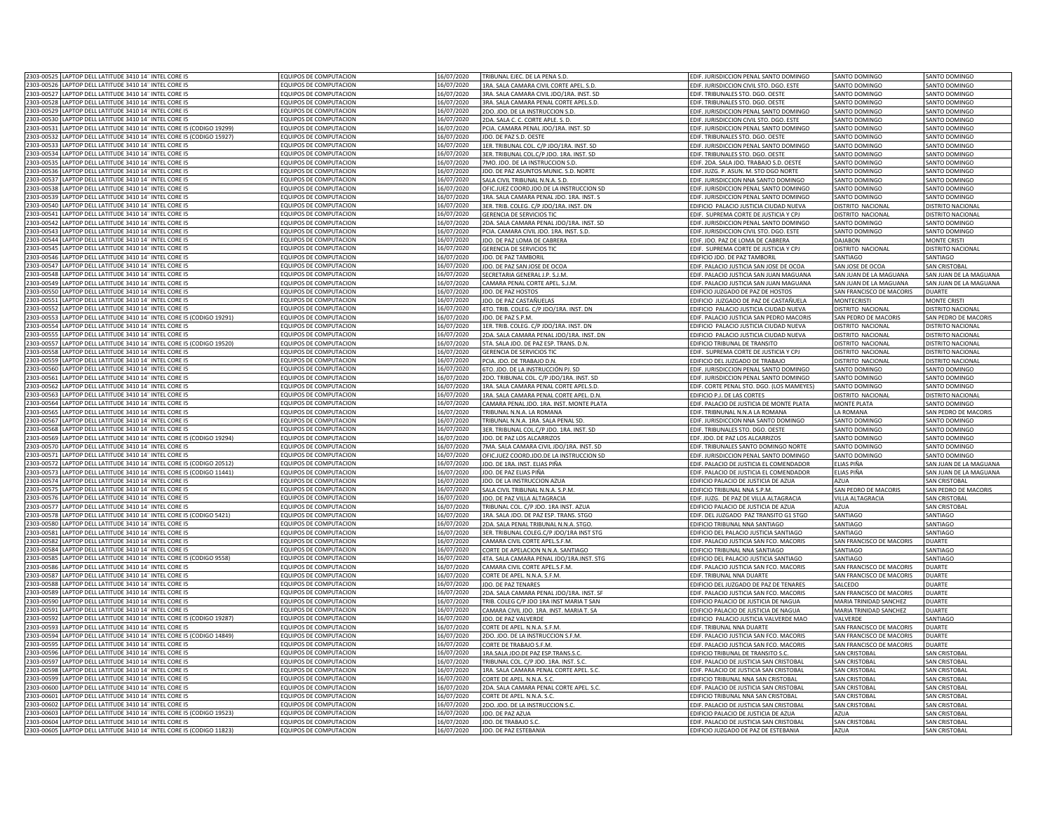| 2303-00526 | LAPTOP DELL LATITUDE 3410 14" INTEL CORE I5                | EQUIPOS DE COMPUTACION                                 | 16/07/2020 | TRIBUNAL EJEC. DE LA PENA S.D.                    | EDIF. JURISDICCION PENAL SANTO DOMINGO        | SANTO DOMINGO                      | SANTO DOMINGO            |
|------------|------------------------------------------------------------|--------------------------------------------------------|------------|---------------------------------------------------|-----------------------------------------------|------------------------------------|--------------------------|
|            | LAPTOP DELL LATITUDE 3410 14" INTEL CORE I5                | EQUIPOS DE COMPUTACION                                 | 16/07/2020 | 1RA. SALA CAMARA CIVIL CORTE APEL. S.D.           | EDIF. JURISDICCION CIVIL STO. DGO. ESTE       | SANTO DOMINGO                      | SANTO DOMINGO            |
| 2303-00527 | LAPTOP DELL LATITUDE 3410 14" INTEL CORE I5                | EQUIPOS DE COMPUTACION                                 | 16/07/2020 | 3RA. SALA CAMARA CIVIL JDO/1RA. INST. SD          | EDIF. TRIBUNALES STO. DGO. OESTE              | SANTO DOMINGO                      | SANTO DOMINGO            |
| 303-00528  | LAPTOP DELL LATITUDE 3410 14" INTEL CORE I5                | EQUIPOS DE COMPUTACION                                 | 16/07/2020 |                                                   |                                               |                                    |                          |
|            |                                                            |                                                        |            | 3RA. SALA CAMARA PENAL CORTE APEL.S.D.            | EDIF. TRIBUNALES STO. DGO. OESTE              | SANTO DOMINGO                      | SANTO DOMINGO            |
| 303-00529  | LAPTOP DELL LATITUDE 3410 14" INTEL CORE I5                | EQUIPOS DE COMPUTACION                                 | 16/07/2020 | 2DO. JDO. DE LA INSTRUCCION S.D.                  | EDIF. JURISDICCION PENAL SANTO DOMINGO        | SANTO DOMINGO                      | SANTO DOMINGO            |
| 303-00530  | APTOP DELL LATITUDE 3410 14" INTEL CORE IS                 | FOUIPOS DE COMPUTACION                                 | 16/07/2020 | 2DA. SALA C. C. CORTE APLE. S. D.                 | EDIF. JURISDICCION CIVIL STO. DGO. ESTE       | SANTO DOMINGO                      | SANTO DOMINGO            |
| 303-00531  | LAPTOP DELL LATITUDE 3410 14" INTEL CORE I5 (CODIGO 19299) | EQUIPOS DE COMPUTACION                                 | 16/07/2020 | PCIA. CAMARA PENAL JDO/1RA. INST. SD              | EDIF. JURISDICCION PENAL SANTO DOMINGO        | <b>SANTO DOMINGO</b>               | SANTO DOMINGO            |
| 303-0053   | APTOP DELL LATITUDE 3410 14" INTEL CORE I5 (CODIGO 15927)  | <b>QUIPOS DE COMPUTACION</b>                           | 16/07/2020 | IDO. DE PAZ S.D. OESTE                            | EDIF. TRIBUNALES STO. DGO. OESTE              | <b>SANTO DOMINGO</b>               | <b>ANTO DOMINGO</b>      |
| 303-0053   | APTOP DELL LATITUDE 3410 14" INTEL CORE I5                 | <b>QUIPOS DE COMPUTACION</b>                           | 16/07/2020 | LER. TRIBUNAL COL. C/P JDO/1RA. INST. SD          | EDIF. JURISDICCION PENAL SANTO DOMINGO        | ANTO DOMINGO                       | ANTO DOMINGO             |
| 303-00534  | LAPTOP DELL LATITUDE 3410 14" INTEL CORE I5                | EQUIPOS DE COMPUTACION                                 | 16/07/2020 | ER. TRIBUNAL COL.C/P JDO. 1RA. INST. SD           | EDIF. TRIBUNALES STO. DGO. OESTE              | ANTO DOMINGO                       | ANTO DOMINGO             |
| 303-00535  | LAPTOP DELL LATITUDE 3410 14" INTEL CORE I5                | EQUIPOS DE COMPUTACION                                 | 16/07/2020 | 7MO. JDO. DE LA INSTRUCCION S.D.                  | EDIF. 2DA. SALA JDO. TRABAJO S.D. OESTE       | SANTO DOMINGO                      | SANTO DOMINGO            |
| 303-00536  | LAPTOP DELL LATITUDE 3410 14" INTEL CORE I5                | EQUIPOS DE COMPUTACION                                 | 16/07/2020 | JDO. DE PAZ ASUNTOS MUNIC. S.D. NORTE             | EDIF. JUZG. P. ASUN. M. STO DGO NORTE         | SANTO DOMINGO                      | SANTO DOMINGO            |
| 303-00537  | LAPTOP DELL LATITUDE 3410 14" INTEL CORE I5                | EQUIPOS DE COMPUTACION                                 | 16/07/2020 | SALA CIVIL TRIBUNAL N.N.A. S.D.                   | EDIF. JURISDICCION NNA SANTO DOMINGO          | SANTO DOMINGO                      | SANTO DOMINGO            |
| 303-0053   | LAPTOP DELL LATITUDE 3410 14" INTEL CORE I5                | <b>EQUIPOS DE COMPUTACION</b>                          | 16/07/2020 | OFICJUEZ COORD.JDO.DE LA INSTRUCCION SD           | EDIF. JURISDICCION PENAL SANTO DOMINGO        | <b>ANTO DOMINGO</b>                | SANTO DOMINGO            |
| 303-00539  | LAPTOP DELL LATITUDE 3410 14" INTEL CORE I5                | <b>EQUIPOS DE COMPUTACION</b>                          | 16/07/2020 |                                                   |                                               | SANTO DOMINGC                      | SANTO DOMINGO            |
|            |                                                            |                                                        |            | 1RA. SALA CAMARA PENAL JDO. 1RA. INST. S          | EDIF. JURISDICCION PENAL SANTO DOMINGO        |                                    |                          |
| 303-0054   | LAPTOP DELL LATITUDE 3410 14" INTEL CORE I5                | <b>EQUIPOS DE COMPUTACION</b>                          | 16/07/2020 | 3ER. TRIB. COLEG. C/P JDO/1RA. INST. DN           | EDIFICIO PALACIO JUSTICIA CIUDAD NUEVA        | DISTRITO NACIONAL                  | DISTRITO NACIONA         |
| 303-0054   | LAPTOP DELL LATITUDE 3410 14" INTEL CORE I5                | EQUIPOS DE COMPUTACION                                 | 16/07/2020 | GERENCIA DE SERVICIOS TIO                         | EDIF. SUPREMA CORTE DE JUSTICIA Y CP.         | <b>DISTRITO NACIONAL</b>           | DISTRITO NACIONA         |
| 303-00542  | LAPTOP DELL LATITUDE 3410 14" INTEL CORE I5                | EQUIPOS DE COMPUTACION                                 | 16/07/2020 | 2DA. SALA CAMARA PENAL JDO/1RA. INST. SD          | EDIF. JURISDICCION PENAL SANTO DOMINGO        | SANTO DOMINGO                      | SANTO DOMINGO            |
| 303-00543  | LAPTOP DELL LATITUDE 3410 14" INTEL CORE I5                | EQUIPOS DE COMPUTACION                                 | 16/07/2020 | PCIA. CAMARA CIVIL JDO. 1RA. INST. S.D.           | EDIF. JURISDICCION CIVIL STO. DGO. ESTE       | SANTO DOMINGO                      | SANTO DOMINGO            |
| 303-00544  | LAPTOP DELL LATITUDE 3410 14" INTEL CORE I5                | EQUIPOS DE COMPUTACION                                 | 16/07/2020 | JDO. DE PAZ LOMA DE CABRERA                       | EDIF. JDO. PAZ DE LOMA DE CABRERA             | DAJABON                            | <b>MONTE CRISTI</b>      |
| 303-00545  | LAPTOP DELL LATITUDE 3410 14" INTEL CORE I5                | EQUIPOS DE COMPUTACION                                 | 16/07/2020 | GERENCIA DE SERVICIOS TIC                         | EDIF. SUPREMA CORTE DE JUSTICIA Y CPJ         | DISTRITO NACIONAL                  | DISTRITO NACIONAL        |
| 303-00546  | LAPTOP DELL LATITUDE 3410 14" INTEL CORE I5                | <b>COUIPOS DE COMPUTACION</b>                          | 16/07/2020 | JDO. DE PAZ TAMBORIL                              | EDIFICIO JDO. DE PAZ TAMBORIL                 | SANTIAGO                           | SANTIAGO                 |
| 303-00547  | LAPTOP DELL LATITUDE 3410 14" INTEL CORE I5                | OUIPOS DE COMPUTACION                                  | 6/07/2020  | IDO. DE PAZ SAN JOSE DE OCOA                      | EDIF. PALACIO JUSTICIA SAN JOSE DE OCOA       | AN JOSE DE OCOA                    | SAN CRISTORAL            |
| 303-00548  | LAPTOP DELL LATITUDE 3410 14" INTEL CORE I5                | <b>QUIPOS DE COMPUTACION</b>                           | 16/07/2020 | SECRETARIA GENERAL J.P. S.J.M.                    | DIF. PALACIO JUSTICIA SAN JUAN MAGUANA        |                                    |                          |
| 303-0054   |                                                            | <b>OUIPOS DE COMPUTACION</b>                           |            |                                                   |                                               | AN JUAN DE LA MAGUANA              | SAN JUAN DE LA MAGUANA   |
|            | APTOP DELL LATITUDE 3410 14" INTEL CORE I5                 |                                                        | 6/07/2020  | AMARA PENAL CORTE APEL. S.J.M.                    | EDIF. PALACIO JUSTICIA SAN JUAN MAGUANA       | AN JUAN DE LA MAGUANA              | SAN JUAN DE LA MAGUANA   |
| 303-0055   | APTOP DELL LATITUDE 3410 14" INTEL CORE I5                 | <b>OUIPOS DE COMPUTACION</b>                           | 16/07/2020 | <b>IDO. DE PAZ HOSTOS</b>                         | EDIFICIO JUZGADO DE PAZ DE HOSTOS             | <b>SAN FRANCISCO DE MACORIS</b>    | DUARTE                   |
| 303-00551  | LAPTOP DELL LATITUDE 3410 14" INTEL CORE I5                | <b>EQUIPOS DE COMPUTACION</b>                          | 16/07/2020 | IDO. DE PAZ CASTAÑUELAS                           | EDIFICIO JUZGADO DE PAZ DE CASTAÑUELA         | <b>MONTECRISTI</b>                 | MONTE CRISTI             |
| 303-00552  | LAPTOP DELL LATITUDE 3410 14" INTEL CORE I5                | EQUIPOS DE COMPUTACION                                 | 16/07/2020 | 4TO. TRIB. COLEG. C/P JDO/1RA. INST. DN           | EDIFICIO PALACIO JUSTICIA CIUDAD NUEVA        | ISTRITO NACIONAL                   | DISTRITO NACIONA         |
| 303-00553  | LAPTOP DELL LATITUDE 3410 14" INTEL CORE I5 (CODIGO 19291) | EQUIPOS DE COMPUTACION                                 | 16/07/2020 | JDO, DE PAZ S.P.M                                 | EDIF. PALACIO JUSTICIA SAN PEDRO MACORIS      | SAN PEDRO DE MACORIS               | SAN PEDRO DE MACORIS     |
| 303-00554  | LAPTOP DELL LATITUDE 3410 14" INTEL CORE I5                | FOUIPOS DE COMPUTACION                                 | 16/07/2020 | 1ER. TRIB. COLEG. C/P JDO/1RA. INST. DN           | EDIFICIO PALACIO JUSTICIA CIUDAD NUEVA        | <b>JISTRITO NACIONA</b>            | DISTRITO NACIONA         |
| 303-0055   | LAPTOP DELL LATITUDE 3410 14" INTEL CORE IS                | EQUIPOS DE COMPUTACION                                 | 16/07/2020 | 2DA, SALA CAMARA PENAL JDO/1RA, INST, DN          | EDIFICIO PALACIO JUSTICIA CIUDAD NUEVA        | <b>ISTRITO NACIONAL</b>            | DISTRITO NACIONA         |
| 303-0055   | LAPTOP DELL LATITUDE 3410 14" INTEL CORE I5 (CODIGO 19520) | <b>EQUIPOS DE COMPUTACION</b>                          | 16/07/2020 | 5TA. SALA JDO. DE PAZ ESP. TRANS. D.N             | EDIFICIO TRIBUNAL DE TRANSITO                 | <b>ISTRITO NACIONAL</b>            | DISTRITO NACIONA         |
| 303-0055   | LAPTOP DELL LATITUDE 3410 14" INTEL CORE I5                | EQUIPOS DE COMPUTACION                                 | 16/07/2020 | <b>GERENCIA DE SERVICIOS TIO</b>                  | EDIF. SUPREMA CORTE DE JUSTICIA Y CPJ         | DISTRITO NACIONAL                  | DISTRITO NACIONAL        |
|            |                                                            |                                                        |            |                                                   |                                               |                                    |                          |
| 303-0055   | LAPTOP DELL LATITUDE 3410 14" INTEL CORE I5                | EQUIPOS DE COMPUTACION                                 | 16/07/2020 | PCIA. JDO. DE TRABAJO D.N.                        | EDIFICIO DEL JUZGADO DE TRABAJO               | DISTRITO NACIONAL                  | DISTRITO NACIONAL        |
| 1303-00560 | LAPTOP DELL LATITUDE 3410 14" INTEL CORE I5                | EQUIPOS DE COMPUTACION                                 | 16/07/2020 | 6TO. JDO. DE LA INSTRUCCIÓN PJ. SD                | EDIF. JURISDICCION PENAL SANTO DOMINGO        | SANTO DOMINGO                      | SANTO DOMINGO            |
| 1303-00561 | LAPTOP DELL LATITUDE 3410 14" INTEL CORE I5                | EQUIPOS DE COMPUTACION                                 | 16/07/2020 | 2DO. TRIBUNAL COL. C/P JDO/1RA. INST. SD          | EDIF. JURISDICCION PENAL SANTO DOMINGO        | SANTO DOMINGO                      | SANTO DOMINGO            |
| 303-00562  | LAPTOP DELL LATITUDE 3410 14" INTEL CORE I5                | EQUIPOS DE COMPUTACION                                 | 16/07/2020 | 1RA. SALA CAMARA PENAL CORTE APEL.S.D.            | EDIF. CORTE PENAL STO. DGO. (LOS MAMEYES)     | SANTO DOMINGO                      | SANTO DOMINGO            |
| 303-00563  | LAPTOP DELL LATITUDE 3410 14" INTEL CORE I5                | EQUIPOS DE COMPUTACION                                 | 16/07/2020 | 1RA. SALA CAMARA PENAL CORTE APEL. D.N            | EDIFICIO P.J. DE LAS CORTES                   | DISTRITO NACIONAL                  | <b>DISTRITO NACIONAL</b> |
| 303-00564  | LAPTOP DELL LATITUDE 3410 14" INTEL CORE I5                | EQUIPOS DE COMPUTACION                                 | 16/07/2020 | CAMARA PENAL JDO. 1RA. INST. MONTE PLATA          | EDIF. PALACIO DE JUSTICIA DE MONTE PLATA      | MONTE PLATA                        | SANTO DOMINGO            |
| 303-00565  | LAPTOP DELL LATITUDE 3410 14" INTEL CORE I5                | EQUIPOS DE COMPUTACION                                 | 16/07/2020 | TRIBUNAL N.N.A. LA ROMANA                         | EDIF. TRIBNUNAL N.N.A LA ROMANA               | A ROMANA                           | SAN PEDRO DE MACORIS     |
| 303-00567  | LAPTOP DELL LATITUDE 3410 14" INTEL CORE I5                | EQUIPOS DE COMPUTACION                                 | 16/07/2020 | RIBUNAL N.N.A. 1RA. SALA PENAL SD.                | EDIF. JURISDICCION NNA SANTO DOMINGO          | <b>ANTO DOMINGO</b>                | <b>ANTO DOMINGO</b>      |
| 303-00568  | APTOP DELL LATITUDE 3410 14" INTEL CORE I5                 | EQUIPOS DE COMPUTACION                                 | 16/07/2020 | ER. TRIBUNAL COL.C/P JDO. 1RA. INST. SD           | EDIF. TRIBUNALES STO. DGO. OESTE              | ANTO DOMINGO                       | ANTO DOMINGO             |
| 303-00569  | LAPTOP DELL LATITUDE 3410 14" INTEL CORE I5 (CODIGO 19294) | EQUIPOS DE COMPUTACION                                 | 16/07/2020 | DO. DE PAZ LOS ALCARRIZOS                         | EDF. JDO. DE PAZ LOS ALCARRIZOS               | ANTO DOMINGO                       | ANTO DOMINGO             |
|            |                                                            |                                                        |            |                                                   |                                               |                                    |                          |
| 303-0057   | LAPTOP DELL LATITUDE 3410 14" INTEL CORE I5                | <b>QUIPOS DE COMPUTACION</b>                           | 16/07/2020 | 7MA. SALA CAMARA CIVIL JDO/1RA. INST. SD          | EDIF. TRIBUNALES SANTO DOMINGO NORTE          | SANTO DOMINGO                      | SANTO DOMINGO            |
| 303-00571  | LAPTOP DELL LATITUDE 3410 14" INTEL CORE I5                | EQUIPOS DE COMPUTACION                                 | 16/07/2020 | OFICJUEZ COORD.JDO.DE LA INSTRUCCION SD           | EDIF. JURISDICCION PENAL SANTO DOMINGO        | <b>SANTO DOMINGO</b>               | SANTO DOMINGO            |
| 303-00572  | LAPTOP DELL LATITUDE 3410 14" INTEL CORE I5 (CODIGO 20512) | EQUIPOS DE COMPUTACION                                 | 16/07/2020 | JDO. DE 1RA. INST. ELIAS PIÑA                     | EDIF. PALACIO DE JUSTICIA EL COMENDADOR       | ELIAS PIÑA                         | SAN JUAN DE LA MAGUANA   |
| 303-0057   | LAPTOP DELL LATITUDE 3410 14" INTEL CORE I5 (CODIGO 11441) | EQUIPOS DE COMPUTACION                                 | 16/07/2020 | JDO. DE PAZ ELIAS PIÑA                            | EDIF. PALACIO DE JUSTICIA EL COMENDADOR       | ELIAS PIÑA                         | SAN JUAN DE LA MAGUANA   |
| 303-0057   | LAPTOP DELL LATITUDE 3410 14" INTEL CORE I5                | FOUIPOS DE COMPUTACION                                 | 16/07/2020 |                                                   |                                               |                                    |                          |
| 303-0057   |                                                            |                                                        |            | JDO. DE LA INSTRUCCION AZUA                       | EDIFICIO PALACIO DE JUSTICIA DE AZUA          | A7UA                               | SAN CRISTOBAL            |
| 303-0057   | LAPTOP DELL LATITUDE 3410 14" INTEL CORE I5                | <b>EQUIPOS DE COMPUTACION</b>                          | 16/07/2020 | SALA CIVIL TRIBUNAL N.N.A. S.P.M                  |                                               |                                    |                          |
|            |                                                            |                                                        |            |                                                   | EDIFICIO TRIBUNAL NNA S.P.M.                  | SAN PEDRO DE MACORIS               | SAN PEDRO DE MACORIS     |
|            | LAPTOP DELL LATITUDE 3410 14" INTEL CORE I5                | EQUIPOS DE COMPUTACION                                 | 16/07/2020 | JDO. DE PAZ VILLA ALTAGRACIA                      | EDIF. JUZG. DE PAZ DE VILLA ALTAGRACIA        | VILLA ALTAGRACIA                   | <b>SAN CRISTOBA</b>      |
| 303-00577  | LAPTOP DELL LATITUDE 3410 14" INTEL CORE I5                | <b>QUIPOS DE COMPUTACION</b>                           | 16/07/2020 | TRIBUNAL COL. C/P JDO. 1RA INST. AZUA             | EDIFICIO PALACIO DE JUSTICIA DE AZUA          | A7UA                               | <b>SAN CRISTOBAL</b>     |
| 303-00578  | LAPTOP DELL LATITUDE 3410 14" INTEL CORE I5 (CODIGO 5421)  | EQUIPOS DE COMPUTACION                                 | 16/07/2020 | 1RA. SALA JDO. DE PAZ ESP. TRANS. STGO            | EDIF. DEL JUZGADO PAZ TRANSITO G1 STGO        | SANTIAGO                           | SANTIAGO                 |
| 303-00580  | LAPTOP DELL LATITUDE 3410 14" INTEL CORE I5                | EQUIPOS DE COMPUTACION                                 | 16/07/2020 | 2DA. SALA PENAL TRIBUNAL N.N.A. STGO.             | EDIFICIO TRIBUNAL NNA SANTIAGO                | SANTIAGO                           | SANTIAGO                 |
| 303-00581  | LAPTOP DELL LATITUDE 3410 14" INTEL CORE I5                | EQUIPOS DE COMPUTACION                                 | 16/07/2020 | 3ER. TRIBUNAL COLEG.C/P JDO/1RA INST STG          | EDIFICIO DEL PALACIO JUSTICIA SANTIAGO        | SANTIAGO                           | SANTIAGO                 |
| 303-0058   | LAPTOP DELL LATITUDE 3410 14" INTEL CORE I5                | EQUIPOS DE COMPUTACION                                 | 16/07/2020 | CAMARA CIVIL CORTE APEL.S.F.M.                    | EDIF. PALACIO JUSTICIA SAN FCO. MACORIS       | SAN FRANCISCO DE MACORIS           | <b>DUARTE</b>            |
| 303-00584  | APTOP DELL LATITUDE 3410 14" INTEL CORE IS                 | OUIPOS DE COMPUTACION                                  | 16/07/2020 | CORTE DE APELACION N.N.A. SANTIAGO                | FDIFICIO TRIBUNAL NNA SANTIAGO                | SANTIAGO                           | SANTIAGO                 |
| 303-00585  | APTOP DELL LATITUDE 3410 14" INTEL CORE I5 (CODIGO 9558)   | <b>QUIPOS DE COMPUTACION</b>                           | 16/07/2020 | 4TA. SALA CAMARA PENAL JDO/1RA.INST. STG          | EDIFICIO DEL PALACIO JUSTICIA SANTIAGO        | <b>ANTIAGO</b>                     | SANTIAGO                 |
| 303-00586  | APTOP DELL LATITUDE 3410 14" INTEL CORE I5                 | <b>QUIPOS DE COMPUTACION</b>                           | 16/07/2020 | CAMARA CIVIL CORTE APEL.S.F.M.                    | EDIF. PALACIO JUSTICIA SAN FCO. MACORIS       | AN FRANCISCO DE MACORIS            | <b>DUARTE</b>            |
| 303-0058   |                                                            |                                                        |            |                                                   |                                               |                                    | <b>JUARTE</b>            |
| 303-00588  | APTOP DELL LATITUDE 3410 14" INTEL CORE I5                 | <b>QUIPOS DE COMPUTACION</b><br>EQUIPOS DE COMPUTACION | 16/07/2020 | ORTE DE APEL. N.N.A. S.F.M.<br>DO. DE PAZ TENARES | EDIF. TRIBUNAL NNA DUARTE                     | AN FRANCISCO DE MACORIS<br>AI CEDC | <b>UARTE</b>             |
|            | LAPTOP DELL LATITUDE 3410 14" INTEL CORE I5                |                                                        | 16/07/2020 |                                                   | <b>EDIFICIO DEL JUZGADO DE PAZ DE TENARES</b> |                                    |                          |
| 303-00589  | LAPTOP DELL LATITUDE 3410 14" INTEL CORE I5                | EQUIPOS DE COMPUTACION                                 | 16/07/2020 | 2DA. SALA CAMARA PENAL JDO/1RA. INST. SF          | EDIF. PALACIO JUSTICIA SAN FCO. MACORIS       | SAN FRANCISCO DE MACORIS           | <b>DUARTE</b>            |
| 303-00590  | LAPTOP DELL LATITUDE 3410 14" INTEL CORE I5                | EQUIPOS DE COMPUTACION                                 | 16/07/2020 | TRIB. COLEG C/P JDO 1RA INST MARIA T SAN          | EDIFICIO PALACIO DE JUSTICIA DE NAGUA         | MARIA TRINIDAD SANCHEZ             | <b>DUARTE</b>            |
| 303-00591  | LAPTOP DELL LATITUDE 3410 14" INTEL CORE I5                | FOUIPOS DE COMPUTACION                                 | 16/07/2020 | CAMARA CIVIL JDO. 1RA. INST. MARIA T. SA          | EDIFICIO PALACIO DE JUSTICIA DE NAGUA         | MARIA TRINIDAD SANCHEZ             | <b>DUARTE</b>            |
| 303-0059   | LAPTOP DELL LATITUDE 3410 14" INTEL CORE I5 (CODIGO 19287) | <b>COUIPOS DE COMPUTACION</b>                          | 16/07/2020 | IDO. DE PAZ VAI VERDI                             | EDIFICIO PALACIO IUSTICIA VALVERDE MAC        | <b>VAI VERDI</b>                   | SANTIAGO                 |
| 303-0059   | LAPTOP DELL LATITUDE 3410 14" INTEL CORE IS                | <b>EQUIPOS DE COMPUTACION</b>                          | 16/07/2020 | CORTE DE APEL. N.N.A. S.F.M.                      | FDIF. TRIBUNAL NNA DUARTI                     | SAN FRANCISCO DE MACORIS           | <b>DUARTE</b>            |
| 303-0059   | LAPTOP DELL LATITUDE 3410 14" INTEL CORE I5 (CODIGO 14849) | <b>EQUIPOS DE COMPUTACION</b>                          | 16/07/2020 | 2DO. IDO. DE LA INSTRUCCION S.E.M.                | EDIF, PALACIO JUSTICIA SAN FCO, MACORIS       | SAN FRANCISCO DE MACORIS           | DUARTE                   |
| 303-0059   | LAPTOP DELL LATITUDE 3410 14" INTEL CORE I5                | FOUIPOS DE COMPUTACION                                 | 16/07/2020 | CORTE DE TRABAJO S.F.M                            | EDIF. PALACIO JUSTICIA SAN FCO. MACORIS       | SAN FRANCISCO DE MACORIS           | DUARTE                   |
| 303-00596  | LAPTOP DELL LATITUDE 3410 14" INTEL CORE I5                | EQUIPOS DE COMPUTACION                                 | 16/07/2020 | 1RA.SALA JDO.DE PAZ ESP.TRANS.S.C.                | EDIFICIO TRIBUNAL DE TRANSITO S.C.            | <b>SAN CRISTOBAL</b>               | <b>SAN CRISTOBAL</b>     |
|            |                                                            |                                                        |            |                                                   |                                               |                                    |                          |
| 303-00597  | LAPTOP DELL LATITUDE 3410 14" INTEL CORE I5                | EQUIPOS DE COMPUTACION                                 | 16/07/2020 | TRIBUNAL COL. C/P JDO. 1RA. INST. S.C             | EDIF. PALACIO DE JUSTICIA SAN CRISTOBAL       | <b>SAN CRISTOBAL</b>               | <b>SAN CRISTOBAL</b>     |
| 1303-00598 | LAPTOP DELL LATITUDE 3410 14" INTEL CORE I5                | EQUIPOS DE COMPUTACION                                 | 16/07/2020 | 1RA. SALA CAMARA PENAL CORTE APEL. S.C.           | EDIF. PALACIO DE JUSTICIA SAN CRISTOBAL       | <b>SAN CRISTOBAL</b>               | <b>SAN CRISTOBAL</b>     |
| 303-0059   | LAPTOP DELL LATITUDE 3410 14" INTEL CORE I5                | EQUIPOS DE COMPUTACION                                 | 16/07/2020 | CORTE DE APEL. N.N.A. S.C.                        | EDIFICIO TRIBUNAL NNA SAN CRISTOBAL           | <b>SAN CRISTOBAL</b>               | <b>SAN CRISTOBAL</b>     |
| 303-00600  | LAPTOP DELL LATITUDE 3410 14" INTEL CORE I5                | EQUIPOS DE COMPUTACION                                 | 16/07/2020 | 2DA. SALA CAMARA PENAL CORTE APEL. S.C.           | EDIF. PALACIO DE JUSTICIA SAN CRISTOBAL       | SAN CRISTOBAL                      | SAN CRISTOBAL            |
| 303-00601  | LAPTOP DELL LATITUDE 3410 14" INTEL CORE I5                | FOUIPOS DE COMPUTACION                                 | 16/07/2020 | CORTE DE APEL. N.N.A. S.C.                        | FDIFICIO TRIBUNAL NNA SAN CRISTOBAL           | SAN CRISTORAL                      | SAN CRISTORAL            |
| 303-00602  | LAPTOP DELL LATITUDE 3410 14" INTEL CORE I5                | <b>COUIPOS DE COMPUTACION</b>                          | 16/07/2020 | 2DO. JDO. DE LA INSTRUCCION S.C.                  | EDIF. PALACIO DE JUSTICIA SAN CRISTOBAL       | SAN CRISTOBAL                      | SAN CRISTOBAL            |
| 303-00603  | APTOP DELL LATITUDE 3410 14" INTEL CORE I5 (CODIGO 19523)  | EQUIPOS DE COMPUTACION                                 | 16/07/2020 | <b>DO. DE PAZ AZUA</b>                            | EDIFICIO PALACIO DE JUSTICIA DE AZUA          | AZUA                               | SAN CRISTOBAL            |
| 303-00604  | LAPTOP DELL LATITUDE 3410 14" INTEL CORE I5                | <b>EQUIPOS DE COMPUTACION</b>                          | 16/07/2020 | JDO. DE TRABAJO S.C                               | EDIF. PALACIO DE JUSTICIA SAN CRISTOBAL       | SAN CRISTOBAL                      | <b>AN CRISTOBAL</b>      |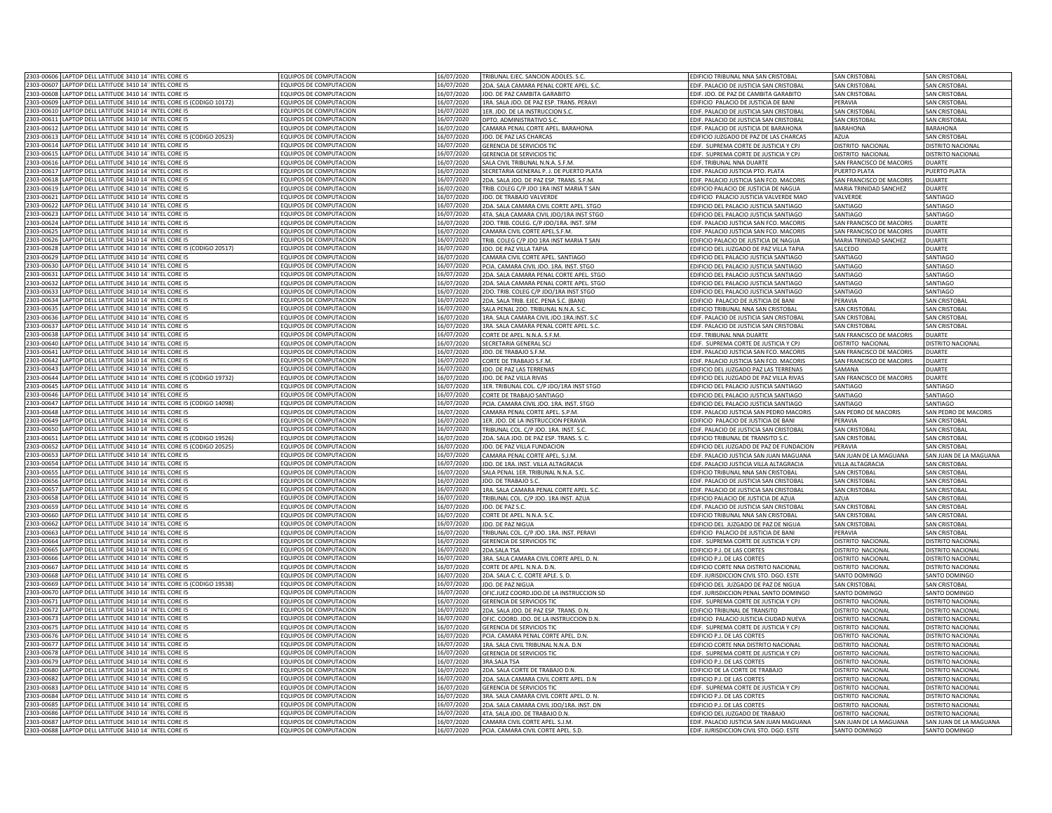| 2303-00606 LAPTOP DELL LATITUDE 3410 14" INTEL CORE I5<br>2303-00607 LAPTOP DELL LATITUDE 3410 14" INTEL CORE I5                                                                                                                                                                                                            | EQUIPOS DE COMPUTACION                           | 16/07/2020               | TRIBUNAL EJEC. SANCION ADOLES. S.C                                        | EDIFICIO TRIBUNAL NNA SAN CRISTOBAL                                                | SAN CRISTOBAL                                        | <b>SAN CRISTOBAL</b>                        |
|-----------------------------------------------------------------------------------------------------------------------------------------------------------------------------------------------------------------------------------------------------------------------------------------------------------------------------|--------------------------------------------------|--------------------------|---------------------------------------------------------------------------|------------------------------------------------------------------------------------|------------------------------------------------------|---------------------------------------------|
|                                                                                                                                                                                                                                                                                                                             | EQUIPOS DE COMPUTACION                           | 16/07/2020               | 2DA. SALA CAMARA PENAL CORTE APEL. S.C.                                   | EDIF. PALACIO DE JUSTICIA SAN CRISTOBAL                                            | SAN CRISTOBAL                                        | <b>SAN CRISTOBAL</b>                        |
| 2303-00608 LAPTOP DELL LATITUDE 3410 14" INTEL CORE I5                                                                                                                                                                                                                                                                      | EQUIPOS DE COMPUTACION                           | 16/07/2020               | JDO. DE PAZ CAMBITA GARABITO                                              | EDIF. JDO. DE PAZ DE CAMBITA GARABITO                                              | SAN CRISTOBAL                                        | <b>SAN CRISTOBAL</b>                        |
|                                                                                                                                                                                                                                                                                                                             |                                                  |                          |                                                                           |                                                                                    |                                                      |                                             |
| 2303-00609 LAPTOP DELL LATITUDE 3410 14" INTEL CORE I5 (CODIGO 10172)                                                                                                                                                                                                                                                       | EQUIPOS DE COMPUTACION                           | 16/07/2020               | 1RA. SALA JDO. DE PAZ ESP. TRANS. PERAVI                                  | EDIFICIO PALACIO DE JUSTICIA DE BANI                                               | PERAVIA                                              | <b>SAN CRISTOBAL</b>                        |
| 2303-00610 LAPTOP DELL LATITUDE 3410 14" INTEL CORE I5                                                                                                                                                                                                                                                                      | EQUIPOS DE COMPUTACION                           | 16/07/2020               | 1ER. JDO. DE LA INSTRUCCION S.C.                                          | EDIF. PALACIO DE JUSTICIA SAN CRISTOBAL                                            | SAN CRISTOBAL                                        | SAN CRISTOBAL                               |
| 2303-00611 LAPTOP DELL LATITUDE 3410 14" INTEL CORE IS                                                                                                                                                                                                                                                                      | FOUIPOS DE COMPUTACION                           | 16/07/2020               | DPTO. ADMINISTRATIVO S.C.                                                 | DIF. PALACIO DE JUSTICIA SAN CRISTOBAL                                             | AN CRISTOBAL                                         | SAN CRISTOBAL                               |
| 2303-00612 LAPTOP DELL LATITUDE 3410 14" INTEL CORE I5                                                                                                                                                                                                                                                                      | EQUIPOS DE COMPUTACION                           | 16/07/2020               | CAMARA PENAL CORTE APEL. BARAHONA                                         | DIF. PALACIO DE JUSTICIA DE BARAHONA                                               | BARAHONA                                             | BARAHONA                                    |
| 2303-00613<br>LAPTOP DELL LATITUDE 3410 14" INTEL CORE I5 (CODIGO 20523)                                                                                                                                                                                                                                                    | EQUIPOS DE COMPUTACION                           | 16/07/2020               | JDO. DE PAZ LAS CHARCAS                                                   | DIFICIO JUZGADO DE PAZ DE LAS CHARCAS                                              | ZUA                                                  | <b>AN CRISTOBA</b>                          |
| 2303-00614<br>LAPTOP DELL LATITUDE 3410 14" INTEL CORE I5                                                                                                                                                                                                                                                                   | EQUIPOS DE COMPUTACION                           | 16/07/2020               | <b>GERENCIA DE SERVICIOS TIO</b>                                          | EDIF. SUPREMA CORTE DE JUSTICIA Y CPJ                                              | <b>DISTRITO NACIONAL</b>                             | <b>ISTRITO NACIONAL</b>                     |
| LAPTOP DELL LATITUDE 3410 14" INTEL CORE I5<br>2303-00615                                                                                                                                                                                                                                                                   | EQUIPOS DE COMPUTACION                           | 16/07/2020               | <b>GERENCIA DE SERVICIOS TIO</b>                                          | DIF. SUPREMA CORTE DE JUSTICIA Y CPJ                                               | <b>ISTRITO NACIONAL</b>                              | <b>JISTRITO NACIONAL</b>                    |
| 2303-00616 LAPTOP DELL LATITUDE 3410 14" INTEL CORE I5                                                                                                                                                                                                                                                                      | <b>EQUIPOS DE COMPUTACION</b>                    | 16/07/2020               | SALA CIVIL TRIBUNAL N.N.A. S.F.M.                                         | EDIF. TRIBUNAL NNA DUARTE                                                          | SAN FRANCISCO DE MACORIS                             | <b>DUARTE</b>                               |
|                                                                                                                                                                                                                                                                                                                             |                                                  |                          |                                                                           |                                                                                    |                                                      |                                             |
| LAPTOP DELL LATITUDE 3410 14" INTEL CORE I5<br>2303-00617                                                                                                                                                                                                                                                                   | EQUIPOS DE COMPUTACION                           | 16/07/2020               | SECRETARIA GENERAL P. J. DE PUERTO PLATA                                  | EDIF. PALACIO JUSTICIA PTO. PLATA                                                  | PUERTO PLATA                                         | PUERTO PLATA                                |
| 2303-00618 LAPTOP DELL LATITUDE 3410 14" INTEL CORE I5                                                                                                                                                                                                                                                                      | EQUIPOS DE COMPUTACION                           | 16/07/2020               | 2DA. SALA JDO. DE PAZ ESP. TRANS. S.F.M.                                  | EDIF. PALACIO JUSTICIA SAN FCO. MACORIS                                            | SAN FRANCISCO DE MACORIS                             | <b>DUARTE</b>                               |
| 2303-00619<br>LAPTOP DELL LATITUDE 3410 14" INTEL CORE I5                                                                                                                                                                                                                                                                   | EQUIPOS DE COMPUTACION                           | 16/07/2020               | TRIB. COLEG C/P JDO 1RA INST MARIA T SAN                                  | DIFICIO PALACIO DE JUSTICIA DE NAGUA                                               | MARIA TRINIDAD SANCHEZ                               | <b>DUARTE</b>                               |
| 2303-00621<br>LAPTOP DELL LATITUDE 3410 14" INTEL CORE I5                                                                                                                                                                                                                                                                   | EQUIPOS DE COMPUTACION                           | 16/07/2020               | JDO. DE TRABAJO VALVERDE                                                  | DIFICIO PALACIO JUSTICIA VALVERDE MAO                                              | VALVERDE                                             | SANTIAGO                                    |
| 2303-00622 LAPTOP DELL LATITUDE 3410 14" INTEL CORE I5                                                                                                                                                                                                                                                                      | EQUIPOS DE COMPUTACION                           | 16/07/2020               | 2DA. SALA CAMARA CIVIL CORTE APEL. STGO                                   | DIFICIO DEL PALACIO JUSTICIA SANTIAGO                                              | SANTIAGO                                             | SANTIAGO                                    |
| 2303-00623 LAPTOP DELL LATITUDE 3410 14" INTEL CORE I5                                                                                                                                                                                                                                                                      | EQUIPOS DE COMPUTACION                           | 16/07/2020               | 4TA. SALA CAMARA CIVIL JDO/1RA INST STGO                                  | DIFICIO DEL PALACIO JUSTICIA SANTIAGO                                              | SANTIAGO                                             | SANTIAGO                                    |
| 2303-00624 LAPTOP DELL LATITUDE 3410 14" INTEL CORE I5                                                                                                                                                                                                                                                                      | EQUIPOS DE COMPUTACION                           | 16/07/2020               | 2DO. TRIB. COLEG. C/P JDO/1RA. INST. SFM                                  | EDIF. PALACIO JUSTICIA SAN FCO. MACORIS                                            | SAN FRANCISCO DE MACORIS                             | <b>DUARTE</b>                               |
| 2303-00625<br>LAPTOP DELL LATITUDE 3410 14" INTEL CORE IS                                                                                                                                                                                                                                                                   | EQUIPOS DE COMPUTACION                           | 16/07/2020               | CAMARA CIVIL CORTE APEL.S.F.M.                                            | EDIF. PALACIO JUSTICIA SAN FCO. MACORIS                                            | SAN FRANCISCO DE MACORIS                             | <b>DUARTE</b>                               |
| 2303-00626<br>LAPTOP DELL LATITUDE 3410 14" INTEL CORE IS                                                                                                                                                                                                                                                                   | EQUIPOS DE COMPUTACION                           |                          |                                                                           |                                                                                    | MARIA TRINIDAD SANCHEZ                               | <b>DUARTE</b>                               |
|                                                                                                                                                                                                                                                                                                                             |                                                  | 16/07/2020               | TRIB. COLEG C/P JDO 1RA INST MARIA T SAN                                  | EDIFICIO PALACIO DE JUSTICIA DE NAGUA                                              |                                                      |                                             |
| LAPTOP DELL LATITUDE 3410 14" INTEL CORE I5 (CODIGO 20517)<br>2303-00628                                                                                                                                                                                                                                                    | FOUIPOS DE COMPUTACION                           | 16/07/2020               | JDO. DE PAZ VILLA TAPIA                                                   | DIFICIO DEL JUZGADO DE PAZ VILLA TAPIA                                             | SALCEDO                                              | DUARTE                                      |
| 2303-00629<br>LAPTOP DELL LATITUDE 3410 14" INTEL CORE I5                                                                                                                                                                                                                                                                   | EQUIPOS DE COMPUTACION                           | 16/07/2020               | CAMARA CIVIL CORTE APEL. SANTIAGO                                         | DIFICIO DEL PALACIO JUSTICIA SANTIAGO                                              | <b>ANTIAGO</b>                                       | SANTIAGO                                    |
| 2303-00630<br>LAPTOP DELL LATITUDE 3410 14" INTEL CORE I5                                                                                                                                                                                                                                                                   | EQUIPOS DE COMPUTACION                           | 16/07/2020               | PCIA. CAMARA CIVIL JDO. 1RA. INST. STGO                                   | DIFICIO DEL PALACIO JUSTICIA SANTIAGO                                              | <b>ANTIAGO</b>                                       | <b>ANTIAGO</b>                              |
| 2303-00631<br>APTOP DELL LATITUDE 3410 14" INTEL CORE I5                                                                                                                                                                                                                                                                    | FOUIPOS DE COMPUTACION                           | 6/07/2020                | 2DA. SALA CAMARA PENAL CORTE APEL. STGO                                   | DIFICIO DEL PALACIO JUSTICIA SANTIAGO                                              | ANTIAGO                                              | ANTIAGO                                     |
| LAPTOP DELL LATITUDE 3410 14" INTEL CORE I5<br>2303-00632                                                                                                                                                                                                                                                                   | EQUIPOS DE COMPUTACION                           | 16/07/2020               | 2DA. SALA CAMARA PENAL CORTE APEL. STGO                                   | DIFICIO DEL PALACIO JUSTICIA SANTIAGO                                              | ANTIAGO                                              | <b>ANTIAGO</b>                              |
| LAPTOP DELL LATITUDE 3410 14" INTEL CORE I5<br>2303-00633                                                                                                                                                                                                                                                                   | EQUIPOS DE COMPUTACION                           | 16/07/2020               | 2DO. TRIB. COLEG C/P JDO/1RA INST STGO                                    | EDIFICIO DEL PALACIO JUSTICIA SANTIAGO                                             | SANTIAGO                                             | SANTIAGO                                    |
| 2303-00634<br>LAPTOP DELL LATITUDE 3410 14" INTEL CORE I5                                                                                                                                                                                                                                                                   | EQUIPOS DE COMPUTACION                           | 16/07/2020               | 2DA. SALA TRIB. EJEC. PENA S.C. (BANI)                                    | EDIFICIO PALACIO DE JUSTICIA DE BANI                                               | PERAVIA                                              | <b>SAN CRISTOBA</b>                         |
| 2303-00635 LAPTOP DELL LATITUDE 3410 14" INTEL CORE I5                                                                                                                                                                                                                                                                      | EQUIPOS DE COMPUTACION                           | 16/07/2020               | SALA PENAL 2DO, TRIBUNAL N.N.A. S.                                        |                                                                                    | <b>SAN CRISTOBA</b>                                  | <b>SAN CRISTOBA</b>                         |
|                                                                                                                                                                                                                                                                                                                             |                                                  |                          |                                                                           | EDIFICIO TRIBUNAL NNA SAN CRISTOBAL                                                |                                                      |                                             |
| 2303-00636 LAPTOP DELL LATITUDE 3410 14" INTEL CORE I5                                                                                                                                                                                                                                                                      | EQUIPOS DE COMPUTACION                           | 16/07/2020               | 1RA. SALA CAMARA CIVIL JDO.1RA.INST. S.                                   | EDIF. PALACIO DE JUSTICIA SAN CRISTOBAL                                            | <b>SAN CRISTORAL</b>                                 | SAN CRISTORAL                               |
| LAPTOP DELL LATITUDE 3410 14" INTEL CORE IS<br>2303-00637                                                                                                                                                                                                                                                                   | EQUIPOS DE COMPUTACION                           | 16/07/2020               | 1RA. SALA CAMARA PENAL CORTE APEL. S.C                                    | FDIF. PALACIO DE IUSTICIA SAN CRISTOBAL                                            | <b>SAN CRISTORAL</b>                                 | <b>SAN CRISTOBAL</b>                        |
| 2303-00638 LAPTOP DELL LATITUDE 3410 14" INTEL CORE I5                                                                                                                                                                                                                                                                      | EQUIPOS DE COMPUTACION                           | 16/07/2020               | CORTE DE APFL. N.N.A. S.F.M                                               | FDIF. TRIBUNAL NNA DUART                                                           | AN FRANCISCO DE MACORIS                              | <b>DUARTE</b>                               |
| 2303-00640 LAPTOP DELL LATITUDE 3410 14" INTEL CORE IS                                                                                                                                                                                                                                                                      | <b>EQUIPOS DE COMPUTACION</b>                    | 16/07/2020               | SECRETARIA GENERAL SCJ                                                    | EDIF. SUPREMA CORTE DE JUSTICIA Y CPJ                                              | DISTRITO NACIONAL                                    | DISTRITO NACIONAL                           |
| 2303-00641 LAPTOP DELL LATITUDE 3410 14" INTEL CORE I5                                                                                                                                                                                                                                                                      | EQUIPOS DE COMPUTACION                           | 16/07/2020               | IDO. DE TRABAIO S.E.M.                                                    | EDIF. PALACIO JUSTICIA SAN FCO. MACORIS                                            | SAN FRANCISCO DE MACORIS                             | <b>DUARTE</b>                               |
| 2303-00642 LAPTOP DELL LATITUDE 3410 14" INTEL CORE I5                                                                                                                                                                                                                                                                      | EQUIPOS DE COMPUTACION                           | 16/07/2020               | CORTE DE TRABAJO S.F.M.                                                   | EDIF. PALACIO JUSTICIA SAN FCO. MACORIS                                            | SAN FRANCISCO DE MACORIS                             | <b>DUARTE</b>                               |
| 2303-00643 LAPTOP DELL LATITUDE 3410 14" INTEL CORE I5                                                                                                                                                                                                                                                                      | EQUIPOS DE COMPUTACION                           | 16/07/2020               | JDO. DE PAZ LAS TERRENAS                                                  | EDIFICIO DEL JUZGADO PAZ LAS TERRENAS                                              | SAMANA                                               | <b>DUARTE</b>                               |
| 2303-00644 LAPTOP DELL LATITUDE 3410 14" INTEL CORE I5 (CODIGO 19732)                                                                                                                                                                                                                                                       | EQUIPOS DE COMPUTACION                           | 16/07/2020               | JDO. DE PAZ VILLA RIVAS                                                   | DIFICIO DEL JUZGADO DE PAZ VILLA RIVAS                                             | SAN FRANCISCO DE MACORIS                             | <b>DUARTE</b>                               |
|                                                                                                                                                                                                                                                                                                                             |                                                  |                          |                                                                           |                                                                                    | SANTIAGO                                             | SANTIAGO                                    |
| 2303-00645 LAPTOP DELL LATITUDE 3410 14" INTEL CORE I5                                                                                                                                                                                                                                                                      | EQUIPOS DE COMPUTACION                           | 16/07/2020               | 1ER. TRIBUNAL COL. C/P JDO/1RA INST STGO                                  | DIFICIO DEL PALACIO JUSTICIA SANTIAGO                                              |                                                      |                                             |
| 2303-00646 LAPTOP DELL LATITUDE 3410 14" INTEL CORE IS                                                                                                                                                                                                                                                                      | FOUIPOS DE COMPUTACION                           | 16/07/2020               | CORTE DE TRABAJO SANTIAGO                                                 | DIFICIO DEL PALACIO JUSTICIA SANTIAGO                                              | ANTIAGO                                              | SANTIAGO                                    |
| 2303-00647<br>LAPTOP DELL LATITUDE 3410 14" INTEL CORE I5 (CODIGO 14098)                                                                                                                                                                                                                                                    | EQUIPOS DE COMPUTACION                           | 16/07/2020               | PCIA. CAMARA CIVIL JDO. 1RA. INST. STGO                                   | DIFICIO DEL PALACIO JUSTICIA SANTIAGO                                              | ANTIAGO                                              | <b>ANTIAGO</b>                              |
| 2303-00648<br>LAPTOP DELL LATITUDE 3410 14" INTEL CORE I5                                                                                                                                                                                                                                                                   | EQUIPOS DE COMPUTACION                           | 16/07/2020               | CAMARA PENAL CORTE APEL. S.P.M.                                           | DIF. PALACIO JUSTICIA SAN PEDRO MACORIS                                            | SAN PEDRO DE MACORIS                                 | SAN PEDRO DE MACORIS                        |
| 2303-00649<br>LAPTOP DELL LATITUDE 3410 14" INTEL CORE I5                                                                                                                                                                                                                                                                   | EQUIPOS DE COMPUTACION                           | 16/07/2020               | 1ER. JDO. DE LA INSTRUCCION PERAVIA                                       | DIFICIO PALACIO DE JUSTICIA DE BANI                                                | <b>ERAVIA</b>                                        | <b>AN CRISTOBAL</b>                         |
| 2303-00650 LAPTOP DELL LATITUDE 3410 14" INTEL CORE I5                                                                                                                                                                                                                                                                      | EQUIPOS DE COMPUTACION                           | 16/07/2020               | TRIBUNAL COL. C/P JDO. 1RA. INST. S.C                                     | DIF. PALACIO DE JUSTICIA SAN CRISTOBAL                                             | AN CRISTOBAL                                         | SAN CRISTOBAL                               |
| 2303-00651 LAPTOP DELL LATITUDE 3410 14" INTEL CORE I5 (CODIGO 19526)                                                                                                                                                                                                                                                       | EQUIPOS DE COMPUTACION                           | 16/07/2020               | 2DA. SALA JDO. DE PAZ ESP. TRANS. S. C                                    | EDIFICIO TRIBUNAL DE TRANSITO S.C                                                  | SAN CRISTOBAL                                        | <b>SAN CRISTOBAL</b>                        |
| 2303-00652 LAPTOP DELL LATITUDE 3410 14" INTEL CORE I5 (CODIGO 20525)                                                                                                                                                                                                                                                       | <b>EQUIPOS DE COMPUTACION</b>                    | 16/07/2020               | JDO. DE PAZ VILLA FUNDACION                                               | EDIFICIO DEL JUZGADO DE PAZ DE FUNDACION                                           | PFRAVIA                                              | <b>SAN CRISTOBAL</b>                        |
| 2303-00653 LAPTOP DELL LATITUDE 3410 14" INTEL CORE I5                                                                                                                                                                                                                                                                      | EQUIPOS DE COMPUTACION                           | 16/07/2020               | CAMARA PENAL CORTE APEL. S.J.M.                                           | DIF. PALACIO JUSTICIA SAN JUAN MAGUANA                                             | SAN JUAN DE LA MAGUANA                               | SAN JUAN DE LA MAGUANA                      |
| 2303-00654 LAPTOP DELL LATITUDE 3410 14" INTEL CORE I5                                                                                                                                                                                                                                                                      | EQUIPOS DE COMPUTACION                           | 16/07/2020               | JDO. DE 1RA. INST. VILLA ALTAGRACIA                                       | DIF. PALACIO JUSTICIA VILLA ALTAGRACIA                                             | <b>VILLA ALTAGRACIA</b>                              | SAN CRISTOBAL                               |
|                                                                                                                                                                                                                                                                                                                             | EQUIPOS DE COMPUTACION                           | 16/07/2020               | SALA PENAL 1ER, TRIBUNAL N.N.A. S.C                                       | DIFICIO TRIBUNAL NNA SAN CRISTOBAL                                                 | SAN CRISTOBAL                                        | <b>SAN CRISTOBAL</b>                        |
|                                                                                                                                                                                                                                                                                                                             |                                                  |                          |                                                                           |                                                                                    |                                                      |                                             |
| 2303-00655<br>LAPTOP DELL LATITUDE 3410 14" INTEL CORE I5                                                                                                                                                                                                                                                                   |                                                  |                          |                                                                           |                                                                                    |                                                      |                                             |
| LAPTOP DELL LATITUDE 3410 14" INTEL CORE I5                                                                                                                                                                                                                                                                                 | EQUIPOS DE COMPUTACION                           | 16/07/2020               | JDO. DE TRABAJO S.C                                                       | DIF. PALACIO DE JUSTICIA SAN CRISTOBAL                                             | <b>SAN CRISTOBAL</b>                                 | <b>SAN CRISTOBAL</b>                        |
|                                                                                                                                                                                                                                                                                                                             | EQUIPOS DE COMPUTACION                           | 16/07/2020               | 1RA. SALA CAMARA PENAL CORTE APEL. S.C                                    | DIF. PALACIO DE JUSTICIA SAN CRISTOBAL                                             | <b>SAN CRISTOBAL</b>                                 | <b>SAN CRISTOBAL</b>                        |
|                                                                                                                                                                                                                                                                                                                             | EQUIPOS DE COMPUTACION                           | 16/07/2020               | TRIBUNAL COL. C/P JDO. 1RA INST. AZUA                                     | EDIFICIO PALACIO DE JUSTICIA DE AZUA                                               | <b>AZUA</b>                                          | <b>SAN CRISTOBAL</b>                        |
| LAPTOP DELL LATITUDE 3410 14" INTEL CORE I5                                                                                                                                                                                                                                                                                 | EQUIPOS DE COMPUTACION                           | 16/07/2020               | JDO. DE PAZ S.C.                                                          | EDIF. PALACIO DE JUSTICIA SAN CRISTOBAL                                            | SAN CRISTOBAL                                        | <b>SAN CRISTOBAL</b>                        |
|                                                                                                                                                                                                                                                                                                                             |                                                  |                          |                                                                           |                                                                                    |                                                      |                                             |
| LAPTOP DELL LATITUDE 3410 14" INTEL CORE IS                                                                                                                                                                                                                                                                                 | EQUIPOS DE COMPUTACION<br>FOUIPOS DE COMPUTACION | 16/07/2020<br>16/07/2020 | CORTE DE APEL. N.N.A. S.C<br>JDO. DE PAZ NIGUA                            | EDIFICIO TRIBUNAL NNA SAN CRISTOBAL                                                | SAN CRISTOBAL<br>SAN CRISTOBAL                       | <b>SAN CRISTOBAL</b>                        |
|                                                                                                                                                                                                                                                                                                                             |                                                  |                          |                                                                           | DIFICIO DEL JUZGADO DE PAZ DE NIGUA                                                |                                                      | <b>SAN CRISTOBAL</b><br><b>AN CRISTOBAL</b> |
| LAPTOP DELL LATITUDE 3410 14" INTEL CORE I5                                                                                                                                                                                                                                                                                 | EQUIPOS DE COMPUTACION                           | 16/07/2020               | TRIBUNAL COL. C/P JDO. 1RA. INST. PERAVI                                  | DIFICIO PALACIO DE JUSTICIA DE BANI                                                | PERAVIA                                              |                                             |
| LAPTOP DELL LATITUDE 3410 14" INTEL CORE I5                                                                                                                                                                                                                                                                                 | EQUIPOS DE COMPUTACION                           | 16/07/2020               | GERENCIA DE SERVICIOS TIC                                                 | DIF. SUPREMA CORTE DE JUSTICIA Y CPJ                                               | DISTRITO NACIONAL                                    | <b>ISTRITO NACIONAL</b>                     |
| APTOP DELL LATITUDE 3410 14" INTEL CORE IS                                                                                                                                                                                                                                                                                  | FOUIPOS DE COMPUTACION                           | 6/07/2020                | 2DA.SAI A TSA                                                             | DIFICIO P.J. DE LAS CORTES                                                         | <b>ISTRITO NACIONAL</b>                              | <b>ISTRITO NACIONAL</b>                     |
| LAPTOP DELL LATITUDE 3410 14" INTEL CORE I5<br>2303-00666                                                                                                                                                                                                                                                                   | EQUIPOS DE COMPUTACION                           | 16/07/2020               | 3RA. SALA CAMARA CIVIL CORTE APEL. D. N.                                  | DIFICIO P.J. DE LAS CORTES                                                         | <b>ISTRITO NACIONAL</b>                              | <b>ISTRITO NACIONAL</b>                     |
| LAPTOP DELL LATITUDE 3410 14" INTEL CORE I5<br>2303-00667                                                                                                                                                                                                                                                                   | EQUIPOS DE COMPUTACION                           | 16/07/2020               | CORTE DE APEL. N.N.A. D.N.                                                | EDIFICIO CORTE NNA DISTRITO NACIONAL                                               | DISTRITO NACIONAL                                    | DISTRITO NACIONAL                           |
| 2303-00656<br>2303-00657 LAPTOP DELL LATITUDE 3410 14" INTEL CORE I5<br>2303-00658 LAPTOP DELL LATITUDE 3410 14" INTEL CORE I5<br>2303-00659<br>2303-00660 LAPTOP DELL LATITUDE 3410 14" INTEL CORE I5<br>2303-00662<br>2303-00663<br>2303-00664<br>2303-00665<br>2303-00668<br>LAPTOP DELL LATITUDE 3410 14" INTEL CORE IS | <b>EQUIPOS DE COMPUTACION</b>                    | 16/07/2020               | 2DA, SALA C. C. CORTE APLE, S. D.                                         | EDIF. JURISDICCION CIVIL STO. DGO. ESTE                                            | SANTO DOMINGC                                        | SANTO DOMINGO                               |
| LAPTOP DELL LATITUDE 3410 14" INTEL CORE I5 (CODIGO 19538)                                                                                                                                                                                                                                                                  | EQUIPOS DE COMPUTACION                           | 16/07/2020               | JDO, DE PAZ NIGUA                                                         | DIFICIO DEL JUZGADO DE PAZ DE NIGUA                                                | <b>AN CRISTOBAL</b>                                  | <b>SAN CRISTOBAL</b>                        |
|                                                                                                                                                                                                                                                                                                                             | EQUIPOS DE COMPUTACION                           | 16/07/2020               | OFICJUEZ COORD.JDO.DE LA INSTRUCCION SD                                   | EDIF. JURISDICCION PENAL SANTO DOMINGO                                             | <b>SANTO DOMINGO</b>                                 | SANTO DOMINGO                               |
| 2303-00669<br>2303-00670 LAPTOP DELL LATITUDE 3410 14" INTEL CORE I5<br>2303-00671 LAPTOP DELL LATITUDE 3410 14" INTEL CORE I5                                                                                                                                                                                              | EQUIPOS DE COMPUTACION                           | 16/07/2020               | <b>GERENCIA DE SERVICIOS TIO</b>                                          | FDIE. SUPREMA CORTE DE IUSTICIA Y CPI                                              | DISTRITO NACIONAL                                    | <b>JISTRITO NACIONA</b>                     |
|                                                                                                                                                                                                                                                                                                                             |                                                  |                          |                                                                           |                                                                                    |                                                      |                                             |
| 2303-00672 LAPTOP DELL LATITUDE 3410 14" INTEL CORE I5                                                                                                                                                                                                                                                                      | EQUIPOS DE COMPUTACION                           | 16/07/2020               | 2DA, SALA JDO, DE PAZ ESP, TRANS, D.N                                     | DIFICIO TRIBUNAL DE TRANSITO                                                       | DISTRITO NACIONAL                                    | <b>JISTRITO NACIONA</b>                     |
| LAPTOP DELL LATITUDE 3410 14" INTEL CORE I5                                                                                                                                                                                                                                                                                 | <b>EQUIPOS DE COMPUTACION</b>                    | 16/07/2020               | OFIC. COORD. JDO. DE LA INSTRUCCION D.N                                   | EDIFICIO PALACIO JUSTICIA CIUDAD NUEVA                                             | <b>DISTRITO NACIONAL</b>                             | DISTRITO NACIONAL                           |
| 2303-00673<br>LAPTOP DELL LATITUDE 3410 14" INTEL CORE I5<br>2303-00675                                                                                                                                                                                                                                                     | <b>FOUIPOS DE COMPUTACION</b>                    | 16/07/2020               | <b>GERENCIA DE SERVICIOS TIC</b>                                          | EDIF. SUPREMA CORTE DE JUSTICIA Y CPJ                                              | DISTRITO NACIONAL                                    | DISTRITO NACIONAL                           |
| 2303-00676 LAPTOP DELL LATITUDE 3410 14" INTEL CORE I5                                                                                                                                                                                                                                                                      | EQUIPOS DE COMPUTACION                           | 16/07/2020               | PCIA. CAMARA PENAL CORTE APEL. D.N.                                       | <b>EDIFICIO P.I. DE LAS CORTES</b>                                                 | DISTRITO NACIONAL                                    | DISTRITO NACIONAL                           |
| 2303-00677 LAPTOP DELL LATITUDE 3410 14" INTEL CORE I5                                                                                                                                                                                                                                                                      | EQUIPOS DE COMPUTACION                           | 16/07/2020               | 1RA. SALA CIVIL TRIBUNAL N.N.A. D.N                                       | EDIFICIO CORTE NNA DISTRITO NACIONAL                                               | DISTRITO NACIONAL                                    | DISTRITO NACIONAL                           |
| LAPTOP DELL LATITUDE 3410 14" INTEL CORE I5                                                                                                                                                                                                                                                                                 | EQUIPOS DE COMPUTACION                           | 16/07/2020               | GERENCIA DE SERVICIOS TIC                                                 | EDIF. SUPREMA CORTE DE JUSTICIA Y CPJ                                              | DISTRITO NACIONAL                                    | DISTRITO NACIONAL                           |
| 2303-00678<br>2303-00679<br>LAPTOP DELL LATITUDE 3410 14" INTEL CORE I5                                                                                                                                                                                                                                                     | EQUIPOS DE COMPUTACION                           | 16/07/2020               | 3RA.SALA TSA                                                              | EDIFICIO P.J. DE LAS CORTES                                                        | DISTRITO NACIONAL                                    | <b>DISTRITO NACIONAL</b>                    |
| 2303-00680<br>LAPTOP DELL LATITUDE 3410 14" INTEL CORE IS                                                                                                                                                                                                                                                                   | FOUIPOS DE COMPUTACION                           | 16/07/2020               |                                                                           | DIFICIO DE LA CORTE DE TRABAJO                                                     |                                                      | <b>DISTRITO NACIONAL</b>                    |
| APTOP DELL LATITUDE 3410 14" INTEL CORE I5                                                                                                                                                                                                                                                                                  | EQUIPOS DE COMPUTACION                           | 16/07/2020               | 2DA. SALA CORTE DE TRABAJO D.N.<br>2DA. SALA CAMARA CIVIL CORTE APEL. D.N | DIFICIO P.J. DE LAS CORTES                                                         | <b>JISTRITO NACIONAL</b><br><b>DISTRITO NACIONAL</b> | <b>JISTRITO NACIONAL</b>                    |
|                                                                                                                                                                                                                                                                                                                             |                                                  |                          |                                                                           |                                                                                    | <b>DISTRITO NACIONAL</b>                             |                                             |
| LAPTOP DELL LATITUDE 3410 14" INTEL CORE I5                                                                                                                                                                                                                                                                                 | EQUIPOS DE COMPUTACION                           | 6/07/2020                | GERENCIA DE SERVICIOS TIC                                                 | EDIF. SUPREMA CORTE DE JUSTICIA Y CPJ                                              |                                                      | <b>ISTRITO NACIONAL</b>                     |
| 2303-00682<br>2303-00683<br>2303-00684<br>LAPTOP DELL LATITUDE 3410 14" INTEL CORE I5                                                                                                                                                                                                                                       | EQUIPOS DE COMPUTACION                           | 16/07/2020               | 3RA. SALA CAMARA CIVIL CORTE APEL. D. N.                                  | DIFICIO P.J. DE LAS CORTES                                                         | ISTRITO NACIONAL                                     | <b>ISTRITO NACIONAL</b>                     |
| 2303-00685<br>LAPTOP DELL LATITUDE 3410 14" INTEL CORE I5                                                                                                                                                                                                                                                                   | EQUIPOS DE COMPUTACION                           | 16/07/2020               | 2DA. SALA CAMARA CIVIL JDO/1RA. INST. DN                                  | EDIFICIO P.J. DE LAS CORTES                                                        | <b>DISTRITO NACIONAL</b>                             | DISTRITO NACIONAL                           |
| 2303-00686 LAPTOP DELL LATITUDE 3410 14" INTEL CORE I5                                                                                                                                                                                                                                                                      | <b>EQUIPOS DE COMPUTACION</b>                    | 16/07/2020               | 4TA. SALA JDO. DE TRABAJO D.N.                                            | EDIFICIO DEL JUZGADO DE TRABAJO                                                    | DISTRITO NACIONAL                                    | DISTRITO NACIONAL                           |
| 2303-00687 LAPTOP DELL LATITUDE 3410 14" INTEL CORE I5<br>2303-00688 LAPTOP DELL LATITUDE 3410 14" INTEL CORE I5                                                                                                                                                                                                            | EQUIPOS DE COMPUTACION<br>EQUIPOS DE COMPUTACION | 16/07/2020<br>16/07/2020 | CAMARA CIVIL CORTE APEL. S.J.M.<br>PCIA. CAMARA CIVIL CORTE APEL. S.D.    | EDIF. PALACIO JUSTICIA SAN JUAN MAGUANA<br>EDIF. JURISDICCION CIVIL STO. DGO. ESTE | SAN JUAN DE LA MAGUANA<br>SANTO DOMINGO              | SAN JUAN DE LA MAGUANA<br>SANTO DOMINGO     |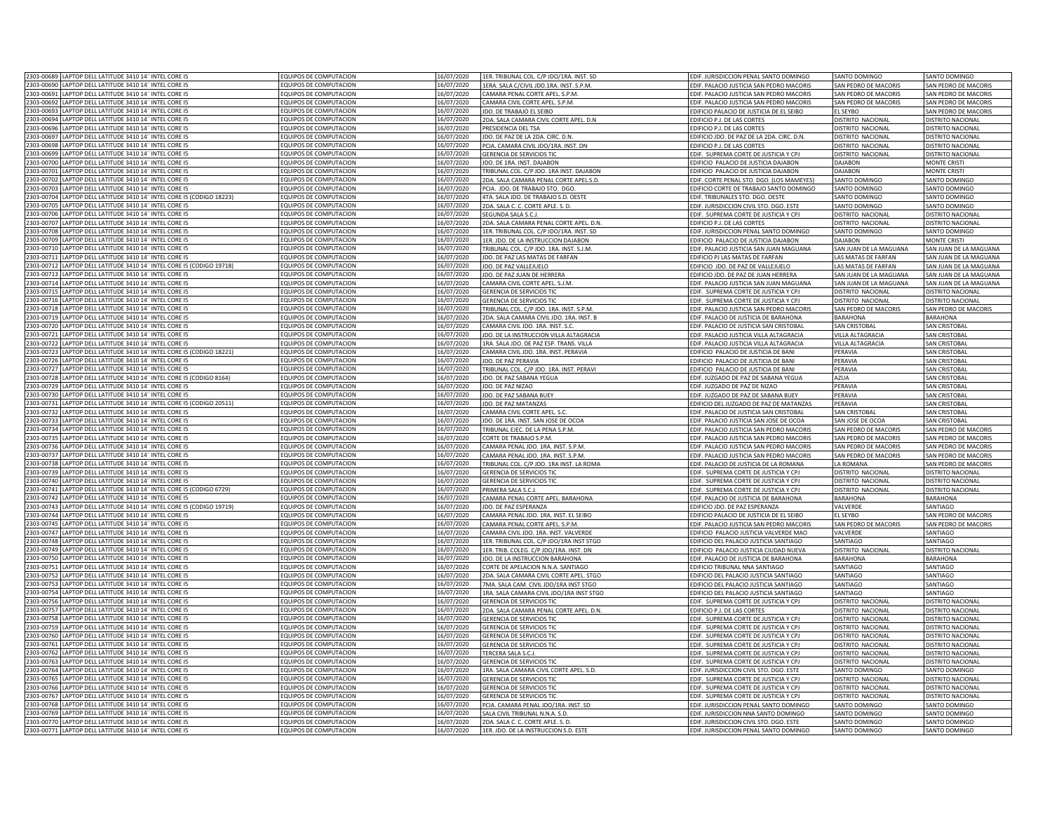| 2303-00689 LAPTOP DELL LATITUDE 3410 14" INTEL CORE I5                   | <b>EQUIPOS DE COMPUTACION</b> | 16/07/2020 | 1ER. TRIBUNAL COL. C/P JDO/1RA. INST. SD | EDIF. JURISDICCION PENAL SANTO DOMINGO     | SANTO DOMINGO          | SANTO DOMINGO               |
|--------------------------------------------------------------------------|-------------------------------|------------|------------------------------------------|--------------------------------------------|------------------------|-----------------------------|
| 2303-00690 LAPTOP DELL LATITUDE 3410 14" INTEL CORE I5                   | EQUIPOS DE COMPUTACION        | 16/07/2020 | 1ERA. SALA C/CIVIL JDO.1RA. INST. S.P.M. | EDIF. PALACIO JUSTICIA SAN PEDRO MACORIS   | SAN PEDRO DE MACORIS   | SAN PEDRO DE MACORIS        |
| 2303-00691 LAPTOP DELL LATITUDE 3410 14" INTEL CORE I5                   | EQUIPOS DE COMPUTACION        | 16/07/2020 | CAMARA PENAL CORTE APEL. S.P.M.          | EDIF. PALACIO JUSTICIA SAN PEDRO MACORIS   | SAN PEDRO DE MACORIS   | SAN PEDRO DE MACORIS        |
| 2303-00692<br>LAPTOP DELL LATITUDE 3410 14" INTEL CORE I5                | <b>EQUIPOS DE COMPUTACION</b> | 16/07/2020 |                                          |                                            | SAN PEDRO DE MACORIS   |                             |
| 2303-00693                                                               |                               |            | CAMARA CIVIL CORTE APEL. S.P.M.          | EDIF. PALACIO JUSTICIA SAN PEDRO MACORIS   |                        | SAN PEDRO DE MACORIS        |
| LAPTOP DELL LATITUDE 3410 14" INTEL CORE I5                              | EQUIPOS DE COMPUTACION        | 16/07/2020 | DO. DE TRABAJO EL SEIBO                  | EDIFICIO PALACIO DE JUSTICIA DE EL SEIBO   | EL SEYBO               | SAN PEDRO DE MACORIS        |
| 2303-00694<br>APTOP DELL LATITUDE 3410 14" INTEL CORE IS                 | <b>COUIPOS DE COMPUTACION</b> | 16/07/2020 | 2DA. SALA CAMARA CIVIL CORTE APEL. D.N   | EDIFICIO P.J. DE LAS CORTES                | DISTRITO NACIONAL      | <b>ISTRITO NACIONAL</b>     |
| 2303-00696<br>APTOP DELL LATITUDE 3410 14" INTEL CORE I5                 | <b>EQUIPOS DE COMPUTACION</b> | 16/07/2020 | PRESIDENCIA DEL TSA                      | EDIFICIO P.J. DE LAS CORTES                | DISTRITO NACIONAL      | <b>ISTRITO NACIONAL</b>     |
| 2303-00697<br>APTOP DELL LATITUDE 3410 14" INTEL CORE I5                 | EQUIPOS DE COMPUTACION        | 16/07/2020 | JDO. DE PAZ DE LA 2DA. CIRC. D.N.        | EDIFICIO JDO. DE PAZ DE LA 2DA. CIRC. D.N. | DISTRITO NACIONAL      | <b>STRITO NACIONAL</b>      |
| 2303-00698<br>APTOP DELL LATITUDE 3410 14" INTEL CORE I5                 | EQUIPOS DE COMPUTACION        | 16/07/2020 | PCIA. CAMARA CIVIL JDO/1RA. INST. DN     | EDIFICIO P.J. DE LAS CORTES                | DISTRITO NACIONAL      | <b>STRITO NACIONAL</b>      |
| APTOP DELL LATITUDE 3410 14" INTEL CORE I5<br>2303-00699                 | <b>EQUIPOS DE COMPUTACION</b> | 16/07/2020 | <b>GERENCIA DE SERVICIOS TIC</b>         | EDIF. SUPREMA CORTE DE JUSTICIA Y CPJ      | DISTRITO NACIONAL      | <b>STRITO NACIONAL</b>      |
| 2303-00700<br>LAPTOP DELL LATITUDE 3410 14" INTEL CORE I5                | EQUIPOS DE COMPUTACION        | 16/07/2020 | JDO. DE 1RA. INST. DAJABON               | EDIFICIO PALACIO DE JUSTICIA DAJABON       | DAJABON                | <b>MONTE CRISTI</b>         |
| 2303-00701<br>LAPTOP DELL LATITUDE 3410 14" INTEL CORE I5                | EQUIPOS DE COMPUTACION        | 16/07/2020 | TRIBUNAL COL. C/P JDO. 1RA INST. DAJABON | EDIFICIO PALACIO DE JUSTICIA DAJABON       | DAJABON                | <b>MONTE CRISTI</b>         |
| 2303-0070<br>APTOP DELL LATITUDE 3410 14" INTEL CORE I5                  | EQUIPOS DE COMPUTACION        | 16/07/2020 | 2DA. SALA CAMARA PENAL CORTE APEL.S.D.   | EDIF. CORTE PENAL STO. DGO. (LOS MAMEYES)  | SANTO DOMINGO          | SANTO DOMINGO               |
| APTOP DELL LATITUDE 3410 14" INTEL CORE I5<br>2303-0070                  | <b>EQUIPOS DE COMPUTACION</b> | 16/07/2020 | PCIA. JDO, DE TRABAJO STO. DGO           | EDIFICIO CORTE DE TRABAJO SANTO DOMINGO    | SANTO DOMINGO          | <b>SANTO DOMINGO</b>        |
| 2303-0070-<br>LAPTOP DELL LATITUDE 3410 14" INTEL CORE I5 (CODIGO 18223) | <b>EQUIPOS DE COMPUTACION</b> | 16/07/2020 | 4TA, SALA JDO, DE TRABAJO S.D. OESTE     | EDIF, TRIBUNALES STO, DGO, OESTE           | SANTO DOMINGO          | SANTO DOMINGO               |
| 303-0070<br>APTOP DELL LATITUDE 3410 14" INTEL CORE I5                   | <b>EQUIPOS DE COMPUTACION</b> | 16/07/2020 | 2DA. SALA C. C. CORTE APLE. S. D.        | EDIF. JURISDICCION CIVIL STO. DGO. ESTE    | SANTO DOMINGO          | <b>SANTO DOMINGO</b>        |
| 303-0070<br>APTOP DELL LATITUDE 3410 14" INTEL CORE I5                   | EQUIPOS DE COMPUTACION        | 16/07/2020 | <b>EGUNDA SALA S.C.J</b>                 | EDIF. SUPREMA CORTE DE JUSTICIA Y CPJ      | DISTRITO NACIONAL      | <b>ISTRITO NACIONAL</b>     |
| 2303-00707<br>LAPTOP DELL LATITUDE 3410 14" INTEL CORE I5                | <b>EQUIPOS DE COMPUTACION</b> | 16/07/2020 | 2DA. SALA CAMARA PENAL CORTE APEL. D.N   | EDIFICIO P.J. DE LAS CORTES                | DISTRITO NACIONAL      | <b>ISTRITO NACIONAL</b>     |
| 2303-00708<br>LAPTOP DELL LATITUDE 3410 14" INTEL CORE I5                | EQUIPOS DE COMPUTACION        | 16/07/2020 | 1ER. TRIBUNAL COL. C/P JDO/1RA. INST. SD | EDIF. JURISDICCION PENAL SANTO DOMINGO     | SANTO DOMINGO          | SANTO DOMINGO               |
|                                                                          |                               |            |                                          |                                            |                        |                             |
| LAPTOP DELL LATITUDE 3410 14" INTEL CORE I5<br>2303-00709<br>2303-00710  | <b>EQUIPOS DE COMPUTACION</b> | 16/07/2020 | 1ER. JDO. DE LA INSTRUCCION DAJABON      | EDIFICIO PALACIO DE JUSTICIA DAJABON       | DAJABON                | <b>MONTE CRISTI</b>         |
| LAPTOP DELL LATITUDE 3410 14" INTEL CORE I5                              | EQUIPOS DE COMPUTACION        | 16/07/2020 | FRIBUNAL COL. C/P JDO. 1RA. INST. S.J.M  | EDIF. PALACIO JUSTICIA SAN JUAN MAGUANA    | SAN JUAN DE LA MAGUANA | SAN JUAN DE LA MAGUANA      |
| APTOP DELL LATITUDE 3410 14" INTEL CORE I5<br>2303-0071                  | QUIPOS DE COMPUTACION         | 16/07/2020 | DO. DE PAZ LAS MATAS DE FARFAN           | EDIFICIO PJ LAS MATAS DE FARFAN            | LAS MATAS DE FARFAN    | AN JUAN DE LA MAGUANA       |
| 2303-00712<br>APTOP DELL LATITUDE 3410 14" INTEL CORE IS (CODIGO 19718)  | <b>EQUIPOS DE COMPUTACION</b> | 16/07/2020 | JDO. DE PAZ VALLEJUELO                   | EDIFICIO JDO, DE PAZ DE VALLEJUELO         | LAS MATAS DE FARFAN    | SAN JUAN DE LA MAGUANA      |
| 2303-0071<br>APTOP DELL LATITUDE 3410 14" INTEL CORE I5                  | QUIPOS DE COMPUTACION         | 6/07/2020  | JDO. DE PAZ JUAN DE HERRERA              | EDIFICIO JDO. DE PAZ DE JUAN HERRERA       | SAN JUAN DE LA MAGUANA | AN JUAN DE LA MAGUANA       |
| 2303-0071<br>APTOP DELL LATITUDE 3410 14" INTEL CORE I5                  | <b>QUIPOS DE COMPUTACION</b>  | 6/07/2020  | AMARA CIVIL CORTE APEL. S.J.M.           | EDIF. PALACIO JUSTICIA SAN JUAN MAGUANA    | SAN JUAN DE LA MAGUANA | AN JUAN DE LA MAGUANA       |
| 2303-0071<br>APTOP DELL LATITUDE 3410 14" INTEL CORE I5                  | OUIPOS DE COMPUTACION         | 6/07/2020  | <b>SERENCIA DE SERVICIOS TIC</b>         | EDIF. SUPREMA CORTE DE JUSTICIA Y CPJ      | DISTRITO NACIONAL      | <b>STRITO NACIONAL</b>      |
| APTOP DELL LATITUDE 3410 14" INTEL CORE I5<br>2303-0071                  | <b>EQUIPOS DE COMPUTACION</b> | 16/07/2020 | <b>GERENCIA DE SERVICIOS TIC</b>         | EDIF. SUPREMA CORTE DE JUSTICIA Y CPJ      | DISTRITO NACIONAL      | <b>ISTRITO NACIONAL</b>     |
| 2303-0071<br>APTOP DELL LATITUDE 3410 14" INTEL CORE I5                  | <b>EQUIPOS DE COMPUTACION</b> | 16/07/2020 | FRIBUNAL COL. C/P JDO. 1RA. INST. S.P.M. | EDIF. PALACIO JUSTICIA SAN PEDRO MACORIS   | SAN PEDRO DE MACORIS   | <b>SAN PEDRO DE MACORIS</b> |
| 2303-00719<br>APTOP DELL LATITUDE 3410 14" INTEL CORE I5                 | EQUIPOS DE COMPUTACION        | 16/07/2020 | 2DA. SALA CAMARA CIVIL JDO. 1RA. INST. B | EDIF. PALACIO DE JUSTICIA DE BARAHONA      | <b>BARAHONA</b>        | <b>BARAHONA</b>             |
| 2303-00720<br>APTOP DELL LATITUDE 3410 14" INTEL CORE I5                 | EQUIPOS DE COMPUTACION        | 16/07/2020 | CAMARA CIVIL JDO. 1RA. INST. S.C.        | EDIF. PALACIO DE JUSTICIA SAN CRISTOBAL    | SAN CRISTOBAL          | <b>SAN CRISTOBAL</b>        |
| 2303-0072<br>LAPTOP DELL LATITUDE 3410 14" INTEL CORE IS                 | FOUIPOS DE COMPUTACION        | 16/07/2020 | JDO. DE LA INSTRUCCION VILLA ALTAGRACIA  | EDIF. PALACIO JUSTICIA VILLA ALTAGRACIA    | VILLA ALTAGRACIA       | <b>SAN CRISTOBA</b>         |
| 303-0072<br>APTOP DELL LATITUDE 3410 14" INTEL CORE I5                   | <b>EQUIPOS DE COMPUTACION</b> | 16/07/2020 | 1RA, SALA JDO, DE PAZ ESP, TRANS, VILLA  | FDIF. PALACIO IUSTICIA VII LA ALTAGRACIA   | VII LA ALTAGRACIA      | SAN CRISTORAL               |
| APTOP DELL LATITUDE 3410 14" INTEL CORE I5 (CODIGO 18221)<br>303-0072    | EQUIPOS DE COMPUTACION        | 16/07/2020 | CAMARA CIVIL JDO. 1RA. INST. PERAVIA     | EDIFICIO PALACIO DE JUSTICIA DE BANI       | PERAVIA                | <b>SAN CRISTOBAI</b>        |
| 2303-0072<br>APTOP DELL LATITUDE 3410 14" INTEL CORE IS                  | FOUIPOS DE COMPUTACION        | 16/07/2020 | DO. DE PAZ PERAVIA                       | EDIFICIO PALACIO DE IUSTICIA DE BAN        | PFRAVIA                | <b>SAN CRISTORA</b>         |
| 2303-00727<br>LAPTOP DELL LATITUDE 3410 14" INTEL CORE I5                | <b>EQUIPOS DE COMPUTACION</b> | 16/07/2020 |                                          |                                            |                        |                             |
|                                                                          |                               |            | TRIBUNAL COL. C/P JDO. 1RA. INST. PERAVI | EDIFICIO PALACIO DE JUSTICIA DE BANI       | PERAVIA                | <b>SAN CRISTOBAL</b>        |
| 2303-00728<br>LAPTOP DELL LATITUDE 3410 14" INTEL CORE I5 (CODIGO 8164)  | EQUIPOS DE COMPUTACION        | 16/07/2020 | JDO. DE PAZ SABANA YEGUA                 | EDIF. JUZGADO DE PAZ DE SABANA YEGUA       | AZUA                   | <b>SAN CRISTOBAL</b>        |
| 2303-00729<br>LAPTOP DELL LATITUDE 3410 14" INTEL CORE I5                | EQUIPOS DE COMPUTACION        | 16/07/2020 | JDO. DE PAZ NIZAO                        | EDIF. JUZGADO DE PAZ DE NIZAO              | PERAVIA                | <b>SAN CRISTOBAL</b>        |
| LAPTOP DELL LATITUDE 3410 14" INTEL CORE I5<br>2303-00730                | EQUIPOS DE COMPUTACION        | 16/07/2020 | JDO. DE PAZ SABANA BUEY                  | EDIF. JUZGADO DE PAZ DE SABANA BUEY        | PERAVIA                | <b>SAN CRISTOBAL</b>        |
| LAPTOP DELL LATITUDE 3410 14" INTEL CORE I5 (CODIGO 20511)<br>2303-00731 | FOUIPOS DE COMPUTACION        | 16/07/2020 | DO. DE PAZ MATANZAS                      | EDIFICIO DEL JUZGADO DE PAZ DE MATANZAS    | PERAVIA                | <b>SAN CRISTOBAL</b>        |
| 2303-00732<br>APTOP DELL LATITUDE 3410 14" INTEL CORE I5                 | <b>QUIPOS DE COMPUTACION</b>  | 16/07/2020 | <b>CAMARA CIVIL CORTE APEL, S.C.</b>     | FDIE, PALACIO DE JUSTICIA SAN CRISTOBAL    | SAN CRISTOBAL          | <b>SAN CRISTOBAL</b>        |
| 2303-00733<br>APTOP DELL LATITUDE 3410 14" INTEL CORE I5                 | <b>EQUIPOS DE COMPUTACION</b> | 16/07/2020 | JDO. DE 1RA. INST. SAN JOSE DE OCOA      | EDIF. PALACIO JUSTICIA SAN JOSE DE OCOA    | SAN JOSE DE OCOA       | <b>SAN CRISTOBAL</b>        |
| 2303-00734<br>APTOP DELL LATITUDE 3410 14" INTEL CORE I5                 | EQUIPOS DE COMPUTACION        | 16/07/2020 | RIBUNAL EJEC. DE LA PENA S.P.M.          | EDIF. PALACIO JUSTICIA SAN PEDRO MACORIS   | SAN PEDRO DE MACORIS   | AN PEDRO DE MACORIS         |
| APTOP DELL LATITUDE 3410 14" INTEL CORE I5<br>2303-0073                  | <b>EQUIPOS DE COMPUTACION</b> | 16/07/2020 | ORTE DE TRABAJO S.P.M.                   | EDIF. PALACIO JUSTICIA SAN PEDRO MACORIS   | SAN PEDRO DE MACORIS   | AN PEDRO DE MACORIS         |
| APTOP DELL LATITUDE 3410 14" INTEL CORE I5<br>2303-0073                  | <b>EQUIPOS DE COMPUTACION</b> | 16/07/2020 | CAMARA PENAL JDO. 1RA. INST. S.P.M       | EDIF. PALACIO JUSTICIA SAN PEDRO MACORIS   | SAN PEDRO DE MACORIS   | SAN PEDRO DE MACORIS        |
| 2303-0073<br>LAPTOP DELL LATITUDE 3410 14" INTEL CORE I5                 | EQUIPOS DE COMPUTACION        | 16/07/2020 | CAMARA PENAL JDO. 1RA. INST. S.P.M       | EDIF. PALACIO JUSTICIA SAN PEDRO MACORIS   | SAN PEDRO DE MACORIS   | SAN PEDRO DE MACORIS        |
| APTOP DELL LATITUDE 3410 14" INTEL CORE I5<br>2303-0073                  | EQUIPOS DE COMPUTACION        | 16/07/2020 | TRIBUNAL COL. C/P JDO. 1RA INST. LA ROMA | EDIF. PALACIO DE JUSTICIA DE LA ROMANA     | LA ROMANA              | SAN PEDRO DE MACORIS        |
| 2303-0073<br>LAPTOP DELL LATITUDE 3410 14" INTEL CORE I5                 | <b>EQUIPOS DE COMPUTACION</b> | 16/07/2020 | <b>GERENCIA DE SERVICIOS TIC</b>         | EDIF. SUPREMA CORTE DE JUSTICIA Y CPJ      | DISTRITO NACIONAL      | <b>DISTRITO NACIONAL</b>    |
| LAPTOP DELL LATITUDE 3410 14" INTEL CORE I5<br>2303-0074                 | <b>EQUIPOS DE COMPUTACION</b> | 16/07/2020 | <b>GERENCIA DE SERVICIOS TIC</b>         | EDIF. SUPREMA CORTE DE JUSTICIA Y CPJ      | DISTRITO NACIONAL      | <b>ISTRITO NACIONAL</b>     |
| 2303-0074<br>APTOP DELL LATITUDE 3410 14" INTEL CORE I5 (CODIGO 6729)    | <b>EQUIPOS DE COMPUTACION</b> | 16/07/2020 | PRIMERA SALA S.C.                        | EDIF. SUPREMA CORTE DE JUSTICIA Y CPJ      | DISTRITO NACIONAL      | <b>ISTRITO NACIONAL</b>     |
| 303-0074<br>LAPTOP DELL LATITUDE 3410 14" INTEL CORE I5                  | <b>EQUIPOS DE COMPUTACION</b> | 16/07/2020 | CAMARA PENAL CORTE APEL. BARAHONA        | EDIF. PALACIO DE JUSTICIA DE BARAHONA      | <b>BARAHONA</b>        | BARAHONA                    |
| LAPTOP DELL LATITUDE 3410 14" INTEL CORE I5 (CODIGO 19719)<br>303-0074   | EQUIPOS DE COMPUTACION        | 16/07/2020 | DO. DE PAZ ESPERANZA                     | EDIFICIO JDO. DE PAZ ESPERANZA             | VALVERDE               | SANTIAGO                    |
|                                                                          |                               |            |                                          |                                            |                        |                             |
| 2303-00744<br>LAPTOP DELL LATITUDE 3410 14" INTEL CORE I5                | <b>EQUIPOS DE COMPUTACION</b> | 16/07/2020 | CAMARA PENAL JDO. 1RA. INST. EL SEIBO    | EDIFICIO PALACIO DE JUSTICIA DE EL SEIBO   | EL SEYBO               | SAN PEDRO DE MACORIS        |
| LAPTOP DELL LATITUDE 3410 14" INTEL CORE I5<br>2303-00745                | EQUIPOS DE COMPUTACION        | 16/07/2020 | CAMARA PENAL CORTE APEL. S.P.M.          | EDIF. PALACIO JUSTICIA SAN PEDRO MACORIS   | SAN PEDRO DE MACORIS   | SAN PEDRO DE MACORIS        |
| 2303-0074<br>LAPTOP DELL LATITUDE 3410 14" INTEL CORE I5                 | EQUIPOS DE COMPUTACION        | 16/07/2020 | CAMARA CIVIL JDO. 1RA. INST. VALVERDE    | EDIFICIO PALACIO JUSTICIA VALVERDE MAO     | VALVERDE               | SANTIAGO                    |
| 2303-0074<br>APTOP DELL LATITUDE 3410 14" INTEL CORE I5                  | EQUIPOS DE COMPUTACION        | 16/07/2020 | LER. TRIBUNAL COL. C/P JDO/1RA INST STGO | EDIFICIO DEL PALACIO JUSTICIA SANTIAGO     | SANTIAGO               | SANTIAGO                    |
| APTOP DELL LATITUDE 3410 14" INTEL CORE I5<br>2303-0074                  | <b>COUIPOS DE COMPUTACION</b> | 16/07/2020 | LER. TRIB. COLEG. C/P JDO/1RA. INST. DN  | EDIFICIO PALACIO JUSTICIA CIUDAD NUEVA     | DISTRITO NACIONAL      | <b>DISTRITO NACIONAL</b>    |
| 2303-00750<br>APTOP DELL LATITUDE 3410 14" INTEL CORE I5                 | <b>QUIPOS DE COMPUTACION</b>  | 16/07/2020 | DO. DE LA INSTRUCCION BARAHONA           | EDIF. PALACIO DE JUSTICIA DE BARAHONA      | <b>BARAHONA</b>        | ARAHONA                     |
| 2303-0075<br>APTOP DELL LATITUDE 3410 14" INTEL CORE I5                  | <b>QUIPOS DE COMPUTACION</b>  | 6/07/2020  | CORTE DE APELACION N.N.A. SANTIAGO       | EDIFICIO TRIBUNAL NNA SANTIAGO             | SANTIAGO               | ANTIAGO                     |
| 2303-0075<br>APTOP DELL LATITUDE 3410 14" INTEL CORE IS                  | <b>QUIPOS DE COMPUTACION</b>  | 6/07/2020  | 2DA. SALA CAMARA CIVIL CORTE APEL. STGO  | EDIFICIO DEL PALACIO JUSTICIA SANTIAGO     | ANTIAGO                | ANTIAGO                     |
| APTOP DELL LATITUDE 3410 14" INTEL CORE I5<br>2303-0075                  | <b>QUIPOS DE COMPUTACION</b>  | 16/07/2020 | MA. SALA CAM. CIVIL JDO/1RA INST STGO    | EDIFICIO DEL PALACIO JUSTICIA SANTIAGO     | <b>ANTIAGO</b>         | ANTIAGO                     |
| 2303-0075<br>APTOP DELL LATITUDE 3410 14" INTEL CORE I5                  | <b>EQUIPOS DE COMPUTACION</b> | 16/07/2020 | 1RA. SALA CAMARA CIVIL JDO/1RA INST STGO | EDIFICIO DEL PALACIO JUSTICIA SANTIAGO     | SANTIAGO               | SANTIAGO                    |
| 2303-0075<br>APTOP DELL LATITUDE 3410 14" INTEL CORE I5                  | <b>EQUIPOS DE COMPUTACION</b> | 16/07/2020 | GERENCIA DE SERVICIOS TIC                | EDIF. SUPREMA CORTE DE JUSTICIA Y CPJ      | DISTRITO NACIONAL      | <b>DISTRITO NACIONAL</b>    |
| 2303-0075<br>LAPTOP DELL LATITUDE 3410 14" INTEL CORE I5                 | EQUIPOS DE COMPUTACION        | 16/07/2020 | 2DA, SALA CAMARA PENAL CORTE APEL, D.N.  | <b>EDIFICIO P.I. DE LAS CORTES</b>         | DISTRITO NACIONA       | <b>ISTRITO NACIONA</b>      |
| APTOP DELL LATITUDE 3410 14" INTEL CORE I5<br>2303-0075                  | <b>EQUIPOS DE COMPUTACION</b> | 16/07/2020 | GERENCIA DE SERVICIOS TIO                | EDIF. SUPREMA CORTE DE JUSTICIA Y CPJ      | DISTRITO NACIONA       | <b>STRITO NACIONAL</b>      |
| LAPTOP DELL LATITUDE 3410 14" INTEL CORE IS<br>2303-0075                 | <b>EQUIPOS DE COMPUTACION</b> | 16/07/2020 | <b>GERENCIA DE SERVICIOS TI</b>          | EDIF. SUPREMA CORTE DE JUSTICIA Y CPJ      | DISTRITO NACIONA       | <b>ISTRITO NACIONAL</b>     |
| 2303-0076<br>LAPTOP DELL LATITUDE 3410 14" INTEL CORE I5                 | <b>EQUIPOS DE COMPUTACION</b> | 16/07/2020 | <b>GERENCIA DE SERVICIOS TIO</b>         | EDIF. SUPREMA CORTE DE JUSTICIA Y CPJ      | DISTRITO NACIONA       | <b>ISTRITO NACIONAL</b>     |
| 303-0076<br>APTOP DELL LATITUDE 3410 14" INTEL CORE IS                   | FOUIPOS DE COMPUTACION        | 16/07/2020 | <b>GERENCIA DE SERVICIOS TIC</b>         | EDIF. SUPREMA CORTE DE JUSTICIA Y CPJ      | DISTRITO NACIONAL      | <b>DISTRITO NACIONAL</b>    |
| 2303-00762<br>LAPTOP DELL LATITUDE 3410 14" INTEL CORE I5                | EQUIPOS DE COMPUTACION        | 16/07/2020 | TERCERA SALA S.C.L                       | EDIF. SUPREMA CORTE DE JUSTICIA Y CPJ      | DISTRITO NACIONAL      | <b>DISTRITO NACIONAL</b>    |
| 2303-00763<br>LAPTOP DELL LATITUDE 3410 14" INTEL CORE I5                | EQUIPOS DE COMPUTACION        | 16/07/2020 | GERENCIA DE SERVICIOS TIC                | EDIF. SUPREMA CORTE DE JUSTICIA Y CPJ      | DISTRITO NACIONAL      | DISTRITO NACIONAL           |
|                                                                          |                               |            |                                          |                                            |                        |                             |
| 2303-00764<br>LAPTOP DELL LATITUDE 3410 14" INTEL CORE I5                | EQUIPOS DE COMPUTACION        | 16/07/2020 | 1RA. SALA CAMARA CIVIL CORTE APEL. S.D.  | EDIF. JURISDICCION CIVIL STO. DGO. ESTE    | SANTO DOMINGO          | SANTO DOMINGO               |
| 2303-0076<br>APTOP DELL LATITUDE 3410 14" INTEL CORE I5                  | EQUIPOS DE COMPUTACION        | 16/07/2020 | GERENCIA DE SERVICIOS TIC                | EDIF. SUPREMA CORTE DE JUSTICIA Y CPJ      | DISTRITO NACIONAL      | DISTRITO NACIONAL           |
| 2303-00766<br>LAPTOP DELL LATITUDE 3410 14" INTEL CORE I5                | <b>EQUIPOS DE COMPUTACION</b> | 16/07/2020 | <b>GERENCIA DE SERVICIOS TIC</b>         | EDIF. SUPREMA CORTE DE JUSTICIA Y CPJ      | DISTRITO NACIONAL      | <b>ISTRITO NACIONAL</b>     |
| 2303-00767<br>APTOP DELL LATITUDE 3410 14" INTEL CORE IS                 | FOUIPOS DE COMPUTACION        | 16/07/2020 | <b>SERENCIA DE SERVICIOS TIC</b>         | FDIE. SUPREMA CORTE DE JUSTICIA Y CPI      | DISTRITO NACIONAL      | <b>ISTRITO NACIONAL</b>     |
| 2303-00768<br>APTOP DELL LATITUDE 3410 14" INTEL CORE I5                 | <b>EQUIPOS DE COMPUTACION</b> | 16/07/2020 | CIA. CAMARA PENAL JDO/1RA. INST. SD      | EDIF. JURISDICCION PENAL SANTO DOMINGO     | SANTO DOMINGO          | <b>SANTO DOMINGO</b>        |
| 2303-00769<br>APTOP DELL LATITUDE 3410 14" INTEL CORE I5                 | EQUIPOS DE COMPUTACION        | 16/07/2020 | SALA CIVIL TRIBUNAL N.N.A. S.D.          | EDIF. JURISDICCION NNA SANTO DOMINGO       | SANTO DOMINGO          | <b>SANTO DOMINGO</b>        |
| 2303-00770<br>LAPTOP DELL LATITUDE 3410 14" INTEL CORE I5                | <b>EQUIPOS DE COMPUTACION</b> | 16/07/2020 | 2DA. SALA C. C. CORTE APLE. S. D.        | EDIF. JURISDICCION CIVIL STO. DGO. ESTE    | SANTO DOMINGO          | ANTO DOMINGO                |
| 2303-00771 LAPTOP DELL LATITUDE 3410 14" INTEL CORE I5                   | EQUIPOS DE COMPUTACION        | 16/07/2020 | 1ER. JDO. DE LA INSTRUCCION S.D. ESTE    | EDIF. JURISDICCION PENAL SANTO DOMINGO     | SANTO DOMINGO          | SANTO DOMINGO               |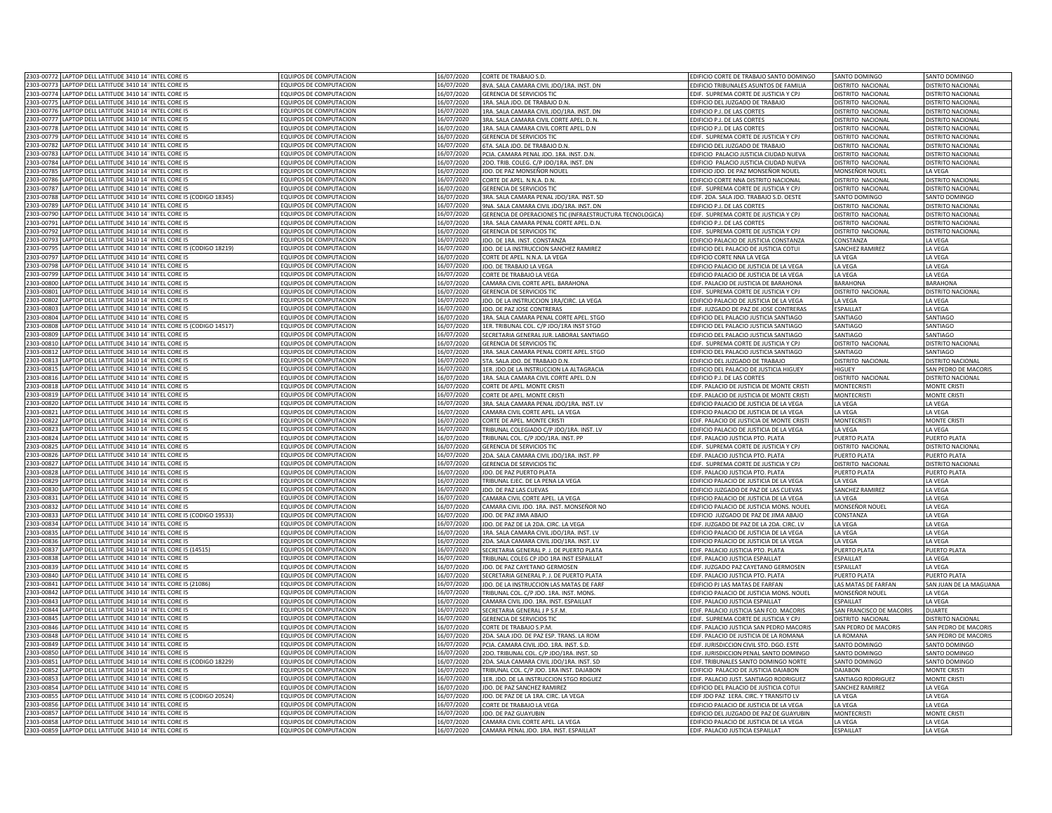| 2303-00772 LAPTOP DELL LATITUDE 3410 14" INTEL CORE I5                   | EQUIPOS DE COMPUTACION        | 16/07/2020 | CORTE DE TRABAJO S.D.                                     | EDIFICIO CORTE DE TRABAJO SANTO DOMINGO   | SANTO DOMINGO            | SANTO DOMINGO                    |
|--------------------------------------------------------------------------|-------------------------------|------------|-----------------------------------------------------------|-------------------------------------------|--------------------------|----------------------------------|
| 2303-00773 LAPTOP DELL LATITUDE 3410 14" INTEL CORE I5                   | EQUIPOS DE COMPUTACION        | 16/07/2020 | BVA. SALA CAMARA CIVIL JDO/1RA. INST. DN                  | EDIFICIO TRIBUNALES ASUNTOS DE FAMILIA    | DISTRITO NACIONAL        | DISTRITO NACIONAL                |
| 2303-00774 LAPTOP DELL LATITUDE 3410 14" INTEL CORE I5                   | EQUIPOS DE COMPUTACION        | 16/07/2020 | GERENCIA DE SERVICIOS TIC                                 | EDIF. SUPREMA CORTE DE JUSTICIA Y CPJ     | DISTRITO NACIONAL        | DISTRITO NACIONAL                |
| 2303-0077<br>APTOP DELL LATITUDE 3410 14" INTEL CORE I5                  | EQUIPOS DE COMPUTACION        | 16/07/2020 | 1RA. SALA JDO. DE TRABAJO D.N.                            | EDIFICIO DEL JUZGADO DE TRABAJO           | DISTRITO NACIONAL        | DISTRITO NACIONAL                |
| 2303-00776<br>LAPTOP DELL LATITUDE 3410 14" INTEL CORE I5                | EQUIPOS DE COMPUTACION        | 16/07/2020 | IRA. SALA CAMARA CIVIL JDO/1RA. INST. DN                  | EDIFICIO P.J. DE LAS CORTES               | ISTRITO NACIONAL         | DISTRITO NACIONAL                |
| 2303-00777<br>APTOP DELL LATITUDE 3410 14" INTEL CORE IS                 | FOUIPOS DE COMPUTACION        | 16/07/2020 | RA, SALA CAMARA CIVIL CORTE APEL, D. N.                   | <b>EDIFICIO P.J. DE LAS CORTES</b>        | <b>ISTRITO NACIONAL</b>  | <b>DISTRITO NACIONAL</b>         |
| 2303-00778<br>APTOP DELL LATITUDE 3410 14" INTEL CORE I5                 | EQUIPOS DE COMPUTACION        | 16/07/2020 | RA. SALA CAMARA CIVIL CORTE APEL. D.N                     | EDIFICIO P.J. DE LAS CORTES               | <b>ISTRITO NACIONAL</b>  | DISTRITO NACIONAL                |
|                                                                          |                               |            |                                                           |                                           |                          |                                  |
| 2303-0077<br>APTOP DELL LATITUDE 3410 14" INTEL CORE I5                  | EQUIPOS DE COMPUTACION        | 16/07/2020 | ERENCIA DE SERVICIOS TIC                                  | EDIF. SUPREMA CORTE DE JUSTICIA Y CPJ     | ISTRITO NACIONAL         | <b>DISTRITO NACIONAL</b>         |
| 2303-0078<br>APTOP DELL LATITUDE 3410 14" INTEL CORE I5                  | EQUIPOS DE COMPUTACION        | 16/07/2020 | TA. SALA JDO. DE TRABAJO D.N.                             | EDIFICIO DEL JUZGADO DE TRABAJO           | ISTRITO NACIONAL         | <b>ISTRITO NACIONAL</b>          |
| APTOP DELL LATITUDE 3410 14" INTEL CORE I5<br>2303-0078                  | <b>EQUIPOS DE COMPUTACION</b> | 16/07/2020 | CIA. CAMARA PENAL JDO. 1RA. INST. D.N                     | EDIFICIO PALACIO JUSTICIA CIUDAD NUEVA    | ISTRITO NACIONAL         | <b>ISTRITO NACIONAL</b>          |
| 2303-00784<br>LAPTOP DELL LATITUDE 3410 14" INTEL CORE I5                | EQUIPOS DE COMPUTACION        | 16/07/2020 | 2DO. TRIB. COLEG. C/P JDO/1RA. INST. DN                   | EDIFICIO PALACIO JUSTICIA CIUDAD NUEVA    | DISTRITO NACIONAL        | <b>DISTRITO NACIONAL</b>         |
| 2303-0078<br>LAPTOP DELL LATITUDE 3410 14" INTEL CORE I5                 | EQUIPOS DE COMPUTACION        | 16/07/2020 | JDO. DE PAZ MONSEÑOR NOUEI                                | EDIFICIO JDO. DE PAZ MONSEÑOR NOUEL       | MONSEÑOR NOUEL           | LA VEGA                          |
| 2303-0078<br>APTOP DELL LATITUDE 3410 14" INTEL CORE I5                  | EQUIPOS DE COMPUTACION        | 16/07/2020 | CORTE DE APEL. N.N.A. D.N.                                | EDIFICIO CORTE NNA DISTRITO NACIONAL      | DISTRITO NACIONAL        | DISTRITO NACIONAL                |
| APTOP DELL LATITUDE 3410 14" INTEL CORE I5<br>2303-0078                  | EQUIPOS DE COMPUTACION        | 16/07/2020 | GERENCIA DE SERVICIOS TIC                                 | EDIF. SUPREMA CORTE DE JUSTICIA Y CPJ     | <b>DISTRITO NACIONAL</b> | DISTRITO NACIONA                 |
| 2303-0078<br>APTOP DELL LATITUDE 3410 14" INTEL CORE I5 (CODIGO 18345)   | EQUIPOS DE COMPUTACION        | 16/07/2020 | 3RA. SALA CAMARA PENAL JDO/1RA. INST. SD                  | EDIF. 2DA. SALA JDO. TRABAJO S.D. OESTE   | SANTO DOMINGO            | SANTO DOMINGO                    |
| 303-0078<br>APTOP DELL LATITUDE 3410 14" INTEL CORE I5                   | EQUIPOS DE COMPUTACION        | 16/07/2020 | 9NA. SALA CAMARA CIVIL JDO/1RA. INST. DN                  | <b>EDIFICIO P.J. DE LAS CORTES</b>        | ISTRITO NACIONAL         | DISTRITO NACIONAL                |
| 303-0079<br>APTOP DELL LATITUDE 3410 14" INTEL CORE I5                   | EQUIPOS DE COMPUTACION        | 16/07/2020 | GERENCIA DE OPERACIONES TIC (INFRAESTRUCTURA TECNOLOGICA) | EDIF. SUPREMA CORTE DE JUSTICIA Y CPJ     | <b>ISTRITO NACIONAL</b>  | DISTRITO NACIONA                 |
| 2303-00791<br>LAPTOP DELL LATITUDE 3410 14" INTEL CORE I5                | EQUIPOS DE COMPUTACION        | 16/07/2020 | IRA. SALA CAMARA PENAL CORTE APEL. D.N.                   | EDIFICIO P.J. DE LAS CORTES               | <b>ISTRITO NACIONAL</b>  | DISTRITO NACIONAL                |
| 2303-0079<br>LAPTOP DELL LATITUDE 3410 14" INTEL CORE I5                 | EQUIPOS DE COMPUTACION        | 16/07/2020 | <b>GERENCIA DE SERVICIOS TIC</b>                          | EDIF. SUPREMA CORTE DE JUSTICIA Y CPJ     | DISTRITO NACIONAL        | DISTRITO NACIONAL                |
| 2303-00793<br>LAPTOP DELL LATITUDE 3410 14" INTEL CORE I5                | EQUIPOS DE COMPUTACION        | 16/07/2020 | IDO. DE 1RA. INST. CONSTANZA                              | EDIFICIO PALACIO DE JUSTICIA CONSTANZA    | CONSTANZA                | LA VEGA                          |
| 2303-0079<br>APTOP DELL LATITUDE 3410 14" INTEL CORE I5 (CODIGO 18219)   | EQUIPOS DE COMPUTACION        | 16/07/2020 | IDO. DE LA INSTRUCCION SANCHEZ RAMIREZ                    | EDIFICIO DEL PALACIO DE JUSTICIA COTUI    | SANCHEZ RAMIREZ          | LA VEGA                          |
| 2303-0079<br>APTOP DELL LATITUDE 3410 14" INTEL CORE I5                  | QUIPOS DE COMPUTACION         | 16/07/2020 | CORTE DE APEL. N.N.A. LA VEGA                             | EDIFICIO CORTE NNA LA VEGA                | A VEGA                   | LA VEGA                          |
| 2303-00798<br>APTOP DELL LATITUDE 3410 14" INTEL CORE IS                 | EQUIPOS DE COMPUTACION        | 16/07/2020 | IDO. DE TRABAJO LA VEGA                                   | EDIFICIO PALACIO DE JUSTICIA DE LA VEGA   | A VFGA                   | LA VEGA                          |
| 2303-0079<br>APTOP DELL LATITUDE 3410 14" INTEL CORE I5                  | <b>QUIPOS DE COMPUTACION</b>  | 16/07/2020 | ORTE DE TRABAJO LA VEGA                                   | EDIFICIO PALACIO DE JUSTICIA DE LA VEGA   | A VEGA                   | LA VEGA                          |
| 2303-0080<br>APTOP DELL LATITUDE 3410 14" INTEL CORE I5                  | <b>QUIPOS DE COMPUTACION</b>  | 16/07/2020 | AMARA CIVIL CORTE APEL. BARAHONA                          | EDIF. PALACIO DE JUSTICIA DE BARAHONA     | BARAHONA                 | BARAHONA                         |
| 2303-0080                                                                |                               |            |                                                           |                                           |                          |                                  |
| APTOP DELL LATITUDE 3410 14" INTEL CORE I5                               | <b>QUIPOS DE COMPUTACION</b>  | 16/07/2020 | ERENCIA DE SERVICIOS TIC                                  | EDIF. SUPREMA CORTE DE JUSTICIA Y CPJ     | ISTRITO NACIONAL         | <b>DISTRITO NACIONAL</b>         |
| APTOP DELL LATITUDE 3410 14" INTEL CORE I5<br>2303-0080                  | <b>EQUIPOS DE COMPUTACION</b> | 16/07/2020 | DO. DE LA INSTRUCCION 1RA/CIRC. LA VEGA                   | EDIFICIO PALACIO DE JUSTICIA DE LA VEGA   | A VEGA                   | LA VEGA                          |
| 2303-00803<br>APTOP DELL LATITUDE 3410 14" INTEL CORE I5                 | EQUIPOS DE COMPUTACION        | 16/07/2020 | DO. DE PAZ JOSE CONTRERAS                                 | EDIF. JUZGADO DE PAZ DE JOSE CONTRERAS    | SPAILLAT                 | LA VEGA                          |
| 2303-00804<br>APTOP DELL LATITUDE 3410 14" INTEL CORE I5                 | EQUIPOS DE COMPUTACION        | 16/07/2020 | 1RA. SALA CAMARA PENAL CORTE APEL. STGO                   | EDIFICIO DEL PALACIO JUSTICIA SANTIAGO    | SANTIAGO                 | SANTIAGO                         |
| APTOP DELL LATITUDE 3410 14" INTEL CORE I5 (CODIGO 14517)<br>2303-0080   | EQUIPOS DE COMPUTACION        | 16/07/2020 | 1ER. TRIBUNAL COL. C/P JDO/1RA INST STGO                  | EDIFICIO DEL PALACIO JUSTICIA SANTIAGO    | SANTIAGO                 | SANTIAGO                         |
| 2303-0080<br>APTOP DELL LATITUDE 3410 14" INTEL CORE IS                  | FOUIPOS DE COMPUTACION        | 16/07/2020 | SECRETARIA GENERAL JUR. LABORAL SANTIAGO                  | EDIFICIO DEL PALACIO JUSTICIA SANTIAGO    | SANTIAGC                 | SANTIAGO                         |
| 303-0081<br>APTOP DELL LATITUDE 3410 14" INTEL CORE I5                   | EQUIPOS DE COMPUTACION        | 16/07/2020 | <b>GERENCIA DE SERVICIOS TIO</b>                          | FDIE. SUPREMA CORTE DE IUSTICIA Y CP      | DISTRITO NACIONAL        | DISTRITO NACIONAL                |
| 303-0081<br>APTOP DELL LATITUDE 3410 14" INTEL CORE I5                   | EQUIPOS DE COMPUTACION        | 16/07/2020 | IRA. SALA CAMARA PENAL CORTE APEL. STGO                   | EDIFICIO DEL PALACIO JUSTICIA SANTIAGO    | SANTIAGO                 | SANTIAGO                         |
| 2303-0081<br>APTOP DELL LATITUDE 3410 14" INTEL CORE IS                  | FOUIPOS DE COMPUTACION        | 16/07/2020 | TA, SALA IDO, DE TRABAIO D.N                              | EDIFICIO DEL JUZGADO DE TRABAJO           | DISTRITO NACIONAL        | DISTRITO NACIONA                 |
| 2303-0081<br>LAPTOP DELL LATITUDE 3410 14" INTEL CORE I5                 | EQUIPOS DE COMPUTACION        | 16/07/2020 | 1ER. JDO.DE LA INSTRUCCION LA ALTAGRACIA                  | EDIFICIO DEL PALACIO DE JUSTICIA HIGUEY   | HIGUEY                   | SAN PEDRO DE MACORIS             |
| 2303-00816<br>LAPTOP DELL LATITUDE 3410 14" INTEL CORE I5                | EQUIPOS DE COMPUTACION        | 16/07/2020 | 1RA. SALA CAMARA CIVIL CORTE APEL. D.N                    | EDIFICIO P.J. DE LAS CORTES               | DISTRITO NACIONAL        | DISTRITO NACIONAL                |
| 2303-00818<br>LAPTOP DELL LATITUDE 3410 14" INTEL CORE I5                | EQUIPOS DE COMPUTACION        | 16/07/2020 | CORTE DE APEL. MONTE CRISTI                               | EDIF. PALACIO DE JUSTICIA DE MONTE CRISTI | <b>MONTECRISTI</b>       | <b>MONTE CRISTI</b>              |
| 2303-00819<br>LAPTOP DELL LATITUDE 3410 14" INTEL CORE I5                | EQUIPOS DE COMPUTACION        | 16/07/2020 | ORTE DE APEL. MONTE CRISTI                                | EDIF. PALACIO DE JUSTICIA DE MONTE CRISTI | <b>MONTECRISTI</b>       | <b>MONTE CRISTI</b>              |
| 2303-00820<br>LAPTOP DELL LATITUDE 3410 14" INTEL CORE I5                | FOUIPOS DE COMPUTACION        | 16/07/2020 | RA. SALA CAMARA PENAL JDO/1RA. INST. LV                   | EDIFICIO PALACIO DE JUSTICIA DE LA VEGA   | A VEGA                   | LA VEGA                          |
| 2303-00821<br>APTOP DELL LATITUDE 3410 14" INTEL CORE I5                 | EQUIPOS DE COMPUTACION        | 16/07/2020 | AMARA CIVIL CORTE APEL. LA VEGA                           | EDIFICIO PALACIO DE JUSTICIA DE LA VEGA   | A VEGA                   | LA VEGA                          |
| 2303-00822<br>APTOP DELL LATITUDE 3410 14" INTEL CORE I5                 | <b>EQUIPOS DE COMPUTACION</b> | 16/07/2020 | ORTE DE APEL. MONTE CRISTI                                | EDIF. PALACIO DE JUSTICIA DE MONTE CRISTI | MONTECRISTI              | MONTE CRISTI                     |
| 2303-00823<br>APTOP DELL LATITUDE 3410 14" INTEL CORE I5                 | EQUIPOS DE COMPUTACION        | 16/07/2020 | RIBUNAL COLEGIADO C/P JDO/1RA. INST. LV                   | EDIFICIO PALACIO DE JUSTICIA DE LA VEGA   | A VEGA                   | LA VEGA                          |
| APTOP DELL LATITUDE 3410 14" INTEL CORE I5<br>2303-00824                 | <b>EQUIPOS DE COMPUTACION</b> | 16/07/2020 | RIBUNAL COL. C/P JDO/1RA. INST. PP                        | EDIF. PALACIO JUSTICIA PTO. PLATA         | UERTO PLATA              | PUERTO PLATA                     |
| APTOP DELL LATITUDE 3410 14" INTEL CORE I5<br>2303-0082                  | EQUIPOS DE COMPUTACION        | 16/07/2020 | <b>GERENCIA DE SERVICIOS TIC</b>                          | EDIF. SUPREMA CORTE DE JUSTICIA Y CPJ     | DISTRITO NACIONAL        | DISTRITO NACIONAL                |
| 2303-0082                                                                |                               |            |                                                           |                                           |                          |                                  |
| LAPTOP DELL LATITUDE 3410 14" INTEL CORE I5                              | EQUIPOS DE COMPUTACION        | 16/07/2020 | 2DA. SALA CAMARA CIVIL JDO/1RA. INST. PP                  | EDIF. PALACIO JUSTICIA PTO. PLATA         | PUERTO PLATA             | PUERTO PLATA                     |
| LAPTOP DELL LATITUDE 3410 14" INTEL CORE I5<br>2303-0082<br>2303-0082    | EQUIPOS DE COMPUTACION        | 16/07/2020 | GERENCIA DE SERVICIOS TIC                                 | EDIF. SUPREMA CORTE DE JUSTICIA Y CPJ     | <b>DISTRITO NACIONAL</b> | DISTRITO NACIONA                 |
| APTOP DELL LATITUDE 3410 14" INTEL CORE I5                               | EQUIPOS DE COMPUTACION        | 16/07/2020 | JDO. DE PAZ PUERTO PLATA                                  | EDIF. PALACIO JUSTICIA PTO. PLATA         | PUERTO PLATA             | PUERTO PLATA                     |
| LAPTOP DELL LATITUDE 3410 14" INTEL CORE I5<br>2303-0082                 | EQUIPOS DE COMPUTACION        | 16/07/2020 | TRIBUNAL EJEC. DE LA PENA LA VEGA                         | EDIFICIO PALACIO DE JUSTICIA DE LA VEGA   | A VFGA                   | LA VEGA                          |
| 2303-0083<br>APTOP DELL LATITUDE 3410 14" INTEL CORE I5                  | <b>EQUIPOS DE COMPUTACION</b> | 16/07/2020 | DO. DE PAZ LAS CUEVAS                                     | DIFICIO JUZGADO DE PAZ DE LAS CUEVAS      | <b>SANCHEZ RAMIREZ</b>   | <b>LA VEGA</b>                   |
| 303-0083<br>LAPTOP DELL LATITUDE 3410 14" INTEL CORE I5                  | FOUIPOS DE COMPUTACION        | 16/07/2020 | AMARA CIVIL CORTE APEL. LA VEGA                           |                                           |                          |                                  |
| LAPTOP DELL LATITUDE 3410 14" INTEL CORE I5<br>303-0083                  |                               |            |                                                           | DIFICIO PALACIO DE JUSTICIA DE LA VEGA    | A VEGA                   | LA VEGA                          |
| 2303-00833<br>LAPTOP DELL LATITUDE 3410 14" INTEL CORE I5 (CODIGO 19533) | <b>EQUIPOS DE COMPUTACION</b> | 16/07/2020 | CAMARA CIVIL JDO. 1RA. INST. MONSEÑOR NO                  | EDIFICIO PALACIO DE JUSTICIA MONS. NOUEL  | MONSEÑOR NOUEL           | LA VEGA                          |
|                                                                          | EQUIPOS DE COMPUTACION        | 16/07/2020 | DO. DE PAZ JIMA ABAJO                                     | DIFICIO JUZGADO DE PAZ DE JIMA ABAJO      | CONSTANZA                | LA VEGA                          |
| 2303-00834<br>LAPTOP DELL LATITUDE 3410 14" INTEL CORE I5                | EQUIPOS DE COMPUTACION        | 16/07/2020 | IDO. DE PAZ DE LA 2DA. CIRC. LA VEGA                      | EDIF. JUZGADO DE PAZ DE LA 2DA. CIRC. LV  | LA VEGA                  | LA VEGA                          |
| 2303-0083<br>APTOP DELL LATITUDE 3410 14" INTEL CORE I5                  | EQUIPOS DE COMPUTACION        | 16/07/2020 | 1RA. SALA CAMARA CIVIL JDO/1RA. INST. LV                  | EDIFICIO PALACIO DE JUSTICIA DE LA VEGA   | LA VEGA                  | LA VEGA                          |
| 2303-0083<br>APTOP DELL LATITUDE 3410 14" INTEL CORE I5                  | EQUIPOS DE COMPUTACION        | 16/07/2020 | 2DA. SALA CAMARA CIVIL JDO/1RA. INST. LV                  | EDIFICIO PALACIO DE JUSTICIA DE LA VEGA   | LA VEGA                  | LA VEGA                          |
| APTOP DELL LATITUDE 3410 14" INTEL CORE I5 (14515)<br>2303-0083          | FOUIPOS DE COMPUTACION        | 16/07/2020 | ECRETARIA GENERAL P. J. DE PUERTO PLATA                   | <b>EDIF. PALACIO JUSTICIA PTO. PLATA</b>  | PUERTO PLATA             | PUERTO PLATA                     |
| 2303-0083<br>APTOP DELL LATITUDE 3410 14" INTEL CORE I5                  | <b>QUIPOS DE COMPUTACION</b>  | 16/07/2020 | RIBUNAL COLEG CP JDO 1RA INST ESPAILLAT                   | DIF. PALACIO JUSTICIA ESPAILLAT           | SPAILLAT                 | <b>IA VFGA</b>                   |
| 2303-00839<br>APTOP DELL LATITUDE 3410 14" INTEL CORE I5                 | <b>QUIPOS DE COMPUTACION</b>  | 16/07/2020 | DO. DE PAZ CAYETANO GERMOSEN                              | DIF. JUZGADO PAZ CAYETANO GERMOSEN        | SPAILLAT                 | LA VEGA                          |
| 2303-0084<br>PTOP DELLI ATITUDE 3410 14" INTEL CORE IS                   | <b>QUIPOS DE COMPUTACION</b>  | 16/07/2020 | ECRETARIA GENERAL P. J. DE PUERTO PLATA                   | <b>EDIF. PALACIO JUSTICIA PTO. PLATA</b>  | <b>UFRTO PLATA</b>       | PUERTO PLATA                     |
| APTOP DELL LATITUDE 3410 14" INTEL CORE I5 (21086)<br>2303-00841         | <b>QUIPOS DE COMPUTACION</b>  | 16/07/2020 |                                                           |                                           |                          |                                  |
|                                                                          |                               |            | DO. DE LA INSTRUCCION LAS MATAS DE FARF                   | <b>DIFICIO PJ LAS MATAS DE FARFAN</b>     | AS MATAS DE FARFAN       | AN JUAN DE LA MAGUANA<br>LA VEGA |
| 2303-00842<br>APTOP DELL LATITUDE 3410 14" INTEL CORE I5                 | EQUIPOS DE COMPUTACION        | 16/07/2020 | TRIBUNAL COL. C/P JDO. 1RA. INST. MONS                    | EDIFICIO PALACIO DE JUSTICIA MONS. NOUEL  | MONSEÑOR NOUEL           |                                  |
| 2303-0084<br>APTOP DELL LATITUDE 3410 14" INTEL CORE I5                  | EQUIPOS DE COMPUTACION        | 16/07/2020 | CAMARA CIVIL JDO. 1RA. INST. ESPAILLAT                    | EDIF. PALACIO JUSTICIA ESPAILLAT          | ESPAILLAT                | LA VEGA                          |
| 2303-00844<br>APTOP DELL LATITUDE 3410 14" INTEL CORE I5                 | EQUIPOS DE COMPUTACION        | 16/07/2020 | SECRETARIA GENERAL J P S.F.M.                             | EDIF. PALACIO JUSTICIA SAN FCO. MACORIS   | SAN FRANCISCO DE MACORIS | <b>DUARTE</b>                    |
| 2303-0084<br>APTOP DELL LATITUDE 3410 14" INTEL CORE I5                  | EQUIPOS DE COMPUTACION        | 16/07/2020 | GERENCIA DE SERVICIOS TIO                                 | EDIF. SUPREMA CORTE DE JUSTICIA Y CP.     | <b>ISTRITO NACIONAL</b>  | DISTRITO NACIONAL                |
| APTOP DELL LATITUDE 3410 14" INTEL CORE I5<br>2303-0084                  | <b>EQUIPOS DE COMPUTACION</b> | 16/07/2020 | ORTE DE TRABAJO S.P.M.                                    | EDIF. PALACIO JUSTICIA SAN PEDRO MACORIS  | SAN PEDRO DE MACORIS     | SAN PEDRO DE MACORIS             |
| 2303-00848<br>APTOP DELL LATITUDE 3410 14" INTEL CORE I5                 | EQUIPOS DE COMPUTACION        | 16/07/2020 | 2DA. SALA JDO. DE PAZ ESP. TRANS. LA ROM                  | EDIF, PALACIO DE JUSTICIA DE LA ROMANA    | A ROMANA                 | SAN PEDRO DE MACORIS             |
| 303-0084<br>LAPTOP DELL LATITUDE 3410 14" INTEL CORE I5                  | FOUIPOS DE COMPUTACION        | 16/07/2020 | PCIA. CAMARA CIVIL JDO. 1RA. INST. S.D.                   | EDIF. JURISDICCION CIVIL STO. DGO. ESTE   | SANTO DOMINGO            | SANTO DOMINGO                    |
| 2303-00850<br>LAPTOP DELL LATITUDE 3410 14" INTEL CORE I5                | EQUIPOS DE COMPUTACION        | 16/07/2020 | 2DO. TRIBUNAL COL. C/P JDO/1RA. INST. SD                  | EDIF. JURISDICCION PENAL SANTO DOMINGO    | SANTO DOMINGO            | SANTO DOMINGO                    |
| 2303-00851<br>LAPTOP DELL LATITUDE 3410 14" INTEL CORE I5 (CODIGO 18229) | EQUIPOS DE COMPUTACION        | 16/07/2020 | 2DA. SALA CAMARA CIVIL JDO/1RA. INST. SD                  | EDIF. TRIBUNALES SANTO DOMINGO NORTE      | SANTO DOMINGO            | SANTO DOMINGO                    |
| 2303-00852<br>LAPTOP DELL LATITUDE 3410 14" INTEL CORE I5                | EQUIPOS DE COMPUTACION        | 16/07/2020 | TRIBUNAL COL. C/P JDO. 1RA INST. DAJABON                  | EDIFICIO PALACIO DE JUSTICIA DAJABON      | DAJABON                  | <b>MONTE CRISTI</b>              |
| 2303-0085<br>APTOP DELL LATITUDE 3410 14" INTEL CORE I5                  | EQUIPOS DE COMPUTACION        | 16/07/2020 | 1ER. JDO. DE LA INSTRUCCION STGO RDGUEZ                   | EDIF. PALACIO JUST. SANTIAGO RODRIGUEZ    | SANTIAGO RODRIGUEZ       | MONTE CRISTI                     |
| 2303-00854<br>LAPTOP DELL LATITUDE 3410 14" INTEL CORE I5                | EQUIPOS DE COMPUTACION        | 16/07/2020 | DO. DE PAZ SANCHEZ RAMIREZ                                | EDIFICIO DEL PALACIO DE JUSTICIA COTUI    | SANCHEZ RAMIREZ          | LA VEGA                          |
| 2303-0085<br>APTOP DELL LATITUDE 3410 14" INTEL CORE I5 (CODIGO 20524)   | FOUIPOS DE COMPUTACION        | 16/07/2020 | DO. DE PAZ DE LA 1RA. CIRC. LA VEGA                       | EDIF JDO PAZ 1ERA. CIRC. Y TRANSITO LV    | A VEGA                   | LA VEGA                          |
| 2303-00856<br>APTOP DELL LATITUDE 3410 14" INTEL CORE I5                 | EQUIPOS DE COMPUTACION        | 16/07/2020 | ORTE DE TRABAJO LA VEGA                                   | EDIFICIO PALACIO DE JUSTICIA DE LA VEGA   | A VEGA                   | LA VEGA                          |
| 2303-00857<br>APTOP DELL LATITUDE 3410 14" INTEL CORE I5                 | EQUIPOS DE COMPUTACION        | 16/07/2020 | DO. DE PAZ GUAYUBIN                                       | EDIFICIO DEL JUZGADO DE PAZ DE GUAYUBIN   | MONTECRIST               | MONTE CRISTI                     |
| 2303-00858<br>LAPTOP DELL LATITUDE 3410 14" INTEL CORE I5                | EQUIPOS DE COMPUTACION        | 16/07/2020 | AMARA CIVIL CORTE APEL. LA VEGA                           | EDIFICIO PALACIO DE JUSTICIA DE LA VEGA   | A VEGA                   | LA VEGA                          |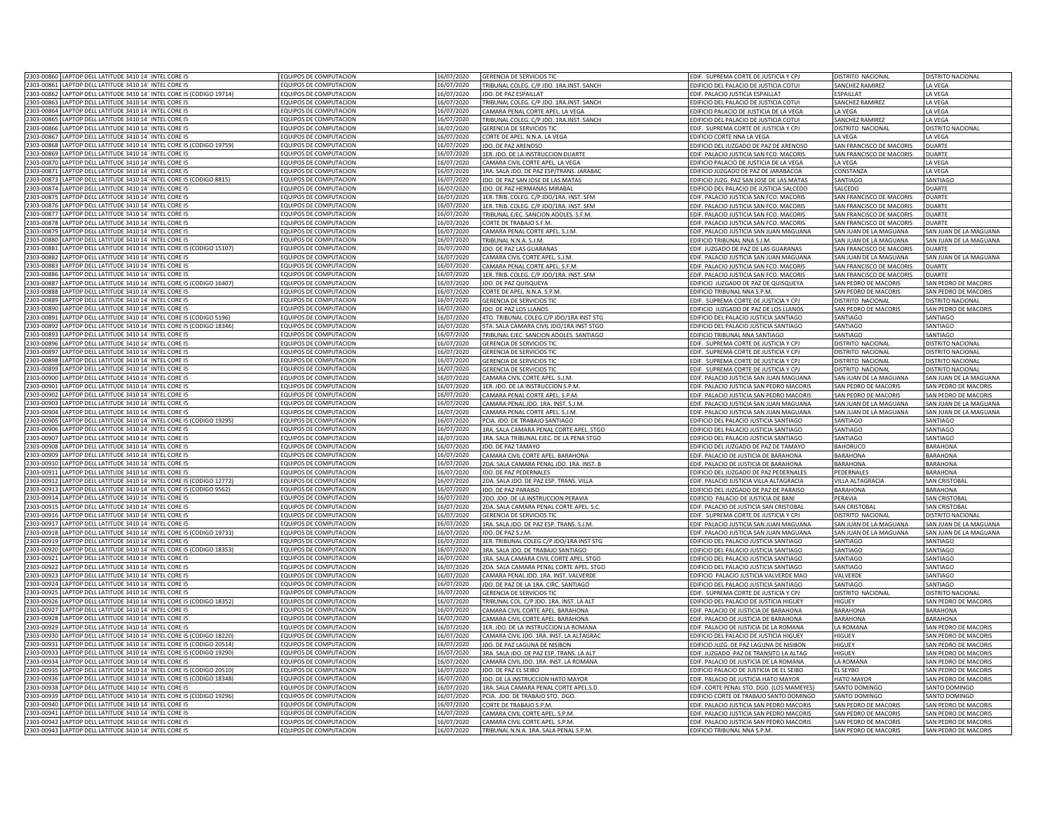|            | 2303-00860 LAPTOP DELL LATITUDE 3410 14" INTEL CORE I5                | EQUIPOS DE COMPUTACION        | 6/07/2020  | GERENCIA DE SERVICIOS TIC                | EDIF. SUPREMA CORTE DE JUSTICIA Y CPJ     | DISTRITO NACIONAL        | DISTRITO NACIONAL      |
|------------|-----------------------------------------------------------------------|-------------------------------|------------|------------------------------------------|-------------------------------------------|--------------------------|------------------------|
|            | 2303-00861 LAPTOP DELL LATITUDE 3410 14" INTEL CORE I5                | EQUIPOS DE COMPUTACION        | 16/07/2020 | TRIBUNAL COLEG. C/P JDO. 1RA.INST. SANCH | EDIFICIO DEL PALACIO DE JUSTICIA COTUI    | SANCHEZ RAMIREZ          | LA VEGA                |
|            | 2303-00862 LAPTOP DELL LATITUDE 3410 14" INTEL CORE I5 (CODIGO 19714) | EQUIPOS DE COMPUTACION        | 16/07/2020 | JDO. DE PAZ ESPAILLAT                    | EDIF. PALACIO JUSTICIA ESPAILLAT          | ESPAILLAT                | LA VEGA                |
| 2303-00863 | LAPTOP DELL LATITUDE 3410 14" INTEL CORE I5                           | EQUIPOS DE COMPUTACION        | 16/07/2020 |                                          |                                           | SANCHEZ RAMIREZ          |                        |
|            |                                                                       |                               |            | TRIBUNAL COLEG. C/P JDO. 1RA.INST. SANCH | EDIFICIO DEL PALACIO DE JUSTICIA COTUI    |                          | LA VEGA                |
| 2303-00864 | LAPTOP DELL LATITUDE 3410 14" INTEL CORE I5                           | EQUIPOS DE COMPUTACION        | 6/07/2020  | AMARA PENAL CORTE APEL. LA VEGA          | EDIFICIO PALACIO DE JUSTICIA DE LA VEGA   | LA VEGA                  | LA VEGA                |
| 2303-00865 | LAPTOP DELL LATITUDE 3410 14" INTEL CORE IS                           | FOUIPOS DE COMPUTACION        | 6/07/2020  | RIBUNAL COLEG. C/P JDO. 1RA.INST. SANCH  | EDIFICIO DEL PALACIO DE IUSTICIA COTUI    | SANCHEZ RAMIREZ          | LA VEGA                |
| 2303-00866 | LAPTOP DELL LATITUDE 3410 14" INTEL CORE I5                           | <b>QUIPOS DE COMPUTACION</b>  | 6/07/2020  | ERENCIA DE SERVICIOS TIC                 | EDIF. SUPREMA CORTE DE JUSTICIA Y CPJ     | DISTRITO NACIONAL        | DISTRITO NACIONAL      |
| 2303-00867 | LAPTOP DELL LATITUDE 3410 14" INTEL CORE I5                           | <b>QUIPOS DE COMPUTACION</b>  | 16/07/2020 | ORTE DE APEL. N.N.A. LA VEGA             | EDIFICIO CORTE NNA LA VEGA                | A VEGA                   | LA VEGA                |
| 2303-00868 | APTOP DELL LATITUDE 3410 14" INTEL CORE I5 (CODIGO 19759)             | <b>QUIPOS DE COMPUTACION</b>  | 6/07/2020  | DO. DE PAZ ARENOSO                       | EDIFICIO DEL JUZGADO DE PAZ DE ARENOSO    | SAN FRANCISCO DE MACORIS | DUARTE                 |
| 2303-00869 | LAPTOP DELL LATITUDE 3410 14" INTEL CORE I5                           | EQUIPOS DE COMPUTACION        | 6/07/2020  | 1ER. JDO. DE LA INSTRUCCION DUARTE       | EDIF. PALACIO JUSTICIA SAN FCO. MACORIS   | SAN FRANCISCO DE MACORIS | DUARTE                 |
|            | 2303-00870 LAPTOP DELL LATITUDE 3410 14" INTEL CORE I5                | EQUIPOS DE COMPUTACION        | 16/07/2020 | CAMARA CIVIL CORTE APEL. LA VEGA         | EDIFICIO PALACIO DE JUSTICIA DE LA VEGA   | LA VEGA                  | LA VEGA                |
| 2303-00871 | LAPTOP DELL LATITUDE 3410 14" INTEL CORE I5                           | EQUIPOS DE COMPUTACION        | 16/07/2020 | 1RA. SALA JDO. DE PAZ ESP/TRANS. JARABAC | EDIFICIO JUZGADO DE PAZ DE JARABACOA      | CONSTANZA                | LA VEGA                |
|            |                                                                       |                               |            |                                          |                                           | SANTIAGO                 | SANTIAGO               |
| 2303-00873 | LAPTOP DELL LATITUDE 3410 14" INTEL CORE I5 (CODIGO 8815)             | EQUIPOS DE COMPUTACION        | 16/07/2020 | JDO. DE PAZ SAN JOSE DE LAS MATAS        | EDIFICIO JUZG. PAZ SAN JOSE DE LAS MATAS  |                          |                        |
| 2303-00874 | LAPTOP DELL LATITUDE 3410 14" INTEL CORE I5                           | EQUIPOS DE COMPUTACION        | 16/07/2020 | IDO. DE PAZ HERMANAS MIRABAL             | EDIFICIO DEL PALACIO DE JUSTICIA SALCEDO  | SALCEDO                  | DUARTE                 |
| 2303-00875 | LAPTOP DELL LATITUDE 3410 14" INTEL CORE I5                           | <b>QUIPOS DE COMPUTACION</b>  | 16/07/2020 | 1ER. TRIB. COLEG. C/P JDO/1RA. INST. SFM | EDIF. PALACIO JUSTICIA SAN FCO. MACORIS   | SAN FRANCISCO DE MACORIS | DUARTE                 |
| 2303-00876 | LAPTOP DELL LATITUDE 3410 14" INTEL CORE I5                           | <b>QUIPOS DE COMPUTACION</b>  | 16/07/2020 | 1ER. TRIB. COLEG. C/P JDO/1RA. INST. SFM | EDIF. PALACIO JUSTICIA SAN FCO. MACORIS   | SAN FRANCISCO DE MACORIS | DUARTE                 |
| 2303-00877 | LAPTOP DELL LATITUDE 3410 14" INTEL CORE I5                           | OUIPOS DE COMPUTACION         | 6/07/2020  | TRIBUNAL EJEC. SANCION ADOLES. S.F.M.    | EDIF. PALACIO JUSTICIA SAN FCO. MACORIS   | SAN FRANCISCO DE MACORIS | DUARTE                 |
| 2303-00878 | LAPTOP DELL LATITUDE 3410 14" INTEL CORE I5                           | EQUIPOS DE COMPUTACION        | 6/07/2020  | ORTE DE TRABAJO S.F.M.                   | EDIF. PALACIO JUSTICIA SAN FCO. MACORIS   | SAN FRANCISCO DE MACORIS | DUARTE                 |
|            | 2303-00879 LAPTOP DELL LATITUDE 3410 14" INTEL CORE I5                | EQUIPOS DE COMPUTACION        | 16/07/2020 | CAMARA PENAL CORTE APEL. S.J.M.          | EDIF. PALACIO JUSTICIA SAN JUAN MAGUANA   | SAN JUAN DE LA MAGUANA   | SAN JUAN DE LA MAGUANA |
|            |                                                                       |                               |            |                                          |                                           |                          |                        |
| 2303-00880 | LAPTOP DELL LATITUDE 3410 14" INTEL CORE I5                           | EQUIPOS DE COMPUTACION        | 16/07/2020 | TRIBUNAL N.N.A. S.J.M.                   | EDIFICIO TRIBUNAL NNA S.J.M.              | SAN JUAN DE LA MAGUANA   | SAN JUAN DE LA MAGUANA |
| 2303-00881 | LAPTOP DELL LATITUDE 3410 14" INTEL CORE I5 (CODIGO 15107)            | EQUIPOS DE COMPUTACION        | 16/07/2020 | IDO. DE PAZ LAS GUARANAS                 | EDIF. JUZGADO DE PAZ DE LAS GUARANAS      | SAN FRANCISCO DE MACORIS | DUARTE                 |
| 2303-00882 | LAPTOP DELL LATITUDE 3410 14" INTEL CORE I5                           | <b>QUIPOS DE COMPUTACION</b>  | 6/07/2020  | AMARA CIVIL CORTE APEL. S.J.M.           | EDIF. PALACIO JUSTICIA SAN JUAN MAGUANA   | SAN JUAN DE LA MAGUANA   | SAN JUAN DE LA MAGUANA |
| 2303-00883 | LAPTOP DELL LATITUDE 3410 14" INTEL CORE I5                           | <b>COUIPOS DE COMPUTACION</b> | 6/07/2020  | AMARA PENAL CORTE APEL, S.F.M.           | FDIE, PALACIO ILISTICIA SAN FCO, MACORIS  | SAN FRANCISCO DE MACORIS | <b>DUARTE</b>          |
| 2303-00886 | APTOP DELL LATITUDE 3410 14" INTEL CORE I5                            | QUIPOS DE COMPUTACION         | 6/07/2020  | 1ER. TRIB. COLEG. C/P JDO/1RA. INST. SFM | EDIE, PALACIO JUSTICIA SAN ECO, MACORIS   | SAN FRANCISCO DE MACORIS | DUARTE                 |
| 2303-00887 | APTOP DELL LATITUDE 3410 14" INTEL CORE I5 (CODIGO 16407)             | OUIPOS DE COMPUTACION         | 6/07/2020  | DO. DE PAZ QUISQUEYA                     | EDIFICIO JUZGADO DE PAZ DE QUISQUEYA      | SAN PEDRO DE MACORIS     | SAN PEDRO DE MACORIS   |
| 2303-00888 | APTOP DELL LATITUDE 3410 14" INTEL CORE I5                            | OUIPOS DE COMPUTACION         | 6/07/2020  | ORTE DE APEL. N.N.A. S.P.M.              | FDIFICIO TRIBUNAL NNA S.P.M.              | SAN PEDRO DE MACORIS     | SAN PEDRO DE MACORIS   |
| 2303-00889 | LAPTOP DELL LATITUDE 3410 14" INTEL CORE I5                           | EQUIPOS DE COMPUTACION        | 6/07/2020  | GERENCIA DE SERVICIOS TIC                | EDIF. SUPREMA CORTE DE JUSTICIA Y CPJ     | DISTRITO NACIONAL        | DISTRITO NACIONAL      |
| 2303-00890 |                                                                       | EQUIPOS DE COMPUTACION        |            |                                          |                                           |                          |                        |
|            | LAPTOP DELL LATITUDE 3410 14" INTEL CORE I5                           |                               | 16/07/2020 | DO. DE PAZ LOS LLANO:                    | EDIFICIO JUZGADO DE PAZ DE LOS LLANOS     | SAN PEDRO DE MACORIS     | SAN PEDRO DE MACORIS   |
| 2303-00891 | LAPTOP DELL LATITUDE 3410 14" INTEL CORE I5 (CODIGO 5196)             | EQUIPOS DE COMPUTACION        | 16/07/2020 | 4TO. TRIBUNAL COLEG.C/P JDO/1RA INST STG | EDIFICIO DEL PALACIO JUSTICIA SANTIAGO    | SANTIAGO                 | SANTIAGO               |
| 2303-0089  | LAPTOP DELL LATITUDE 3410 14" INTEL CORE I5 (CODIGO 18346)            | EQUIPOS DE COMPUTACION        | 16/07/2020 | 5TA, SALA CAMARA CIVIL JDO/1RA INST STGC | EDIFICIO DEL PALACIO JUSTICIA SANTIAGO    | SANTIAGO                 | SANTIAGO               |
| 2303-0089  | LAPTOP DELL LATITUDE 3410 14" INTEL CORE IS                           | FOUIPOS DE COMPUTACION        | 16/07/2020 | TRIBUNAL FIFC, SANCION ADOLES, SANTIAGO  | <b>EDIFICIO TRIBUNAL NNA SANTIAGO</b>     | SANTIAGO                 | SANTIAGO               |
| 2303-00896 | LAPTOP DELL LATITUDE 3410 14" INTEL CORE I5                           | EQUIPOS DE COMPUTACION        | 16/07/2020 | <b>GERENCIA DE SERVICIOS TIC</b>         | EDIF. SUPREMA CORTE DE JUSTICIA Y CP.     | DISTRITO NACIONAL        | DISTRITO NACIONAL      |
| 2303-0089  | LAPTOP DELL LATITUDE 3410 14" INTEL CORE IS                           | EQUIPOS DE COMPUTACION        | 16/07/2020 | GERENCIA DE SERVICIOS TIC                | EDIF. SUPREMA CORTE DE JUSTICIA Y CP.     | DISTRITO NACIONAL        | DISTRITO NACIONAL      |
| 2303-0089  | LAPTOP DELL LATITUDE 3410 14" INTEL CORE I5                           | FOUIPOS DE COMPUTACION        | 16/07/2020 | GERENCIA DE SERVICIOS TIO                | EDIF. SUPREMA CORTE DE JUSTICIA Y CPJ     | DISTRITO NACIONAL        | DISTRITO NACIONAL      |
| 2303-00899 | LAPTOP DELL LATITUDE 3410 14" INTEL CORE I5                           | EQUIPOS DE COMPUTACION        | 16/07/2020 | <b>GERENCIA DE SERVICIOS TIC</b>         |                                           |                          | DISTRITO NACIONAL      |
|            |                                                                       |                               |            |                                          | EDIF. SUPREMA CORTE DE JUSTICIA Y CPJ     | DISTRITO NACIONAL        |                        |
| 2303-00900 | LAPTOP DELL LATITUDE 3410 14" INTEL CORE I5                           | EQUIPOS DE COMPUTACION        | 16/07/2020 | CAMARA CIVIL CORTE APEL. S.J.M.          | EDIF. PALACIO JUSTICIA SAN JUAN MAGUANA   | SAN JUAN DE LA MAGUANA   | SAN JUAN DE LA MAGUANA |
| 2303-00901 | LAPTOP DELL LATITUDE 3410 14" INTEL CORE I5                           | EQUIPOS DE COMPUTACION        | 16/07/2020 | 1ER. JDO. DE LA INSTRUCCION S.P.M.       | EDIF. PALACIO JUSTICIA SAN PEDRO MACORIS  | SAN PEDRO DE MACORIS     | SAN PEDRO DE MACORIS   |
| 2303-00902 | LAPTOP DELL LATITUDE 3410 14" INTEL CORE I5                           | EQUIPOS DE COMPUTACION        | 16/07/2020 | CAMARA PENAL CORTE APEL. S.P.M.          | EDIF. PALACIO JUSTICIA SAN PEDRO MACORIS  | SAN PEDRO DE MACORIS     | SAN PEDRO DE MACORIS   |
| 2303-00903 | LAPTOP DELL LATITUDE 3410 14" INTEL CORE I5                           | <b>QUIPOS DE COMPUTACION</b>  | 6/07/2020  | AMARA PENAL JDO. 1RA. INST. S.J.M.       | EDIF. PALACIO JUSTICIA SAN JUAN MAGUANA   | SAN JUAN DE LA MAGUANA   | SAN JUAN DE LA MAGUANA |
| 2303-00904 | LAPTOP DELL LATITUDE 3410 14" INTEL CORE I5                           | EQUIPOS DE COMPUTACION        | 6/07/2020  | AMARA PENAL CORTE APEL. S.J.M.           | EDIF. PALACIO JUSTICIA SAN JUAN MAGUANA   | SAN JUAN DE LA MAGUANA   | SAN JUAN DE LA MAGUANA |
| 2303-00905 | LAPTOP DELL LATITUDE 3410 14" INTEL CORE I5 (CODIGO 19295)            | <b>QUIPOS DE COMPUTACION</b>  | 6/07/2020  | CIA. JDO. DE TRABAJO SANTIAGO            | EDIFICIO DEL PALACIO JUSTICIA SANTIAGO    | SANTIAGO                 | SANTIAGO               |
| 2303-00906 | APTOP DELL LATITUDE 3410 14" INTEL CORE I5                            | <b>QUIPOS DE COMPUTACION</b>  | 6/07/2020  | IRA. SALA CAMARA PENAL CORTE APEL. STGO  | EDIFICIO DEL PALACIO JUSTICIA SANTIAGO    | SANTIAGO                 | SANTIAGO               |
| 2303-00907 | LAPTOP DELL LATITUDE 3410 14" INTEL CORE I5                           | EQUIPOS DE COMPUTACION        | 6/07/2020  |                                          |                                           |                          |                        |
|            |                                                                       |                               |            | 1RA. SALA TRIBUNAL EJEC. DE LA PENA STGO | EDIFICIO DEL PALACIO JUSTICIA SANTIAGO    | SANTIAGO                 | SANTIAGO               |
| 2303-00908 | LAPTOP DELL LATITUDE 3410 14" INTEL CORE I5                           | EQUIPOS DE COMPUTACION        | 6/07/2020  | <b>IDO. DE PAZ TAMAYO</b>                | EDIFICIO DEL JUZGADO DE PAZ DE TAMAYO     | <b>BAHORUCO</b>          | <b>BARAHONA</b>        |
|            | 2303-00909 LAPTOP DELL LATITUDE 3410 14" INTEL CORE I5                | EQUIPOS DE COMPUTACION        | 16/07/2020 | CAMARA CIVIL CORTE APEL. BARAHONA        | EDIF. PALACIO DE JUSTICIA DE BARAHONA     | <b>BARAHONA</b>          | <b>BARAHONA</b>        |
|            | 2303-00910 LAPTOP DELL LATITUDE 3410 14" INTEL CORE I5                | EQUIPOS DE COMPUTACION        | 16/07/2020 | 2DA. SALA CAMARA PENAL JDO. 1RA. INST. B | EDIF. PALACIO DE JUSTICIA DE BARAHONA     | <b>BARAHONA</b>          | BARAHONA               |
| 2303-00911 | LAPTOP DELL LATITUDE 3410 14" INTEL CORE I5                           | EQUIPOS DE COMPUTACION        | 16/07/2020 | JDO. DE PAZ PEDERNALES                   | EDIFICIO DEL JUZGADO DE PAZ PEDERNALES    | PEDERNALES               | BARAHONA               |
| 2303-00912 | LAPTOP DELL LATITUDE 3410 14" INTEL CORE I5 (CODIGO 12772)            | EQUIPOS DE COMPUTACION        | 6/07/2020  | 2DA, SALA JDO, DE PAZ ESP, TRANS, VILLA  | EDIF. PALACIO JUSTICIA VILLA ALTAGRACIA   | <b>VILLA ALTAGRACIA</b>  | SAN CRISTOBA           |
| 2303-00913 | LAPTOP DELL LATITUDE 3410 14" INTEL CORE I5 (CODIGO 9562)             | <b>QUIPOS DE COMPUTACION</b>  | 16/07/2020 | DO. DE PAZ PARAISO                       | EDIFICIO DEL JUZGADO DE PAZ DE PARAISO    | <b>BARAHONA</b>          | BARAHONA               |
| 2303-00914 | LAPTOP DELL LATITUDE 3410 14" INTEL CORE I5                           | OUIPOS DE COMPUTACION         | 6/07/2020  | DO. JDO. DE LA INSTRUCCION PERAVIA       | EDIFICIO PALACIO DE JUSTICIA DE BANI      | PERAVIA                  | SAN CRISTOBA           |
| 2303-00915 | LAPTOP DELL LATITUDE 3410 14" INTEL CORE I5                           | EQUIPOS DE COMPUTACION        | 6/07/2020  | DA. SALA CAMARA PENAL CORTE APEL. S.C.   | EDIF. PALACIO DE JUSTICIA SAN CRISTOBAL   | <b>SAN CRISTOBAL</b>     | SAN CRISTOBAL          |
| 2303-00916 | LAPTOP DELL LATITUDE 3410 14" INTEL CORE I5                           | EQUIPOS DE COMPUTACION        | 6/07/2020  |                                          |                                           |                          |                        |
|            |                                                                       |                               |            | GERENCIA DE SERVICIOS TIC                | EDIF. SUPREMA CORTE DE JUSTICIA Y CPJ     | DISTRITO NACIONAL        | DISTRITO NACIONAL      |
| 2303-00917 | LAPTOP DELL LATITUDE 3410 14" INTEL CORE I5                           | EQUIPOS DE COMPUTACION        | 16/07/2020 | 1RA. SALA JDO. DE PAZ ESP. TRANS. S.J.M. | EDIF. PALACIO JUSTICIA SAN JUAN MAGUANA   | SAN JUAN DE LA MAGUANA   | SAN JUAN DE LA MAGUANA |
| 2303-00918 | LAPTOP DELL LATITUDE 3410 14" INTEL CORE I5 (CODIGO 19733)            | EQUIPOS DE COMPUTACION        | 16/07/2020 | JDO. DE PAZ S.J.M.                       | EDIF. PALACIO JUSTICIA SAN JUAN MAGUANA   | SAN JUAN DE LA MAGUANA   | SAN JUAN DE LA MAGUANA |
| 2303-00919 | LAPTOP DELL LATITUDE 3410 14" INTEL CORE I5                           | EQUIPOS DE COMPUTACION        | 6/07/2020  | 3ER. TRIBUNAL COLEG.C/P JDO/1RA INST STG | EDIFICIO DEL PALACIO JUSTICIA SANTIAGO    | SANTIAGO                 | SANTIAGO               |
| 2303-00920 | APTOP DELL LATITUDE 3410 14" INTEL CORE IS (CODIGO 18353)             | OUIPOS DE COMPUTACION         | 6/07/2020  | RA. SALA JDO. DE TRABAJO SANTIAGO        | EDIFICIO DEL PALACIO JUSTICIA SANTIAGO    | SANTIAGO                 | SANTIAGO               |
| 2303-00921 | APTOP DELL LATITUDE 3410 14" INTEL CORE I5                            | QUIPOS DE COMPUTACION         | 6/07/2020  | 1RA. SALA CAMARA CIVIL CORTE APEL. STGO  | DIFICIO DEL PALACIO ILISTICIA SANTIAGO    | SANTIAGO                 | SANTIAGO               |
| 2303-00922 | LAPTOP DELL LATITUDE 3410 14" INTEL CORE I5                           | <b>COUIPOS DE COMPUTACION</b> | 6/07/2020  | 2DA. SALA CAMARA PENAL CORTE APEL. STGO  | EDIFICIO DEL PALACIO JUSTICIA SANTIAGO    | SANTIAGO                 | SANTIAGO               |
| 2303-00923 | APTOP DELL LATITUDE 3410 14" INTEL CORE I5                            | OUIPOS DE COMPUTACION         | 6/07/2020  | AMARA PENAL JDO. 1RA. INST. VALVERDE     | EDIFICIO PALACIO JUSTICIA VALVERDE MAO    | <b>VAI VERDI</b>         | ANTIAGO                |
| 2303-00924 | LAPTOP DELL LATITUDE 3410 14" INTEL CORE I5                           | EQUIPOS DE COMPUTACION        | 6/07/2020  | DO. DE PAZ DE LA 1RA. CIRC. SANTIAGO     | EDIFICIO DEL PALACIO JUSTICIA SANTIAGO    | SANTIAGO                 | SANTIAGO               |
| 2303-00925 | LAPTOP DELL LATITUDE 3410 14" INTEL CORE I5                           | EQUIPOS DE COMPUTACION        | 16/07/2020 | <b>GERENCIA DE SERVICIOS TIC</b>         | EDIF. SUPREMA CORTE DE JUSTICIA Y CPJ     | DISTRITO NACIONAL        | DISTRITO NACIONAL      |
|            |                                                                       |                               |            |                                          |                                           |                          |                        |
| 2303-00926 | LAPTOP DELL LATITUDE 3410 14" INTEL CORE I5 (CODIGO 18352)            | EQUIPOS DE COMPUTACION        | 16/07/2020 | TRIBUNAL COL. C/P JDO. 1RA. INST. LA ALT | EDIFICIO DEL PALACIO DE JUSTICIA HIGUEY   | HIGUEY                   | SAN PEDRO DE MACORIS   |
| 2303-00927 | LAPTOP DELL LATITUDE 3410 14" INTEL CORE IS                           | <b>EQUIPOS DE COMPUTACION</b> | 16/07/2020 | CAMARA CIVIL CORTE APEL. BARAHONA        | FDIF. PALACIO DE IUSTICIA DE BARAHONA     | <b>BARAHONA</b>          | RARAHONA               |
| 2303-00928 | LAPTOP DELL LATITUDE 3410 14" INTEL CORE I5                           | <b>FOUIPOS DE COMPUTACION</b> | 16/07/2020 | <b>CAMARA CIVIL CORTE APEL. BARAHONA</b> | FDIF. PALACIO DE IUSTICIA DE BARAHONA     | <b>BARAHONA</b>          | <b>BARAHONA</b>        |
| 2303-00929 | LAPTOP DELL LATITUDE 3410 14" INTEL CORE I5                           | FOUIPOS DE COMPUTACION        | 16/07/2020 | 1ER. JDO. DE LA INSTRUCCION LA ROMANA    | EDIF. PALACIO DE JUSTICIA DE LA ROMANA    | <b>I A ROMANA</b>        | SAN PEDRO DE MACORIS   |
| 2303-00930 | LAPTOP DELL LATITUDE 3410 14" INTEL CORE I5 (CODIGO 18220)            | EQUIPOS DE COMPUTACION        | 16/07/2020 | AMARA CIVIL IDO, 1RA, INST. LA ALTAGRA   | EDIFICIO DEL PALACIO DE IUSTICIA HIGUEY   | HIGUFY                   | SAN PEDRO DE MACORIS   |
| 2303-00931 | LAPTOP DELL LATITUDE 3410 14" INTEL CORE I5 (CODIGO 20514)            | <b>FOUIPOS DE COMPUTACION</b> | 16/07/2020 | DO. DE PAZ LAGUNA DE NISIBON             | EDIFICIO JUZG. DE PAZ LAGUNA DE NISIBON   | HIGUEY                   | SAN PEDRO DE MACORIS   |
| 2303-00933 | LAPTOP DELL LATITUDE 3410 14" INTEL CORE I5 (CODIGO 19290)            | EQUIPOS DE COMPUTACION        | 16/07/2020 | 3RA. SALA JDO. DE PAZ ESP. TRANS. LA ALT | EDIF. JUZGADO PAZ DE TRANSITO LA ALTAG    | HIGUEY                   | SAN PEDRO DE MACORIS   |
|            |                                                                       |                               |            |                                          |                                           |                          |                        |
| 2303-00934 | LAPTOP DELL LATITUDE 3410 14" INTEL CORE I5                           | EQUIPOS DE COMPUTACION        | 16/07/2020 | CAMARA CIVIL JDO. 1RA. INST. LA ROMANA   | EDIF. PALACIO DE JUSTICIA DE LA ROMANA    | LA ROMANA                | SAN PEDRO DE MACORIS   |
| 2303-00935 | LAPTOP DELL LATITUDE 3410 14" INTEL CORE IS (CODIGO 20510)            | <b>EQUIPOS DE COMPUTACION</b> | 16/07/2020 | <b>DO. DE PAZ EL SEIBO</b>               | EDIFICIO PALACIO DE JUSTICIA DE EL SEIBO  | EL SEYBO                 | SAN PEDRO DE MACORIS   |
| 2303-00936 | LAPTOP DELL LATITUDE 3410 14" INTEL CORE I5 (CODIGO 18348)            | EQUIPOS DE COMPUTACION        | 16/07/2020 | IDO. DE LA INSTRUCCION HATO MAYOR        | EDIF. PALACIO DE JUSTICIA HATO MAYOR      | <b>HATO MAYOR</b>        | SAN PEDRO DE MACORIS   |
| 2303-00938 | LAPTOP DELL LATITUDE 3410 14" INTEL CORE I5                           | EQUIPOS DE COMPUTACION        | 6/07/2020  | 1RA. SALA CAMARA PENAL CORTE APEL.S.D.   | EDIF. CORTE PENAL STO. DGO. (LOS MAMEYES) | SANTO DOMINGO            | SANTO DOMINGO          |
| 2303-00939 | LAPTOP DELL LATITUDE 3410 14" INTEL CORE IS (CODIGO 19296)            | FOUIPOS DE COMPUTACION        | 6/07/2020  | CIA. JDO, DE TRABAJO STO. DGO.           | EDIFICIO CORTE DE TRABAJO SANTO DOMINGO   | SANTO DOMINGO            | SANTO DOMINGO          |
| 2303-00940 | LAPTOP DELL LATITUDE 3410 14" INTEL CORE I5                           | <b>QUIPOS DE COMPUTACION</b>  | 6/07/2020  | ORTE DE TRABAJO S.P.M.                   | EDIF. PALACIO JUSTICIA SAN PEDRO MACORIS  | SAN PEDRO DE MACORIS     | SAN PEDRO DE MACORIS   |
| 2303-00941 | LAPTOP DELL LATITUDE 3410 14" INTEL CORE I5                           | OUIPOS DE COMPUTACION         | 6/07/2020  | AMARA CIVIL CORTE APEL. S.P.M.           | EDIF. PALACIO JUSTICIA SAN PEDRO MACORIS  | SAN PEDRO DE MACORIS     | SAN PEDRO DE MACORIS   |
|            | 2303-00942 LAPTOP DELL LATITUDE 3410 14" INTEL CORE I5                | <b>QUIPOS DE COMPUTACION</b>  | 6/07/2020  | CAMARA CIVIL CORTE APEL. S.P.M.          | EDIF. PALACIO JUSTICIA SAN PEDRO MACORIS  | SAN PEDRO DE MACORIS     | SAN PEDRO DE MACORIS   |
|            | 2303-00943 LAPTOP DELL LATITUDE 3410 14" INTEL CORE I5                | EQUIPOS DE COMPUTACION        | 16/07/2020 | TRIBUNAL N.N.A. 1RA. SALA PENAL S.P.M.   | EDIFICIO TRIBUNAL NNA S.P.M.              | SAN PEDRO DE MACORIS     | SAN PEDRO DE MACORIS   |
|            |                                                                       |                               |            |                                          |                                           |                          |                        |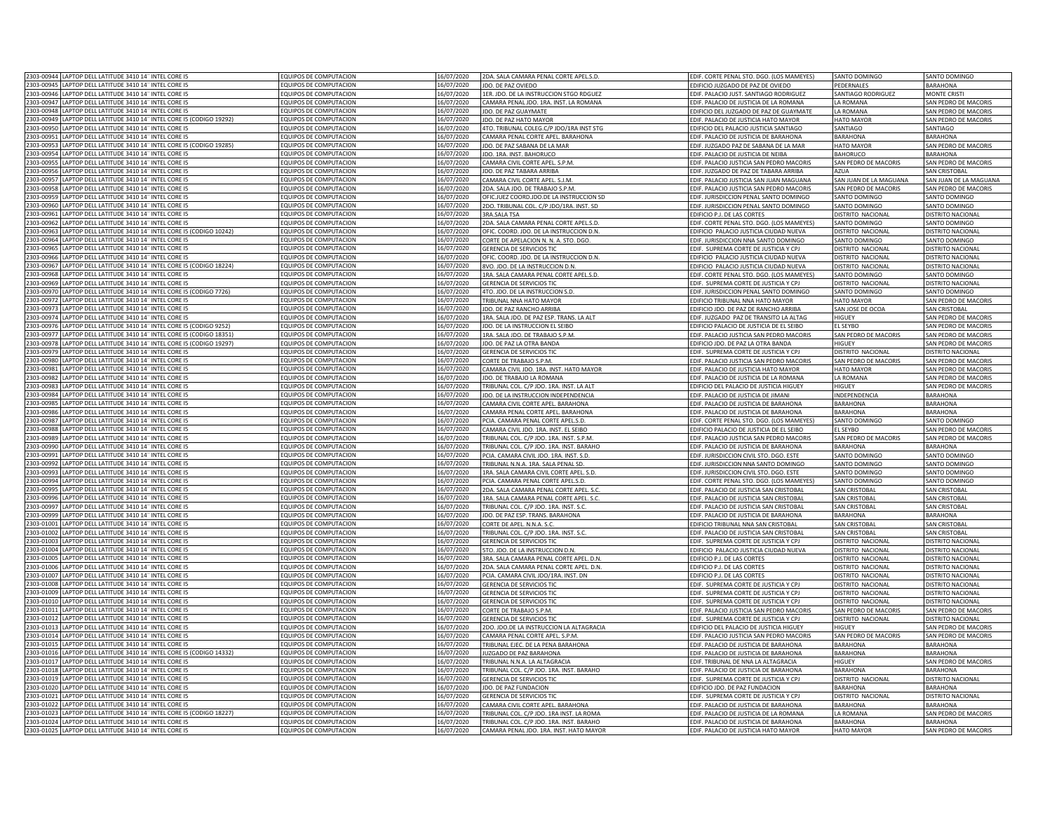| 2303-00944 LAPTOP DELL LATITUDE 3410 14" INTEL CORE I5                   | EQUIPOS DE COMPUTACION        | 16/07/2020 | 2DA. SALA CAMARA PENAL CORTE APEL.S.D    | EDIF. CORTE PENAL STO. DGO. (LOS MAMEYES) | SANTO DOMINGO           | SANTO DOMINGO            |
|--------------------------------------------------------------------------|-------------------------------|------------|------------------------------------------|-------------------------------------------|-------------------------|--------------------------|
| 2303-00945 LAPTOP DELL LATITUDE 3410 14" INTEL CORE I5                   | EQUIPOS DE COMPUTACION        | 16/07/2020 | JDO. DE PAZ OVIEDO                       | EDIFICIO JUZGADO DE PAZ DE OVIEDO         | PEDERNALES              | <b>BARAHONA</b>          |
|                                                                          |                               |            |                                          |                                           |                         |                          |
| 2303-00946 LAPTOP DELL LATITUDE 3410 14" INTEL CORE I5                   | EQUIPOS DE COMPUTACION        | 16/07/2020 | 1ER. JDO. DE LA INSTRUCCION STGO RDGUEZ  | EDIF. PALACIO JUST. SANTIAGO RODRIGUEZ    | SANTIAGO RODRIGUEZ      | <b>MONTE CRISTI</b>      |
| 2303-00947 LAPTOP DELL LATITUDE 3410 14" INTEL CORE I5                   | EQUIPOS DE COMPUTACION        | 16/07/2020 | CAMARA PENAL JDO. 1RA. INST. LA ROMANA   | EDIF. PALACIO DE JUSTICIA DE LA ROMANA    | LA ROMANA               | SAN PEDRO DE MACORIS     |
| 2303-00948 LAPTOP DELL LATITUDE 3410 14" INTEL CORE I5                   | EQUIPOS DE COMPUTACION        | 16/07/2020 | IDO. DE PAZ GUAYMATE                     | EDIFICIO DEL JUZGADO DE PAZ DE GUAYMATE   | A ROMANA                | SAN PEDRO DE MACORIS     |
| 2303-00949 LAPTOP DELL LATITUDE 3410 14" INTEL CORE I5 (CODIGO 19292)    | FOUIPOS DE COMPUTACION        | 16/07/2020 | JDO. DE PAZ HATO MAYOR                   | EDIF, PALACIO DE JUSTICIA HATO MAYOR      | <b>HATO MAYOR</b>       | SAN PEDRO DE MACORIS     |
| 2303-00950 LAPTOP DELL LATITUDE 3410 14" INTEL CORE I5                   | EQUIPOS DE COMPUTACION        | 16/07/2020 | 4TO. TRIBUNAL COLEG.C/P JDO/1RA INST STG | EDIFICIO DEL PALACIO JUSTICIA SANTIAGO    | SANTIAGO                | SANTIAGO                 |
| 2303-00951<br>APTOP DELL LATITUDE 3410 14" INTEL CORE I5                 | EQUIPOS DE COMPUTACION        | 6/07/2020  | CAMARA PENAL CORTE APEL. BARAHONA        | EDIF. PALACIO DE JUSTICIA DE BARAHONA     | <b>BARAHONA</b>         | <b>BARAHONA</b>          |
| 2303-00953<br>APTOP DELL LATITUDE 3410 14" INTEL CORE I5 (CODIGO 19285)  | EQUIPOS DE COMPUTACION        | 6/07/2020  | JDO. DE PAZ SABANA DE LA MAR             | EDIF. JUZGADO PAZ DE SABANA DE LA MAR     | ΙΑΤΟ ΜΑΥΩΡ              | AN PEDRO DE MACORIS      |
| 2303-00954 LAPTOP DELL LATITUDE 3410 14" INTEL CORE I5                   | EQUIPOS DE COMPUTACION        | 16/07/2020 | JDO. 1RA. INST. BAHORUCO                 | EDIF. PALACIO DE JUSTICIA DE NEIBA        | AHORUCO                 | <b>BARAHONA</b>          |
|                                                                          | EQUIPOS DE COMPUTACION        |            |                                          |                                           |                         |                          |
| 2303-00955 LAPTOP DELL LATITUDE 3410 14" INTEL CORE I5                   |                               | 16/07/2020 | CAMARA CIVIL CORTE APEL. S.P.M.          | EDIF. PALACIO JUSTICIA SAN PEDRO MACORIS  | SAN PEDRO DE MACORIS    | SAN PEDRO DE MACORIS     |
| LAPTOP DELL LATITUDE 3410 14" INTEL CORE I5<br>2303-00956                | EQUIPOS DE COMPUTACION        | 16/07/2020 | JDO. DE PAZ TABARA ARRIBA                | EDIF. JUZGADO DE PAZ DE TABARA ARRIBA     | A7UA                    | <b>SAN CRISTOBAL</b>     |
| 2303-00957<br>LAPTOP DELL LATITUDE 3410 14" INTEL CORE I5                | EQUIPOS DE COMPUTACION        | 16/07/2020 | CAMARA CIVIL CORTE APEL. S.J.M.          | EDIF. PALACIO JUSTICIA SAN JUAN MAGUANA   | SAN JUAN DE LA MAGUANA  | SAN JUAN DE LA MAGUANA   |
| LAPTOP DELL LATITUDE 3410 14" INTEL CORE IS<br>2303-00958                | EQUIPOS DE COMPUTACION        | 16/07/2020 | 2DA. SALA JDO. DE TRABAJO S.P.M.         | EDIF. PALACIO JUSTICIA SAN PEDRO MACORIS  | SAN PEDRO DE MACORIS    | SAN PEDRO DE MACORIS     |
| 2303-00959<br>LAPTOP DELL LATITUDE 3410 14" INTEL CORE I5                | EQUIPOS DE COMPUTACION        | 16/07/2020 | OFICJUEZ COORDJDO.DE LA INSTRUCCION SD   | EDIF, JURISDICCION PENAL SANTO DOMINGO    | <b>SANTO DOMINGO</b>    | SANTO DOMINGO            |
| 2303-00960<br>LAPTOP DELL LATITUDE 3410 14" INTEL CORE I5                | EQUIPOS DE COMPUTACION        | 16/07/2020 | 2DO. TRIBUNAL COL. C/P JDO/1RA. INST. SD | EDIF. JURISDICCION PENAL SANTO DOMINGO    | <b>SANTO DOMINGO</b>    | SANTO DOMINGO            |
| LAPTOP DELL LATITUDE 3410 14" INTEL CORE I5<br>2303-00961                | EQUIPOS DE COMPUTACION        | 16/07/2020 | 3RA.SALA TSA                             | EDIFICIO P.J. DE LAS CORTES               | DISTRITO NACIONAL       | DISTRITO NACIONAL        |
| 2303-00962 LAPTOP DELL LATITUDE 3410 14" INTEL CORE I5                   | EQUIPOS DE COMPUTACION        | 16/07/2020 | 2DA. SALA CAMARA PENAL CORTE APEL.S.D.   | EDIF. CORTE PENAL STO. DGO. (LOS MAMEYES) | SANTO DOMINGO           | SANTO DOMINGO            |
| LAPTOP DELL LATITUDE 3410 14" INTEL CORE I5 (CODIGO 10242)<br>2303-00963 | EQUIPOS DE COMPUTACION        | 16/07/2020 | OFIC. COORD. JDO. DE LA INSTRUCCION D.N. | EDIFICIO PALACIO JUSTICIA CIUDAD NUEVA    | DISTRITO NACIONAL       | <b>DISTRITO NACIONAL</b> |
| 2303-00964                                                               |                               |            |                                          |                                           |                         |                          |
| LAPTOP DELL LATITUDE 3410 14" INTEL CORE I5                              | EQUIPOS DE COMPUTACION        | 16/07/2020 | CORTE DE APELACION N. N. A. STO. DGO.    | EDIF. JURISDICCION NNA SANTO DOMINGO      | SANTO DOMINGO           | SANTO DOMINGO            |
| 2303-00965<br>LAPTOP DELL LATITUDE 3410 14" INTEL CORE I5                | EQUIPOS DE COMPUTACION        | 16/07/2020 | <b>GERENCIA DE SERVICIOS TIC</b>         | EDIF. SUPREMA CORTE DE JUSTICIA Y CPJ     | DISTRITO NACIONAL       | DISTRITO NACIONAL        |
| 2303-00966<br>LAPTOP DELL LATITUDE 3410 14" INTEL CORE I5                | QUIPOS DE COMPUTACION         | 16/07/2020 | OFIC. COORD. JDO. DE LA INSTRUCCION D.N. | EDIFICIO PALACIO JUSTICIA CIUDAD NUEVA    | DISTRITO NACIONAL       | <b>JISTRITO NACIONAL</b> |
| 2303-00967<br>LAPTOP DELL LATITUDE 3410 14" INTEL CORE IS (CODIGO 18224) | <b>COUIPOS DE COMPUTACION</b> | 16/07/2020 | 8VO, JDO, DE LA INSTRUCCION D.N.         | EDIFICIO PALACIO JUSTICIA CIUDAD NUEVA    | DISTRITO NACIONAL       | <b>ISTRITO NACIONAL</b>  |
| 2303-00968<br>APTOP DELL LATITUDE 3410 14" INTEL CORE I5                 | OUIPOS DE COMPUTACION         | 6/07/2020  | IRA, SALA CAMARA PENAL CORTE APEL.S.D.   | EDIF, CORTE PENAL STO, DGO, (LOS MAMEYES) | SANTO DOMINGO           | <b>ANTO DOMINGO</b>      |
| 2303-00969<br>APTOP DELL LATITUDE 3410 14" INTEL CORE I5                 | <b>COUIPOS DE COMPUTACION</b> | 6/07/2020  | GERENCIA DE SERVICIOS TIC                | EDIF. SUPREMA CORTE DE JUSTICIA Y CPJ     | DISTRITO NACIONAL       | <b>ISTRITO NACIONAL</b>  |
| 2303-00970<br>APTOP DELL LATITUDE 3410 14" INTEL CORE I5 (CODIGO 7726)   | <b>COUIPOS DE COMPUTACION</b> | 6/07/2020  | 4TO, JDO, DE LA INSTRUCCION S.D.         | EDIF. JURISDICCION PENAL SANTO DOMINGO    | <b>SANTO DOMINGO</b>    | <b>SANTO DOMINGO</b>     |
| 2303-00972<br>LAPTOP DELL LATITUDE 3410 14" INTEL CORE I5                | EQUIPOS DE COMPUTACION        | 16/07/2020 | TRIBUNAL NNA HATO MAYOR                  | EDIFICIO TRIBUNAL NNA HATO MAYOR          | HATO MAYOR              | SAN PEDRO DE MACORIS     |
| LAPTOP DELL LATITUDE 3410 14" INTEL CORE I5<br>2303-00973                | EQUIPOS DE COMPUTACION        | 16/07/2020 | JDO. DE PAZ RANCHO ARRIBA                | EDIFICIO JDO. DE PAZ DE RANCHO ARRIBA     | SAN JOSE DE OCOA        | SAN CRISTOBAL            |
| 2303-00974<br>LAPTOP DELL LATITUDE 3410 14" INTEL CORE IS                | EQUIPOS DE COMPUTACION        | 16/07/2020 | 1RA, SALA JDO, DE PAZ ESP, TRANS, LA ALT | EDIF, JUZGADO PAZ DE TRANSITO LA ALTAC    | HIGUEY                  | SAN PEDRO DE MACORIS     |
| 2303-00976<br>LAPTOP DELL LATITUDE 3410 14" INTEL CORE IS (CODIGO 9252)  | EQUIPOS DE COMPUTACION        | 16/07/2020 | JDO. DE LA INSTRUCCION EL SEIBO          | EDIFICIO PALACIO DE JUSTICIA DE EL SEIBO  | EL SEYBO                | SAN PEDRO DE MACORIS     |
| 2303-00977<br>LAPTOP DELL LATITUDE 3410 14" INTEL CORE I5 (CODIGO 18351  | EQUIPOS DE COMPUTACION        | 16/07/2020 |                                          |                                           | SAN PEDRO DE MACORIS    |                          |
|                                                                          |                               |            | 1RA. SALA JDO. DE TRABAJO S.P.M.         | EDIF. PALACIO JUSTICIA SAN PEDRO MACORIS  |                         | SAN PEDRO DE MACORIS     |
| 2303-00978<br>LAPTOP DELL LATITUDE 3410 14" INTEL CORE IS (CODIGO 19297) | FOUIPOS DE COMPUTACION        | 16/07/2020 | JDO. DE PAZ LA OTRA BANDA                | EDIFICIO JDO. DE PAZ LA OTRA BANDA        | HIGUEY                  | SAN PEDRO DE MACORIS     |
| LAPTOP DELL LATITUDE 3410 14" INTEL CORE I5<br>2303-00979                | EQUIPOS DE COMPUTACION        | 16/07/2020 | <b>GERENCIA DE SERVICIOS TIC</b>         | EDIF. SUPREMA CORTE DE JUSTICIA Y CPJ     | DISTRITO NACIONAL       | DISTRITO NACIONAL        |
| 2303-00980<br>LAPTOP DELL LATITUDE 3410 14" INTEL CORE I5                | EQUIPOS DE COMPUTACION        | 16/07/2020 | CORTE DE TRABAJO S.P.M.                  | EDIF. PALACIO JUSTICIA SAN PEDRO MACORIS  | SAN PEDRO DE MACORIS    | SAN PEDRO DE MACORIS     |
| 2303-00981 LAPTOP DELL LATITUDE 3410 14" INTEL CORE I5                   | EQUIPOS DE COMPUTACION        | 16/07/2020 | CAMARA CIVIL JDO. 1RA. INST. HATO MAYOR  | EDIF. PALACIO DE JUSTICIA HATO MAYOR      | <b>HATO MAYOR</b>       | SAN PEDRO DE MACORIS     |
| 2303-00982 LAPTOP DELL LATITUDE 3410 14" INTEL CORE I5                   | EQUIPOS DE COMPUTACION        | 16/07/2020 | JDO. DE TRABAJO LA ROMANA                | EDIF. PALACIO DE JUSTICIA DE LA ROMANA    | LA ROMANA               | SAN PEDRO DE MACORIS     |
| 2303-00983<br>LAPTOP DELL LATITUDE 3410 14" INTEL CORE IS                | EQUIPOS DE COMPUTACION        | 16/07/2020 | RIBUNAL COL. C/P JDO. 1RA. INST. LA ALT  | EDIFICIO DEL PALACIO DE JUSTICIA HIGUEY   | HIGUEY                  | SAN PEDRO DE MACORIS     |
| 2303-00984<br>LAPTOP DELL LATITUDE 3410 14" INTEL CORE IS                | FOUIPOS DE COMPUTACION        | 16/07/2020 | IDO. DE LA INSTRUCCION INDEPENDENCIA     | EDIF. PALACIO DE JUSTICIA DE JIMANI       | NDEPENDENCIA            | <b>BARAHONA</b>          |
| 2303-00985<br>LAPTOP DELL LATITUDE 3410 14" INTEL CORE I5                | EQUIPOS DE COMPUTACION        | 16/07/2020 | AMARA CIVIL CORTE APFL. BARAHONA         | EDIF. PALACIO DE JUSTICIA DE BARAHONA     | <b>BARAHONA</b>         | <b>BARAHONA</b>          |
| 2303-00986<br>APTOP DELL LATITUDE 3410 14" INTEL CORE I5                 | EQUIPOS DE COMPUTACION        | 6/07/2020  | CAMARA PENAL CORTE APEL. BARAHONA        | FDIF. PALACIO DE IUSTICIA DE BARAHONA     | <b>BARAHONA</b>         | BARAHONA                 |
| 2303-00987<br>LAPTOP DELL LATITUDE 3410 14" INTEL CORE I5                | EQUIPOS DE COMPUTACION        | 6/07/2020  | PCIA. CAMARA PENAL CORTE APEL.S.D.       | EDIF. CORTE PENAL STO. DGO. (LOS MAMEYES) | <b>SANTO DOMINGO</b>    | <b>ANTO DOMINGO</b>      |
|                                                                          |                               |            |                                          |                                           |                         |                          |
| 2303-00988<br>LAPTOP DELL LATITUDE 3410 14" INTEL CORE I5                | EQUIPOS DE COMPUTACION        | 16/07/2020 | CAMARA CIVIL JDO. 1RA. INST. EL SEIBO    | EDIFICIO PALACIO DE JUSTICIA DE EL SEIBO  | L SEYBO                 | AN PEDRO DE MACORIS      |
| 2303-00989 LAPTOP DELL LATITUDE 3410 14" INTEL CORE I5                   | EQUIPOS DE COMPUTACION        | 16/07/2020 | TRIBUNAL COL. C/P JDO. 1RA. INST. S.P.M  | EDIF. PALACIO JUSTICIA SAN PEDRO MACORIS  | SAN PEDRO DE MACORIS    | SAN PEDRO DE MACORIS     |
| 2303-00990 LAPTOP DELL LATITUDE 3410 14" INTEL CORE I5                   | EQUIPOS DE COMPUTACION        | 16/07/2020 | TRIBUNAL COL. C/P JDO. 1RA. INST. BARAHO | EDIF. PALACIO DE JUSTICIA DE BARAHONA     | <b>BARAHONA</b>         | <b>BARAHONA</b>          |
| 2303-00991 LAPTOP DELL LATITUDE 3410 14" INTEL CORE I5                   | EQUIPOS DE COMPUTACION        | 16/07/2020 | PCIA. CAMARA CIVIL JDO. 1RA. INST. S.D   | EDIF. JURISDICCION CIVIL STO. DGO. ESTE   | SANTO DOMINGO           | SANTO DOMINGO            |
| 2303-00992 LAPTOP DELL LATITUDE 3410 14" INTEL CORE I5                   | EQUIPOS DE COMPUTACION        | 16/07/2020 | TRIBUNAL N.N.A. 1RA. SALA PENAL SD       | EDIF. JURISDICCION NNA SANTO DOMINGO      | SANTO DOMINGO           | SANTO DOMINGO            |
| 2303-00993<br>LAPTOP DELL LATITUDE 3410 14" INTEL CORE I5                | EQUIPOS DE COMPUTACION        | 16/07/2020 | 1RA. SALA CAMARA CIVIL CORTE APEL. S.D   | EDIF. JURISDICCION CIVIL STO. DGO. ESTE   | <b>SANTO DOMINGO</b>    | SANTO DOMINGO            |
| 2303-00994<br>LAPTOP DELL LATITUDE 3410 14" INTEL CORE I5                | EQUIPOS DE COMPUTACION        | 16/07/2020 | PCIA. CAMARA PENAL CORTE APEL.S.D        | EDIF. CORTE PENAL STO. DGO. (LOS MAMEYES) | SANTO DOMINGO           | SANTO DOMINGO            |
| 2303-00995<br>LAPTOP DELL LATITUDE 3410 14" INTEL CORE I5                | EQUIPOS DE COMPUTACION        | 16/07/2020 | 2DA, SALA CAMARA PENAL CORTE APEL, S.C   | EDIF, PALACIO DE JUSTICIA SAN CRISTOBAL   | SAN CRISTOBAL           | <b>SAN CRISTOBAL</b>     |
| 2303-00996 LAPTOP DELL LATITUDE 3410 14" INTEL CORE I5                   | EQUIPOS DE COMPUTACION        | 16/07/2020 | 1RA. SALA CAMARA PENAL CORTE APEL. S.C   | EDIF. PALACIO DE JUSTICIA SAN CRISTOBAL   | <b>SAN CRISTOBAL</b>    | <b>SAN CRISTOBAL</b>     |
| 2303-00997 LAPTOP DELL LATITUDE 3410 14" INTEL CORE I5                   | EQUIPOS DE COMPUTACION        | 16/07/2020 | TRIBUNAL COL. C/P JDO. 1RA. INST. S.C.   | EDIF. PALACIO DE JUSTICIA SAN CRISTOBAL   | SAN CRISTOBAL           | <b>SAN CRISTOBAL</b>     |
| 2303-00999<br>LAPTOP DELL LATITUDE 3410 14" INTEL CORE I5                | EQUIPOS DE COMPUTACION        | 16/07/2020 | JDO. DE PAZ ESP. TRANS. BARAHONA         | EDIF. PALACIO DE JUSTICIA DE BARAHONA     | BARAHONA                | <b>BARAHONA</b>          |
| 2303-01001<br>LAPTOP DELL LATITUDE 3410 14" INTEL CORE I5                | EQUIPOS DE COMPUTACION        |            |                                          |                                           |                         |                          |
| 2303-01002                                                               |                               | 16/07/2020 | CORTE DE APEL. N.N.A. S.C.               | EDIFICIO TRIBUNAL NNA SAN CRISTOBAL       | SAN CRISTOBAL           | SAN CRISTOBAL            |
| APTOP DELL LATITUDE 3410 14" INTEL CORE I5                               | QUIPOS DE COMPUTACION         | 6/07/2020  | RIBUNAL COL. C/P JDO. 1RA. INST. S.C.    | EDIF. PALACIO DE JUSTICIA SAN CRISTOBAL   | SAN CRISTOBAL           | SAN CRISTOBAL            |
| LAPTOP DELL LATITUDE 3410 14" INTEL CORE I5<br>2303-01003                | EQUIPOS DE COMPUTACION        | 16/07/2020 | <b>GERENCIA DE SERVICIOS TIC</b>         | FDIE. SUPREMA CORTE DE IUSTICIA Y CPI     | DISTRITO NACIONAL       | <b>DISTRITO NACIONAL</b> |
| 2303-01004<br>APTOP DELL LATITUDE 3410 14" INTEL CORE I5                 | <b>QUIPOS DE COMPUTACION</b>  | 6/07/2020  | 5TO. IDO. DE LA INSTRUCCION D.N.         | EDIFICIO PALACIO JUSTICIA CIUDAD NUEVA    | DISTRITO NACIONAL       | <b>ISTRITO NACIONAL</b>  |
| 2303-01005<br>APTOP DELL LATITUDE 3410 14" INTEL CORE I5                 | OUIPOS DE COMPUTACION         | 5/07/2020  | RA. SALA CAMARA PENAL CORTE APEL. D.N.   | <b>EDIFICIO P.J. DE LAS CORTES</b>        | DISTRITO NACIONAL       | <b>ISTRITO NACIONAL</b>  |
| 2303-01006<br>APTOP DELL LATITUDE 3410 14" INTEL CORE I5                 | OUIPOS DE COMPUTACION         | 6/07/2020  | 2DA. SALA CAMARA PENAL CORTE APEL. D.N.  | EDIFICIO P.J. DE LAS CORTES               | DISTRITO NACIONAL       | <b>ISTRITO NACIONAL</b>  |
| LAPTOP DELL LATITUDE 3410 14" INTEL CORE I5<br>2303-01007                | EQUIPOS DE COMPUTACION        | 16/07/2020 | PCIA. CAMARA CIVIL JDO/1RA. INST. DN     | EDIFICIO P.J. DE LAS CORTES               | DISTRITO NACIONAL       | <b>DISTRITO NACIONAL</b> |
| 2303-01008 LAPTOP DELL LATITUDE 3410 14" INTEL CORE I5                   | EQUIPOS DE COMPUTACION        | 16/07/2020 | <b>GERENCIA DE SERVICIOS TIO</b>         | EDIF. SUPREMA CORTE DE JUSTICIA Y CPJ     | <b>DISTRITO NACIONA</b> | <b>ISTRITO NACIONA</b>   |
| 2303-01009<br>LAPTOP DELL LATITUDE 3410 14" INTEL CORE I5                | EQUIPOS DE COMPUTACION        | 16/07/2020 | <b>GERENCIA DE SERVICIOS TIO</b>         | EDIF. SUPREMA CORTE DE JUSTICIA Y CPJ     | DISTRITO NACIONAL       | DISTRITO NACIONAL        |
| 2303-01010<br>LAPTOP DELL LATITUDE 3410 14" INTEL CORE IS                | EQUIPOS DE COMPUTACION        | 16/07/2020 | <b>GERENCIA DE SERVICIOS TIO</b>         | EDIF. SUPREMA CORTE DE JUSTICIA Y CPJ     | DISTRITO NACIONAL       | <b>DISTRITO NACIONA</b>  |
| 2303-01011<br>LAPTOP DELL LATITUDE 3410 14" INTEL CORE IS                | EQUIPOS DE COMPUTACION        | 16/07/2020 | CORTE DE TRABAJO S.P.M.                  | EDIE, PALACIO ILISTICIA SAN PEDRO MACORIS | SAN PEDRO DE MACORIS    | SAN PEDRO DE MACORIS     |
| 2303-01012<br>LAPTOP DELL LATITUDE 3410 14" INTEL CORE I5                | EQUIPOS DE COMPUTACION        | 16/07/2020 | <b>GERENCIA DE SERVICIOS TIO</b>         | FDIE. SUPREMA CORTE DE IUSTICIA Y CPI     | DISTRITO NACIONAL       | DISTRITO NACIONAL        |
| 2303-01013<br>LAPTOP DELL LATITUDE 3410 14" INTEL CORE I5                | EQUIPOS DE COMPUTACION        | 16/07/2020 | 2DO. JDO.DE LA INSTRUCCION LA ALTAGRACIA | EDIFICIO DEL PALACIO DE JUSTICIA HIGUEY   | HIGUEY                  | SAN PEDRO DE MACORIS     |
| 2303-01014 LAPTOP DELL LATITUDE 3410 14" INTEL CORE I5                   | FOUIPOS DE COMPUTACION        | 16/07/2020 | CAMARA PENAL CORTE APEL. S.P.M.          | EDIF. PALACIO JUSTICIA SAN PEDRO MACORIS  | SAN PEDRO DE MACORIS    | SAN PEDRO DE MACORIS     |
|                                                                          |                               |            |                                          |                                           |                         |                          |
| 2303-01015 LAPTOP DELL LATITUDE 3410 14" INTEL CORE I5                   | EQUIPOS DE COMPUTACION        | 16/07/2020 | TRIBUNAL EJEC. DE LA PENA BARAHONA       | EDIF. PALACIO DE JUSTICIA DE BARAHONA     | <b>BARAHONA</b>         | <b>BARAHONA</b>          |
| 2303-01016 LAPTOP DELL LATITUDE 3410 14" INTEL CORE I5 (CODIGO 14332)    | EQUIPOS DE COMPUTACION        | 16/07/2020 | JUZGADO DE PAZ BARAHONA                  | EDIF. PALACIO DE JUSTICIA DE BARAHONA     | <b>BARAHONA</b>         | <b>BARAHONA</b>          |
| 2303-01017 LAPTOP DELL LATITUDE 3410 14" INTEL CORE I5                   | EQUIPOS DE COMPUTACION        | 16/07/2020 | TRIBUNAL N.N.A. LA ALTAGRACIA            | EDIF. TRIBUNAL DE NNA LA ALTAGRACIA       | HIGUEY                  | SAN PEDRO DE MACORIS     |
| 2303-01018 LAPTOP DELL LATITUDE 3410 14" INTEL CORE I5                   | EQUIPOS DE COMPUTACION        | 16/07/2020 | TRIBUNAL COL. C/P JDO. 1RA. INST. BARAHO | EDIF. PALACIO DE JUSTICIA DE BARAHONA     | <b>BARAHONA</b>         | <b>BARAHONA</b>          |
| 2303-01019 LAPTOP DELL LATITUDE 3410 14" INTEL CORE I5                   | FOUIPOS DE COMPUTACION        | 16/07/2020 | GERENCIA DE SERVICIOS TIC                | EDIF. SUPREMA CORTE DE JUSTICIA Y CPJ     | DISTRITO NACIONAL       | DISTRITO NACIONAL        |
| 2303-01020 LAPTOP DELL LATITUDE 3410 14" INTEL CORE I5                   | FOUIPOS DE COMPUTACION        | 16/07/2020 | IDO. DE PAZ FUNDACION                    | EDIFICIO JDO. DE PAZ FUNDACION            | BARAHONA                | <b>BARAHONA</b>          |
| 2303-01021 LAPTOP DELL LATITUDE 3410 14" INTEL CORE I5                   | EQUIPOS DE COMPUTACION        | 16/07/2020 | GERENCIA DE SERVICIOS TIC                | EDIF. SUPREMA CORTE DE JUSTICIA Y CPJ     | DISTRITO NACIONAL       | <b>DISTRITO NACIONAL</b> |
| 2303-01022<br>APTOP DELL LATITUDE 3410 14" INTEL CORE I5                 | <b>QUIPOS DE COMPUTACION</b>  | 6/07/2020  | <b>CAMARA CIVIL CORTE APEL. BARAHONA</b> | EDIF. PALACIO DE JUSTICIA DE BARAHONA     | <b>BARAHONA</b>         | ARAHONA                  |
| LAPTOP DELL LATITUDE 3410 14" INTEL CORE I5 (CODIGO 18227)<br>2303-01023 | EQUIPOS DE COMPUTACION        | 16/07/2020 | TRIBUNAL COL. C/P JDO. 1RA INST. LA ROMA | FDIE, PALACIO DE IUSTICIA DE LA ROMANA    | A ROMANA                | AN PEDRO DE MACORIS      |
| 2303-01024 LAPTOP DELL LATITUDE 3410 14" INTEL CORE I5                   | EQUIPOS DE COMPUTACION        | 16/07/2020 | TRIBUNAL COL. C/P JDO. 1RA. INST. BARAHO | EDIF. PALACIO DE JUSTICIA DE BARAHONA     | BARAHONA                | <b>BARAHONA</b>          |
| 2303-01025 LAPTOP DELL LATITUDE 3410 14" INTEL CORE I5                   | EQUIPOS DE COMPUTACION        | 16/07/2020 | CAMARA PENAL JDO. 1RA. INST. HATO MAYOR  | EDIF. PALACIO DE JUSTICIA HATO MAYOR      | <b>HATO MAYOR</b>       | SAN PEDRO DE MACORIS     |
|                                                                          |                               |            |                                          |                                           |                         |                          |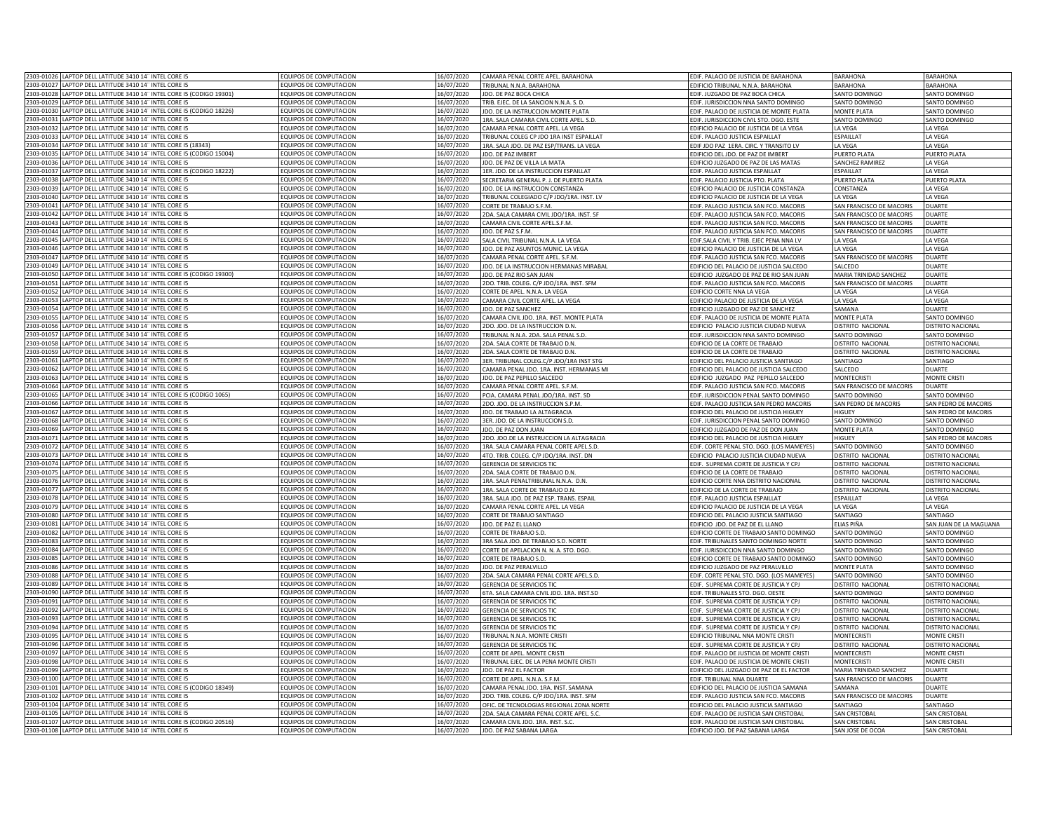|                                                                                  | 2303-01026 LAPTOP DELL LATITUDE 3410 14" INTEL CORE I5                | EQUIPOS DE COMPUTACION        | 6/07/2020  | CAMARA PENAL CORTE APEL. BARAHONA        | EDIF. PALACIO DE JUSTICIA DE BARAHONA          | <b>BARAHONA</b>          | BARAHONA                 |
|----------------------------------------------------------------------------------|-----------------------------------------------------------------------|-------------------------------|------------|------------------------------------------|------------------------------------------------|--------------------------|--------------------------|
|                                                                                  | 2303-01027 LAPTOP DELL LATITUDE 3410 14" INTEL CORE I5                | EQUIPOS DE COMPUTACION        | 16/07/2020 | TRIBUNAL N.N.A. BARAHONA                 | EDIFICIO TRIBUNAL N.N.A. BARAHONA              | <b>BARAHONA</b>          | <b>BARAHONA</b>          |
|                                                                                  | 2303-01028 LAPTOP DELL LATITUDE 3410 14" INTEL CORE I5 (CODIGO 19301) | EQUIPOS DE COMPUTACION        | 16/07/2020 | JDO. DE PAZ BOCA CHICA                   | EDIF. JUZGADO DE PAZ BOCA CHICA                | SANTO DOMINGO            | SANTO DOMINGO            |
|                                                                                  |                                                                       |                               |            |                                          |                                                |                          |                          |
| 2303-01029                                                                       | LAPTOP DELL LATITUDE 3410 14" INTEL CORE I5                           | EQUIPOS DE COMPUTACION        | 16/07/2020 | TRIB. EJEC. DE LA SANCION N.N.A. S. D.   | EDIF. JURISDICCION NNA SANTO DOMINGO           | SANTO DOMINGO            | SANTO DOMINGO            |
|                                                                                  | 2303-01030 LAPTOP DELL LATITUDE 3410 14" INTEL CORE I5 (CODIGO 18226) | EQUIPOS DE COMPUTACION        | 6/07/2020  | IDO. DE LA INSTRUCCION MONTE PLATA       | EDIF. PALACIO DE JUSTICIA DE MONTE PLATA       | MONTE PLATA              | SANTO DOMINGO            |
| 2303-01031                                                                       | LAPTOP DELL LATITUDE 3410 14" INTEL CORE IS                           | OUIPOS DE COMPUTACION         | 6/07/2020  | 1RA, SALA CAMARA CIVIL CORTE APEL, S.D.  | FDIE, IURISDICCION CIVIL STO, DGO, ESTE        | SANTO DOMINGO            | SANTO DOMINGO            |
| 2303-01032                                                                       | LAPTOP DELL LATITUDE 3410 14" INTEL CORE I5                           | EQUIPOS DE COMPUTACION        | 6/07/2020  | AMARA PENAL CORTE APEL. LA VEGA          | EDIFICIO PALACIO DE JUSTICIA DE LA VEGA        | LA VEGA                  | LA VEGA                  |
| 2303-01033                                                                       | LAPTOP DELL LATITUDE 3410 14" INTEL CORE I5                           | <b>COUIPOS DE COMPUTACION</b> | 16/07/2020 | RIBUNAL COLEG CP JDO 1RA INST ESPAILLAT  | EDIF. PALACIO JUSTICIA ESPAILLAT               | ESPAILLAT                | LA VEGA                  |
| 2303-01034                                                                       | LAPTOP DELL LATITUDE 3410 14" INTEL CORE I5 (18343)                   | <b>QUIPOS DE COMPUTACION</b>  | 6/07/2020  | IRA. SALA JDO. DE PAZ ESP/TRANS. LA VEGA | EDIF JDO PAZ 1ERA. CIRC. Y TRANSITO LV         | A VEGA                   | LA VEGA                  |
| 2303-01035                                                                       | LAPTOP DELL LATITUDE 3410 14" INTEL CORE I5 (CODIGO 15004)            | EQUIPOS DE COMPUTACION        | 6/07/2020  | DO. DE PAZ IMBERT                        | EDIFICIO DEL JDO. DE PAZ DE IMBERT             | PUERTO PLATA             | PUERTO PLATA             |
|                                                                                  | 2303-01036 LAPTOP DELL LATITUDE 3410 14" INTEL CORE I5                | EQUIPOS DE COMPUTACION        | 16/07/2020 | JDO. DE PAZ DE VILLA LA MATA             | EDIFICIO JUZGADO DE PAZ DE LAS MATAS           | SANCHEZ RAMIREZ          | LA VEGA                  |
|                                                                                  | 2303-01037 LAPTOP DELL LATITUDE 3410 14" INTEL CORE I5 (CODIGO 18222) |                               |            |                                          |                                                | ESPAILLAT                |                          |
|                                                                                  |                                                                       | EQUIPOS DE COMPUTACION        | 16/07/2020 | 1ER. JDO. DE LA INSTRUCCION ESPAILLAT    | EDIF. PALACIO JUSTICIA ESPAILLAT               |                          | LA VEGA                  |
| 2303-01038                                                                       | LAPTOP DELL LATITUDE 3410 14" INTEL CORE I5                           | EQUIPOS DE COMPUTACION        | 16/07/2020 | SECRETARIA GENERAL P. J. DE PUERTO PLATA | EDIF. PALACIO JUSTICIA PTO. PLATA              | PUERTO PLATA             | PUERTO PLATA             |
| 2303-01039                                                                       | LAPTOP DELL LATITUDE 3410 14" INTEL CORE I5                           | FOUIPOS DE COMPUTACION        | 16/07/2020 | DO. DE LA INSTRUCCION CONSTANZA          | EDIFICIO PALACIO DE JUSTICIA CONSTANZA         | CONSTANZA                | LA VEGA                  |
| 2303-01040                                                                       | LAPTOP DELL LATITUDE 3410 14" INTEL CORE I5                           | <b>QUIPOS DE COMPUTACION</b>  | 16/07/2020 | TRIBUNAL COLEGIADO C/P JDO/1RA. INST. LV | EDIFICIO PALACIO DE JUSTICIA DE LA VEGA        | <b>I A VFGA</b>          | LA VEGA                  |
| 2303-01041                                                                       | LAPTOP DELL LATITUDE 3410 14" INTEL CORE I5                           | <b>QUIPOS DE COMPUTACION</b>  | 16/07/2020 | ORTE DE TRABAJO S.F.M                    | EDIF. PALACIO JUSTICIA SAN FCO. MACORIS        | SAN FRANCISCO DE MACORIS | <b>DUARTE</b>            |
| 2303-01042                                                                       | LAPTOP DELL LATITUDE 3410 14" INTEL CORE I5                           | OUIPOS DE COMPUTACION         | 6/07/2020  | DA. SALA CAMARA CIVIL JDO/1RA. INST. SF  | EDIF. PALACIO JUSTICIA SAN FCO. MACORIS        | SAN FRANCISCO DE MACORIS | DUARTE                   |
|                                                                                  | 2303-01043 LAPTOP DELL LATITUDE 3410 14" INTEL CORE I5                | EQUIPOS DE COMPUTACION        | 6/07/2020  | CAMARA CIVIL CORTE APEL.S.F.M.           | EDIF. PALACIO JUSTICIA SAN FCO. MACORIS        | SAN FRANCISCO DE MACORIS | DUARTE                   |
|                                                                                  | 2303-01044 LAPTOP DELL LATITUDE 3410 14" INTEL CORE I5                | EQUIPOS DE COMPUTACION        | 16/07/2020 | IDO. DE PAZ S.F.M.                       | EDIF. PALACIO JUSTICIA SAN FCO. MACORIS        | SAN FRANCISCO DE MACORIS | <b>DUARTE</b>            |
|                                                                                  | 2303-01045 LAPTOP DELL LATITUDE 3410 14" INTEL CORE I5                | EQUIPOS DE COMPUTACION        | 16/07/2020 | SALA CIVIL TRIBUNAL N.N.A. LA VEGA       | EDIF.SALA CIVIL Y TRIB. EJEC PENA NNA LV       | LA VEGA                  | LA VEGA                  |
| 2303-01046                                                                       | LAPTOP DELL LATITUDE 3410 14" INTEL CORE I5                           | <b>EQUIPOS DE COMPUTACION</b> | 16/07/2020 |                                          |                                                |                          |                          |
| 2303-01047                                                                       | LAPTOP DELL LATITUDE 3410 14" INTEL CORE I5                           | QUIPOS DE COMPUTACION         | 6/07/2020  | IDO. DE PAZ ASUNTOS MUNIC. LA VEGA       | EDIFICIO PALACIO DE JUSTICIA DE LA VEGA        | LA VEGA                  | LA VEGA<br><b>DUARTE</b> |
|                                                                                  |                                                                       |                               |            | AMARA PENAL CORTE APEL. S.F.M.           | EDIF. PALACIO JUSTICIA SAN FCO. MACORIS        | SAN FRANCISCO DE MACORIS |                          |
| 2303-01049                                                                       | LAPTOP DELL LATITUDE 3410 14" INTEL CORE I5                           | <b>COUIPOS DE COMPUTACION</b> | 6/07/2020  | IDO. DE LA INSTRUCCION HERMANAS MIRABAL  | EDIFICIO DEL PALACIO DE JUSTICIA SALCEDO       | SALCEDO                  | <b>DUARTE</b>            |
| 2303-01050                                                                       | APTOP DELL LATITUDE 3410 14" INTEL CORE I5 (CODIGO 19300)             | <b>QUIPOS DE COMPUTACION</b>  | 6/07/2020  | IDO. DE PAZ RIO SAN ILIAN                | EDIFICIO ILIZGADO DE PAZ DE RIO SAN ILIAN      | MARIA TRINIDAD SANCHEZ   | DUARTE                   |
| 2303-01051                                                                       | APTOP DELL LATITUDE 3410 14" INTEL CORE I5                            | <b>QUIPOS DE COMPUTACION</b>  | 6/07/2020  | DO. TRIB. COLEG. C/P JDO/1RA. INST. SFM  | EDIF. PALACIO JUSTICIA SAN FCO. MACORIS        | SAN FRANCISCO DE MACORIS | DUARTE                   |
| 2303-01052                                                                       | LAPTOP DELL LATITUDE 3410 14" INTEL CORE I5                           | OUIPOS DE COMPUTACION         | 6/07/2020  | ORTE DE APEL. N.N.A. LA VEGA             | EDIFICIO CORTE NNA LA VEGA                     | A VFGA                   | LA VEGA                  |
| 2303-01053                                                                       | LAPTOP DELL LATITUDE 3410 14" INTEL CORE I5                           | EQUIPOS DE COMPUTACION        | 6/07/2020  | CAMARA CIVIL CORTE APEL. LA VEGA         | EDIFICIO PALACIO DE JUSTICIA DE LA VEGA        | LA VEGA                  | LA VEGA                  |
|                                                                                  | 2303-01054 LAPTOP DELL LATITUDE 3410 14" INTEL CORE I5                | EQUIPOS DE COMPUTACION        | 16/07/2020 | DO. DE PAZ SANCHEZ                       | EDIFICIO JUZGADO DE PAZ DE SANCHEZ             | SAMANA                   | DUARTE                   |
| 2303-01055                                                                       | LAPTOP DELL LATITUDE 3410 14" INTEL CORE I5                           | EQUIPOS DE COMPUTACION        | 16/07/2020 | CAMARA CIVIL JDO. 1RA. INST. MONTE PLATA | EDIF. PALACIO DE JUSTICIA DE MONTE PLATA       | MONTE PLATA              | SANTO DOMINGO            |
| 2303-01056                                                                       | LAPTOP DELL LATITUDE 3410 14" INTEL CORE I5                           | EQUIPOS DE COMPUTACION        | 16/07/2020 | 2DO. JDO. DE LA INSTRUCCION D.N          | EDIFICIO PALACIO JUSTICIA CIUDAD NUEVA         | DISTRITO NACIONAL        | DISTRITO NACIONA         |
| 2303-01057                                                                       | LAPTOP DELL LATITUDE 3410 14" INTEL CORE IS                           | FOUIPOS DE COMPUTACION        | 16/07/2020 | TRIBUNAL N.N.A. 2DA. SALA PENAL S.D      | EDIF. JURISDICCION NNA SANTO DOMINGO           | SANTO DOMINGO            | SANTO DOMINGO            |
| 2303-01058                                                                       | LAPTOP DELL LATITUDE 3410 14" INTEL CORE I5                           | EQUIPOS DE COMPUTACION        | 16/07/2020 | 2DA, SALA CORTE DE TRABAIO D.N           | EDIFICIO DE LA CORTE DE TRABAJO                | DISTRITO NACIONAL        | DISTRITO NACIONA         |
| 2303-01059                                                                       | LAPTOP DELL LATITUDE 3410 14" INTEL CORE IS                           | EQUIPOS DE COMPUTACION        | 16/07/2020 | 2DA. SALA CORTE DE TRABAJO D.N           | EDIFICIO DE LA CORTE DE TRABAJO                | DISTRITO NACIONAL        | DISTRITO NACIONAL        |
|                                                                                  |                                                                       | FOUIPOS DE COMPUTACION        |            |                                          | EDIFICIO DEL PALACIO ILISTICIA SANTIAGO        |                          |                          |
| 2303-01061                                                                       | LAPTOP DELL LATITUDE 3410 14" INTEL CORE I5                           |                               | 16/07/2020 | 3ER. TRIBUNAL COLEG.C/P JDO/1RA INST STG |                                                | SANTIAGO                 | SANTIAGO                 |
| 2303-01062                                                                       | LAPTOP DELL LATITUDE 3410 14" INTEL CORE I5                           | EQUIPOS DE COMPUTACION        | 16/07/2020 | AMARA PENAL JDO. 1RA. INST. HERMANAS MI  | EDIFICIO DEL PALACIO DE JUSTICIA SALCEDO       | SALCEDO                  | DUARTE                   |
| 2303-01063                                                                       | LAPTOP DELL LATITUDE 3410 14" INTEL CORE I5                           | EQUIPOS DE COMPUTACION        | 16/07/2020 | JDO. DE PAZ PEPILLO SALCEDO              | EDIFICIO JUZGADO PAZ PEPILLO SALCEDO           | <b>MONTECRISTI</b>       | MONTE CRISTI             |
| 2303-01064                                                                       | LAPTOP DELL LATITUDE 3410 14" INTEL CORE I5                           | EQUIPOS DE COMPUTACION        | 16/07/2020 | CAMARA PENAL CORTE APEL. S.F.M           | EDIF. PALACIO JUSTICIA SAN FCO. MACORIS        | SAN FRANCISCO DE MACORIS | DUARTE                   |
| 2303-01065                                                                       | LAPTOP DELL LATITUDE 3410 14" INTEL CORE I5 (CODIGO 1065)             | EQUIPOS DE COMPUTACION        | 16/07/2020 | PCIA. CAMARA PENAL JDO/1RA. INST. SD     | EDIF. JURISDICCION PENAL SANTO DOMINGO         | SANTO DOMINGO            | SANTO DOMINGO            |
| 2303-01066                                                                       | LAPTOP DELL LATITUDE 3410 14" INTEL CORE I5                           | <b>QUIPOS DE COMPUTACION</b>  | 6/07/2020  | DO. JDO. DE LA INSTRUCCION S.P.M.        | EDIF. PALACIO JUSTICIA SAN PEDRO MACORIS       | SAN PEDRO DE MACORIS     | SAN PEDRO DE MACORIS     |
| 2303-01067                                                                       | LAPTOP DELL LATITUDE 3410 14" INTEL CORE I5                           | EQUIPOS DE COMPUTACION        | 6/07/2020  | IDO. DE TRABAJO LA ALTAGRACIA            | EDIFICIO DEL PALACIO DE JUSTICIA HIGUEY        | HIGUEY                   | SAN PEDRO DE MACORIS     |
| 2303-01068                                                                       | LAPTOP DELL LATITUDE 3410 14" INTEL CORE I5                           | <b>QUIPOS DE COMPUTACION</b>  | 6/07/2020  | 3ER. JDO. DE LA INSTRUCCION S.D.         | EDIF. JURISDICCION PENAL SANTO DOMINGO         | SANTO DOMINGO            | SANTO DOMINGO            |
| 2303-01069                                                                       | LAPTOP DELL LATITUDE 3410 14" INTEL CORE I5                           | EQUIPOS DE COMPUTACION        | 6/07/2020  | DO. DE PAZ DON JUAN                      | EDIFICIO JUZGADO DE PAZ DE DON JUAN            | MONTE PLATA              | SANTO DOMINGO            |
| 2303-01071                                                                       | LAPTOP DELL LATITUDE 3410 14" INTEL CORE I5                           | EQUIPOS DE COMPUTACION        | 6/07/2020  | 2DO. JDO.DE LA INSTRUCCION LA ALTAGRACIA | EDIFICIO DEL PALACIO DE JUSTICIA HIGUEY        | HIGUFY                   | AN PEDRO DE MACORIS      |
| 2303-01072                                                                       | LAPTOP DELL LATITUDE 3410 14" INTEL CORE I5                           | <b>COUIPOS DE COMPUTACION</b> | 6/07/2020  | 1RA. SALA CAMARA PENAL CORTE APEL.S.D.   |                                                | SANTO DOMINGO            | SANTO DOMINGO            |
|                                                                                  |                                                                       |                               |            |                                          | EDIF. CORTE PENAL STO. DGO. (LOS MAMEYES)      |                          |                          |
|                                                                                  | 2303-01073 LAPTOP DELL LATITUDE 3410 14" INTEL CORE I5                | EQUIPOS DE COMPUTACION        | 16/07/2020 | 4TO. TRIB. COLEG. C/P JDO/1RA. INST. DN  | EDIFICIO PALACIO JUSTICIA CIUDAD NUEVA         | DISTRITO NACIONAL        | DISTRITO NACIONAL        |
|                                                                                  | 2303-01074 LAPTOP DELL LATITUDE 3410 14" INTEL CORE I5                | EQUIPOS DE COMPUTACION        | 16/07/2020 | <b>GERENCIA DE SERVICIOS TIC</b>         | EDIF. SUPREMA CORTE DE JUSTICIA Y CPJ          | DISTRITO NACIONAL        | DISTRITO NACIONA         |
|                                                                                  | 2303-01075 LAPTOP DELL LATITUDE 3410 14" INTEL CORE I5                | EQUIPOS DE COMPUTACION        | 16/07/2020 | 2DA. SALA CORTE DE TRABAJO D.N           | EDIFICIO DE LA CORTE DE TRABAJO                | DISTRITO NACIONAL        | <b>DISTRITO NACIONAL</b> |
| 2303-01076                                                                       | LAPTOP DELL LATITUDE 3410 14" INTEL CORE IS                           | OUIPOS DE COMPUTACION         | 16/07/2020 | 1RA. SALA PENALTRIBUNAL N.N.A. D.N.      | EDIFICIO CORTE NNA DISTRITO NACIONAL           | DISTRITO NACIONAL        | DISTRITO NACIONA         |
| 2303-01077                                                                       | LAPTOP DELL LATITUDE 3410 14" INTEL CORE I5                           | <b>QUIPOS DE COMPUTACION</b>  | 6/07/2020  | <b>IRA, SALA CORTE DE TRABAJO D.N</b>    | <b>EDIFICIO DE LA CORTE DE TRABAJO</b>         | DISTRITO NACIONAL        | <b>DISTRITO NACIONAL</b> |
| 2303-01078                                                                       | LAPTOP DELL LATITUDE 3410 14" INTEL CORE I5                           | <b>QUIPOS DE COMPUTACION</b>  | 6/07/2020  | 3RA. SALA JDO. DE PAZ ESP. TRANS. ESPAIL | EDIF. PALACIO JUSTICIA ESPAILLAT               | ESPAILLAT                | LA VEGA                  |
| 2303-01079                                                                       | LAPTOP DELL LATITUDE 3410 14" INTEL CORE I5                           | <b>QUIPOS DE COMPUTACION</b>  | 6/07/2020  | CAMARA PENAL CORTE APEL. LA VEGA         | EDIFICIO PALACIO DE JUSTICIA DE LA VEGA        | LA VEGA                  | LA VEGA                  |
|                                                                                  | 2303-01080 LAPTOP DELL LATITUDE 3410 14" INTEL CORE I5                | EQUIPOS DE COMPUTACION        | 6/07/2020  | <b>CORTE DE TRABAJO SANTIAGO</b>         | EDIFICIO DEL PALACIO JUSTICIA SANTIAGO         | <b>SANTIAGO</b>          | SANTIAGO                 |
|                                                                                  | 2303-01081 LAPTOP DELL LATITUDE 3410 14" INTEL CORE I5                | EQUIPOS DE COMPUTACION        | 16/07/2020 | JDO. DE PAZ EL LLANO                     | EDIFICIO JDO. DE PAZ DE EL LLANO               | ELIAS PIÑA               | SAN JUAN DE LA MAGUANA   |
| 2303-01082                                                                       | LAPTOP DELL LATITUDE 3410 14" INTEL CORE I5                           | <b>EQUIPOS DE COMPUTACION</b> | 16/07/2020 | CORTE DE TRABAJO S.D                     | EDIFICIO CORTE DE TRABAJO SANTO DOMINGO        | SANTO DOMINGO            | SANTO DOMINGO            |
| 2303-01083                                                                       | LAPTOP DELL LATITUDE 3410 14" INTEL CORE I5                           | EQUIPOS DE COMPUTACION        | 6/07/2020  | 3RA SALA JDO. DE TRABAJO S.D. NORTE      | EDIF. TRIBUNALES SANTO DOMINGO NORTE           | SANTO DOMINGO            | SANTO DOMINGO            |
| 2303-01084                                                                       | LAPTOP DELL LATITUDE 3410 14" INTEL CORE IS                           | OUIPOS DE COMPUTACION         | 6/07/2020  | ORTE DE APELACION N. N. A. STO. DGO.     | EDIF. JURISDICCION NNA SANTO DOMINGO           | SANTO DOMINGO            | SANTO DOMINGO            |
| 2303-01085                                                                       | APTOP DELL LATITUDE 3410 14" INTEL CORE I5                            | QUIPOS DE COMPUTACION         | 6/07/2020  | ORTE DE TRABAJO S.D.                     |                                                |                          | SANTO DOMINGO            |
|                                                                                  |                                                                       |                               |            |                                          | <b>EDIFICIO CORTE DE TRABAJO SANTO DOMINGO</b> | SANTO DOMINGO            |                          |
| 2303-01086                                                                       | LAPTOP DELL LATITUDE 3410 14" INTEL CORE I5                           | <b>QUIPOS DE COMPUTACION</b>  | 6/07/2020  | <b>IDO. DE PAZ PERALVILLO</b>            | EDIFICIO JUZGADO DE PAZ PERALVILLO             | MONTE PLATA              | SANTO DOMINGO            |
| 2303-01088                                                                       | APTOP DELL LATITUDE 3410 14" INTEL CORE IS                            | OUIPOS DE COMPUTACION         | 6/07/2020  | DA. SALA CAMARA PENAL CORTE APEL.S.D.    | EDIF. CORTE PENAL STO. DGO. (LOS MAMEYES)      | SANTO DOMINGO            | <b>ANTO DOMINGO</b>      |
| 2303-01089                                                                       | LAPTOP DELL LATITUDE 3410 14" INTEL CORE I5                           | EQUIPOS DE COMPUTACION        | 6/07/2020  | GERENCIA DE SERVICIOS TIC                | EDIF. SUPREMA CORTE DE JUSTICIA Y CPJ          | DISTRITO NACIONAL        | <b>JISTRITO NACIONAL</b> |
| 2303-01090                                                                       | LAPTOP DELL LATITUDE 3410 14" INTEL CORE I5                           | EQUIPOS DE COMPUTACION        | 16/07/2020 | 6TA. SALA CAMARA CIVIL JDO. 1RA. INST.SD | EDIF. TRIBUNALES STO. DGO. OESTE               | SANTO DOMINGO            | SANTO DOMINGO            |
|                                                                                  | 2303-01091 LAPTOP DELL LATITUDE 3410 14" INTEL CORE I5                | EQUIPOS DE COMPUTACION        | 16/07/2020 | <b>GERENCIA DE SERVICIOS TIC</b>         | EDIF. SUPREMA CORTE DE JUSTICIA Y CPJ          | <b>DISTRITO NACIONAL</b> | DISTRITO NACIONAL        |
|                                                                                  | 2303-01092 LAPTOP DELL LATITUDE 3410 14" INTEL CORE I5                | EQUIPOS DE COMPUTACION        | 16/07/2020 | <b>GERENCIA DE SERVICIOS TIC</b>         | EDIF. SUPREMA CORTE DE JUSTICIA Y CP.          | DISTRITO NACIONAL        | DISTRITO NACIONA         |
| 2303-01093                                                                       | LAPTOP DELL LATITUDE 3410 14" INTEL CORE IS                           | FOUIPOS DE COMPUTACION        | 16/07/2020 | <b>GERENCIA DE SERVICIOS TIO</b>         | EDIF. SUPREMA CORTE DE JUSTICIA Y CPJ          | DISTRITO NACIONA         | DISTRITO NACIONA         |
| 2303-01094                                                                       | LAPTOP DELL LATITUDE 3410 14" INTEL CORE IS                           | FOUIPOS DE COMPUTACION        | 16/07/2020 | <b>GERENCIA DE SERVICIOS TIO</b>         | EDIF. SUPREMA CORTE DE JUSTICIA Y CPJ          | DISTRITO NACIONAL        | DISTRITO NACIONAL        |
| 2303-01095                                                                       |                                                                       | EQUIPOS DE COMPUTACION        | 16/07/2020 | TRIBUNAL N.N.A. MONTE CRIST              | EDIFICIO TRIBUNAL NNA MONTE CRIST              | <b>MONTFCRIST</b>        | <b>MONTE CRIST</b>       |
| 2303-01096                                                                       |                                                                       |                               |            | <b>GERENCIA DE SERVICIOS TIO</b>         | EDIF. SUPREMA CORTE DE JUSTICIA Y CP.          | DISTRITO NACIONAL        | DISTRITO NACIONAL        |
|                                                                                  | LAPTOP DELL LATITUDE 3410 14" INTEL CORE I5                           | <b>FOUIPOS DE COMPUTACION</b> |            |                                          |                                                |                          |                          |
|                                                                                  | LAPTOP DELL LATITUDE 3410 14" INTEL CORE IS                           |                               | 16/07/2020 |                                          |                                                |                          |                          |
|                                                                                  | LAPTOP DELL LATITUDE 3410 14" INTEL CORE I5                           | EQUIPOS DE COMPUTACION        | 16/07/2020 | ORTE DE APEL. MONTE CRISTI               | EDIF. PALACIO DE JUSTICIA DE MONTE CRISTI      | <b>MONTFCRIST</b>        | MONTE CRISTI             |
|                                                                                  | LAPTOP DELL LATITUDE 3410 14" INTEL CORE I5                           | EQUIPOS DE COMPUTACION        | 16/07/2020 | TRIBUNAL EJEC. DE LA PENA MONTE CRISTI   | EDIF. PALACIO DE JUSTICIA DE MONTE CRISTI      | <b>MONTECRISTI</b>       | MONTE CRISTI             |
|                                                                                  | 2303-01099 LAPTOP DELL LATITUDE 3410 14" INTEL CORE I5                | EQUIPOS DE COMPUTACION        | 16/07/2020 | <b>IDO. DE PAZ EL FACTOR</b>             | EDIFICIO DEL JUZGADO DE PAZ DE EL FACTOR       | MARIA TRINIDAD SANCHEZ   | <b>DUARTE</b>            |
|                                                                                  | LAPTOP DELL LATITUDE 3410 14" INTEL CORE I5                           | EQUIPOS DE COMPUTACION        | 16/07/2020 | ORTE DE APEL. N.N.A. S.F.M.              | EDIF. TRIBUNAL NNA DUARTE                      | SAN FRANCISCO DE MACORIS | DUARTE                   |
|                                                                                  | LAPTOP DELL LATITUDE 3410 14" INTEL CORE I5 (CODIGO 18349)            | EQUIPOS DE COMPUTACION        | 6/07/2020  | AMARA PENAL JDO. 1RA. INST. SAMANA       | EDIFICIO DEL PALACIO DE JUSTICIA SAMANA        | SAMANA                   | DUARTE                   |
|                                                                                  | LAPTOP DELL LATITUDE 3410 14" INTEL CORE I5                           | OUIPOS DE COMPUTACION         | 6/07/2020  | DO. TRIB. COLEG. C/P IDO/1RA. INST. SEM  | EDIF. PALACIO JUSTICIA SAN FCO. MACORIS        | SAN FRANCISCO DE MACORIS | DUARTE                   |
| 2303-01097<br>2303-01098<br>2303-01100<br>2303-01101<br>2303-01102<br>2303-01104 | LAPTOP DELL LATITUDE 3410 14" INTEL CORE I5                           | <b>QUIPOS DE COMPUTACION</b>  | 6/07/2020  | FIC. DE TECNOLOGIAS REGIONAL ZONA NORTE  | EDIFICIO DEL PALACIO JUSTICIA SANTIAGO         | SANTIAGO                 | SANTIAGO                 |
| 2303-01105                                                                       | LAPTOP DELL LATITUDE 3410 14" INTEL CORE I5                           | OUIPOS DE COMPUTACION         | 6/07/2020  | DA. SALA CAMARA PENAL CORTE APEL. S.C.   | EDIF. PALACIO DE JUSTICIA SAN CRISTOBAL        | SAN CRISTOBAL            | SAN CRISTOBAL            |
|                                                                                  | 2303-01107 LAPTOP DELL LATITUDE 3410 14" INTEL CORE I5 (CODIGO 20516) | EQUIPOS DE COMPUTACION        | 6/07/2020  | AMARA CIVIL JDO. 1RA. INST. S.C          | EDIF. PALACIO DE JUSTICIA SAN CRISTOBAL        | SAN CRISTOBAL            | SAN CRISTOBA             |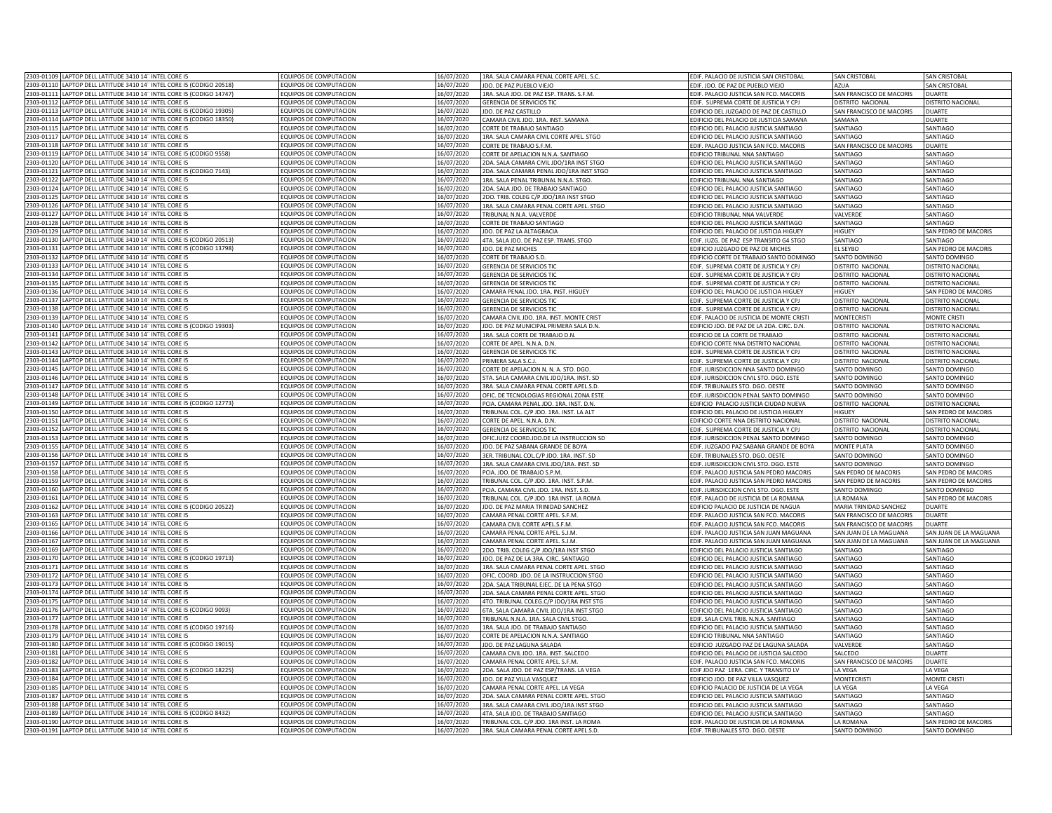|                        | 2303-01109 LAPTOP DELL LATITUDE 3410 14" INTEL CORE I5                | <b>EQUIPOS DE COMPUTACION</b>                    | 16/07/2020               | 1RA. SALA CAMARA PENAL CORTE APEL. S.C.                          | EDIF. PALACIO DE JUSTICIA SAN CRISTOBAL     | <b>SAN CRISTOBAL</b>     | SAN CRISTOBAL            |
|------------------------|-----------------------------------------------------------------------|--------------------------------------------------|--------------------------|------------------------------------------------------------------|---------------------------------------------|--------------------------|--------------------------|
|                        | 2303-01110 LAPTOP DELL LATITUDE 3410 14" INTEL CORE I5 (CODIGO 20518) | EQUIPOS DE COMPUTACION                           | 16/07/2020               | JDO. DE PAZ PUEBLO VIEJO                                         | EDIF. JDO. DE PAZ DE PUEBLO VIEJO           | AZUA                     | <b>SAN CRISTOBAL</b>     |
|                        | 2303-01111 LAPTOP DELL LATITUDE 3410 14" INTEL CORE I5 (CODIGO 14747) | EQUIPOS DE COMPUTACION                           | 16/07/2020               | 1RA. SALA JDO. DE PAZ ESP. TRANS. S.F.M.                         | EDIF. PALACIO JUSTICIA SAN FCO. MACORIS     | SAN FRANCISCO DE MACORIS | <b>DUARTE</b>            |
|                        | 2303-01112 LAPTOP DELL LATITUDE 3410 14" INTEL CORE I5                | <b>QUIPOS DE COMPUTACION</b>                     | 16/07/2020               | GERENCIA DE SERVICIOS TIC                                        | EDIF. SUPREMA CORTE DE JUSTICIA Y CPJ       | DISTRITO NACIONAL        | DISTRITO NACIONAL        |
| 2303-01113             | LAPTOP DELL LATITUDE 3410 14" INTEL CORE I5 (CODIGO 19305)            | QUIPOS DE COMPUTACION                            | 16/07/2020               | IDO. DE PAZ CASTILLO                                             | DIFICIO DEL JUZGADO DE PAZ DE CASTILLO      | SAN FRANCISCO DE MACORIS | <b>DUARTE</b>            |
| 2303-01114             | LAPTOP DELL LATITUDE 3410 14" INTEL CORE IS (CODIGO 18350)            | <b>OUIPOS DE COMPUTACION</b>                     | 16/07/2020               | CAMARA CIVIL JDO. 1RA. INST. SAMANA                              | DIFICIO DEL PALACIO DE JUSTICIA SAMANA      | SAMANA                   | <b>DUARTE</b>            |
| 2303-01115             | LAPTOP DELL LATITUDE 3410 14" INTEL CORE I5                           | QUIPOS DE COMPUTACION                            | 16/07/2020               | CORTE DE TRABAJO SANTIAGO                                        | DIFICIO DEL PALACIO JUSTICIA SANTIAGO       | SANTIAGO                 | SANTIAGO                 |
| 2303-0111              |                                                                       | QUIPOS DE COMPUTACION                            |                          |                                                                  |                                             |                          | <b>ANTIAGO</b>           |
| 2303-0111              | APTOP DELL LATITUDE 3410 14" INTEL CORE I5                            |                                                  | 16/07/2020               | RA. SALA CAMARA CIVIL CORTE APEL. STGO<br>ORTE DE TRABAJO S.E.M. | DIFICIO DEL PALACIO JUSTICIA SANTIAGO       | SANTIAGO                 |                          |
|                        | APTOP DELL LATITUDE 3410 14" INTEL CORE I5                            | QUIPOS DE COMPUTACION                            | 16/07/2020               |                                                                  | DIF. PALACIO JUSTICIA SAN FCO. MACORIS      | SAN FRANCISCO DE MACORIS | <b>DUARTE</b>            |
| 2303-01119             | LAPTOP DELL LATITUDE 3410 14" INTEL CORE I5 (CODIGO 9558)             | <b>EQUIPOS DE COMPUTACION</b>                    | 16/07/2020               | ORTE DE APELACION N.N.A. SANTIAGO                                | <b>IFICIO TRIBUNAL NNA SANTIAGO</b>         | SANTIAGO                 | ANTIAGO                  |
| 2303-01120             | LAPTOP DELL LATITUDE 3410 14" INTEL CORE I5                           | EQUIPOS DE COMPUTACION                           | 16/07/2020               | 2DA. SALA CAMARA CIVIL JDO/1RA INST STGO                         | DIFICIO DEL PALACIO JUSTICIA SANTIAGO       | SANTIAGO                 | SANTIAGO                 |
| 2303-01121             | LAPTOP DELL LATITUDE 3410 14" INTEL CORE I5 (CODIGO 7143)             | EQUIPOS DE COMPUTACION                           | 16/07/2020               | 2DA. SALA CAMARA PENAL JDO/1RA INST STGO                         | EDIFICIO DEL PALACIO JUSTICIA SANTIAGO      | SANTIAGO                 | SANTIAGO                 |
| 303-0112               | LAPTOP DELL LATITUDE 3410 14" INTEL CORE I5                           | EQUIPOS DE COMPUTACION                           | 16/07/2020               | 1RA. SALA PENAL TRIBUNAL N.N.A. STGO                             | DIFICIO TRIBUNAL NNA SANTIAGO               | <b>SANTIAGO</b>          | <b>SANTIAGO</b>          |
| 303-0112               | LAPTOP DELL LATITUDE 3410 14" INTEL CORE I5                           | QUIPOS DE COMPUTACION                            | 16/07/2020               | 2DA. SALA JDO. DE TRABAJO SANTIAGO                               | DIFICIO DEL PALACIO JUSTICIA SANTIAGO       | SANTIAGO                 | SANTIAGO                 |
| 303-0112               | LAPTOP DELL LATITUDE 3410 14" INTEL CORE I5                           | QUIPOS DE COMPUTACION                            | 16/07/2020               | 2DO. TRIB. COLEG C/P JDO/1RA INST STGO                           | DIFICIO DEL PALACIO ILISTICIA SANTIAGO      | SANTIAGO                 | SANTIAGO                 |
| 303-0112               | LAPTOP DELL LATITUDE 3410 14" INTEL CORE I5                           | QUIPOS DE COMPUTACION                            | 16/07/2020               | IRA. SALA CAMARA PENAL CORTE APEL. STGO                          | DIFICIO DEL PALACIO JUSTICIA SANTIAGO       | SANTIAGO                 | SANTIAGO                 |
| 303-0112               | LAPTOP DELL LATITUDE 3410 14" INTEL CORE I5                           | QUIPOS DE COMPUTACION                            | 16/07/2020               | <b>FRIBUNAL N.N.A. VALVERDI</b>                                  | DIFICIO TRIBUNAL NNA VALVERDI               | VALVERDE                 | SANTIAGO                 |
|                        | 303-01128 LAPTOP DELL LATITUDE 3410 14" INTEL CORE I5                 | QUIPOS DE COMPUTACION                            | 16/07/2020               | CORTE DE TRABAJO SANTIAGO                                        | DIFICIO DEL PALACIO JUSTICIA SANTIAGO       | SANTIAGO                 | SANTIAGO                 |
|                        | 2303-01129 LAPTOP DELL LATITUDE 3410 14" INTEL CORE I5                | EQUIPOS DE COMPUTACION                           | 16/07/2020               | JDO. DE PAZ LA ALTAGRACIA                                        | DIFICIO DEL PALACIO DE JUSTICIA HIGUEY      | HIGUEY                   | SAN PEDRO DE MACORIS     |
|                        | 2303-01130 LAPTOP DELL LATITUDE 3410 14" INTEL CORE I5 (CODIGO 20513) | <b>EQUIPOS DE COMPUTACION</b>                    | 16/07/2020               | 4TA. SALA JDO. DE PAZ ESP. TRANS. STGO                           | EDIF. JUZG. DE PAZ ESP TRANSITO G4 STGO     | SANTIAGO                 | SANTIAGO                 |
| 303-01131              | LAPTOP DELL LATITUDE 3410 14" INTEL CORE I5 (CODIGO 13798)            | QUIPOS DE COMPUTACION                            | 16/07/2020               | JDO. DE PAZ MICHES                                               | DIFICIO JUZGADO DE PAZ DE MICHES            | L SEYBO                  | SAN PEDRO DE MACORIS     |
| 303-01132              | APTOP DELL LATITUDE 3410 14" INTEL CORE I5                            | <b>QUIPOS DE COMPUTACION</b>                     | 6/07/2020                | CORTE DE TRABAJO S.D.                                            | DIFICIO CORTE DE TRABAJO SANTO DOMINGO      | <b>SANTO DOMINGO</b>     | <b>ANTO DOMINGO</b>      |
| 2303-01133             | LAPTOP DELL LATITUDE 3410 14" INTEL CORE IS                           | QUIPOS DE COMPUTACION                            | 16/07/2020               | <b>GERENCIA DE SERVICIOS TIC</b>                                 | DIF. SUPREMA CORTE DE JUSTICIA Y CPJ        | <b>DISTRITO NACIONAL</b> | DISTRITO NACIONAL        |
| 2303-01134             | APTOP DELL LATITUDE 3410 14" INTEL CORE I5                            | QUIPOS DE COMPUTACION                            | 16/07/2020               | <b>GERENCIA DE SERVICIOS TIC</b>                                 | DIF. SUPREMA CORTE DE JUSTICIA Y CPJ        | <b>JISTRITO NACIONAL</b> | DISTRITO NACIONAL        |
| 303-0113               | APTOP DELL LATITUDE 3410 14" INTEL CORE I5                            | <b>OUIPOS DE COMPUTACION</b>                     | 16/07/2020               | <b>GERENCIA DE SERVICIOS TIC</b>                                 | DIF. SUPREMA CORTE DE JUSTICIA Y CPJ        | <b>ISTRITO NACIONAL</b>  | <b>DISTRITO NACIONAL</b> |
| 303-0113               | APTOP DELL LATITUDE 3410 14" INTEL CORE I5                            | <b>OUIPOS DE COMPUTACION</b>                     | 16/07/2020               | CAMARA PENAL JDO. 1RA. INST. HIGUEY                              | DIFICIO DEL PALACIO DE JUSTICIA HIGUEY      | <b>IIGUEY</b>            | AN PEDRO DE MACORIS      |
| 2303-0113              | LAPTOP DELL LATITUDE 3410 14" INTEL CORE I5                           | QUIPOS DE COMPUTACION                            | 16/07/2020               | <b>GERENCIA DE SERVICIOS TIC</b>                                 | DIF. SUPREMA CORTE DE JUSTICIA Y CPJ        | <b>ISTRITO NACIONAL</b>  | DISTRITO NACIONAL        |
|                        | 2303-01138 LAPTOP DELL LATITUDE 3410 14" INTEL CORE I5                | EQUIPOS DE COMPUTACION                           | 16/07/2020               | <b>GERENCIA DE SERVICIOS TIO</b>                                 | DIF. SUPREMA CORTE DE JUSTICIA Y CPJ        | <b>ISTRITO NACIONAL</b>  | DISTRITO NACIONAL        |
| 2303-01139             | LAPTOP DELL LATITUDE 3410 14" INTEL CORE I5                           | EQUIPOS DE COMPUTACION                           | 16/07/2020               | CAMARA CIVIL JDO. 1RA. INST. MONTE CRIST                         | EDIF. PALACIO DE JUSTICIA DE MONTE CRIST    | MONTECRISTI              | <b>MONTE CRISTI</b>      |
| 303-01140              | LAPTOP DELL LATITUDE 3410 14" INTEL CORE I5 (CODIGO 19303)            | <b>QUIPOS DE COMPUTACION</b>                     | 16/07/2020               | JDO. DE PAZ MUNICIPAL PRIMERA SALA D.N.                          | DIFICIO JDO, DE PAZ DE LA 2DA, CIRC, D.N.   | DISTRITO NACIONAL        | DISTRITO NACIONAL        |
| 303-01141              | LAPTOP DELL LATITUDE 3410 14" INTEL CORE IS                           | FOUIPOS DE COMPUTACION                           | 16/07/2020               | 1RA. SALA CORTE DE TRABAJO D.N                                   | DIFICIO DE LA CORTE DE TRABAJO              | <b>JISTRITO NACIONAL</b> | DISTRITO NACIONA         |
| 303-01142              | LAPTOP DELL LATITUDE 3410 14" INTEL CORE I5                           | QUIPOS DE COMPUTACION                            | 16/07/2020               | CORTE DE APEL, N.N.A. D.N                                        | DIFICIO CORTE NNA DISTRITO NACIONA          | DISTRITO NACIONAL        | DISTRITO NACIONA         |
| 303-0114               | LAPTOP DELL LATITUDE 3410 14" INTEL CORE IS                           | <b>QUIPOS DE COMPUTACION</b>                     | 16/07/2020               | GERENCIA DE SERVICIOS TIC                                        | EDIF. SUPREMA CORTE DE JUSTICIA Y CP.       | DISTRITO NACIONAL        | DISTRITO NACIONAL        |
| 303-01144              | LAPTOP DELL LATITUDE 3410 14" INTEL CORE IS                           | <b>OUIPOS DE COMPUTACION</b>                     | 16/07/2020               | <b>PRIMERA SALA S.C.I</b>                                        | FDIE. SUPREMA CORTE DE IUSTICIA Y CP        | <b>JISTRITO NACIONAL</b> | DISTRITO NACIONA         |
|                        | 303-01145 LAPTOP DELL LATITUDE 3410 14" INTEL CORE I5                 | QUIPOS DE COMPUTACION                            | 16/07/2020               | CORTE DE APELACION N. N. A. STO. DGO.                            | EDIF. JURISDICCION NNA SANTO DOMINGO        | SANTO DOMINGO            | SANTO DOMINGO            |
|                        | 2303-01146 LAPTOP DELL LATITUDE 3410 14" INTEL CORE I5                | <b>EQUIPOS DE COMPUTACION</b>                    | 16/07/2020               | 5TA. SALA CAMARA CIVIL JDO/1RA. INST. SD                         | EDIF. JURISDICCION CIVIL STO. DGO. ESTE     | SANTO DOMINGO            | SANTO DOMINGO            |
|                        | 2303-01147 LAPTOP DELL LATITUDE 3410 14" INTEL CORE I5                | EQUIPOS DE COMPUTACION                           | 16/07/2020               | 3RA. SALA CAMARA PENAL CORTE APEL.S.D.                           | EDIF. TRIBUNALES STO. DGO. OESTE            | SANTO DOMINGO            | SANTO DOMINGO            |
| 2303-01148             | LAPTOP DELL LATITUDE 3410 14" INTEL CORE IS                           | <b>QUIPOS DE COMPUTACION</b>                     | 16/07/2020               | OFIC. DE TECNOLOGIAS REGIONAL ZONA ESTE                          | DIF. JURISDICCION PENAL SANTO DOMINGO       | SANTO DOMINGO            | SANTO DOMINGO            |
| 2303-01149             | LAPTOP DELL LATITUDE 3410 14" INTEL CORE IS (CODIGO 12773)            | OUIPOS DE COMPUTACION                            | 16/07/2020               | PCIA. CAMARA PENAL JDO. 1RA. INST. D.N.                          | DIFICIO PALACIO JUSTICIA CIUDAD NUEVA       | DISTRITO NACIONAL        | DISTRITO NACIONAL        |
| 2303-01150             | LAPTOP DELL LATITUDE 3410 14" INTEL CORE I5                           | QUIPOS DE COMPUTACION                            | 16/07/2020               | FRIBUNAL COL. C/P JDO. 1RA. INST. LA ALT                         | DIFICIO DEL PALACIO DE JUSTICIA HIGUEY      | <b>IIGUEY</b>            | SAN PEDRO DE MACORIS     |
| 2303-01151             | LAPTOP DELL LATITUDE 3410 14" INTEL CORE I5                           | QUIPOS DE COMPUTACION                            | 16/07/2020               | CORTE DE APEL. N.N.A. D.N.                                       | DIFICIO CORTE NNA DISTRITO NACIONAL         | DISTRITO NACIONAL        | <b>DISTRITO NACIONAL</b> |
| 2303-01152             | LAPTOP DELL LATITUDE 3410 14" INTEL CORE I5                           | QUIPOS DE COMPUTACION                            | 16/07/2020               | GERENCIA DE SERVICIOS TIC                                        | DIF. SUPREMA CORTE DE JUSTICIA Y CPJ        | <b>DISTRITO NACIONAL</b> | <b>DISTRITO NACIONAL</b> |
| 2303-0115              | LAPTOP DELL LATITUDE 3410 14" INTEL CORE I5                           | QUIPOS DE COMPUTACION                            | 16/07/2020               | OFICJUEZ COORD.JDO.DE LA INSTRUCCION SD                          | DIF. JURISDICCION PENAL SANTO DOMINGO       | ANTO DOMINGO             | ANTO DOMINGO             |
| 2303-01155             | LAPTOP DELL LATITUDE 3410 14" INTEL CORE I5                           | QUIPOS DE COMPUTACION                            | 16/07/2020               | IDO. DE PAZ SABANA GRANDE DE BOYA                                | DIF. JUZGADO PAZ SABANA GRANDE DE BOYA      | MONTE PLATA              | <b>ANTO DOMINGO</b>      |
| 2303-01156             | LAPTOP DELL LATITUDE 3410 14" INTEL CORE I5                           | QUIPOS DE COMPUTACION                            | 16/07/2020               | 3ER. TRIBUNAL COL.C/P JDO. 1RA. INST. SD                         | EDIF. TRIBUNALES STO. DGO. OESTE            | <b>SANTO DOMINGO</b>     | <b>ANTO DOMINGO</b>      |
| 303-0115               | LAPTOP DELL LATITUDE 3410 14" INTEL CORE I5                           | QUIPOS DE COMPUTACION                            | 16/07/2020               | 1RA. SALA CAMARA CIVIL JDO/1RA. INST. SD                         | DIF. JURISDICCION CIVIL STO. DGO. ESTE      | SANTO DOMINGO            | SANTO DOMINGO            |
| 303-01158              | LAPTOP DELL LATITUDE 3410 14" INTEL CORE I5                           | QUIPOS DE COMPUTACION                            | 16/07/2020               | PCIA. JDO. DE TRABAJO S.P.M.                                     | DIF. PALACIO JUSTICIA SAN PEDRO MACORIS     | SAN PEDRO DE MACORIS     | SAN PEDRO DE MACORIS     |
| 303-0115               | LAPTOP DELL LATITUDE 3410 14" INTEL CORE I5                           | QUIPOS DE COMPUTACION                            | 16/07/2020               | TRIBUNAL COL. C/P JDO. 1RA. INST. S.P.M.                         | EDIF. PALACIO JUSTICIA SAN PEDRO MACORIS    | SAN PEDRO DE MACORIS     | SAN PEDRO DE MACORIS     |
| 303-01160              | LAPTOP DELL LATITUDE 3410 14" INTEL CORE I5                           | QUIPOS DE COMPUTACION                            | 16/07/2020               | PCIA, CAMARA CIVIL JDO, 1RA, INST, S.D                           | DIF, JURISDICCION CIVIL STO, DGO, ESTI      | <b>SANTO DOMINGO</b>     | SANTO DOMINGO            |
| 303-0116               | LAPTOP DELL LATITUDE 3410 14" INTEL CORE I5                           | OUIPOS DE COMPUTACION                            | 16/07/2020               | TRIBUNAL COL. C/P JDO. 1RA INST. LA ROMA                         | DIF. PALACIO DE JUSTICIA DE LA ROMANA       | A ROMANA                 | SAN PEDRO DE MACORIS     |
| 303-01162              | LAPTOP DELL LATITUDE 3410 14" INTEL CORE I5 (CODIGO 20522)            | QUIPOS DE COMPUTACION                            | 16/07/2020               | IDO. DE PAZ MARIA TRINIDAD SANCHEZ                               | DIFICIO PALACIO DE JUSTICIA DE NAGUA        | MARIA TRINIDAD SANCHEZ   | <b>DUARTE</b>            |
| 303-01163              | LAPTOP DELL LATITUDE 3410 14" INTEL CORE I5                           | QUIPOS DE COMPUTACION                            | 16/07/2020               | CAMARA PENAL CORTE APEL. S.F.M.                                  | DIF. PALACIO JUSTICIA SAN FCO. MACORIS      | SAN FRANCISCO DE MACORIS | <b>DUARTE</b>            |
| 2303-01165             | LAPTOP DELL LATITUDE 3410 14" INTEL CORE I5                           | QUIPOS DE COMPUTACION                            | 16/07/2020               | CAMARA CIVIL CORTE APEL.S.F.M.                                   | EDIF. PALACIO JUSTICIA SAN FCO. MACORIS     | SAN FRANCISCO DE MACORIS | <b>DUARTE</b>            |
| 2303-01166             | LAPTOP DELL LATITUDE 3410 14" INTEL CORE I5                           | <b>EQUIPOS DE COMPUTACION</b>                    | 16/07/2020               | CAMARA PENAL CORTE APEL. S.J.M.                                  | EDIF. PALACIO JUSTICIA SAN JUAN MAGUANA     | SAN JUAN DE LA MAGUANA   | SAN JUAN DE LA MAGUANA   |
| 2303-01167             | LAPTOP DELL LATITUDE 3410 14" INTEL CORE I5                           | QUIPOS DE COMPUTACION                            | 16/07/2020               | CAMARA PENAL CORTE APEL. S.J.M.                                  | DIF. PALACIO JUSTICIA SAN JUAN MAGUANA      | SAN JUAN DE LA MAGUANA   | SAN JUAN DE LA MAGUANA   |
| 2303-01169             | APTOP DELLI ATITUDE 3410 14" INTEL CORE IS                            | QUIPOS DE COMPUTACION                            | 16/07/2020               | 2DO. TRIB. COLEG C/P JDO/1RA INST STGO                           | DIFICIO DEL PALACIO JUSTICIA SANTIAGO       | SANTIAGO                 | SANTIAGO                 |
| 2303-01170             | APTOP DELL LATITUDE 3410 14" INTEL CORE I5 (CODIGO 19713)             | QUIPOS DE COMPUTACION                            | 16/07/2020               | DO, DE PAZ DE LA 3RA, CIRC, SANTIAGO                             | DIFICIO DEL PALACIO JUSTICIA SANTIAGO       | SANTIAGO                 | SANTIAGO                 |
| 1303-01171             | LAPTOP DELL LATITUDE 3410 14" INTEL CORE I5                           | QUIPOS DE COMPUTACION                            | 16/07/2020               | IRA. SALA CAMARA PENAL CORTE APEL. STGO                          | DIFICIO DEL PALACIO JUSTICIA SANTIAGO       | SANTIAGO                 | <b>ANTIAGO</b>           |
| 303-0117               | APTOP DELL LATITUDE 3410 14" INTEL CORE IS                            | <b>QUIPOS DE COMPUTACION</b>                     | 6/07/2020                |                                                                  |                                             | <b>ANTIAGO</b>           | ANTIAGO                  |
| 303-01173              | LAPTOP DELL LATITUDE 3410 14" INTEL CORE I5                           | QUIPOS DE COMPUTACION                            | 16/07/2020               | OFIC. COORD. JDO. DE LA INSTRUCCION STGO                         | DIFICIO DEL PALACIO JUSTICIA SANTIAGO       | SANTIAGC                 |                          |
| 303-0117               |                                                                       |                                                  |                          | 2DA. SALA TRIBUNAL EJEC. DE LA PENA STGO                         | <b>IFICIO DEL PALACIO JUSTICIA SANTIAGO</b> |                          | ANTIAGO                  |
|                        | LAPTOP DELL LATITUDE 3410 14" INTEL CORE I5                           | EQUIPOS DE COMPUTACION                           | 16/07/2020               | 2DA. SALA CAMARA PENAL CORTE APEL. STGO                          | DIFICIO DEL PALACIO JUSTICIA SANTIAGO       | SANTIAGO                 | SANTIAGO                 |
| 2303-0117<br>303-01176 | LAPTOP DELL LATITUDE 3410 14" INTEL CORE I5                           | EQUIPOS DE COMPUTACION<br>FOUIPOS DE COMPUTACION | 16/07/2020<br>16/07/2020 | 4TO. TRIBUNAL COLEG.C/P JDO/1RA INST STG                         | EDIFICIO DEL PALACIO JUSTICIA SANTIAGO      | SANTIAGO                 | SANTIAGO                 |
| 303-0117               | LAPTOP DELL LATITUDE 3410 14" INTEL CORE I5 (CODIGO 9093)             | QUIPOS DE COMPUTACION                            | 16/07/2020               | 6TA. SALA CAMARA CIVIL JDO/1RA INST STGO                         | DIFICIO DEL PALACIO JUSTICIA SANTIAGO       | SANTIAGO                 | SANTIAGO                 |
|                        | LAPTOP DELL LATITUDE 3410 14" INTEL CORE I5                           |                                                  |                          | TRIBUNAL N.N.A. 1RA. SALA CIVIL STGO                             | DIF. SALA CIVIL TRIB. N.N.A. SANTIAGO       | SANTIAGO                 | SANTIAGO                 |
| 303-01178              | LAPTOP DELL LATITUDE 3410 14" INTEL CORE I5 (CODIGO 19716)            | OUIPOS DE COMPUTACION                            | 16/07/2020               | 1RA. SALA JDO. DE TRABAJO SANTIAGO                               | DIFICIO DEL PALACIO JUSTICIA SANTIAGO       | SANTIAGO                 | SANTIAGO                 |
| 303-01179              | LAPTOP DELL LATITUDE 3410 14" INTEL CORE I5                           | QUIPOS DE COMPUTACION                            | 16/07/2020               | CORTE DE APELACION N.N.A. SANTIAGO                               | DIFICIO TRIBUNAL NNA SANTIAGO               | SANTIAGO                 | SANTIAGO                 |
| 103-01180              | LAPTOP DELL LATITUDE 3410 14" INTEL CORE IS (CODIGO 19015)            | OUIPOS DE COMPUTACION                            | 16/07/2020               | IDO. DE PAZ LAGUNA SALADA                                        | DIFICIO JUZGADO PAZ DE LAGUNA SALADA        | VALVERDE                 | SANTIAGO                 |
|                        | 303-01181 LAPTOP DELL LATITUDE 3410 14" INTEL CORE I5                 | QUIPOS DE COMPUTACION                            | 16/07/2020               | CAMARA CIVIL JDO. 1RA. INST. SALCEDO                             | DIFICIO DEL PALACIO DE JUSTICIA SALCEDO     | SALCEDO                  | DUARTE                   |
| 2303-01182             | LAPTOP DELL LATITUDE 3410 14" INTEL CORE I5                           | <b>EQUIPOS DE COMPUTACION</b>                    | 16/07/2020               | CAMARA PENAL CORTE APEL. S.F.M.                                  | EDIF. PALACIO JUSTICIA SAN FCO. MACORIS     | SAN FRANCISCO DE MACORIS | <b>DUARTE</b>            |
|                        | 2303-01183 LAPTOP DELL LATITUDE 3410 14" INTEL CORE I5 (CODIGO 18225) | <b>EQUIPOS DE COMPUTACION</b>                    | 16/07/2020               | 2DA. SALA JDO. DE PAZ ESP/TRANS. LA VEGA                         | EDIF JDO PAZ 1ERA. CIRC. Y TRANSITO LV      | LA VEGA                  | LA VEGA                  |
|                        | 2303-01184 LAPTOP DELL LATITUDE 3410 14" INTEL CORE I5                | QUIPOS DE COMPUTACION                            | 16/07/2020               | JDO. DE PAZ VILLA VASQUEZ                                        | DIFICIO JDO. DE PAZ VILLA VASQUEZ           | <b>MONTECRIST</b>        | <b>MONTE CRISTI</b>      |
| 2303-01185             | LAPTOP DELL LATITUDE 3410 14" INTEL CORE I5                           | QUIPOS DE COMPUTACION                            | 16/07/2020               | CAMARA PENAL CORTE APEL. LA VEGA                                 | DIFICIO PALACIO DE JUSTICIA DE LA VEGA      | LA VEGA                  | LA VEGA                  |
| 2303-01187             | LAPTOP DELL LATITUDE 3410 14" INTEL CORE IS                           | <b>OUIPOS DE COMPUTACION</b>                     | 16/07/2020               | 2DA, SALA CAMARA PENAL CORTE APEL, STGO                          | DIFICIO DEL PALACIO JUSTICIA SANTIAGO       | <b>SANTIAGO</b>          | SANTIAGO                 |
| 2303-01188             | LAPTOP DELL LATITUDE 3410 14" INTEL CORE I5                           | QUIPOS DE COMPUTACION                            | 16/07/2020               | 3RA. SALA CAMARA CIVIL JDO/1RA INST STGO                         | DIFICIO DEL PALACIO JUSTICIA SANTIAGO       | SANTIAGO                 | <b>ANTIAGO</b>           |
| 2303-01189             | APTOP DELL LATITUDE 3410 14" INTEL CORE I5 (CODIGO 8432)              | <b>OUIPOS DE COMPUTACION</b>                     | 16/07/2020               | 4TA. SALA JDO. DE TRABAJO SANTIAGO                               | DIFICIO DEL PALACIO JUSTICIA SANTIAGO       | SANTIAGO                 | <b>ANTIAGO</b>           |
| 2303-01190             | LAPTOP DELL LATITUDE 3410 14" INTEL CORE I5                           | QUIPOS DE COMPUTACION                            | 16/07/2020               | TRIBUNAL COL. C/P JDO. 1RA INST. LA ROMA                         | DIF. PALACIO DE JUSTICIA DE LA ROMANA       | A ROMANA                 | AN PEDRO DE MACORIS      |
|                        | 2303-01191 LAPTOP DELL LATITUDE 3410 14" INTEL CORE I5                | EQUIPOS DE COMPUTACION                           | 16/07/2020               | 3RA. SALA CAMARA PENAL CORTE APEL.S.D                            | DIF. TRIBUNALES STO. DGO. OESTE             | SANTO DOMINGO            | <b>ANTO DOMINGO</b>      |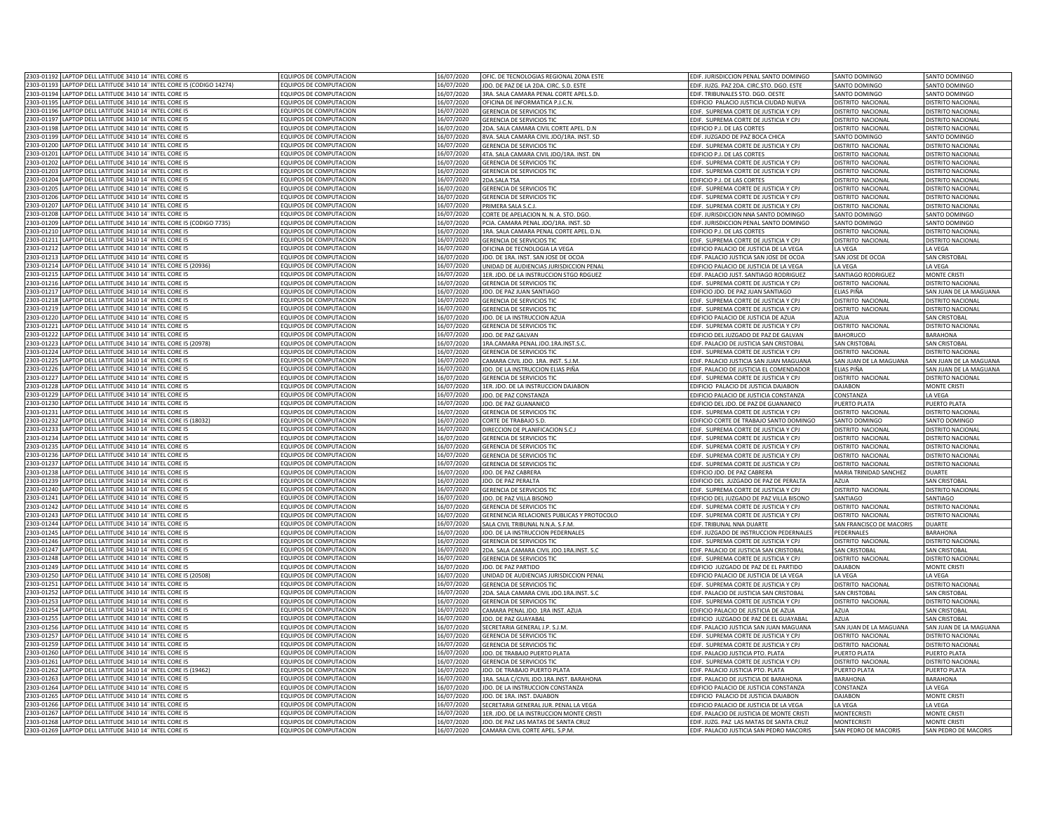| 2303-01192 LAPTOP DELL LATITUDE 3410 14" INTEL CORE I5                                                                      | EQUIPOS DE COMPUTACION                                  | 16/07/2020 | OFIC. DE TECNOLOGIAS REGIONAL ZONA ESTE    | EDIF. JURISDICCION PENAL SANTO DOMINGO   | SANTO DOMINGO            | SANTO DOMINGO            |
|-----------------------------------------------------------------------------------------------------------------------------|---------------------------------------------------------|------------|--------------------------------------------|------------------------------------------|--------------------------|--------------------------|
| 2303-01193 LAPTOP DELL LATITUDE 3410 14" INTEL CORE I5 (CODIGO 14274)                                                       | EQUIPOS DE COMPUTACION                                  | 16/07/2020 | JDO. DE PAZ DE LA 2DA. CIRC. S.D. ESTE     | EDIF. JUZG. PAZ 2DA. CIRC.STO. DGO. ESTE | SANTO DOMINGO            | SANTO DOMINGO            |
| 2303-01194 LAPTOP DELL LATITUDE 3410 14" INTEL CORE I5                                                                      | EQUIPOS DE COMPUTACION                                  | 16/07/2020 | 3RA. SALA CAMARA PENAL CORTE APEL.S.D.     | EDIF. TRIBUNALES STO. DGO. OESTE         | SANTO DOMINGO            | SANTO DOMINGO            |
| 2303-01195<br>LAPTOP DELL LATITUDE 3410 14" INTEL CORE I5                                                                   | EQUIPOS DE COMPUTACION                                  | 16/07/2020 |                                            |                                          |                          |                          |
| 2303-01196                                                                                                                  |                                                         |            | OFICINA DE INFORMATICA P.J.C.N.            | EDIFICIO PALACIO JUSTICIA CIUDAD NUEVA   | DISTRITO NACIONAL        | DISTRITO NACIONAL        |
| LAPTOP DELL LATITUDE 3410 14" INTEL CORE I5                                                                                 | EQUIPOS DE COMPUTACION                                  | 6/07/2020  | GERENCIA DE SERVICIOS TIC                  | DIF. SUPREMA CORTE DE JUSTICIA Y CPJ     | DISTRITO NACIONAL        | <b>DISTRITO NACIONAL</b> |
| 2303-01197<br>LAPTOP DELL LATITUDE 3410 14" INTEL CORE I5                                                                   | FOUIPOS DE COMPUTACION                                  | 6/07/2020  | SERENCIA DE SERVICIOS TIC                  | DIE. SUPREMA CORTE DE JUSTICIA Y CPI     | <b>JISTRITO NACIONAL</b> | <b>DISTRITO NACIONAL</b> |
| 2303-01198<br>LAPTOP DELL LATITUDE 3410 14" INTEL CORE I5                                                                   | EQUIPOS DE COMPUTACION                                  | 6/07/2020  | 2DA. SALA CAMARA CIVIL CORTE APEL. D.N     | DIFICIO P.J. DE LAS CORTES               | DISTRITO NACIONAL        | <b>DISTRITO NACIONAL</b> |
| 2303-0119<br>APTOP DELL LATITUDE 3410 14" INTEL CORE I5                                                                     | EQUIPOS DE COMPUTACION                                  | 16/07/2020 | 8VA. SALA CAMARA CIVIL JDO/1RA. INST. SD   | DIF. JUZGADO DE PAZ BOCA CHICA           | <b>SANTO DOMINGO</b>     | ANTO DOMINGO             |
| 2303-01200<br>APTOP DELL LATITUDE 3410 14" INTEL CORE I5                                                                    | EQUIPOS DE COMPUTACION                                  | 6/07/2020  | GERENCIA DE SERVICIOS TIC                  | DIF. SUPREMA CORTE DE JUSTICIA Y CPJ     | DISTRITO NACIONAL        | <b>ISTRITO NACIONAL</b>  |
| LAPTOP DELL LATITUDE 3410 14" INTEL CORE I5<br>2303-01201                                                                   | EQUIPOS DE COMPUTACION                                  | 16/07/2020 | 4TA. SALA CAMARA CIVIL JDO/1RA. INST. DN   | DIFICIO P.J. DE LAS CORTES               | <b>ISTRITO NACIONAL</b>  | <b>ISTRITO NACIONAL</b>  |
| 2303-01202<br>LAPTOP DELL LATITUDE 3410 14" INTEL CORE I5                                                                   | EQUIPOS DE COMPUTACION                                  | 16/07/2020 | GERENCIA DE SERVICIOS TIC                  | DIF. SUPREMA CORTE DE JUSTICIA Y CPJ     | DISTRITO NACIONAL        | <b>DISTRITO NACIONAL</b> |
| 2303-01203<br>LAPTOP DELL LATITUDE 3410 14" INTEL CORE I5                                                                   | EQUIPOS DE COMPUTACION                                  | 16/07/2020 | GERENCIA DE SERVICIOS TIC                  | EDIF. SUPREMA CORTE DE JUSTICIA Y CPJ    | DISTRITO NACIONAL        | DISTRITO NACIONAL        |
| LAPTOP DELL LATITUDE 3410 14" INTEL CORE I5<br>2303-01204                                                                   | EQUIPOS DE COMPUTACION                                  | 16/07/2020 | 2DA.SAI A TSA                              | EDIFICIO P.J. DE LAS CORTES              | DISTRITO NACIONAL        | <b>DISTRITO NACIONAL</b> |
| LAPTOP DELL LATITUDE 3410 14" INTEL CORE I5<br>2303-0120                                                                    | EQUIPOS DE COMPUTACION                                  | 16/07/2020 | GERENCIA DE SERVICIOS TIC                  | DIF. SUPREMA CORTE DE JUSTICIA Y CPJ     | DISTRITO NACIONAL        | DISTRITO NACIONA         |
| LAPTOP DELL LATITUDE 3410 14" INTEL CORE I5<br>2303-0120                                                                    | EQUIPOS DE COMPUTACION                                  |            |                                            |                                          |                          | DISTRITO NACIONA         |
|                                                                                                                             |                                                         | 16/07/2020 | GERENCIA DE SERVICIOS TIC                  | DIF. SUPREMA CORTE DE JUSTICIA Y CPJ     | DISTRITO NACIONAL        |                          |
| 2303-0120<br>LAPTOP DELL LATITUDE 3410 14" INTEL CORE I5                                                                    | EQUIPOS DE COMPUTACION                                  | 16/07/2020 | PRIMERA SALA S.C.J                         | DIF. SUPREMA CORTE DE JUSTICIA Y CPJ     | DISTRITO NACIONAL        | DISTRITO NACIONAL        |
| 2303-0120<br>LAPTOP DELL LATITUDE 3410 14" INTEL CORE I5                                                                    | EQUIPOS DE COMPUTACION                                  | 16/07/2020 | CORTE DE APELACION N. N. A. STO. DGO.      | DIF. JURISDICCION NNA SANTO DOMINGO      | SANTO DOMINGO            | <b>ANTO DOMINGO</b>      |
| LAPTOP DELL LATITUDE 3410 14" INTEL CORE I5 (CODIGO 7735)<br>2303-01209                                                     | EQUIPOS DE COMPUTACION                                  | 16/07/2020 | PCIA. CAMARA PENAL JDO/1RA. INST. SD       | DIF. JURISDICCION PENAL SANTO DOMINGO    | SANTO DOMINGO            | <b>ANTO DOMINGO</b>      |
| 2303-01210<br>LAPTOP DELL LATITUDE 3410 14" INTEL CORE I5                                                                   | EQUIPOS DE COMPUTACION                                  | 16/07/2020 | 1RA. SALA CAMARA PENAL CORTE APEL. D.N.    | DIFICIO P.J. DE LAS CORTES               | DISTRITO NACIONAL        | DISTRITO NACIONAL        |
| 2303-01211 LAPTOP DELL LATITUDE 3410 14" INTEL CORE I5                                                                      | EQUIPOS DE COMPUTACION                                  | 16/07/2020 | <b>GERENCIA DE SERVICIOS TIC</b>           | EDIF. SUPREMA CORTE DE JUSTICIA Y CPJ    | DISTRITO NACIONAL        | DISTRITO NACIONAL        |
| LAPTOP DELL LATITUDE 3410 14" INTEL CORE I5<br>2303-01212                                                                   | EQUIPOS DE COMPUTACION                                  | 16/07/2020 | OFICINA DE TECNOLOGIA LA VEGA              | DIFICIO PALACIO DE JUSTICIA DE LA VEGA   | LA VEGA                  | LA VEGA                  |
| 2303-01213<br>LAPTOP DELL LATITUDE 3410 14" INTEL CORE I5                                                                   | EQUIPOS DE COMPUTACION                                  | 6/07/2020  | JDO. DE 1RA. INST. SAN JOSE DE OCOA        | DIF. PALACIO JUSTICIA SAN JOSE DE OCOA   | SAN JOSE DE OCOA         | SAN CRISTOBAL            |
| 2303-01214<br>LAPTOP DELL LATITUDE 3410 14" INTEL CORE I5 (20936)                                                           | FOUIPOS DE COMPUTACION                                  | 6/07/2020  | JNIDAD DE AUDIENCIAS JURISDICCION PENAL    | DIFICIO PALACIO DE JUSTICIA DE LA VEGA   | <b>I A VFGA</b>          | <b>IA VEGA</b>           |
| APTOP DELL LATITUDE 3410 14" INTEL CORE I5<br>2303-0121                                                                     | EQUIPOS DE COMPUTACION                                  | 6/07/2020  | 1ER. JDO. DE LA INSTRUCCION STGO RDGUEZ    | DIE PALACIO JUST, SANTIAGO RODRIGUEZ     | SANTIAGO RODRIGUEZ       | MONTE CRISTI             |
|                                                                                                                             |                                                         |            |                                            |                                          |                          |                          |
| 2303-0121<br>APTOP DELL LATITUDE 3410 14" INTEL CORE I5                                                                     | EQUIPOS DE COMPUTACION                                  | 6/07/2020  | <b>GERENCIA DE SERVICIOS TIC</b>           | DIF. SUPREMA CORTE DE JUSTICIA Y CPJ     | DISTRITO NACIONAL        | <b>DISTRITO NACIONAL</b> |
| 2303-0121<br>LAPTOP DELL LATITUDE 3410 14" INTEL CORE I5                                                                    | <b>EQUIPOS DE COMPUTACION</b>                           | 6/07/2020  | JDO. DE PAZ JUAN SANTIAGO                  | DIFICIO JDO. DE PAZ JUAN SANTIAGO        | I IAS PIÑA               | AN JUAN DE LA MAGUANA    |
| 2303-0121<br>LAPTOP DELL LATITUDE 3410 14" INTEL CORE I5                                                                    | EQUIPOS DE COMPUTACION                                  | 16/07/2020 | GERENCIA DE SERVICIOS TIC                  | DIF. SUPREMA CORTE DE JUSTICIA Y CP.     | <b>ISTRITO NACIONAL</b>  | <b>DISTRITO NACIONAL</b> |
| LAPTOP DELL LATITUDE 3410 14" INTEL CORE I5<br>2303-01219                                                                   | EQUIPOS DE COMPUTACION                                  | 16/07/2020 | <b>GERENCIA DE SERVICIOS TIO</b>           | DIF. SUPREMA CORTE DE JUSTICIA Y CP.     | <b>DISTRITO NACIONAL</b> | <b>DISTRITO NACIONAL</b> |
| 2303-01220<br>LAPTOP DELL LATITUDE 3410 14" INTEL CORE IS                                                                   | <b>EQUIPOS DE COMPUTACION</b>                           | 16/07/2020 | JDO. DE LA INSTRUCCION AZUA                | DIFICIO PALACIO DE JUSTICIA DE AZUA      | AZUA                     | SAN CRISTOBAL            |
| LAPTOP DELL LATITUDE 3410 14" INTEL CORE I5<br>2303-01221                                                                   | EQUIPOS DE COMPUTACION                                  | 16/07/2020 | <b>GERENCIA DE SERVICIOS TIC</b>           | EDIF. SUPREMA CORTE DE JUSTICIA Y CPJ    | DISTRITO NACIONAL        | DISTRITO NACIONAL        |
| LAPTOP DELL LATITUDE 3410 14" INTEL CORE I5<br>2303-01223                                                                   | EQUIPOS DE COMPUTACION                                  | 16/07/2020 | <b>JDO. DE PAZ GALVAN</b>                  | DIFICIO DEL JUZGADO DE PAZ DE GALVAN     | <b>BAHORUCO</b>          | <b>BARAHONA</b>          |
| 303-01223<br>LAPTOP DELL LATITUDE 3410 14" INTEL CORE I5 (20978)                                                            | EQUIPOS DE COMPUTACION                                  | 16/07/2020 | 1RA CAMARA PENAL IDO 1RA INST S.           | DIE PALACIO DE ILISTICIA SAN CRISTORA    | SAN CRISTORA             | <b>SAN CRISTOBA</b>      |
| 303-0122<br>LAPTOP DELL LATITUDE 3410 14" INTEL CORE I5                                                                     | EQUIPOS DE COMPUTACION                                  | 16/07/2020 | <b>GERENCIA DE SERVICIOS TIC</b>           | EDIF. SUPREMA CORTE DE JUSTICIA Y CPJ    | DISTRITO NACIONAL        | DISTRITO NACIONAL        |
| 2303-0122                                                                                                                   |                                                         |            |                                            |                                          |                          |                          |
| LAPTOP DELL LATITUDE 3410 14" INTEL CORE I5                                                                                 | EQUIPOS DE COMPUTACION                                  | 16/07/2020 | CAMARA CIVIL JDO. 1RA. INST. S.J.M.        | EDIF. PALACIO JUSTICIA SAN JUAN MAGUANA  | SAN JUAN DE LA MAGUANA   | SAN JUAN DE LA MAGUANA   |
| LAPTOP DELL LATITUDE 3410 14" INTEL CORE I5<br>2303-0122                                                                    | EQUIPOS DE COMPUTACION                                  | 16/07/2020 | JDO. DE LA INSTRUCCION ELIAS PIÑA          | DIF. PALACIO DE JUSTICIA EL COMENDADOR   | ELIAS PIÑA               | SAN JUAN DE LA MAGUANA   |
| 2303-01227 LAPTOP DELL LATITUDE 3410 14" INTEL CORE I5                                                                      | EQUIPOS DE COMPUTACION                                  | 16/07/2020 | <b>GERENCIA DE SERVICIOS TIC</b>           | EDIF. SUPREMA CORTE DE JUSTICIA Y CPJ    | DISTRITO NACIONAL        | DISTRITO NACIONAL        |
| 2303-01228 LAPTOP DELL LATITUDE 3410 14" INTEL CORE I5                                                                      | EQUIPOS DE COMPUTACION                                  | 16/07/2020 | 1ER. JDO. DE LA INSTRUCCION DAJABON        | EDIFICIO PALACIO DE JUSTICIA DAJABON     | DAJABON                  | MONTE CRISTI             |
| 2303-01229 LAPTOP DELL LATITUDE 3410 14" INTEL CORE I5                                                                      | EQUIPOS DE COMPUTACION                                  | 16/07/2020 | JDO. DE PAZ CONSTANZA                      | EDIFICIO PALACIO DE JUSTICIA CONSTANZA   | CONSTANZA                | LA VEGA                  |
|                                                                                                                             |                                                         |            |                                            |                                          |                          |                          |
| 2303-01230                                                                                                                  | <b>EQUIPOS DE COMPUTACION</b>                           |            |                                            |                                          |                          |                          |
| LAPTOP DELL LATITUDE 3410 14" INTEL CORE I5<br>2303-01231<br>LAPTOP DELL LATITUDE 3410 14" INTEL CORE I5                    |                                                         | 16/07/2020 | <b>JDO. DE PAZ GUANANICO</b>               | DIFICIO DEL JDO. DE PAZ DE GUANANICO     | PUERTO PLATA             | PUERTO PLATA             |
|                                                                                                                             | EQUIPOS DE COMPUTACION                                  | 16/07/2020 | GERENCIA DE SERVICIOS TIC                  | DIF. SUPREMA CORTE DE JUSTICIA Y CPJ     | DISTRITO NACIONAL        | <b>JISTRITO NACIONAL</b> |
| 2303-01232<br>LAPTOP DELL LATITUDE 3410 14" INTEL CORE I5 (18032)                                                           | EQUIPOS DE COMPUTACION                                  | 16/07/2020 | CORTE DE TRABAJO S.D.                      | DIFICIO CORTE DE TRABAJO SANTO DOMINGO   | SANTO DOMINGO            | <b>ANTO DOMINGO</b>      |
| 2303-01233<br>LAPTOP DELL LATITUDE 3410 14" INTEL CORE I5                                                                   | EQUIPOS DE COMPUTACION                                  | 6/07/2020  | <b>UIRECCION DE PLANIFICACION S.C.J</b>    | DIF. SUPREMA CORTE DE JUSTICIA Y CPJ     | DISTRITO NACIONAL        | <b>DISTRITO NACIONAL</b> |
| 2303-0123<br>LAPTOP DELL LATITUDE 3410 14" INTEL CORE I5                                                                    | EQUIPOS DE COMPUTACION                                  | 16/07/2020 | <b>GERENCIA DE SERVICIOS TIC</b>           | DIF. SUPREMA CORTE DE JUSTICIA Y CPJ     | DISTRITO NACIONAL        | <b>DISTRITO NACIONAL</b> |
| 2303-0123<br>LAPTOP DELL LATITUDE 3410 14" INTEL CORE I5                                                                    | EQUIPOS DE COMPUTACION                                  | 6/07/2020  | <b>GERENCIA DE SERVICIOS TIC</b>           | DIF. SUPREMA CORTE DE JUSTICIA Y CPJ     | <b>ISTRITO NACIONAL</b>  | <b>ISTRITO NACIONAL</b>  |
| LAPTOP DELL LATITUDE 3410 14" INTEL CORE I5<br>2303-0123                                                                    | EQUIPOS DE COMPUTACION                                  | 16/07/2020 | GERENCIA DE SERVICIOS TIC                  | DIF. SUPREMA CORTE DE JUSTICIA Y CPJ     | DISTRITO NACIONAL        | <b>DISTRITO NACIONAL</b> |
| 2303-0123<br>LAPTOP DELL LATITUDE 3410 14" INTEL CORE I5                                                                    | EQUIPOS DE COMPUTACION                                  | 16/07/2020 | <b>GERENCIA DE SERVICIOS TIC</b>           | EDIF. SUPREMA CORTE DE JUSTICIA Y CPJ    | DISTRITO NACIONAL        | DISTRITO NACIONAL        |
| 2303-0123<br>LAPTOP DELL LATITUDE 3410 14" INTEL CORE I5                                                                    | EQUIPOS DE COMPUTACION                                  | 16/07/2020 | JDO. DE PAZ CABRERA                        | EDIFICIO JDO. DE PAZ CABRERA             | MARIA TRINIDAD SANCHEZ   | <b>DUARTE</b>            |
| LAPTOP DELL LATITUDE 3410 14" INTEL CORE I5<br>2303-0123                                                                    | EQUIPOS DE COMPUTACION                                  | 16/07/2020 | JDO. DE PAZ PERALTA                        |                                          | <b>A711A</b>             | SAN CRISTOBAL            |
| 2303-0124                                                                                                                   |                                                         | 16/07/2020 |                                            | DIFICIO DEL JUZGADO DE PAZ DE PERALTA    |                          |                          |
| LAPTOP DELL LATITUDE 3410 14" INTEL CORE I5                                                                                 | EQUIPOS DE COMPUTACION                                  |            | GERENCIA DE SERVICIOS TI                   | DIF. SUPREMA CORTE DE JUSTICIA Y CP.     | <b>DISTRITO NACIONAL</b> | <b>DISTRITO NACIONAL</b> |
| 2303-0124<br>LAPTOP DELL LATITUDE 3410 14" INTEL CORE I5                                                                    | EQUIPOS DE COMPUTACION                                  | 16/07/2020 | JDO. DE PAZ VILLA BISONO                   | DIFICIO DEL JUZGADO DE PAZ VILLA BISONO  | SANTIAGO                 | SANTIAGO                 |
| 303-01242<br>LAPTOP DELL LATITUDE 3410 14" INTEL CORE I5                                                                    | EQUIPOS DE COMPUTACION                                  | 16/07/2020 | GERENCIA DE SERVICIOS TIC                  | DIF. SUPREMA CORTE DE JUSTICIA Y CPJ     | DISTRITO NACIONAL        | DISTRITO NACIONAL        |
| 303-01243<br>LAPTOP DELL LATITUDE 3410 14" INTEL CORE I5                                                                    | EQUIPOS DE COMPUTACION                                  | 16/07/2020 | GERENENCIA RELACIONES PUBLICAS Y PROTOCOLO | DIF. SUPREMA CORTE DE JUSTICIA Y CPJ     | <b>DISTRITO NACIONAL</b> | DISTRITO NACIONAL        |
| 2303-01244 LAPTOP DELL LATITUDE 3410 14" INTEL CORE I5                                                                      | EQUIPOS DE COMPUTACION                                  | 16/07/2020 | SALA CIVIL TRIBUNAL N.N.A. S.F.M.          | DIF. TRIBUNAL NNA DUARTE                 | SAN FRANCISCO DE MACORIS | DUARTE                   |
| 2303-01245<br>LAPTOP DELL LATITUDE 3410 14" INTEL CORE I5                                                                   | EQUIPOS DE COMPUTACION                                  | 16/07/2020 | JDO. DE LA INSTRUCCION PEDERNALES          | EDIF. JUZGADO DE INSTRUCCION PEDERNALES  | PEDERNALES               | <b>BARAHONA</b>          |
| 2303-01246<br>LAPTOP DELL LATITUDE 3410 14" INTEL CORE I5                                                                   | EQUIPOS DE COMPUTACION                                  | 16/07/2020 | GERENCIA DE SERVICIOS TIC                  | EDIF. SUPREMA CORTE DE JUSTICIA Y CPJ    | DISTRITO NACIONAL        | DISTRITO NACIONAL        |
| 2303-01247<br>LAPTOP DELL LATITUDE 3410 14" INTEL CORE I5                                                                   | EQUIPOS DE COMPUTACION                                  | 16/07/2020 | 2DA. SALA CAMARA CIVIL JDO.1RA.INST. S.C   | DIF. PALACIO DE JUSTICIA SAN CRISTOBAL   | <b>SAN CRISTOBAL</b>     | SAN CRISTOBAL            |
| LAPTOP DELL LATITUDE 3410 14" INTEL CORE I5<br>2303-01248                                                                   | <b>FOUIPOS DE COMPUTACION</b>                           | 6/07/2020  | GERENCIA DE SERVICIOS TIC                  | DIF. SUPREMA CORTE DE JUSTICIA Y CPJ     | DISTRITO NACIONAL        | DISTRITO NACIONAL        |
| 2303-01249<br>LAPTOP DELL LATITUDE 3410 14" INTEL CORE I5                                                                   | FOUIPOS DE COMPUTACION                                  | 6/07/2020  | <b>JDO, DE PAZ PARTIDO</b>                 | DIFICIO JUZGADO DE PAZ DE EL PARTIDO     | <b>DAJABON</b>           | MONTE CRISTI             |
|                                                                                                                             |                                                         |            |                                            |                                          |                          |                          |
| 2303-01250<br>APTOP DELL LATITUDE 3410 14" INTEL CORE I5 (20508)<br>2303-0125<br>APTOP DELL LATITUDE 3410 14" INTEL CORE IS | <b>EQUIPOS DE COMPUTACION</b><br>FOUIPOS DE COMPUTACION | 6/07/2020  | INIDAD DE AUDIENCIAS JURISDICCION PENAL    | DIFICIO PALACIO DE JUSTICIA DE LA VEGA   | A VEGA                   | LA VEGA                  |
|                                                                                                                             |                                                         | 6/07/2020  | <b>GERENCIA DE SERVICIOS TIC</b>           | DIF. SUPREMA CORTE DE JUSTICIA Y CPJ     | <b>ISTRITO NACIONAL</b>  | <b>DISTRITO NACIONAL</b> |
| LAPTOP DELL LATITUDE 3410 14" INTEL CORE I5<br>2303-0125                                                                    | EQUIPOS DE COMPUTACION                                  | 16/07/2020 | 2DA. SALA CAMARA CIVIL JDO.1RA.INST. S.C   | DIF. PALACIO DE JUSTICIA SAN CRISTOBAL   | SAN CRISTOBAL            | AN CRISTOBAL             |
| LAPTOP DELL LATITUDE 3410 14" INTEL CORE I5<br>2303-0125                                                                    | EQUIPOS DE COMPUTACION                                  | 6/07/2020  | GERENCIA DE SERVICIOS TIC                  | DIF. SUPREMA CORTE DE JUSTICIA Y CPJ     | DISTRITO NACIONAL        | <b>DISTRITO NACIONAL</b> |
| 2303-0125<br>LAPTOP DELL LATITUDE 3410 14" INTEL CORE I5                                                                    | EQUIPOS DE COMPUTACION                                  | 16/07/2020 | CAMARA PENAL JDO, 1RA INST, AZUA           | DIFICIO PALACIO DE JUSTICIA DE AZU       | AZUA                     | <b>AN CRISTOBAL</b>      |
| 2303-0125<br>LAPTOP DELL LATITUDE 3410 14" INTEL CORE IS                                                                    | <b>FOUIPOS DE COMPUTACION</b>                           | 16/07/2020 | IDO. DE PAZ GUAYABAI                       | DIFICIO JUZGADO DE PAZ DE EL GUAYABAL    | A7UA                     | SAN CRISTOBAL            |
| LAPTOP DELL LATITUDE 3410 14" INTEL CORE I5<br>2303-0125                                                                    | EQUIPOS DE COMPUTACION                                  | 16/07/2020 | SECRETARIA GENERAL J.P. S.J.M.             | DIF. PALACIO JUSTICIA SAN JUAN MAGUANA   | SAN JUAN DE LA MAGUANA   | AN JUAN DE LA MAGUANA    |
| 2303-0125<br>LAPTOP DELL LATITUDE 3410 14" INTEL CORE IS                                                                    | <b>FOUIPOS DE COMPUTACION</b>                           | 16/07/2020 | <b>GERENCIA DE SERVICIOS TI</b>            | DIF. SUPREMA CORTE DE JUSTICIA Y CP.     | DISTRITO NACIONAL        | DISTRITO NACIONA         |
| 2303-01259<br>LAPTOP DELL LATITUDE 3410 14" INTEL CORE I5                                                                   | EQUIPOS DE COMPUTACION                                  | 16/07/2020 | <b>GERENCIA DE SERVICIOS TI</b>            | DIF. SUPREMA CORTE DE JUSTICIA Y CPJ     | DISTRITO NACIONAL        | DISTRITO NACIONA         |
| 2303-01260<br>LAPTOP DELL LATITUDE 3410 14" INTEL CORE IS                                                                   |                                                         |            |                                            |                                          |                          |                          |
| 2303-01261                                                                                                                  | EQUIPOS DE COMPUTACION                                  | 16/07/2020 | JDO. DE TRABAJO PUERTO PLATA               | DIF. PALACIO JUSTICIA PTO. PLATA         | PUERTO PLATA             | PUERTO PLATA             |
| LAPTOP DELL LATITUDE 3410 14" INTEL CORE I5                                                                                 | EQUIPOS DE COMPUTACION                                  | 16/07/2020 | <b>GERENCIA DE SERVICIOS TI</b>            | DIF. SUPREMA CORTE DE JUSTICIA Y CPJ     | DISTRITO NACIONAL        | DISTRITO NACIONAL        |
| LAPTOP DELL LATITUDE 3410 14" INTEL CORE I5 (19462)<br>2303-01262                                                           | EQUIPOS DE COMPUTACION                                  | 16/07/2020 | <b>JDO. DE TRABAJO PUERTO PLATA</b>        | DIF. PALACIO JUSTICIA PTO. PLATA         | PUERTO PLATA             | PUERTO PLATA             |
| 2303-01263 LAPTOP DELL LATITUDE 3410 14" INTEL CORE I5                                                                      | EQUIPOS DE COMPUTACION                                  | 16/07/2020 | 1RA. SALA C/CIVIL JDO.1RA.INST. BARAHONA   | DIF. PALACIO DE JUSTICIA DE BARAHONA     | <b>BARAHONA</b>          | <b>BARAHONA</b>          |
| 2303-01264 LAPTOP DELL LATITUDE 3410 14" INTEL CORE I5                                                                      | EQUIPOS DE COMPUTACION                                  | 16/07/2020 | JDO. DE LA INSTRUCCION CONSTANZA           | EDIFICIO PALACIO DE JUSTICIA CONSTANZA   | CONSTANZA                | LA VEGA                  |
| 2303-01265 LAPTOP DELL LATITUDE 3410 14" INTEL CORE I5                                                                      | EQUIPOS DE COMPUTACION                                  | 16/07/2020 | JDO. DE 1RA. INST. DAJABON                 | EDIFICIO PALACIO DE JUSTICIA DAJABON     | DAJABON                  | MONTE CRISTI             |
| 2303-01266<br>LAPTOP DELL LATITUDE 3410 14" INTEL CORE IS                                                                   | FOUIPOS DE COMPUTACION                                  | 16/07/2020 | SECRETARIA GENERAL JUR. PENAL LA VEGA      | DIFICIO PALACIO DE JUSTICIA DE LA VEGA   | <b>A VEGA</b>            | LA VEGA                  |
| 2303-01267<br>LAPTOP DELL LATITUDE 3410 14" INTEL CORE I5                                                                   | EQUIPOS DE COMPUTACION                                  | 16/07/2020 | 1ER. JDO. DE LA INSTRUCCION MONTE CRISTI   | DIF, PALACIO DE JUSTICIA DE MONTE CRIST  | <b>MONTFCRIST</b>        | <b>MONTE CRISTI</b>      |
| 2303-01268 LAPTOP DELL LATITUDE 3410 14" INTEL CORE I5<br>2303-01269 LAPTOP DELL LATITUDE 3410 14" INTEL CORE I5            | EQUIPOS DE COMPUTACION                                  | 6/07/2020  | JDO. DE PAZ LAS MATAS DE SANTA CRUZ        | DIF, JUZG, PAZ LAS MATAS DE SANTA CRUZ   | <b>MONTECRISTI</b>       | <b>MONTE CRISTI</b>      |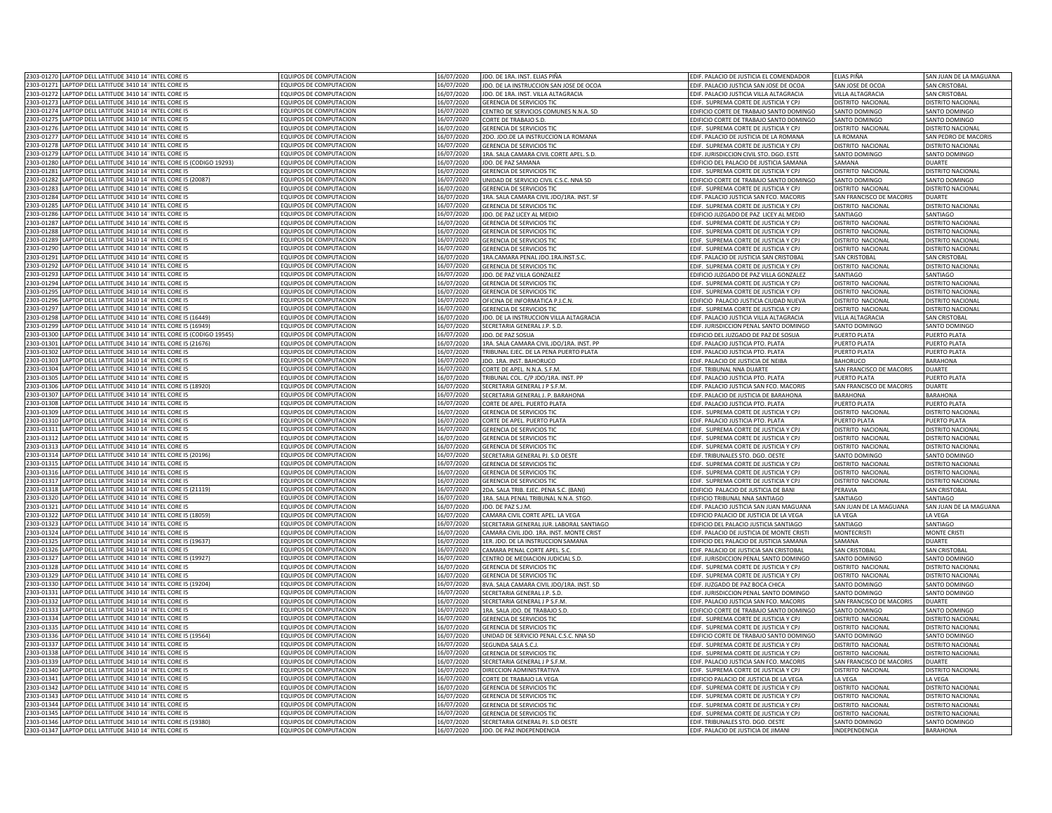| 2303-01270 LAPTOP DELL LATITUDE 3410 14" INTEL CORE I5                   | <b>EQUIPOS DE COMPUTACION</b> | 16/07/2020 | JDO. DE 1RA. INST. ELIAS PIÑA            | EDIF. PALACIO DE JUSTICIA EL COMENDADOR   | FI IAS PIÑA              | SAN JUAN DE LA MAGUANA   |
|--------------------------------------------------------------------------|-------------------------------|------------|------------------------------------------|-------------------------------------------|--------------------------|--------------------------|
| 2303-01271 LAPTOP DELL LATITUDE 3410 14" INTEL CORE I5                   | <b>EQUIPOS DE COMPUTACION</b> | 16/07/2020 | JDO. DE LA INSTRUCCION SAN JOSE DE OCOA  | EDIF. PALACIO JUSTICIA SAN JOSE DE OCOA   | SAN JOSE DE OCOA         | <b>SAN CRISTOBAL</b>     |
| 2303-01272 LAPTOP DELL LATITUDE 3410 14" INTEL CORE I5                   | EQUIPOS DE COMPUTACION        | 16/07/2020 | JDO. DE 1RA. INST. VILLA ALTAGRACIA      | EDIF. PALACIO JUSTICIA VILLA ALTAGRACIA   | VILLA ALTAGRACIA         | <b>SAN CRISTOBAL</b>     |
| 2303-01273<br>APTOP DELL LATITUDE 3410 14" INTEL CORE I5                 | <b>EQUIPOS DE COMPUTACION</b> |            |                                          |                                           |                          |                          |
|                                                                          |                               | 16/07/2020 | GERENCIA DE SERVICIOS TIC                | EDIF. SUPREMA CORTE DE JUSTICIA Y CPJ     | DISTRITO NACIONAL        | DISTRITO NACIONAL        |
| 2303-01274<br>APTOP DELL LATITUDE 3410 14" INTEL CORE I5                 | QUIPOS DE COMPUTACION         | 16/07/2020 | CENTRO DE SERVICIOS COMUNES N.N.A. SD    | EDIFICIO CORTE DE TRABAJO SANTO DOMINGO   | ANTO DOMINGO             | SANTO DOMINGO            |
| 2303-01275<br>APTOP DELL LATITUDE 3410 14" INTEL CORE IS                 | QUIPOS DE COMPUTACION         | 16/07/2020 | ORTE DE TRABAJO S.D.                     | EDIFICIO CORTE DE TRABAJO SANTO DOMINGO   | ANTO DOMINGO             | SANTO DOMINGO            |
| 2303-0127<br>APTOP DELL LATITUDE 3410 14" INTEL CORE I5                  | QUIPOS DE COMPUTACION         | 16/07/2020 | <b>GERENCIA DE SERVICIOS TIC</b>         | EDIF. SUPREMA CORTE DE JUSTICIA Y CPJ     | <b>DISTRITO NACIONAL</b> | DISTRITO NACIONAL        |
| 2303-0127<br>APTOP DELL LATITUDE 3410 14" INTEL CORE I5                  | EQUIPOS DE COMPUTACION        | 16/07/2020 | 2DO. JDO.DE LA INSTRUCCION LA ROMANA     | EDIF. PALACIO DE JUSTICIA DE LA ROMANA    | A ROMANA                 | SAN PEDRO DE MACORIS     |
| 2303-0127<br>APTOP DELL LATITUDE 3410 14" INTEL CORE I5                  | QUIPOS DE COMPUTACION         | 16/07/2020 | <b>SERENCIA DE SERVICIOS TIC</b>         | EDIF. SUPREMA CORTE DE JUSTICIA Y CPJ     | ISTRITO NACIONAL         | <b>DISTRITO NACIONAL</b> |
| APTOP DELL LATITUDE 3410 14" INTEL CORE I5<br>2303-0127                  | <b>EQUIPOS DE COMPUTACION</b> | 16/07/2020 | 1RA. SALA CAMARA CIVIL CORTE APEL. S.D.  | EDIF. JURISDICCION CIVIL STO. DGO. ESTE   | ANTO DOMINGO             | SANTO DOMINGO            |
| LAPTOP DELL LATITUDE 3410 14" INTEL CORE I5 (CODIGO 19293)<br>2303-01280 | EQUIPOS DE COMPUTACION        | 16/07/2020 | JDO. DE PAZ SAMANA                       | EDIFICIO DEL PALACIO DE JUSTICIA SAMANA   | SAMANA                   | <b>DUARTE</b>            |
|                                                                          |                               |            |                                          |                                           |                          |                          |
| 2303-01281<br>LAPTOP DELL LATITUDE 3410 14" INTEL CORE I5                | EQUIPOS DE COMPUTACION        | 16/07/2020 | <b>GERENCIA DE SERVICIOS TIC</b>         | EDIF. SUPREMA CORTE DE JUSTICIA Y CPJ     | DISTRITO NACIONAL        | DISTRITO NACIONAL        |
| 2303-01282<br>APTOP DELL LATITUDE 3410 14" INTEL CORE I5 (20087)         | EQUIPOS DE COMPUTACION        | 16/07/2020 | UNIDAD DE SERVICIO CIVIL C.S.C. NNA SD   | EDIFICIO CORTE DE TRABAJO SANTO DOMINGO   | SANTO DOMINGC            | SANTO DOMINGO            |
| APTOP DELL LATITUDE 3410 14" INTEL CORE I5<br>2303-0128                  | EQUIPOS DE COMPUTACION        | 16/07/2020 | <b>GERENCIA DE SERVICIOS TIC</b>         | EDIF. SUPREMA CORTE DE JUSTICIA Y CPJ     | DISTRITO NACIONAL        | DISTRITO NACIONAL        |
| 2303-01284<br>APTOP DELL LATITUDE 3410 14" INTEL CORE I5                 | QUIPOS DE COMPUTACION         | 16/07/2020 | 1RA. SALA CAMARA CIVIL JDO/1RA. INST. SP | EDIF, PALACIO JUSTICIA SAN FCO, MACORIS   | AN FRANCISCO DE MACORIS  | <b>DUARTE</b>            |
| 2303-0128<br>APTOP DELL LATITUDE 3410 14" INTEL CORE I5                  | <b>EQUIPOS DE COMPUTACION</b> | 16/07/2020 | GERENCIA DE SERVICIOS TIC                | EDIF. SUPREMA CORTE DE JUSTICIA Y CPJ     | DISTRITO NACIONAL        | <b>DISTRITO NACIONAL</b> |
| 2303-0128<br>APTOP DELL LATITUDE 3410 14" INTEL CORE I5                  | FOUIPOS DE COMPUTACION        | 16/07/2020 | JDO. DE PAZ LICEY AL MEDIO               | EDIFICIO JUZGADO DE PAZ LICEY AL MEDIO    | SANTIAGO                 | SANTIAGO                 |
| 2303-01287<br>LAPTOP DELL LATITUDE 3410 14" INTEL CORE I5                | <b>EQUIPOS DE COMPUTACION</b> | 16/07/2020 | GERENCIA DE SERVICIOS TIC                | EDIF. SUPREMA CORTE DE JUSTICIA Y CPJ     | DISTRITO NACIONAL        | DISTRITO NACIONAL        |
| 2303-01288<br>LAPTOP DELL LATITUDE 3410 14" INTEL CORE I5                | EQUIPOS DE COMPUTACION        | 16/07/2020 | <b>GERENCIA DE SERVICIOS TIC</b>         | EDIF. SUPREMA CORTE DE JUSTICIA Y CPJ     | DISTRITO NACIONAL        | <b>DISTRITO NACIONAL</b> |
|                                                                          |                               |            |                                          |                                           |                          |                          |
| 2303-01289<br>LAPTOP DELL LATITUDE 3410 14" INTEL CORE I5                | EQUIPOS DE COMPUTACION        | 16/07/2020 | GERENCIA DE SERVICIOS TIC                | EDIF. SUPREMA CORTE DE JUSTICIA Y CPJ     | DISTRITO NACIONAL        | DISTRITO NACIONAL        |
| 2303-01290<br>LAPTOP DELL LATITUDE 3410 14" INTEL CORE I5                | EQUIPOS DE COMPUTACION        | 16/07/2020 | GERENCIA DE SERVICIOS TIC                | EDIF. SUPREMA CORTE DE JUSTICIA Y CPJ     | DISTRITO NACIONAL        | DISTRITO NACIONAL        |
| 2303-01291<br>LAPTOP DELL LATITUDE 3410 14" INTEL CORE I5                | <b>EQUIPOS DE COMPUTACION</b> | 16/07/2020 | 1RA.CAMARA PENAL JDO.1RA.INST.S.C.       | EDIF. PALACIO DE JUSTICIA SAN CRISTOBAL   | <b>SAN CRISTOBAL</b>     | <b>SAN CRISTOBAL</b>     |
| 2303-01292<br>LAPTOP DELL LATITUDE 3410 14" INTEL CORE I5                | QUIPOS DE COMPUTACION         | 16/07/2020 | <b>GERENCIA DE SERVICIOS TIC</b>         | EDIF. SUPREMA CORTE DE JUSTICIA Y CPJ     | DISTRITO NACIONAL        | DISTRITO NACIONAL        |
| 2303-0129<br>APTOP DELL LATITUDE 3410 14" INTEL CORE I5                  | QUIPOS DE COMPUTACION         | 6/07/2020  | IDO. DE PAZ VII LA GONZALEZ              | DIFICIO JUZGADO DE PAZ VILLA GONZALEZ     | <b>ANTIAGO</b>           | SANTIAGO                 |
| 2303-0129<br>APTOP DELL LATITUDE 3410 14" INTEL CORE IS                  | <b>OUIPOS DE COMPUTACION</b>  | 6/07/2020  | <b>GERENCIA DE SERVICIOS TIC</b>         | EDIF. SUPREMA CORTE DE JUSTICIA Y CPJ     | <b>ISTRITO NACIONAL</b>  | DISTRITO NACIONAL        |
| 2303-0129<br>APTOP DELL LATITUDE 3410 14" INTEL CORE IS                  | OUIPOS DE COMPUTACION         | 6/07/2020  | <b>FRENCIA DE SERVICIOS TIO</b>          | FDIE. SUPREMA CORTE DE IUSTICIA Y CPI     | <b>ISTRITO NACIONAL</b>  | DISTRITO NACIONAL        |
|                                                                          |                               |            |                                          |                                           |                          |                          |
| APTOP DELL LATITUDE 3410 14" INTEL CORE I5<br>2303-0129                  | QUIPOS DE COMPUTACION         | 16/07/2020 | OFICINA DE INFORMATICA P.J.C.N.          | EDIFICIO PALACIO JUSTICIA CIUDAD NUEVA    | DISTRITO NACIONAL        | DISTRITO NACIONAL        |
| 2303-01297<br>APTOP DELL LATITUDE 3410 14" INTEL CORE I5                 | EQUIPOS DE COMPUTACION        | 16/07/2020 | <b>GERENCIA DE SERVICIOS TIC</b>         | EDIF. SUPREMA CORTE DE JUSTICIA Y CPJ     | DISTRITO NACIONAL        | DISTRITO NACIONAL        |
| 2303-01298<br>APTOP DELL LATITUDE 3410 14" INTEL CORE I5 (16449)         | EQUIPOS DE COMPUTACION        | 16/07/2020 | JDO. DE LA INSTRUCCION VILLA ALTAGRACIA  | EDIF. PALACIO JUSTICIA VILLA ALTAGRACIA   | VILLA ALTAGRACIA         | <b>SAN CRISTOBAL</b>     |
| 2303-01299<br>APTOP DELL LATITUDE 3410 14" INTEL CORE I5 (16949)         | <b>EQUIPOS DE COMPUTACION</b> | 16/07/2020 | SECRETARIA GENERAL LP. S.D.              | EDIF. JURISDICCION PENAL SANTO DOMINGO    | SANTO DOMINGO            | SANTO DOMINGO            |
| LAPTOP DELL LATITUDE 3410 14" INTEL CORE IS (CODIGO 19545)<br>2303-0130  | <b>EQUIPOS DE COMPUTACION</b> | 16/07/2020 | <b>IDO. DE PAZ SOSUA</b>                 | EDIFICIO DEL JUZGADO DE PAZ DE SOSUA      | PUFRTO PLATA             | PUERTO PLATA             |
| 2303-0130<br>LAPTOP DELL LATITUDE 3410 14" INTEL CORE I5 (21676)         | <b>EQUIPOS DE COMPUTACION</b> | 16/07/2020 | 1RA, SALA CAMARA CIVIL JDO/1RA, INST, PI | EDIF, PALACIO JUSTICIA PTO, PLATA         | PUFRTO PLATA             | PUERTO PLATA             |
| 2303-0130<br>APTOP DELL LATITUDE 3410 14" INTEL CORE I5                  | EQUIPOS DE COMPUTACION        | 16/07/2020 | TRIBUNAL EJEC. DE LA PENA PUERTO PLATA   | EDIF. PALACIO JUSTICIA PTO. PLATA         | PUERTO PLATA             | <b>PUERTO PLATA</b>      |
|                                                                          |                               |            |                                          |                                           |                          |                          |
| 2303-0130<br>LAPTOP DELL LATITUDE 3410 14" INTEL CORE I5                 | FOUIPOS DE COMPUTACION        | 16/07/2020 | IDO, 1RA, INST, BAHORUCO                 | EDIF. PALACIO DE JUSTICIA DE NEIBA        | <b>BAHORUCO</b>          | <b>BARAHONA</b>          |
| 2303-01304<br>LAPTOP DELL LATITUDE 3410 14" INTEL CORE I5                | EQUIPOS DE COMPUTACION        | 16/07/2020 | CORTE DE APEL. N.N.A. S.F.M.             | EDIF. TRIBUNAL NNA DUARTE                 | SAN FRANCISCO DE MACORIS | <b>DUARTE</b>            |
| 2303-01305<br>LAPTOP DELL LATITUDE 3410 14" INTEL CORE I5                | EQUIPOS DE COMPUTACION        | 16/07/2020 | TRIBUNAL COL. C/P JDO/1RA. INST. PP      | EDIF. PALACIO JUSTICIA PTO. PLATA         | PUERTO PLATA             | PUERTO PLATA             |
| 2303-01306<br>LAPTOP DELL LATITUDE 3410 14" INTEL CORE I5 (18920)        | EQUIPOS DE COMPUTACION        | 16/07/2020 | SECRETARIA GENERAL J P S.F.M.            | EDIF. PALACIO JUSTICIA SAN FCO. MACORIS   | SAN FRANCISCO DE MACORIS | <b>DUARTE</b>            |
| 2303-01307<br>APTOP DELL LATITUDE 3410 14" INTEL CORE I5                 | EQUIPOS DE COMPUTACION        | 16/07/2020 | SECRETARIA GENERAL J. P. BARAHONA        | EDIF. PALACIO DE JUSTICIA DE BARAHONA     | BARAHONA                 | <b>BARAHONA</b>          |
| 2303-01308<br>APTOP DELL LATITUDE 3410 14" INTEL CORE I5                 | OUIPOS DE COMPUTACION         | 16/07/2020 | CORTE DE APEL, PUERTO PLATA              | EDIF. PALACIO JUSTICIA PTO. PLATA         | PUFRTO PI ATA            | PUERTO PLATA             |
| 2303-01309<br>LAPTOP DELL LATITUDE 3410 14" INTEL CORE I5                | <b>EQUIPOS DE COMPUTACION</b> | 16/07/2020 | <b>GERENCIA DE SERVICIOS TIC</b>         | EDIF. SUPREMA CORTE DE JUSTICIA Y CPJ     | DISTRITO NACIONAL        | <b>DISTRITO NACIONAL</b> |
|                                                                          |                               |            |                                          |                                           |                          |                          |
| 2303-01310<br>APTOP DELL LATITUDE 3410 14" INTEL CORE I5                 | QUIPOS DE COMPUTACION         | 16/07/2020 | ORTE DE APEL. PUERTO PLATA               | EDIF. PALACIO JUSTICIA PTO. PLATA         | UERTO PLATA              | PUERTO PLATA             |
| 2303-0131<br>APTOP DELL LATITUDE 3410 14" INTEL CORE I5                  | EQUIPOS DE COMPUTACION        | 16/07/2020 | <b>SERENCIA DE SERVICIOS TIC</b>         | EDIF. SUPREMA CORTE DE JUSTICIA Y CPJ     | <b>ISTRITO NACIONAL</b>  | DISTRITO NACIONAL        |
| 2303-01312<br>APTOP DELL LATITUDE 3410 14" INTEL CORE I5                 | <b>EQUIPOS DE COMPUTACION</b> | 16/07/2020 | <b>SERENCIA DE SERVICIOS TIC</b>         | EDIF. SUPREMA CORTE DE JUSTICIA Y CPJ     | <b>ISTRITO NACIONAL</b>  | DISTRITO NACIONAL        |
| APTOP DELL LATITUDE 3410 14" INTEL CORE I5<br>2303-0131                  | QUIPOS DE COMPUTACION         | 16/07/2020 | <b>GERENCIA DE SERVICIOS TIC</b>         | EDIF. SUPREMA CORTE DE JUSTICIA Y CPJ     | DISTRITO NACIONAL        | DISTRITO NACIONAL        |
| 2303-01314<br>LAPTOP DELL LATITUDE 3410 14" INTEL CORE I5 (20196)        | EQUIPOS DE COMPUTACION        | 16/07/2020 | SECRETARIA GENERAL PJ. S.D OESTE         | EDIF. TRIBUNALES STO. DGO. OESTE          | ANTO DOMINGO             | SANTO DOMINGO            |
| 2303-0131<br>APTOP DELL LATITUDE 3410 14" INTEL CORE I5                  | EQUIPOS DE COMPUTACION        | 16/07/2020 | <b>GERENCIA DE SERVICIOS TIC</b>         | EDIF. SUPREMA CORTE DE JUSTICIA Y CPJ     | DISTRITO NACIONAL        | DISTRITO NACIONA         |
| APTOP DELL LATITUDE 3410 14" INTEL CORE I5<br>2303-0131                  | QUIPOS DE COMPUTACION         | 16/07/2020 | <b>GERENCIA DE SERVICIOS TIC</b>         | EDIF. SUPREMA CORTE DE JUSTICIA Y CPJ     | DISTRITO NACIONAL        | <b>DISTRITO NACIONAL</b> |
| APTOP DELL LATITUDE 3410 14" INTEL CORE I5<br>2303-0131                  | FOUIPOS DE COMPUTACION        |            | <b>GERENCIA DE SERVICIOS TIO</b>         |                                           | DISTRITO NACIONAL        | DISTRITO NACIONAL        |
|                                                                          |                               | 16/07/2020 |                                          | EDIF. SUPREMA CORTE DE JUSTICIA Y CPJ     |                          |                          |
| 303-0131<br>APTOP DELL LATITUDE 3410 14" INTEL CORE I5 (21119)           | QUIPOS DE COMPUTACION         | 16/07/2020 | 2DA, SALA TRIB, EJEC, PENA S.C. (BANI)   | EDIFICIO PALACIO DE JUSTICIA DE BANI      | PERAVIA                  | <b>SAN CRISTOBAL</b>     |
| 2303-0132<br>APTOP DELL LATITUDE 3410 14" INTEL CORE I5                  | EQUIPOS DE COMPUTACION        | 16/07/2020 | 1RA. SALA PENAL TRIBUNAL N.N.A. STGO     | EDIFICIO TRIBUNAL NNA SANTIAGO            | SANTIAGO                 | SANTIAGO                 |
| LAPTOP DELL LATITUDE 3410 14" INTEL CORE I5<br>2303-0132                 | <b>EQUIPOS DE COMPUTACION</b> | 16/07/2020 | JDO. DE PAZ S.J.M.                       | EDIF. PALACIO JUSTICIA SAN JUAN MAGUANA   | SAN JUAN DE LA MAGUANA   | SAN JUAN DE LA MAGUANA   |
| 2303-0132<br>LAPTOP DELL LATITUDE 3410 14" INTEL CORE I5 (18059)         | <b>EQUIPOS DE COMPUTACION</b> | 16/07/2020 | CAMARA CIVIL CORTE APEL. LA VEGA         | EDIFICIO PALACIO DE JUSTICIA DE LA VEGA   | A VEGA                   | LA VEGA                  |
| 2303-01323<br>LAPTOP DELL LATITUDE 3410 14" INTEL CORE I5                | EQUIPOS DE COMPUTACION        | 16/07/2020 | SECRETARIA GENERAL JUR. LABORAL SANTIAGO | EDIFICIO DEL PALACIO JUSTICIA SANTIAGO    | SANTIAGO                 | SANTIAGO                 |
| 2303-01324<br>LAPTOP DELL LATITUDE 3410 14" INTEL CORE I5                | EQUIPOS DE COMPUTACION        | 16/07/2020 | CAMARA CIVIL JDO. 1RA. INST. MONTE CRIST | EDIF. PALACIO DE JUSTICIA DE MONTE CRISTI | MONTECRIST               | <b>MONTE CRISTI</b>      |
| 2303-0132                                                                |                               |            |                                          |                                           | SAMANA                   | <b>DUARTE</b>            |
| APTOP DELL LATITUDE 3410 14" INTEL CORE I5 (19637)                       | EQUIPOS DE COMPUTACION        | 16/07/2020 | 1ER. JDO. DE LA INSTRUCCION SAMANA       | EDIFICIO DEL PALACIO DE JUSTICIA SAMANA   |                          |                          |
| 2303-01326<br>APTOP DELL LATITUDE 3410 14" INTEL CORE IS                 | OUIPOS DE COMPUTACION         | 6/07/2020  | CAMARA PENAL CORTE APEL. S.C.            | EDIF. PALACIO DE JUSTICIA SAN CRISTOBAL   | <b>SAN CRISTOBAL</b>     | <b>SAN CRISTOBAL</b>     |
| 2303-0132<br>APTOP DELL LATITUDE 3410 14" INTEL CORE I5 (19927)          | QUIPOS DE COMPUTACION         | 16/07/2020 | ENTRO DE MEDIACION JUDICIAL S.D.         | DIE. IURISDICCION PENAL SANTO DOMINGO     | <b>ANTO DOMINGO</b>      | SANTO DOMINGO            |
| 2303-01328<br>APTOP DELL LATITUDE 3410 14" INTEL CORE I5                 | QUIPOS DE COMPUTACION         | 6/07/2020  | <b>GERENCIA DE SERVICIOS TIC</b>         | EDIF. SUPREMA CORTE DE JUSTICIA Y CPJ     | <b>DISTRITO NACIONAL</b> | <b>DISTRITO NACIONAL</b> |
| 2303-0132<br>APTOP DELL LATITUDE 3410 14" INTEL CORE I5                  | OUIPOS DE COMPUTACION         | 6/07/2020  | ERENCIA DE SERVICIOS TIO                 | EDIF. SUPREMA CORTE DE JUSTICIA Y CPJ     | <b>ISTRITO NACIONAL</b>  | <b>JISTRITO NACIONAL</b> |
| APTOP DELL LATITUDE 3410 14" INTEL CORE I5 (19204)<br>2303-0133          | <b>EQUIPOS DE COMPUTACION</b> | 16/07/2020 | 8VA. SALA CAMARA CIVIL JDO/1RA. INST. SD | EDIF. JUZGADO DE PAZ BOCA CHICA           | ANTO DOMINGC             | SANTO DOMINGO            |
| 2303-01331<br>LAPTOP DELL LATITUDE 3410 14" INTEL CORE I5                | EQUIPOS DE COMPUTACION        | 16/07/2020 | SECRETARIA GENERAL J.P. S.D.             | EDIF. JURISDICCION PENAL SANTO DOMINGO    | ANTO DOMINGO             | SANTO DOMINGO            |
| 2303-01332<br>LAPTOP DELL LATITUDE 3410 14" INTEL CORE I5                | EQUIPOS DE COMPUTACION        | 16/07/2020 | SECRETARIA GENERAL J P S.F.M             | EDIF. PALACIO JUSTICIA SAN FCO. MACORIS   | SAN FRANCISCO DE MACORIS | <b>DUARTE</b>            |
|                                                                          |                               |            |                                          |                                           |                          |                          |
| 2303-01333<br>APTOP DELL LATITUDE 3410 14" INTEL CORE I5                 | EQUIPOS DE COMPUTACION        | 16/07/2020 | 1RA. SALA JDO. DE TRABAJO S.D            | EDIFICIO CORTE DE TRABAJO SANTO DOMINGO   | SANTO DOMINGC            | SANTO DOMINGO            |
| LAPTOP DELL LATITUDE 3410 14" INTEL CORE IS<br>2303-01334                | <b>EQUIPOS DE COMPUTACION</b> | 16/07/2020 | <b>GERENCIA DE SERVICIOS TIO</b>         | EDIF. SUPREMA CORTE DE JUSTICIA Y CPJ     | <b>JISTRITO NACIONAL</b> | DISTRITO NACIONA         |
| 2303-0133<br>APTOP DELL LATITUDE 3410 14" INTEL CORE I5                  | QUIPOS DE COMPUTACION         | 16/07/2020 | <b>GERENCIA DE SERVICIOS TIO</b>         | FDIE. SUPREMA CORTE DE IUSTICIA Y CPI     | DISTRITO NACIONAL        | DISTRITO NACIONA         |
| 2303-0133<br>LAPTOP DELL LATITUDE 3410 14" INTEL CORE I5 (19564)         | EQUIPOS DE COMPUTACION        | 16/07/2020 | JNIDAD DE SERVICIO PENAL C.S.C. NNA SD   | EDIFICIO CORTE DE TRABAJO SANTO DOMINGO   | <b>SANTO DOMINGO</b>     | SANTO DOMINGO            |
| 2303-0133<br>APTOP DELL LATITUDE 3410 14" INTEL CORE IS                  | FOUIPOS DE COMPUTACION        | 16/07/2020 | SEGUNDA SALA S.C.J                       | EDIF. SUPREMA CORTE DE JUSTICIA Y CPJ     | DISTRITO NACIONAL        | <b>DISTRITO NACIONAL</b> |
| 2303-01338<br>LAPTOP DELL LATITUDE 3410 14" INTEL CORE I5                | <b>EQUIPOS DE COMPUTACION</b> | 16/07/2020 | GERENCIA DE SERVICIOS TIC                | EDIF. SUPREMA CORTE DE JUSTICIA Y CPJ     | DISTRITO NACIONAL        | <b>DISTRITO NACIONAL</b> |
| 2303-01339<br>LAPTOP DELL LATITUDE 3410 14" INTEL CORE I5                | <b>EQUIPOS DE COMPUTACION</b> | 16/07/2020 | SECRETARIA GENERAL J P S.F.M.            | EDIF. PALACIO JUSTICIA SAN FCO. MACORIS   | SAN FRANCISCO DE MACORIS | <b>DUARTE</b>            |
|                                                                          |                               |            |                                          |                                           |                          |                          |
| 2303-01340<br>LAPTOP DELL LATITUDE 3410 14" INTEL CORE I5                | EQUIPOS DE COMPUTACION        | 16/07/2020 | DIRECCION ADMINISTRATIVA                 | EDIF. SUPREMA CORTE DE JUSTICIA Y CPJ     | DISTRITO NACIONAL        | DISTRITO NACIONAL        |
| 2303-01341<br>LAPTOP DELL LATITUDE 3410 14" INTEL CORE I5                | <b>EQUIPOS DE COMPUTACION</b> | 16/07/2020 | CORTE DE TRABAJO LA VEGA                 | EDIFICIO PALACIO DE JUSTICIA DE LA VEGA   | LA VEGA                  | LA VEGA                  |
| 2303-01342<br>LAPTOP DELL LATITUDE 3410 14" INTEL CORE I5                | <b>EQUIPOS DE COMPUTACION</b> | 16/07/2020 | <b>GERENCIA DE SERVICIOS TIC</b>         | EDIF. SUPREMA CORTE DE JUSTICIA Y CPJ     | DISTRITO NACIONAL        | <b>DISTRITO NACIONAL</b> |
| 2303-01343<br>APTOP DELL LATITUDE 3410 14" INTEL CORE IS                 | OUIPOS DE COMPUTACION         | 16/07/2020 | <b>SERENCIA DE SERVICIOS TIC</b>         | FDIE. SUPREMA CORTE DE JUSTICIA Y CPI     | DISTRITO NACIONAL        | DISTRITO NACIONAL        |
| 2303-01344<br>APTOP DELL LATITUDE 3410 14" INTEL CORE I5                 | QUIPOS DE COMPUTACION         | 16/07/2020 | <b>SERENCIA DE SERVICIOS TIC</b>         | EDIF. SUPREMA CORTE DE JUSTICIA Y CPJ     | <b>DISTRITO NACIONAL</b> | DISTRITO NACIONAL        |
| 2303-0134<br>APTOP DELL LATITUDE 3410 14" INTEL CORE I5                  | EQUIPOS DE COMPUTACION        | 16/07/2020 | <b>SERENCIA DE SERVICIOS TIC</b>         | EDIF. SUPREMA CORTE DE JUSTICIA Y CPJ     | <b>ISTRITO NACIONAL</b>  | DISTRITO NACIONAL        |
| 2303-01346<br>LAPTOP DELL LATITUDE 3410 14" INTEL CORE I5 (19380)        | <b>EQUIPOS DE COMPUTACION</b> | 16/07/2020 | SECRETARIA GENERAL PJ. S.D OESTE         | EDIF. TRIBUNALES STO. DGO. OESTE          | ANTO DOMINGO             | SANTO DOMINGO            |
|                                                                          |                               | 16/07/2020 |                                          |                                           |                          |                          |
| 2303-01347 LAPTOP DELL LATITUDE 3410 14" INTEL CORE I5                   | EQUIPOS DE COMPUTACION        |            | JDO. DE PAZ INDEPENDENCIA                | EDIF. PALACIO DE JUSTICIA DE JIMANI       | NDEPENDENCIA             | BARAHONA                 |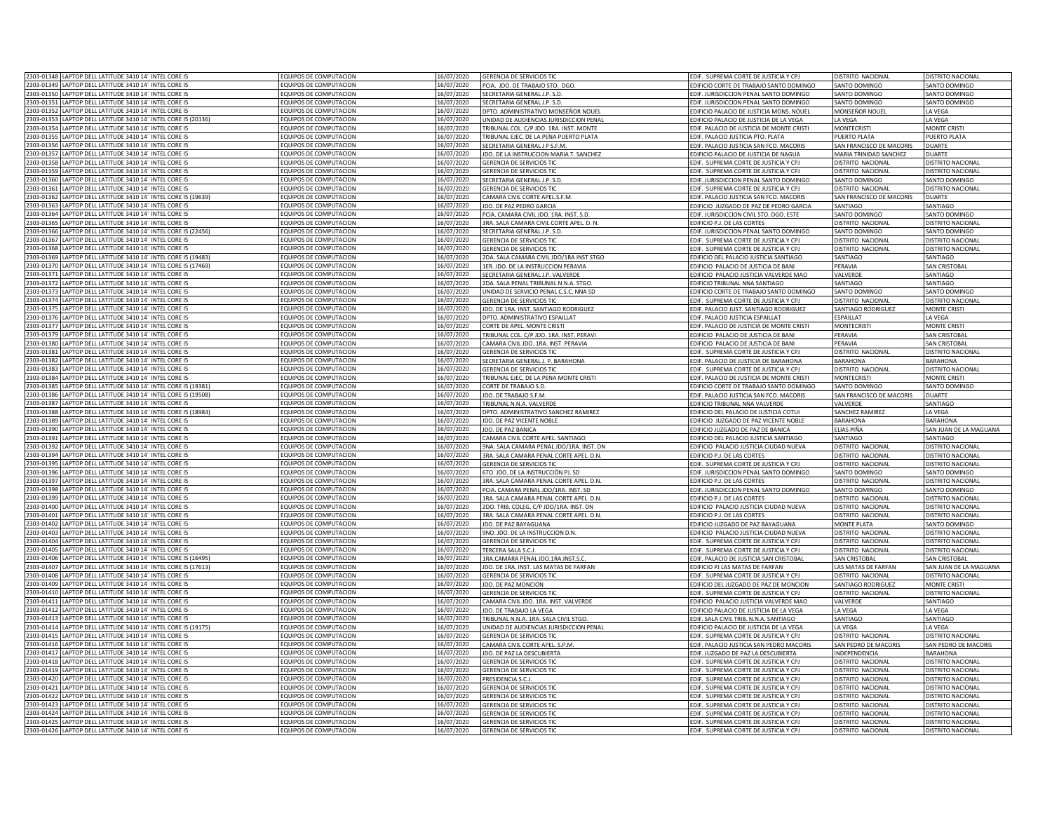| 2303-01348<br>LAPTOP DELL LATITUDE 3410 14" INTEL CORE I5                                                        | EQUIPOS DE COMPUTACION                           | 16/07/2020               | <b>GERENCIA DE SERVICIOS TIO</b>                              | EDIF. SUPREMA CORTE DE JUSTICIA Y CP.                                          | DISTRITO NACIONAL                      | <b>DISTRITO NACIONAL</b>                      |
|------------------------------------------------------------------------------------------------------------------|--------------------------------------------------|--------------------------|---------------------------------------------------------------|--------------------------------------------------------------------------------|----------------------------------------|-----------------------------------------------|
| 2303-01349<br>LAPTOP DELL LATITUDE 3410 14" INTEL CORE I5                                                        | FOUIPOS DE COMPUTACION                           | 16/07/2020               | PCIA. JDO. DE TRABAJO STO. DGO.                               | EDIFICIO CORTE DE TRABAJO SANTO DOMINGO                                        | SANTO DOMINGO                          | SANTO DOMINGO                                 |
| 2303-01350<br>LAPTOP DELL LATITUDE 3410 14" INTEL CORE I5                                                        | EQUIPOS DE COMPUTACION                           | 16/07/2020               | SECRETARIA GENERAL J.P. S.D.                                  | EDIF. JURISDICCION PENAL SANTO DOMINGO                                         | SANTO DOMINGO                          | SANTO DOMINGO                                 |
| 2303-01351<br>LAPTOP DELL LATITUDE 3410 14" INTEL CORE I5                                                        |                                                  |                          |                                                               |                                                                                |                                        |                                               |
|                                                                                                                  | EQUIPOS DE COMPUTACION                           | 16/07/2020               | SECRETARIA GENERAL J.P. S.D.                                  | EDIF. JURISDICCION PENAL SANTO DOMINGO                                         | SANTO DOMINGO                          | SANTO DOMINGO                                 |
| 2303-01352<br>LAPTOP DELL LATITUDE 3410 14" INTEL CORE I5                                                        | EQUIPOS DE COMPUTACION                           | 16/07/2020               | DPTO. ADMINISTRATIVO MONSEÑOR NOUEL                           | EDIFICIO PALACIO DE JUSTICIA MONS. NOUEL                                       | MONSEÑOR NOUEL                         | LA VEGA                                       |
| APTOP DELL LATITUDE 3410 14" INTEL CORE I5 (20136)<br>2303-01353                                                 | EQUIPOS DE COMPUTACION                           | 16/07/2020               | JNIDAD DE AUDIENCIAS JURISDICCION PENAI                       | EDIFICIO PALACIO DE JUSTICIA DE LA VEGA                                        | LA VEGA                                | LA VEGA                                       |
| 2303-01354<br>LAPTOP DELL LATITUDE 3410 14" INTEL CORE I5                                                        | FOUIPOS DE COMPUTACION                           | 16/07/2020               | RIBUNAL COL. C/P JDO. 1RA. INST. MONTE                        | EDIF. PALACIO DE JUSTICIA DE MONTE CRISTI                                      | <b>MONTFCRISTI</b>                     | MONTE CRISTI                                  |
| 2303-01355<br>LAPTOP DELL LATITUDE 3410 14" INTEL CORE I5                                                        | <b>QUIPOS DE COMPUTACION</b>                     | 16/07/2020               | RIBUNAL EJEC. DE LA PENA PUERTO PLATA                         | EDIF. PALACIO JUSTICIA PTO. PLATA                                              | PUERTO PLATA                           | PUERTO PLATA                                  |
| 2303-01356<br>APTOP DELL LATITUDE 3410 14" INTEL CORE I5                                                         | <b>EQUIPOS DE COMPUTACION</b>                    | 16/07/2020               | ECRETARIA GENERAL J P S.F.M.                                  | EDIF. PALACIO JUSTICIA SAN FCO. MACORIS                                        | SAN FRANCISCO DE MACORIS               | DUARTE                                        |
| 2303-0135<br>APTOP DELL LATITUDE 3410 14" INTEL CORE I5                                                          | EQUIPOS DE COMPUTACION                           | 16/07/2020               | DO. DE LA INSTRUCCION MARIA T. SANCHEZ                        | EDIFICIO PALACIO DE JUSTICIA DE NAGUA                                          | MARIA TRINIDAD SANCHEZ                 | DUARTE                                        |
| 2303-0135<br>APTOP DELL LATITUDE 3410 14" INTEL CORE I5                                                          | <b>EQUIPOS DE COMPUTACION</b>                    | 16/07/2020               | <b>SERENCIA DE SERVICIOS TIC</b>                              | EDIF. SUPREMA CORTE DE JUSTICIA Y CPJ                                          | <b>ISTRITO NACIONAL</b>                | DISTRITO NACIONAL                             |
|                                                                                                                  |                                                  |                          |                                                               |                                                                                |                                        |                                               |
| 2303-0135<br>APTOP DELL LATITUDE 3410 14" INTEL CORE I5                                                          | <b>EQUIPOS DE COMPUTACION</b>                    | 16/07/2020               | <b>GERENCIA DE SERVICIOS TIC</b>                              | EDIF. SUPREMA CORTE DE JUSTICIA Y CPJ                                          | DISTRITO NACIONAL                      | DISTRITO NACIONAL                             |
| 2303-01360<br>LAPTOP DELL LATITUDE 3410 14" INTEL CORE I5                                                        | EQUIPOS DE COMPUTACION                           | 16/07/2020               | SECRETARIA GENERAL J.P. S.D                                   | EDIF. JURISDICCION PENAL SANTO DOMINGO                                         | SANTO DOMINGO                          | SANTO DOMINGO                                 |
| 2303-01361<br>LAPTOP DELL LATITUDE 3410 14" INTEL CORE I5                                                        | EQUIPOS DE COMPUTACION                           | 16/07/2020               | <b>GERENCIA DE SERVICIOS TIC</b>                              | EDIF. SUPREMA CORTE DE JUSTICIA Y CP.                                          | ISTRITO NACIONAL                       | <b>DISTRITO NACIONAL</b>                      |
| APTOP DELL LATITUDE 3410 14" INTEL CORE I5 (19639)<br>2303-0136                                                  | EQUIPOS DE COMPUTACION                           | 16/07/2020               | CAMARA CIVIL CORTE APEL.S.F.M.                                | EDIF. PALACIO JUSTICIA SAN FCO. MACORIS                                        | SAN FRANCISCO DE MACORIS               | <b>DUARTE</b>                                 |
| LAPTOP DELL LATITUDE 3410 14" INTEL CORE I5<br>2303-01363                                                        | EQUIPOS DE COMPUTACION                           | 16/07/2020               | IDO. DE PAZ PEDRO GARCIA                                      | EDIFICIO JUZGADO DE PAZ DE PEDRO GARCIA                                        | SANTIAGO                               | SANTIAGO                                      |
| 303-01364<br>LAPTOP DELL LATITUDE 3410 14" INTEL CORE I5                                                         | <b>EQUIPOS DE COMPUTACION</b>                    | 16/07/2020               | PCIA, CAMARA CIVIL JDO, 1RA, INST, S.D                        | EDIF, JURISDICCION CIVIL STO, DGO, ESTE                                        | <b>SANTO DOMINGO</b>                   | SANTO DOMINGO                                 |
| LAPTOP DELL LATITUDE 3410 14" INTEL CORE I5<br>2303-0136                                                         | EQUIPOS DE COMPUTACION                           | 16/07/2020               | 3RA. SALA CAMARA CIVIL CORTE APEL. D. N                       | <b>EDIFICIO P.J. DE LAS CORTES</b>                                             | DISTRITO NACIONAL                      | DISTRITO NACIONAL                             |
|                                                                                                                  |                                                  |                          |                                                               |                                                                                |                                        |                                               |
| 2303-01366<br>LAPTOP DELL LATITUDE 3410 14" INTEL CORE I5 (22456)                                                | EQUIPOS DE COMPUTACION                           | 16/07/2020               | SECRETARIA GENERAL J.P. S.D.                                  | EDIF. JURISDICCION PENAL SANTO DOMINGO                                         | SANTO DOMINGO                          | SANTO DOMINGO                                 |
| 2303-01367<br>LAPTOP DELL LATITUDE 3410 14" INTEL CORE I5                                                        | EQUIPOS DE COMPUTACION                           | 16/07/2020               | <b>GERENCIA DE SERVICIOS TIC</b>                              | EDIF. SUPREMA CORTE DE JUSTICIA Y CPJ                                          | DISTRITO NACIONAL                      | DISTRITO NACIONAL                             |
| 2303-01368<br>LAPTOP DELL LATITUDE 3410 14" INTEL CORE I5                                                        | EQUIPOS DE COMPUTACION                           | 16/07/2020               | <b>GERENCIA DE SERVICIOS TIC</b>                              | EDIF. SUPREMA CORTE DE JUSTICIA Y CPJ                                          | DISTRITO NACIONAL                      | DISTRITO NACIONAL                             |
| LAPTOP DELL LATITUDE 3410 14" INTEL CORE I5 (19483)<br>2303-01369                                                | EQUIPOS DE COMPUTACION                           | 16/07/2020               | 2DA. SALA CAMARA CIVIL JDO/1RA INST STGO                      | EDIFICIO DEL PALACIO JUSTICIA SANTIAGO                                         | SANTIAGO                               | SANTIAGO                                      |
| LAPTOP DELL LATITUDE 3410 14" INTEL CORE I5 (17469)<br>2303-01370                                                | EQUIPOS DE COMPUTACION                           | 16/07/2020               | 1ER. JDO. DE LA INSTRUCCION PERAVIA                           | EDIFICIO PALACIO DE JUSTICIA DE BANI                                           | PFRAVIA                                | SAN CRISTOBAL                                 |
| 2303-01371<br>APTOP DELL LATITUDE 3410 14" INTEL CORE I5                                                         | QUIPOS DE COMPUTACION                            | 16/07/2020               | ECRETARIA GENERAL J.P. VALVERDE                               | DIFICIO PALACIO JUSTICIA VALVERDE MAO                                          | VALVERDE                               | SANTIAGO                                      |
| 2303-0137<br>APTOP DELL LATITUDE 3410 14" INTEL CORE I5                                                          | <b>QUIPOS DE COMPUTACION</b>                     | 16/07/2020               | DA, SALA PENAL TRIBUNAL N.N.A. STGO.                          | DIFICIO TRIBUNAL NNA SANTIAGO                                                  | SANTIAGO                               | <b>ANTIAGO</b>                                |
|                                                                                                                  |                                                  |                          |                                                               |                                                                                |                                        |                                               |
| 2303-0137<br>APTOP DELL LATITUDE 3410 14" INTEL CORE I5                                                          | <b>QUIPOS DE COMPUTACION</b>                     | 16/07/2020               | JNIDAD DE SERVICIO PENAL C.S.C. NNA SD                        | <b>EDIFICIO CORTE DE TRABAJO SANTO DOMINGO</b>                                 | <b>SANTO DOMINGO</b>                   | ANTO DOMINGO                                  |
| APTOP DELL LATITUDE 3410 14" INTEL CORE I5<br>2303-0137                                                          | QUIPOS DE COMPUTACION                            | 16/07/2020               | <b>GERENCIA DE SERVICIOS TIO</b>                              | EDIF. SUPREMA CORTE DE JUSTICIA Y CP.                                          | <b>ISTRITO NACIONA</b>                 | <b>DISTRITO NACIONAL</b>                      |
| 2303-0137<br>APTOP DELL LATITUDE 3410 14" INTEL CORE I5                                                          | EQUIPOS DE COMPUTACION                           | 16/07/2020               | DO. DE 1RA. INST. SANTIAGO RODRIGUEZ                          | EDIF. PALACIO JUST. SANTIAGO RODRIGUEZ                                         | SANTIAGO RODRIGUEZ                     | <b>MONTE CRISTI</b>                           |
| 2303-0137<br>APTOP DELL LATITUDE 3410 14" INTEL CORE I5                                                          | EQUIPOS DE COMPUTACION                           | 16/07/2020               | DPTO. ADMINISTRATIVO ESPAILLAT                                | EDIF. PALACIO JUSTICIA ESPAILLAT                                               | ESPAILLAT                              | LA VEGA                                       |
| 2303-01377<br>LAPTOP DELL LATITUDE 3410 14" INTEL CORE I5                                                        | FOUIPOS DE COMPUTACION                           | 16/07/2020               | CORTE DE APEL, MONTE CRISTI                                   | FDIF. PALACIO DE JUSTICIA DE MONTE CRISTI                                      | <b>MONTECRISTI</b>                     | <b>MONTE CRIST</b>                            |
| 2303-0137<br>APTOP DELL LATITUDE 3410 14" INTEL CORE I5                                                          | FOUIPOS DE COMPUTACION                           | 16/07/2020               | TRIBUNAL COL. C/P JDO. 1RA. INST. PERAVI                      | EDIFICIO PALACIO DE JUSTICIA DE BANI                                           | PFRAVIA                                | SAN CRISTOBA                                  |
|                                                                                                                  |                                                  |                          |                                                               |                                                                                |                                        |                                               |
| 2303-01380<br>LAPTOP DELL LATITUDE 3410 14" INTEL CORE I5                                                        | EQUIPOS DE COMPUTACION                           | 16/07/2020               | CAMARA CIVIL JDO. 1RA. INST. PERAVIA                          | EDIFICIO PALACIO DE JUSTICIA DE BANI                                           | PERAVIA                                | SAN CRISTOBA                                  |
| 2303-0138<br>APTOP DELL LATITUDE 3410 14" INTEL CORE IS                                                          | FOUIPOS DE COMPUTACION                           | 16/07/2020               | <b>GERENCIA DE SERVICIOS TIC</b>                              | EDIF. SUPREMA CORTE DE JUSTICIA Y CP.                                          | DISTRITO NACIONAL                      | <b>DISTRITO NACIONAL</b>                      |
| 2303-01383<br>LAPTOP DELL LATITUDE 3410 14" INTEL CORE I5                                                        | EQUIPOS DE COMPUTACION                           | 16/07/2020               | ECRETARIA GENERAL J. P. BARAHONA                              | EDIF. PALACIO DE JUSTICIA DE BARAHONA                                          | <b>BARAHONA</b>                        | <b>BARAHONA</b>                               |
| 2303-01383<br>LAPTOP DELL LATITUDE 3410 14" INTEL CORE I5                                                        | EQUIPOS DE COMPUTACION                           | 16/07/2020               | <b>GERENCIA DE SERVICIOS TIC</b>                              | EDIF. SUPREMA CORTE DE JUSTICIA Y CPJ                                          | DISTRITO NACIONAL                      | DISTRITO NACIONAL                             |
| 2303-01384<br>LAPTOP DELL LATITUDE 3410 14" INTEL CORE I5                                                        | EQUIPOS DE COMPUTACION                           | 16/07/2020               | TRIBUNAL EJEC. DE LA PENA MONTE CRISTI                        | EDIF. PALACIO DE JUSTICIA DE MONTE CRISTI                                      | <b>MONTECRISTI</b>                     | <b>MONTE CRISTI</b>                           |
| 2303-01385<br>LAPTOP DELL LATITUDE 3410 14" INTEL CORE I5 (19381)                                                | EQUIPOS DE COMPUTACION                           | 16/07/2020               | CORTE DE TRABAJO S.D.                                         | EDIFICIO CORTE DE TRABAJO SANTO DOMINGO                                        | SANTO DOMINGO                          | SANTO DOMINGO                                 |
|                                                                                                                  | <b>EQUIPOS DE COMPUTACION</b>                    |                          | IDO. DE TRABAJO S.F.M.                                        | EDIF. PALACIO JUSTICIA SAN FCO. MACORIS                                        | SAN FRANCISCO DE MACORIS               |                                               |
| 2303-01386<br>APTOP DELL LATITUDE 3410 14" INTEL CORE I5 (19508)                                                 |                                                  | 16/07/2020               |                                                               |                                                                                |                                        | <b>DUARTE</b>                                 |
|                                                                                                                  |                                                  |                          |                                                               |                                                                                |                                        |                                               |
| 2303-01387<br>APTOP DELL LATITUDE 3410 14" INTEL CORE I5                                                         | FOUIPOS DE COMPUTACION                           | 16/07/2020               | RIBUNAL N.N.A. VALVERDE                                       | FDIFICIO TRIBUNAL NNA VAI VERDE                                                | VALVERDE                               | SANTIAGO                                      |
| 2303-01388<br>APTOP DELL LATITUDE 3410 14" INTEL CORE I5 (18984)                                                 | EQUIPOS DE COMPUTACION                           | 16/07/2020               | DPTO. ADMINISTRATIVO SANCHEZ RAMIREZ                          | EDIFICIO DEL PALACIO DE JUSTICIA COTUI                                         | SANCHEZ RAMIREZ                        | LA VEGA                                       |
| 2303-01389<br>APTOP DELL LATITUDE 3410 14" INTEL CORE I5                                                         | EQUIPOS DE COMPUTACION                           | 16/07/2020               | DO. DE PAZ VICENTE NOBLE                                      | EDIFICIO JUZGADO DE PAZ VICENTE NOBLE                                          | <b>BARAHONA</b>                        | <b>BARAHONA</b>                               |
| 2303-0139                                                                                                        |                                                  |                          |                                                               |                                                                                |                                        |                                               |
| APTOP DELL LATITUDE 3410 14" INTEL CORE I5                                                                       | EQUIPOS DE COMPUTACION                           | 16/07/2020               | DO. DE PAZ BANICA                                             | DIFICIO JUZGADO DE PAZ DE BANICA                                               | LIAS PIÑA                              | SAN JUAN DE LA MAGUANA                        |
| 2303-01391<br>LAPTOP DELL LATITUDE 3410 14" INTEL CORE I5                                                        | EQUIPOS DE COMPUTACION                           | 16/07/2020               | CAMARA CIVIL CORTE APEL. SANTIAGO                             | EDIFICIO DEL PALACIO JUSTICIA SANTIAGO                                         | SANTIAGO                               | ANTIAGO                                       |
| 2303-01392<br>APTOP DELL LATITUDE 3410 14" INTEL CORE I5                                                         | <b>EQUIPOS DE COMPUTACION</b>                    | 16/07/2020               | 9NA. SALA CAMARA PENAL JDO/1RA. INST. DN                      | EDIFICIO PALACIO JUSTICIA CIUDAD NUEVA                                         | DISTRITO NACIONAL                      | DISTRITO NACIONAL                             |
| 2303-01394<br>LAPTOP DELL LATITUDE 3410 14" INTEL CORE I5                                                        | EQUIPOS DE COMPUTACION                           | 16/07/2020               | 3RA. SALA CAMARA PENAL CORTE APEL. D.N                        | EDIFICIO P.J. DE LAS CORTES                                                    | <b>ISTRITO NACIONAL</b>                | DISTRITO NACIONAL                             |
| 2303-0139<br>LAPTOP DELL LATITUDE 3410 14" INTEL CORE I5                                                         | EQUIPOS DE COMPUTACION                           | 16/07/2020               | GERENCIA DE SERVICIOS TIC                                     | EDIF. SUPREMA CORTE DE JUSTICIA Y CP.                                          | DISTRITO NACIONAL                      | DISTRITO NACIONA                              |
| APTOP DELL LATITUDE 3410 14" INTEL CORE I5<br>2303-0139                                                          | <b>QUIPOS DE COMPUTACION</b>                     | 16/07/2020               | <b>6TO. JDO. DE LA INSTRUCCIÓN PJ. SD</b>                     | EDIF. JURISDICCION PENAL SANTO DOMINGO                                         | <b>SANTO DOMINGO</b>                   | SANTO DOMINGO                                 |
| 2303-0139<br>LAPTOP DELL LATITUDE 3410 14" INTEL CORE I5                                                         | <b>EQUIPOS DE COMPUTACION</b>                    | 16/07/2020               | 3RA. SALA CAMARA PENAL CORTE APEL. D.N                        | EDIFICIO P.J. DE LAS CORTES                                                    | <b>DISTRITO NACIONAL</b>               | DISTRITO NACIONA                              |
| 303-0139<br>APTOP DELL LATITUDE 3410 14" INTEL CORE I5                                                           | <b>EQUIPOS DE COMPUTACION</b>                    | 16/07/2020               | PCIA, CAMARA PENAL JDO/1RA, INST, SD                          | EDIF, JURISDICCION PENAL SANTO DOMINGO                                         | SANTO DOMINGO                          | SANTO DOMINGO                                 |
| 2303-0139                                                                                                        | EQUIPOS DE COMPUTACION                           |                          |                                                               |                                                                                |                                        |                                               |
| LAPTOP DELL LATITUDE 3410 14" INTEL CORE I5                                                                      |                                                  | 16/07/2020               | 1RA. SALA CAMARA PENAL CORTE APEL. D.N                        | <b>EDIFICIO P.J. DE LAS CORTES</b>                                             | <b>ISTRITO NACIONAL</b>                | DISTRITO NACIONAL                             |
| LAPTOP DELL LATITUDE 3410 14" INTEL CORE I5<br>2303-0140                                                         | EQUIPOS DE COMPUTACION                           | 16/07/2020               | 2DO. TRIB. COLEG. C/P JDO/1RA. INST. DN                       | EDIFICIO PALACIO JUSTICIA CIUDAD NUEVA                                         | <b>DISTRITO NACIONAL</b>               | DISTRITO NACIONAL                             |
| 2303-01401<br>LAPTOP DELL LATITUDE 3410 14" INTEL CORE I5                                                        | EQUIPOS DE COMPUTACION                           | 16/07/2020               | 3RA. SALA CAMARA PENAL CORTE APEL. D.N.                       | <b>EDIFICIO P.J. DE LAS CORTES</b>                                             | <b>DISTRITO NACIONAL</b>               | DISTRITO NACIONAL                             |
| LAPTOP DELL LATITUDE 3410 14" INTEL CORE I5<br>2303-01402                                                        | EQUIPOS DE COMPUTACION                           | 16/07/2020               | IDO. DE PAZ BAYAGUANA                                         | EDIFICIO JUZGADO DE PAZ BAYAGUANA                                              | MONTE PLATA                            | SANTO DOMINGO                                 |
| 2303-01403<br>APTOP DELL LATITUDE 3410 14" INTEL CORE I5                                                         | <b>EQUIPOS DE COMPUTACION</b>                    | 16/07/2020               | 9NO. JDO. DE LA INSTRUCCION D.N.                              | EDIFICIO PALACIO JUSTICIA CIUDAD NUEVA                                         | DISTRITO NACIONAL                      | DISTRITO NACIONAL                             |
| 2303-01404<br>LAPTOP DELL LATITUDE 3410 14" INTEL CORE I5                                                        | FOUIPOS DE COMPUTACION                           | 16/07/2020               | <b>GERENCIA DE SERVICIOS TIC</b>                              | EDIF. SUPREMA CORTE DE JUSTICIA Y CPJ                                          | DISTRITO NACIONAL                      | DISTRITO NACIONAL                             |
| 2303-01405<br>APTOP DELL LATITUDE 3410 14" INTEL CORE I5                                                         | QUIPOS DE COMPUTACION                            | 16/07/2020               | <b>FRCERA SAIA SCI</b>                                        | EDIF. SUPREMA CORTE DE JUSTICIA Y CPJ                                          | <b>ISTRITO NACIONAL</b>                | DISTRITO NACIONAL                             |
| 2303-0140<br>APTOP DELL LATITUDE 3410 14" INTEL CORE I5 (16495)                                                  | <b>QUIPOS DE COMPUTACION</b>                     | 16/07/2020               | RA.CAMARA PENAL JDO.1RA.INST.S.C                              | DIE, PALACIO DE JUSTICIA SAN CRISTOBAL                                         | <b>SAN CRISTOBAL</b>                   | SAN CRISTOBAL                                 |
| 2303-0140                                                                                                        |                                                  |                          |                                                               |                                                                                | AS MATAS DE FARFAN                     |                                               |
| APTOP DELL LATITUDE 3410 14" INTEL CORE I5 (17613)                                                               | <b>QUIPOS DE COMPUTACION</b>                     | 16/07/2020               | DO. DE 1RA. INST. LAS MATAS DE FARFAN                         | <b>DIFICIO PJ LAS MATAS DE FARFAN</b>                                          |                                        | AN JUAN DE LA MAGUANA                         |
| APTOP DELL LATITUDE 3410 14" INTEL CORE I5<br>2303-0140                                                          | <b>COUIPOS DE COMPUTACION</b>                    | 16/07/2020               | <b>GERENCIA DE SERVICIOS TIC</b>                              | EDIF. SUPREMA CORTE DE JUSTICIA Y CP.                                          | <b>ISTRITO NACIONAL</b>                | DISTRITO NACIONAL                             |
| 2303-01409<br>APTOP DELL LATITUDE 3410 14" INTEL CORE I5                                                         | EQUIPOS DE COMPUTACION                           | 16/07/2020               | DO. DE PAZ MONCION                                            | EDIFICIO DEL JUZGADO DE PAZ DE MONCION                                         | SANTIAGO RODRIGUEZ                     | <b>MONTE CRISTI</b>                           |
| 2303-01410<br>LAPTOP DELL LATITUDE 3410 14" INTEL CORE I5                                                        | EQUIPOS DE COMPUTACION                           | 16/07/2020               | GERENCIA DE SERVICIOS TIC                                     | EDIF. SUPREMA CORTE DE JUSTICIA Y CP.                                          | DISTRITO NACIONAL                      | DISTRITO NACIONAL                             |
| 2303-01411<br>LAPTOP DELL LATITUDE 3410 14" INTEL CORE I5                                                        | EQUIPOS DE COMPUTACION                           | 16/07/2020               | CAMARA CIVIL JDO. 1RA. INST. VALVERDE                         | EDIFICIO PALACIO JUSTICIA VALVERDE MAO                                         | <b>VAI VERDE</b>                       | <b>SANTIAGO</b>                               |
| 2303-01413<br>LAPTOP DELL LATITUDE 3410 14" INTEL CORE I5                                                        | FOUIPOS DE COMPUTACION                           | 16/07/2020               | DO. DE TRABAJO LA VEGA                                        | EDIFICIO PALACIO DE JUSTICIA DE LA VEGA                                        | A VEGA                                 | LA VEGA                                       |
| 2303-0141<br>APTOP DELL LATITUDE 3410 14" INTEL CORE I5                                                          | EQUIPOS DE COMPUTACION                           | 16/07/2020               | TRIBUNAL N.N.A. 1RA. SALA CIVIL STGC                          | DIE, SALA CIVIL TRIB, N.N.A. SANTIAGO                                          | SANTIAGO                               | SANTIAGO                                      |
|                                                                                                                  |                                                  |                          |                                                               |                                                                                |                                        |                                               |
| 2303-01414<br>LAPTOP DELL LATITUDE 3410 14" INTEL CORE I5 (19175)                                                | <b>EQUIPOS DE COMPUTACION</b>                    | 16/07/2020               | UNIDAD DE AUDIENCIAS JURISDICCION PENAL                       | EDIFICIO PALACIO DE JUSTICIA DE LA VEGA                                        | A VEGA                                 | LA VEGA                                       |
| 2303-0141<br>LAPTOP DELL LATITUDE 3410 14" INTEL CORE I5                                                         | FOUIPOS DE COMPUTACION                           | 16/07/2020               | <b>GERENCIA DE SERVICIOS TIO</b>                              | EDIF. SUPREMA CORTE DE JUSTICIA Y CP.                                          | DISTRITO NACIONAL                      | <b>DISTRITO NACIONAL</b>                      |
| 2303-01416<br>LAPTOP DELL LATITUDE 3410 14" INTEL CORE I5                                                        | EQUIPOS DE COMPUTACION                           | 16/07/2020               | AMARA CIVIL CORTE APEL. S.P.M.                                | EDIF. PALACIO JUSTICIA SAN PEDRO MACORIS                                       | SAN PEDRO DE MACORIS                   | SAN PEDRO DE MACORIS                          |
| 2303-01417<br>LAPTOP DELL LATITUDE 3410 14" INTEL CORE I5                                                        | EQUIPOS DE COMPUTACION                           | 16/07/2020               | IDO. DE PAZ LA DESCUBIERTA                                    | EDIF. JUZGADO DE PAZ LA DESCUBIERTA                                            | INDEPENDENCIA                          | <b>BARAHONA</b>                               |
| 2303-01418<br>LAPTOP DELL LATITUDE 3410 14" INTEL CORE I5                                                        | EQUIPOS DE COMPUTACION                           | 16/07/2020               | <b>GERENCIA DE SERVICIOS TIC</b>                              | EDIF. SUPREMA CORTE DE JUSTICIA Y CPJ                                          | DISTRITO NACIONAL                      | DISTRITO NACIONAL                             |
| 2303-01419<br>LAPTOP DELL LATITUDE 3410 14" INTEL CORE I5                                                        | EQUIPOS DE COMPUTACION                           | 16/07/2020               | <b>GERENCIA DE SERVICIOS TIC</b>                              | EDIF. SUPREMA CORTE DE JUSTICIA Y CPJ                                          | DISTRITO NACIONAL                      | DISTRITO NACIONAL                             |
| 2303-01420<br>LAPTOP DELL LATITUDE 3410 14" INTEL CORE IS                                                        | FOUIPOS DE COMPUTACION                           | 16/07/2020               |                                                               | EDIF. SUPREMA CORTE DE JUSTICIA Y CPJ                                          | <b>ISTRITO NACIONAL</b>                | <b>DISTRITO NACIONAL</b>                      |
| 2303-01421                                                                                                       | FOUIPOS DE COMPUTACION                           |                          | PRESIDENCIA S.C.J<br><b>SERENCIA DE SERVICIOS TIC</b>         |                                                                                | <b>ISTRITO NACIONAL</b>                | DISTRITO NACIONAL                             |
| LAPTOP DELL LATITUDE 3410 14" INTEL CORE I5                                                                      |                                                  | 16/07/2020               |                                                               | EDIF. SUPREMA CORTE DE JUSTICIA Y CPJ                                          |                                        |                                               |
| 2303-01422<br>APTOP DELL LATITUDE 3410 14" INTEL CORE I5                                                         | EQUIPOS DE COMPUTACION                           | 16/07/2020               | <b>GERENCIA DE SERVICIOS TIC</b>                              | EDIF. SUPREMA CORTE DE JUSTICIA Y CPJ                                          | DISTRITO NACIONAL                      | DISTRITO NACIONAL                             |
| 2303-01423<br>APTOP DELL LATITUDE 3410 14" INTEL CORE I5                                                         | <b>QUIPOS DE COMPUTACION</b>                     | 16/07/2020               | ERENCIA DE SERVICIOS TIO                                      | EDIF. SUPREMA CORTE DE JUSTICIA Y CPJ                                          | ISTRITO NACIONAL                       | <b>ISTRITO NACIONA</b>                        |
| LAPTOP DELL LATITUDE 3410 14" INTEL CORE I5<br>2303-01424                                                        | EQUIPOS DE COMPUTACION                           | 16/07/2020               | <b>SERENCIA DE SERVICIOS TIC</b>                              | EDIF. SUPREMA CORTE DE JUSTICIA Y CPJ                                          | <b>ISTRITO NACIONAL</b>                | <b>JISTRITO NACIONAL</b>                      |
| 2303-01425 LAPTOP DELL LATITUDE 3410 14" INTEL CORE I5<br>2303-01426 LAPTOP DELL LATITUDE 3410 14" INTEL CORE I5 | EQUIPOS DE COMPUTACION<br>EQUIPOS DE COMPUTACION | 16/07/2020<br>16/07/2020 | GERENCIA DE SERVICIOS TIC<br><b>GERENCIA DE SERVICIOS TIC</b> | EDIF. SUPREMA CORTE DE JUSTICIA Y CPJ<br>EDIF. SUPREMA CORTE DE JUSTICIA Y CPJ | DISTRITO NACIONAL<br>DISTRITO NACIONAL | DISTRITO NACIONAL<br><b>DISTRITO NACIONAL</b> |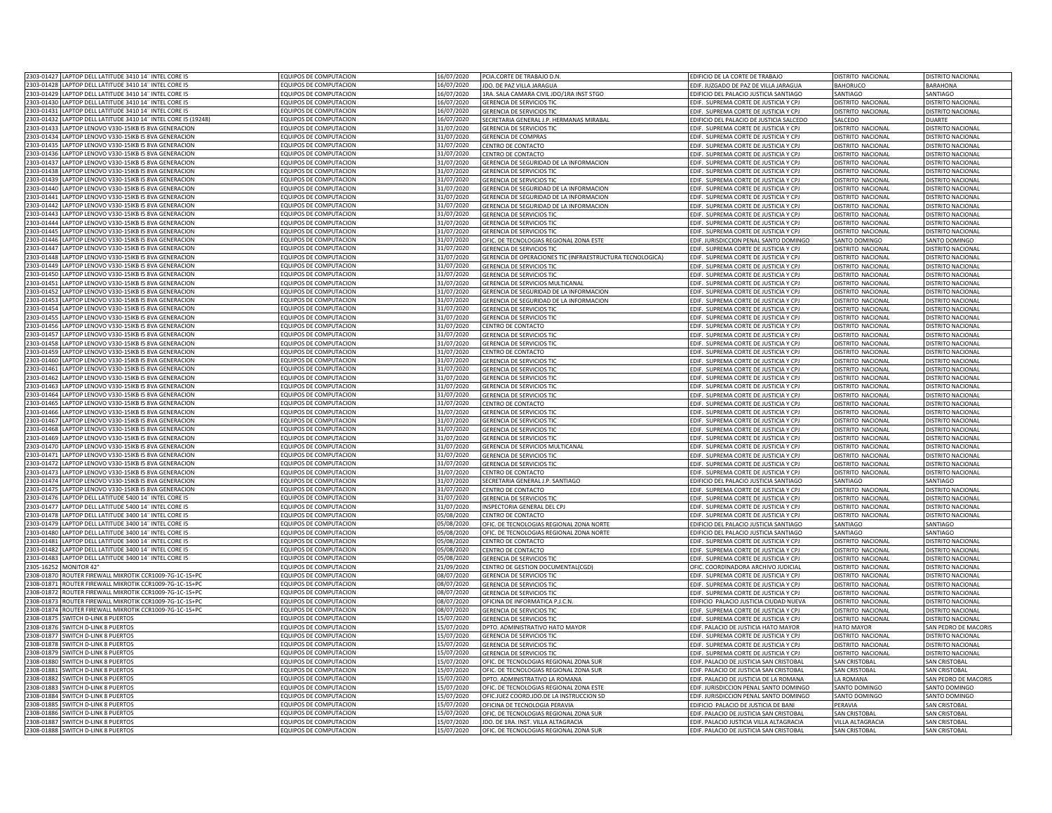| 2303-01427 LAPTOP DELL LATITUDE 3410 14" INTEL CORE I5                                                           | <b>EQUIPOS DE COMPUTACION</b>                         | 16/07/2020 | PCIA.CORTE DE TRABAJO D.N                                            | EDIFICIO DE LA CORTE DE TRABAJO                                                 | DISTRITO NACIONAL                      | DISTRITO NACIONAL                      |
|------------------------------------------------------------------------------------------------------------------|-------------------------------------------------------|------------|----------------------------------------------------------------------|---------------------------------------------------------------------------------|----------------------------------------|----------------------------------------|
| 2303-01428 LAPTOP DELL LATITUDE 3410 14" INTEL CORE I5                                                           | EQUIPOS DE COMPUTACION                                | 16/07/2020 | JDO. DE PAZ VILLA JARAGUA                                            | EDIF. JUZGADO DE PAZ DE VILLA JARAGUA                                           | <b>BAHORUCO</b>                        | BARAHONA                               |
| 2303-01429 LAPTOP DELL LATITUDE 3410 14" INTEL CORE I5                                                           | EQUIPOS DE COMPUTACION                                | 16/07/2020 | 1RA. SALA CAMARA CIVIL JDO/1RA INST STGO                             | EDIFICIO DEL PALACIO JUSTICIA SANTIAGO                                          | SANTIAGO                               | SANTIAGO                               |
| 2303-01430<br>LAPTOP DELL LATITUDE 3410 14" INTEL CORE I5                                                        | EQUIPOS DE COMPUTACION                                | 16/07/2020 |                                                                      |                                                                                 |                                        |                                        |
| 1303-01431                                                                                                       |                                                       |            | <b>GERENCIA DE SERVICIOS TIC</b><br><b>GERENCIA DE SERVICIOS TIO</b> | EDIF. SUPREMA CORTE DE JUSTICIA Y CPJ                                           | DISTRITO NACIONAL<br>DISTRITO NACIONAL | DISTRITO NACIONAL<br>DISTRITO NACIONAL |
| LAPTOP DELL LATITUDE 3410 14" INTEL CORE I5<br>2303-01432<br>LAPTOP DELL LATITUDE 3410 14" INTEL CORE I5 (19248) | QUIPOS DE COMPUTACION<br><b>OUIPOS DE COMPUTACION</b> | 16/07/2020 | ECRETARIA GENERAL J.P. HERMANAS MIRABAL                              | DIF. SUPREMA CORTE DE JUSTICIA Y CPJ<br>DIFICIO DEL PALACIO DE JUSTICIA SALCEDO | SALCEDO                                | <b>UARTE</b>                           |
|                                                                                                                  |                                                       | 16/07/2020 |                                                                      |                                                                                 |                                        |                                        |
| 1303-01433<br>APTOP LENOVO V330-15IKB I5 8VA GENERACION                                                          | QUIPOS DE COMPUTACION                                 | 31/07/2020 | <b>SERENCIA DE SERVICIOS TIC</b>                                     | DIF. SUPREMA CORTE DE JUSTICIA Y CPJ                                            | DISTRITO NACIONAL                      | <b>JISTRITO NACIONAL</b>               |
| 1303-01434<br>APTOP LENOVO V330-15IKB I5 8VA GENERACION                                                          | EQUIPOS DE COMPUTACION                                | 31/07/2020 | ERENCIA DE COMPRAS                                                   | DIF. SUPREMA CORTE DE JUSTICIA Y CPJ                                            | DISTRITO NACIONAL                      | <b>ISTRITO NACIONAL</b>                |
| 2303-0143<br>APTOP LENOVO V330-15IKB I5 8VA GENERACION                                                           | QUIPOS DE COMPUTACION                                 | 31/07/2020 | <b>ENTRO DE CONTACTO</b>                                             | DIF. SUPREMA CORTE DE JUSTICIA Y CPJ                                            | DISTRITO NACIONAL                      | <b>ISTRITO NACIONAL</b>                |
| 2303-01436<br>LAPTOP LENOVO V330-15IKB I5 8VA GENERACION                                                         | EQUIPOS DE COMPUTACION                                | 31/07/2020 | <b>ENTRO DE CONTACTO</b>                                             | DIF. SUPREMA CORTE DE JUSTICIA Y CPJ                                            | <b>ISTRITO NACIONAL</b>                | <b>DISTRITO NACIONA</b>                |
| 2303-01437<br>LAPTOP LENOVO V330-15IKB I5 8VA GENERACION                                                         | EQUIPOS DE COMPUTACION                                | 31/07/2020 | GERENCIA DE SEGURIDAD DE LA INFORMACION                              | EDIF. SUPREMA CORTE DE JUSTICIA Y CPJ                                           | DISTRITO NACIONAL                      | DISTRITO NACIONAL                      |
| 1303-01438<br>APTOP LENOVO V330-15IKB I5 8VA GENERACION                                                          | <b>EQUIPOS DE COMPUTACION</b>                         | 31/07/2020 | GERENCIA DE SERVICIOS TIC                                            | EDIF. SUPREMA CORTE DE JUSTICIA Y CPJ                                           | DISTRITO NACIONAL                      | DISTRITO NACIONAL                      |
| 303-0143<br>LAPTOP LENOVO V330-15IKB I5 8VA GENERACION                                                           | <b>EQUIPOS DE COMPUTACION</b>                         | 31/07/2020 | GERENCIA DE SERVICIOS TIC                                            | EDIF. SUPREMA CORTE DE JUSTICIA Y CPJ                                           | DISTRITO NACIONAL                      | DISTRITO NACIONA                       |
| 303-0144<br>APTOP LENOVO V330-15IKB I5 8VA GENERACION                                                            | <b>EQUIPOS DE COMPUTACION</b>                         | 31/07/2020 | GERENCIA DE SEGURIDAD DE LA INFORMACION                              | DIF. SUPREMA CORTE DE JUSTICIA Y CPJ                                            | DISTRITO NACIONAL                      | <b>DISTRITO NACIONA</b>                |
| 1303-01441<br>APTOP LENOVO V330-15IKB I5 8VA GENERACION                                                          | EQUIPOS DE COMPUTACION                                | 31/07/2020 | GERENCIA DE SEGURIDAD DE LA INFORMACION                              | DIF. SUPREMA CORTE DE JUSTICIA Y CPJ                                            | DISTRITO NACIONAL                      | DISTRITO NACIONAL                      |
| 1303-01442<br>APTOP LENOVO V330-15IKB I5 8VA GENERACION                                                          | QUIPOS DE COMPUTACION                                 | 31/07/2020 | GERENCIA DE SEGURIDAD DE LA INFORMACION                              | DIF. SUPREMA CORTE DE JUSTICIA Y CPJ                                            | DISTRITO NACIONAL                      | <b>DISTRITO NACIONAL</b>               |
| 2303-01443<br>LAPTOP LENOVO V330-15IKB I5 8VA GENERACION                                                         | <b>EQUIPOS DE COMPUTACION</b>                         | 31/07/2020 | <b>GERENCIA DE SERVICIOS TIC</b>                                     | DIF. SUPREMA CORTE DE JUSTICIA Y CPJ                                            | DISTRITO NACIONAL                      | <b>ISTRITO NACIONAL</b>                |
| 2303-01444<br>LAPTOP LENOVO V330-15IKB I5 8VA GENERACION                                                         | EQUIPOS DE COMPUTACION                                | 31/07/2020 | <b>GERENCIA DE SERVICIOS TIC</b>                                     | EDIF. SUPREMA CORTE DE JUSTICIA Y CPJ                                           | DISTRITO NACIONAL                      | DISTRITO NACIONAL                      |
| 2303-01445<br>LAPTOP LENOVO V330-15IKB I5 8VA GENERACION                                                         | EQUIPOS DE COMPUTACION                                | 31/07/2020 | GERENCIA DE SERVICIOS TIC                                            | EDIF. SUPREMA CORTE DE JUSTICIA Y CPJ                                           | DISTRITO NACIONAL                      | DISTRITO NACIONAL                      |
| 303-01446<br>LAPTOP LENOVO V330-15IKB I5 8VA GENERACION                                                          | EQUIPOS DE COMPUTACION                                | 31/07/2020 | OFIC. DE TECNOLOGIAS REGIONAL ZONA ESTE                              | EDIF. JURISDICCION PENAL SANTO DOMINGO                                          | SANTO DOMINGO                          | <b>SANTO DOMINGO</b>                   |
| LAPTOP LENOVO V330-15IKB I5 8VA GENERACION<br>303-01447                                                          | QUIPOS DE COMPUTACION                                 | 31/07/2020 | <b>GERENCIA DE SERVICIOS TIC</b>                                     | DIF. SUPREMA CORTE DE JUSTICIA Y CPJ                                            | <b>JISTRITO NACIONAL</b>               | <b>ISTRITO NACIONAL</b>                |
| 1303-01448<br>APTOP LENOVO V330-15IKB I5 8VA GENERACION                                                          | QUIPOS DE COMPUTACION                                 | 31/07/2020 | GERENCIA DE OPERACIONES TIC (INFRAESTRUCTURA TECNOLOGICA)            | DIF. SUPREMA CORTE DE JUSTICIA Y CPJ                                            | DISTRITO NACIONAL                      | <b>JISTRITO NACIONAL</b>               |
| 1303-01449<br>APTOP LENOVO V330-15IKB I5 8VA GENERACION                                                          | QUIPOS DE COMPUTACION                                 | 31/07/2020 | <b>GERENCIA DE SERVICIOS TIC</b>                                     | DIF. SUPREMA CORTE DE JUSTICIA Y CPJ                                            | DISTRITO NACIONAL                      | <b>ISTRITO NACIONAL</b>                |
|                                                                                                                  |                                                       |            |                                                                      |                                                                                 |                                        |                                        |
| 303-0145<br>APTOP LENOVO V330-15IKB I5 8VA GENERACION                                                            | <b>QUIPOS DE COMPUTACION</b>                          | 31/07/2020 | ERENCIA DE SERVICIOS TIC                                             | DIF. SUPREMA CORTE DE JUSTICIA Y CPJ                                            | DISTRITO NACIONAL                      | <b>ISTRITO NACIONAL</b>                |
| 2303-01451<br>LAPTOP LENOVO V330-15IKB I5 8VA GENERACION                                                         | EQUIPOS DE COMPUTACION                                | 31/07/2020 | ERENCIA DE SERVICIOS MULTICANAL                                      | DIF. SUPREMA CORTE DE JUSTICIA Y CPJ                                            | ISTRITO NACIONAL                       | <b>ISTRITO NACIONAL</b>                |
| 2303-01452<br>LAPTOP LENOVO V330-15IKB I5 8VA GENERACION                                                         | <b>EQUIPOS DE COMPUTACION</b>                         | 31/07/2020 | GERENCIA DE SEGURIDAD DE LA INFORMACION                              | EDIF. SUPREMA CORTE DE JUSTICIA Y CPJ                                           | DISTRITO NACIONAL                      | DISTRITO NACIONAL                      |
| 2303-01453<br>LAPTOP LENOVO V330-15IKB I5 8VA GENERACION                                                         | EQUIPOS DE COMPUTACION                                | 31/07/2020 | GERENCIA DE SEGURIDAD DE LA INFORMACION                              | EDIF. SUPREMA CORTE DE JUSTICIA Y CPJ                                           | DISTRITO NACIONAL                      | DISTRITO NACIONAL                      |
| 2303-01454<br>LAPTOP LENOVO V330-15IKB I5 8VA GENERACION                                                         | <b>EQUIPOS DE COMPUTACION</b>                         | 31/07/2020 | <b>GERENCIA DE SERVICIOS TIO</b>                                     | DIF. SUPREMA CORTE DE JUSTICIA Y CP.                                            | DISTRITO NACIONA                       | <b>DISTRITO NACIONA</b>                |
| 2303-01455<br>LAPTOP LENOVO V330-15IKB I5 8VA GENERACION                                                         | EQUIPOS DE COMPUTACION                                | 31/07/2020 | <b>GERENCIA DE SERVICIOS TIC</b>                                     | DIF. SUPREMA CORTE DE JUSTICIA Y CPJ                                            | DISTRITO NACIONAL                      | DISTRITO NACIONAL                      |
| 2303-01456<br>LAPTOP LENOVO V330-15IKB I5 8VA GENERACION                                                         | <b>EQUIPOS DE COMPUTACION</b>                         | 31/07/2020 | CENTRO DE CONTACTO                                                   | DIF. SUPREMA CORTE DE JUSTICIA Y CP.                                            | DISTRITO NACIONAL                      | <b>DISTRITO NACIONAL</b>               |
| 2303-01457<br>LAPTOP LENOVO V330-15IKB I5 8VA GENERACION                                                         | <b>EQUIPOS DE COMPUTACION</b>                         | 31/07/2020 | <b>GERENCIA DE SERVICIOS TIO</b>                                     | EDIF. SUPREMA CORTE DE JUSTICIA Y CPJ                                           | DISTRITO NACIONA                       | <b>DISTRITO NACIONAL</b>               |
| 2303-01458<br>LAPTOP LENOVO V330-15IKB I5 8VA GENERACION                                                         | EQUIPOS DE COMPUTACION                                | 31/07/2020 | <b>GERENCIA DE SERVICIOS TIO</b>                                     | EDIF. SUPREMA CORTE DE JUSTICIA Y CPJ                                           | DISTRITO NACIONAL                      | <b>JISTRITO NACIONA</b>                |
| 2303-01459<br>LAPTOP LENOVO V330-15IKB I5 8VA GENERACION                                                         | EQUIPOS DE COMPUTACION                                | 31/07/2020 | CENTRO DE CONTACTO                                                   | EDIF. SUPREMA CORTE DE JUSTICIA Y CPJ                                           | DISTRITO NACIONAL                      | DISTRITO NACIONAL                      |
| 2303-01460<br>LAPTOP LENOVO V330-15IKB I5 8VA GENERACION                                                         | EQUIPOS DE COMPUTACION                                | 31/07/2020 | GERENCIA DE SERVICIOS TIC                                            | EDIF. SUPREMA CORTE DE JUSTICIA Y CPJ                                           | DISTRITO NACIONAL                      | DISTRITO NACIONAL                      |
| 2303-01461<br>LAPTOP LENOVO V330-15IKB I5 8VA GENERACION                                                         | EQUIPOS DE COMPUTACION                                | 31/07/2020 | <b>GERENCIA DE SERVICIOS TIC</b>                                     | EDIF. SUPREMA CORTE DE JUSTICIA Y CPJ                                           | DISTRITO NACIONAL                      | DISTRITO NACIONAL                      |
| 303-01462<br>LAPTOP LENOVO V330-15IKB I5 8VA GENERACION                                                          | OUIPOS DE COMPUTACION                                 | 31/07/2020 | <b>GERENCIA DE SERVICIOS TIO</b>                                     | EDIF. SUPREMA CORTE DE JUSTICIA Y CPJ                                           | DISTRITO NACIONAL                      | DISTRITO NACIONAL                      |
| 303-01463<br>LAPTOP LENOVO V330-15IKB I5 8VA GENERACION                                                          | OUIPOS DE COMPUTACION                                 | 31/07/2020 | <b>GERENCIA DE SERVICIOS TIC</b>                                     | EDIF. SUPREMA CORTE DE JUSTICIA Y CPJ                                           | DISTRITO NACIONAL                      | DISTRITO NACIONAL                      |
| 303-01464<br>APTOP LENOVO V330-15IKB I5 8VA GENERACION                                                           | QUIPOS DE COMPUTACION                                 | 31/07/2020 | <b>SERENCIA DE SERVICIOS TIC</b>                                     | FDIE. SUPREMA CORTE DE JUSTICIA Y CPI                                           | DISTRITO NACIONAL                      | <b>DISTRITO NACIONAL</b>               |
| 303-01465<br>APTOP LENOVO V330-15IKB I5 8VA GENERACION                                                           | QUIPOS DE COMPUTACION                                 | 31/07/2020 | <b>ENTRO DE CONTACTO</b>                                             | DIF. SUPREMA CORTE DE JUSTICIA Y CPJ                                            | DISTRITO NACIONAL                      | <b>DISTRITO NACIONAL</b>               |
| 2303-01466<br>LAPTOP LENOVO V330-15IKB I5 8VA GENERACION                                                         | <b>EQUIPOS DE COMPUTACION</b>                         | 31/07/2020 | GERENCIA DE SERVICIOS TIO                                            | EDIF. SUPREMA CORTE DE JUSTICIA Y CPJ                                           | <b>ISTRITO NACIONAL</b>                | <b>ISTRITO NACIONAL</b>                |
| 2303-01467<br>LAPTOP LENOVO V330-15IKB I5 8VA GENERACION                                                         | <b>EQUIPOS DE COMPUTACION</b>                         | 31/07/2020 | <b>GERENCIA DE SERVICIOS TIO</b>                                     | EDIF. SUPREMA CORTE DE JUSTICIA Y CPJ                                           | DISTRITO NACIONAL                      | <b>DISTRITO NACIONAL</b>               |
|                                                                                                                  |                                                       |            |                                                                      |                                                                                 |                                        |                                        |
| 2303-01468<br>LAPTOP LENOVO V330-15IKB I5 8VA GENERACION                                                         | EQUIPOS DE COMPUTACION                                | 31/07/2020 | <b>GERENCIA DE SERVICIOS TI</b>                                      | EDIF. SUPREMA CORTE DE JUSTICIA Y CPJ                                           | <b>ISTRITO NACIONAL</b>                | <b>DISTRITO NACIONA</b>                |
| 2303-01469<br>LAPTOP LENOVO V330-15IKB I5 8VA GENERACION                                                         | EQUIPOS DE COMPUTACION                                | 31/07/2020 | GERENCIA DE SERVICIOS TIC                                            | EDIF. SUPREMA CORTE DE JUSTICIA Y CPJ                                           | DISTRITO NACIONAL                      | DISTRITO NACIONAL                      |
| 303-0147<br>LAPTOP LENOVO V330-15IKB I5 8VA GENERACION                                                           | EQUIPOS DE COMPUTACION                                | 31/07/2020 | <b>GERENCIA DE SERVICIOS MULTICANAL</b>                              | EDIF. SUPREMA CORTE DE JUSTICIA Y CPJ                                           | DISTRITO NACIONAL                      | <b>DISTRITO NACIONA</b>                |
| 2303-01471<br>APTOP LENOVO V330-15IKB I5 8VA GENERACION                                                          | <b>EQUIPOS DE COMPUTACION</b>                         | 31/07/2020 | <b>GERENCIA DE SERVICIOS TIO</b>                                     | DIF. SUPREMA CORTE DE JUSTICIA Y CPJ                                            | <b>DISTRITO NACIONAL</b>               | <b>NISTRITO NACIONA</b>                |
| 1303-01472<br>APTOP LENOVO V330-15IKB I5 8VA GENERACION                                                          | <b>EQUIPOS DE COMPUTACION</b>                         | 31/07/2020 | <b>GERENCIA DE SERVICIOS TIO</b>                                     | DIF. SUPREMA CORTE DE JUSTICIA Y CPJ                                            | <b>DISTRITO NACIONAL</b>               | <b>DISTRITO NACIONA</b>                |
| LAPTOP LENOVO V330-15IKB I5 8VA GENERACION<br>1303-0147                                                          | <b>EQUIPOS DE COMPUTACION</b>                         | 31/07/2020 | CENTRO DE CONTACTO                                                   | DIF. SUPREMA CORTE DE JUSTICIA Y CPJ                                            | DISTRITO NACIONAL                      | <b>DISTRITO NACIONAL</b>               |
| LAPTOP LENOVO V330-15IKB I5 8VA GENERACION<br>2303-01474                                                         | <b>QUIPOS DE COMPUTACION</b>                          | 31/07/2020 | ECRETARIA GENERAL J.P. SANTIAGO                                      | DIFICIO DEL PALACIO JUSTICIA SANTIAGO                                           | SANTIAGO                               | SANTIAGO                               |
| 2303-01475<br>LAPTOP LENOVO V330-15IKB I5 8VA GENERACION                                                         | EQUIPOS DE COMPUTACION                                | 31/07/2020 | CENTRO DE CONTACTO                                                   | DIF. SUPREMA CORTE DE JUSTICIA Y CPJ                                            | DISTRITO NACIONAL                      | DISTRITO NACIONAL                      |
| 2303-01476<br>LAPTOP DELL LATITUDE 5400 14" INTEL CORE I5                                                        | EQUIPOS DE COMPUTACION                                | 31/07/2020 | <b>GERENCIA DE SERVICIOS TIC</b>                                     | DIF. SUPREMA CORTE DE JUSTICIA Y CPJ                                            | DISTRITO NACIONAL                      | DISTRITO NACIONAL                      |
| LAPTOP DELL LATITUDE 5400 14" INTEL CORE I5<br>2303-01477                                                        | EQUIPOS DE COMPUTACION                                | 31/07/2020 | <b>INSPECTORIA GENERAL DEL CPJ</b>                                   | EDIF. SUPREMA CORTE DE JUSTICIA Y CPJ                                           | DISTRITO NACIONAL                      | DISTRITO NACIONAL                      |
| 303-01478<br>APTOP DELLI ATITUDE 3400 14" INTEL CORE IS                                                          | OUIPOS DE COMPUTACION                                 | 15/08/2020 | <b>ENTRO DE CONTACTO</b>                                             | DIF. SUPREMA CORTE DE JUSTICIA Y CPJ                                            | DISTRITO NACIONAL                      | DISTRITO NACIONAL                      |
| 303-01479<br>APTOP DELL LATITUDE 3400 14" INTEL CORE I5                                                          | QUIPOS DE COMPUTACION                                 | 05/08/2020 | OFIC. DE TECNOLOGIAS REGIONAL ZONA NORTE                             | DIFICIO DEL PALACIO ILISTICIA SANTIAGO                                          | SANTIAGO                               | <b>ANTIAGO</b>                         |
| 303-0148<br>PTOP DELL LATITUDE 3400 14" INTEL CORE IS                                                            | QUIPOS DE COMPUTACION                                 | 5/08/2020  | OFIC. DE TECNOLOGIAS REGIONAL ZONA NORTE                             | DIFICIO DEL PALACIO ILISTICIA SANTIAGO                                          | SANTIAGO                               | <b>ANTIAGO</b>                         |
| 303-0148<br>APTOP DELL LATITUDE 3400 14" INTEL CORE I5                                                           | QUIPOS DE COMPUTACION                                 | 5/08/2020  | ENTRO DE CONTACTO                                                    | DIF. SUPREMA CORTE DE JUSTICIA Y CPJ                                            | DISTRITO NACIONAL                      | <b>ISTRITO NACIONAL</b>                |
| 2303-01482<br>APTOP DELL LATITUDE 3400 14" INTEL CORE I5                                                         | <b>QUIPOS DE COMPUTACION</b>                          | 05/08/2020 | ENTRO DE CONTACTO                                                    | DIF. SUPREMA CORTE DE JUSTICIA Y CPJ                                            | DISTRITO NACIONAL                      | <b>ISTRITO NACIONAL</b>                |
| 2303-01483<br>LAPTOP DELL LATITUDE 3400 14" INTEL CORE I5                                                        | EQUIPOS DE COMPUTACION                                | 05/08/2020 | <b>SERENCIA DE SERVICIOS TIO</b>                                     | DIF. SUPREMA CORTE DE JUSTICIA Y CPJ                                            | <b>ISTRITO NACIONAL</b>                | <b>DISTRITO NACIONAL</b>               |
| 2305-16252<br><b>MONITOR 42"</b>                                                                                 | EQUIPOS DE COMPUTACION                                | 21/09/2020 | CENTRO DE GESTION DOCUMENTAL(CGD)                                    | OFIC. COORDINADORA ARCHIVO JUDICIAL                                             | DISTRITO NACIONAL                      | DISTRITO NACIONAL                      |
| 2308-01870<br>ROUTER FIREWALL MIKROTIK CCR1009-7G-1C-1S+PC                                                       | EQUIPOS DE COMPUTACION                                | 08/07/2020 | <b>GERENCIA DE SERVICIOS TIC</b>                                     | EDIF. SUPREMA CORTE DE JUSTICIA Y CPJ                                           | DISTRITO NACIONAL                      | <b>DISTRITO NACIONA</b>                |
| 2308-01871<br>ROUTER FIREWALL MIKROTIK CCR1009-7G-1C-1S+PC                                                       | EQUIPOS DE COMPUTACION                                | 08/07/2020 | <b>GERENCIA DE SERVICIOS TI</b>                                      | DIE. SUPREMA CORTE DE IUSTICIA Y CP                                             | <b>JISTRITO NACIONA</b>                | <b>DISTRITO NACIONA</b>                |
| 2308-01872<br>ROUTER FIREWALL MIKROTIK CCR1009-7G-1C-1S+PC                                                       | <b>EQUIPOS DE COMPUTACION</b>                         | 08/07/2020 | <b>GERENCIA DE SERVICIOS TIO</b>                                     | FDIE. SUPREMA CORTE DE IUSTICIA Y CP                                            | DISTRITO NACIONAL                      | DISTRITO NACIONA                       |
|                                                                                                                  |                                                       |            |                                                                      |                                                                                 |                                        |                                        |
| 2308-01873<br>ROUTER FIREWALL MIKROTIK CCR1009-7G-1C-1S+PC                                                       | <b>EQUIPOS DE COMPUTACION</b>                         | 08/07/2020 | OFICINA DE INFORMATICA P.J.C.N.                                      | EDIFICIO PALACIO JUSTICIA CIUDAD NUEVA                                          | DISTRITO NACIONAL                      | DISTRITO NACIONAL                      |
| 2308-01874<br>ROUTER FIREWALL MIKROTIK CCR1009-7G-1C-1S+PC                                                       | <b>EQUIPOS DE COMPUTACION</b>                         | 08/07/2020 | <b>GERENCIA DE SERVICIOS TIO</b>                                     | EDIF. SUPREMA CORTE DE JUSTICIA Y CPJ                                           | DISTRITO NACIONAL                      | DISTRITO NACIONAL                      |
| 2308-01875<br>SWITCH D-LINK 8 PUERTOS                                                                            | EQUIPOS DE COMPUTACION                                | 15/07/2020 | <b>GERENCIA DE SERVICIOS TIC</b>                                     | EDIF. SUPREMA CORTE DE JUSTICIA Y CPJ                                           | DISTRITO NACIONAL                      | DISTRITO NACIONAL                      |
| 2308-01876 SWITCH D-LINK 8 PUERTOS                                                                               | EQUIPOS DE COMPUTACION                                | 15/07/2020 | DPTO. ADMINISTRATIVO HATO MAYOR                                      | EDIF. PALACIO DE JUSTICIA HATO MAYOR                                            | <b>HATO MAYOR</b>                      | SAN PEDRO DE MACORIS                   |
| 2308-01877 SWITCH D-LINK 8 PUERTOS                                                                               | EQUIPOS DE COMPUTACION                                | 15/07/2020 | <b>GERENCIA DE SERVICIOS TIC</b>                                     | EDIF. SUPREMA CORTE DE JUSTICIA Y CPJ                                           | DISTRITO NACIONAL                      | DISTRITO NACIONAL                      |
| 308-01878<br><b>SWITCH D-LINK 8 PUERTOS</b>                                                                      | <b>EQUIPOS DE COMPUTACION</b>                         | 15/07/2020 | <b>GERENCIA DE SERVICIOS TIC</b>                                     | DIF. SUPREMA CORTE DE JUSTICIA Y CPJ                                            | DISTRITO NACIONAL                      | DISTRITO NACIONAL                      |
| 308-01879<br>SWITCH D-HNK 8 PUFRTOS                                                                              | OUIPOS DE COMPUTACION                                 | 15/07/2020 | ERENCIA DE SERVICIOS TIC                                             | DIF. SUPREMA CORTE DE JUSTICIA Y CPJ                                            | DISTRITO NACIONAL                      | DISTRITO NACIONAL                      |
| 2308-01880<br>SWITCH D-LINK 8 PUERTOS                                                                            | <b>EQUIPOS DE COMPUTACION</b>                         | 15/07/2020 | OFIC. DE TECNOLOGIAS REGIONAL ZONA SUR                               | EDIF, PALACIO DE JUSTICIA SAN CRISTOBAL                                         | SAN CRISTOBAL                          | <b>SAN CRISTOBAL</b>                   |
| 308-01881<br>SWITCH D-LINK 8 PUERTOS                                                                             | QUIPOS DE COMPUTACION                                 | 15/07/2020 | OFIC. DE TECNOLOGIAS REGIONAL ZONA SUR                               | DIF. PALACIO DE JUSTICIA SAN CRISTOBAL                                          | SAN CRISTOBAL                          | AN CRISTOBAL                           |
| 2308-01882<br><b>SWITCH D-LINK 8 PUERTOS</b>                                                                     | QUIPOS DE COMPUTACION                                 | 15/07/2020 | OPTO. ADMINISTRATIVO LA ROMANA                                       | DIF. PALACIO DE JUSTICIA DE LA ROMANA                                           | A ROMANA                               | AN PEDRO DE MACORIS                    |
| 2308-01883<br>SWITCH D-LINK 8 PUERTOS                                                                            | <b>EQUIPOS DE COMPUTACION</b>                         | 15/07/2020 | OFIC. DE TECNOLOGIAS REGIONAL ZONA ESTE                              | DIF. JURISDICCION PENAL SANTO DOMINGO                                           | SANTO DOMINGO                          | ANTO DOMINGO                           |
| 2308-01884<br>SWITCH D-LINK 8 PUERTOS                                                                            | EQUIPOS DE COMPUTACION                                | 15/07/2020 | OFICJUEZ COORD.JDO.DE LA INSTRUCCION SD                              | DIF. JURISDICCION PENAL SANTO DOMINGO                                           | SANTO DOMINGO                          | <b>SANTO DOMINGO</b>                   |
| 2308-01885<br><b>SWITCH D-LINK 8 PUERTOS</b>                                                                     | EQUIPOS DE COMPUTACION                                | 15/07/2020 | OFICINA DE TECNOLOGIA PERAVIA                                        | DIFICIO PALACIO DE JUSTICIA DE BANI                                             | PFRAVIA                                | AN CRISTOBAL                           |
| 308-01886<br><b>SWITCH D-LINK 8 PUERTOS</b>                                                                      | <b>EQUIPOS DE COMPUTACION</b>                         | 15/07/2020 | OFIC. DE TECNOLOGIAS REGIONAL ZONA SUR                               | DIF. PALACIO DE JUSTICIA SAN CRISTOBAL                                          | SAN CRISTOBAL                          | SAN CRISTOBAL                          |
| 308-01887 SWITCH D-LINK 8 PUFRTOS                                                                                | EQUIPOS DE COMPUTACION                                | 15/07/2020 | JDO. DE 1RA. INST. VILLA ALTAGRACIA                                  | EDIF. PALACIO JUSTICIA VILLA ALTAGRACIA                                         | <b>VILLA ALTAGRACIA</b>                | <b>SAN CRISTOBAL</b>                   |
| 2308-01888 SWITCH D-LINK 8 PUERTOS                                                                               | EQUIPOS DE COMPUTACION                                | 15/07/2020 | OFIC. DE TECNOLOGIAS REGIONAL ZONA SUR                               | EDIF. PALACIO DE JUSTICIA SAN CRISTOBAL                                         | <b>SAN CRISTOBAL</b>                   | <b>SAN CRISTOBAL</b>                   |
|                                                                                                                  |                                                       |            |                                                                      |                                                                                 |                                        |                                        |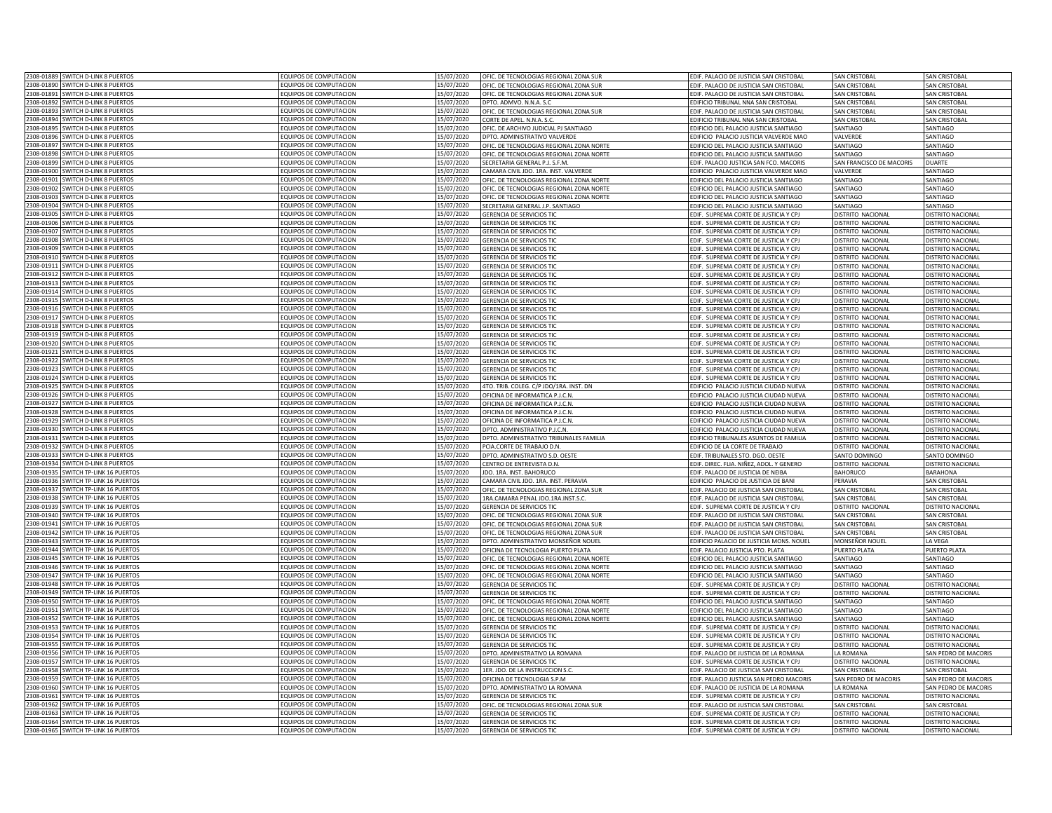|                          | 2308-01889 SWITCH D-LINK 8 PUERTOS                               | <b>EQUIPOS DE COMPUTACION</b>                          | 15/07/2020               | OFIC. DE TECNOLOGIAS REGIONAL ZONA SUR                                            | EDIF. PALACIO DE JUSTICIA SAN CRISTOBAL                                           | <b>SAN CRISTOBAL</b>                   | <b>SAN CRISTOBAL</b>                          |
|--------------------------|------------------------------------------------------------------|--------------------------------------------------------|--------------------------|-----------------------------------------------------------------------------------|-----------------------------------------------------------------------------------|----------------------------------------|-----------------------------------------------|
|                          | 2308-01890 SWITCH D-LINK 8 PUERTOS                               | <b>EQUIPOS DE COMPUTACION</b>                          | 15/07/2020               | OFIC. DE TECNOLOGIAS REGIONAL ZONA SUR                                            | EDIF. PALACIO DE JUSTICIA SAN CRISTOBAL                                           | <b>SAN CRISTOBAL</b>                   | <b>SAN CRISTOBAL</b>                          |
|                          | 2308-01891 SWITCH D-LINK 8 PUERTOS                               | EQUIPOS DE COMPUTACION                                 | 15/07/2020               | OFIC. DE TECNOLOGIAS REGIONAL ZONA SUR                                            | EDIF. PALACIO DE JUSTICIA SAN CRISTOBAL                                           | <b>SAN CRISTOBAL</b>                   | <b>SAN CRISTOBAL</b>                          |
|                          | 2308-01892 SWITCH D-LINK 8 PUERTOS                               | QUIPOS DE COMPUTACION                                  | 15/07/2020               | DPTO. ADMVO. N.N.A. S.C                                                           | EDIFICIO TRIBUNAL NNA SAN CRISTOBAL                                               | <b>SAN CRISTOBAL</b>                   | <b>SAN CRISTOBAL</b>                          |
| 2308-01893               | SWITCH D-LINK 8 PUFRTOS                                          | QUIPOS DE COMPUTACION                                  | 15/07/2020               | OFIC. DE TECNOLOGIAS REGIONAL ZONA SUR                                            | DIF. PALACIO DE JUSTICIA SAN CRISTOBAL                                            | SAN CRISTOBAL                          | SAN CRISTOBAL                                 |
| 2308-01894               | SWITCH D-HNK 8 PUFRTOS                                           | <b>OUIPOS DE COMPUTACION</b>                           | 15/07/2020               | CORTE DE APEL. N.N.A. S.C.                                                        | DIFICIO TRIBUNAL NNA SAN CRISTOBAL                                                | SAN CRISTOBAL                          | SAN CRISTOBAL                                 |
| 2308-01895               | <b>SWITCH D-LINK 8 PUERTOS</b>                                   | QUIPOS DE COMPUTACION                                  | 15/07/2020               | OFIC. DE ARCHIVO IUDICIAL PI SANTIAGO                                             | DIFICIO DEL PALACIO JUSTICIA SANTIAGO                                             | SANTIAGO                               | SANTIAGO                                      |
| 2308-01896               | <b>SWITCH D-LINK 8 PUERTOS</b>                                   | QUIPOS DE COMPUTACION                                  | 15/07/2020               | DPTO. ADMINISTRATIVO VALVERDE                                                     | DIFICIO PALACIO JUSTICIA VALVERDE MAO                                             | VALVERDE                               | <b>ANTIAGO</b>                                |
| 2308-01897               | SWITCH D-LINK 8 PUERTOS                                          | QUIPOS DE COMPUTACION                                  | 15/07/2020               | OFIC. DE TECNOLOGIAS REGIONAL ZONA NORTE                                          | DIFICIO DEL PALACIO JUSTICIA SANTIAGO                                             | ANTIAGO                                | <b>ANTIAGO</b>                                |
|                          | 2308-01898 SWITCH D-LINK 8 PUERTOS                               | EQUIPOS DE COMPUTACION                                 | 15/07/2020               | OFIC. DE TECNOLOGIAS REGIONAL ZONA NORTE                                          | DIFICIO DEL PALACIO JUSTICIA SANTIAGO                                             | SANTIAGO                               | ANTIAGO                                       |
| 2308-01899               | <b>SWITCH D-LINK 8 PUERTOS</b>                                   | EQUIPOS DE COMPUTACION                                 | 15/07/2020               | SECRETARIA GENERAL P.J. S.F.M.                                                    | DIF. PALACIO JUSTICIA SAN FCO. MACORIS                                            | SAN FRANCISCO DE MACORIS               | <b>DUARTE</b>                                 |
| 308-01900                |                                                                  |                                                        |                          |                                                                                   | EDIFICIO PALACIO JUSTICIA VALVERDE MAO                                            |                                        | SANTIAGO                                      |
| 308-01901                | <b>SWITCH D-LINK 8 PUERTOS</b><br><b>SWITCH D-LINK 8 PUERTOS</b> | EQUIPOS DE COMPUTACION<br><b>QUIPOS DE COMPUTACION</b> | 15/07/2020<br>15/07/2020 | CAMARA CIVIL JDO. 1RA. INST. VALVERDE<br>OFIC. DE TECNOLOGIAS REGIONAL ZONA NORTE |                                                                                   | VALVERDE<br>SANTIAGO                   | SANTIAGO                                      |
| 308-01902                | SWITCH D-LINK 8 PUERTOS                                          | QUIPOS DE COMPUTACION                                  | 15/07/2020               | OFIC. DE TECNOLOGIAS REGIONAL ZONA NORT                                           | DIFICIO DEL PALACIO JUSTICIA SANTIAGO<br>DIFICIO DEL PALACIO ILISTICIA SANTIAGO   | SANTIAGO                               | <b>SANTIAGO</b>                               |
| 308-01903                |                                                                  |                                                        |                          |                                                                                   |                                                                                   |                                        |                                               |
|                          | SWITCH D-LINK 8 PUERTOS                                          | QUIPOS DE COMPUTACION                                  | 15/07/2020               | OFIC. DE TECNOLOGIAS REGIONAL ZONA NORTE                                          | DIFICIO DEL PALACIO JUSTICIA SANTIAGO                                             | SANTIAGO                               | SANTIAGO                                      |
| 308-01904                | <b>SWITCH D-LINK 8 PUERTOS</b>                                   | QUIPOS DE COMPUTACION                                  | 15/07/2020               | SECRETARIA GENERAL J.P. SANTIAGO                                                  | DIFICIO DEL PALACIO JUSTICIA SANTIAGO                                             | SANTIAGO                               | SANTIAGO                                      |
| 308-01905                | <b>SWITCH D-LINK 8 PUERTOS</b>                                   | QUIPOS DE COMPUTACION                                  | 15/07/2020               | <b>GERENCIA DE SERVICIOS TIO</b>                                                  | DIF. SUPREMA CORTE DE JUSTICIA Y CPJ                                              | DISTRITO NACIONAL                      | DISTRITO NACIONAL                             |
|                          | 2308-01906 SWITCH D-LINK 8 PUERTOS                               | EQUIPOS DE COMPUTACION                                 | 15/07/2020               | <b>GERENCIA DE SERVICIOS TIC</b>                                                  | EDIF. SUPREMA CORTE DE JUSTICIA Y CPJ                                             | DISTRITO NACIONAL                      | DISTRITO NACIONAL                             |
|                          | 2308-01907 SWITCH D-LINK 8 PUERTOS                               | EQUIPOS DE COMPUTACION                                 | 15/07/2020               | GERENCIA DE SERVICIOS TIC                                                         | EDIF. SUPREMA CORTE DE JUSTICIA Y CPJ                                             | DISTRITO NACIONAL                      | <b>DISTRITO NACIONAL</b>                      |
| 2308-01908               | <b>SWITCH D-LINK 8 PUERTOS</b>                                   | QUIPOS DE COMPUTACION                                  | 15/07/2020               | <b>GERENCIA DE SERVICIOS TIO</b>                                                  | EDIF. SUPREMA CORTE DE JUSTICIA Y CPJ                                             | DISTRITO NACIONAL                      | DISTRITO NACIONAL                             |
| 2308-01909               | SWITCH D-LINK 8 PUFRTOS                                          | OUIPOS DE COMPUTACION                                  | 15/07/2020               | <b>GERENCIA DE SERVICIOS TIO</b>                                                  | DIF. SUPREMA CORTE DE JUSTICIA Y CPJ                                              | <b>DISTRITO NACIONAL</b>               | DISTRITO NACIONAL                             |
| 2308-01910               | SWITCH D-LINK 8 PUERTOS                                          | QUIPOS DE COMPUTACION                                  | 15/07/2020               | <b>GERENCIA DE SERVICIOS TIC</b>                                                  | DIE. SUPREMA CORTE DE IUSTICIA Y CPI                                              | <b>JISTRITO NACIONAL</b>               | DISTRITO NACIONAL                             |
| 2308-01911               | SWITCH D-LINK 8 PUERTOS                                          | QUIPOS DE COMPUTACION                                  | 15/07/2020               | GERENCIA DE SERVICIOS TIC                                                         | EDIF. SUPREMA CORTE DE JUSTICIA Y CPJ                                             | <b>ISTRITO NACIONAL</b>                | DISTRITO NACIONAL                             |
| 2308-0191                | <b>SWITCH D-LINK 8 PUFRTOS</b>                                   | <b>QUIPOS DE COMPUTACION</b>                           | 15/07/2020               | <b>GERENCIA DE SERVICIOS TIO</b>                                                  | DIF. SUPREMA CORTE DE JUSTICIA Y CPJ                                              | <b>ISTRITO NACIONAL</b>                | <b>DISTRITO NACIONAL</b>                      |
| 308-0191                 | SWITCH D-LINK 8 PUERTOS                                          | QUIPOS DE COMPUTACION                                  | 15/07/2020               | <b>SERENCIA DE SERVICIOS TIC</b>                                                  | DIF. SUPREMA CORTE DE JUSTICIA Y CPJ                                              | <b>ISTRITO NACIONAL</b>                | <b>JISTRITO NACIONAL</b>                      |
| 308-01914                | SWITCH D-LINK 8 PUERTOS                                          | QUIPOS DE COMPUTACION                                  | 15/07/2020               | <b>GERENCIA DE SERVICIOS TIO</b>                                                  | EDIF. SUPREMA CORTE DE JUSTICIA Y CP.                                             | DISTRITO NACIONAL                      | DISTRITO NACIONAL                             |
| 2308-01915               | <b>SWITCH D-LINK 8 PUERTOS</b>                                   | QUIPOS DE COMPUTACION                                  | 15/07/2020               | <b>GERENCIA DE SERVICIOS TIC</b>                                                  | EDIF. SUPREMA CORTE DE JUSTICIA Y CPJ                                             | <b>DISTRITO NACIONAL</b>               | DISTRITO NACIONAL                             |
| 308-01916                | <b>SWITCH D-LINK 8 PUERTOS</b>                                   | QUIPOS DE COMPUTACION                                  | 15/07/2020               | <b>GERENCIA DE SERVICIOS TI</b>                                                   | DIF. SUPREMA CORTE DE JUSTICIA Y CP.                                              | <b>ISTRITO NACIONAL</b>                | DISTRITO NACIONA                              |
| 308-01917                | SWITCH D-LINK 8 PUFRTOS                                          | FOUIPOS DE COMPUTACION                                 | 15/07/2020               | <b>GERENCIA DE SERVICIOS TIC</b>                                                  | EDIF. SUPREMA CORTE DE JUSTICIA Y CPJ                                             | DISTRITO NACIONAL                      | DISTRITO NACIONAL                             |
| 308-01918                | SWITCH D-LINK 8 PUFRTOS                                          | <b>QUIPOS DE COMPUTACION</b>                           | 15/07/2020               | <b>GERENCIA DE SERVICIOS TIO</b>                                                  | FDIE. SUPREMA CORTE DE IUSTICIA Y CP                                              | DISTRITO NACIONAL                      | DISTRITO NACIONA                              |
| 308-01919                | SWITCH D-LINK 8 PUERTOS                                          | QUIPOS DE COMPUTACION                                  | 15/07/2020               | <b>GERENCIA DE SERVICIOS TI</b>                                                   | EDIF. SUPREMA CORTE DE JUSTICIA Y CP.                                             | <b>JISTRITO NACIONAL</b>               | DISTRITO NACIONA                              |
| 08-01920                 | <b>SWITCH D-LINK 8 PUERTOS</b>                                   | <b>QUIPOS DE COMPUTACION</b>                           | 15/07/2020               |                                                                                   |                                                                                   |                                        |                                               |
|                          | 308-01921 SWITCH D-LINK 8 PUERTOS                                | QUIPOS DE COMPUTACION                                  | 15/07/2020               | <b>GERENCIA DE SERVICIOS TIO</b><br><b>GERENCIA DE SERVICIOS TIC</b>              | EDIF. SUPREMA CORTE DE JUSTICIA Y CP.<br>EDIF. SUPREMA CORTE DE JUSTICIA Y CPJ    | DISTRITO NACIONAL<br>DISTRITO NACIONAL | <b>DISTRITO NACIONAL</b><br>DISTRITO NACIONAL |
|                          |                                                                  |                                                        |                          |                                                                                   |                                                                                   |                                        |                                               |
|                          | 2308-01922 SWITCH D-LINK 8 PUERTOS                               | <b>EQUIPOS DE COMPUTACION</b>                          | 15/07/2020               | <b>GERENCIA DE SERVICIOS TIC</b>                                                  | EDIF. SUPREMA CORTE DE JUSTICIA Y CPJ                                             | DISTRITO NACIONAL                      | DISTRITO NACIONAL                             |
|                          | 2308-01923 SWITCH D-LINK 8 PUERTOS                               | EQUIPOS DE COMPUTACION                                 | 15/07/2020               | GERENCIA DE SERVICIOS TIC                                                         | EDIF. SUPREMA CORTE DE JUSTICIA Y CPJ                                             | DISTRITO NACIONAL                      | DISTRITO NACIONAL                             |
| 2308-01924               | <b>SWITCH D-LINK 8 PUERTOS</b>                                   | QUIPOS DE COMPUTACION                                  | 15/07/2020               | <b>GERENCIA DE SERVICIOS TIC</b>                                                  | EDIF. SUPREMA CORTE DE JUSTICIA Y CPJ                                             | DISTRITO NACIONAL                      | DISTRITO NACIONAL                             |
| 2308-01925               | <b>SWITCH D-LINK 8 PUERTOS</b>                                   | QUIPOS DE COMPUTACION                                  | 15/07/2020               | 4TO. TRIB. COLEG. C/P JDO/1RA. INST. DN                                           | DIFICIO PALACIO JUSTICIA CIUDAD NUEVA                                             | <b>DISTRITO NACIONAL</b>               | DISTRITO NACIONAL                             |
| 2308-01926               | SWITCH D-HNK 8 PUFRTOS                                           | <b>OUIPOS DE COMPUTACION</b>                           | 15/07/2020               | OFICINA DE INFORMATICA P.J.C.N.                                                   | DIFICIO PALACIO JUSTICIA CIUDAD NUEVA                                             | <b>DISTRITO NACIONAL</b>               | DISTRITO NACIONAL                             |
| 2308-01927               | <b>SWITCH D-LINK 8 PUERTOS</b>                                   | QUIPOS DE COMPUTACION                                  | 15/07/2020               | OFICINA DE INFORMATICA P.J.C.N.                                                   | DIFICIO PALACIO JUSTICIA CIUDAD NUEVA                                             | <b>ISTRITO NACIONAL</b>                | DISTRITO NACIONAL                             |
| 2308-01928               | <b>SWITCH D-LINK 8 PUERTOS</b>                                   | QUIPOS DE COMPUTACION                                  | 15/07/2020               | OFICINA DE INFORMATICA P.J.C.N.                                                   | DIFICIO PALACIO JUSTICIA CIUDAD NUEVA                                             | <b>ISTRITO NACIONAL</b>                | <b>DISTRITO NACIONAL</b>                      |
| 2308-01929               | SWITCH D-LINK 8 PUERTOS                                          | QUIPOS DE COMPUTACION                                  | 15/07/2020               | OFICINA DE INFORMATICA P.J.C.N.                                                   | DIFICIO PALACIO JUSTICIA CIUDAD NUEVA                                             | <b>ISTRITO NACIONAL</b>                | <b>DISTRITO NACIONAL</b>                      |
|                          | 2308-01930 SWITCH D-LINK 8 PUERTOS                               | EQUIPOS DE COMPUTACION                                 | 15/07/2020               | DPTO. ADMINISTRATIVO P.I.C.N                                                      | DIFICIO PALACIO ILISTICIA CIUDAD NUEVA                                            | ISTRITO NACIONAL                       | <b>JISTRITO NACIONA</b>                       |
| 2308-01931               | SWITCH D-LINK 8 PUERTOS                                          | EQUIPOS DE COMPUTACION                                 | 15/07/2020               | DPTO. ADMINISTRATIVO TRIBUNALES FAMILIA                                           | EDIFICIO TRIBUNALES ASUNTOS DE FAMILIA                                            | DISTRITO NACIONAL                      | <b>DISTRITO NACIONAL</b>                      |
| 2308-01932               | SWITCH D-LINK 8 PUERTOS                                          | EQUIPOS DE COMPUTACION                                 | 15/07/2020               | PCIA.CORTE DE TRABAJO D.N                                                         | EDIFICIO DE LA CORTE DE TRABAJO                                                   | DISTRITO NACIONAL                      | <b>DISTRITO NACIONAL</b>                      |
| 308-01933                | <b>SWITCH D-LINK 8 PUERTOS</b>                                   | QUIPOS DE COMPUTACION                                  | 15/07/2020               | DPTO. ADMINISTRATIVO S.D. OESTE                                                   | DIF. TRIBUNALES STO. DGO. OESTE                                                   | SANTO DOMINGO                          | SANTO DOMINGO                                 |
| 308-01934                | SWITCH D-LINK 8 PUERTOS                                          | QUIPOS DE COMPUTACION                                  | 15/07/2020               | CENTRO DE ENTREVISTA D.N.                                                         | DIF. DIREC. FLIA. NIÑEZ, ADOL. Y GENERO                                           | <b>DISTRITO NACIONAL</b>               | <b>DISTRITO NACIONAL</b>                      |
| 308-01935                | SWITCH TP-LINK 16 PUERTOS                                        | QUIPOS DE COMPUTACION                                  | 15/07/2020               | IDO, 1RA, INST, BAHORUCO                                                          | DIF, PALACIO DE JUSTICIA DE NEIBA                                                 | <b>BAHORUCO</b>                        | <b>BARAHONA</b>                               |
| 308-01936                | SWITCH TP-LINK 16 PUERTOS                                        | QUIPOS DE COMPUTACION                                  | 15/07/2020               | CAMARA CIVIL JDO. 1RA. INST. PERAVIA                                              | DIFICIO PALACIO DE JUSTICIA DE BANI                                               | PERAVIA                                | SAN CRISTOBAL                                 |
| 308-01937                | SWITCH TP-LINK 16 PUERTOS                                        | QUIPOS DE COMPUTACION                                  | 15/07/2020               | OFIC. DE TECNOLOGIAS REGIONAL ZONA SUR                                            | DIF. PALACIO DE JUSTICIA SAN CRISTOBAI                                            | SAN CRISTOBAI                          | SAN CRISTOBA                                  |
|                          | 2308-01938 SWITCH TP-LINK 16 PUERTOS                             | EQUIPOS DE COMPUTACION                                 | 15/07/2020               | 1RA.CAMARA PENAL JDO.1RA.INST.S.C.                                                | EDIF. PALACIO DE JUSTICIA SAN CRISTOBAL                                           | <b>SAN CRISTOBAL</b>                   | <b>SAN CRISTOBAL</b>                          |
|                          | 2308-01939 SWITCH TP-LINK 16 PUERTOS                             | EQUIPOS DE COMPUTACION                                 | 15/07/2020               | GERENCIA DE SERVICIOS TIC                                                         | EDIF. SUPREMA CORTE DE JUSTICIA Y CPJ                                             | DISTRITO NACIONAL                      | DISTRITO NACIONAL                             |
|                          | 2308-01940 SWITCH TP-LINK 16 PUERTOS                             | <b>QUIPOS DE COMPUTACION</b>                           |                          |                                                                                   |                                                                                   |                                        |                                               |
| 2308-01941               | SWITCH TP-LINK 16 PUFRTOS                                        | <b>OUIPOS DE COMPUTACION</b>                           | 15/07/2020<br>15/07/2020 | OFIC. DE TECNOLOGIAS REGIONAL ZONA SUR                                            | EDIF. PALACIO DE JUSTICIA SAN CRISTOBAL                                           | SAN CRISTOBAL                          | SAN CRISTOBAL                                 |
|                          |                                                                  |                                                        |                          | OFIC. DE TECNOLOGIAS REGIONAL ZONA SUR                                            | DIF. PALACIO DE JUSTICIA SAN CRISTOBAL                                            | <b>SAN CRISTOBAI</b>                   | <b>SAN CRISTOBAL</b>                          |
| 2308-01942<br>2308-01943 | SWITCH TP-LINK 16 PUERTOS                                        | QUIPOS DE COMPUTACION                                  | 15/07/2020               | OFIC. DE TECNOLOGIAS REGIONAL ZONA SUR                                            | DIE. PALACIO DE IUSTICIA SAN CRISTOBAL                                            | SAN CRISTOBAL                          | <b>SAN CRISTOBAL</b>                          |
|                          | WITCH TP-LINK 16 PUERTOS                                         | QUIPOS DE COMPUTACION                                  | 15/07/2020               | DPTO. ADMINISTRATIVO MONSEÑOR NOUEL                                               | DIFICIO PALACIO DE JUSTICIA MONS. NOUEL                                           | MONSEÑOR NOUEL                         | LA VEGA                                       |
| 2308-01944               | SWITCH TP-LINK 16 PUERTOS                                        | <b>OUIPOS DE COMPUTACION</b>                           | 15/07/2020               | OFICINA DE TECNOLOGIA PUERTO PLATA                                                | DIF. PALACIO JUSTICIA PTO. PLATA                                                  | <b>UERTO PLATA</b>                     | UERTO PLATA                                   |
| 2308-01945               | SWITCH TP-LINK 16 PUERTOS                                        | QUIPOS DE COMPUTACION                                  | 15/07/2020               | OFIC. DE TECNOLOGIAS REGIONAL ZONA NORTE                                          | <b>IFICIO DEL PALACIO JUSTICIA SANTIAGO</b>                                       | SANTIAGO                               | ANTIAGO                                       |
| 1308-01946               | SWITCH TP-LINK 16 PUERTOS                                        | QUIPOS DE COMPUTACION                                  | 15/07/2020               | OFIC. DE TECNOLOGIAS REGIONAL ZONA NORTE                                          | DIFICIO DEL PALACIO JUSTICIA SANTIAGO                                             | SANTIAGO                               | SANTIAGO                                      |
| 2308-01947               | <b>SWITCH TP-LINK 16 PUERTOS</b>                                 | EQUIPOS DE COMPUTACION                                 | 15/07/2020               | OFIC. DE TECNOLOGIAS REGIONAL ZONA NORTE                                          | EDIFICIO DEL PALACIO JUSTICIA SANTIAGO                                            | SANTIAGO                               | SANTIAGO                                      |
| 308-01948                | SWITCH TP-LINK 16 PUERTOS                                        | FOUIPOS DE COMPUTACION                                 | 15/07/2020               | <b>GERENCIA DE SERVICIOS T</b>                                                    | DIF. SUPREMA CORTE DE JUSTICIA Y CP.                                              | <b>ISTRITO NACIONAL</b>                | <b>DISTRITO NACIONA</b>                       |
| 308-01949                | SWITCH TP-LINK 16 PUERTOS                                        | QUIPOS DE COMPUTACION                                  | 15/07/2020               | GERENCIA DE SERVICIOS TIC                                                         | DIF. SUPREMA CORTE DE JUSTICIA Y CPJ                                              | DISTRITO NACIONAL                      | DISTRITO NACIONAL                             |
| 2308-01950               | SWITCH TP-LINK 16 PUFRTOS                                        | FOUIPOS DE COMPUTACION                                 | 15/07/2020               | OFIC. DE TECNOLOGIAS REGIONAL ZONA NORTE                                          | FDIFICIO DEL PALACIO ILISTICIA SANTIAGO                                           | SANTIAGO                               | SANTIAGO                                      |
| 308-01951                | SWITCH TP-LINK 16 PUERTOS                                        | QUIPOS DE COMPUTACION                                  | 15/07/2020               | OFIC, DE TECNOLOGIAS REGIONAL ZONA NORTE                                          | DIFICIO DEL PALACIO JUSTICIA SANTIAGO                                             | SANTIAGO                               | SANTIAGO                                      |
| 308-01952                | SWITCH TP-LINK 16 PUERTOS                                        | QUIPOS DE COMPUTACION                                  | 15/07/2020               | OFIC. DE TECNOLOGIAS REGIONAL ZONA NORTE                                          | DIFICIO DEL PALACIO JUSTICIA SANTIAGO                                             | SANTIAGO                               | SANTIAGO                                      |
| 308-01953                | SWITCH TP-LINK 16 PUFRTOS                                        | <b>OUIPOS DE COMPUTACION</b>                           | 15/07/2020               | <b>GERENCIA DE SERVICIOS TIC</b>                                                  | EDIF. SUPREMA CORTE DE JUSTICIA Y CPJ                                             | DISTRITO NACIONAL                      | DISTRITO NACIONAL                             |
|                          | 308-01954 SWITCH TP-LINK 16 PUERTOS                              | <b>EQUIPOS DE COMPUTACION</b>                          | 15/07/2020               | <b>GERENCIA DE SERVICIOS TIC</b>                                                  | EDIF. SUPREMA CORTE DE JUSTICIA Y CPJ                                             | DISTRITO NACIONAL                      | DISTRITO NACIONAL                             |
|                          | 2308-01955 SWITCH TP-LINK 16 PUERTOS                             | EQUIPOS DE COMPUTACION                                 | 15/07/2020               | <b>GERENCIA DE SERVICIOS TIC</b>                                                  | EDIF. SUPREMA CORTE DE JUSTICIA Y CPJ                                             | DISTRITO NACIONAL                      | DISTRITO NACIONAL                             |
| 2308-01956               | <b>SWITCH TP-LINK 16 PUERTOS</b>                                 | EQUIPOS DE COMPUTACION                                 | 15/07/2020               | DPTO. ADMINISTRATIVO LA ROMANA                                                    | EDIF. PALACIO DE JUSTICIA DE LA ROMANA                                            | LA ROMANA                              | SAN PEDRO DE MACORIS                          |
| 2308-01957               | SWITCH TP-LINK 16 PUERTOS                                        | <b>EQUIPOS DE COMPUTACION</b>                          | 15/07/2020               | GERENCIA DE SERVICIOS TIC                                                         | EDIF. SUPREMA CORTE DE JUSTICIA Y CPJ                                             | DISTRITO NACIONAL                      | DISTRITO NACIONAL                             |
| 2308-01958               | SWITCH TP-LINK 16 PUFRTOS                                        | OUIPOS DE COMPUTACION                                  | 15/07/2020               | LER. JDO. DE LA INSTRUCCION S.C                                                   |                                                                                   | SAN CRISTOBAL                          | SAN CRISTOBAL                                 |
| 2308-01959               | WITCH TP-LINK 16 PUERTOS                                         | QUIPOS DE COMPUTACION                                  | 15/07/2020               | OFICINA DE TECNOLOGIA S.P.M.                                                      | DIF. PALACIO DE JUSTICIA SAN CRISTOBAL<br>DIF. PALACIO JUSTICIA SAN PEDRO MACORIS | SAN PEDRO DE MACORIS                   | SAN PEDRO DE MACORIS                          |
|                          |                                                                  |                                                        |                          |                                                                                   |                                                                                   |                                        |                                               |
| 2308-01960               | SWITCH TP-LINK 16 PUERTOS                                        | QUIPOS DE COMPUTACION                                  | 15/07/2020               | DPTO. ADMINISTRATIVO LA ROMANA                                                    | DIF. PALACIO DE JUSTICIA DE LA ROMANA                                             | A ROMANA                               | AN PEDRO DE MACORIS                           |
| 2308-01961               | <b>SWITCH TP-LINK 16 PUERTOS</b>                                 | QUIPOS DE COMPUTACION                                  | 15/07/2020               | <b>GERENCIA DE SERVICIOS TIO</b>                                                  | DIF. SUPREMA CORTE DE JUSTICIA Y CPJ                                              | <b>ISTRITO NACIONAL</b>                | DISTRITO NACIONAL                             |
|                          | 2308-01962 SWITCH TP-LINK 16 PUERTOS                             | EQUIPOS DE COMPUTACION                                 | 15/07/2020               | OFIC. DE TECNOLOGIAS REGIONAL ZONA SUR                                            | EDIF. PALACIO DE JUSTICIA SAN CRISTOBAI                                           | SAN CRISTOBAI                          | SAN CRISTOBAL                                 |
|                          | 2308-01963 SWITCH TP-LINK 16 PUERTOS                             | EQUIPOS DE COMPUTACION                                 | 15/07/2020               | <b>GERENCIA DE SERVICIOS TIC</b>                                                  | EDIF. SUPREMA CORTE DE JUSTICIA Y CPJ                                             | DISTRITO NACIONAL                      | <b>DISTRITO NACIONAL</b>                      |
|                          | 2308-01964 SWITCH TP-LINK 16 PUERTOS                             | EQUIPOS DE COMPUTACION                                 | 15/07/2020               | <b>GERENCIA DE SERVICIOS TIO</b>                                                  | EDIF. SUPREMA CORTE DE JUSTICIA Y CPJ                                             | <b>DISTRITO NACIONAL</b>               | <b>DISTRITO NACIONA</b>                       |
|                          | 2308-01965 SWITCH TP-LINK 16 PUERTOS                             | EQUIPOS DE COMPUTACION                                 | 15/07/2020               | <b>GERENCIA DE SERVICIOS TIC</b>                                                  | EDIF. SUPREMA CORTE DE JUSTICIA Y CPJ                                             | DISTRITO NACIONAL                      | <b>DISTRITO NACIONAL</b>                      |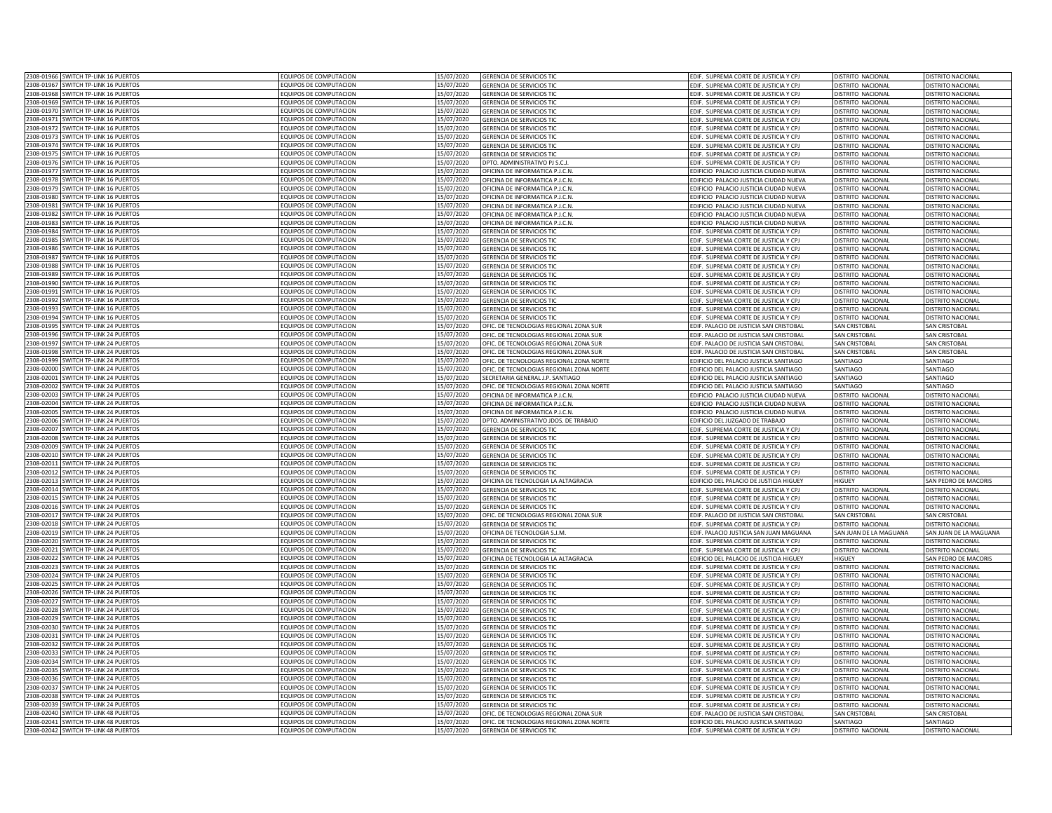| 2308-01966 SWITCH TP-LINK 16 PUERTOS                                            | EQUIPOS DE COMPUTACION                           | 15/07/2020               | GERENCIA DE SERVICIOS TIO                | EDIF. SUPREMA CORTE DE JUSTICIA Y CPJ                                           | DISTRITO NACIONAL      | DISTRITO NACIONAL        |
|---------------------------------------------------------------------------------|--------------------------------------------------|--------------------------|------------------------------------------|---------------------------------------------------------------------------------|------------------------|--------------------------|
| 2308-01967 SWITCH TP-LINK 16 PUERTOS                                            | EQUIPOS DE COMPUTACION                           | 15/07/2020               | GERENCIA DE SERVICIOS TIC                | EDIF. SUPREMA CORTE DE JUSTICIA Y CPJ                                           | DISTRITO NACIONAL      | DISTRITO NACIONAL        |
|                                                                                 |                                                  |                          |                                          |                                                                                 |                        |                          |
| 2308-01968 SWITCH TP-LINK 16 PUERTOS                                            | EQUIPOS DE COMPUTACION                           | 15/07/2020               | GERENCIA DE SERVICIOS TIC                | EDIF. SUPREMA CORTE DE JUSTICIA Y CPJ                                           | DISTRITO NACIONAL      | DISTRITO NACIONAL        |
| 2308-01969<br>SWITCH TP-LINK 16 PUERTOS                                         | EQUIPOS DE COMPUTACION                           | 15/07/2020               | <b>GERENCIA DE SERVICIOS TIO</b>         | EDIF. SUPREMA CORTE DE JUSTICIA Y CPJ                                           | DISTRITO NACIONAL      | <b>DISTRITO NACIONAL</b> |
| 2308-01970<br>SWITCH TP-LINK 16 PUFRTOS                                         | EQUIPOS DE COMPUTACION                           | 15/07/2020               | <b>SERENCIA DE SERVICIOS TIC</b>         | EDIF. SUPREMA CORTE DE JUSTICIA Y CPJ                                           | DISTRITO NACIONAL      | <b>DISTRITO NACIONAL</b> |
| 2308-01971<br>SWITCH TP-LINK 16 PUFRTOS                                         | EQUIPOS DE COMPUTACION                           | 15/07/2020               | <b>FRENCIA DE SERVICIOS TIC</b>          | EDIF. SUPREMA CORTE DE JUSTICIA Y CPJ                                           | DISTRITO NACIONAL      | <b>DISTRITO NACIONAL</b> |
| 2308-01972<br><b>SWITCH TP-LINK 16 PUERTOS</b>                                  | EQUIPOS DE COMPUTACION                           | 15/07/2020               | <b>SERENCIA DE SERVICIOS TIC</b>         | EDIF. SUPREMA CORTE DE JUSTICIA Y CPJ                                           | DISTRITO NACIONAL      | <b>DISTRITO NACIONAL</b> |
| 2308-0197<br>SWITCH TP-LINK 16 PUERTOS                                          | EQUIPOS DE COMPUTACION                           | 15/07/2020               | <b>SERENCIA DE SERVICIOS TIC</b>         | EDIF. SUPREMA CORTE DE JUSTICIA Y CPJ                                           | DISTRITO NACIONAL      | <b>ISTRITO NACIONAL</b>  |
| 2308-0197<br>SWITCH TP-LINK 16 PUERTOS                                          | EQUIPOS DE COMPUTACION                           | 15/07/2020               | <b>GERENCIA DE SERVICIOS TIC</b>         | EDIF. SUPREMA CORTE DE JUSTICIA Y CPJ                                           | DISTRITO NACIONAL      | <b>ISTRITO NACIONAL</b>  |
| SWITCH TP-LINK 16 PUERTOS<br>2308-01975                                         | <b>EQUIPOS DE COMPUTACION</b>                    | 15/07/2020               | GERENCIA DE SERVICIOS TIC                | EDIF. SUPREMA CORTE DE JUSTICIA Y CPJ                                           | DISTRITO NACIONAL      | <b>ISTRITO NACIONAL</b>  |
| 2308-0197<br>SWITCH TP-LINK 16 PUERTOS                                          | EQUIPOS DE COMPUTACION                           | 15/07/2020               | DPTO. ADMINISTRATIVO PJ S.C.,            | EDIF. SUPREMA CORTE DE JUSTICIA Y CPJ                                           | DISTRITO NACIONAL      | <b>DISTRITO NACIONAL</b> |
| 2308-0197                                                                       |                                                  |                          |                                          |                                                                                 |                        | DISTRITO NACIONAL        |
| SWITCH TP-LINK 16 PUERTOS                                                       | EQUIPOS DE COMPUTACION                           | 15/07/2020               | OFICINA DE INFORMATICA P.J.C.N           | EDIFICIO PALACIO JUSTICIA CIUDAD NUEVA                                          | DISTRITO NACIONAL      |                          |
| 2308-0197<br>SWITCH TP-LINK 16 PUERTO!                                          | EQUIPOS DE COMPUTACION                           | 15/07/2020               | OFICINA DE INFORMATICA P.J.C.N           | EDIFICIO PALACIO JUSTICIA CIUDAD NUEVA                                          | DISTRITO NACIONAL      | DISTRITO NACIONA         |
| 2308-0197<br><b>SWITCH TP-LINK 16 PUERTOS</b>                                   | EQUIPOS DE COMPUTACION                           | 15/07/2020               | OFICINA DE INFORMATICA P LC N            | EDIFICIO PALACIO JUSTICIA CIUDAD NUEVA                                          | DISTRITO NACIONAL      | <b>NSTRITO NACIONA</b>   |
| 2308-0198<br>WITCH TP-LINK 16 PUERTOS                                           | EQUIPOS DE COMPUTACION                           | 15/07/2020               | OFICINA DE INFORMATICA P.J.C.N.          | EDIFICIO PALACIO JUSTICIA CIUDAD NUEVA                                          | DISTRITO NACIONAL      | <b>DISTRITO NACIONAL</b> |
| 2308-0198<br>SWITCH TP-LINK 16 PUERTOS                                          | EQUIPOS DE COMPUTACION                           | 15/07/2020               | OFICINA DE INFORMATICA P.J.C.N.          | EDIFICIO PALACIO JUSTICIA CIUDAD NUEVA                                          | DISTRITO NACIONAL      | <b>ISTRITO NACIONAL</b>  |
| SWITCH TP-LINK 16 PUERTOS<br>2308-01982                                         | EQUIPOS DE COMPUTACION                           | 15/07/2020               | OFICINA DE INFORMATICA P.J.C.N.          | EDIFICIO PALACIO JUSTICIA CIUDAD NUEVA                                          | DISTRITO NACIONAL      | <b>DISTRITO NACIONAL</b> |
| 2308-01983 SWITCH TP-LINK 16 PUERTOS                                            | EQUIPOS DE COMPUTACION                           | 15/07/2020               | OFICINA DE INFORMATICA P.J.C.N.          | EDIFICIO PALACIO JUSTICIA CIUDAD NUEVA                                          | DISTRITO NACIONAL      | DISTRITO NACIONAL        |
| 2308-01984 SWITCH TP-LINK 16 PUERTOS                                            | EQUIPOS DE COMPUTACION                           | 15/07/2020               | <b>GERENCIA DE SERVICIOS TIC</b>         | EDIF. SUPREMA CORTE DE JUSTICIA Y CPJ                                           | DISTRITO NACIONAL      | DISTRITO NACIONAL        |
| 2308-01985<br>SWITCH TP-LINK 16 PUERTOS                                         | EQUIPOS DE COMPUTACION                           | 15/07/2020               | GERENCIA DE SERVICIOS TIC                | EDIF. SUPREMA CORTE DE JUSTICIA Y CPJ                                           | DISTRITO NACIONAL      | DISTRITO NACIONAL        |
| 2308-01986<br><b>SWITCH TP-LINK 16 PUFRTOS</b>                                  | FOUIPOS DE COMPUTACION                           | 15/07/2020               | <b>GERENCIA DE SERVICIOS TIC</b>         | EDIF. SUPREMA CORTE DE JUSTICIA Y CPJ                                           | DISTRITO NACIONAL      | <b>DISTRITO NACIONAL</b> |
| 2308-01987<br><b>SWITCH TP-LINK 16 PUERTOS</b>                                  | EQUIPOS DE COMPUTACION                           | 15/07/2020               | <b>SERENCIA DE SERVICIOS TIC</b>         | FDIE. SUPREMA CORTE DE IUSTICIA Y CPI                                           |                        |                          |
| 2308-0198                                                                       |                                                  |                          |                                          |                                                                                 | DISTRITO NACIONAL      | <b>ISTRITO NACIONAL</b>  |
| WITCH TP-LINK 16 PUERTOS                                                        | EQUIPOS DE COMPUTACION                           | 15/07/2020               | <b>SERENCIA DE SERVICIOS TIC</b>         | EDIF. SUPREMA CORTE DE JUSTICIA Y CPJ                                           | DISTRITO NACIONAL      | <b>ISTRITO NACIONAL</b>  |
| 2308-0198<br>WITCH TP-LINK 16 PUFRTO!                                           | FOUIPOS DE COMPUTACION                           | 15/07/2020               | <b>GERENCIA DE SERVICIOS TIC</b>         | DIF. SUPREMA CORTE DE JUSTICIA Y CPJ                                            | DISTRITO NACIONAL      | <b>ISTRITO NACIONAL</b>  |
| 2308-0199<br>SWITCH TP-LINK 16 PUERTO                                           | EQUIPOS DE COMPUTACION                           | 15/07/2020               | <b>SERENCIA DE SERVICIOS TIC</b>         | EDIF. SUPREMA CORTE DE JUSTICIA Y CPJ                                           | DISTRITO NACIONAL      | <b>ISTRITO NACIONAL</b>  |
| 2308-01991<br>SWITCH TP-LINK 16 PUERTO                                          | EQUIPOS DE COMPUTACION                           | 15/07/2020               | <b>GERENCIA DE SERVICIOS TIO</b>         | EDIF. SUPREMA CORTE DE JUSTICIA Y CPJ                                           | DISTRITO NACIONAL      | <b>DISTRITO NACIONAL</b> |
| 2308-01992<br>SWITCH TP-LINK 16 PUERTO:                                         | EQUIPOS DE COMPUTACION                           | 15/07/2020               | GERENCIA DE SERVICIOS TIC                | EDIF. SUPREMA CORTE DE JUSTICIA Y CPJ                                           | DISTRITO NACIONAL      | <b>DISTRITO NACIONAL</b> |
| 2308-01993<br>SWITCH TP-LINK 16 PUERTOS                                         | EQUIPOS DE COMPUTACION                           | 15/07/2020               | <b>GERENCIA DE SERVICIOS TI</b>          | EDIF. SUPREMA CORTE DE JUSTICIA Y CPJ                                           | DISTRITO NACIONAL      | <b>ISTRITO NACIONAL</b>  |
| 2308-01994<br>SWITCH TP-LINK 16 PUFRTOS                                         | EQUIPOS DE COMPUTACION                           | 15/07/2020               | GERENCIA DE SERVICIOS TIC                | EDIF. SUPREMA CORTE DE JUSTICIA Y CPJ                                           | DISTRITO NACIONAL      | DISTRITO NACIONAL        |
| 2308-0199<br>SWITCH TP-LINK 24 PUFRTOS                                          | EQUIPOS DE COMPUTACION                           | 15/07/2020               | OFIC. DE TECNOLOGIAS REGIONAL ZONA SUE   | EDIF, PALACIO DE JUSTICIA SAN CRISTOBAL                                         | <b>SAN CRISTOBAL</b>   | SAN CRISTORAL            |
| 2308-01996<br>SWITCH TP-LINK 24 PUERTOS                                         | EQUIPOS DE COMPUTACION                           | 15/07/2020               | OFIC. DE TECNOLOGIAS REGIONAL ZONA SUF   | EDIF, PALACIO DE JUSTICIA SAN CRISTOBAL                                         | SAN CRISTOBA           | SAN CRISTORAL            |
| 2308-01997<br>SWITCH TP-LINK 24 PUERTO:                                         | EQUIPOS DE COMPUTACION                           |                          |                                          |                                                                                 |                        |                          |
|                                                                                 |                                                  | 15/07/2020               | OFIC. DE TECNOLOGIAS REGIONAL ZONA SUR   | EDIF. PALACIO DE JUSTICIA SAN CRISTOBAL                                         | SAN CRISTOBAL          | SAN CRISTOBAL            |
| 2308-01998<br>SWITCH TP-LINK 24 PUERTOS                                         | EQUIPOS DE COMPUTACION                           | 15/07/2020               | OFIC. DE TECNOLOGIAS REGIONAL ZONA SUR   | EDIF. PALACIO DE JUSTICIA SAN CRISTOBAL                                         | <b>SAN CRISTOBAL</b>   | <b>SAN CRISTOBAL</b>     |
| 2308-01999 SWITCH TP-LINK 24 PUERTOS                                            | EQUIPOS DE COMPUTACION                           | 15/07/2020               | OFIC. DE TECNOLOGIAS REGIONAL ZONA NORTE | EDIFICIO DEL PALACIO JUSTICIA SANTIAGO                                          | SANTIAGO               | SANTIAGO                 |
| 2308-02000<br>SWITCH TP-LINK 24 PUERTOS                                         | EQUIPOS DE COMPUTACION                           | 15/07/2020               | OFIC. DE TECNOLOGIAS REGIONAL ZONA NORTE | EDIFICIO DEL PALACIO JUSTICIA SANTIAGO                                          | SANTIAGO               | SANTIAGO                 |
| 2308-02001<br>SWITCH TP-LINK 24 PUERTOS                                         | EQUIPOS DE COMPUTACION                           | 15/07/2020               | SECRETARIA GENERAL J.P. SANTIAGO         | EDIFICIO DEL PALACIO JUSTICIA SANTIAGO                                          | SANTIAGO               | SANTIAGO                 |
| 2308-02002<br><b>SWITCH TP-LINK 24 PUERTOS</b>                                  | EQUIPOS DE COMPUTACION                           | 15/07/2020               | OFIC. DE TECNOLOGIAS REGIONAL ZONA NORTE | EDIFICIO DEL PALACIO JUSTICIA SANTIAGO                                          | SANTIAGO               | SANTIAGO                 |
| 2308-02003<br><b>SWITCH TP-LINK 24 PUERTOS</b>                                  | FOUIPOS DE COMPUTACION                           | 15/07/2020               | DFICINA DE INFORMATICA P.J.C.N.          | DIFICIO PALACIO JUSTICIA CIUDAD NUEVA                                           | DISTRITO NACIONAL      | <b>DISTRITO NACIONAL</b> |
| 2308-02004<br>WITCH TP-LINK 24 PUERTOS                                          | EQUIPOS DE COMPUTACION                           | 15/07/2020               | DFICINA DE INFORMATICA P.J.C.N.          | DIFICIO PALACIO JUSTICIA CIUDAD NUEVA                                           | DISTRITO NACIONAL      | <b>DISTRITO NACIONAL</b> |
| 2308-0200<br>SWITCH TP-LINK 24 PUERTOS                                          | EQUIPOS DE COMPUTACION                           | 15/07/2020               | DFICINA DE INFORMATICA P.J.C.N.          | EDIFICIO PALACIO JUSTICIA CIUDAD NUEVA                                          | DISTRITO NACIONAL      | <b>ISTRITO NACIONAL</b>  |
| 2308-0200<br><b>SWITCH TP-LINK 24 PUERTOS</b>                                   | EQUIPOS DE COMPUTACION                           | 15/07/2020               | OPTO. ADMINISTRATIVO JDOS. DE TRABAJO    | EDIFICIO DEL JUZGADO DE TRABAJO                                                 | DISTRITO NACIONAL      | <b>ISTRITO NACIONAL</b>  |
|                                                                                 |                                                  |                          |                                          |                                                                                 | DISTRITO NACIONAL      | <b>ISTRITO NACIONA</b>   |
| 2308-02007<br>SWITCH TP-LINK 24 PUERTOS                                         | EQUIPOS DE COMPUTACION                           | 15/07/2020               | GERENCIA DE SERVICIOS TIO                | EDIF. SUPREMA CORTE DE JUSTICIA Y CPJ                                           |                        |                          |
| 2308-0200<br>SWITCH TP-LINK 24 PUERTOS                                          | EQUIPOS DE COMPUTACION                           | 15/07/2020               | <b>GERENCIA DE SERVICIOS TIO</b>         | EDIF. SUPREMA CORTE DE JUSTICIA Y CPJ                                           | DISTRITO NACIONAL      | <b>DISTRITO NACIONAL</b> |
| 2308-0200<br>SWITCH TP-LINK 24 PUERTOS                                          | EQUIPOS DE COMPUTACION                           | 15/07/2020               | <b>GERENCIA DE SERVICIOS TIC</b>         | EDIF. SUPREMA CORTE DE JUSTICIA Y CPJ                                           | DISTRITO NACIONAL      | DISTRITO NACIONAL        |
| 2308-0201<br>SWITCH TP-LINK 24 PUERTO!                                          | EQUIPOS DE COMPUTACION                           | 15/07/2020               | <b>GERENCIA DE SERVICIOS TIO</b>         | EDIF. SUPREMA CORTE DE JUSTICIA Y CPJ                                           | DISTRITO NACIONAL      | <b>DISTRITO NACIONA</b>  |
| <b>SWITCH TP-LINK 24 PUERTOS</b><br>2308-0201                                   | EQUIPOS DE COMPUTACION                           | 15/07/2020               | <b>SERENCIA DE SERVICIOS TI</b>          | EDIF. SUPREMA CORTE DE JUSTICIA Y CPJ                                           | DISTRITO NACIONAL      | <b>DISTRITO NACIONAL</b> |
| 2308-0201<br>SWITCH TP-LINK 24 PUERTOS                                          | EQUIPOS DE COMPUTACION                           | 15/07/2020               | <b>SERENCIA DE SERVICIOS TIC</b>         | EDIF. SUPREMA CORTE DE JUSTICIA Y CPJ                                           | DISTRITO NACIONAL      | <b>DISTRITO NACIONAL</b> |
| 2308-02013<br><b>SWITCH TP-LINK 24 PUERTOS</b>                                  | EQUIPOS DE COMPUTACION                           | 15/07/2020               | DFICINA DE TECNOLOGIA LA ALTAGRACIA      | EDIFICIO DEL PALACIO DE JUSTICIA HIGUEY                                         | HIGUEY                 | AN PEDRO DE MACORIS      |
| SWITCH TP-LINK 24 PUERTOS<br>2308-02014                                         | EQUIPOS DE COMPUTACION                           | 15/07/2020               | <b>GERENCIA DE SERVICIOS TIO</b>         | EDIF. SUPREMA CORTE DE JUSTICIA Y CPJ                                           | DISTRITO NACIONAL      | <b>DISTRITO NACIONAL</b> |
| 2308-02015 SWITCH TP-LINK 24 PUERTOS                                            | EQUIPOS DE COMPUTACION                           | 15/07/2020               | <b>GERENCIA DE SERVICIOS TIC</b>         | EDIF. SUPREMA CORTE DE JUSTICIA Y CPJ                                           | DISTRITO NACIONAL      | DISTRITO NACIONAL        |
| 2308-02016 SWITCH TP-LINK 24 PUERTOS                                            | EQUIPOS DE COMPUTACION                           | 15/07/2020               | GERENCIA DE SERVICIOS TIC                | EDIF. SUPREMA CORTE DE JUSTICIA Y CPJ                                           | DISTRITO NACIONAL      | DISTRITO NACIONAL        |
|                                                                                 |                                                  |                          |                                          |                                                                                 |                        |                          |
| 2308-02017<br><b>SWITCH TP-LINK 24 PUERTOS</b>                                  | EQUIPOS DE COMPUTACION                           | 15/07/2020               | OFIC. DE TECNOLOGIAS REGIONAL ZONA SUR   | EDIF. PALACIO DE JUSTICIA SAN CRISTOBAL                                         | <b>SAN CRISTOBAL</b>   | <b>SAN CRISTOBAL</b>     |
| 2308-02018<br><b>SWITCH TP-LINK 24 PUFRTOS</b>                                  | <b>EQUIPOS DE COMPUTACION</b>                    | 15/07/2020               | <b>GERENCIA DE SERVICIOS TIC</b>         | EDIF. SUPREMA CORTE DE JUSTICIA Y CPJ                                           | DISTRITO NACIONAL      | <b>DISTRITO NACIONAL</b> |
| 2308-02019<br><b>SWITCH TP-LINK 24 PUERTOS</b>                                  | EQUIPOS DE COMPUTACION                           | 15/07/2020               | DEICINA DE TECNOLOGIA S.I.M.             | EDIF. PALACIO JUSTICIA SAN JUAN MAGUANA                                         | SAN JUAN DE LA MAGUANA | SAN IUAN DE LA MAGUANA   |
| 2308-0202<br>WITCH TP-LINK 24 PUERTOS                                           | EQUIPOS DE COMPUTACION                           | 15/07/2020               | <b>SERENCIA DE SERVICIOS TIC</b>         | DIF. SUPREMA CORTE DE JUSTICIA Y CPJ                                            | DISTRITO NACIONAL      | <b>DISTRITO NACIONAL</b> |
| 2308-0202<br>WITCH TP-LINK 24 PUERTOS                                           | EQUIPOS DE COMPUTACION                           | 15/07/2020               | <b>SERENCIA DE SERVICIOS TIC</b>         | DIF. SUPREMA CORTE DE JUSTICIA Y CPJ                                            | DISTRITO NACIONAL      | <b>ISTRITO NACIONAL</b>  |
| 2308-02022<br>SWITCH TP-LINK 24 PUERTO!                                         | EQUIPOS DE COMPUTACION                           | 15/07/2020               | DFICINA DE TECNOLOGIA LA ALTAGRACIA      | DIFICIO DEL PALACIO DE JUSTICIA HIGUEY                                          | <b>HIGUEY</b>          | AN PEDRO DE MACORIS      |
| 2308-02023<br>SWITCH TP-LINK 24 PUERTO                                          | EQUIPOS DE COMPUTACION                           | 15/07/2020               | <b>GERENCIA DE SERVICIOS TIO</b>         | EDIF. SUPREMA CORTE DE JUSTICIA Y CPJ                                           | DISTRITO NACIONAL      | DISTRITO NACIONAL        |
| 2308-02024<br><b>SWITCH TP-LINK 24 PUERTOS</b>                                  | EQUIPOS DE COMPUTACION                           | 15/07/2020               | <b>GERENCIA DE SERVICIOS TIO</b>         | EDIF. SUPREMA CORTE DE JUSTICIA Y CPJ                                           | DISTRITO NACIONAL      | DISTRITO NACIONAL        |
| 2308-0202<br>SWITCH TP-LINK 24 PUERTOS                                          | <b>FOUIPOS DE COMPUTACION</b>                    | 15/07/2020               | <b>GERENCIA DE SERVICIOS TI</b>          | EDIF. SUPREMA CORTE DE JUSTICIA Y CPJ                                           | DISTRITO NACIONA       | ISTRITO NACIONA          |
| 2308-0202<br><b>SWITCH TP-LINK 24 PUERTOS</b>                                   | EQUIPOS DE COMPUTACION                           | 15/07/2020               | <b>GERENCIA DE SERVICIOS TIO</b>         | EDIF. SUPREMA CORTE DE JUSTICIA Y CPJ                                           | DISTRITO NACIONAL      | <b>JISTRITO NACIONAL</b> |
| 2308-02027<br>SWITCH TP-LINK 24 PUFRTOS                                         | <b>FOUIPOS DE COMPUTACION</b>                    | 15/07/2020               | <b>GERENCIA DE SERVICIOS TIC</b>         | EDIF. SUPREMA CORTE DE JUSTICIA Y CPJ                                           | DISTRITO NACIONAL      | DISTRITO NACIONAL        |
| 2308-0202                                                                       |                                                  |                          |                                          |                                                                                 |                        |                          |
| <b>SWITCH TP-LINK 24 PUERTOS</b>                                                | EQUIPOS DE COMPUTACION                           | 15/07/2020               | <b>GERENCIA DE SERVICIOS TIO</b>         | EDIF. SUPREMA CORTE DE JUSTICIA Y CPJ                                           | DISTRITO NACIONAL      | DISTRITO NACIONAL        |
| 2308-02029<br>SWITCH TP-LINK 24 PUERTOS                                         | EQUIPOS DE COMPUTACION                           | 15/07/2020               | <b>GERENCIA DE SERVICIOS TIO</b>         | EDIF. SUPREMA CORTE DE JUSTICIA Y CPJ                                           | DISTRITO NACIONAL      | <b>DISTRITO NACIONAL</b> |
| 2308-02030<br>SWITCH TP-LINK 24 PUFRTOS                                         | EQUIPOS DE COMPUTACION                           | 15/07/2020               | <b>GERENCIA DE SERVICIOS TIO</b>         | EDIF. SUPREMA CORTE DE JUSTICIA Y CPJ                                           | DISTRITO NACIONAL      | DISTRITO NACIONAL        |
| 2308-02031 SWITCH TP-LINK 24 PUERTOS                                            | EQUIPOS DE COMPUTACION                           | 15/07/2020               | GERENCIA DE SERVICIOS TIC                | EDIF. SUPREMA CORTE DE JUSTICIA Y CPJ                                           | DISTRITO NACIONAL      | DISTRITO NACIONAL        |
| 2308-02032 SWITCH TP-LINK 24 PUERTOS                                            | EQUIPOS DE COMPUTACION                           | 15/07/2020               | GERENCIA DE SERVICIOS TIC                | EDIF. SUPREMA CORTE DE JUSTICIA Y CPJ                                           | DISTRITO NACIONAL      | DISTRITO NACIONAL        |
| 2308-02033<br>SWITCH TP-LINK 24 PUERTOS                                         | EQUIPOS DE COMPUTACION                           | 15/07/2020               | GERENCIA DE SERVICIOS TIC                | EDIF. SUPREMA CORTE DE JUSTICIA Y CPJ                                           | DISTRITO NACIONAL      | DISTRITO NACIONAL        |
| 2308-02034<br>SWITCH TP-LINK 24 PUERTOS                                         | EQUIPOS DE COMPUTACION                           | 15/07/2020               | GERENCIA DE SERVICIOS TIO                | EDIF. SUPREMA CORTE DE JUSTICIA Y CPJ                                           | DISTRITO NACIONAL      | <b>DISTRITO NACIONAL</b> |
| 2308-02035<br><b>SWITCH TP-LINK 24 PUFRTOS</b>                                  | EQUIPOS DE COMPUTACION                           | 15/07/2020               | <b>SERENCIA DE SERVICIOS TIC</b>         | EDIF. SUPREMA CORTE DE JUSTICIA Y CPJ                                           | DISTRITO NACIONAL      | <b>DISTRITO NACIONAL</b> |
| 2308-0203<br>WITCH TP-LINK 24 PUERTOS                                           | EQUIPOS DE COMPUTACION                           | 15/07/2020               | <b>FRENCIA DE SERVICIOS TIC</b>          | DIF. SUPREMA CORTE DE JUSTICIA Y CPJ                                            | DISTRITO NACIONAL      | <b>ISTRITO NACIONAL</b>  |
|                                                                                 |                                                  |                          |                                          |                                                                                 |                        |                          |
| 2308-02037<br><b>SWITCH TP-LINK 24 PUERTOS</b>                                  | EQUIPOS DE COMPUTACION                           | 15/07/2020               | <b>SERENCIA DE SERVICIOS TIC</b>         | EDIF. SUPREMA CORTE DE JUSTICIA Y CPJ                                           | DISTRITO NACIONAL      | <b>ISTRITO NACIONAL</b>  |
| 2308-0203<br>SWITCH TP-LINK 24 PUERTOS                                          | EQUIPOS DE COMPUTACION                           | 15/07/2020               | <b>SERENCIA DE SERVICIOS TIC</b>         | EDIF. SUPREMA CORTE DE JUSTICIA Y CPJ                                           | DISTRITO NACIONAL      | <b>DISTRITO NACIONAL</b> |
| 2308-02039<br>SWITCH TP-LINK 24 PUERTO:                                         | EQUIPOS DE COMPUTACION                           | 15/07/2020               | <b>GERENCIA DE SERVICIOS TIO</b>         | EDIF. SUPREMA CORTE DE JUSTICIA Y CPJ                                           | DISTRITO NACIONAL      | <b>DISTRITO NACIONAL</b> |
| 2308-02040<br>SWITCH TP-LINK 48 PUERTOS                                         | EQUIPOS DE COMPUTACION                           | 15/07/2020               | OFIC. DE TECNOLOGIAS REGIONAL ZONA SUR   | EDIF. PALACIO DE JUSTICIA SAN CRISTOBAL                                         | <b>SAN CRISTOBAL</b>   | <b>SAN CRISTOBAL</b>     |
|                                                                                 |                                                  |                          |                                          |                                                                                 |                        |                          |
| 2308-02041<br>SWITCH TP-LINK 48 PUERTOS<br>2308-02042 SWITCH TP-LINK 48 PUERTOS | EQUIPOS DE COMPUTACION<br>EQUIPOS DE COMPUTACION | 15/07/2020<br>15/07/2020 | OFIC. DE TECNOLOGIAS REGIONAL ZONA NORTE | EDIFICIO DEL PALACIO JUSTICIA SANTIAGO<br>EDIF. SUPREMA CORTE DE JUSTICIA Y CPJ | SANTIAGO               | SANTIAGO                 |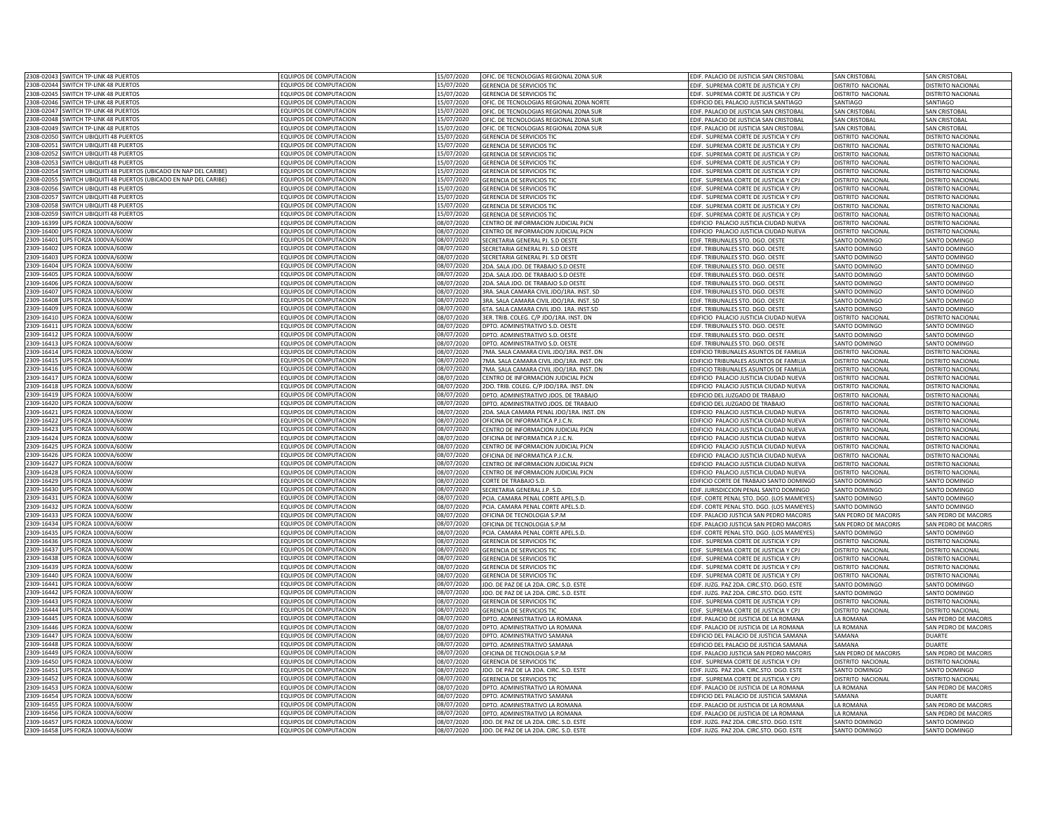|            | 2308-02043 SWITCH TP-LINK 48 PUERTOS                   | EQUIPOS DE COMPUTACION        | 15/07/2020 | OFIC. DE TECNOLOGIAS REGIONAL ZONA SUR   | EDIF. PALACIO DE JUSTICIA SAN CRISTOBAL   | <b>SAN CRISTOBAL</b>     | <b>SAN CRISTOBAL</b>        |
|------------|--------------------------------------------------------|-------------------------------|------------|------------------------------------------|-------------------------------------------|--------------------------|-----------------------------|
|            | 2308-02044 SWITCH TP-LINK 48 PUERTOS                   | EQUIPOS DE COMPUTACION        | 15/07/2020 | GERENCIA DE SERVICIOS TIC                | EDIF. SUPREMA CORTE DE JUSTICIA Y CPJ     | DISTRITO NACIONAL        | DISTRITO NACIONAL           |
|            | 2308-02045 SWITCH TP-LINK 48 PUERTOS                   | EQUIPOS DE COMPUTACION        | 15/07/2020 | GERENCIA DE SERVICIOS TIC                | EDIF. SUPREMA CORTE DE JUSTICIA Y CPJ     | DISTRITO NACIONAL        | DISTRITO NACIONAL           |
| 2308-02046 | <b>SWITCH TP-LINK 48 PUERTOS</b>                       | EQUIPOS DE COMPUTACION        | 15/07/2020 |                                          |                                           |                          |                             |
|            | SWITCH TP-LINK 48 PUFRTOS                              |                               |            | OFIC. DE TECNOLOGIAS REGIONAL ZONA NORTE | EDIFICIO DEL PALACIO JUSTICIA SANTIAGO    | SANTIAGO                 | SANTIAGO                    |
| 308-02047  |                                                        | QUIPOS DE COMPUTACION         | 15/07/2020 | OFIC. DE TECNOLOGIAS REGIONAL ZONA SUR   | EDIF. PALACIO DE JUSTICIA SAN CRISTOBAL   | <b>SAN CRISTOBAL</b>     | <b>SAN CRISTOBAL</b>        |
| 2308-02048 | <b>SWITCH TP-LINK 48 PUERTOS</b>                       | <b>COUIPOS DE COMPUTACION</b> | 15/07/2020 | OFIC. DE TECNOLOGIAS REGIONAL ZONA SUR   | FDIE, PALACIO DE IUSTICIA SAN CRISTOBAL   | <b>SAN CRISTOBAL</b>     | <b>SAN CRISTOBAL</b>        |
| 2308-02049 | <b>SWITCH TP-LINK 48 PUERTOS</b>                       | <b>QUIPOS DE COMPUTACION</b>  | 15/07/2020 | OFIC. DE TECNOLOGIAS REGIONAL ZONA SUR   | EDIF. PALACIO DE JUSTICIA SAN CRISTOBAL   | <b>SAN CRISTOBAL</b>     | AN CRISTOBAL                |
| 2308-02050 | SWITCH UBIQUITI 48 PUERTOS                             | QUIPOS DE COMPUTACION         | 15/07/2020 | <b>GERENCIA DE SERVICIOS TIC</b>         | EDIF. SUPREMA CORTE DE JUSTICIA Y CPJ     | DISTRITO NACIONAL        | <b>ISTRITO NACIONAL</b>     |
| 2308-02051 | SWITCH UBIQUITI 48 PUERTOS                             | QUIPOS DE COMPUTACION         | 15/07/2020 | <b>GERENCIA DE SERVICIOS TIC</b>         | EDIF. SUPREMA CORTE DE JUSTICIA Y CPJ     | <b>DISTRITO NACIONAL</b> | <b>ISTRITO NACIONAL</b>     |
|            | 2308-02052 SWITCH UBIQUITI 48 PUERTOS                  | EQUIPOS DE COMPUTACION        | 15/07/2020 | <b>GERENCIA DE SERVICIOS TIC</b>         | EDIF. SUPREMA CORTE DE JUSTICIA Y CPJ     | DISTRITO NACIONAL        | <b>DISTRITO NACIONAL</b>    |
| 2308-02053 | SWITCH UBIQUITI 48 PUERTOS                             | EQUIPOS DE COMPUTACION        | 15/07/2020 | <b>GERENCIA DE SERVICIOS TIC</b>         | EDIF. SUPREMA CORTE DE JUSTICIA Y CPJ     | DISTRITO NACIONAL        | DISTRITO NACIONAL           |
| 2308-02054 | SWITCH UBIQUITI 48 PUERTOS (UBICADO EN NAP DEL CARIBE) | EQUIPOS DE COMPUTACION        | 15/07/2020 | <b>GERENCIA DE SERVICIOS TIC</b>         | EDIF. SUPREMA CORTE DE JUSTICIA Y CPJ     | DISTRITO NACIONAL        | DISTRITO NACIONAL           |
| 2308-0205  | SWITCH UBIQUITI 48 PUERTOS (UBICADO EN NAP DEL CARIBE) | EQUIPOS DE COMPUTACION        | 15/07/2020 | GERENCIA DE SERVICIOS TIC                | EDIF. SUPREMA CORTE DE JUSTICIA Y CPJ     | DISTRITO NACIONAL        | DISTRITO NACIONAL           |
| 2308-02056 | <b>SWITCH UBIQUITI 48 PUERTOS</b>                      | EQUIPOS DE COMPUTACION        | 15/07/2020 | <b>SERENCIA DE SERVICIOS TIO</b>         | EDIF. SUPREMA CORTE DE JUSTICIA Y CPJ     | DISTRITO NACIONAL        | <b>DISTRITO NACIONAL</b>    |
| 308-02057  | SWITCH UBIQUITI 48 PUERTOS                             | EQUIPOS DE COMPUTACION        | 15/07/2020 | <b>GERENCIA DE SERVICIOS TIC</b>         | EDIF. SUPREMA CORTE DE JUSTICIA Y CPJ     | DISTRITO NACIONAL        | <b>DISTRITO NACIONA</b>     |
|            |                                                        |                               |            |                                          |                                           |                          |                             |
| 2308-02058 | <b>SWITCH UBIQUITI 48 PUERTOS</b>                      | EQUIPOS DE COMPUTACION        | 15/07/2020 | <b>GERENCIA DE SERVICIOS TIC</b>         | EDIF. SUPREMA CORTE DE JUSTICIA Y CPJ     | DISTRITO NACIONAL        | <b>DISTRITO NACIONAL</b>    |
| 2308-02059 | SWITCH UBIQUITI 48 PUERTOS                             | EQUIPOS DE COMPUTACION        | 15/07/2020 | <b>GERENCIA DE SERVICIOS TIC</b>         | EDIF. SUPREMA CORTE DE JUSTICIA Y CPJ     | DISTRITO NACIONAL        | <b>DISTRITO NACIONAL</b>    |
|            | 2309-16399 UPS FORZA 1000VA/600W                       | EQUIPOS DE COMPUTACION        | 08/07/2020 | CENTRO DE INFORMACION JUDICIAL PJCN      | EDIFICIO PALACIO JUSTICIA CIUDAD NUEVA    | DISTRITO NACIONAL        | DISTRITO NACIONAL           |
| 2309-16400 | UPS FORZA 1000VA/600W                                  | EQUIPOS DE COMPUTACION        | 08/07/2020 | CENTRO DE INFORMACION JUDICIAL PJCN      | EDIFICIO PALACIO JUSTICIA CIUDAD NUEVA    | DISTRITO NACIONAL        | DISTRITO NACIONAL           |
| 2309-16401 | UPS FORZA 1000VA/600W                                  | EQUIPOS DE COMPUTACION        | 08/07/2020 | SECRETARIA GENERAL PJ. S.D OESTE         | EDIF. TRIBUNALES STO. DGO. OESTE          | SANTO DOMINGO            | SANTO DOMINGO               |
| 2309-16402 | UPS FORZA 1000VA/600W                                  | OUIPOS DE COMPUTACION         | 08/07/2020 | SECRETARIA GENERAL PJ. S.D OESTE         | EDIF. TRIBUNALES STO. DGO. OESTE          | SANTO DOMINGO            | <b>SANTO DOMINGO</b>        |
| 2309-16403 | UPS FORZA 1000VA/600W                                  | QUIPOS DE COMPUTACION         | 08/07/2020 | SECRETARIA GENERAL PL S.D OESTE          | EDIF. TRIBUNALES STO. DGO. OESTE          | <b>SANTO DOMINGO</b>     | ANTO DOMINGO                |
| 2309-16404 | JPS FORZA 1000VA/600W                                  | <b>QUIPOS DE COMPUTACION</b>  | 08/07/2020 | DA. SALA JDO. DE TRABAJO S.D OESTE       | EDIF. TRIBUNALES STO. DGO. OESTE          | ANTO DOMINGO             | ANTO DOMINGO                |
| 2309-16405 | JPS FORZA 1000VA/600W                                  | QUIPOS DE COMPUTACION         | 08/07/2020 | DA. SALA JDO. DE TRABAJO S.D OESTE       | EDIF. TRIBUNALES STO. DGO. OESTE          | ANTO DOMINGO             | ANTO DOMINGO                |
| 2309-16406 | UPS FORZA 1000VA/600W                                  | QUIPOS DE COMPUTACION         | 08/07/2020 | DA. SALA JDO. DE TRABAJO S.D OESTE       | EDIF. TRIBUNALES STO. DGO. OESTE          | <b>SANTO DOMINGO</b>     | ANTO DOMINGO                |
|            |                                                        |                               |            |                                          |                                           |                          |                             |
| 2309-16407 | UPS FORZA 1000VA/600W                                  | <b>QUIPOS DE COMPUTACION</b>  | 08/07/2020 | 3RA. SALA CAMARA CIVIL JDO/1RA. INST. SD | EDIF. TRIBUNALES STO, DGO, OESTE          | <b>SANTO DOMINGO</b>     | ANTO DOMINGO                |
|            | 2309-16408 UPS FORZA 1000VA/600W                       | <b>QUIPOS DE COMPUTACION</b>  | 08/07/2020 | 3RA. SALA CAMARA CIVIL JDO/1RA. INST. SD | EDIF. TRIBUNALES STO. DGO. OESTE          | SANTO DOMINGO            | <b>SANTO DOMINGO</b>        |
|            | 2309-16409 UPS FORZA 1000VA/600W                       | EQUIPOS DE COMPUTACION        | 08/07/2020 | 6TA. SALA CAMARA CIVIL JDO. 1RA. INST.SD | EDIF. TRIBUNALES STO. DGO. OESTE          | SANTO DOMINGO            | <b>SANTO DOMINGC</b>        |
|            | 2309-16410 UPS FORZA 1000VA/600W                       | <b>EQUIPOS DE COMPUTACION</b> | 08/07/2020 | 3ER. TRIB. COLEG. C/P JDO/1RA. INST. DN  | EDIFICIO PALACIO JUSTICIA CIUDAD NUEVA    | DISTRITO NACIONAL        | DISTRITO NACIONAL           |
|            | 2309-16411 UPS FORZA 1000VA/600W                       | EQUIPOS DE COMPUTACION        | 08/07/2020 | DPTO, ADMINISTRATIVO S.D. OESTE          | <b>EDIE, TRIBUNALES STO, DGO, OFSTE</b>   | SANTO DOMINGO            | <b>SANTO DOMINGO</b>        |
|            | 2309-16412 UPS FORZA 1000VA/600W                       | EQUIPOS DE COMPUTACION        | 08/07/2020 | DPTO, ADMINISTRATIVO S.D. OESTE          | EDIF, TRIBUNALES STO, DGO, OESTE          | <b>SANTO DOMINGC</b>     | <b>SANTO DOMINGO</b>        |
|            | 2309-16413 UPS FORZA 1000VA/600W                       | EQUIPOS DE COMPUTACION        | 08/07/2020 | DPTO. ADMINISTRATIVO S.D. OESTE          | EDIF. TRIBUNALES STO. DGO. OESTE          | SANTO DOMINGO            | <b>SANTO DOMINGO</b>        |
|            | 2309-16414 UPS FORZA 1000VA/600W                       | EQUIPOS DE COMPUTACION        | 08/07/2020 | 7MA. SALA CAMARA CIVIL JDO/1RA. INST. DN | EDIFICIO TRIBUNALES ASUNTOS DE FAMILIA    | DISTRITO NACIONAL        | DISTRITO NACIONAL           |
|            | 2309-16415 UPS FORZA 1000VA/600W                       | EQUIPOS DE COMPUTACION        | 08/07/2020 | 7MA. SALA CAMARA CIVIL JDO/1RA. INST. DN | EDIFICIO TRIBUNALES ASUNTOS DE FAMILIA    | DISTRITO NACIONAL        | DISTRITO NACIONAL           |
|            |                                                        |                               |            |                                          |                                           |                          |                             |
|            | 2309-16416 UPS FORZA 1000VA/600W                       | EQUIPOS DE COMPUTACION        | 08/07/2020 | 7MA. SALA CAMARA CIVIL JDO/1RA. INST. DN | EDIFICIO TRIBUNALES ASUNTOS DE FAMILIA    | DISTRITO NACIONAL        | DISTRITO NACIONAL           |
|            | 2309-16417 UPS FORZA 1000VA/600W                       | EQUIPOS DE COMPUTACION        | 08/07/2020 | CENTRO DE INFORMACION JUDICIAL PJCN      | EDIFICIO PALACIO JUSTICIA CIUDAD NUEVA    | DISTRITO NACIONAL        | <b>DISTRITO NACIONAL</b>    |
|            | 2309-16418 UPS FORZA 1000VA/600W                       | QUIPOS DE COMPUTACION         | 08/07/2020 | 2DO. TRIB. COLEG. C/P JDO/1RA. INST. DN  | EDIFICIO PALACIO JUSTICIA CIUDAD NUEVA    | DISTRITO NACIONAL        | DISTRITO NACIONAL           |
|            | 2309-16419 UPS FORZA 1000VA/600W                       | <b>COUIPOS DE COMPUTACION</b> | 08/07/2020 | OPTO. ADMINISTRATIVO JDOS. DE TRABAJO    | EDIFICIO DEL JUZGADO DE TRABAJO           | DISTRITO NACIONAL        | <b>DISTRITO NACIONAL</b>    |
| 2309-16420 | UPS FORZA 1000VA/600W                                  | <b>QUIPOS DE COMPUTACION</b>  | 08/07/2020 | OPTO. ADMINISTRATIVO JDOS. DE TRABAJO    | EDIFICIO DEL JUZGADO DE TRABAJO           | DISTRITO NACIONAL        | <b>JISTRITO NACIONAL</b>    |
| 2309-16421 | UPS FORZA 1000VA/600W                                  | QUIPOS DE COMPUTACION         | 08/07/2020 | DA. SALA CAMARA PENAL JDO/1RA. INST. DN  | EDIFICIO PALACIO JUSTICIA CIUDAD NUEVA    | DISTRITO NACIONAL        | <b>ISTRITO NACIONAL</b>     |
| 2309-16422 | UPS FORZA 1000VA/600W                                  | QUIPOS DE COMPUTACION         | 08/07/2020 | DFICINA DE INFORMATICA P.J.C.N.          | EDIFICIO PALACIO JUSTICIA CIUDAD NUEVA    | DISTRITO NACIONAL        | <b>ISTRITO NACIONAL</b>     |
|            | 2309-16423 UPS FORZA 1000VA/600W                       | EQUIPOS DE COMPUTACION        | 08/07/2020 | CENTRO DE INFORMACION JUDICIAL PJCN      | EDIFICIO PALACIO JUSTICIA CIUDAD NUEVA    | DISTRITO NACIONAL        | <b>DISTRITO NACIONAL</b>    |
|            | 2309-16424 UPS FORZA 1000VA/600W                       | EQUIPOS DE COMPUTACION        | 08/07/2020 | OFICINA DE INFORMATICA P.J.C.N.          | EDIFICIO PALACIO JUSTICIA CIUDAD NUEVA    | DISTRITO NACIONAL        | DISTRITO NACIONAL           |
|            | 2309-16425 UPS FORZA 1000VA/600W                       | EQUIPOS DE COMPUTACION        | 08/07/2020 | CENTRO DE INFORMACION JUDICIAL PJCN      | EDIFICIO PALACIO JUSTICIA CIUDAD NUEVA    | DISTRITO NACIONAL        | <b>DISTRITO NACIONA</b>     |
|            | 2309-16426 UPS FORZA 1000VA/600W                       |                               |            |                                          |                                           |                          |                             |
|            |                                                        | EQUIPOS DE COMPUTACION        | 08/07/2020 | DFICINA DE INFORMATICA P.J.C.N.          | EDIFICIO PALACIO JUSTICIA CIUDAD NUEVA    | DISTRITO NACIONAL        | <b>DISTRITO NACIONAL</b>    |
|            | 2309-16427 UPS FORZA 1000VA/600W                       | EQUIPOS DE COMPUTACION        | 08/07/2020 | ENTRO DE INFORMACION JUDICIAL PJCN       | EDIFICIO PALACIO JUSTICIA CIUDAD NUEVA    | DISTRITO NACIONAL        | DISTRITO NACIONAL           |
|            | 2309-16428 UPS FORZA 1000VA/600W                       | EQUIPOS DE COMPUTACION        | 08/07/2020 | ENTRO DE INFORMACION JUDICIAL PJCN       | EDIFICIO PALACIO JUSTICIA CIUDAD NUEVA    | DISTRITO NACIONAL        | <b>DISTRITO NACIONA</b>     |
|            | 2309-16429 UPS FORZA 1000VA/600W                       | EQUIPOS DE COMPUTACION        | 08/07/2020 | ORTE DE TRABAJO S.D                      | EDIFICIO CORTE DE TRABAJO SANTO DOMINGO   | SANTO DOMINGO            | <b>SANTO DOMINGO</b>        |
|            | 2309-16430 UPS FORZA 1000VA/600W                       | EQUIPOS DE COMPUTACION        | 08/07/2020 | SECRETARIA GENERAL J.P. S.D.             | EDIF. JURISDICCION PENAL SANTO DOMINGO    | ANTO DOMINGO             | ANTO DOMINGO                |
|            | 2309-16431 UPS FORZA 1000VA/600W                       | EQUIPOS DE COMPUTACION        | 08/07/2020 | PCIA. CAMARA PENAL CORTE APEL.S.D.       | EDIF. CORTE PENAL STO. DGO. (LOS MAMEYES) | SANTO DOMINGO            | SANTO DOMINGO               |
|            | 2309-16432 UPS FORZA 1000VA/600W                       | EQUIPOS DE COMPUTACION        | 08/07/2020 | PCIA. CAMARA PENAL CORTE APEL.S.D.       | EDIF. CORTE PENAL STO. DGO. (LOS MAMEYES) | SANTO DOMINGO            | SANTO DOMINGO               |
|            | 2309-16433 UPS FORZA 1000VA/600W                       | EQUIPOS DE COMPUTACION        | 08/07/2020 | OFICINA DE TECNOLOGIA S.P.M              | EDIF. PALACIO JUSTICIA SAN PEDRO MACORIS  | SAN PEDRO DE MACORIS     | SAN PEDRO DE MACORIS        |
| 2309-16434 | UPS FORZA 1000VA/600W                                  | OUIPOS DE COMPUTACION         | 08/07/2020 | OFICINA DE TECNOLOGIA S.P.M              | EDIF. PALACIO JUSTICIA SAN PEDRO MACORIS  | SAN PEDRO DE MACORIS     | SAN PEDRO DE MACORIS        |
| 2309-16435 | UPS FORZA 1000VA/600W                                  | QUIPOS DE COMPUTACION         | 08/07/2020 | PCIA. CAMARA PENAL CORTE APEL.S.D.       | EDIF. CORTE PENAL STO. DGO. (LOS MAMEYES) | <b>SANTO DOMINGO</b>     | ANTO DOMINGO                |
| 2309-16436 | JPS FORZA 1000VA/600W                                  | <b>QUIPOS DE COMPUTACION</b>  | 08/07/2020 | GERENCIA DE SERVICIOS TIC                | EDIF. SUPREMA CORTE DE JUSTICIA Y CPJ     | DISTRITO NACIONAL        | <b>DISTRITO NACIONAL</b>    |
| 2309-16437 |                                                        |                               |            |                                          |                                           |                          |                             |
|            | UPS FORZA 1000VA/600W                                  | QUIPOS DE COMPUTACION         | 08/07/2020 | <b>GERENCIA DE SERVICIOS TIO</b>         | EDIF. SUPREMA CORTE DE JUSTICIA Y CPJ     | DISTRITO NACIONAL        | <b>ISTRITO NACIONAL</b>     |
| 2309-16438 | UPS FORZA 1000VA/600W                                  | QUIPOS DE COMPUTACION         | 08/07/2020 | <b>GERENCIA DE SERVICIOS TIC</b>         | EDIF. SUPREMA CORTE DE JUSTICIA Y CPJ     | DISTRITO NACIONAL        | <b>ISTRITO NACIONAL</b>     |
| 2309-16439 | UPS FORZA 1000VA/600W                                  | <b>QUIPOS DE COMPUTACION</b>  | 08/07/2020 | GERENCIA DE SERVICIOS TIC                | EDIF. SUPREMA CORTE DE JUSTICIA Y CPJ     | DISTRITO NACIONAL        | <b>DISTRITO NACIONAL</b>    |
|            | 2309-16440 UPS FORZA 1000VA/600W                       | EQUIPOS DE COMPUTACION        | 08/07/2020 | <b>GERENCIA DE SERVICIOS TIO</b>         | EDIF. SUPREMA CORTE DE JUSTICIA Y CPJ     | DISTRITO NACIONAL        | DISTRITO NACIONAL           |
|            | 2309-16441 UPS FORZA 1000VA/600W                       | EQUIPOS DE COMPUTACION        | 08/07/2020 | JDO. DE PAZ DE LA 2DA. CIRC. S.D. ESTE   | EDIF. JUZG. PAZ 2DA. CIRC.STO. DGO. ESTE  | SANTO DOMINGC            | <b>SANTO DOMINGC</b>        |
|            | 2309-16442 UPS FORZA 1000VA/600W                       | <b>EQUIPOS DE COMPUTACION</b> | 08/07/2020 | JDO. DE PAZ DE LA 2DA. CIRC. S.D. ESTE   | EDIF. JUZG. PAZ 2DA. CIRC.STO. DGO. ESTE  | SANTO DOMINGO            | SANTO DOMINGO               |
|            | 2309-16443 UPS FORZA 1000VA/600W                       | EQUIPOS DE COMPUTACION        | 08/07/2020 | <b>GERENCIA DE SERVICIOS TIO</b>         | FDIE. SUPREMA CORTE DE JUSTICIA Y CPI     | DISTRITO NACIONA         | <b>DISTRITO NACIONA</b>     |
|            | 2309-16444 UPS FORZA 1000VA/600W                       | EQUIPOS DE COMPUTACION        | 08/07/2020 | <b>GERENCIA DE SERVICIOS TIC</b>         | EDIF. SUPREMA CORTE DE JUSTICIA Y CPJ     | DISTRITO NACIONAL        | DISTRITO NACIONA            |
| 2309-16445 | UPS FORZA 1000VA/600W                                  | EQUIPOS DE COMPUTACION        | 08/07/2020 | DPTO. ADMINISTRATIVO LA ROMANA           | EDIF. PALACIO DE JUSTICIA DE LA ROMANA    | LA ROMANA                | SAN PEDRO DE MACORIS        |
|            | 2309-16446 UPS FORZA 1000VA/600W                       |                               |            | DPTO. ADMINISTRATIVO LA ROMANA           | EDIF. PALACIO DE JUSTICIA DE LA ROMANA    | LA ROMANA                | SAN PEDRO DE MACORIS        |
|            |                                                        | EQUIPOS DE COMPUTACION        | 08/07/2020 |                                          |                                           |                          |                             |
|            | 2309-16447 UPS FORZA 1000VA/600W                       | EQUIPOS DE COMPUTACION        | 08/07/2020 | DPTO. ADMINISTRATIVO SAMANA              | EDIFICIO DEL PALACIO DE JUSTICIA SAMANA   | SAMANA                   | DUARTE                      |
|            | 2309-16448 UPS FORZA 1000VA/600W                       | EQUIPOS DE COMPUTACION        | 08/07/2020 | DPTO. ADMINISTRATIVO SAMANA              | EDIFICIO DEL PALACIO DE JUSTICIA SAMANA   | SAMANA                   | DUARTE                      |
| 2309-16449 | UPS FORZA 1000VA/600W                                  | EQUIPOS DE COMPUTACION        | 08/07/2020 | OFICINA DE TECNOLOGIA S.P.M              | EDIF. PALACIO JUSTICIA SAN PEDRO MACORIS  | SAN PEDRO DE MACORIS     | SAN PEDRO DE MACORIS        |
| 2309-16450 | UPS FORZA 1000VA/600W                                  | EQUIPOS DE COMPUTACION        | 08/07/2020 | GERENCIA DE SERVICIOS TIC                | EDIF. SUPREMA CORTE DE JUSTICIA Y CPJ     | DISTRITO NACIONAL        | DISTRITO NACIONAL           |
| 2309-16451 | UPS FORZA 1000VA/600W                                  | OUIPOS DE COMPUTACION         | 08/07/2020 | IDO. DE PAZ DE LA 2DA. CIRC. S.D. ESTE   | EDIF. JUZG. PAZ 2DA. CIRC.STO. DGO. ESTE  | <b>SANTO DOMINGO</b>     | <b>SANTO DOMINGO</b>        |
| 2309-16452 | UPS FORZA 1000VA/600W                                  | <b>QUIPOS DE COMPUTACION</b>  | 08/07/2020 | <b>GERENCIA DE SERVICIOS TIC</b>         | FDIE. SUPREMA CORTE DE IUSTICIA Y CPI     | DISTRITO NACIONAL        | <b>JISTRITO NACIONAL</b>    |
|            | 2309-16453 UPS FORZA 1000VA/600W                       | <b>QUIPOS DE COMPUTACION</b>  | 08/07/2020 | <b>PTO. ADMINISTRATIVO LA ROMANA</b>     | EDIF. PALACIO DE JUSTICIA DE LA ROMANA    | LA ROMANA                | AN PEDRO DE MACORIS         |
|            | 2309-16454 UPS FORZA 1000VA/600W                       | QUIPOS DE COMPUTACION         | 08/07/2020 | DPTO, ADMINISTRATIVO SAMANA              | EDIFICIO DEL PALACIO DE JUSTICIA SAMANA   | <b>AMANA</b>             | <b>UARTE</b>                |
|            | 2309-16455 UPS FORZA 1000VA/600W                       | EQUIPOS DE COMPUTACION        | 08/07/2020 | DPTO, ADMINISTRATIVO LA ROMANA           | EDIF. PALACIO DE JUSTICIA DE LA ROMANA    | A ROMANA                 | AN PEDRO DE MACORIS         |
|            | 2309-16456 UPS FORZA 1000VA/600W                       | EQUIPOS DE COMPUTACION        | 08/07/2020 |                                          |                                           |                          |                             |
|            |                                                        |                               |            | DPTO. ADMINISTRATIVO LA ROMANA           | EDIF. PALACIO DE JUSTICIA DE LA ROMANA    | LA ROMANA                | <b>SAN PEDRO DE MACORIS</b> |
|            | 2309-16457 UPS FORZA 1000VA/600W                       | EQUIPOS DE COMPUTACION        | 08/07/2020 | JDO. DE PAZ DE LA 2DA. CIRC. S.D. ESTE   | EDIF. JUZG. PAZ 2DA. CIRC.STO. DGO. ESTE  | SANTO DOMINGO            | <b>SANTO DOMINGO</b>        |
|            | 2309-16458 UPS FORZA 1000VA/600W                       | EQUIPOS DE COMPUTACION        | 08/07/2020 | JDO. DE PAZ DE LA 2DA. CIRC. S.D. ESTE   | EDIF. JUZG. PAZ 2DA. CIRC.STO. DGO. ESTE  | SANTO DOMINGO            | SANTO DOMINGO               |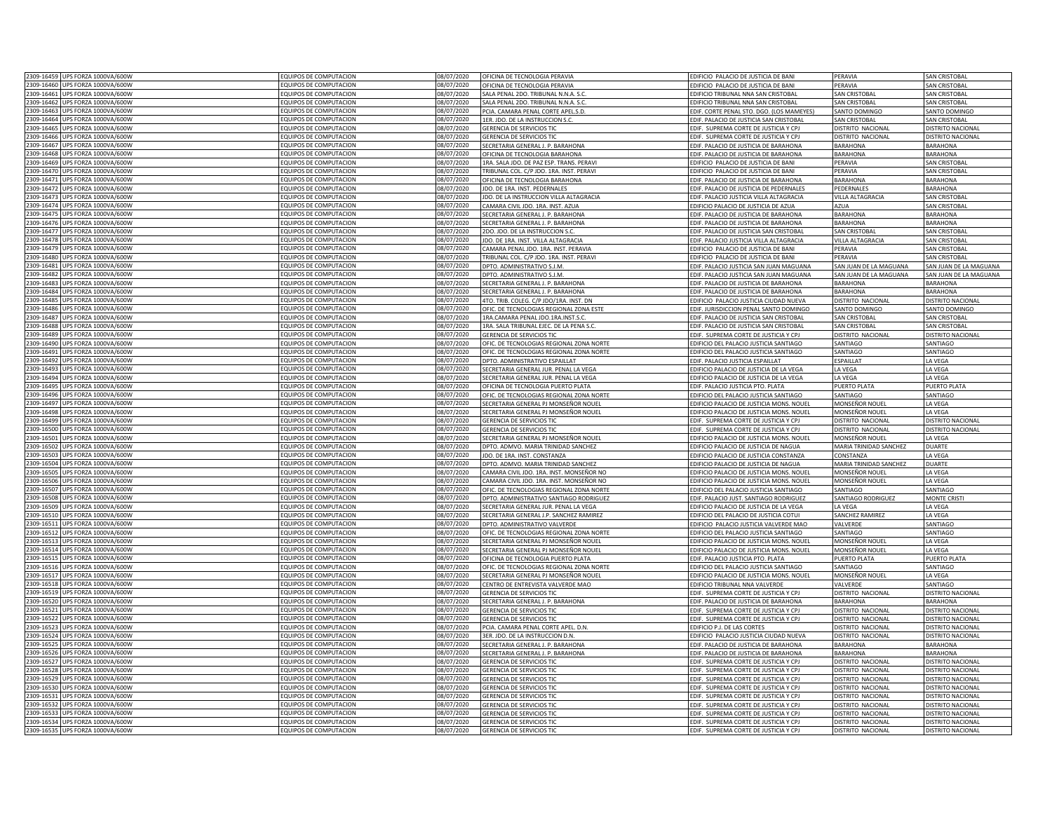| 2309-16459 | UPS FORZA 1000VA/600V            | <b>FOUIPOS DE COMPUTACION</b> | 08/07/2020 | OFICINA DE TECNOLOGIA PERAVIA            | EDIFICIO PALACIO DE JUSTICIA DE BANI       | PERAVIA                  | SAN CRISTOBAL            |
|------------|----------------------------------|-------------------------------|------------|------------------------------------------|--------------------------------------------|--------------------------|--------------------------|
| 2309-16460 | JPS FORZA 1000VA/600W            | FOUIPOS DE COMPUTACION        | 08/07/2020 | OFICINA DE TECNOLOGIA PERAVIA            | EDIFICIO PALACIO DE IUSTICIA DE BAN        | PFRAVIA                  | SAN CRISTOBA             |
|            |                                  |                               |            |                                          |                                            |                          |                          |
| 2309-16461 | UPS FORZA 1000VA/600W            | EQUIPOS DE COMPUTACION        | 08/07/2020 | SALA PENAL 2DO. TRIBUNAL N.N.A. S.C      | <b>FDIFICIO TRIBUNAL NNA SAN CRISTOBAL</b> | SAN CRISTOBAL            | <b>SAN CRISTOBAL</b>     |
| 2309-16462 | UPS FORZA 1000VA/600W            | EQUIPOS DE COMPUTACION        | 08/07/2020 | SALA PENAL 2DO. TRIBUNAL N.N.A. S.C.     | EDIFICIO TRIBUNAL NNA SAN CRISTOBAL        | SAN CRISTOBAL            | <b>SAN CRISTOBAL</b>     |
| 2309-16463 | UPS FORZA 1000VA/600W            | EQUIPOS DE COMPUTACION        | 08/07/2020 | PCIA. CAMARA PENAL CORTE APEL.S.D.       | EDIF. CORTE PENAL STO. DGO. (LOS MAMEYES)  | SANTO DOMINGO            | SANTO DOMINGO            |
| 2309-16464 | UPS FORZA 1000VA/600W            | EQUIPOS DE COMPUTACION        | 08/07/2020 | 1ER. JDO. DE LA INSTRUCCION S.C.         | EDIF, PALACIO DE JUSTICIA SAN CRISTOBAL    | <b>SAN CRISTOBAL</b>     | <b>SAN CRISTOBAL</b>     |
| 2309-16465 | UPS FORZA 1000VA/600W            | FOUIPOS DE COMPUTACION        | 08/07/2020 | <b>GERENCIA DE SERVICIOS TIC</b>         | EDIF. SUPREMA CORTE DE JUSTICIA Y CPJ      | DISTRITO NACIONAL        | <b>JISTRITO NACIONAL</b> |
| 2309-16466 | UPS FORZA 1000VA/600W            | <b>EQUIPOS DE COMPUTACION</b> | 08/07/2020 | <b>GERENCIA DE SERVICIOS TIC</b>         |                                            |                          | <b>DISTRITO NACIONAL</b> |
|            |                                  |                               |            |                                          | EDIF. SUPREMA CORTE DE JUSTICIA Y CPJ      | <b>DISTRITO NACIONAL</b> |                          |
| 2309-16467 | UPS FORZA 1000VA/600W            | <b>EQUIPOS DE COMPUTACION</b> | 08/07/2020 | SECRETARIA GENERAL J. P. BARAHONA        | EDIF. PALACIO DE JUSTICIA DE BARAHONA      | <b>BARAHONA</b>          | <b>BARAHONA</b>          |
| 2309-16468 | IPS FORZA 1000VA/600W            | EQUIPOS DE COMPUTACION        | 08/07/2020 | <b>DFICINA DE TECNOLOGIA BARAHONA</b>    | EDIF. PALACIO DE JUSTICIA DE BARAHONA      | ARAHONA                  | <b>BARAHONA</b>          |
| 2309-16469 | UPS FORZA 1000VA/600W            | EQUIPOS DE COMPUTACION        | 08/07/2020 | IRA. SALA JDO. DE PAZ ESP. TRANS. PERAV  | EDIFICIO PALACIO DE JUSTICIA DE BANI       | PFRAVIA                  | SAN CRISTOBA             |
| 2309-16470 | UPS FORZA 1000VA/600W            | EQUIPOS DE COMPUTACION        | 08/07/2020 | TRIBUNAL COL. C/P JDO. 1RA. INST. PERAVI | EDIFICIO PALACIO DE JUSTICIA DE BANI       | PERAVIA                  | <b>SAN CRISTOBAL</b>     |
|            |                                  |                               |            |                                          |                                            |                          |                          |
|            | 2309-16471 UPS FORZA 1000VA/600W | EQUIPOS DE COMPUTACION        | 08/07/2020 | OFICINA DE TECNOLOGIA BARAHONA           | EDIF. PALACIO DE JUSTICIA DE BARAHONA      | <b>BARAHONA</b>          | <b>BARAHONA</b>          |
| 2309-16472 | UPS FORZA 1000VA/600W            | EQUIPOS DE COMPUTACION        | 08/07/2020 | IDO. DE 1RA. INST. PEDERNALES            | EDIF. PALACIO DE JUSTICIA DE PEDERNALE!    | PEDERNALE!               | BARAHONA                 |
| 2309-16473 | UPS FORZA 1000VA/600W            | EQUIPOS DE COMPUTACION        | 08/07/2020 | IDO. DE LA INSTRUCCION VILLA ALTAGRACIA  | EDIF. PALACIO JUSTICIA VILLA ALTAGRACIA    | <b>ILLA ALTAGRACIA</b>   | SAN CRISTOBA             |
| 2309-16474 | UPS FORZA 1000VA/600W            | EQUIPOS DE COMPUTACION        | 08/07/2020 | CAMARA CIVIL IDO, 1RA, INST. AZUA        | EDIFICIO PALACIO DE JUSTICIA DE AZUA       | A7LIA                    | <b>SAN CRISTOBAL</b>     |
| 2309-16475 | UPS FORZA 1000VA/600W            | EQUIPOS DE COMPUTACION        | 08/07/2020 | SECRETARIA GENERAL J. P. BARAHONA        | EDIF, PALACIO DE JUSTICIA DE BARAHONA      | BARAHONA                 | <b>BARAHONA</b>          |
|            |                                  |                               |            |                                          |                                            |                          |                          |
| 2309-16476 | UPS FORZA 1000VA/600W            | EQUIPOS DE COMPUTACION        | 08/07/2020 | SECRETARIA GENERAL J. P. BARAHONA        | EDIF. PALACIO DE JUSTICIA DE BARAHONA      | <b>BARAHONA</b>          | <b>BARAHONA</b>          |
| 2309-16477 | UPS FORZA 1000VA/600W            | EQUIPOS DE COMPUTACION        | 08/07/2020 | 2DO. JDO. DE LA INSTRUCCION S.C.         | EDIF. PALACIO DE JUSTICIA SAN CRISTOBAL    | SAN CRISTOBAL            | SAN CRISTOBAL            |
| 2309-16478 | UPS FORZA 1000VA/600W            | EQUIPOS DE COMPUTACION        | 08/07/2020 | JDO. DE 1RA. INST. VILLA ALTAGRACIA      | EDIF. PALACIO JUSTICIA VILLA ALTAGRACIA    | VILLA ALTAGRACIA         | <b>SAN CRISTOBAL</b>     |
| 2309-16479 | UPS FORZA 1000VA/600W            | EQUIPOS DE COMPUTACION        | 08/07/2020 | CAMARA PENAL JDO. 1RA. INST. PERAVIA     | EDIFICIO PALACIO DE JUSTICIA DE BANI       | PERAVIA                  | <b>SAN CRISTOBAL</b>     |
| 2309-16480 | UPS FORZA 1000VA/600W            | EQUIPOS DE COMPUTACION        | 08/07/2020 |                                          |                                            | PERAVIA                  |                          |
|            |                                  |                               |            | TRIBUNAL COL. C/P JDO. 1RA. INST. PERAVI | EDIFICIO PALACIO DE JUSTICIA DE BANI       |                          | <b>SAN CRISTOBAL</b>     |
| 2309-16481 | JPS FORZA 1000VA/600W            | EQUIPOS DE COMPUTACION        | 08/07/2020 | DPTO. ADMINISTRATIVO S.J.M.              | EDIF. PALACIO JUSTICIA SAN JUAN MAGUANA    | SAN JUAN DE LA MAGUANA   | SAN JUAN DE LA MAGUANA   |
| 2309-16482 | JPS FORZA 1000VA/600W            | <b>EQUIPOS DE COMPUTACION</b> | 08/07/2020 | DPTO. ADMINISTRATIVO S.J.M.              | EDIF. PALACIO JUSTICIA SAN JUAN MAGUANA    | AN JUAN DE LA MAGUANA    | SAN JUAN DE LA MAGUANA   |
| 2309-16483 | IPS FORZA 1000VA/600W            | <b>EQUIPOS DE COMPUTACION</b> | 08/07/2020 | SECRETARIA GENERAL J. P. BARAHONA        | DIF, PALACIO DE JUSTICIA DE BARAHONA       | <b>ARAHONA</b>           | BARAHONA                 |
| 2309-16484 | IPS FORZA 1000VA/600W            | FOUIPOS DE COMPUTACION        | 08/07/2020 | ECRETARIA GENERAL J. P. BARAHONA         | EDIF. PALACIO DE JUSTICIA DE BARAHONA      | <b>BARAHONA</b>          | <b>BARAHONA</b>          |
| 2309-16485 | IPS FORZA 1000VA/600W            | <b>EQUIPOS DE COMPUTACION</b> | 08/07/2020 | 4TO, TRIB, COLEG, C/P JDO/1RA, INST, DN  | EDIFICIO PALACIO JUSTICIA CIUDAD NUEVA     | ISTRITO NACIONAL         | <b>ISTRITO NACIONAL</b>  |
|            |                                  |                               |            |                                          |                                            |                          |                          |
| 2309-16486 | UPS FORZA 1000VA/600W            | EQUIPOS DE COMPUTACION        | 08/07/2020 | OFIC. DE TECNOLOGIAS REGIONAL ZONA ESTI  | EDIF. JURISDICCION PENAL SANTO DOMINGO     | <b>ANTO DOMING</b>       | ANTO DOMING              |
| 2309-16487 | UPS FORZA 1000VA/600W            | EQUIPOS DE COMPUTACION        | 08/07/2020 | 1RA.CAMARA PENAL JDO.1RA.INST.S.C        | EDIF. PALACIO DE JUSTICIA SAN CRISTOBAL    | <b>SAN CRISTOBAL</b>     | SAN CRISTOBAL            |
| 2309-16488 | UPS FORZA 1000VA/600W            | EQUIPOS DE COMPUTACION        | 08/07/2020 | 1RA. SALA TRIBUNAL EJEC. DE LA PENA S.C. | EDIF. PALACIO DE JUSTICIA SAN CRISTOBAL    | SAN CRISTOBAL            | <b>SAN CRISTOBAL</b>     |
| 2309-16489 | UPS FORZA 1000VA/600W            | FOUIPOS DE COMPUTACION        | 08/07/2020 | <b>GERENCIA DE SERVICIOS TI</b>          | EDIF. SUPREMA CORTE DE JUSTICIA Y CPJ      | <b>ISTRITO NACIONAL</b>  | DISTRITO NACIONA         |
| 2309-16490 | UPS FORZA 1000VA/600W            | EQUIPOS DE COMPUTACION        | 08/07/2020 | OFIC. DE TECNOLOGIAS REGIONAL ZONA NORT  | EDIFICIO DEL PALACIO ILISTICIA SANTIAGO    | <b>ANTIAGO</b>           | SANTIAGO                 |
|            |                                  |                               |            |                                          |                                            |                          |                          |
| 2309-16491 | JPS FORZA 1000VA/600W            | FOUIPOS DE COMPUTACION        | 08/07/2020 | OFIC. DE TECNOLOGIAS REGIONAL ZONA NORTE | EDIFICIO DEL PALACIO JUSTICIA SANTIAGO     | <b>ANTIAGO</b>           | SANTIAGO                 |
| 2309-16492 | UPS FORZA 1000VA/600W            | FOUIPOS DE COMPUTACION        | 08/07/2020 | DPTO. ADMINISTRATIVO ESPAILLAT           | EDIF. PALACIO JUSTICIA ESPAILLAT           | <b>FSPAILLAT</b>         | LA VEGA                  |
| 2309-16493 | UPS FORZA 1000VA/600W            | EQUIPOS DE COMPUTACION        | 08/07/2020 | SECRETARIA GENERAL JUR. PENAL LA VEGA    | EDIFICIO PALACIO DE JUSTICIA DE LA VEGA    | LA VEGA                  | LA VEGA                  |
| 2309-16494 | UPS FORZA 1000VA/600W            | EQUIPOS DE COMPUTACION        | 08/07/2020 | SECRETARIA GENERAL JUR. PENAL LA VEGA    | EDIFICIO PALACIO DE JUSTICIA DE LA VEGA    | LA VEGA                  | LA VEGA                  |
| 2309-16495 |                                  |                               |            |                                          |                                            |                          |                          |
|            | UPS FORZA 1000VA/600W            | EQUIPOS DE COMPUTACION        | 08/07/2020 | OFICINA DE TECNOLOGIA PUERTO PLATA       | EDIF. PALACIO JUSTICIA PTO. PLATA          | PUERTO PLATA             | PUERTO PLATA             |
| 2309-16496 | UPS FORZA 1000VA/600W            | EQUIPOS DE COMPUTACION        | 08/07/2020 | OFIC. DE TECNOLOGIAS REGIONAL ZONA NORTE | EDIFICIO DEL PALACIO JUSTICIA SANTIAGO     | SANTIAGO                 | SANTIAGO                 |
| 2309-16497 | UPS FORZA 1000VA/600W            | FOUIPOS DE COMPUTACION        | 08/07/2020 | SECRETARIA GENERAL PJ MONSEÑOR NOUEL     | EDIFICIO PALACIO DE JUSTICIA MONS. NOUEL   | <b>MONSEÑOR NOUEL</b>    | LA VEGA                  |
| 2309-16498 | UPS FORZA 1000VA/600W            | EQUIPOS DE COMPUTACION        | 08/07/2020 | SECRETARIA GENERAL PJ MONSEÑOR NOUEL     | EDIFICIO PALACIO DE JUSTICIA MONS. NOUEL   | <b>MONSEÑOR NOUEL</b>    | LA VEGA                  |
| 2309-16499 | UPS FORZA 1000VA/600W            | <b>EQUIPOS DE COMPUTACION</b> | 08/07/2020 | <b>GERENCIA DE SERVICIOS TIC</b>         | EDIF. SUPREMA CORTE DE JUSTICIA Y CPJ      | <b>ISTRITO NACIONAL</b>  | <b>DISTRITO NACIONAL</b> |
| 2309-16500 | JPS FORZA 1000VA/600W            | EQUIPOS DE COMPUTACION        | 08/07/2020 | <b>SERENCIA DE SERVICIOS TIC</b>         | EDIF. SUPREMA CORTE DE JUSTICIA Y CPJ      | <b>ISTRITO NACIONAL</b>  | <b>DISTRITO NACIONAL</b> |
|            |                                  |                               |            |                                          |                                            |                          |                          |
| 2309-16501 | UPS FORZA 1000VA/600W            | EQUIPOS DE COMPUTACION        | 08/07/2020 | SECRETARIA GENERAL PJ MONSEÑOR NOUEL     | EDIFICIO PALACIO DE JUSTICIA MONS. NOUEL   | MONSEÑOR NOUEL           | A VEGA                   |
| 2309-16502 | UPS FORZA 1000VA/600W            | EQUIPOS DE COMPUTACION        | 08/07/2020 | DPTO. ADMVO. MARIA TRINIDAD SANCHEZ      | EDIFICIO PALACIO DE JUSTICIA DE NAGUA      | MARIA TRINIDAD SANCHEZ   | DUARTE                   |
| 2309-16503 | UPS FORZA 1000VA/600W            | EQUIPOS DE COMPUTACION        | 08/07/2020 | IDO. DE 1RA. INST. CONSTANZA             | EDIFICIO PALACIO DE JUSTICIA CONSTANZA     | CONSTANZA                | A VEGA                   |
| 2309-16504 | UPS FORZA 1000VA/600W            | EQUIPOS DE COMPUTACION        | 08/07/2020 | DPTO. ADMVO. MARIA TRINIDAD SANCHEZ      | EDIFICIO PALACIO DE JUSTICIA DE NAGUA      | MARIA TRINIDAD SANCHEZ   | <b>OUARTE</b>            |
| 2309-16505 | UPS FORZA 1000VA/600W            | EQUIPOS DE COMPUTACION        | 08/07/2020 | CAMARA CIVIL JDO. 1RA. INST. MONSEÑOR NO | EDIFICIO PALACIO DE JUSTICIA MONS. NOUEL   | MONSEÑOR NOUE            | A VEGA                   |
| 2309-16506 | UPS FORZA 1000VA/600W            | EQUIPOS DE COMPUTACION        | 08/07/2020 | CAMARA CIVIL JDO. 1RA. INST. MONSEÑOR NO |                                            |                          | LA VEGA                  |
|            |                                  |                               |            |                                          | EDIFICIO PALACIO DE JUSTICIA MONS. NOUEL   | <b>MONSEÑOR NOUEL</b>    |                          |
| 2309-16507 | UPS FORZA 1000VA/600W            | EQUIPOS DE COMPUTACION        | 08/07/2020 | OFIC. DE TECNOLOGIAS REGIONAL ZONA NORTE | EDIFICIO DEL PALACIO JUSTICIA SANTIAGO     | <b>ANTIAGO</b>           | SANTIAGO                 |
| 2309-16508 | UPS FORZA 1000VA/600W            | EQUIPOS DE COMPUTACION        | 08/07/2020 | DPTO. ADMINISTRATIVO SANTIAGO RODRIGUEZ  | EDIF. PALACIO JUST. SANTIAGO RODRIGUEZ     | <b>ANTIAGO RODRIGUEZ</b> | <b>MONTE CRIST</b>       |
| 2309-16509 | UPS FORZA 1000VA/600W            | EQUIPOS DE COMPUTACION        | 08/07/2020 | SECRETARIA GENERAL JUR. PENAL LA VEGA    | EDIFICIO PALACIO DE JUSTICIA DE LA VEGA    | LA VEGA                  | LA VEGA                  |
| 2309-16510 | UPS FORZA 1000VA/600W            | EQUIPOS DE COMPUTACION        | 08/07/2020 | SECRETARIA GENERAL J.P. SANCHEZ RAMIREZ  | EDIFICIO DEL PALACIO DE JUSTICIA COTUI     | SANCHEZ RAMIREZ          | LA VEGA                  |
|            |                                  |                               |            |                                          |                                            |                          |                          |
| 2309-16511 | UPS FORZA 1000VA/600W            | EQUIPOS DE COMPUTACION        | 08/07/2020 | DPTO. ADMINISTRATIVO VALVERDE            | EDIFICIO PALACIO JUSTICIA VALVERDE MAO     | VALVERDE                 | SANTIAGO                 |
| 2309-16512 | UPS FORZA 1000VA/600W            | <b>EQUIPOS DE COMPUTACION</b> | 08/07/2020 | OFIC. DE TECNOLOGIAS REGIONAL ZONA NORTE | EDIFICIO DEL PALACIO JUSTICIA SANTIAGO     | SANTIAGO                 | SANTIAGO                 |
| 2309-16513 | UPS FORZA 1000VA/600W            | FOUIPOS DE COMPUTACION        | 08/07/2020 | SECRETARIA GENERAL PJ MONSEÑOR NOUEL     | EDIFICIO PALACIO DE JUSTICIA MONS. NOUEL   | MONSEÑOR NOUEL           | <b>A VFGA</b>            |
| 2309-16514 | UPS FORZA 1000VA/600W            | <b>EQUIPOS DE COMPUTACION</b> | 18/07/2020 | SECRETARIA GENERAL PI MONSEÑOR NOLIEI    | EDIFICIO PALACIO DE JUSTICIA MONS. NOUEL   | <b>MONSEÑOR NOLIEI</b>   | A VEGA                   |
| 2309-16515 | PS FORZA 1000VA/600W             | <b>EQUIPOS DE COMPUTACION</b> | 08/07/2020 | OFICINA DE TECNOLOGIA PUERTO PLATA       | EDIF, PALACIO JUSTICIA PTO, PLATA          | <b>UERTO PLATA</b>       | UERTO PLATA              |
| 2309-16516 | IPS FORZA 1000VA/600W            | OUIPOS DE COMPUTACION         |            |                                          |                                            |                          |                          |
|            |                                  |                               | 08/07/2020 | OFIC. DE TECNOLOGIAS REGIONAL ZONA NORTE | EDIFICIO DEL PALACIO JUSTICIA SANTIAGO     | <b>ANTIAGO</b>           | <b>ANTIAGO</b>           |
| 2309-16517 | JPS FORZA 1000VA/600W            | <b>EQUIPOS DE COMPUTACION</b> | 08/07/2020 | ECRETARIA GENERAL PJ MONSEÑOR NOUEI      | EDIFICIO PALACIO DE JUSTICIA MONS, NOUEL   | MONSEÑOR NOUEL           | A VEGA                   |
| 2309-16518 | UPS FORZA 1000VA/600W            | EQUIPOS DE COMPUTACION        | 08/07/2020 | CENTRO DE ENTREVISTA VALVERDE MAO        | EDIFICIO TRIBUNAL NNA VALVERDE             | VALVERDE                 | SANTIAGO                 |
| 2309-16519 | UPS FORZA 1000VA/600W            | <b>EQUIPOS DE COMPUTACION</b> | 08/07/2020 | GERENCIA DE SERVICIOS TIC                | EDIF. SUPREMA CORTE DE JUSTICIA Y CPJ      | DISTRITO NACIONAL        | DISTRITO NACIONAL        |
| 2309-16520 | JPS FORZA 1000VA/600W            | <b>FOUIPOS DE COMPUTACION</b> | 08/07/2020 | SECRETARIA GENERAL J. P. BARAHONA        | EDIF. PALACIO DE JUSTICIA DE BARAHONA      | <b>BARAHONA</b>          | <b>BARAHONA</b>          |
| 2309-16521 | JPS FORZA 1000VA/600W            | FOUIPOS DE COMPUTACION        | 08/07/2020 |                                          |                                            |                          |                          |
|            |                                  |                               |            | <b>GERENCIA DE SERVICIOS TIC</b>         | EDIF. SUPREMA CORTE DE JUSTICIA Y CPJ      | ISTRITO NACIONAL         | <b>DISTRITO NACIONAL</b> |
| 2309-16522 | UPS FORZA 1000VA/600W            | EQUIPOS DE COMPUTACION        | 08/07/2020 | <b>GERENCIA DE SERVICIOS TIC</b>         | EDIF. SUPREMA CORTE DE JUSTICIA Y CPJ      | ISTRITO NACIONA          | <b>JISTRITO NACIONA</b>  |
| 2309-16523 | UPS FORZA 1000VA/600W            | EQUIPOS DE COMPUTACION        | 08/07/2020 | PCIA. CAMARA PENAL CORTE APEL. D.N.      | EDIFICIO P.J. DE LAS CORTES                | <b>DISTRITO NACIONAL</b> | <b>DISTRITO NACIONAL</b> |
| 2309-16524 | UPS FORZA 1000VA/600W            | EQUIPOS DE COMPUTACION        | 08/07/2020 | <b>3ER. JDO. DE LA INSTRUCCION D.N</b>   | EDIFICIO PALACIO JUSTICIA CIUDAD NUEVA     | <b>DISTRITO NACIONAL</b> | <b>DISTRITO NACIONAL</b> |
| 2309-16525 | UPS FORZA 1000VA/600W            | EQUIPOS DE COMPUTACION        | 08/07/2020 | SECRETARIA GENERAL J. P. BARAHONA        | EDIF. PALACIO DE JUSTICIA DE BARAHONA      | <b>BARAHONA</b>          | <b>BARAHONA</b>          |
| 2309-16526 |                                  |                               |            |                                          |                                            |                          |                          |
|            | UPS FORZA 1000VA/600W            | EQUIPOS DE COMPUTACION        | 08/07/2020 | SECRETARIA GENERAL J. P. BARAHONA        | EDIF. PALACIO DE JUSTICIA DE BARAHONA      | <b>BARAHONA</b>          | <b>BARAHONA</b>          |
| 2309-16527 | UPS FORZA 1000VA/600W            | EQUIPOS DE COMPUTACION        | 08/07/2020 | <b>GERENCIA DE SERVICIOS TIC</b>         | EDIF. SUPREMA CORTE DE JUSTICIA Y CPJ      | DISTRITO NACIONAL        | DISTRITO NACIONAL        |
| 2309-16528 | UPS FORZA 1000VA/600W            | EQUIPOS DE COMPUTACION        | 08/07/2020 | <b>GERENCIA DE SERVICIOS TIC</b>         | EDIF. SUPREMA CORTE DE JUSTICIA Y CPJ      | DISTRITO NACIONAL        | <b>DISTRITO NACIONAL</b> |
| 2309-16529 | UPS FORZA 1000VA/600W            | FOUIPOS DE COMPUTACION        | 08/07/2020 | <b>GERENCIA DE SERVICIOS TIC</b>         | EDIF. SUPREMA CORTE DE JUSTICIA Y CPJ      | DISTRITO NACIONAL        | <b>DISTRITO NACIONAL</b> |
| 2309-16530 | UPS FORZA 1000VA/600W            | <b>EQUIPOS DE COMPUTACION</b> | 08/07/2020 | <b>GERENCIA DE SERVICIOS TIC</b>         | FDIE. SUPREMA CORTE DE IUSTICIA Y CPI      | <b>DISTRITO NACIONAL</b> | <b>DISTRITO NACIONAL</b> |
| 2309-16531 |                                  |                               |            |                                          |                                            |                          |                          |
|            | UPS FORZA 1000VA/600W            | <b>EQUIPOS DE COMPUTACION</b> | 08/07/2020 | <b>GERENCIA DE SERVICIOS TIC</b>         | EDIF. SUPREMA CORTE DE JUSTICIA Y CPJ      | <b>DISTRITO NACIONAL</b> | <b>DISTRITO NACIONAL</b> |
| 2309-16532 | UPS FORZA 1000VA/600W            | <b>QUIPOS DE COMPUTACION</b>  | 08/07/2020 | <b>SERENCIA DE SERVICIOS TIC</b>         | EDIF. SUPREMA CORTE DE JUSTICIA Y CPJ      | ISTRITO NACIONAL         | <b>ISTRITO NACIONAL</b>  |
| 2309-16533 | UPS FORZA 1000VA/600W            | EQUIPOS DE COMPUTACION        | 08/07/2020 | <b>SERENCIA DE SERVICIOS TIC</b>         | FDIE. SUPREMA CORTE DE IUSTICIA Y CPI      | ISTRITO NACIONAL         | <b>JISTRITO NACIONAL</b> |
|            | 2309-16534 UPS FORZA 1000VA/600W | EQUIPOS DE COMPUTACION        | 08/07/2020 | GERENCIA DE SERVICIOS TIC                | EDIF. SUPREMA CORTE DE JUSTICIA Y CPJ      | DISTRITO NACIONAL        | DISTRITO NACIONAL        |
|            | 2309-16535 UPS FORZA 1000VA/600W | EQUIPOS DE COMPUTACION        | 08/07/2020 | GERENCIA DE SERVICIOS TIC                | EDIF. SUPREMA CORTE DE JUSTICIA Y CPJ      | DISTRITO NACIONAL        | <b>DISTRITO NACIONAL</b> |
|            |                                  |                               |            |                                          |                                            |                          |                          |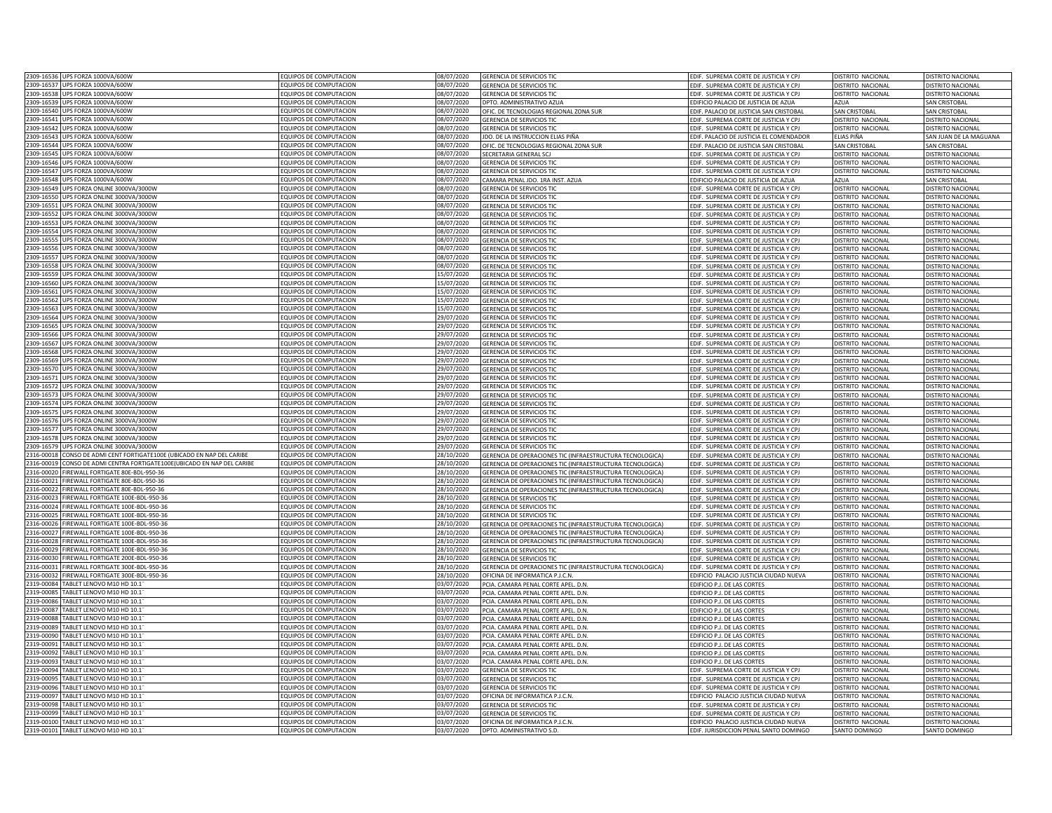|            | 2309-16536 UPS FORZA 1000VA/600W                                  | EQUIPOS DE COMPUTACION                           | 08/07/2020               | <b>GERENCIA DE SERVICIOS TIC</b>                                 | EDIF. SUPREMA CORTE DE JUSTICIA Y CPJ                                            | DISTRITO NACIONAL                  | DISTRITO NACIONAL                  |
|------------|-------------------------------------------------------------------|--------------------------------------------------|--------------------------|------------------------------------------------------------------|----------------------------------------------------------------------------------|------------------------------------|------------------------------------|
| 2309-16537 | UPS FORZA 1000VA/600W                                             | EQUIPOS DE COMPUTACION                           | 08/07/2020               | GERENCIA DE SERVICIOS TIC                                        | EDIF. SUPREMA CORTE DE JUSTICIA Y CPJ                                            | DISTRITO NACIONAL                  | DISTRITO NACIONAL                  |
| 2309-16538 | UPS FORZA 1000VA/600W                                             | EQUIPOS DE COMPUTACION                           | 08/07/2020               | GERENCIA DE SERVICIOS TIC                                        | EDIF. SUPREMA CORTE DE JUSTICIA Y CPJ                                            | DISTRITO NACIONAL                  | DISTRITO NACIONAL                  |
| 2309-16539 | UPS FORZA 1000VA/600W                                             | <b>EQUIPOS DE COMPUTACION</b>                    | 08/07/2020               |                                                                  |                                                                                  | <b>AZUA</b>                        |                                    |
| 2309-16540 |                                                                   |                                                  |                          | DPTO. ADMINISTRATIVO AZUA                                        | EDIFICIO PALACIO DE JUSTICIA DE AZUA                                             |                                    | <b>SAN CRISTOBAL</b>               |
|            | UPS FORZA 1000VA/600W                                             | EQUIPOS DE COMPUTACION                           | 08/07/2020               | OFIC. DE TECNOLOGIAS REGIONAL ZONA SUR                           | EDIF. PALACIO DE JUSTICIA SAN CRISTOBAL                                          | <b>SAN CRISTOBAL</b>               | SAN CRISTOBAL                      |
| 2309-16541 | UPS FORZA 1000VA/600W                                             | FOUIPOS DE COMPUTACION                           | 08/07/2020               | <b>GERENCIA DE SERVICIOS TIC</b>                                 | EDIF. SUPREMA CORTE DE JUSTICIA Y CPJ                                            | <b>DISTRITO NACIONAL</b>           | DISTRITO NACIONAL                  |
| 2309-16542 | UPS FORZA 1000VA/600W                                             | <b>EQUIPOS DE COMPUTACION</b>                    | 08/07/2020               | <b>GERENCIA DE SERVICIOS TIC</b>                                 | EDIF. SUPREMA CORTE DE JUSTICIA Y CPJ                                            | <b>DISTRITO NACIONAL</b>           | <b>DISTRITO NACIONAL</b>           |
| 2309-16543 | UPS FORZA 1000VA/600W                                             | <b>EQUIPOS DE COMPUTACION</b>                    | 08/07/2020               | IDO. DE LA INSTRUCCION ELIAS PIÑA                                | EDIF. PALACIO DE JUSTICIA EL COMENDADOR                                          | LIAS PIÑA                          | AN JUAN DE LA MAGUANA              |
| 2309-16544 | UPS FORZA 1000VA/600W                                             | EQUIPOS DE COMPUTACION                           | 08/07/2020               | OFIC. DE TECNOLOGIAS REGIONAL ZONA SUR                           | EDIF. PALACIO DE JUSTICIA SAN CRISTOBAL                                          | AN CRISTOBAL                       | SAN CRISTOBAL                      |
| 2309-16545 | UPS FORZA 1000VA/600W                                             | EQUIPOS DE COMPUTACION                           | 08/07/2020               | <b>SECRETARIA GENERAL SCI</b>                                    | EDIF. SUPREMA CORTE DE JUSTICIA Y CPJ                                            | <b>JISTRITO NACIONAL</b>           | DISTRITO NACIONAL                  |
| 2309-16546 | UPS FORZA 1000VA/600W                                             | <b>EQUIPOS DE COMPUTACION</b>                    | 08/07/2020               | <b>GERENCIA DE SERVICIOS TIC</b>                                 | EDIF. SUPREMA CORTE DE JUSTICIA Y CPJ                                            | DISTRITO NACIONAL                  | DISTRITO NACIONAL                  |
| 2309-16547 | UPS FORZA 1000VA/600W                                             | EQUIPOS DE COMPUTACION                           | 08/07/2020               | <b>GERENCIA DE SERVICIOS TIO</b>                                 | EDIF. SUPREMA CORTE DE JUSTICIA Y CPJ                                            | DISTRITO NACIONAL                  | DISTRITO NACIONAL                  |
| 2309-16548 | UPS FORZA 1000VA/600W                                             | EQUIPOS DE COMPUTACION                           | 08/07/2020               | CAMARA PENAL JDO. 1RA INST. AZUA                                 | EDIFICIO PALACIO DE JUSTICIA DE AZUA                                             | A7UA                               | <b>SAN CRISTOBAL</b>               |
| 2309-16549 | UPS FORZA ONLINE 3000VA/3000W                                     | EQUIPOS DE COMPUTACION                           | 08/07/2020               | GERENCIA DE SERVICIOS TIC                                        | EDIF. SUPREMA CORTE DE JUSTICIA Y CPJ                                            | <b>DISTRITO NACIONAL</b>           | <b>DISTRITO NACIONA</b>            |
| 2309-16550 | UPS FORZA ONLINE 3000VA/3000W                                     | EQUIPOS DE COMPUTACION                           | 08/07/2020               | <b>GERENCIA DE SERVICIOS TIC</b>                                 | EDIF. SUPREMA CORTE DE JUSTICIA Y CPJ                                            | <b>DISTRITO NACIONAL</b>           | <b>DISTRITO NACIONAL</b>           |
|            |                                                                   |                                                  |                          |                                                                  |                                                                                  |                                    |                                    |
| 2309-16551 | UPS FORZA ONLINE 3000VA/3000W                                     | EQUIPOS DE COMPUTACION                           | 08/07/2020               | <b>GERENCIA DE SERVICIOS TIC</b>                                 | EDIF. SUPREMA CORTE DE JUSTICIA Y CPJ                                            | <b>DISTRITO NACIONAL</b>           | <b>DISTRITO NACIONAL</b>           |
| 2309-16552 | UPS FORZA ONLINE 3000VA/3000W                                     | EQUIPOS DE COMPUTACION                           | 08/07/2020               | <b>GERENCIA DE SERVICIOS TIC</b>                                 | EDIF. SUPREMA CORTE DE JUSTICIA Y CPJ                                            | <b>DISTRITO NACIONAL</b>           | <b>ISTRITO NACIONAL</b>            |
| 2309-16553 | UPS FORZA ONLINE 3000VA/3000W                                     | EQUIPOS DE COMPUTACION                           | 08/07/2020               | GERENCIA DE SERVICIOS TIC                                        | EDIF. SUPREMA CORTE DE JUSTICIA Y CPJ                                            | DISTRITO NACIONAL                  | DISTRITO NACIONAL                  |
| 2309-16554 | UPS FORZA ONLINE 3000VA/3000W                                     | EQUIPOS DE COMPUTACION                           | 08/07/2020               | GERENCIA DE SERVICIOS TIC                                        | EDIF. SUPREMA CORTE DE JUSTICIA Y CPJ                                            | DISTRITO NACIONAL                  | DISTRITO NACIONAL                  |
| 2309-16555 | UPS FORZA ONLINE 3000VA/3000W                                     | EQUIPOS DE COMPUTACION                           | 08/07/2020               | <b>GERENCIA DE SERVICIOS TIC</b>                                 | EDIF. SUPREMA CORTE DE JUSTICIA Y CPJ                                            | DISTRITO NACIONAL                  | DISTRITO NACIONAL                  |
| 2309-16556 | UPS FORZA ONLINE 3000VA/3000W                                     | FOUIPOS DE COMPUTACION                           | 08/07/2020               | <b>GERENCIA DE SERVICIOS TIC</b>                                 | EDIF. SUPREMA CORTE DE JUSTICIA Y CPJ                                            | <b>DISTRITO NACIONAL</b>           | <b>DISTRITO NACIONAL</b>           |
| 2309-16557 | UPS FORZA ONLINE 3000VA/3000W                                     | <b>EQUIPOS DE COMPUTACION</b>                    | 08/07/2020               | <b>GERENCIA DE SERVICIOS TIC</b>                                 | EDIF. SUPREMA CORTE DE JUSTICIA Y CPJ                                            | <b>ISTRITO NACIONAL</b>            | <b>ISTRITO NACIONAL</b>            |
| 2309-16558 | JPS FORZA ONLINE 3000VA/3000W                                     | EQUIPOS DE COMPUTACION                           | 08/07/2020               | <b>GERENCIA DE SERVICIOS TIC</b>                                 | EDIF. SUPREMA CORTE DE JUSTICIA Y CPJ                                            | DISTRITO NACIONAL                  | <b>DISTRITO NACIONAL</b>           |
| 2309-1655  | PS FORZA ONLINE 3000VA/3000W                                      | OUIPOS DE COMPUTACION                            | 15/07/2020               | <b>SERENCIA DE SERVICIOS TIC</b>                                 | EDIF. SUPREMA CORTE DE JUSTICIA Y CPJ                                            | ISTRITO NACIONAL                   | <b>ISTRITO NACIONAL</b>            |
|            |                                                                   |                                                  |                          |                                                                  |                                                                                  |                                    |                                    |
| 2309-16560 | UPS FORZA ONLINE 3000VA/3000W                                     | <b>EQUIPOS DE COMPUTACION</b>                    | 15/07/2020               | <b>SERENCIA DE SERVICIOS TIC</b>                                 | EDIF. SUPREMA CORTE DE JUSTICIA Y CPJ                                            | ISTRITO NACIONAL                   | <b>ISTRITO NACIONAL</b>            |
| 2309-16561 | JPS FORZA ONLINE 3000VA/3000W                                     | <b>EQUIPOS DE COMPUTACION</b>                    | 15/07/2020               | <b>GERENCIA DE SERVICIOS TIC</b>                                 | EDIF. SUPREMA CORTE DE JUSTICIA Y CPJ                                            | <b>DISTRITO NACIONAL</b>           | DISTRITO NACIONAL                  |
| 2309-16562 | UPS FORZA ONLINE 3000VA/3000W                                     | EQUIPOS DE COMPUTACION                           | 15/07/2020               | <b>GERENCIA DE SERVICIOS TIC</b>                                 | EDIF. SUPREMA CORTE DE JUSTICIA Y CPJ                                            | <b>DISTRITO NACIONAL</b>           | DISTRITO NACIONAL                  |
| 2309-16563 | UPS FORZA ONLINE 3000VA/3000W                                     | FOUIPOS DE COMPUTACION                           | 15/07/2020               | <b>GERENCIA DE SERVICIOS TIO</b>                                 | EDIF. SUPREMA CORTE DE JUSTICIA Y CPJ                                            | ISTRITO NACIONAL                   | <b>DISTRITO NACIONA</b>            |
| 2309-16564 | UPS FORZA ONLINE 3000VA/3000W                                     | EQUIPOS DE COMPUTACION                           | 29/07/2020               | GERENCIA DE SERVICIOS TIC                                        | EDIF. SUPREMA CORTE DE JUSTICIA Y CPJ                                            | ISTRITO NACIONAL                   | <b>DISTRITO NACIONAL</b>           |
| 2309-16565 | UPS FORZA ONLINE 3000VA/3000W                                     | FOUIPOS DE COMPUTACION                           | 29/07/2020               | <b>GERENCIA DE SERVICIOS TIC</b>                                 | FDIE. SUPREMA CORTE DE IUSTICIA Y CPI                                            | <b>JISTRITO NACIONAL</b>           | DISTRITO NACIONA                   |
| 2309-16566 | UPS FORZA ONLINE 3000VA/3000W                                     | EQUIPOS DE COMPUTACION                           | 29/07/2020               | <b>GERENCIA DE SERVICIOS TIC</b>                                 | EDIF. SUPREMA CORTE DE JUSTICIA Y CPJ                                            | <b>JISTRITO NACIONAL</b>           | DISTRITO NACIONAL                  |
| 2309-16567 | UPS FORZA ONLINE 3000VA/3000W                                     | EQUIPOS DE COMPUTACION                           | 29/07/2020               | <b>GERENCIA DE SERVICIOS TIO</b>                                 | EDIF. SUPREMA CORTE DE JUSTICIA Y CPJ                                            | DISTRITO NACIONAL                  | <b>DISTRITO NACIONAL</b>           |
| 2309-16568 | UPS FORZA ONLINE 3000VA/3000W                                     | EQUIPOS DE COMPUTACION                           | 29/07/2020               | <b>GERENCIA DE SERVICIOS TIC</b>                                 | EDIF. SUPREMA CORTE DE JUSTICIA Y CPJ                                            | <b>JISTRITO NACIONAL</b>           | DISTRITO NACIONAL                  |
| 2309-16569 | UPS FORZA ONLINE 3000VA/3000W                                     | EQUIPOS DE COMPUTACION                           | 29/07/2020               | GERENCIA DE SERVICIOS TIC                                        | EDIF. SUPREMA CORTE DE JUSTICIA Y CPJ                                            | DISTRITO NACIONAL                  | DISTRITO NACIONAL                  |
|            |                                                                   |                                                  |                          |                                                                  |                                                                                  |                                    |                                    |
| 2309-16570 | UPS FORZA ONLINE 3000VA/3000W                                     | EQUIPOS DE COMPUTACION                           | 29/07/2020               | GERENCIA DE SERVICIOS TIC                                        | EDIF. SUPREMA CORTE DE JUSTICIA Y CPJ                                            | DISTRITO NACIONAL                  | DISTRITO NACIONAL                  |
| 2309-16571 | UPS FORZA ONLINE 3000VA/3000W                                     | EQUIPOS DE COMPUTACION                           | 29/07/2020               | <b>GERENCIA DE SERVICIOS TIC</b>                                 | EDIF. SUPREMA CORTE DE JUSTICIA Y CPJ                                            | <b>DISTRITO NACIONAL</b>           | <b>DISTRITO NACIONAL</b>           |
| 2309-16572 | UPS FORZA ONLINE 3000VA/3000W                                     | EQUIPOS DE COMPUTACION                           | 29/07/2020               | <b>GERENCIA DE SERVICIOS TIC</b>                                 | EDIF. SUPREMA CORTE DE JUSTICIA Y CPJ                                            | <b>DISTRITO NACIONAL</b>           | <b>DISTRITO NACIONAL</b>           |
| 2309-16573 | UPS FORZA ONLINE 3000VA/3000W                                     | FOUIPOS DE COMPUTACION                           | 29/07/2020               | <b>GERENCIA DE SERVICIOS TIC</b>                                 | EDIF. SUPREMA CORTE DE JUSTICIA Y CPJ                                            | <b>JISTRITO NACIONAL</b>           | <b>ISTRITO NACIONAL</b>            |
| 2309-16574 | UPS FORZA ONLINE 3000VA/3000W                                     | <b>EQUIPOS DE COMPUTACION</b>                    | 29/07/2020               | <b>SERENCIA DE SERVICIOS TIC</b>                                 | EDIF. SUPREMA CORTE DE JUSTICIA Y CPJ                                            | <b>ISTRITO NACIONAL</b>            | <b>DISTRITO NACIONAL</b>           |
| 2309-16575 | UPS FORZA ONLINE 3000VA/3000W                                     | EQUIPOS DE COMPUTACION                           | 29/07/2020               | <b>GERENCIA DE SERVICIOS TIC</b>                                 | EDIF. SUPREMA CORTE DE JUSTICIA Y CPJ                                            | <b>ISTRITO NACIONAL</b>            | <b>DISTRITO NACIONAL</b>           |
| 2309-16576 | UPS FORZA ONLINE 3000VA/3000W                                     | EQUIPOS DE COMPUTACION                           | 29/07/2020               | <b>GERENCIA DE SERVICIOS TIC</b>                                 | EDIF. SUPREMA CORTE DE JUSTICIA Y CPJ                                            | ISTRITO NACIONAL                   | <b>ISTRITO NACIONAL</b>            |
|            | 2309-16577 UPS FORZA ONLINE 3000VA/3000W                          | EQUIPOS DE COMPUTACION                           | 29/07/2020               | <b>SERENCIA DE SERVICIOS TIO</b>                                 | EDIF. SUPREMA CORTE DE JUSTICIA Y CPJ                                            | <b>ISTRITO NACIONAL</b>            | <b>ISTRITO NACIONAL</b>            |
| 2309-16578 | UPS FORZA ONLINE 3000VA/3000W                                     | EQUIPOS DE COMPUTACION                           | 29/07/2020               | GERENCIA DE SERVICIOS TIC                                        | EDIF. SUPREMA CORTE DE JUSTICIA Y CPJ                                            | DISTRITO NACIONAL                  | DISTRITO NACIONAL                  |
| 2309-16579 |                                                                   |                                                  |                          |                                                                  |                                                                                  |                                    | DISTRITO NACIONAL                  |
|            | UPS FORZA ONLINE 3000VA/3000W                                     | EQUIPOS DE COMPUTACION                           | 29/07/2020               | GERENCIA DE SERVICIOS TIC                                        | EDIF. SUPREMA CORTE DE JUSTICIA Y CPJ                                            | DISTRITO NACIONAL                  |                                    |
| 2316-00018 | CONSO DE ADMI CENT FORTIGATE100E (UBICADO EN NAP DEL CARIBE       | EQUIPOS DE COMPUTACION                           | 28/10/2020               | GERENCIA DE OPERACIONES TIC (INFRAESTRUCTURA TECNOLOGICA)        | EDIF. SUPREMA CORTE DE JUSTICIA Y CPJ                                            | ISTRITO NACIONAL                   | <b>DISTRITO NACIONA</b>            |
| 2316-00019 | ONSO DE ADMI CENTRA FORTIGATE100E(UBICADO EN NAP DEL CARIBE       | EQUIPOS DE COMPUTACION                           | 28/10/2020               | SERENCIA DE OPERACIONES TIC (INFRAESTRUCTURA TECNOLOGICA)        | EDIF. SUPREMA CORTE DE JUSTICIA Y CPJ                                            | <b>ISTRITO NACIONAL</b>            | <b>NISTRITO NACIONA</b>            |
| 2316-0002  | REWALL FORTIGATE 80E-BDL-950-36                                   | EQUIPOS DE COMPUTACION                           | 28/10/2020               | <b>GERENCIA DE OPERACIONES TIC (INFRAESTRUCTURA TECNOLOGICA)</b> | EDIF. SUPREMA CORTE DE JUSTICIA Y CPJ                                            | <b>DISTRITO NACIONAL</b>           | <b>DISTRITO NACIONAL</b>           |
| 2316-00021 | IREWALL FORTIGATE 80E-BDL-950-36                                  | EQUIPOS DE COMPUTACION                           | 28/10/2020               | GERENCIA DE OPERACIONES TIC (INFRAESTRUCTURA TECNOLOGICA)        | EDIF. SUPREMA CORTE DE JUSTICIA Y CPJ                                            | <b>DISTRITO NACIONAL</b>           | <b>DISTRITO NACIONAL</b>           |
| 2316-00022 | IREWALL FORTIGATE 80E-BDL-950-36                                  | EQUIPOS DE COMPUTACION                           | 28/10/2020               | GERENCIA DE OPERACIONES TIC (INFRAESTRUCTURA TECNOLOGICA)        | EDIF. SUPREMA CORTE DE JUSTICIA Y CPJ                                            | <b>DISTRITO NACIONAL</b>           | <b>DISTRITO NACIONAL</b>           |
| 2316-00023 | IREWALL FORTIGATE 100E-BDL-950-36                                 | EQUIPOS DE COMPUTACION                           | 28/10/2020               | GERENCIA DE SERVICIOS TIC                                        | EDIF. SUPREMA CORTE DE JUSTICIA Y CPJ                                            | DISTRITO NACIONAL                  | DISTRITO NACIONAL                  |
| 2316-00024 | IREWALL FORTIGATE 100E-BDL-950-36                                 | EQUIPOS DE COMPUTACION                           | 28/10/2020               | GERENCIA DE SERVICIOS TIC                                        | EDIF. SUPREMA CORTE DE JUSTICIA Y CPJ                                            | DISTRITO NACIONAL                  | DISTRITO NACIONAL                  |
| 2316-00025 | IREWALL FORTIGATE 100E-BDL-950-36                                 | EQUIPOS DE COMPUTACION                           | 28/10/2020               | GERENCIA DE SERVICIOS TIC                                        | EDIF. SUPREMA CORTE DE JUSTICIA Y CPJ                                            | DISTRITO NACIONAL                  | DISTRITO NACIONAL                  |
| 2316-00026 | IRFWALL FORTIGATE 100F-BDI-950-36                                 | FOUIPOS DE COMPUTACION                           | 28/10/2020               | GERENCIA DE OPERACIONES TIC (INFRAESTRUCTURA TECNOLOGICA)        | EDIF. SUPREMA CORTE DE JUSTICIA Y CPJ                                            | <b>DISTRITO NACIONAL</b>           | <b>DISTRITO NACIONAL</b>           |
| 2316-00027 | IREWALL FORTIGATE 100E-BDL-950-36                                 | <b>EQUIPOS DE COMPUTACION</b>                    | 28/10/2020               | GERENCIA DE OPERACIONES TIC (INFRAESTRUCTURA TECNOLOGICA)        | FDIE. SUPREMA CORTE DE JUSTICIA Y CPI                                            | <b>ISTRITO NACIONAL</b>            | <b>JISTRITO NACIONAL</b>           |
| 2316-00028 | REWALL FORTIGATE 100E-BDL-950-36                                  | EQUIPOS DE COMPUTACION                           | 28/10/2020               | GERENCIA DE OPERACIONES TIC (INFRAESTRUCTURA TECNOLOGICA)        | EDIF. SUPREMA CORTE DE JUSTICIA Y CPJ                                            | <b>ISTRITO NACIONAL</b>            | <b>ISTRITO NACIONAL</b>            |
|            |                                                                   |                                                  |                          |                                                                  |                                                                                  |                                    |                                    |
| 2316-00029 | REWALL FORTIGATE 100E-BDL-950-36                                  | EQUIPOS DE COMPUTACION                           | 28/10/2020               | <b>GERENCIA DE SERVICIOS TIC</b>                                 | EDIF. SUPREMA CORTE DE JUSTICIA Y CPJ                                            | ISTRITO NACIONAL                   | <b>ISTRITO NACIONAL</b>            |
| 2316-00030 | IREWALL FORTIGATE 200E-BDL-950-36                                 | <b>EQUIPOS DE COMPUTACION</b>                    | 28/10/2020               | <b>SERENCIA DE SERVICIOS TIC</b>                                 | EDIF. SUPREMA CORTE DE JUSTICIA Y CPJ                                            | <b>ISTRITO NACIONAL</b>            | <b>ISTRITO NACIONAL</b>            |
| 2316-0003  | REWALL FORTIGATE 300E-BDL-950-36                                  | EQUIPOS DE COMPUTACION                           | 28/10/2020               | GERENCIA DE OPERACIONES TIC (INFRAESTRUCTURA TECNOLOGICA)        | EDIF. SUPREMA CORTE DE JUSTICIA Y CPJ                                            | <b>ISTRITO NACIONAL</b>            | DISTRITO NACIONAL                  |
| 2316-00032 | IREWALL FORTIGATE 300E-BDL-950-36                                 | EQUIPOS DE COMPUTACION                           | 28/10/2020               | OFICINA DE INFORMATICA P.J.C.N                                   | EDIFICIO PALACIO JUSTICIA CIUDAD NUEVA                                           | <b>DISTRITO NACIONAL</b>           | <b>DISTRITO NACIONAL</b>           |
| 2319-00084 | ABLET LENOVO M10 HD 10.1                                          | EQUIPOS DE COMPUTACION                           | 03/07/2020               | PCIA. CAMARA PENAL CORTE APEL. D.N                               | EDIFICIO P.J. DE LAS CORTES                                                      | ISTRITO NACIONAL                   | <b>ISTRITO NACIONA</b>             |
| 2319-00085 | TABLET LENOVO M10 HD 10.1                                         | EQUIPOS DE COMPUTACION                           | 03/07/2020               | PCIA. CAMARA PENAL CORTE APEL. D.N                               | EDIFICIO P.J. DE LAS CORTES                                                      | <b>ISTRITO NACIONAL</b>            | <b>DISTRITO NACIONAL</b>           |
| 2319-00086 | TABLET LENOVO M10 HD 10.1                                         | FOUIPOS DE COMPUTACION                           | 03/07/2020               | PCIA, CAMARA PENAL CORTE APEL, D.N.                              | EDIFICIO P.J. DE LAS CORTES                                                      | <b>JISTRITO NACIONAL</b>           | DISTRITO NACIONA                   |
| 2319-00087 | TABLET LENOVO M10 HD 10.1                                         | EQUIPOS DE COMPUTACION                           | 03/07/2020               | PCIA, CAMARA PENAL CORTE APEL, D.N                               | <b>EDIFICIO P.I. DE LAS CORTES</b>                                               | <b>JISTRITO NACIONAL</b>           | <b>JISTRITO NACIONA</b>            |
| 2319-00088 | TABLET LENOVO M10 HD 10.1                                         | EQUIPOS DE COMPUTACION                           | 03/07/2020               | PCIA. CAMARA PENAL CORTE APEL. D.N.                              | EDIFICIO P.J. DE LAS CORTES                                                      | DISTRITO NACIONAL                  | <b>DISTRITO NACIONAL</b>           |
| 2319-00089 | TABLET LENOVO M10 HD 10.1                                         | FOUIPOS DE COMPUTACION                           |                          |                                                                  | EDIFICIO P.I. DE LAS CORTES                                                      | <b>JISTRITO NACIONAL</b>           | DISTRITO NACIONAL                  |
|            |                                                                   |                                                  | 03/07/2020               | PCIA. CAMARA PENAL CORTE APEL. D.N.                              |                                                                                  |                                    |                                    |
| 2319-00090 | TABLET LENOVO M10 HD 10.1                                         | EQUIPOS DE COMPUTACION                           | 03/07/2020               | PCIA, CAMARA PENAL CORTE APEL, D.N.                              | EDIFICIO P.J. DE LAS CORTES                                                      | <b>JISTRITO NACIONAL</b>           | DISTRITO NACIONAL                  |
| 2319-00091 | TABLET LENOVO M10 HD 10.1                                         | EQUIPOS DE COMPUTACION                           | 03/07/2020               | PCIA. CAMARA PENAL CORTE APEL. D.N.                              | EDIFICIO P.J. DE LAS CORTES                                                      | DISTRITO NACIONAL                  | DISTRITO NACIONAL                  |
| 2319-00092 | TABLET LENOVO M10 HD 10.1                                         | EQUIPOS DE COMPUTACION                           | 03/07/2020               | PCIA. CAMARA PENAL CORTE APEL. D.N.                              | EDIFICIO P.J. DE LAS CORTES                                                      | DISTRITO NACIONAL                  | DISTRITO NACIONAL                  |
| 2319-00093 | TABLET LENOVO M10 HD 10.1                                         | EQUIPOS DE COMPUTACION                           | 03/07/2020               | PCIA. CAMARA PENAL CORTE APEL. D.N.                              | EDIFICIO P.J. DE LAS CORTES                                                      | <b>DISTRITO NACIONAL</b>           | <b>DISTRITO NACIONAL</b>           |
| 2319-00094 | TABLET LENOVO M10 HD 10.1                                         | FOUIPOS DE COMPUTACION                           | 03/07/2020               | <b>GERENCIA DE SERVICIOS TIC</b>                                 | EDIF. SUPREMA CORTE DE JUSTICIA Y CPJ                                            | <b>JISTRITO NACIONAL</b>           | <b>DISTRITO NACIONAL</b>           |
| 2319-00095 | TABLET LENOVO M10 HD 10.1                                         | <b>EQUIPOS DE COMPUTACION</b>                    | 03/07/2020               | <b>GERENCIA DE SERVICIOS TIC</b>                                 | FDIE. SUPREMA CORTE DE IUSTICIA Y CPI                                            | <b>ISTRITO NACIONAL</b>            | <b>JISTRITO NACIONAL</b>           |
| 2319-00096 | TABLET LENOVO M10 HD 10.1                                         | <b>EQUIPOS DE COMPUTACION</b>                    | 03/07/2020               | <b>GERENCIA DE SERVICIOS TIC</b>                                 | EDIF. SUPREMA CORTE DE JUSTICIA Y CPJ                                            | ISTRITO NACIONAL                   | <b>ISTRITO NACIONAL</b>            |
| 2319-00097 | TABLET LENOVO M10 HD 10.1                                         | EQUIPOS DE COMPUTACION                           | 03/07/2020               | DFICINA DE INFORMATICA P.J.C.N.                                  | EDIFICIO PALACIO JUSTICIA CIUDAD NUEVA                                           | ISTRITO NACIONAL                   | <b>DISTRITO NACIONAL</b>           |
|            |                                                                   |                                                  |                          |                                                                  |                                                                                  |                                    |                                    |
|            |                                                                   |                                                  |                          |                                                                  |                                                                                  |                                    |                                    |
| 2319-00098 | TABLET LENOVO M10 HD 10.1                                         | EQUIPOS DE COMPUTACION                           | 03/07/2020               | <b>GERENCIA DE SERVICIOS TIC</b>                                 | EDIF. SUPREMA CORTE DE JUSTICIA Y CPJ                                            | ISTRITO NACIONAL                   | <b>DISTRITO NACIONAL</b>           |
| 2319-00099 | TABLET LENOVO M10 HD 10.1                                         | <b>EQUIPOS DE COMPUTACION</b>                    | 03/07/2020               | GERENCIA DE SERVICIOS TIC                                        | EDIF. SUPREMA CORTE DE JUSTICIA Y CPJ                                            | DISTRITO NACIONAL                  | DISTRITO NACIONAL                  |
| 2319-00100 | TABLET LENOVO M10 HD 10.1<br>2319-00101 TABLET LENOVO M10 HD 10.1 | EQUIPOS DE COMPUTACION<br>EQUIPOS DE COMPUTACION | 03/07/2020<br>03/07/2020 | OFICINA DE INFORMATICA P.J.C.N.<br>DPTO. ADMINISTRATIVO S.D      | EDIFICIO PALACIO JUSTICIA CIUDAD NUEVA<br>EDIF. JURISDICCION PENAL SANTO DOMINGO | DISTRITO NACIONAL<br>SANTO DOMINGO | DISTRITO NACIONAL<br>SANTO DOMINGO |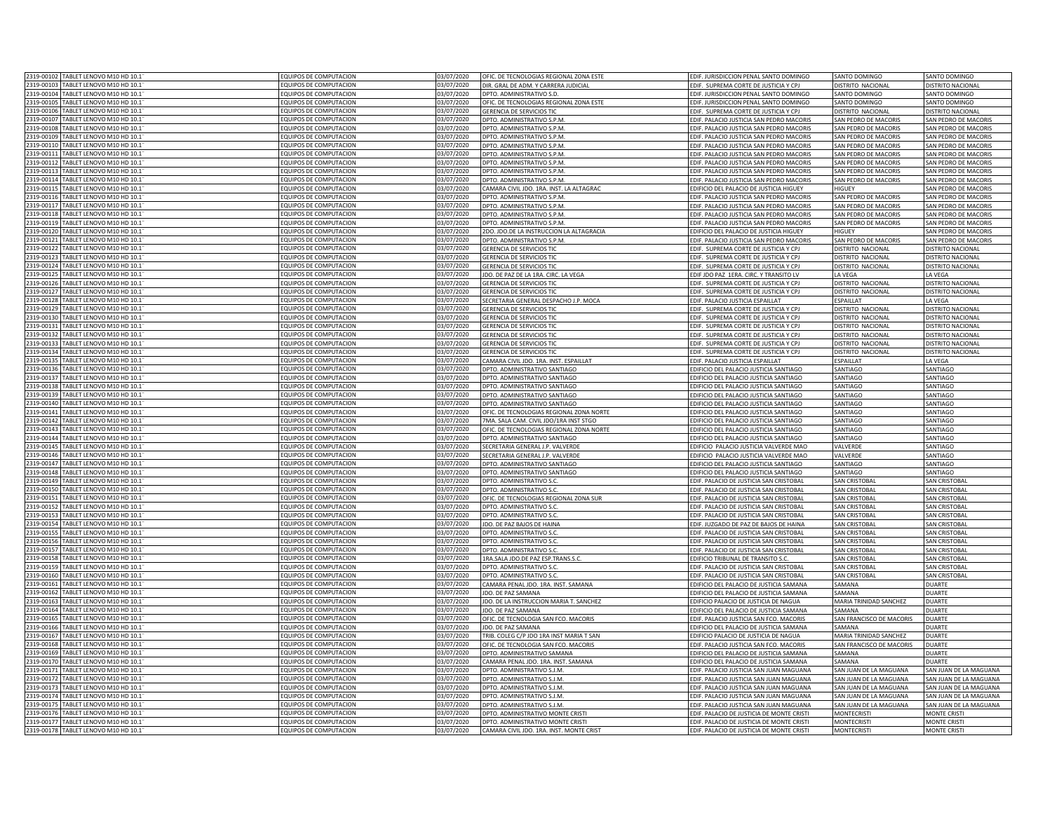| 2319-00102 TABLET LENOVO M10 HD 10.1                                 | EQUIPOS DE COMPUTACION                         | 03/07/2020 | OFIC. DE TECNOLOGIAS REGIONAL ZONA ESTE                        | EDIF. JURISDICCION PENAL SANTO DOMINGO                                            | SANTO DOMINGO                                      | SANTO DOMINGO                          |
|----------------------------------------------------------------------|------------------------------------------------|------------|----------------------------------------------------------------|-----------------------------------------------------------------------------------|----------------------------------------------------|----------------------------------------|
| 2319-00103 TABLET LENOVO M10 HD 10.1                                 | EQUIPOS DE COMPUTACION                         | 03/07/2020 | DIR. GRAL DE ADM. Y CARRERA JUDICIAL                           | EDIF. SUPREMA CORTE DE JUSTICIA Y CPJ                                             | DISTRITO NACIONAL                                  | DISTRITO NACIONAL                      |
| 2319-00104<br>TABLET LENOVO M10 HD 10.1                              | EQUIPOS DE COMPUTACION                         | 03/07/2020 | DPTO. ADMINISTRATIVO S.D.                                      | EDIF. JURISDICCION PENAL SANTO DOMINGO                                            | SANTO DOMINGO                                      | SANTO DOMINGO                          |
| 2319-00105<br>TABLET LENOVO M10 HD 10.1                              | <b>EQUIPOS DE COMPUTACION</b>                  | 03/07/2020 | OFIC. DE TECNOLOGIAS REGIONAL ZONA ESTE                        |                                                                                   |                                                    |                                        |
| 319-00106                                                            |                                                |            |                                                                | EDIF. JURISDICCION PENAL SANTO DOMINGO                                            | SANTO DOMINGO<br><b>DISTRITO NACIONAL</b>          | SANTO DOMINGO<br>DISTRITO NACIONAL     |
| TABLET LENOVO M10 HD 10.1<br>2319-00107<br>TABLET LENOVO M10 HD 10.1 | QUIPOS DE COMPUTACION<br>OUIPOS DE COMPUTACION | 03/07/2020 | <b>GERENCIA DE SERVICIOS TIC</b><br>OPTO, ADMINISTRATIVO S.P.M | EDIF. SUPREMA CORTE DE JUSTICIA Y CPJ                                             | SAN PEDRO DE MACORIS                               | SAN PEDRO DE MACORIS                   |
|                                                                      |                                                | 03/07/2020 |                                                                | EDIF. PALACIO JUSTICIA SAN PEDRO MACORIS                                          |                                                    |                                        |
| 1319-00108<br>TABLET LENOVO M10 HD 10.1                              | <b>EQUIPOS DE COMPUTACION</b>                  | 03/07/2020 | DPTO. ADMINISTRATIVO S.P.M                                     | EDIF. PALACIO JUSTICIA SAN PEDRO MACORIS                                          | SAN PEDRO DE MACORIS                               | SAN PEDRO DE MACORIS                   |
| 1319-00109<br>ABLET LENOVO M10 HD 10.1                               | EQUIPOS DE COMPUTACION                         | 03/07/2020 | DPTO. ADMINISTRATIVO S.P.M                                     | EDIF. PALACIO JUSTICIA SAN PEDRO MACORIS                                          | AN PEDRO DE MACORIS                                | AN PEDRO DE MACORIS                    |
| 319-0011<br>ABLET LENOVO M10 HD 10.1                                 | QUIPOS DE COMPUTACION                          | 3/07/2020  | OPTO, ADMINISTRATIVO S.P.M                                     | EDIF. PALACIO JUSTICIA SAN PEDRO MACORIS                                          | AN PEDRO DE MACORIS                                | AN PEDRO DE MACORIS                    |
| TABLET LENOVO M10 HD 10.1<br>2319-00111                              | EQUIPOS DE COMPUTACION                         | 03/07/2020 | DPTO. ADMINISTRATIVO S.P.M                                     | EDIF. PALACIO JUSTICIA SAN PEDRO MACORIS                                          | SAN PEDRO DE MACORIS                               | AN PEDRO DE MACORIS                    |
| 2319-00112<br>TABLET LENOVO M10 HD 10.1                              | EQUIPOS DE COMPUTACION                         | 03/07/2020 | DPTO. ADMINISTRATIVO S.P.M                                     | EDIF. PALACIO JUSTICIA SAN PEDRO MACORIS                                          | SAN PEDRO DE MACORIS                               | SAN PEDRO DE MACORIS                   |
| 1319-00113<br>TABLET LENOVO M10 HD 10.1                              | EQUIPOS DE COMPUTACION                         | 03/07/2020 | DPTO. ADMINISTRATIVO S.P.M                                     | EDIF. PALACIO JUSTICIA SAN PEDRO MACORIS                                          | SAN PEDRO DE MACORIS                               | SAN PEDRO DE MACORIS                   |
| 2319-00114<br>TABLET LENOVO M10 HD 10.1                              | EQUIPOS DE COMPUTACION                         | 03/07/2020 | DPTO. ADMINISTRATIVO S.P.M.                                    | EDIF. PALACIO JUSTICIA SAN PEDRO MACORIS                                          | SAN PEDRO DE MACORIS                               | SAN PEDRO DE MACORIS                   |
| 2319-00115<br>TABLET LENOVO M10 HD 10.1                              | EQUIPOS DE COMPUTACION                         | 03/07/2020 | CAMARA CIVIL JDO. 1RA. INST. LA ALTAGRAC                       | EDIFICIO DEL PALACIO DE JUSTICIA HIGUEY                                           | <b>HIGHEY</b>                                      | SAN PEDRO DE MACORIS                   |
| 2319-00116<br>TABLET LENOVO M10 HD 10.1                              | <b>EQUIPOS DE COMPUTACION</b>                  | 03/07/2020 | DPTO, ADMINISTRATIVO S.P.M                                     | EDIF, PALACIO JUSTICIA SAN PEDRO MACORIS                                          | SAN PEDRO DE MACORIS                               | SAN PEDRO DE MACORIS                   |
| 1319-00117<br>TABLET LENOVO M10 HD 10.1                              | QUIPOS DE COMPUTACION                          | 03/07/2020 | DPTO. ADMINISTRATIVO S.P.M                                     | EDIF. PALACIO JUSTICIA SAN PEDRO MACORIS                                          | SAN PEDRO DE MACORIS                               | SAN PEDRO DE MACORIS                   |
| TABLET LENOVO M10 HD 10.1<br>2319-00118                              | <b>EQUIPOS DE COMPUTACION</b>                  | 03/07/2020 | DPTO. ADMINISTRATIVO S.P.M                                     | EDIF. PALACIO JUSTICIA SAN PEDRO MACORIS                                          | SAN PEDRO DE MACORIS                               | SAN PEDRO DE MACORIS                   |
| 2319-00119 TABLET LENOVO M10 HD 10.1                                 | EQUIPOS DE COMPUTACION                         | 03/07/2020 | DPTO. ADMINISTRATIVO S.P.M.                                    | EDIF. PALACIO JUSTICIA SAN PEDRO MACORIS                                          | SAN PEDRO DE MACORIS                               | SAN PEDRO DE MACORIS                   |
| 2319-00120<br>TABLET LENOVO M10 HD 10.1                              | EQUIPOS DE COMPUTACION                         | 03/07/2020 | 2DO. JDO.DE LA INSTRUCCION LA ALTAGRACIA                       | EDIFICIO DEL PALACIO DE JUSTICIA HIGUEY                                           | HIGUEY                                             | SAN PEDRO DE MACORIS                   |
| 319-00121<br>TABLET LENOVO M10 HD 10.1                               | <b>EQUIPOS DE COMPUTACION</b>                  | 03/07/2020 | DPTO. ADMINISTRATIVO S.P.M.                                    | EDIF. PALACIO JUSTICIA SAN PEDRO MACORIS                                          | SAN PEDRO DE MACORIS                               | SAN PEDRO DE MACORIS                   |
| 319-00122<br>TABLET LENOVO M10 HD 10.1                               | OUIPOS DE COMPUTACION                          | 3/07/2020  | <b>GERENCIA DE SERVICIOS TIC</b>                               | EDIF. SUPREMA CORTE DE JUSTICIA Y CPJ                                             | <b>ISTRITO NACIONAL</b>                            | DISTRITO NACIONAL                      |
| 1319-00123<br>TABLET LENOVO M10 HD 10.1                              | QUIPOS DE COMPUTACION                          | 03/07/2020 | <b>SERENCIA DE SERVICIOS TIC</b>                               |                                                                                   |                                                    |                                        |
| 1319-00124<br>TABLET LENOVO M10 HD 10.1                              | QUIPOS DE COMPUTACION                          | 3/07/2020  | <b>GERENCIA DE SERVICIOS TIC</b>                               | EDIF. SUPREMA CORTE DE JUSTICIA Y CPJ<br>EDIF. SUPREMA CORTE DE JUSTICIA Y CPJ    | <b>ISTRITO NACIONAL</b><br><b>ISTRITO NACIONAL</b> | DISTRITO NACIONAL<br>DISTRITO NACIONAL |
| FABLET LENOVO M10 HD 10.1                                            |                                                |            |                                                                |                                                                                   |                                                    |                                        |
| 319-00125                                                            | QUIPOS DE COMPUTACION                          | 3/07/2020  | DO. DE PAZ DE LA 1RA. CIRC. LA VEGA                            | EDIF JDO PAZ 1ERA. CIRC. Y TRANSITO LV                                            | A VFGA                                             | <b>A VFGA</b>                          |
| TABLET LENOVO M10 HD 10.1<br>2319-00126                              | <b>EQUIPOS DE COMPUTACION</b>                  | 03/07/2020 | <b>SERENCIA DE SERVICIOS TIO</b>                               | EDIF. SUPREMA CORTE DE JUSTICIA Y CP.                                             | <b>ISTRITO NACIONAL</b>                            | <b>DISTRITO NACIONAL</b>               |
| 1319-00127<br>TABLET LENOVO M10 HD 10.1                              | QUIPOS DE COMPUTACION                          | 03/07/2020 | <b>GERENCIA DE SERVICIOS TIO</b>                               | EDIF. SUPREMA CORTE DE JUSTICIA Y CPJ                                             | DISTRITO NACIONAL                                  | <b>DISTRITO NACIONAL</b>               |
| 2319-00128<br>TABLET LENOVO M10 HD 10.1                              | EQUIPOS DE COMPUTACION                         | 03/07/2020 | SECRETARIA GENERAL DESPACHO J.P. MOCA                          | EDIF. PALACIO JUSTICIA ESPAILLAT                                                  | ESPAILLAT                                          | LA VEGA                                |
| 319-00129<br>TABLET LENOVO M10 HD 10.1                               | FOUIPOS DE COMPUTACION                         | 03/07/2020 | <b>GERENCIA DE SERVICIOS TI</b>                                | EDIF. SUPREMA CORTE DE JUSTICIA Y CP.                                             | ISTRITO NACIONAL                                   | <b>DISTRITO NACIONAL</b>               |
| 319-00130<br>ABLET LENOVO M10 HD 10.1                                | EQUIPOS DE COMPUTACION                         | 03/07/2020 | <b>GERENCIA DE SERVICIOS TIO</b>                               | EDIF. SUPREMA CORTE DE JUSTICIA Y CP.                                             | ISTRITO NACIONAL                                   | DISTRITO NACIONAL                      |
| 2319-00131<br>TABLET LENOVO M10 HD 10.1                              | FOUIPOS DE COMPUTACION                         | 03/07/2020 | <b>GERENCIA DE SERVICIOS TIO</b>                               | FDIE. SUPREMA CORTE DE IUSTICIA Y CP                                              | DISTRITO NACIONAL                                  | DISTRITO NACIONA                       |
| 2319-0013<br>TABLET LENOVO M10 HD 10.1                               | <b>EQUIPOS DE COMPUTACION</b>                  | 03/07/2020 | <b>GERENCIA DE SERVICIOS TI</b>                                | EDIF. SUPREMA CORTE DE JUSTICIA Y CP.                                             | <b>ISTRITO NACIONAL</b>                            | DISTRITO NACIONA                       |
| 2319-0013<br>TABLET LENOVO M10 HD 10.1                               | <b>EQUIPOS DE COMPUTACION</b>                  | 03/07/2020 | <b>GERENCIA DE SERVICIOS TI</b>                                | EDIF. SUPREMA CORTE DE JUSTICIA Y CP.                                             | <b>ISTRITO NACIONAL</b>                            | <b>DISTRITO NACIONAL</b>               |
| 2319-00134<br>TABLET LENOVO M10 HD 10.1                              | EQUIPOS DE COMPUTACION                         | 03/07/2020 | <b>GERENCIA DE SERVICIOS TIC</b>                               | EDIF. SUPREMA CORTE DE JUSTICIA Y CPJ                                             | <b>DISTRITO NACIONAL</b>                           | DISTRITO NACIONAL                      |
| 2319-00135<br>TABLET LENOVO M10 HD 10.1                              | <b>EQUIPOS DE COMPUTACION</b>                  | 03/07/2020 | CAMARA CIVIL JDO. 1RA. INST. ESPAILLAT                         | EDIF. PALACIO JUSTICIA ESPAILLAT                                                  | ESPAILLAT                                          | LA VEGA                                |
| 2319-00136<br>TABLET LENOVO M10 HD 10.1                              | EQUIPOS DE COMPUTACION                         | 03/07/2020 | DPTO. ADMINISTRATIVO SANTIAGO                                  | EDIFICIO DEL PALACIO JUSTICIA SANTIAGO                                            | SANTIAGO                                           | SANTIAGO                               |
| 2319-00137<br>TABLET LENOVO M10 HD 10.1                              | <b>EQUIPOS DE COMPUTACION</b>                  | 03/07/2020 | DPTO. ADMINISTRATIVO SANTIAGO                                  | EDIFICIO DEL PALACIO JUSTICIA SANTIAGO                                            | SANTIAGO                                           | SANTIAGO                               |
| 319-00138<br>TABLET LENOVO M10 HD 10.1                               | QUIPOS DE COMPUTACION                          | 03/07/2020 | DPTO. ADMINISTRATIVO SANTIAGO                                  | EDIFICIO DEL PALACIO JUSTICIA SANTIAGO                                            | SANTIAGO                                           | SANTIAGO                               |
| 319-00139<br>TABLET LENOVO M10 HD 10.1                               | OUIPOS DE COMPUTACION                          | 03/07/2020 | DPTO. ADMINISTRATIVO SANTIAGO                                  | EDIFICIO DEL PALACIO JUSTICIA SANTIAGO                                            | SANTIAGO                                           | SANTIAGO                               |
| 1319-00140<br>ABLET LENOVO M10 HD 10.1                               | QUIPOS DE COMPUTACION                          | 03/07/2020 | DPTO. ADMINISTRATIVO SANTIAGO                                  | EDIFICIO DEL PALACIO JUSTICIA SANTIAGO                                            | SANTIAGO                                           | SANTIAGO                               |
| 1319-00141<br>ABLET LENOVO M10 HD 10.1                               | QUIPOS DE COMPUTACION                          | 03/07/2020 | OFIC. DE TECNOLOGIAS REGIONAL ZONA NORTE                       | EDIFICIO DEL PALACIO JUSTICIA SANTIAGO                                            | SANTIAGO                                           | ANTIAGO                                |
|                                                                      |                                                |            |                                                                |                                                                                   |                                                    |                                        |
| 1319-00142<br>TABLET LENOVO M10 HD 10.1                              | QUIPOS DE COMPUTACION                          | 03/07/2020 | 7MA. SALA CAM. CIVIL JDO/1RA INST STGO                         | EDIFICIO DEL PALACIO JUSTICIA SANTIAGO                                            | SANTIAGO                                           | <b>ANTIAGO</b>                         |
| 2319-00143<br>TABLET LENOVO M10 HD 10.1                              | EQUIPOS DE COMPUTACION                         | 03/07/2020 | OFIC. DE TECNOLOGIAS REGIONAL ZONA NORTI                       | EDIFICIO DEL PALACIO JUSTICIA SANTIAGO                                            | SANTIAGO                                           | <b>ANTIAGO</b>                         |
| 2319-00144<br>TABLET LENOVO M10 HD 10.1                              | EQUIPOS DE COMPUTACION                         | 03/07/2020 | DPTO. ADMINISTRATIVO SANTIAGO                                  | EDIFICIO DEL PALACIO JUSTICIA SANTIAGO                                            | SANTIAGO                                           | SANTIAGO                               |
| 2319-00145<br>TABLET LENOVO M10 HD 10.1                              | EQUIPOS DE COMPUTACION                         | 03/07/2020 | SECRETARIA GENERAL J.P. VALVERDE                               | EDIFICIO PALACIO JUSTICIA VALVERDE MAC                                            | VALVERDE                                           | SANTIAGO                               |
| 2319-00146<br>TABLET LENOVO M10 HD 10.1                              | EQUIPOS DE COMPUTACION                         | 03/07/2020 | SECRETARIA GENERAL J.P. VALVERD                                | EDIFICIO PALACIO JUSTICIA VALVERDE MAC                                            | VALVERDE                                           | SANTIAGO                               |
| 2319-00147<br>TABLET LENOVO M10 HD 10.1                              | EQUIPOS DE COMPUTACION                         | 03/07/2020 | DPTO, ADMINISTRATIVO SANTIAGO                                  | EDIFICIO DEL PALACIO JUSTICIA SANTIAGO                                            | SANTIAGO                                           | <b>SANTIAGO</b>                        |
| 1319-00148<br>TABLET LENOVO M10 HD 10.1                              | <b>EQUIPOS DE COMPUTACION</b>                  | 03/07/2020 | DPTO, ADMINISTRATIVO SANTIAGO                                  | <b>EDIFICIO DEL PALACIO JUSTICIA SANTIAGO</b>                                     | SANTIAGO                                           | SANTIAGO                               |
| 1319-00149<br>TABLET LENOVO M10 HD 10.1                              | <b>EQUIPOS DE COMPUTACION</b>                  | 03/07/2020 | DPTO. ADMINISTRATIVO S.C                                       | EDIF. PALACIO DE JUSTICIA SAN CRISTOBAL                                           | SAN CRISTOBAL                                      | SAN CRISTOBA                           |
| 1319-00150<br>TABLET LENOVO M10 HD 10.1                              | <b>EQUIPOS DE COMPUTACION</b>                  | 03/07/2020 | DPTO. ADMINISTRATIVO S.O                                       | EDIF. PALACIO DE JUSTICIA SAN CRISTOBAL                                           | SAN CRISTOBAL                                      | SAN CRISTOBA                           |
| 2319-00151<br>TABLET LENOVO M10 HD 10.1                              | EQUIPOS DE COMPUTACION                         | 03/07/2020 | OFIC. DE TECNOLOGIAS REGIONAL ZONA SUR                         | EDIF. PALACIO DE JUSTICIA SAN CRISTOBAL                                           | <b>SAN CRISTOBAL</b>                               | <b>SAN CRISTOBAL</b>                   |
| 2319-00152 TABLET LENOVO M10 HD 10.1                                 | EQUIPOS DE COMPUTACION                         | 03/07/2020 | DPTO. ADMINISTRATIVO S.C.                                      | EDIF. PALACIO DE JUSTICIA SAN CRISTOBAL                                           | <b>SAN CRISTOBAL</b>                               | <b>SAN CRISTOBAL</b>                   |
| 319-00153<br>TABLET LENOVO M10 HD 10.1                               | <b>EQUIPOS DE COMPUTACION</b>                  | 03/07/2020 | DPTO. ADMINISTRATIVO S.C                                       | EDIF. PALACIO DE JUSTICIA SAN CRISTOBAL                                           | SAN CRISTOBAL                                      | SAN CRISTOBAL                          |
| 319-00154<br>TABLET LENOVO M10 HD 10.1                               | OUIPOS DE COMPUTACION                          | 13/07/2020 | JDO. DE PAZ BAJOS DE HAINA                                     | EDIF. JUZGADO DE PAZ DE BAJOS DE HAINA                                            | SAN CRISTOBAL                                      | SAN CRISTOBAL                          |
| 319-00155<br>ABLET LENOVO M10 HD 10.1                                | QUIPOS DE COMPUTACION                          | 3/07/2020  | DPTO. ADMINISTRATIVO S.C                                       | DIE, PALACIO DE IUSTICIA SAN CRISTOBAL                                            | <b>SAN CRISTORAL</b>                               | SAN CRISTORAL                          |
| 319-00156<br><b>EARLET LENOVO M10 HD 101</b>                         | OLIIPOS DE COMPLITACION                        | 3/07/2020  | DPTO. ADMINISTRATIVO S.C.                                      | EDIF. PALACIO DE JUSTICIA SAN CRISTOBAL                                           | SAN CRISTOBAL                                      | SAN CRISTOBAL                          |
| 319-00157<br>ABLET LENOVO M10 HD 10.1                                | OUIPOS DE COMPUTACION                          | 3/07/2020  | DPTO. ADMINISTRATIVO S.C                                       | EDIF. PALACIO DE JUSTICIA SAN CRISTOBAL                                           | AN CRISTOBAL                                       | SAN CRISTOBAL                          |
| TABLET LENOVO M10 HD 10.1<br>2319-00158                              | <b>EQUIPOS DE COMPUTACION</b>                  | 03/07/2020 | <b>IRA.SALA IDO.DE PAZ ESP.TRANS.S.C</b>                       | <b>EDIFICIO TRIBUNAL DE TRANSITO S.C.</b>                                         | AN CRISTOBAL                                       | <b>AN CRISTOBAL</b>                    |
| 2319-00159<br>TABLET LENOVO M10 HD 10.1                              | <b>EQUIPOS DE COMPUTACION</b>                  | 03/07/2020 | DPTO. ADMINISTRATIVO S.O                                       | EDIF, PALACIO DE JUSTICIA SAN CRISTOBAL                                           | SAN CRISTOBAL                                      | <b>SAN CRISTOBA</b>                    |
| 2319-00160<br>TABLET LENOVO M10 HD 10.1                              | EQUIPOS DE COMPUTACION                         | 03/07/2020 | DPTO. ADMINISTRATIVO S.O                                       | EDIF. PALACIO DE JUSTICIA SAN CRISTOBAL                                           | <b>SAN CRISTOBAL</b>                               | SAN CRISTOBAL                          |
| 2319-00161<br>TABLET LENOVO M10 HD 10.1                              | EQUIPOS DE COMPUTACION                         | 03/07/2020 | CAMARA PENAL JDO, 1RA, INST, SAMANA                            |                                                                                   | CAMANA                                             | <b>DUART</b>                           |
| 2319-00162<br>TABLET LENOVO M10 HD 10.1                              | EQUIPOS DE COMPUTACION                         | 03/07/2020 | JDO. DE PAZ SAMANA                                             | EDIFICIO DEL PALACIO DE JUSTICIA SAMANA                                           | SAMANA                                             | <b>DUARTE</b>                          |
| 2319-00163<br>TABLET LENOVO M10 HD 10.1                              | FOUIPOS DE COMPUTACION                         | 03/07/2020 | IDO. DE LA INSTRUCCION MARIA T. SANCHEZ                        | EDIFICIO DEL PALACIO DE JUSTICIA SAMANA<br>EDIFICIO PALACIO DE ILISTICIA DE NAGUA | MARIA TRINIDAD SANCHEZ                             | <b>DUARTE</b>                          |
|                                                                      |                                                |            |                                                                |                                                                                   |                                                    |                                        |
| 2319-00164<br>TABLET LENOVO M10 HD 10.1                              | EQUIPOS DE COMPUTACION                         | 03/07/2020 | JDO. DE PAZ SAMANA                                             | EDIFICIO DEL PALACIO DE JUSTICIA SAMANA                                           | SAMANA                                             | <b>DUARTE</b>                          |
| 2319-0016<br>TABLET LENOVO M10 HD 10.1                               | <b>EQUIPOS DE COMPUTACION</b>                  | 03/07/2020 | OFIC. DE TECNOLOGIA SAN FCO. MACORIS                           | EDIF. PALACIO JUSTICIA SAN FCO. MACORIS                                           | SAN FRANCISCO DE MACORIS                           | <b>DUARTE</b>                          |
| TABLET LENOVO M10 HD 10.1<br>2319-00166                              | FOUIPOS DE COMPUTACION                         | 03/07/2020 | JDO. DE PAZ SAMANA                                             | EDIFICIO DEL PALACIO DE JUSTICIA SAMANA                                           | SAMANA                                             | <b>DUARTE</b>                          |
| 2319-00167<br>TABLET LENOVO M10 HD 10.1                              | EQUIPOS DE COMPUTACION                         | 03/07/2020 | TRIB. COLEG C/P JDO 1RA INST MARIA T SAN                       | EDIFICIO PALACIO DE JUSTICIA DE NAGUA                                             | MARIA TRINIDAD SANCHEZ                             | <b>DUARTE</b>                          |
| 2319-00168<br>TABLET LENOVO M10 HD 10.1                              | EQUIPOS DE COMPUTACION                         | 03/07/2020 | OFIC. DE TECNOLOGIA SAN FCO. MACORIS                           | EDIF. PALACIO JUSTICIA SAN FCO. MACORIS                                           | SAN FRANCISCO DE MACORIS                           | <b>DUARTE</b>                          |
| 2319-00169<br>TABLET LENOVO M10 HD 10.1                              | EQUIPOS DE COMPUTACION                         | 03/07/2020 | DPTO. ADMINISTRATIVO SAMANA                                    | EDIFICIO DEL PALACIO DE JUSTICIA SAMANA                                           | SAMANA                                             | <b>DUARTE</b>                          |
| 1319-00170<br>TABLET LENOVO M10 HD 10.1                              | EQUIPOS DE COMPUTACION                         | 03/07/2020 | CAMARA PENAL JDO. 1RA. INST. SAMANA                            | EDIFICIO DEL PALACIO DE JUSTICIA SAMANA                                           | SAMANA                                             | <b>DUARTE</b>                          |
| 319-00171<br>TABLET LENOVO M10 HD 10.1                               | FOUIPOS DE COMPUTACION                         | 03/07/2020 | OPTO. ADMINISTRATIVO S.J.M.                                    | EDIF. PALACIO JUSTICIA SAN JUAN MAGUANA                                           | SAN JUAN DE LA MAGUANA                             | SAN JUAN DE LA MAGUANA                 |
| 1319-00172<br>ABLET LENOVO M10 HD 10.1                               | <b>EQUIPOS DE COMPUTACION</b>                  | 03/07/2020 | DPTO. ADMINISTRATIVO S.J.M                                     | EDIF. PALACIO JUSTICIA SAN JUAN MAGUANA                                           | SAN JUAN DE LA MAGUANA                             | SAN IUAN DE LA MAGUANA                 |
| 1319-00173<br>TABLET LENOVO M10 HD 10.1                              | QUIPOS DE COMPUTACION                          | 03/07/2020 | DPTO, ADMINISTRATIVO S.J.M                                     | EDIF. PALACIO JUSTICIA SAN JUAN MAGUANA                                           | AN JUAN DE LA MAGUANA                              | AN JUAN DE LA MAGUANA                  |
| 1319-00174<br>TABLET LENOVO M10 HD 10.1                              | QUIPOS DE COMPUTACION                          | 03/07/2020 | OPTO, ADMINISTRATIVO S.J.M                                     | EDIF. PALACIO JUSTICIA SAN JUAN MAGUANA                                           | SAN JUAN DE LA MAGUANA                             | AN JUAN DE LA MAGUANA                  |
| 2319-00175<br>TABLET LENOVO M10 HD 10.1                              | EQUIPOS DE COMPUTACION                         | 03/07/2020 | DPTO, ADMINISTRATIVO S.J.M                                     | EDIF. PALACIO JUSTICIA SAN JUAN MAGUANA                                           | SAN JUAN DE LA MAGUANA                             | SAN JUAN DE LA MAGUANA                 |
| 2319-00176<br>TABLET LENOVO M10 HD 10.1                              | EQUIPOS DE COMPUTACION                         | 03/07/2020 | DPTO. ADMINISTRATIVO MONTE CRISTI                              | EDIF. PALACIO DE JUSTICIA DE MONTE CRISTI                                         | <b>MONTECRISTI</b>                                 | MONTE CRISTI                           |
| 2319-00177<br>TABLET LENOVO M10 HD 10.1                              | EQUIPOS DE COMPUTACION                         | 03/07/2020 | DPTO. ADMINISTRATIVO MONTE CRISTI                              | EDIF. PALACIO DE JUSTICIA DE MONTE CRISTI                                         | <b>MONTECRISTI</b>                                 | <b>MONTE CRISTI</b>                    |
| 2319-00178 TABLET LENOVO M10 HD 10.1                                 | <b>EQUIPOS DE COMPUTACION</b>                  | 03/07/2020 | CAMARA CIVIL JDO. 1RA. INST. MONTE CRIST                       | EDIF. PALACIO DE JUSTICIA DE MONTE CRISTI                                         |                                                    | <b>MONTE CRISTI</b>                    |
|                                                                      |                                                |            |                                                                |                                                                                   | <b>MONTECRISTI</b>                                 |                                        |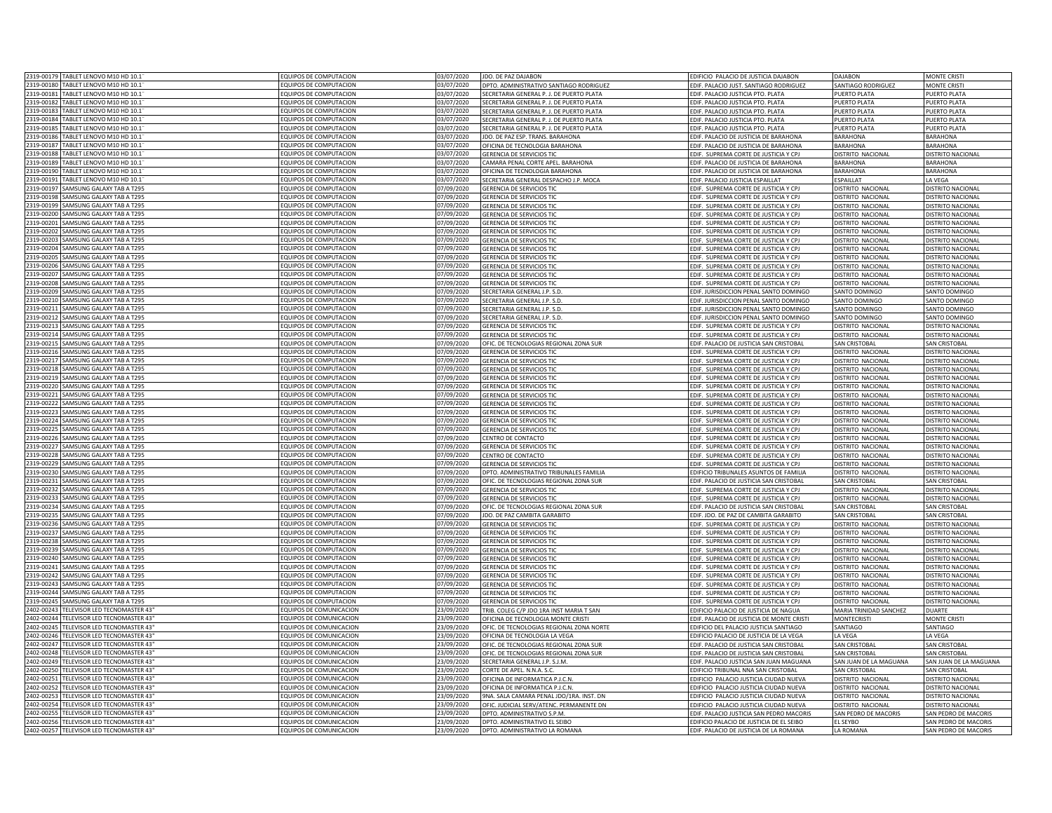| 2319-00179 | TABLET LENOVO M10 HD 10.1            | EQUIPOS DE COMPUTACION        | 3/07/2020  | <b>JDO. DE PAZ DAJABON</b>                      | EDIFICIO PALACIO DE JUSTICIA DAJABON      | DAJABON                   | <b>MONTE CRISTI</b>      |
|------------|--------------------------------------|-------------------------------|------------|-------------------------------------------------|-------------------------------------------|---------------------------|--------------------------|
| 319-00180  | TABLET LENOVO M10 HD 10.1            | FOUIPOS DE COMPUTACION        | 03/07/2020 | PTO. ADMINISTRATIVO SANTIAGO RODRIGUEZ          | EDIF. PALACIO JUST. SANTIAGO RODRIGUEZ    | <b>SANTIAGO RODRIGUEZ</b> | <b>MONTE CRIST</b>       |
| 2319-00181 | TABLET LENOVO M10 HD 10.1            | EQUIPOS DE COMPUTACION        | 03/07/2020 | <b>SECRETARIA GENERAL P. J. DE PUERTO PLATA</b> | EDIF. PALACIO JUSTICIA PTO. PLATA         | PUFRTO PLATA              | <b>PUERTO PLATA</b>      |
|            |                                      |                               |            |                                                 |                                           |                           |                          |
| 2319-00182 | TABLET LENOVO M10 HD 10.1"           | EQUIPOS DE COMPUTACION        | 03/07/2020 | SECRETARIA GENERAL P. J. DE PUERTO PLATA        | EDIF. PALACIO JUSTICIA PTO. PLATA         | PUERTO PLATA              | <b>PUERTO PLATA</b>      |
| 2319-00183 | TABLET LENOVO M10 HD 10.1            | EQUIPOS DE COMPUTACION        | 03/07/2020 | SECRETARIA GENERAL P. J. DE PUERTO PLATA        | EDIF. PALACIO JUSTICIA PTO. PLATA         | PUERTO PLATA              | PUERTO PLATA             |
| 1319-00184 | TABLET LENOVO M10 HD 10.1            | EQUIPOS DE COMPUTACION        | 03/07/2020 | SECRETARIA GENERAL P. J. DE PUERTO PLATA        | EDIF. PALACIO JUSTICIA PTO. PLATA         | PUERTO PLATA              | PUERTO PLATA             |
| 319-00185  | TABLET LENOVO M10 HD 10.1            | EQUIPOS DE COMPUTACION        | 13/07/2020 | ECRETARIA GENERAL P. J. DE PUERTO PLATA         | EDIF. PALACIO JUSTICIA PTO. PLATA         | PUERTO PLATA              | PUERTO PLATA             |
| 319-00186  | TABLET LENOVO M10 HD 10.1            | <b>EQUIPOS DE COMPUTACION</b> | 3/07/2020  | JDO. DE PAZ ESP. TRANS. BARAHONA                | EDIF. PALACIO DE JUSTICIA DE BARAHONA     | <b>BARAHONA</b>           | BARAHONA                 |
| 319-00187  | TABLET LENOVO M10 HD 10.1            | <b>EQUIPOS DE COMPUTACION</b> | 3/07/2020  | OFICINA DE TECNOLOGIA BARAHONA                  | EDIF. PALACIO DE JUSTICIA DE BARAHONA     | <b>BARAHONA</b>           | BARAHONA                 |
| 319-00188  | TABLET LENOVO M10 HD 10.1            | EQUIPOS DE COMPUTACION        | 3/07/2020  | GERENCIA DE SERVICIOS TIC                       | EDIF. SUPREMA CORTE DE JUSTICIA Y CPJ     | <b>ISTRITO NACIONAL</b>   | DISTRITO NACIONAL        |
| 2319-00189 | TABLET LENOVO M10 HD 10.1            | EQUIPOS DE COMPUTACION        | 03/07/2020 | CAMARA PENAL CORTE APEL. BARAHONA               | EDIF. PALACIO DE JUSTICIA DE BARAHONA     | <b>BARAHONA</b>           | <b>BARAHONA</b>          |
|            | 2319-00190 TABLET LENOVO M10 HD 10.1 | EQUIPOS DE COMPUTACION        | 03/07/2020 | OFICINA DE TECNOLOGIA BARAHONA                  | EDIF. PALACIO DE JUSTICIA DE BARAHONA     | BARAHONA                  | <b>BARAHONA</b>          |
|            |                                      |                               |            |                                                 |                                           |                           |                          |
| 319-00191  | TABLET LENOVO M10 HD 10.1            | EQUIPOS DE COMPUTACION        | 03/07/2020 | SECRETARIA GENERAL DESPACHO J.P. MOCA           | EDIF. PALACIO JUSTICIA ESPAILLAT          | ESPAILLAT                 | LA VEGA                  |
| 319-00197  | SAMSUNG GALAXY TAB A T295            | EQUIPOS DE COMPUTACION        | 07/09/2020 | GERENCIA DE SERVICIOS TIO                       | EDIF. SUPREMA CORTE DE JUSTICIA Y CPJ     | DISTRITO NACIONAL         | DISTRITO NACIONA         |
| 319-00198  | SAMSUNG GALAXY TAB A T295            | <b>QUIPOS DE COMPUTACION</b>  | 07/09/2020 | <b>GERENCIA DE SERVICIOS TIO</b>                | EDIF. SUPREMA CORTE DE JUSTICIA Y CPJ     | DISTRITO NACIONAL         | <b>DISTRITO NACIONAL</b> |
| 1319-00199 | SAMSUNG GALAXY TAB A T295            | <b>EQUIPOS DE COMPUTACION</b> | 07/09/2020 | GERENCIA DE SERVICIOS TIO                       | EDIF. SUPREMA CORTE DE JUSTICIA Y CPJ     | DISTRITO NACIONAL         | <b>DISTRITO NACIONAL</b> |
| 319-00200  | SAMSUNG GALAXY TAB A T295            | EQUIPOS DE COMPUTACION        | 07/09/2020 | GERENCIA DE SERVICIOS TIO                       | EDIF. SUPREMA CORTE DE JUSTICIA Y CPJ     | DISTRITO NACIONAL         | <b>DISTRITO NACIONAL</b> |
|            | 319-00201 SAMSUNG GALAXY TAB A T295  | EQUIPOS DE COMPUTACION        | 07/09/2020 | GERENCIA DE SERVICIOS TIC                       | EDIF. SUPREMA CORTE DE JUSTICIA Y CPJ     | DISTRITO NACIONAL         | DISTRITO NACIONAL        |
| 1319-00202 | SAMSUNG GALAXY TAB A T295            | EQUIPOS DE COMPUTACION        | 17/09/2020 | GERENCIA DE SERVICIOS TIC                       | EDIF. SUPREMA CORTE DE JUSTICIA Y CPJ     | DISTRITO NACIONAL         | <b>DISTRITO NACIONAL</b> |
|            |                                      |                               |            |                                                 |                                           |                           |                          |
| 1319-00203 | SAMSUNG GALAXY TAB A T295            | EQUIPOS DE COMPUTACION        | 17/09/2020 | <b>GERENCIA DE SERVICIOS TIC</b>                | EDIF. SUPREMA CORTE DE JUSTICIA Y CPJ     | <b>DISTRITO NACIONAL</b>  | DISTRITO NACIONAL        |
| 319-00204  | SAMSUNG GALAXY TAB A T295            | <b>EQUIPOS DE COMPUTACION</b> | 7/09/2020  | GERENCIA DE SERVICIOS TIO                       | EDIF. SUPREMA CORTE DE JUSTICIA Y CPJ     | <b>DISTRITO NACIONAL</b>  | <b>DISTRITO NACIONAL</b> |
| 1319-00205 | SAMSUNG GALAXY TAB A T295            | EQUIPOS DE COMPUTACION        | 17/09/2020 | <b>GERENCIA DE SERVICIOS TIC</b>                | EDIF. SUPREMA CORTE DE JUSTICIA Y CPJ     | <b>JISTRITO NACIONAL</b>  | DISTRITO NACIONAL        |
| 139-00206  | SAMSUNG GALAXY TAB A T295            | EQUIPOS DE COMPUTACION        | 7/09/2020  | <b>SERENCIA DE SERVICIOS TIC</b>                | EDIF. SUPREMA CORTE DE JUSTICIA Y CPJ     | DISTRITO NACIONAL         | DISTRITO NACIONAL        |
| 319-00207  | SAMSUNG GALAXY TAB A T295            | OUIPOS DE COMPUTACION         | 7/09/2020  | <b>SERENCIA DE SERVICIOS TIO</b>                | EDIF. SUPREMA CORTE DE JUSTICIA Y CPJ     | ISTRITO NACIONAL          | DISTRITO NACIONAL        |
| 319-00208  | SAMSUNG GALAXY TAB A T295            | EQUIPOS DE COMPUTACION        | 7/09/2020  | <b>GERENCIA DE SERVICIOS TIO</b>                | EDIF. SUPREMA CORTE DE JUSTICIA Y CPJ     | <b>ISTRITO NACIONAL</b>   | DISTRITO NACIONAL        |
| 319-00209  | SAMSUNG GALAXY TAB A T295            | EQUIPOS DE COMPUTACION        | 07/09/2020 | SECRETARIA GENERAL J.P. S.D.                    | EDIF. JURISDICCION PENAL SANTO DOMINGO    | <b>SANTO DOMINGC</b>      | SANTO DOMINGO            |
| 319-00210  | SAMSUNG GALAXY TAB A T295            | EQUIPOS DE COMPUTACION        | 17/09/2020 | SECRETARIA GENERAL J.P. S.D                     | EDIF. JURISDICCION PENAL SANTO DOMINGO    | <b>SANTO DOMINGO</b>      | SANTO DOMINGO            |
| 319-00211  | SAMSUNG GALAXY TAB A T295            | <b>FOUIPOS DE COMPUTACION</b> | 07/09/2020 |                                                 |                                           |                           |                          |
| 2319-00212 | SAMSUNG GALAXY TAB A T295            | EQUIPOS DE COMPUTACION        | 07/09/2020 | SECRETARIA GENERAL J.P. S.D                     | EDIF. JURISDICCION PENAL SANTO DOMINGO    | <b>SANTO DOMINGO</b>      | SANTO DOMINGO            |
|            |                                      |                               |            | SECRETARIA GENERAL J.P. S.D                     | EDIF. JURISDICCION PENAL SANTO DOMINGO    | <b>SANTO DOMINGO</b>      | SANTO DOMINGO            |
| 2319-00213 | SAMSUNG GALAXY TAB A T295            | <b>EQUIPOS DE COMPUTACION</b> | 07/09/2020 | <b>GERENCIA DE SERVICIOS TIO</b>                | EDIF. SUPREMA CORTE DE JUSTICIA Y CPJ     | DISTRITO NACIONAL         | <b>DISTRITO NACIONA</b>  |
| 1319-00214 | SAMSUNG GALAXY TAB A T295            | EQUIPOS DE COMPUTACION        | 07/09/2020 | <b>GERENCIA DE SERVICIOS TIC</b>                | EDIF. SUPREMA CORTE DE JUSTICIA Y CPJ     | DISTRITO NACIONAL         | DISTRITO NACIONA         |
| 1319-0021  | SAMSUNG GALAXY TAB A T295            | EQUIPOS DE COMPUTACION        | 07/09/2020 | OFIC. DE TECNOLOGIAS REGIONAL ZONA SUR          | EDIF. PALACIO DE JUSTICIA SAN CRISTOBAL   | <b>SAN CRISTOBAL</b>      | <b>SAN CRISTOBAL</b>     |
| 2319-00216 | SAMSUNG GALAXY TAB A T295            | EQUIPOS DE COMPUTACION        | 07/09/2020 | <b>GERENCIA DE SERVICIOS TIC</b>                | EDIF. SUPREMA CORTE DE JUSTICIA Y CPJ     | DISTRITO NACIONAL         | <b>DISTRITO NACIONAL</b> |
| 2319-00217 | SAMSUNG GALAXY TAB A T295            | EQUIPOS DE COMPUTACION        | 07/09/2020 | GERENCIA DE SERVICIOS TIC                       | EDIF. SUPREMA CORTE DE JUSTICIA Y CPJ     | DISTRITO NACIONAL         | DISTRITO NACIONAL        |
| 1319-00218 | SAMSUNG GALAXY TAB A T295            | EQUIPOS DE COMPUTACION        | )7/09/2020 | GERENCIA DE SERVICIOS TIC                       | EDIF. SUPREMA CORTE DE JUSTICIA Y CPJ     | DISTRITO NACIONAL         | <b>DISTRITO NACIONAL</b> |
| 2319-00219 | SAMSUNG GALAXY TAB A T295            | EQUIPOS DE COMPUTACION        | 07/09/2020 |                                                 |                                           |                           |                          |
|            |                                      |                               |            | <b>GERENCIA DE SERVICIOS TIO</b>                | EDIF. SUPREMA CORTE DE JUSTICIA Y CPJ     | <b>DISTRITO NACIONAL</b>  | <b>DISTRITO NACIONAL</b> |
| 319-00220  | SAMSUNG GALAXY TAB A T295            | <b>EQUIPOS DE COMPUTACION</b> | 07/09/2020 | GERENCIA DE SERVICIOS TIC                       | EDIF. SUPREMA CORTE DE JUSTICIA Y CPJ     | DISTRITO NACIONAL         | DISTRITO NACIONAL        |
| 1319-00221 | SAMSUNG GALAXY TAB A T295            | <b>EQUIPOS DE COMPUTACION</b> | 7/09/2020  | <b>GERENCIA DE SERVICIOS TIO</b>                | EDIF. SUPREMA CORTE DE JUSTICIA Y CPJ     | DISTRITO NACIONAL         | <b>DISTRITO NACIONAL</b> |
| 319-00223  | SAMSUNG GALAXY TAB A T295            | <b>QUIPOS DE COMPUTACION</b>  | 7/09/2020  | <b>GERENCIA DE SERVICIOS TIO</b>                | EDIF. SUPREMA CORTE DE JUSTICIA Y CPJ     | <b>DISTRITO NACIONAL</b>  | DISTRITO NACIONAL        |
| 1319-00223 | SAMSUNG GALAXY TAB A T295            | EQUIPOS DE COMPUTACION        | 07/09/2020 | <b>GERENCIA DE SERVICIOS TIO</b>                | EDIF. SUPREMA CORTE DE JUSTICIA Y CPJ     | ISTRITO NACIONAL          | DISTRITO NACIONAL        |
| 1319-00224 | SAMSUNG GALAXY TAB A T295            | EQUIPOS DE COMPUTACION        | 7/09/2020  | <b>GERENCIA DE SERVICIOS TIO</b>                | EDIF. SUPREMA CORTE DE JUSTICIA Y CPJ     | <b>DISTRITO NACIONAL</b>  | DISTRITO NACIONAL        |
| 2319-00225 | SAMSUNG GALAXY TAB A T295            | EQUIPOS DE COMPUTACION        | 17/09/2020 | <b>GERENCIA DE SERVICIOS TI</b>                 | EDIF. SUPREMA CORTE DE JUSTICIA Y CP.     | DISTRITO NACIONAL         | <b>DISTRITO NACIONA</b>  |
| 1319-00226 | SAMSUNG GALAXY TAB A T295            | EQUIPOS DE COMPUTACION        | 07/09/2020 | CENTRO DE CONTACTO                              | EDIF. SUPREMA CORTE DE JUSTICIA Y CPJ     | <b>DISTRITO NACIONAL</b>  | DISTRITO NACIONAL        |
| 319-00227  |                                      |                               | 07/09/2020 |                                                 |                                           |                           | <b>DISTRITO NACIONA</b>  |
|            | SAMSUNG GALAXY TAB A T295            | EQUIPOS DE COMPUTACION        |            | <b>GERENCIA DE SERVICIOS TIO</b>                | EDIF. SUPREMA CORTE DE JUSTICIA Y CPJ     | DISTRITO NACIONAL         |                          |
| 139-00228  | SAMSUNG GALAXY TAB A T295            | EQUIPOS DE COMPUTACION        | 07/09/2020 | <b>ENTRO DE CONTACTO</b>                        | EDIF. SUPREMA CORTE DE JUSTICIA Y CPJ     | DISTRITO NACIONAL         | DISTRITO NACIONAL        |
| 319-00229  | SAMSUNG GALAXY TAB A T295            | <b>QUIPOS DE COMPUTACION</b>  | 7/09/2020  | <b>SERENCIA DE SERVICIOS TIO</b>                | EDIF. SUPREMA CORTE DE JUSTICIA Y CPJ     | <b>DISTRITO NACIONAL</b>  | <b>DISTRITO NACIONAL</b> |
| 319-00230  | SAMSUNG GALAXY TAB A T295            | EQUIPOS DE COMPUTACION        | 7/09/2020  | PTO. ADMINISTRATIVO TRIBUNALES FAMILIA          | EDIFICIO TRIBUNALES ASUNTOS DE FAMILIA    | <b>DISTRITO NACIONAL</b>  | <b>DISTRITO NACIONAL</b> |
| 1319-00231 | SAMSUNG GALAXY TAB A T295            | <b>EQUIPOS DE COMPUTACION</b> | 07/09/2020 | OFIC. DE TECNOLOGIAS REGIONAL ZONA SUR          | EDIF. PALACIO DE JUSTICIA SAN CRISTOBAL   | <b>SAN CRISTOBAL</b>      | <b>SAN CRISTOBAL</b>     |
| 2319-00232 | SAMSUNG GALAXY TAB A T295            | EQUIPOS DE COMPUTACION        | )7/09/2020 | GERENCIA DE SERVICIOS TIC                       | EDIF. SUPREMA CORTE DE JUSTICIA Y CPJ     | DISTRITO NACIONAL         | <b>DISTRITO NACIONAL</b> |
| 1319-00233 | SAMSUNG GALAXY TAB A T295            | EQUIPOS DE COMPUTACION        | )7/09/2020 | <b>GERENCIA DE SERVICIOS TIC</b>                | EDIF. SUPREMA CORTE DE JUSTICIA Y CPJ     | DISTRITO NACIONAL         | DISTRITO NACIONAL        |
| 319-00234  | SAMSUNG GALAXY TAB A T295            | EQUIPOS DE COMPUTACION        | 17/09/2020 | OFIC. DE TECNOLOGIAS REGIONAL ZONA SUR          | EDIF. PALACIO DE JUSTICIA SAN CRISTOBAL   | <b>SAN CRISTOBAL</b>      | <b>SAN CRISTOBAL</b>     |
| 319-00235  | SAMSUNG GALAXY TAB A T295            | FOUIPOS DE COMPUTACION        | 7/09/2020  | DO. DE PAZ CAMBITA GARABITO                     | EDIF. JDO. DE PAZ DE CAMBITA GARABITO     | <b>SAN CRISTOBAL</b>      | <b>SAN CRISTOBAL</b>     |
| 319-00236  | SAMSUNG GALAXY TAB A T295            | <b>EQUIPOS DE COMPUTACION</b> | 7/09/2020  | <b>SERENCIA DE SERVICIOS TIC</b>                | EDIF. SUPREMA CORTE DE JUSTICIA Y CPJ     | DISTRITO NACIONAL         | DISTRITO NACIONA         |
|            |                                      |                               |            |                                                 |                                           |                           |                          |
| 319-00237  | SAMSUNG GALAXY TAB A T295            | <b>QUIPOS DE COMPUTACION</b>  | 7/09/2020  | GERENCIA DE SERVICIOS TIC                       | EDIF. SUPREMA CORTE DE JUSTICIA Y CPJ     | <b>DISTRITO NACIONAL</b>  | DISTRITO NACIONAL        |
| 319-00238  | SAMSUNG GALAXY TAB A T295            | QUIPOS DE COMPUTACION         | 7/09/2020  | <b>GERENCIA DE SERVICIOS TIO</b>                | EDIF. SUPREMA CORTE DE JUSTICIA Y CPJ     | <b>ISTRITO NACIONA</b>    | DISTRITO NACIONA         |
| 1319-00239 | SAMSUNG GALAXY TAB A T295            | EQUIPOS DE COMPUTACION        | 17/09/2020 | <b>SERENCIA DE SERVICIOS TIO</b>                | FDIE. SUPREMA CORTE DE IUSTICIA Y CPI     | <b>ISTRITO NACIONAL</b>   | DISTRITO NACIONA         |
| 1319-00240 | SAMSUNG GALAXY TAB A T295            | EQUIPOS DE COMPUTACION        | 07/09/2020 | <b>GERENCIA DE SERVICIOS TIO</b>                | EDIF. SUPREMA CORTE DE JUSTICIA Y CPJ     | DISTRITO NACIONAL         | DISTRITO NACIONA         |
| 1319-00241 | SAMSUNG GALAXY TAB A T295            | EQUIPOS DE COMPUTACION        | 07/09/2020 | <b>GERENCIA DE SERVICIOS TIO</b>                | EDIF. SUPREMA CORTE DE JUSTICIA Y CPJ     | <b>DISTRITO NACIONAL</b>  | DISTRITO NACIONAL        |
| 319-00242  | SAMSUNG GALAXY TAB A T295            | EQUIPOS DE COMPUTACION        | 07/09/2020 | <b>GERENCIA DE SERVICIOS TIO</b>                | EDIF. SUPREMA CORTE DE JUSTICIA Y CPJ     | DISTRITO NACIONAL         | <b>DISTRITO NACIONAL</b> |
| 2319-00243 | SAMSUNG GALAXY TAB A T295            | EQUIPOS DE COMPUTACION        | 07/09/2020 | GERENCIA DE SERVICIOS TIO                       | EDIF. SUPREMA CORTE DE JUSTICIA Y CPJ     | <b>JISTRITO NACIONAL</b>  | DISTRITO NACIONA         |
| 1319-00244 | SAMSUNG GALAXY TAB A T295            | EQUIPOS DE COMPUTACION        | 07/09/2020 | GERENCIA DE SERVICIOS TIO                       | EDIF. SUPREMA CORTE DE JUSTICIA Y CPJ     | DISTRITO NACIONAL         | <b>DISTRITO NACIONAL</b> |
| 1319-00245 | SAMSUNG GALAXY TAB A T295            | EQUIPOS DE COMPUTACION        | 07/09/2020 | GERENCIA DE SERVICIOS TIO                       | EDIF. SUPREMA CORTE DE JUSTICIA Y CPJ     | DISTRITO NACIONAL         | DISTRITO NACIONAL        |
|            |                                      |                               |            |                                                 |                                           |                           |                          |
| 2402-00243 | TELEVISOR LED TECNOMASTER 43"        | EQUIPOS DE COMUNICACION       | 23/09/2020 | TRIB. COLEG C/P JDO 1RA INST MARIA T SAN        | EDIFICIO PALACIO DE JUSTICIA DE NAGUA     | MARIA TRINIDAD SANCHEZ    | <b>DUARTE</b>            |
| 402-00244  | TELEVISOR LED TECNOMASTER 43"        | EQUIPOS DE COMUNICACION       | 23/09/2020 | OFICINA DE TECNOLOGIA MONTE CRISTI              | EDIF. PALACIO DE JUSTICIA DE MONTE CRISTI | <b>MONTECRISTI</b>        | <b>MONTE CRISTI</b>      |
| 402-00245  | TELEVISOR LED TECNOMASTER 43"        | EQUIPOS DE COMUNICACION       | 23/09/2020 | OFIC. DE TECNOLOGIAS REGIONAL ZONA NORTE        | EDIFICIO DEL PALACIO JUSTICIA SANTIAGO    | SANTIAGO                  | SANTIAGO                 |
| 402-00246  | TELEVISOR LED TECNOMASTER 43"        | EQUIPOS DE COMUNICACION       | 13/09/2020 | OFICINA DE TECNOLOGIA LA VEGA                   | EDIFICIO PALACIO DE JUSTICIA DE LA VEGA   | LA VEGA                   | LA VEGA                  |
| 402-00247  | <b>TELEVISOR LED TECNOMASTER 43"</b> | EQUIPOS DE COMUNICACION       | 3/09/2020  | DFIC. DE TECNOLOGIAS REGIONAL ZONA SUR          | EDIF. PALACIO DE JUSTICIA SAN CRISTOBAL   | <b>SAN CRISTOBAL</b>      | SAN CRISTOBAL            |
| 402-00248  | <b>TELEVISOR LED TECNOMASTER 43</b>  | EQUIPOS DE COMUNICACION       | 3/09/2020  | OFIC. DE TECNOLOGIAS REGIONAL ZONA SUR          | EDIF. PALACIO DE JUSTICIA SAN CRISTOBAL   | <b>AN CRISTORAL</b>       | SAN CRISTOBAL            |
| 402-00249  | ELEVISOR LED TECNOMASTER 43          | EQUIPOS DE COMUNICACION       | 3/09/2020  | ECRETARIA GENERAL J.P. S.J.M.                   | EDIF. PALACIO JUSTICIA SAN JUAN MAGUANA   | AN JUAN DE LA MAGUANA     | SAN JUAN DE LA MAGUANA   |
| 402-0025   | TELEVISOR LED TECNOMASTER 43'        | EQUIPOS DE COMUNICACION       | 13/09/2020 | ORTE DE APEL. N.N.A. S.C                        | EDIFICIO TRIBUNAL NNA SAN CRISTOBAL       | AN CRISTOBAL              | SAN CRISTOBAL            |
|            |                                      |                               |            |                                                 |                                           |                           |                          |
| 402-00251  | TELEVISOR LED TECNOMASTER 43'        | EQUIPOS DE COMUNICACION       | 23/09/2020 | OFICINA DE INFORMATICA P.J.C.N                  | EDIFICIO PALACIO JUSTICIA CIUDAD NUEVA    | <b>DISTRITO NACIONA</b>   | DISTRITO NACIONA         |
| 402-00252  | TELEVISOR LED TECNOMASTER 43         | EQUIPOS DE COMUNICACION       | 23/09/2020 | OFICINA DE INFORMATICA P.J.C.N                  | EDIFICIO PALACIO JUSTICIA CIUDAD NUEVA    | DISTRITO NACIONAL         | <b>DISTRITO NACIONAL</b> |
| 402-00253  | TELEVISOR LED TECNOMASTER 43         | EQUIPOS DE COMUNICACION       | 23/09/2020 | 9NA. SALA CAMARA PENAL JDO/1RA. INST. DN        | EDIFICIO PALACIO JUSTICIA CIUDAD NUEVA    | <b>DISTRITO NACIONAL</b>  | <b>DISTRITO NACIONA</b>  |
| 402-00254  | TELEVISOR LED TECNOMASTER 43"        | EQUIPOS DE COMUNICACION       | 23/09/2020 | OFIC. JUDICIAL SERV/ATENC. PERMANENTE DN        | EDIFICIO PALACIO JUSTICIA CIUDAD NUEVA    | DISTRITO NACIONAL         | DISTRITO NACIONAL        |
| 402-00255  | ELEVISOR LED TECNOMASTER 43"         | EQUIPOS DE COMUNICACION       | 13/09/2020 | DPTO, ADMINISTRATIVO S.P.M                      | EDIF. PALACIO JUSTICIA SAN PEDRO MACORIS  | AN PEDRO DE MACORIS       | SAN PEDRO DE MACORIS     |
| 402-00256  | <b>TELEVISOR LED TECNOMASTER 43</b>  | EQUIPOS DE COMUNICACION       | 23/09/2020 | OPTO. ADMINISTRATIVO EL SEIBO                   | EDIFICIO PALACIO DE JUSTICIA DE EL SEIBO  | L SEYBO                   | SAN PEDRO DE MACORIS     |
| 402-00257  | TELEVISOR LED TECNOMASTER 43"        | EQUIPOS DE COMUNICACION       | 23/09/2020 | DPTO. ADMINISTRATIVO LA ROMANA                  | EDIF. PALACIO DE JUSTICIA DE LA ROMANA    | LA ROMANA                 | SAN PEDRO DE MACORIS     |
|            |                                      |                               |            |                                                 |                                           |                           |                          |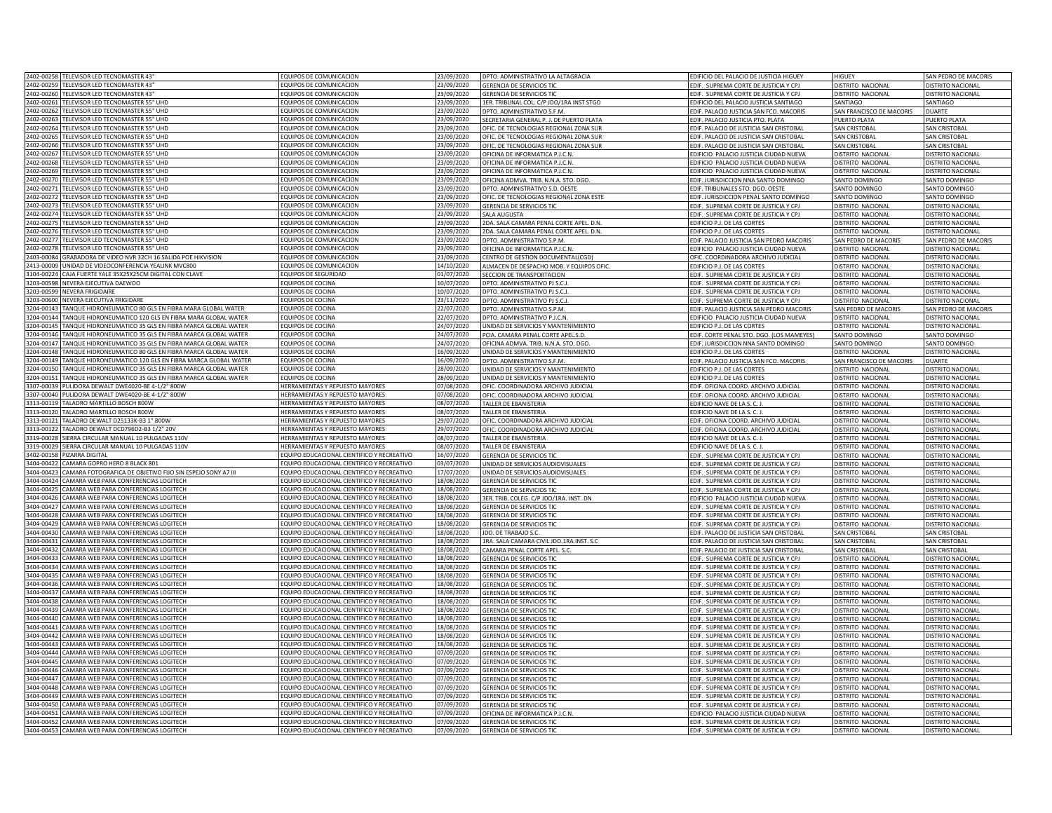| 2402-00258 TELEVISOR LED TECNOMASTER 43                                  | FOUIPOS DE COMUNICACION                           | 23/09/2020 | DPTO. ADMINISTRATIVO LA ALTAGRACIA       | EDIFICIO DEL PALACIO DE JUSTICIA HIGUEY   | HIGUEY                   | SAN PEDRO DE MACORIS     |
|--------------------------------------------------------------------------|---------------------------------------------------|------------|------------------------------------------|-------------------------------------------|--------------------------|--------------------------|
| 2402-00259 TELEVISOR LED TECNOMASTER 43                                  | EQUIPOS DE COMUNICACION                           | 23/09/2020 | <b>GERENCIA DE SERVICIOS TIO</b>         | FDIE. SUPREMA CORTE DE IUSTICIA Y CPI     | DISTRITO NACIONAL        | DISTRITO NACIONA         |
|                                                                          |                                                   |            |                                          |                                           |                          |                          |
| 2402-00260 TELEVISOR LED TECNOMASTER 43"                                 | EQUIPOS DE COMUNICACION                           | 23/09/2020 | <b>GERENCIA DE SERVICIOS TIO</b>         | EDIF. SUPREMA CORTE DE JUSTICIA Y CPJ     | DISTRITO NACIONAL        | DISTRITO NACIONAL        |
| 2402-00261 TELEVISOR LED TECNOMASTER 55" UHD                             | EQUIPOS DE COMUNICACION                           | 23/09/2020 | 1ER. TRIBUNAL COL. C/P JDO/1RA INST STGO | EDIFICIO DEL PALACIO JUSTICIA SANTIAGO    | SANTIAGO                 | SANTIAGO                 |
| 2402-00262<br>TELEVISOR LED TECNOMASTER 55" UHD                          | EQUIPOS DE COMUNICACION                           | 23/09/2020 | DPTO. ADMINISTRATIVO S.F.M.              | EDIF. PALACIO JUSTICIA SAN FCO. MACORIS   | SAN FRANCISCO DE MACORIS | <b>DUARTE</b>            |
| 2402-00263<br>TELEVISOR LED TECNOMASTER 55" UHD                          | EQUIPOS DE COMUNICACION                           | 23/09/2020 | SECRETARIA GENERAL P. J. DE PUERTO PLATA | EDIF. PALACIO JUSTICIA PTO. PLATA         | PUERTO PLATA             | PUERTO PLATA             |
| 2402-00264<br>TFI FVISOR I FD TFCNOMASTER 55" UHD                        | FOUIPOS DE COMUNICACION                           | 3/09/2020  | OFIC. DE TECNOLOGIAS REGIONAL ZONA SUR   | EDIF. PALACIO DE JUSTICIA SAN CRISTOBAL   | SAN CRISTOBAL            | <b>SAN CRISTOBAL</b>     |
| 2402-00265<br>TELEVISOR LED TECNOMASTER 55" UHD                          | EQUIPOS DE COMUNICACION                           | 23/09/2020 | OFIC. DE TECNOLOGIAS REGIONAL ZONA SUR   | FDIE, PALACIO DE ILISTICIA SAN CRISTOBAL  | SAN CRISTOBAL            | <b>SAN CRISTOBAL</b>     |
| 2402-00266<br>TELEVISOR LED TECNOMASTER 55" UHD                          | EQUIPOS DE COMUNICACION                           | 23/09/2020 | OFIC. DE TECNOLOGIAS REGIONAL ZONA SUR   | EDIF. PALACIO DE JUSTICIA SAN CRISTOBAL   | <b>SAN CRISTOBAL</b>     | SAN CRISTOBAL            |
| 2402-00267<br>TELEVISOR LED TECNOMASTER 55" UHD                          | EQUIPOS DE COMUNICACION                           | 3/09/2020  | OFICINA DE INFORMATICA P.J.C.N.          | EDIFICIO PALACIO JUSTICIA CIUDAD NUEVA    | <b>ISTRITO NACIONAL</b>  | DISTRITO NACIONAL        |
| 2402-00268 TELEVISOR LED TECNOMASTER 55" UHD                             | EQUIPOS DE COMUNICACION                           | 23/09/2020 | OFICINA DE INFORMATICA P.J.C.N.          | EDIFICIO PALACIO JUSTICIA CIUDAD NUEVA    | ISTRITO NACIONAL         | DISTRITO NACIONAL        |
|                                                                          |                                                   |            |                                          |                                           |                          |                          |
| 2402-00269 TELEVISOR LED TECNOMASTER 55" UHD                             | EQUIPOS DE COMUNICACION                           | 23/09/2020 | OFICINA DE INFORMATICA P.J.C.N           | EDIFICIO PALACIO JUSTICIA CIUDAD NUEVA    | DISTRITO NACIONAL        | DISTRITO NACIONAL        |
| 2402-00270 TELEVISOR LED TECNOMASTER 55" UHD                             | EQUIPOS DE COMUNICACION                           | 23/09/2020 | OFICINA ADMVA. TRIB. N.N.A. STO. DGO     | EDIF. JURISDICCION NNA SANTO DOMINGO      | SANTO DOMINGO            | SANTO DOMINGO            |
| 2402-00271<br>TELEVISOR LED TECNOMASTER 55" UHD                          | EQUIPOS DE COMUNICACION                           | 23/09/2020 | DPTO. ADMINISTRATIVO S.D. OESTI          | EDIF. TRIBUNALES STO. DGO. OESTE          | SANTO DOMINGO            | SANTO DOMINGO            |
| 2402-00272<br>TELEVISOR LED TECNOMASTER 55" UHD                          | <b>EQUIPOS DE COMUNICACION</b>                    | 23/09/2020 | OFIC. DE TECNOLOGIAS REGIONAL ZONA ESTE  | EDIF. JURISDICCION PENAL SANTO DOMINGO    | <b>ANTO DOMINGO</b>      | SANTO DOMINGO            |
| 2402-00273<br>TELEVISOR LED TECNOMASTER 55" UHD                          | EQUIPOS DE COMUNICACION                           | 23/09/2020 | <b>GERENCIA DE SERVICIOS TIC</b>         | EDIF. SUPREMA CORTE DE JUSTICIA Y CPJ     | DISTRITO NACIONAL        | DISTRITO NACIONA         |
| 2402-00274<br>TELEVISOR LED TECNOMASTER 55" UHD                          | EQUIPOS DE COMUNICACION                           | 23/09/2020 | SAI A AUGUSTA                            | EDIF. SUPREMA CORTE DE JUSTICIA Y CPJ     | <b>JISTRITO NACIONAL</b> | <b>DISTRITO NACIONAL</b> |
| 2402-00275<br>TELEVISOR LED TECNOMASTER 55" UHD                          | EQUIPOS DE COMUNICACION                           | 23/09/2020 | 2DA. SALA CAMARA PENAL CORTE APEL. D.N   | EDIFICIO P.J. DE LAS CORTES               | DISTRITO NACIONAL        | DISTRITO NACIONAL        |
| 2402-00276<br>TELEVISOR LED TECNOMASTER 55" UHD                          | EQUIPOS DE COMUNICACION                           | 23/09/2020 | 2DA. SALA CAMARA PENAL CORTE APEL. D.N.  | EDIFICIO P.J. DE LAS CORTES               | DISTRITO NACIONAL        | <b>DISTRITO NACIONAL</b> |
| 2402-00277<br>TELEVISOR LED TECNOMASTER 55" UHD                          | EQUIPOS DE COMUNICACION                           | 23/09/2020 | DPTO. ADMINISTRATIVO S.P.M.              | EDIF. PALACIO JUSTICIA SAN PEDRO MACORIS  | SAN PEDRO DE MACORIS     | SAN PEDRO DE MACORIS     |
| 2402-00278<br>TELEVISOR LED TECNOMASTER 55" UHD                          | EQUIPOS DE COMUNICACION                           | 23/09/2020 | OFICINA DE INFORMATICA P.J.C.N.          | EDIFICIO PALACIO JUSTICIA CIUDAD NUEVA    | DISTRITO NACIONAL        | DISTRITO NACIONAL        |
| 2403-00084<br>GRABADORA DE VIDEO NVR 32CH 16 SALIDA POE HIKVISION        | EQUIPOS DE COMUNICACION                           | 21/09/2020 | CENTRO DE GESTION DOCUMENTAL(CGD)        | OFIC. COORDINADORA ARCHIVO JUDICIAL       | DISTRITO NACIONAL        | <b>DISTRITO NACIONAL</b> |
| INIDAD DE VIDEOCONFERENCIA YEALINK MVC800<br>2413-00009                  | EQUIPOS DE COMUNICACION                           |            | ALMACEN DE DESPACHO MOB. Y EQUIPOS OFIC  | EDIFICIO P.J. DE LAS CORTES               | DISTRITO NACIONAL        | <b>DISTRITO NACIONAL</b> |
| CAJA FUERTE YALE 35X25X25CM DIGITAL CON CLAVE<br>3104-00224              | OUIPOS DE SEGURIDAD                               | 14/10/2020 |                                          | EDIF. SUPREMA CORTE DE JUSTICIA Y CPJ     |                          | <b>DISTRITO NACIONAL</b> |
|                                                                          |                                                   | 01/07/2020 | SECCION DE TRANSPORTACION                |                                           | DISTRITO NACIONAL        |                          |
| 3203-00598<br><b>IEVERA EJECUTIVA DAEWOO</b>                             | EQUIPOS DE COCINA                                 | 0/07/2020  | PTO. ADMINISTRATIVO PJ S.C.J.            | EDIF. SUPREMA CORTE DE JUSTICIA Y CPJ     | ISTRITO NACIONAL         | <b>DISTRITO NACIONAL</b> |
| 3203-00599<br>NFVERA FRIGIDAIRE                                          | EQUIPOS DE COCINA                                 | 0/07/2020  | OPTO. ADMINISTRATIVO PJ S.C.J.           | EDIF. SUPREMA CORTE DE JUSTICIA Y CPJ     | ISTRITO NACIONAL         | <b>DISTRITO NACIONAL</b> |
| 3203-00600<br>NEVERA EJECUTIVA FRIGIDARE                                 | EQUIPOS DE COCINA                                 | 3/11/2020  | DPTO, ADMINISTRATIVO PJ S.C.J            | EDIF. SUPREMA CORTE DE JUSTICIA Y CPJ     | ISTRITO NACIONAL         | DISTRITO NACIONAL        |
| 3204-00143<br>TANQUE HIDRONEUMATICO 80 GLS EN FIBRA MARA GLOBAL WATER    | EQUIPOS DE COCINA                                 | 22/07/2020 | PTO, ADMINISTRATIVO S.P.M                | EDIF. PALACIO JUSTICIA SAN PEDRO MACOR    | AN PEDRO DE MACOR        | SAN PEDRO DE MACORI:     |
| TANQUE HIDRONEUMATICO 120 GLS EN FIBRA MARA GLOBAL WATER<br>3204-00144   | <b>EQUIPOS DE COCINA</b>                          | 22/07/2020 | DPTO. ADMINISTRATIVO P.J.C.N.            | EDIFICIO PALACIO JUSTICIA CIUDAD NUEVA    | DISTRITO NACIONAL        | DISTRITO NACIONAL        |
| 3204-00145<br>TANQUE HIDRONEUMATICO 35 GLS EN FIBRA MARCA GLOBAL WATER   | EQUIPOS DE COCINA                                 | 24/07/2020 | UNIDAD DE SERVICIOS Y MANTENIMIENTO      | EDIFICIO P.J. DE LAS CORTES               | DISTRITO NACIONAL        | <b>DISTRITO NACIONAL</b> |
| 3204-00146<br>TANOUF HIDRONFUMATICO 35 GI S EN FIBRA MARCA GI OBAL WATER | <b>FOUIPOS DE COCINA</b>                          | 24/07/2020 | PCIA, CAMARA PENAL CORTE APEL.S.D        | EDIF. CORTE PENAL STO. DGO. (LOS MAMEYES) | SANTO DOMINGO            | SANTO DOMINGO            |
| 3204-00147<br>TANQUE HIDRONEUMATICO 35 GLS EN FIBRA MARCA GLOBAL WATER   | EQUIPOS DE COCINA                                 | 24/07/2020 | OFICINA ADMVA, TRIB, N.N.A. STO, DGC     | EDIF. JURISDICCION NNA SANTO DOMINGO      | SANTO DOMINGO            | SANTO DOMINGO            |
| 3204-00148<br>TANOUE HIDRONEUMATICO 80 GI S EN FIBRA MARCA GI OBAL WATER | <b>FOUIPOS DE COCINA</b>                          | 16/09/2020 | UNIDAD DE SERVICIOS Y MANTENIMIENTO      | EDIFICIO P.J. DE LAS CORTES               | DISTRITO NACIONAL        | <b>DISTRITO NACIONAL</b> |
| 3204-00149<br>TANQUE HIDRONEUMATICO 120 GLS EN FIBRA MARCA GLOBAL WATER  | EQUIPOS DE COCINA                                 | 16/09/2020 | DPTO. ADMINISTRATIVO S.F.M.              | EDIF. PALACIO JUSTICIA SAN FCO. MACORIS   | SAN FRANCISCO DE MACORIS | <b>DUARTE</b>            |
| 3204-00150<br>TANQUE HIDRONEUMATICO 35 GLS EN FIBRA MARCA GLOBAL WATER   | <b>EQUIPOS DE COCINA</b>                          | 28/09/2020 | UNIDAD DE SERVICIOS Y MANTENIMIENTO      | EDIFICIO P.J. DE LAS CORTES               | DISTRITO NACIONAL        | DISTRITO NACIONAL        |
| 3204-00151<br>TANQUE HIDRONEUMATICO 35 GLS EN FIBRA MARCA GLOBAL WATER   | EQUIPOS DE COCINA                                 | 28/09/2020 | UNIDAD DE SERVICIOS Y MANTENIMIENTO      | EDIFICIO P.J. DE LAS CORTES               | DISTRITO NACIONAL        | <b>DISTRITO NACIONAL</b> |
|                                                                          |                                                   |            |                                          |                                           |                          |                          |
| 3307-00039<br>PULIDORA DEWALT DWE4020-BE 4-1/2" 800W                     | HERRAMIENTAS Y REPUESTO MAYORES                   | 07/08/2020 | OFIC. COORDINADORA ARCHIVO JUDICIAL      | EDIF. OFICINA COORD. ARCHIVO JUDICIAL     | DISTRITO NACIONAL        | <b>DISTRITO NACIONAL</b> |
| PULIDORA DEWALT DWE4020-BE 4-1/2" 800W<br>3307-00040                     | HERRAMIENTAS Y REPUESTO MAYORES                   | 07/08/2020 | OFIC. COORDINADORA ARCHIVO JUDICIAL      | EDIF. OFICINA COORD. ARCHIVO JUDICIAL     | DISTRITO NACIONAL        | DISTRITO NACIONAL        |
| 3313-00119 TALADRO MARTILLO BOSCH 800W                                   | <b>IERRAMIENTAS Y REPUESTO MAYORES</b>            | 08/07/2020 | TALLER DE FRANISTERIA                    | EDIFICIO NAVE DE LA S. C. J.              | DISTRITO NACIONAL        | DISTRITO NACIONAL        |
| 3313-00120<br>TALADRO MARTILLO BOSCH 800W                                | <b>IERRAMIENTAS Y REPUESTO MAYORES</b>            | 08/07/2020 | TALLER DE EBANISTERIA                    | EDIFICIO NAVE DE LA S. C. J.              | DISTRITO NACIONAL        | DISTRITO NACIONAL        |
| 3313-00121<br>TALADRO DEWALT D25133K-B3 1" 800W                          | <b>IERRAMIENTAS Y REPUESTO MAYORES</b>            | 29/07/2020 | OFIC. COORDINADORA ARCHIVO JUDICIAL      | EDIF. OFICINA COORD. ARCHIVO JUDICIAL     | <b>ISTRITO NACIONAL</b>  | DISTRITO NACIONAL        |
| 3313-00122<br>ALADRO DEWALT DCD796D2-B3 1/2" 20V                         | <b>IERRAMIENTAS Y REPUESTO MAYORES</b>            | 29/07/2020 | OFIC. COORDINADORA ARCHIVO JUDICIAL      | EDIF. OFICINA COORD. ARCHIVO JUDICIAL     | <b>ISTRITO NACIONAL</b>  | DISTRITO NACIONAL        |
| 3319-00028 SIERRA CIRCULAR MANUAL 10 PULGADAS 110V                       | HERRAMIENTAS Y REPUESTO MAYORES                   | 08/07/2020 | TALLER DE FRANISTERIA                    | EDIFICIO NAVE DE LA S. C. J.              | ISTRITO NACIONAL         | DISTRITO NACIONAL        |
| 3319-00029 SIERRA CIRCULAR MANUAL 10 PULGADAS 110V                       | HERRAMIENTAS Y REPUESTO MAYORES                   | 08/07/2020 | TALLER DE EBANISTERIA                    | EDIFICIO NAVE DE LA S. C. J.              | DISTRITO NACIONAL        | DISTRITO NACIONAL        |
| 3402-00158 PIZARRA DIGITAL                                               | EQUIPO EDUCACIONAL CIENTIFICO Y RECREATIVO        | 16/07/2020 | <b>GERENCIA DE SERVICIOS TIO</b>         | EDIF. SUPREMA CORTE DE JUSTICIA Y CPJ     | DISTRITO NACIONAL        | <b>DISTRITO NACIONAL</b> |
| CAMARA GOPRO HERO 8 BLACK 801<br>3404-00422                              | EQUIPO EDUCACIONAL CIENTIFICO Y RECREATIVO        | 03/07/2020 | UNIDAD DE SERVICIOS AUDIOVISUALES        | EDIF. SUPREMA CORTE DE JUSTICIA Y CPJ     | DISTRITO NACIONAL        | <b>DISTRITO NACIONA</b>  |
| CAMARA FOTOGRAFICA DE OBJETIVO FIJO SIN ESPEJO SONY A7 III<br>3404-00423 | EQUIPO EDUCACIONAL CIENTIFICO Y RECREATIVO        | 17/07/2020 | UNIDAD DE SERVICIOS AUDIOVISUALES        | EDIF. SUPREMA CORTE DE JUSTICIA Y CPJ     | DISTRITO NACIONAL        | DISTRITO NACIONAL        |
| 3404-00424<br>CAMARA WEB PARA CONFERENCIAS LOGITECH                      | EQUIPO EDUCACIONAL CIENTIFICO Y RECREATIVO        | 18/08/2020 | <b>GERENCIA DE SERVICIOS TIC</b>         | EDIF. SUPREMA CORTE DE JUSTICIA Y CPJ     | <b>ISTRITO NACIONAL</b>  | <b>DISTRITO NACIONAL</b> |
| 3404-00425<br>CAMARA WEB PARA CONFERENCIAS LOGITECH                      | EQUIPO EDUCACIONAL CIENTIFICO Y RECREATIVO        | 18/08/2020 | <b>GERENCIA DE SERVICIOS TIO</b>         | EDIF. SUPREMA CORTE DE JUSTICIA Y CPJ     | <b>JISTRITO NACIONAL</b> | <b>DISTRITO NACIONAL</b> |
|                                                                          |                                                   |            |                                          |                                           |                          |                          |
| CAMARA WEB PARA CONFERENCIAS LOGITECH<br>3404-00426                      | EQUIPO EDUCACIONAL CIENTIFICO Y RECREATIVO        | 18/08/2020 | 3ER. TRIB. COLEG. C/P JDO/1RA. INST. DN  | EDIFICIO PALACIO JUSTICIA CIUDAD NUEVA    | DISTRITO NACIONAL        | DISTRITO NACIONAL        |
| 3404-00427<br>CAMARA WEB PARA CONFERENCIAS LOGITECH                      | EQUIPO EDUCACIONAL CIENTIFICO Y RECREATIVO        | 18/08/2020 | <b>GERENCIA DE SERVICIOS TIC</b>         | EDIF. SUPREMA CORTE DE JUSTICIA Y CPJ     | DISTRITO NACIONAL        | <b>DISTRITO NACIONAL</b> |
| 3404-00428<br>CAMARA WEB PARA CONFERENCIAS LOGITECH                      | EQUIPO EDUCACIONAL CIENTIFICO Y RECREATIVO        | 18/08/2020 | <b>GERENCIA DE SERVICIOS TIC</b>         | EDIF. SUPREMA CORTE DE JUSTICIA Y CPJ     | DISTRITO NACIONAL        | DISTRITO NACIONAL        |
| 3404-00429<br>CAMARA WEB PARA CONFERENCIAS LOGITECH                      | EQUIPO EDUCACIONAL CIENTIFICO Y RECREATIVO        | 18/08/2020 | GERENCIA DE SERVICIOS TIC                | EDIF. SUPREMA CORTE DE JUSTICIA Y CPJ     | DISTRITO NACIONAL        | DISTRITO NACIONAL        |
| 3404-00430<br>CAMARA WEB PARA CONFERENCIAS LOGITECH                      | <b>QUIPO EDUCACIONAL CIENTIFICO Y RECREATIVO</b>  | 18/08/2020 | JDO. DE TRABAJO S.C                      | EDIF. PALACIO DE JUSTICIA SAN CRISTOBAL   | <b>SAN CRISTOBAL</b>     | SAN CRISTOBAL            |
| 3404-00431<br>CAMARA WEB PARA CONFERENCIAS LOGITECH                      | EQUIPO EDUCACIONAL CIENTIFICO Y RECREATIVO        | 18/08/2020 | 1RA. SALA CAMARA CIVIL JDO.1RA.INST. S.C | EDIF. PALACIO DE JUSTICIA SAN CRISTOBAL   | SAN CRISTOBAL            | <b>SAN CRISTOBAL</b>     |
| 3404-00432<br>AMARA WEB PARA CONFERENCIAS LOGITECH                       | <b>EQUIPO EDUCACIONAL CIENTIFICO Y RECREATIVO</b> | 18/08/2020 | CAMARA PENAL CORTE APEL. S.C.            | EDIF. PALACIO DE JUSTICIA SAN CRISTOBAL   | SAN CRISTOBAL            | <b>SAN CRISTOBAL</b>     |
| 3404-00433<br>AMARA WEB PARA CONFERENCIAS LOGITECH                       | <b>QUIPO EDUCACIONAL CIENTIFICO Y RECREATIVO</b>  | 8/08/2020  | <b>SERENCIA DE SERVICIOS TIC</b>         | EDIF. SUPREMA CORTE DE JUSTICIA Y CPJ     | <b>ISTRITO NACIONAL</b>  | <b>DISTRITO NACIONA</b>  |
| 3404-00434<br>AMARA WEB PARA CONFERENCIAS LOGITECH                       | QUIPO EDUCACIONAL CIENTIFICO Y RECREATIVO         | 8/08/2020  | GERENCIA DE SERVICIOS TIC                | EDIF. SUPREMA CORTE DE JUSTICIA Y CPJ     | ISTRITO NACIONAL         | DISTRITO NACIONAL        |
| AMARA WEB PARA CONFERENCIAS LOGITECH<br>3404-00435                       | EQUIPO EDUCACIONAL CIENTIFICO Y RECREATIVO        | 18/08/2020 | <b>GERENCIA DE SERVICIOS TIO</b>         | EDIF. SUPREMA CORTE DE JUSTICIA Y CPJ     | <b>ISTRITO NACIONAL</b>  | DISTRITO NACIONAL        |
| 3404-00436<br>CAMARA WEB PARA CONFERENCIAS LOGITECH                      | EQUIPO EDUCACIONAL CIENTIFICO Y RECREATIVO        | 18/08/2020 | <b>GERENCIA DE SERVICIOS TIO</b>         | EDIF. SUPREMA CORTE DE JUSTICIA Y CPJ     | ISTRITO NACIONA          | <b>DISTRITO NACIONA</b>  |
| 3404-00437<br>CAMARA WEB PARA CONFERENCIAS LOGITECH                      | EQUIPO EDUCACIONAL CIENTIFICO Y RECREATIVO        | 18/08/2020 | GERENCIA DE SERVICIOS TIO                | EDIF. SUPREMA CORTE DE JUSTICIA Y CPJ     | DISTRITO NACIONAL        | DISTRITO NACIONAL        |
| 3404-00438<br>CAMARA WEB PARA CONFERENCIAS LOGITECH                      | EQUIPO EDUCACIONAL CIENTIFICO Y RECREATIVO        | 18/08/2020 | <b>GERENCIA DE SERVICIOS TIO</b>         | EDIF. SUPREMA CORTE DE JUSTICIA Y CPJ     | DISTRITO NACIONAL        | DISTRITO NACIONAL        |
| CAMARA WEB PARA CONFERENCIAS LOGITECH<br>3404-00439                      | EQUIPO EDUCACIONAL CIENTIFICO Y RECREATIVO        | 18/08/2020 | <b>GERENCIA DE SERVICIOS TI</b>          | EDIF. SUPREMA CORTE DE JUSTICIA Y CPJ     | <b>JISTRITO NACIONAL</b> | DISTRITO NACIONA         |
| 3404-00440<br>CAMARA WEB PARA CONFERENCIAS LOGITECH                      | EQUIPO EDUCACIONAL CIENTIFICO Y RECREATIVO        | 18/08/2020 | <b>SERENCIA DE SERVICIOS TI</b>          | FDIE. SUPREMA CORTE DE IUSTICIA Y CPI     | <b>JISTRITO NACIONAL</b> | DISTRITO NACIONA         |
| 3404-00441<br>CAMARA WEB PARA CONFERENCIAS LOGITECH                      | EQUIPO EDUCACIONAL CIENTIFICO Y RECREATIVO        | 18/08/2020 | <b>GERENCIA DE SERVICIOS TIO</b>         | EDIF. SUPREMA CORTE DE JUSTICIA Y CPJ     | DISTRITO NACIONAL        | <b>DISTRITO NACIONAL</b> |
| 3404-00442<br>CAMARA WEB PARA CONFERENCIAS LOGITECH                      | FOUIPO FDUCACIONAL CIENTIFICO Y RECREATIVO        |            |                                          |                                           |                          |                          |
|                                                                          |                                                   | 18/08/2020 | <b>GERENCIA DE SERVICIOS TI</b>          | EDIF. SUPREMA CORTE DE JUSTICIA Y CPJ     | DISTRITO NACIONAL        | <b>DISTRITO NACIONAL</b> |
| 3404-00443<br>CAMARA WEB PARA CONFERENCIAS LOGITECH                      | EQUIPO EDUCACIONAL CIENTIFICO Y RECREATIVO        | 18/08/2020 | <b>GERENCIA DE SERVICIOS TIO</b>         | EDIF. SUPREMA CORTE DE JUSTICIA Y CPJ     | DISTRITO NACIONAL        | DISTRITO NACIONAL        |
| 3404-00444<br>CAMARA WEB PARA CONFERENCIAS LOGITECH                      | EQUIPO EDUCACIONAL CIENTIFICO Y RECREATIVO        | 07/09/2020 | GERENCIA DE SERVICIOS TIC                | EDIF. SUPREMA CORTE DE JUSTICIA Y CPJ     | DISTRITO NACIONAL        | <b>DISTRITO NACIONAL</b> |
| 3404-00445<br>CAMARA WEB PARA CONFERENCIAS LOGITECH                      | EQUIPO EDUCACIONAL CIENTIFICO Y RECREATIVO        | 07/09/2020 | <b>GERENCIA DE SERVICIOS TIC</b>         | EDIF. SUPREMA CORTE DE JUSTICIA Y CPJ     | DISTRITO NACIONAL        | <b>DISTRITO NACIONAL</b> |
| 3404-00446<br>AMARA WEB PARA CONFERENCIAS LOGITECH                       | EQUIPO EDUCACIONAL CIENTIFICO Y RECREATIVO        | 07/09/2020 | GERENCIA DE SERVICIOS TIC                | EDIF. SUPREMA CORTE DE JUSTICIA Y CPJ     | DISTRITO NACIONAL        | DISTRITO NACIONAL        |
| CAMARA WEB PARA CONFERENCIAS LOGITECH<br>3404-00447                      | FOUIPO EDUCACIONAL CIENTIFICO Y RECREATIVO        | 07/09/2020 | <b>GERENCIA DE SERVICIOS TIO</b>         | EDIF. SUPREMA CORTE DE JUSTICIA Y CPJ     | DISTRITO NACIONAL        | DISTRITO NACIONAL        |
| CAMARA WEB PARA CONFERENCIAS LOGITECH<br>3404-00448                      | FOUIPO EDUCACIONAL CIENTIFICO Y RECREATIVO        | 07/09/2020 | <b>GERENCIA DE SERVICIOS TIO</b>         | FDIE. SUPREMA CORTE DE JUSTICIA Y CPI     | <b>JISTRITO NACIONAL</b> | DISTRITO NACIONAL        |
| 3404-00449<br>AMARA WEB PARA CONFERENCIAS LOGITECH                       | EQUIPO EDUCACIONAL CIENTIFICO Y RECREATIVO        | 07/09/2020 | GERENCIA DE SERVICIOS TIC                | EDIF. SUPREMA CORTE DE JUSTICIA Y CPJ     | ISTRITO NACIONAL         | DISTRITO NACIONAL        |
| 3404-00450<br>AMARA WEB PARA CONFERENCIAS LOGITECH                       | EQUIPO EDUCACIONAL CIENTIFICO Y RECREATIVO        | 07/09/2020 | <b>GERENCIA DE SERVICIOS TI</b>          | EDIF. SUPREMA CORTE DE JUSTICIA Y CPJ     | <b>ISTRITO NACIONAL</b>  | DISTRITO NACIONAL        |
| 3404-00451<br>CAMARA WEB PARA CONFERENCIAS LOGITECH                      | EQUIPO EDUCACIONAL CIENTIFICO Y RECREATIVO        | 07/09/2020 | OFICINA DE INFORMATICA P.I.C.N           | EDIFICIO PALACIO JUSTICIA CIUDAD NUEVA    | ISTRITO NACIONAL         | DISTRITO NACIONAL        |
| 3404-00452<br>CAMARA WEB PARA CONFERENCIAS LOGITECH                      | EQUIPO EDUCACIONAL CIENTIFICO Y RECREATIVO        | 07/09/2020 | <b>GERENCIA DE SERVICIOS TIC</b>         | EDIF. SUPREMA CORTE DE JUSTICIA Y CPJ     | DISTRITO NACIONAL        | <b>DISTRITO NACIONAL</b> |
| 3404-00453 CAMARA WEB PARA CONFERENCIAS LOGITECH                         | EQUIPO EDUCACIONAL CIENTIFICO Y RECREATIVO        | 07/09/2020 | <b>GERENCIA DE SERVICIOS TIC</b>         | EDIF. SUPREMA CORTE DE JUSTICIA Y CPJ     | DISTRITO NACIONAL        | <b>DISTRITO NACIONAL</b> |
|                                                                          |                                                   |            |                                          |                                           |                          |                          |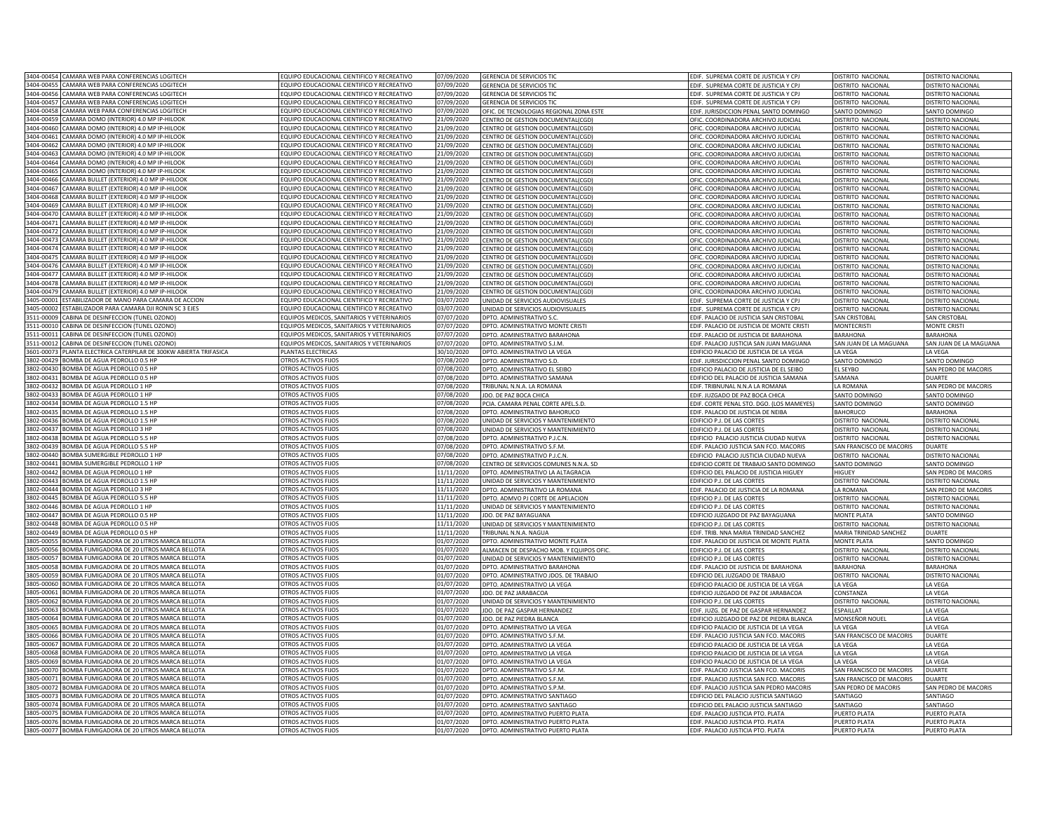| 3404-00454 CAMARA WEB PARA CONFERENCIAS LOGITECH                                             | EQUIPO EDUCACIONAL CIENTIFICO Y RECREATIVO       | 07/09/2020               | <b>GERENCIA DE SERVICIOS TI</b>                              | EDIF. SUPREMA CORTE DE JUSTICIA Y CP.                                  | DISTRITO NACIONAL        | DISTRITO NACIONA                            |
|----------------------------------------------------------------------------------------------|--------------------------------------------------|--------------------------|--------------------------------------------------------------|------------------------------------------------------------------------|--------------------------|---------------------------------------------|
| 3404-00455<br>CAMARA WEB PARA CONFERENCIAS LOGITECH                                          | EQUIPO EDUCACIONAL CIENTIFICO Y RECREATIVO       | 07/09/2020               | <b>GERENCIA DE SERVICIOS TIO</b>                             | EDIF. SUPREMA CORTE DE JUSTICIA Y CPJ                                  | DISTRITO NACIONAL        | DISTRITO NACIONA                            |
| 3404-00456<br>CAMARA WEB PARA CONFERENCIAS LOGITECH                                          | EQUIPO EDUCACIONAL CIENTIFICO Y RECREATIVO       | 07/09/2020               | <b>GERENCIA DE SERVICIOS TI</b>                              |                                                                        | DISTRITO NACIONAL        | DISTRITO NACIONA                            |
|                                                                                              |                                                  |                          |                                                              | EDIF. SUPREMA CORTE DE JUSTICIA Y CPJ                                  |                          |                                             |
| 3404-00457<br>CAMARA WEB PARA CONFERENCIAS LOGITECH                                          | EQUIPO EDUCACIONAL CIENTIFICO Y RECREATIVO       | 07/09/2020               | <b>GERENCIA DE SERVICIOS TIC</b>                             | EDIF. SUPREMA CORTE DE JUSTICIA Y CPJ                                  | DISTRITO NACIONAL        | <b>DISTRITO NACIONAL</b>                    |
| 3404-00458<br>CAMARA WEB PARA CONFERENCIAS LOGITECH                                          | EQUIPO EDUCACIONAL CIENTIFICO Y RECREATIVO       | 07/09/2020               | OFIC. DE TECNOLOGIAS REGIONAL ZONA ESTE                      | EDIF. JURISDICCION PENAL SANTO DOMINGO                                 | SANTO DOMINGO            | SANTO DOMINGO                               |
| 3404-00459<br>CAMARA DOMO (INTERIOR) 4.0 MP IP-HILOOK                                        | EQUIPO EDUCACIONAL CIENTIFICO Y RECREATIVO       | 21/09/2020               | CENTRO DE GESTION DOCUMENTAL(CGD)                            | OFIC. COORDINADORA ARCHIVO JUDICIAL                                    | DISTRITO NACIONAL        | <b>DISTRITO NACIONAL</b>                    |
| 3404-00460<br>CAMARA DOMO (INTERIOR) 4.0 MP IP-HILOOK                                        | FOUIPO EDUCACIONAL CIENTIFICO Y RECREATIVO       | 21/09/2020               | CENTRO DE GESTION DOCUMENTAL(CGD)                            | OFIC. COORDINADORA ARCHIVO JUDICIAL                                    | DISTRITO NACIONAL        | DISTRITO NACIONAL                           |
| 3404-00461<br>CAMARA DOMO (INTERIOR) 4.0 MP IP-HILOOK                                        | EQUIPO EDUCACIONAL CIENTIFICO Y RECREATIVO       | 21/09/2020               | CENTRO DE GESTION DOCUMENTAL(CGD)                            | OFIC. COORDINADORA ARCHIVO IUDICIAI                                    | DISTRITO NACIONAL        | DISTRITO NACIONAL                           |
| 3404-00462<br>AMARA DOMO (INTERIOR) 4.0 MP IP-HILOOK                                         | EQUIPO EDUCACIONAL CIENTIFICO Y RECREATIVO       | 21/09/2020               | CENTRO DE GESTION DOCUMENTAL(CGD)                            | OFIC. COORDINADORA ARCHIVO JUDICIAL                                    | <b>ISTRITO NACIONAL</b>  | DISTRITO NACIONAL                           |
| 3404-00463<br>AMARA DOMO (INTERIOR) 4.0 MP IP-HILOOK                                         | EQUIPO EDUCACIONAL CIENTIFICO Y RECREATIVO       | 21/09/2020               | CENTRO DE GESTION DOCUMENTAL(CGD)                            | OFIC. COORDINADORA ARCHIVO JUDICIAL                                    | <b>ISTRITO NACIONAL</b>  | DISTRITO NACIONAL                           |
| 3404-00464<br>CAMARA DOMO (INTERIOR) 4.0 MP IP-HILOOK                                        | EQUIPO EDUCACIONAL CIENTIFICO Y RECREATIVO       | 21/09/2020               | CENTRO DE GESTION DOCUMENTAL(CGD                             | OFIC. COORDINADORA ARCHIVO JUDICIAL                                    | <b>ISTRITO NACIONAL</b>  | DISTRITO NACIONAL                           |
| 3404-00465<br>CAMARA DOMO (INTERIOR) 4.0 MP IP-HILOOK                                        | EQUIPO EDUCACIONAL CIENTIFICO Y RECREATIVO       | 21/09/2020               | CENTRO DE GESTION DOCUMENTAL(CGD)                            | OFIC. COORDINADORA ARCHIVO JUDICIAL                                    | DISTRITO NACIONAL        | <b>DISTRITO NACIONA</b>                     |
| 3404-00466<br>CAMARA BULLET (EXTERIOR) 4.0 MP IP-HILOOK                                      | EQUIPO EDUCACIONAL CIENTIFICO Y RECREATIVO       | 21/09/2020               | CENTRO DE GESTION DOCUMENTAL(CGD)                            | OFIC. COORDINADORA ARCHIVO JUDICIAL                                    | DISTRITO NACIONAL        | DISTRITO NACIONAL                           |
| CAMARA BULLET (EXTERIOR) 4.0 MP IP-HILOOK<br>3404-00467                                      | EQUIPO EDUCACIONAL CIENTIFICO Y RECREATIVO       | 21/09/2020               | CENTRO DE GESTION DOCUMENTAL(CGD)                            | OFIC. COORDINADORA ARCHIVO JUDICIAL                                    | DISTRITO NACIONAL        | <b>DISTRITO NACIONA</b>                     |
| 3404-00468<br>CAMARA BULLET (EXTERIOR) 4.0 MP IP-HILOOK                                      | EQUIPO EDUCACIONAL CIENTIFICO Y RECREATIVO       | 21/09/2020               | CENTRO DE GESTION DOCUMENTAL(CGD)                            | OFIC. COORDINADORA ARCHIVO JUDICIAL                                    | DISTRITO NACIONAL        | DISTRITO NACIONAL                           |
| 3404-00469<br>CAMARA BULLET (EXTERIOR) 4.0 MP IP-HILOOK                                      | EQUIPO EDUCACIONAL CIENTIFICO Y RECREATIVO       | 21/09/2020               | CENTRO DE GESTION DOCUMENTAL(CGD)                            | OFIC. COORDINADORA ARCHIVO JUDICIAL                                    | <b>DISTRITO NACIONAL</b> | <b>DISTRITO NACIONAL</b>                    |
|                                                                                              |                                                  |                          |                                                              |                                                                        |                          |                                             |
| 3404-00470<br>CAMARA BULLET (EXTERIOR) 4.0 MP IP-HILOOK                                      | EQUIPO EDUCACIONAL CIENTIFICO Y RECREATIVO       | 21/09/2020               | CENTRO DE GESTION DOCUMENTALICGD)                            | OFIC, COORDINADORA ARCHIVO JUDICIAL                                    | <b>DISTRITO NACIONAL</b> | <b>DISTRITO NACIONAL</b>                    |
| 3404-00471<br>CAMARA BULLET (EXTERIOR) 4.0 MP IP-HILOOK                                      | EQUIPO EDUCACIONAL CIENTIFICO Y RECREATIVO       | 21/09/2020               | CENTRO DE GESTION DOCUMENTAL(CGD)                            | OFIC. COORDINADORA ARCHIVO JUDICIAL                                    | DISTRITO NACIONAL        | DISTRITO NACIONAL                           |
| 3404-00472<br>CAMARA BULLET (EXTERIOR) 4.0 MP IP-HILOOK                                      | EQUIPO EDUCACIONAL CIENTIFICO Y RECREATIVO       | 21/09/2020               | CENTRO DE GESTION DOCUMENTAL(CGD)                            | OFIC. COORDINADORA ARCHIVO JUDICIAL                                    | DISTRITO NACIONAL        | <b>DISTRITO NACIONAL</b>                    |
| 3404-00473<br>CAMARA BULLET (EXTERIOR) 4.0 MP IP-HILOOK                                      | EQUIPO EDUCACIONAL CIENTIFICO Y RECREATIVO       | 21/09/2020               | CENTRO DE GESTION DOCUMENTAL(CGD)                            | OFIC. COORDINADORA ARCHIVO JUDICIAL                                    | DISTRITO NACIONAL        | DISTRITO NACIONAL                           |
| 3404-00474<br>CAMARA BULLET (EXTERIOR) 4.0 MP IP-HILOOK                                      | EQUIPO EDUCACIONAL CIENTIFICO Y RECREATIVO       | 21/09/2020               | CENTRO DE GESTION DOCUMENTAL(CGD)                            | OFIC. COORDINADORA ARCHIVO JUDICIAL                                    | DISTRITO NACIONAL        | DISTRITO NACIONAL                           |
| 3404-00475<br>AMARA BULLET (EXTERIOR) 4.0 MP IP-HILOOK                                       | QUIPO EDUCACIONAL CIENTIFICO Y RECREATIVO        | 21/09/2020               | CENTRO DE GESTION DOCUMENTAL(CGD)                            | OFIC. COORDINADORA ARCHIVO JUDICIAL                                    | DISTRITO NACIONAL        | <b>DISTRITO NACIONAL</b>                    |
| 3404-00476<br>AMARA BULLET (EXTERIOR) 4.0 MP IP-HILOOK                                       | OUIPO EDUCACIONAL CIENTIFICO Y RECREATIVO        | 21/09/2020               | CENTRO DE GESTION DOCUMENTAL(CGD)                            | OFIC. COORDINADORA ARCHIVO IUDICIAI                                    | <b>JISTRITO NACIONAL</b> | DISTRITO NACIONAL                           |
| 3404-00477<br>AMARA BULLET (EXTERIOR) 4.0 MP IP-HILOOK                                       | <b>QUIPO EDUCACIONAL CIENTIFICO Y RECREATIVO</b> | 1/09/2020                | ENTRO DE GESTION DOCUMENTAL(CGD)                             | TEIC, COORDINADORA ARCHIVO IUDICIAI                                    | <b>JISTRITO NACIONAL</b> | DISTRITO NACIONAL                           |
| 3404-00478<br>AMARA BULLET (EXTERIOR) 4.0 MP IP-HILOOK                                       | <b>QUIPO EDUCACIONAL CIENTIFICO Y RECREATIVO</b> | 1/09/2020                | ENTRO DE GESTION DOCUMENTAL(CGD)                             | OFIC. COORDINADORA ARCHIVO JUDICIAL                                    | ISTRITO NACIONAL         | DISTRITO NACIONAL                           |
| 3404-00479<br>AMARA BULLET (EXTERIOR) 4.0 MP IP-HILOOK                                       | QUIPO EDUCACIONAL CIENTIFICO Y RECREATIVO        | 1/09/2020                | CENTRO DE GESTION DOCUMENTAL(CGD)                            | OFIC. COORDINADORA ARCHIVO JUDICIAL                                    | ISTRITO NACIONAL         | DISTRITO NACIONAL                           |
| ESTABILIZADOR DE MANO PARA CAMARA DE ACCION<br>3405-00001                                    | EQUIPO EDUCACIONAL CIENTIFICO Y RECREATIVO       | 03/07/2020               | JNIDAD DE SERVICIOS AUDIOVISUALES                            | EDIF. SUPREMA CORTE DE JUSTICIA Y CPJ                                  | <b>ISTRITO NACIONAL</b>  | <b>DISTRITO NACIONAL</b>                    |
| 3405-00002<br>ESTABILIZADOR PARA CAMARA DJI RONIN SC 3 EJES                                  | EQUIPO EDUCACIONAL CIENTIFICO Y RECREATIVO       | 03/07/2020               | UNIDAD DE SERVICIOS AUDIOVISUALES                            | EDIF. SUPREMA CORTE DE JUSTICIA Y CPJ                                  | <b>DISTRITO NACIONAL</b> | <b>DISTRITO NACIONAL</b>                    |
|                                                                                              |                                                  |                          |                                                              |                                                                        |                          |                                             |
| 3511-00009<br>CABINA DE DESINFECCION (TUNEL OZONO)<br>CABINA DE DESINFECCIÓN (TUNEL OZONO    | EQUIPOS MEDICOS, SANITARIOS Y VETERINARIOS       | 07/07/2020<br>07/07/2020 | DPTO, ADMINISTRATIVO S.<br>DPTO. ADMINISTRATIVO MONTE CRISTI | EDIF. PALACIO DE JUSTICIA SAN CRISTOBAL                                | SAN CRISTOBAL            | <b>SAN CRISTOBAL</b><br><b>MONTE CRISTI</b> |
| 3511-00010                                                                                   | EQUIPOS MEDICOS, SANITARIOS Y VETERINARIOS       |                          |                                                              | EDIF. PALACIO DE JUSTICIA DE MONTE CRISTI                              | <b>MONTFCRIST</b>        |                                             |
| 3511-00011<br>CABINA DE DESINFECCION (TUNEL OZONO                                            | EQUIPOS MEDICOS, SANITARIOS Y VETERINARIOS       | 07/07/2020               | DPTO, ADMINISTRATIVO BARAHONA                                | EDIF, PALACIO DE JUSTICIA DE BARAHONA                                  | <b>BARAHONA</b>          | RARAHONA                                    |
| 3511-00012<br>CABINA DE DESINFECCION (TUNEL OZONO)                                           | EQUIPOS MEDICOS, SANITARIOS Y VETERINARIOS       | 07/07/2020               | DPTO, ADMINISTRATIVO S.J.M                                   | EDIF, PALACIO JUSTICIA SAN JUAN MAGUANA                                | SAN JUAN DE LA MAGUANA   | SAN IUAN DE LA MAGUANA                      |
| 3601-00073<br>PLANTA ELECTRICA CATERPILAR DE 300KW ABIERTA TRIFASICA                         | PLANTAS ELECTRICAS                               | 30/10/2020               | DPTO. ADMINISTRATIVO LA VEGA                                 | EDIFICIO PALACIO DE JUSTICIA DE LA VEGA                                | LA VEGA                  | LA VEGA                                     |
| 3802-00429<br>BOMBA DE AGUA PEDROLLO 0.5 HF                                                  | OTROS ACTIVOS FIJOS                              | 07/08/2020               | DPTO, ADMINISTRATIVO S.D                                     | EDIF. JURISDICCION PENAL SANTO DOMINGO                                 | SANTO DOMINGO            | SANTO DOMINGO                               |
| 3802-00430 BOMBA DE AGUA PEDROLLO 0.5 HP                                                     | OTROS ACTIVOS FIJOS                              | 07/08/2020               | DPTO. ADMINISTRATIVO EL SEIBO                                | EDIFICIO PALACIO DE JUSTICIA DE EL SEIBO                               | <b>EL SEYBO</b>          | SAN PEDRO DE MACORIS                        |
| 3802-00431<br>BOMBA DE AGUA PEDROLLO 0.5 HP                                                  | OTROS ACTIVOS FIJOS                              | 07/08/2020               | DPTO. ADMINISTRATIVO SAMANA                                  | EDIFICIO DEL PALACIO DE JUSTICIA SAMANA                                | SAMANA                   | <b>DUARTE</b>                               |
| 3802-00432<br>BOMBA DE AGUA PEDROLLO 1 HP                                                    | OTROS ACTIVOS FIJOS                              | 07/08/2020               | TRIBUNAL N.N.A. LA ROMANA                                    | EDIF. TRIBNUNAL N.N.A LA ROMANA                                        | LA ROMANA                | SAN PEDRO DE MACORIS                        |
| 3802-00433<br>BOMBA DE AGUA PEDROLLO 1 HP                                                    | OTROS ACTIVOS FIJOS                              | 07/08/2020               | JDO. DE PAZ BOCA CHICA                                       | EDIF. JUZGADO DE PAZ BOCA CHICA                                        | SANTO DOMINGO            | SANTO DOMINGO                               |
| 3802-00434 BOMBA DE AGUA PEDROLLO 1.5 HP                                                     | OTROS ACTIVOS FIJOS                              | 07/08/2020               | PCIA. CAMARA PENAL CORTE APEL.S.D.                           | EDIF. CORTE PENAL STO. DGO. (LOS MAMEYES)                              |                          |                                             |
|                                                                                              |                                                  |                          |                                                              |                                                                        |                          |                                             |
|                                                                                              |                                                  |                          |                                                              |                                                                        | SANTO DOMINGO            | SANTO DOMINGO                               |
| 3802-00435<br>BOMBA DE AGUA PEDROLLO 1.5 HP                                                  | <b>OTROS ACTIVOS FIJOS</b>                       | 07/08/2020               | DPTO. ADMINISTRATIVO BAHORUCO                                | EDIF. PALACIO DE JUSTICIA DE NEIBA                                     | BAHORLICO                | BARAHONA                                    |
| 3802-00436<br>BOMBA DE AGUA PEDROLLO 1.5 HP                                                  | <b>ITROS ACTIVOS FIJOS</b>                       | 7/08/2020                | <b>INIDAD DE SERVICIOS Y MANTENIMIENTO</b>                   | EDIFICIO P.J. DE LAS CORTES                                            | <b>ISTRITO NACIONAL</b>  | DISTRITO NACIONAL                           |
| 3802-00437<br>BOMBA DE AGUA PEDROLLO 3 HP                                                    | <b>OTROS ACTIVOS FIJOS</b>                       | 07/08/2020               | JNIDAD DE SERVICIOS Y MANTENIMIENTO                          | <b>EDIFICIO P.J. DE LAS CORTES</b>                                     | ISTRITO NACIONAL         | <b>DISTRITO NACIONAL</b>                    |
| 3802-00438 BOMBA DE AGUA PEDROLLO 5.5 HP                                                     | OTROS ACTIVOS FIJOS                              | 07/08/2020               | DPTO, ADMINISTRATIVO P.J.C.N.                                | EDIFICIO PALACIO JUSTICIA CIUDAD NUEVA                                 | DISTRITO NACIONAL        | DISTRITO NACIONAL                           |
| 3802-00439 BOMBA DE AGUA PEDROLLO 5.5 HP                                                     | OTROS ACTIVOS FIJOS                              | 07/08/2020               | DPTO. ADMINISTRATIVO S.F.M.                                  | EDIF. PALACIO JUSTICIA SAN FCO. MACORIS                                | SAN FRANCISCO DE MACORIS | <b>DUARTE</b>                               |
| 3802-00440 BOMBA SUMERGIBLE PEDROLLO 1 HP                                                    | OTROS ACTIVOS FIJOS                              | 07/08/2020               | DPTO. ADMINISTRATIVO P.J.C.N.                                | EDIFICIO PALACIO JUSTICIA CIUDAD NUEVA                                 | DISTRITO NACIONAL        | DISTRITO NACIONAL                           |
| BOMBA SUMERGIBLE PEDROLLO 1 HP<br>3802-00441                                                 | OTROS ACTIVOS FIJOS                              | 07/08/2020               | CENTRO DE SERVICIOS COMUNES N.N.A. SD                        | EDIFICIO CORTE DE TRABAJO SANTO DOMINGO                                | SANTO DOMINGO            | SANTO DOMINGO                               |
| 3802-00442<br>BOMBA DE AGUA PEDROLLO 1 HP                                                    | OTROS ACTIVOS FIJOS                              | 11/11/2020               | DPTO. ADMINISTRATIVO LA ALTAGRACIA                           | EDIFICIO DEL PALACIO DE JUSTICIA HIGUEY                                | HIGUEY                   | SAN PEDRO DE MACORI!                        |
| 3802-00443<br>BOMBA DE AGUA PEDROLLO 1.5 HF                                                  | OTROS ACTIVOS FIJOS                              | 11/11/2020               | UNIDAD DE SERVICIOS Y MANTENIMIENTO                          | EDIFICIO P.J. DE LAS CORTES                                            | DISTRITO NACIONAL        | DISTRITO NACIONAL                           |
| 3802-00444<br><b>BOMBA DE AGUA PEDROLLO 3 HP</b>                                             | OTROS ACTIVOS FIJOS                              |                          |                                                              |                                                                        |                          |                                             |
|                                                                                              |                                                  | 11/11/2020               | DPTO. ADMINISTRATIVO LA ROMANA                               | EDIF. PALACIO DE JUSTICIA DE LA ROMANA                                 | LA ROMANA                | SAN PEDRO DE MACORIS<br>DISTRITO NACIONAL   |
| 3802-00445 BOMBA DE AGUA PEDROLLO 5.5 HP                                                     | OTROS ACTIVOS FIJOS                              | 11/11/2020               | DPTO. ADMVO PJ CORTE DE APELACION                            | EDIFICIO P.J. DE LAS CORTES                                            | DISTRITO NACIONAL        |                                             |
| 3802-00446<br>BOMBA DE AGUA PEDROLLO 1 HP                                                    | OTROS ACTIVOS FIJOS                              | 11/11/2020               | UNIDAD DE SERVICIOS Y MANTENIMIENTO                          | EDIFICIO P.J. DE LAS CORTES                                            | DISTRITO NACIONAL        | <b>DISTRITO NACIONAL</b>                    |
| 3802-00447 BOMBA DE AGUA PEDROLLO 0.5 HP                                                     | OTROS ACTIVOS FIJOS                              | 11/11/2020               | JDO. DE PAZ BAYAGUANA                                        | EDIFICIO JUZGADO DE PAZ BAYAGUANA                                      | <b>MONTE PLATA</b>       | SANTO DOMINGO                               |
| BOMBA DE AGUA PEDROLLO 0.5 HP                                                                | OTROS ACTIVOS FIJOS                              | 11/11/2020               | UNIDAD DE SERVICIOS Y MANTENIMIENTO                          | EDIFICIO P.J. DE LAS CORTES                                            | DISTRITO NACIONAL        | DISTRITO NACIONAL                           |
| 3802-00448<br>3802-00449 BOMBA DE AGUA PEDROLLO 0.5 HP                                       | <b>OTROS ACTIVOS FIJOS</b>                       | 1/11/2020                | TRIBUNAL N.N.A. NAGUA                                        | EDIF. TRIB. NNA MARIA TRINIDAD SANCHEZ                                 | MARIA TRINIDAD SANCHEZ   | <b>DUARTE</b>                               |
| BOMBA FUMIGADORA DE 20 LITROS MARCA BELLOTA                                                  | <b>OTROS ACTIVOS FIJOS</b>                       | 01/07/2020               | OPTO. ADMINISTRATIVO MONTE PLATA                             | EDIF, PALACIO DE JUSTICIA DE MONTE PLATA                               | <b>MONTE PLATA</b>       | SANTO DOMINGO                               |
| OMBA FUMIGADORA DE 20 LITROS MARCA BELLOTA                                                   | <b><i>OTROS ACTIVOS FIJOS</i></b>                | 01/07/2020               | ALMACEN DE DESPACHO MOB. Y FOUIPOS OFIC                      | <b>EDIFICIO P.J. DE LAS CORTES</b>                                     | <b>ISTRITO NACIONAL</b>  | <b>DISTRITO NACIONAL</b>                    |
| 3805-00057<br>BOMBA FUMIGADORA DE 20 LITROS MARCA BELLOTA                                    | <b>OTROS ACTIVOS FIJOS</b>                       | 01/07/2020               | <b>INIDAD DE SERVICIOS Y MANTENIMIENTO</b>                   | DIFICIO P.J. DE LAS CORTES                                             | ISTRITO NACIONAL         | DISTRITO NACIONAL                           |
| 3805-00055<br>3805-00056<br>3805-00058<br><b>3OMBA FUMIGADORA DE 20 LITROS MARCA BELLOTA</b> | <b>OTROS ACTIVOS FIJOS</b>                       | 01/07/2020               | DPTO, ADMINISTRATIVO BARAHONA                                | EDIF, PALACIO DE JUSTICIA DE BARAHONA                                  | <b>BARAHONA</b>          | <b>BARAHONA</b>                             |
| BOMBA FUMIGADORA DE 20 LITROS MARCA BELLOTA<br>3805-00059                                    | OTROS ACTIVOS FIJOS                              | 01/07/2020               | PTO. ADMINISTRATIVO JDOS. DE TRABAJO                         | EDIFICIO DEL JUZGADO DE TRABAJO                                        | DISTRITO NACIONAL        | DISTRITO NACIONAL                           |
| BOMBA FUMIGADORA DE 20 LITROS MARCA BELLOTA<br>3805-00060                                    | OTROS ACTIVOS FIJOS                              | 01/07/2020               | DPTO. ADMINISTRATIVO LA VEGA                                 | EDIFICIO PALACIO DE JUSTICIA DE LA VEGA                                | <b>IA VFGA</b>           | LA VEGA                                     |
| 3805-00061<br>BOMBA FUMIGADORA DE 20 LITROS MARCA BELLOTA                                    | OTROS ACTIVOS FIJOS                              | 01/07/2020               | IDO. DE PAZ IARABACOA                                        | EDIFICIO JUZGADO DE PAZ DE JARABACOA                                   | CONSTANZA                | LA VEGA                                     |
| 3805-00062<br>BOMBA FUMIGADORA DE 20 LITROS MARCA BELLOTA                                    | OTROS ACTIVOS FIJOS                              | 01/07/2020               | UNIDAD DE SERVICIOS Y MANTENIMIENTO                          | EDIFICIO P.J. DE LAS CORTES                                            | <b>JISTRITO NACIONAL</b> | <b>DISTRITO NACIONAL</b>                    |
| 3805-00063<br>BOMBA FUMIGADORA DE 20 LITROS MARCA BELLOTA                                    | OTROS ACTIVOS FIJOS                              | 01/07/2020               | JDO. DE PAZ GASPAR HERNANDEZ                                 | FDIF. IUZG. DF PAZ DF GASPAR HFRNANDFZ                                 | <b>ESPAILLA</b>          | LA VEGA                                     |
| 3805-00064<br>BOMBA FUMIGADORA DE 20 LITROS MARCA BELLOTA                                    | OTROS ACTIVOS FIJOS                              | 01/07/2020               | JDO. DE PAZ PIEDRA BLANCA                                    | EDIFICIO JUZGADO DE PAZ DE PIEDRA BLANCA                               | MONSEÑOR NOUEL           | LA VEGA                                     |
| 3805-00065<br>BOMBA FUMIGADORA DE 20 LITROS MARCA BELLOTA                                    | OTROS ACTIVOS FIJOS                              | 01/07/2020               | DPTO. ADMINISTRATIVO LA VEGA                                 | EDIFICIO PALACIO DE JUSTICIA DE LA VEGA                                | LA VEGA                  | LA VEGA                                     |
| 3805-00066                                                                                   |                                                  |                          | DPTO. ADMINISTRATIVO S.F.M.                                  |                                                                        |                          | <b>DUARTE</b>                               |
| BOMBA FUMIGADORA DE 20 LITROS MARCA BELLOTA                                                  | OTROS ACTIVOS FIJOS                              | 01/07/2020               |                                                              | EDIF. PALACIO JUSTICIA SAN FCO. MACORIS                                | SAN FRANCISCO DE MACORIS |                                             |
| 3805-00067<br>BOMBA FUMIGADORA DE 20 LITROS MARCA BELLOTA                                    | OTROS ACTIVOS FIJOS                              | 01/07/2020               | DPTO. ADMINISTRATIVO LA VEGA                                 | EDIFICIO PALACIO DE JUSTICIA DE LA VEGA                                | LA VEGA                  | LA VEGA                                     |
| 3805-00068<br>BOMBA FUMIGADORA DE 20 LITROS MARCA BELLOTA                                    | OTROS ACTIVOS FIJOS                              | 01/07/2020               | DPTO. ADMINISTRATIVO LA VEGA                                 | EDIFICIO PALACIO DE JUSTICIA DE LA VEGA                                | LA VEGA                  | LA VEGA                                     |
| 3805-00069<br>BOMBA FUMIGADORA DE 20 LITROS MARCA BELLOTA                                    | OTROS ACTIVOS FIJOS                              | 01/07/2020               | DPTO. ADMINISTRATIVO LA VEGA                                 | EDIFICIO PALACIO DE JUSTICIA DE LA VEGA                                | LA VEGA                  | LA VEGA                                     |
| 3805-00070<br>BOMBA FUMIGADORA DE 20 LITROS MARCA BELLOTA                                    | OTROS ACTIVOS FIJOS                              | 01/07/2020               | DPTO. ADMINISTRATIVO S.F.M.                                  | EDIF. PALACIO JUSTICIA SAN FCO. MACORIS                                | SAN FRANCISCO DE MACORIS | <b>DUARTE</b>                               |
| 3805-00071<br>BOMBA FUMIGADORA DE 20 LITROS MARCA BELLOTA                                    | OTROS ACTIVOS FIJOS                              | 01/07/2020               | OPTO. ADMINISTRATIVO S.F.M.                                  | EDIF. PALACIO JUSTICIA SAN FCO. MACORIS                                | SAN FRANCISCO DE MACORIS | <b>DUARTE</b>                               |
| BOMBA FUMIGADORA DE 20 LITROS MARCA BELLOTA<br>3805-00072                                    | <b>OTROS ACTIVOS FIJOS</b>                       | 01/07/2020               | DPTO, ADMINISTRATIVO S.P.M                                   | EDIF. PALACIO JUSTICIA SAN PEDRO MACORIS                               | SAN PEDRO DE MACORIS     | SAN PEDRO DE MACORIS                        |
| 3805-00073<br><b>3OMBA FUMIGADORA DE 20 LITROS MARCA BELLOTA</b>                             | <b>OTROS ACTIVOS FIJOS</b>                       | 01/07/2020               | DPTO. ADMINISTRATIVO SANTIAGO                                | EDIFICIO DEL PALACIO JUSTICIA SANTIAGO                                 | <b>SANTIAGO</b>          | SANTIAGO                                    |
| BOMBA FUMIGADORA DE 20 LITROS MARCA BELLOTA<br>3805-00074                                    | OTROS ACTIVOS FIJOS                              | 01/07/2020               | DPTO. ADMINISTRATIVO SANTIAGO                                | EDIFICIO DEL PALACIO JUSTICIA SANTIAGO                                 | <b>ANTIAGO</b>           | SANTIAGO                                    |
| BOMBA FUMIGADORA DE 20 LITROS MARCA BELLOTA<br>3805-00075                                    | OTROS ACTIVOS FIJOS                              | 01/07/2020               | DPTO. ADMINISTRATIVO PUERTO PLATA                            | EDIF. PALACIO JUSTICIA PTO. PLATA                                      | PUERTO PLAT/             | PUERTO PLATA                                |
| 3805-00076 BOMBA FUMIGADORA DE 20 LITROS MARCA BELLOTA                                       | OTROS ACTIVOS FIJOS                              | 01/07/2020               | DPTO. ADMINISTRATIVO PUERTO PLATA                            | EDIF. PALACIO JUSTICIA PTO. PLATA<br>EDIF. PALACIO JUSTICIA PTO. PLATA | PUERTO PLATA             | <b>PUERTO PLATA</b>                         |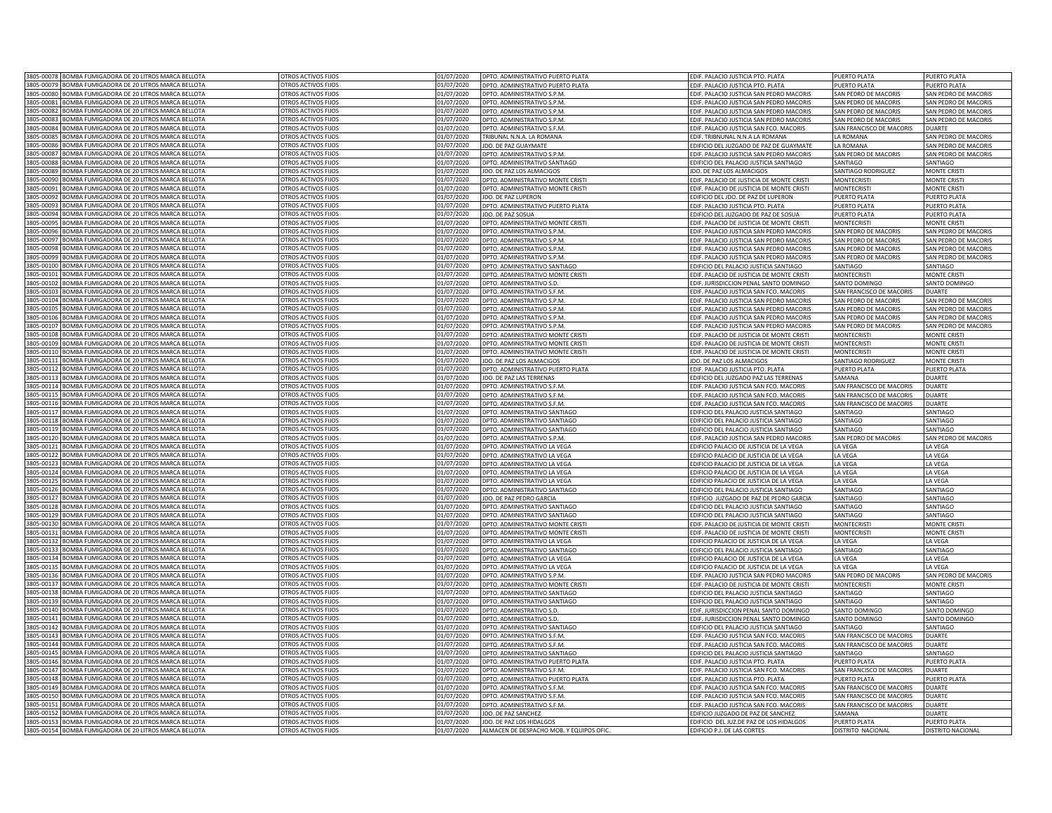|                        | 3805-00078 BOMBA FUMIGADORA DE 20 LITROS MARCA BELLOTA                                     | OTROS ACTIVOS FIJOS                                      | 01/07/2020               | DPTO. ADMINISTRATIVO PUERTO PLATA                         | EDIF. PALACIO JUSTICIA PTO. PLATA             | PUFRTO PLATA             | PUFRTO PLATA             |
|------------------------|--------------------------------------------------------------------------------------------|----------------------------------------------------------|--------------------------|-----------------------------------------------------------|-----------------------------------------------|--------------------------|--------------------------|
|                        | 3805-00079 BOMBA FUMIGADORA DE 20 LITROS MARCA BELLOTA                                     | OTROS ACTIVOS FIJOS                                      | 01/07/2020               | DPTO. ADMINISTRATIVO PUERTO PLATA                         | EDIF. PALACIO JUSTICIA PTO. PLATA             | PUERTO PLATA             | PUERTO PLATA             |
|                        | 3805-00080 BOMBA FUMIGADORA DE 20 LITROS MARCA BELLOTA                                     | OTROS ACTIVOS FIJOS                                      | 01/07/2020               | DPTO. ADMINISTRATIVO S.P.M.                               | EDIF. PALACIO JUSTICIA SAN PEDRO MACORIS      | SAN PEDRO DE MACORIS     | SAN PEDRO DE MACORIS     |
| 3805-00081             | BOMBA FUMIGADORA DE 20 LITROS MARCA BELLOTA                                                | OTROS ACTIVOS FIJOS                                      | 01/07/2020               | DPTO. ADMINISTRATIVO S.P.M.                               | EDIF. PALACIO JUSTICIA SAN PEDRO MACORIS      | SAN PEDRO DE MACORIS     | SAN PEDRO DE MACORIS     |
| 8805-00082             | BOMBA FUMIGADORA DE 20 LITROS MARCA BELLOTA                                                | <b>OTROS ACTIVOS FIJOS</b>                               | 01/07/2020               | DPTO. ADMINISTRATIVO S.P.M                                | DIF. PALACIO JUSTICIA SAN PEDRO MACORIS       | SAN PEDRO DE MACORIS     | AN PEDRO DE MACORIS      |
| 3805-00083             | <b>3OMBA FUMIGADORA DE 20 LITROS MARCA BELLOTA</b>                                         | <b>OTROS ACTIVOS FLIOS</b>                               | 01/07/2020               | DPTO. ADMINISTRATIVO S.P.M.                               | DIF. PALACIO JUSTICIA SAN PEDRO MACORIS       | SAN PEDRO DE MACORIS     | SAN PEDRO DE MACORIS     |
| 3805-00084             | BOMBA FUMIGADORA DE 20 LITROS MARCA BELLOTA                                                | <b>OTROS ACTIVOS FIJOS</b>                               | 01/07/2020               | DPTO. ADMINISTRATIVO S.F.M.                               | DIF. PALACIO JUSTICIA SAN FCO. MACORIS        | SAN FRANCISCO DE MACORIS | <b>DUARTE</b>            |
| 3805-00085             | <b>SOMBA FUMIGADORA DE 20 LITROS MARCA BELLOTA</b>                                         | <b>DTROS ACTIVOS FIJOS</b>                               | 01/07/2020               | RIBUNAL N.N.A. LA ROMANA                                  | DIF. TRIBNUNAL N.N.A LA ROMANA                | A ROMANA                 | AN PEDRO DE MACORIS      |
| 805-0008               | <b>SOMBA FUMIGADORA DE 20 LITROS MARCA BELLOTA</b>                                         | <b>DTROS ACTIVOS FIJOS</b>                               | 01/07/2020               | DO. DE PAZ GUAYMATE                                       | DIFICIO DEL JUZGADO DE PAZ DE GUAYMATE        | A ROMANA                 | AN PEDRO DE MACORIS      |
| 3805-00087             | BOMBA FUMIGADORA DE 20 LITROS MARCA BELLOTA                                                | OTROS ACTIVOS FIJOS                                      | 01/07/2020               | DPTO. ADMINISTRATIVO S.P.M                                | <b>IF. PALACIO JUSTICIA SAN PEDRO MACORIS</b> | AN PEDRO DE MACORIS      | AN PEDRO DE MACORIS      |
| 3805-00088             | BOMBA FUMIGADORA DE 20 LITROS MARCA BELLOTA                                                | OTROS ACTIVOS FIJOS                                      | 01/07/2020               | DPTO. ADMINISTRATIVO SANTIAGO                             | <b>DIFICIO DEL PALACIO JUSTICIA SANTIAGO</b>  | SANTIAGO                 | SANTIAGO                 |
| 805-00089              | BOMBA FUMIGADORA DE 20 LITROS MARCA BELLOTA                                                | <b>OTROS ACTIVOS FIJOS</b>                               | 01/07/2020               | JDO. DE PAZ LOS ALMACIGOS                                 | <b>JDO. DE PAZ LOS ALMACIGOS</b>              | SANTIAGO RODRIGUEZ       | <b>MONTE CRISTI</b>      |
| 305-00090              | BOMBA FUMIGADORA DE 20 LITROS MARCA BELLOTA                                                | <b>OTROS ACTIVOS FIJOS</b>                               | 01/07/2020               | DPTO, ADMINISTRATIVO MONTE CRIST                          | DIF. PALACIO DE JUSTICIA DE MONTE CRISTI      | <b>MONTECRIST</b>        | <b>MONTE CRISTI</b>      |
| 305-0009               | BOMBA FUMIGADORA DE 20 LITROS MARCA BELLOTA                                                | <b>TROS ACTIVOS FIJOS</b>                                | 01/07/2020               | DPTO. ADMINISTRATIVO MONTE CRISTI                         | DIF. PALACIO DE JUSTICIA DE MONTE CRISTI      | <b>MONTECRISTI</b>       | <b>MONTE CRISTI</b>      |
| 305-0009               | BOMBA FUMIGADORA DE 20 LITROS MARCA BELLOTA                                                | <b>TROS ACTIVOS FIJOS</b>                                | 01/07/2020               | <b>DO. DE PAZ LUPERON</b>                                 | DIFICIO DEL JDO. DE PAZ DE LUPERON            | PUERTO PLATA             | PUERTO PLATA             |
| 305-0009               | BOMBA FUMIGADORA DE 20 LITROS MARCA BELLOTA                                                | <b>TROS ACTIVOS FIJOS</b>                                | 01/07/2020               | DPTO. ADMINISTRATIVO PUERTO PLATA                         | DIF. PALACIO JUSTICIA PTO. PLATA              | UERTO PLATA              | PUERTO PLATA             |
| 05-00094               | BOMBA FUMIGADORA DE 20 LITROS MARCA BELLOTA                                                | <b>OTROS ACTIVOS FIJOS</b>                               | 01/07/2020               | <b>IDO. DE PAZ SOSUA</b>                                  | DIFICIO DEL JUZGADO DE PAZ DE SOSUA           | PUERTO PLATA             | PUERTO PLATA             |
| 3805-00095             | BOMBA FUMIGADORA DE 20 LITROS MARCA BELLOTA                                                | OTROS ACTIVOS FIJOS                                      | 01/07/2020               | DPTO. ADMINISTRATIVO MONTE CRISTI                         | DIF. PALACIO DE JUSTICIA DE MONTE CRISTI      | <b>MONTECRISTI</b>       | <b>MONTE CRISTI</b>      |
| 3805-00096             | BOMBA FUMIGADORA DE 20 LITROS MARCA BELLOTA                                                | OTROS ACTIVOS FIJOS                                      | 01/07/2020               | DPTO. ADMINISTRATIVO S.P.M.                               | EDIF. PALACIO JUSTICIA SAN PEDRO MACORIS      | SAN PEDRO DE MACORIS     | SAN PEDRO DE MACORIS     |
| 8805-00097             | BOMBA FUMIGADORA DE 20 LITROS MARCA BELLOTA                                                |                                                          |                          | DPTO, ADMINISTRATIVO S.P.M.                               |                                               | SAN PEDRO DE MACORIS     |                          |
| 3805-00098             | BOMBA FUMIGADORA DE 20 LITROS MARCA BELLOTA                                                | <b>DTROS ACTIVOS FIJOS</b><br><b>OTROS ACTIVOS FIIOS</b> | 01/07/2020<br>01/07/2020 |                                                           | DIF. PALACIO JUSTICIA SAN PEDRO MACORIS       |                          | SAN PEDRO DE MACORIS     |
|                        |                                                                                            |                                                          |                          | DPTO, ADMINISTRATIVO S.P.M.                               | DIF. PALACIO JUSTICIA SAN PEDRO MACORIS       | SAN PEDRO DE MACORIS     | SAN PEDRO DE MACORIS     |
| 3805-00099             | <b>BOMBA FUMIGADORA DE 20 LITROS MARCA BELLOTA</b>                                         | <b>TROS ACTIVOS FIJOS</b>                                | 01/07/2020               | DPTO. ADMINISTRATIVO S.P.M                                | DIF. PALACIO JUSTICIA SAN PEDRO MACORIS       | SAN PEDRO DE MACORIS     | SAN PEDRO DE MACORIS     |
| 3805-00100             | <b>BOMBA FUMIGADORA DE 20 LITROS MARCA BELLOTA</b>                                         | <b>TROS ACTIVOS FIJOS</b>                                | 01/07/2020               | DPTO. ADMINISTRATIVO SANTIAGO                             | DIFICIO DEL PALACIO JUSTICIA SANTIAGO         | SANTIAGO                 | <b>ANTIAGO</b>           |
| 805-0010               | OMBA FUMIGADORA DE 20 LITROS MARCA BELLOTA                                                 | TROS ACTIVOS FIJOS                                       | 01/07/2020               | DPTO. ADMINISTRATIVO MONTE CRISTI                         | DIF. PALACIO DE JUSTICIA DE MONTE CRIST       | MONTECRIST               | MONTE CRIST              |
| 805-0010               | BOMBA FUMIGADORA DE 20 LITROS MARCA BELLOTA                                                | <b>OTROS ACTIVOS FIJOS</b>                               | 01/07/2020               | DPTO. ADMINISTRATIVO S.D.                                 | DIF. JURISDICCION PENAL SANTO DOMINGO         | <b>SANTO DOMINGO</b>     | <b>ANTO DOMINGO</b>      |
| 805-00103              | BOMBA FUMIGADORA DE 20 LITROS MARCA BELLOTA                                                | <b>OTROS ACTIVOS FIJOS</b>                               | 01/07/2020               | DPTO. ADMINISTRATIVO S.F.M                                | DIF. PALACIO JUSTICIA SAN FCO. MACORIS        | SAN FRANCISCO DE MACORIS | <b>DUARTE</b>            |
| 805-00104              | BOMBA FUMIGADORA DE 20 LITROS MARCA BELLOTA                                                | <b>OTROS ACTIVOS FIJOS</b>                               | 01/07/2020               | DPTO. ADMINISTRATIVO S.P.M                                | EDIF. PALACIO JUSTICIA SAN PEDRO MACORIS      | SAN PEDRO DE MACORIS     | SAN PEDRO DE MACORIS     |
| 305-00105              | BOMBA FUMIGADORA DE 20 LITROS MARCA BELLOTA                                                | <b>OTROS ACTIVOS FIJOS</b>                               | 01/07/2020               | OPTO, ADMINISTRATIVO S.P.M                                | DIF. PALACIO JUSTICIA SAN PEDRO MACORIS       | SAN PEDRO DE MACORIS     | SAN PEDRO DE MACORIS     |
| 805-00106              | BOMBA FUMIGADORA DE 20 LITROS MARCA BELLOTA                                                | <b>OTROS ACTIVOS FIJOS</b>                               | 01/07/2020               | DPTO. ADMINISTRATIVO S.P.M                                | DIF. PALACIO JUSTICIA SAN PEDRO MACORIS       | SAN PEDRO DE MACORIS     | SAN PEDRO DE MACORIS     |
| 805-00107              | BOMBA FUMIGADORA DE 20 LITROS MARCA BELLOTA                                                | OTROS ACTIVOS FIIOS                                      | 01/07/2020               | DPTO. ADMINISTRATIVO S.P.M                                | EDIF. PALACIO JUSTICIA SAN PEDRO MACORIS      | SAN PEDRO DE MACORIS     | SAN PEDRO DE MACORIS     |
| 305-00108              | BOMBA FUMIGADORA DE 20 LITROS MARCA BELLOTA                                                | <b>DTROS ACTIVOS FIJOS</b>                               | 01/07/2020               | DPTO. ADMINISTRATIVO MONTE CRIST                          | DIF, PALACIO DE JUSTICIA DE MONTE CRIST       | <b>MONTFCRIST</b>        | <b>MONTE CRISTI</b>      |
| 05-00109               | BOMBA FUMIGADORA DE 20 LITROS MARCA BELLOTA                                                | OTROS ACTIVOS FIJOS                                      | 01/07/2020               | DPTO. ADMINISTRATIVO MONTE CRISTI                         | EDIF. PALACIO DE JUSTICIA DE MONTE CRISTI     | <b>MONTECRIST</b>        | MONTE CRIST              |
| 805-00110              | BOMBA FUMIGADORA DE 20 LITROS MARCA BELLOTA                                                | OTROS ACTIVOS FIJOS                                      | 01/07/2020               | DPTO. ADMINISTRATIVO MONTE CRISTI                         | EDIF. PALACIO DE JUSTICIA DE MONTE CRISTI     | <b>MONTFCRISTI</b>       | <b>MONTE CRISTI</b>      |
| 805-00111              | BOMBA FUMIGADORA DE 20 LITROS MARCA BELLOTA                                                | OTROS ACTIVOS FIJOS                                      | 01/07/2020               | JDO. DE PAZ LOS ALMACIGOS                                 | <b>JDO. DE PAZ LOS ALMACIGOS</b>              | SANTIAGO RODRIGUEZ       | <b>MONTE CRISTI</b>      |
| 3805-00112             | BOMBA FUMIGADORA DE 20 LITROS MARCA BELLOTA                                                | OTROS ACTIVOS FIJOS                                      | 01/07/2020               | DPTO. ADMINISTRATIVO PUERTO PLATA                         | EDIF. PALACIO JUSTICIA PTO. PLATA             | PUERTO PLATA             | PUERTO PLATA             |
| 8805-00113             | BOMBA FUMIGADORA DE 20 LITROS MARCA BELLOTA                                                | OTROS ACTIVOS FIJOS                                      | 01/07/2020               | IDO. DE PAZ LAS TERRENAS                                  | DIFICIO DEL JUZGADO PAZ LAS TERRENAS          | SAMANA                   | <b>DUARTE</b>            |
| 3805-00114             | BOMBA FUMIGADORA DE 20 LITROS MARCA BELLOTA                                                | OTROS ACTIVOS FIJOS                                      | 01/07/2020               | DPTO, ADMINISTRATIVO S.F.M                                | DIF. PALACIO JUSTICIA SAN FCO. MACORIS        | SAN FRANCISCO DE MACORIS | DUARTE                   |
| 3805-00115             | BOMBA FUMIGADORA DE 20 LITROS MARCA BELLOTA                                                | <b>OTROS ACTIVOS FLIOS</b>                               | 01/07/2020               | DPTO. ADMINISTRATIVO S.F.M.                               | DIF. PALACIO JUSTICIA SAN FCO. MACORIS        | SAN FRANCISCO DE MACORIS | <b>DUARTE</b>            |
| 3805-00116             | <b>BOMBA FUMIGADORA DE 20 LITROS MARCA BELLOTA</b>                                         | <b>DTROS ACTIVOS FIJOS</b>                               | 01/07/2020               | DPTO. ADMINISTRATIVO S.F.M.                               | DIF. PALACIO JUSTICIA SAN FCO. MACORIS        | SAN FRANCISCO DE MACORIS | DUARTE                   |
| 8805-00117             | BOMBA FUMIGADORA DE 20 LITROS MARCA BELLOTA                                                | <b>OTROS ACTIVOS FIJOS</b>                               | 01/07/2020               | DPTO. ADMINISTRATIVO SANTIAGO                             | DIFICIO DEL PALACIO JUSTICIA SANTIAGO         | SANTIAGO                 | <b>ANTIAGO</b>           |
| 3805-00118             | BOMBA FUMIGADORA DE 20 LITROS MARCA BELLOTA                                                | <b>DTROS ACTIVOS FIJOS</b>                               | 01/07/2020               | PTO. ADMINISTRATIVO SANTIAGO                              | DIFICIO DEL PALACIO JUSTICIA SANTIAGO         | ANTIAGO                  | <b>ANTIAGO</b>           |
| 3805-00119             | BOMBA FUMIGADORA DE 20 LITROS MARCA BELLOTA                                                | OTROS ACTIVOS FIJOS                                      | 01/07/2020               | <b>PTO, ADMINISTRATIVO SANTIAGO</b>                       | DIFICIO DEL PALACIO JUSTICIA SANTIAGO         | SANTIAGO                 | SANTIAGO                 |
| 3805-00120             | BOMBA FUMIGADORA DE 20 LITROS MARCA BELLOTA                                                | OTROS ACTIVOS FIJOS                                      | 01/07/2020               | DPTO. ADMINISTRATIVO S.P.M.                               | DIF. PALACIO JUSTICIA SAN PEDRO MACORIS       | SAN PEDRO DE MACORIS     | SAN PEDRO DE MACORIS     |
| 8805-00121             | BOMBA FUMIGADORA DE 20 LITROS MARCA BELLOTA                                                | OTROS ACTIVOS FIJOS                                      | 01/07/2020               | DPTO. ADMINISTRATIVO LA VEGA                              | EDIFICIO PALACIO DE JUSTICIA DE LA VEGA       | LA VEGA                  | LA VEGA                  |
| 305-00122              | BOMBA FUMIGADORA DE 20 LITROS MARCA BELLOTA                                                | <b>OTROS ACTIVOS FIJOS</b>                               | 01/07/2020               | DPTO. ADMINISTRATIVO LA VEGA                              | DIFICIO PALACIO DE JUSTICIA DE LA VEGA        | A VEGA                   | LA VEGA                  |
| 305-0012               | BOMBA FUMIGADORA DE 20 LITROS MARCA BELLOTA                                                | <b>DTROS ACTIVOS FIJOS</b>                               | 01/07/2020               | DPTO. ADMINISTRATIVO LA VEGA                              | DIFICIO PALACIO DE JUSTICIA DE LA VEGA        | A VEGA                   | LA VEGA                  |
| 305-0012               | BOMBA FUMIGADORA DE 20 LITROS MARCA BELLOTA                                                | <b>TROS ACTIVOS FIJOS</b>                                | 01/07/2020               | DPTO, ADMINISTRATIVO LA VEGA                              | DIFICIO PALACIO DE JUSTICIA DE LA VEGA        | A VEGA                   | LA VEGA                  |
| 805-00125              | BOMBA FUMIGADORA DE 20 LITROS MARCA BELLOTA                                                | <b>TROS ACTIVOS FIJOS</b>                                | 01/07/2020               | DPTO. ADMINISTRATIVO LA VEGA                              | DIFICIO PALACIO DE JUSTICIA DE LA VEGA        | A VEGA                   | LA VEGA                  |
|                        |                                                                                            |                                                          |                          |                                                           |                                               |                          |                          |
| 05-00126<br>3805-00127 | BOMBA FUMIGADORA DE 20 LITROS MARCA BELLOTA<br>BOMBA FUMIGADORA DE 20 LITROS MARCA BELLOTA | <b>OTROS ACTIVOS FIJOS</b><br>OTROS ACTIVOS FIJOS        | 01/07/2020<br>01/07/2020 | DPTO. ADMINISTRATIVO SANTIAGO<br>JDO. DE PAZ PEDRO GARCIA | DIFICIO DEL PALACIO JUSTICIA SANTIAGO         | SANTIAGO<br>SANTIAGO     | SANTIAGO<br>SANTIAGO     |
|                        |                                                                                            |                                                          |                          |                                                           | DIFICIO JUZGADO DE PAZ DE PEDRO GARCIA        |                          |                          |
| 805-00128              | BOMBA FUMIGADORA DE 20 LITROS MARCA BELLOTA                                                | OTROS ACTIVOS FIJOS                                      | 01/07/2020               | DPTO. ADMINISTRATIVO SANTIAGO                             | EDIFICIO DEL PALACIO JUSTICIA SANTIAGO        | SANTIAGO                 | SANTIAGO                 |
| 8805-00129             | BOMBA FUMIGADORA DE 20 LITROS MARCA BELLOTA                                                | OTROS ACTIVOS FIJOS                                      | 01/07/2020               | DPTO. ADMINISTRATIVO SANTIAGO                             | DIFICIO DEL PALACIO JUSTICIA SANTIAGO         | SANTIAGO                 | SANTIAGO                 |
| 3805-00130             | BOMBA FUMIGADORA DE 20 LITROS MARCA BELLOTA                                                | <b>DTROS ACTIVOS FIJOS</b>                               | 01/07/2020               | DPTO, ADMINISTRATIVO MONTE CRIST                          | DIF. PALACIO DE JUSTICIA DE MONTE CRISTI      | <b>MONTECRISTI</b>       | MONTE CRISTI             |
| 3805-00131             | <b>BOMBA FUMIGADORA DE 20 LITROS MARCA BELLOTA</b>                                         | <b>TROS ACTIVOS FIJOS</b>                                | 01/07/2020               | DPTO, ADMINISTRATIVO MONTE CRISTI                         | DIF. PALACIO DE JUSTICIA DE MONTE CRISTI      | <b>MONTFCRISTI</b>       | <b>MONTE CRISTI</b>      |
| 3805-00132             | OMBA FUMIGADORA DE 20 LITROS MARCA BELLOTA                                                 | <b>TROS ACTIVOS FIJOS</b>                                | 01/07/2020               | OPTO. ADMINISTRATIVO LA VEGA                              | DIFICIO PALACIO DE JUSTICIA DE LA VEGA        | A VEGA                   | LA VEGA                  |
| 805-00133              | <b>OMBA FUMIGADORA DE 20 LITROS MARCA BELLOTA</b>                                          | <b>TROS ACTIVOS FIJOS</b>                                | 01/07/2020               | DPTO, ADMINISTRATIVO SANTIAGO                             | DIFICIO DEL PALACIO JUSTICIA SANTIAGO         | SANTIAGO                 | ANTIAGO                  |
| 3805-00134             | BOMBA FUMIGADORA DE 20 LITROS MARCA BELLOTA                                                | <b>OTROS ACTIVOS FIJOS</b>                               | 01/07/2020               | OPTO. ADMINISTRATIVO LA VEGA                              | DIFICIO PALACIO DE JUSTICIA DE LA VEGA        | A VFGA                   | A VEGA                   |
| 8805-0013              | BOMBA FUMIGADORA DE 20 LITROS MARCA BELLOTA                                                | <b>OTROS ACTIVOS FIJOS</b>                               | 01/07/2020               | DPTO, ADMINISTRATIVO LA VEGA                              | DIFICIO PALACIO DE JUSTICIA DE LA VEGA        | A VEGA                   | LA VEGA                  |
| 3805-00136             | BOMBA FUMIGADORA DE 20 LITROS MARCA BELLOTA                                                | OTROS ACTIVOS FIJOS                                      | 01/07/2020               | DPTO. ADMINISTRATIVO S.P.M.                               | EDIF. PALACIO JUSTICIA SAN PEDRO MACORIS      | SAN PEDRO DE MACORIS     | SAN PEDRO DE MACORIS     |
| 805-00137              | BOMBA FUMIGADORA DE 20 LITROS MARCA BELLOTA                                                | <b>OTROS ACTIVOS FIJOS</b>                               | 01/07/2020               | OPTO. ADMINISTRATIVO MONTE CRIST                          | DIF. PALACIO DE JUSTICIA DE MONTE CRIST       | <b>MONTECRIS</b>         | MONTE CRIST              |
| 305-00138              | BOMBA FUMIGADORA DE 20 LITROS MARCA BELLOTA                                                | <b>TROS ACTIVOS FIJOS</b>                                | 01/07/2020               | DPTO. ADMINISTRATIVO SANTIAGO                             | DIFICIO DEL PALACIO JUSTICIA SANTIAGO         | SANTIAGO                 | SANTIAGO                 |
| 805-00139              | BOMBA FUMIGADORA DE 20 LITROS MARCA BELLOTA                                                | OTROS ACTIVOS FIIOS                                      | 01/07/2020               | DPTO. ADMINISTRATIVO SANTIAGO                             | DIFICIO DEL PALACIO ILISTICIA SANTIAGO        | SANTIAGO                 | SANTIAGO                 |
| 305-00140              | BOMBA FUMIGADORA DE 20 LITROS MARCA BELLOTA                                                | <b>DTROS ACTIVOS FIJOS</b>                               | 01/07/2020               | DPTO. ADMINISTRATIVO S.D                                  | DIF, JURISDICCION PENAL SANTO DOMINGO         | SANTO DOMINGC            | SANTO DOMINGO            |
| 05-00141               | BOMBA FUMIGADORA DE 20 LITROS MARCA BELLOTA                                                | OTROS ACTIVOS FIJOS                                      | 01/07/2020               | DPTO. ADMINISTRATIVO S.D                                  | EDIF. JURISDICCION PENAL SANTO DOMINGO        | SANTO DOMINGO            | SANTO DOMINGO            |
| 805-00142              | BOMBA FUMIGADORA DE 20 LITROS MARCA BELLOTA                                                | OTROS ACTIVOS FIJOS                                      | 01/07/2020               | DPTO, ADMINISTRATIVO SANTIAGO                             | EDIFICIO DEL PALACIO JUSTICIA SANTIAGO        | SANTIAGO                 | SANTIAGO                 |
| 805-00143              | BOMBA FUMIGADORA DE 20 LITROS MARCA BELLOTA                                                | OTROS ACTIVOS FIJOS                                      | 01/07/2020               | DPTO, ADMINISTRATIVO S.F.M.                               | EDIF. PALACIO JUSTICIA SAN FCO. MACORIS       | SAN FRANCISCO DE MACORIS | <b>DUARTE</b>            |
|                        | 3805-00144 BOMBA FUMIGADORA DE 20 LITROS MARCA BELLOTA                                     | OTROS ACTIVOS FIJOS                                      | 01/07/2020               | DPTO. ADMINISTRATIVO S.F.M.                               | EDIF. PALACIO JUSTICIA SAN FCO. MACORIS       | SAN FRANCISCO DE MACORIS | <b>DUARTE</b>            |
| 8805-00145             | BOMBA FUMIGADORA DE 20 LITROS MARCA BELLOTA                                                | OTROS ACTIVOS FIJOS                                      | 01/07/2020               | DPTO. ADMINISTRATIVO SANTIAGO                             | EDIFICIO DEL PALACIO JUSTICIA SANTIAGO        | SANTIAGO                 | SANTIAGO                 |
| 8805-00146             | BOMBA FUMIGADORA DE 20 LITROS MARCA BELLOTA                                                | OTROS ACTIVOS FIJOS                                      | 01/07/2020               | DPTO. ADMINISTRATIVO PUERTO PLATA                         | DIF. PALACIO JUSTICIA PTO. PLATA              | PUERTO PLATA             | PUERTO PLATA             |
| 3805-00147             | BOMBA FUMIGADORA DE 20 LITROS MARCA BELLOTA                                                | <b>OTROS ACTIVOS FIIOS</b>                               | 01/07/2020               | OPTO. ADMINISTRATIVO S.F.M.                               | DIF. PALACIO JUSTICIA SAN FCO. MACORIS        | SAN FRANCISCO DE MACORIS | DUARTE                   |
| 3805-00148             | <b>BOMBA FUMIGADORA DE 20 LITROS MARCA BELLOTA</b>                                         | <b>DTROS ACTIVOS FIJOS</b>                               | 01/07/2020               | DPTO. ADMINISTRATIVO PUERTO PLATA                         | DIE, PALACIO IUSTICIA PTO, PLATA              | <b>UFRTO PLATA</b>       | UERTO PLATA              |
| 3805-00149             | BOMBA FUMIGADORA DE 20 LITROS MARCA BELLOTA                                                | <b>TROS ACTIVOS FIJOS</b>                                | 01/07/2020               | DPTO. ADMINISTRATIVO S.F.M.                               | DIF. PALACIO JUSTICIA SAN FCO. MACORIS        | AN FRANCISCO DE MACORIS  | DUARTE                   |
| 3805-00150             | BOMBA FUMIGADORA DE 20 LITROS MARCA BELLOTA                                                | <b>OTROS ACTIVOS FIJOS</b>                               | 01/07/2020               | OPTO. ADMINISTRATIVO S.F.M                                | DIF. PALACIO JUSTICIA SAN FCO. MACORIS        | SAN FRANCISCO DE MACORIS | <b>OUARTE</b>            |
| 3805-00151             | BOMBA FUMIGADORA DE 20 LITROS MARCA BELLOTA                                                | OTROS ACTIVOS FIJOS                                      | 01/07/2020               | DPTO. ADMINISTRATIVO S.F.M.                               | DIF. PALACIO JUSTICIA SAN FCO. MACORIS        | SAN FRANCISCO DE MACORIS | DUARTE                   |
| 3805-00152             | BOMBA FUMIGADORA DE 20 LITROS MARCA BELLOTA                                                | OTROS ACTIVOS FIJOS                                      | 01/07/2020               | JDO. DE PAZ SANCHEZ                                       | DIFICIO JUZGADO DE PAZ DE SANCHEZ             | SAMANA                   | DUARTE                   |
| 3805-00153             | BOMBA FUMIGADORA DE 20 LITROS MARCA BELLOTA                                                | OTROS ACTIVOS FIJOS                                      | 01/07/2020               | JDO. DE PAZ LOS HIDALGOS                                  | DIFICIO DEL JUZ.DE PAZ DE LOS HIDALGOS        | PUERTO PLATA             | PUFRTO PLATA             |
|                        | 3805-00154 BOMBA FUMIGADORA DE 20 LITROS MARCA BELLOTA                                     | OTROS ACTIVOS FIJOS                                      | 01/07/2020               | ALMACEN DE DESPACHO MOB. Y EQUIPOS OFIC                   | DIFICIO P.J. DE LAS CORTES                    | DISTRITO NACIONAL        | <b>DISTRITO NACIONAL</b> |
|                        |                                                                                            |                                                          |                          |                                                           |                                               |                          |                          |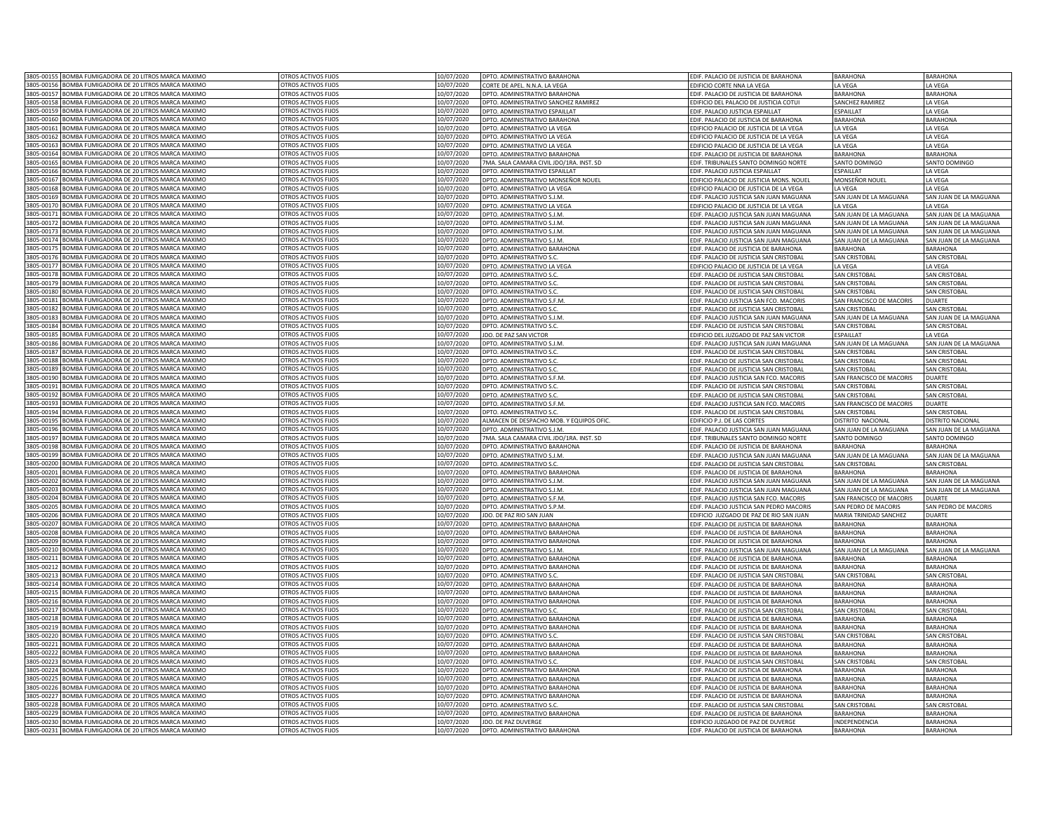|                       | 3805-00155 BOMBA FUMIGADORA DE 20 LITROS MARCA MAXIMO                                          | OTROS ACTIVOS FIJOS                               | 10/07/2020               | DPTO. ADMINISTRATIVO BARAHONA                                  | EDIF. PALACIO DE JUSTICIA DE BARAHONA                                          | <b>BARAHONA</b>                           | <b>BARAHONA</b>                    |
|-----------------------|------------------------------------------------------------------------------------------------|---------------------------------------------------|--------------------------|----------------------------------------------------------------|--------------------------------------------------------------------------------|-------------------------------------------|------------------------------------|
|                       | 3805-00156 BOMBA FUMIGADORA DE 20 LITROS MARCA MAXIMO                                          | OTROS ACTIVOS FIJOS                               | 10/07/2020               | CORTE DE APEL. N.N.A. LA VEGA                                  | EDIFICIO CORTE NNA LA VEGA                                                     | LA VEGA                                   | LA VEGA                            |
| 3805-00157            | BOMBA FUMIGADORA DE 20 LITROS MARCA MAXIMO                                                     | OTROS ACTIVOS FIJOS                               | 10/07/2020               | DPTO. ADMINISTRATIVO BARAHONA                                  | EDIF. PALACIO DE JUSTICIA DE BARAHONA                                          | <b>BARAHONA</b>                           | <b>BARAHONA</b>                    |
| 805-00158             | OMBA FUMIGADORA DE 20 LITROS MARCA MAXIMO                                                      | OTROS ACTIVOS FIJOS                               | 10/07/2020               | DPTO. ADMINISTRATIVO SANCHEZ RAMIREZ                           | EDIFICIO DEL PALACIO DE JUSTICIA COTUI                                         | SANCHEZ RAMIREZ                           | LA VEGA                            |
| 805-00159             | OMBA FUMIGADORA DE 20 LITROS MARCA MAXIMO                                                      | OTROS ACTIVOS FIJOS                               | 10/07/2020               | DPTO. ADMINISTRATIVO ESPAILLAT                                 | EDIF. PALACIO JUSTICIA ESPAILLAT                                               | SPAILLAT                                  | LA VEGA                            |
| 805-00160             | OMBA FUMIGADORA DE 20 LITROS MARCA MAXIMO                                                      | OTROS ACTIVOS FIJOS                               | 10/07/2020               | <b>PTO, ADMINISTRATIVO BARAHONA</b>                            | EDIF, PALACIO DE JUSTICIA DE BARAHONA                                          | BARAHONA                                  | BARAHONA                           |
| 305-0016              | OMBA FUMIGADORA DE 20 LITROS MARCA MAXIMO                                                      | OTROS ACTIVOS FIJOS                               | 10/07/2020               | DPTO. ADMINISTRATIVO LA VEGA                                   | FDIFICIO PALACIO DE IUSTICIA DE LA VEGA                                        | A VFGA                                    | <b>IA VEGA</b>                     |
| 805-0016              | OMBA FUMIGADORA DE 20 LITROS MARCA MAXIMO                                                      | <b>OTROS ACTIVOS FIJOS</b>                        | 10/07/2020               | <b>DPTO. ADMINISTRATIVO LA VEGA</b>                            | EDIFICIO PALACIO DE JUSTICIA DE LA VEGA                                        | A VEGA                                    | LA VEGA                            |
| 805-0016              | OMBA FUMIGADORA DE 20 LITROS MARCA MAXIMO                                                      | OTROS ACTIVOS FIJOS                               | 10/07/2020               | DPTO. ADMINISTRATIVO LA VEGA                                   | EDIFICIO PALACIO DE JUSTICIA DE LA VEGA                                        | A VEGA                                    | LA VEGA                            |
| 805-00164             | BOMBA FUMIGADORA DE 20 LITROS MARCA MAXIMO                                                     | OTROS ACTIVOS FIJOS                               | 10/07/2020               | DPTO. ADMINISTRATIVO BARAHONA                                  | EDIF. PALACIO DE JUSTICIA DE BARAHONA                                          | BARAHONA                                  | BARAHONA                           |
| 805-0016              | OMBA FUMIGADORA DE 20 LITROS MARCA MAXIMO                                                      | OTROS ACTIVOS FIJOS                               | 10/07/2020               | 7MA. SALA CAMARA CIVIL JDO/1RA. INST. SD                       | EDIF. TRIBUNALES SANTO DOMINGO NORTE                                           | <b>SANTO DOMINGO</b>                      | SANTO DOMINGC                      |
| 805-0016              | OMBA FUMIGADORA DE 20 LITROS MARCA MAXIMO                                                      | OTROS ACTIVOS FIJOS                               | 10/07/2020               | DPTO. ADMINISTRATIVO ESPAILLAT                                 | EDIF. PALACIO JUSTICIA ESPAILLAT                                               | ESPAILLAT                                 | LA VEGA                            |
| 805-001               | OMBA FUMIGADORA DE 20 LITROS MARCA MAXIMO                                                      | OTROS ACTIVOS FIJOS                               | 10/07/2020               | DPTO, ADMINISTRATIVO MONSEÑOR NOUEL                            | FDIFICIO PALACIO DE ILISTICIA MONS, NOUFI                                      | MONSEÑOR NOUEL                            | <b>IA VEGA</b>                     |
| 305-0016              | OMBA FUMIGADORA DE 20 LITROS MARCA MAXIMO                                                      | OTROS ACTIVOS FIJOS                               | 10/07/2020               | DPTO. ADMINISTRATIVO LA VEGA                                   | DIFICIO PALACIO DE IUSTICIA DE LA VEGA                                         | A VFGA                                    | <b>IA VEGA</b>                     |
| 305-0016              | OMBA FUMIGADORA DE 20 LITROS MARCA MAXIMO                                                      | OTROS ACTIVOS FIJOS                               | 10/07/2020               | DPTO. ADMINISTRATIVO S.J.M                                     | EDIF. PALACIO JUSTICIA SAN JUAN MAGUANA                                        | SAN JUAN DE LA MAGUANA                    | SAN JUAN DE LA MAGUANA             |
| 805-0013              | OMBA FUMIGADORA DE 20 LITROS MARCA MAXIMO                                                      | <b>OTROS ACTIVOS FIJOS</b>                        | 10/07/2020               | DPTO. ADMINISTRATIVO LA VEGA                                   | EDIFICIO PALACIO DE JUSTICIA DE LA VEGA                                        | A VFGA                                    | <b>IA VEGA</b>                     |
| 8805-00171            | BOMBA FUMIGADORA DE 20 LITROS MARCA MAXIMO                                                     | OTROS ACTIVOS FIJOS                               | 10/07/2020               | DPTO. ADMINISTRATIVO S.J.M.                                    | EDIF. PALACIO JUSTICIA SAN JUAN MAGUANA                                        | SAN JUAN DE LA MAGUANA                    | SAN JUAN DE LA MAGUANA             |
| 805-00172             | <b>SOMBA FUMIGADORA DE 20 LITROS MARCA MAXIMO</b>                                              | OTROS ACTIVOS FIJOS                               | 10/07/2020               | DPTO. ADMINISTRATIVO S.J.M.                                    | EDIF. PALACIO JUSTICIA SAN JUAN MAGUANA                                        | SAN JUAN DE LA MAGUANA                    | SAN JUAN DE LA MAGUANA             |
| 805-0017<br>805-00174 | OMBA FUMIGADORA DE 20 LITROS MARCA MAXIMO                                                      | <b>OTROS ACTIVOS FIJOS</b><br>OTROS ACTIVOS FIIOS | 10/07/2020               | DPTO. ADMINISTRATIVO S.J.M.                                    | EDIF. PALACIO JUSTICIA SAN JUAN MAGUANA                                        | SAN JUAN DE LA MAGUANA                    | SAN JUAN DE LA MAGUANA             |
| 805-0017              | OMBA FUMIGADORA DE 20 LITROS MARCA MAXIMO<br>OMBA FUMIGADORA DE 20 LITROS MARCA MAXIMO         | <b>OTROS ACTIVOS FIJOS</b>                        | 10/07/2020<br>10/07/2020 | DPTO, ADMINISTRATIVO S.J.M                                     | EDIF. PALACIO JUSTICIA SAN JUAN MAGUANA                                        | SAN JUAN DE LA MAGUANA<br><b>BARAHONA</b> | SAN JUAN DE LA MAGUANA             |
| 805-0013              | OMBA FUMIGADORA DE 20 LITROS MARCA MAXIMO                                                      | <b>OTROS ACTIVOS FIJOS</b>                        | 10/07/2020               | DPTO, ADMINISTRATIVO BARAHONA<br>DPTO. ADMINISTRATIVO S.C      | DIF. PALACIO DE JUSTICIA DE BARAHONA<br>DIE, PALACIO DE IUSTICIA SAN CRISTOBAL | AN CRISTORAL                              | BARAHONA<br>SAN CRISTOBAL          |
| 805-0017              | OMBA FUMIGADORA DE 20 LITROS MARCA MAXIMO                                                      | <b>OTROS ACTIVOS FIJOS</b>                        | 10/07/2020               | DPTO. ADMINISTRATIVO LA VEGA                                   | DIFICIO PALACIO DE JUSTICIA DE LA VEGA                                         | A VEGA                                    | A VEGA                             |
| 305-0017              | OMBA FUMIGADORA DE 20 LITROS MARCA MAXIMO                                                      | <b>OTROS ACTIVOS FIJOS</b>                        | 10/07/2020               | <b>PTO. ADMINISTRATIVO S.C</b>                                 | DIF. PALACIO DE JUSTICIA SAN CRISTOBAL                                         | AN CRISTOBAL                              | <b>SAN CRISTOBAL</b>               |
| 805-0017              | <b>SOMBA FUMIGADORA DE 20 LITROS MARCA MAXIMO</b>                                              | OTROS ACTIVOS FIJOS                               | 10/07/2020               | DPTO, ADMINISTRATIVO S.                                        | EDIF. PALACIO DE JUSTICIA SAN CRISTOBA                                         | <b>AN CRISTOBA</b>                        | <b>SAN CRISTOBA</b>                |
| 805-00180             | OMBA FUMIGADORA DE 20 LITROS MARCA MAXIMO                                                      | OTROS ACTIVOS FIJOS                               | 10/07/2020               | DPTO. ADMINISTRATIVO S.O                                       | EDIF. PALACIO DE JUSTICIA SAN CRISTOBAL                                        | SAN CRISTOBAL                             | <b>SAN CRISTOBAL</b>               |
| 305-0018              | OMBA FUMIGADORA DE 20 LITROS MARCA MAXIMO                                                      | OTROS ACTIVOS FIJOS                               | 10/07/2020               | DPTO, ADMINISTRATIVO S.F.M                                     | EDIF, PALACIO JUSTICIA SAN FCO, MACORIS                                        | SAN FRANCISCO DE MACORIS                  | <b>DUARTE</b>                      |
| 805-0018              | OMBA FUMIGADORA DE 20 LITROS MARCA MAXIMO                                                      | OTROS ACTIVOS FIJOS                               | 10/07/2020               | DPTO. ADMINISTRATIVO S.                                        | EDIF. PALACIO DE JUSTICIA SAN CRISTOBAL                                        | <b>AN CRISTORA</b>                        | SAN CRISTOBAL                      |
| 305-0018              | OMBA FUMIGADORA DE 20 LITROS MARCA MAXIMO                                                      | OTROS ACTIVOS FIJOS                               | 10/07/2020               | DPTO. ADMINISTRATIVO S.I.M                                     | FDIE. PALACIO IUSTICIA SAN IUAN MAGUANA                                        | SAN IUAN DE LA MAGUANA                    | SAN IUAN DE LA MAGUANA             |
| 305-0018              | OMBA FUMIGADORA DE 20 LITROS MARCA MAXIMO                                                      | OTROS ACTIVOS FIJOS                               | 10/07/2020               | DPTO. ADMINISTRATIVO S.C                                       | EDIF. PALACIO DE JUSTICIA SAN CRISTOBAL                                        | SAN CRISTOBAL                             | <b>SAN CRISTOBAL</b>               |
| 305-0018              | OMBA FUMIGADORA DE 20 LITROS MARCA MAXIMO                                                      | OTROS ACTIVOS FIJOS                               | 10/07/2020               | DO. DE PAZ SAN VICTOR                                          | EDIFICIO DEL JUZGADO DE PAZ SAN VICTOR                                         | <b>ESPAILLAT</b>                          | LA VEGA                            |
| 805-00186             | BOMBA FUMIGADORA DE 20 LITROS MARCA MAXIMO                                                     | OTROS ACTIVOS FIJOS                               | 10/07/2020               | DPTO. ADMINISTRATIVO S.I.M                                     | FDIF, PALACIO JUSTICIA SAN JUAN MAGUANA                                        | SAN JUAN DE LA MAGUANA                    | SAN JUAN DE LA MAGUANA             |
| 805-00187             | OMBA FUMIGADORA DE 20 LITROS MARCA MAXIMO                                                      | OTROS ACTIVOS FIJOS                               | 10/07/2020               | DPTO. ADMINISTRATIVO S.C.                                      | EDIF. PALACIO DE JUSTICIA SAN CRISTOBAL                                        | SAN CRISTOBAL                             | <b>SAN CRISTOBAL</b>               |
| 805-00188             | BOMBA FUMIGADORA DE 20 LITROS MARCA MAXIMO                                                     | OTROS ACTIVOS FIJOS                               | 10/07/2020               | DPTO, ADMINISTRATIVO S.O                                       | EDIF. PALACIO DE JUSTICIA SAN CRISTOBAL                                        | SAN CRISTOBAL                             | <b>SAN CRISTOBAL</b>               |
| 805-00189             | OMBA FUMIGADORA DE 20 LITROS MARCA MAXIMO                                                      | OTROS ACTIVOS FIJOS                               | 10/07/2020               | DPTO. ADMINISTRATIVO S.O                                       | EDIF. PALACIO DE JUSTICIA SAN CRISTOBAL                                        | SAN CRISTOBAL                             | <b>SAN CRISTOBAL</b>               |
| 805-0019              | OMBA FUMIGADORA DE 20 LITROS MARCA MAXIMO                                                      | OTROS ACTIVOS FIJOS                               | 10/07/2020               | OPTO. ADMINISTRATIVO S.F.M.                                    | DIF. PALACIO JUSTICIA SAN FCO. MACORIS                                         | AN FRANCISCO DE MACORIS                   | DUARTE                             |
| 805-0019              | OMBA FUMIGADORA DE 20 LITROS MARCA MAXIMO                                                      | OTROS ACTIVOS FIJOS                               | 10/07/2020               | <b>PTO. ADMINISTRATIVO S.C.</b>                                | DIF. PALACIO DE JUSTICIA SAN CRISTOBAL                                         | AN CRISTORAL                              | <b>SAN CRISTOBAL</b>               |
| 305-0019              | OMBA FUMIGADORA DE 20 LITROS MARCA MAXIMO                                                      | OTROS ACTIVOS FIJOS                               | 10/07/2020               | DPTO. ADMINISTRATIVO S.C                                       | DIF. PALACIO DE JUSTICIA SAN CRISTOBAL                                         | AN CRISTORAL                              | <b>SAN CRISTOBAL</b>               |
| 805-0019              | OMBA FUMIGADORA DE 20 LITROS MARCA MAXIMO                                                      | OTROS ACTIVOS FIJOS                               | 10/07/2020               | OPTO. ADMINISTRATIVO S.F.M.                                    | DIF. PALACIO JUSTICIA SAN FCO. MACORIS                                         | AN FRANCISCO DE MACORIS                   | <b>DUARTE</b>                      |
| 805-00194             | BOMBA FUMIGADORA DE 20 LITROS MARCA MAXIMO                                                     | OTROS ACTIVOS FIJOS                               | 10/07/2020               | DPTO, ADMINISTRATIVO S.O                                       | EDIF. PALACIO DE JUSTICIA SAN CRISTOBAL                                        | <b>AN CRISTOBAL</b>                       | <b>SAN CRISTOBAI</b>               |
| 805-00195             | BOMBA FUMIGADORA DE 20 LITROS MARCA MAXIMO                                                     | OTROS ACTIVOS FIJOS                               | 10/07/2020               | ALMACEN DE DESPACHO MOB. Y EQUIPOS OFIC.                       | EDIFICIO P.J. DE LAS CORTES                                                    | DISTRITO NACIONAL                         | <b>DISTRITO NACIONAL</b>           |
|                       |                                                                                                |                                                   |                          |                                                                |                                                                                |                                           |                                    |
| 305-00196             | <b>SOMBA FUMIGADORA DE 20 LITROS MARCA MAXIMO</b>                                              | OTROS ACTIVOS FIJOS                               | 10/07/2020               | DPTO. ADMINISTRATIVO S.J.M                                     | EDIF. PALACIO JUSTICIA SAN JUAN MAGUANA                                        | SAN JUAN DE LA MAGUANA                    | SAN JUAN DE LA MAGUANA             |
| 805-0019              | OMBA FUMIGADORA DE 20 LITROS MARCA MAXIMO                                                      | OTROS ACTIVOS FIJOS                               | 10/07/2020               | 7MA. SALA CAMARA CIVIL JDO/1RA. INST. SD                       | EDIF. TRIBUNALES SANTO DOMINGO NORTE                                           | <b>SANTO DOMINGO</b>                      | SANTO DOMINGO                      |
| 305-0019              | OMBA FUMIGADORA DE 20 LITROS MARCA MAXIMO                                                      | OTROS ACTIVOS FIJOS                               | 10/07/2020               | DPTO. ADMINISTRATIVO BARAHONA                                  | EDIF. PALACIO DE JUSTICIA DE BARAHONA                                          | <b>BARAHONA</b>                           | <b>BARAHONA</b>                    |
| 305-0019              | OMBA FUMIGADORA DE 20 LITROS MARCA MAXIMO                                                      | <b>OTROS ACTIVOS FIJOS</b>                        | 10/07/2020               | DPTO, ADMINISTRATIVO S.J.M                                     | EDIF, PALACIO JUSTICIA SAN JUAN MAGUANA                                        | AN JUAN DE LA MAGUANA                     | SAN JUAN DE LA MAGUANA             |
| 805-0020              | OMBA FUMIGADORA DE 20 LITROS MARCA MAXIMO                                                      | OTROS ACTIVOS FIJOS                               | 10/07/2020               | DPTO. ADMINISTRATIVO S.O                                       | EDIF. PALACIO DE JUSTICIA SAN CRISTOBAL                                        | AN CRISTOBAL                              | <b>SAN CRISTOBAI</b>               |
| 805-00201             | OMBA FUMIGADORA DE 20 LITROS MARCA MAXIMO                                                      | OTROS ACTIVOS FIJOS                               | 10/07/2020               | DPTO. ADMINISTRATIVO BARAHONA                                  | EDIF. PALACIO DE JUSTICIA DE BARAHONA                                          | BARAHONA                                  | <b>BARAHONA</b>                    |
| 805-00202             | BOMBA FUMIGADORA DE 20 LITROS MARCA MAXIMO                                                     | OTROS ACTIVOS FIJOS                               | 10/07/2020               | DPTO. ADMINISTRATIVO S.J.M.                                    | EDIF. PALACIO JUSTICIA SAN JUAN MAGUANA                                        | SAN JUAN DE LA MAGUANA                    | SAN JUAN DE LA MAGUANA             |
| 805-00203             | BOMBA FUMIGADORA DE 20 LITROS MARCA MAXIMO                                                     | OTROS ACTIVOS FIJOS                               | 10/07/2020               | DPTO. ADMINISTRATIVO S.J.M.                                    | EDIF. PALACIO JUSTICIA SAN JUAN MAGUANA                                        | SAN JUAN DE LA MAGUANA                    | SAN JUAN DE LA MAGUANA             |
| 805-00204             | OMBA FUMIGADORA DE 20 LITROS MARCA MAXIMO                                                      | OTROS ACTIVOS FIJOS                               | 10/07/2020               | DPTO, ADMINISTRATIVO S.F.M.                                    | EDIF. PALACIO JUSTICIA SAN FCO. MACORIS                                        | SAN FRANCISCO DE MACORIS                  | DUARTE                             |
| 805-0020              | OMBA FUMIGADORA DE 20 LITROS MARCA MAXIMO                                                      | <b>OTROS ACTIVOS FIJOS</b>                        | 10/07/2020               | DPTO. ADMINISTRATIVO S.P.M.                                    | EDIF. PALACIO JUSTICIA SAN PEDRO MACORIS                                       | AN PEDRO DE MACORIS                       | SAN PEDRO DE MACORIS               |
| 805-0020              | MBA FUMIGADORA DE 20 LITROS MARCA MAXIMO                                                       | <b>OTROS ACTIVOS FIJOS</b>                        | 10/07/2020               | DO DE PAZ RIO SAN ILIAN                                        | DIFICIO JUZGADO DE PAZ DE RIO SAN JUAN                                         | <b>MARIA TRINIDAD SANCHEZ</b>             | <b>NIARTE</b>                      |
| 105-0020              | MBA FUMIGADORA DE 20 LITROS MARCA MAXIMO                                                       | <b>OTROS ACTIVOS FIJOS</b>                        | 10/07/2020               | PTO. ADMINISTRATIVO BARAHONA                                   | DIF. PALACIO DE JUSTICIA DE BARAHONA                                           | <b>ARAHONA</b>                            | <b>ARAHONA</b>                     |
| 805-00208             | OMBA FUMIGADORA DE 20 LITROS MARCA MAXIMO                                                      | <b>OTROS ACTIVOS FIJOS</b>                        | 10/07/2020               | DPTO. ADMINISTRATIVO BARAHONA                                  | EDIF. PALACIO DE JUSTICIA DE BARAHONA                                          | ARAHONA                                   | <b>BARAHONA</b>                    |
| 305-0020              | MBA FUMIGADORA DE 20 LITROS MARCA MAXIMO                                                       | <b>OTROS ACTIVOS FIJOS</b>                        | 10/07/2020               | <b>PTO, ADMINISTRATIVO BARAHONA</b>                            | EDIF. PALACIO DE JUSTICIA DE BARAHONA                                          | BARAHONA                                  | BARAHONA                           |
| 805-00210             | BOMBA FUMIGADORA DE 20 LITROS MARCA MAXIMO                                                     | OTROS ACTIVOS FIJOS                               | 10/07/2020               | <b>PTO, ADMINISTRATIVO S.J.M</b>                               | EDIF. PALACIO JUSTICIA SAN JUAN MAGUAN                                         | AN JUAN DE LA MAGUANA                     | SAN JUAN DE LA MAGUANA             |
| 805-0021              | OMBA FUMIGADORA DE 20 LITROS MARCA MAXIMO                                                      | OTROS ACTIVOS FIJOS                               | 10/07/2020               | DPTO. ADMINISTRATIVO BARAHONA                                  | EDIF. PALACIO DE JUSTICIA DE BARAHONA                                          | <b>BARAHONA</b>                           | <b>BARAHONA</b>                    |
| 805-002               | OMBA FUMIGADORA DE 20 LITROS MARCA MAXIMO                                                      | <b>OTROS ACTIVOS FIJOS</b>                        | 10/07/2020               | DPTO. ADMINISTRATIVO BARAHONA                                  | EDIF. PALACIO DE JUSTICIA DE BARAHONA                                          | <b>BARAHONA</b>                           | <b>BARAHONA</b>                    |
| 805-0021              | OMBA FUMIGADORA DE 20 LITROS MARCA MAXIMO                                                      | OTROS ACTIVOS FIJOS                               | 10/07/2020               | DPTO. ADMINISTRATIVO S.C                                       | EDIF. PALACIO DE JUSTICIA SAN CRISTOBAL                                        | SAN CRISTORA                              | <b>SAN CRISTORAL</b>               |
| 805-002               | OMBA FUMIGADORA DE 20 LITROS MARCA MAXIMO                                                      | OTROS ACTIVOS FIJOS                               | 10/07/2020               | DPTO. ADMINISTRATIVO BARAHONA                                  | EDIF, PALACIO DE JUSTICIA DE BARAHONA                                          | <b>BARAHONA</b>                           | <b>BARAHONA</b>                    |
| 305-002               | OMBA FUMIGADORA DE 20 LITROS MARCA MAXIMO                                                      | OTROS ACTIVOS FIJOS                               | 10/07/2020               | DPTO. ADMINISTRATIVO BARAHONA                                  | EDIF. PALACIO DE JUSTICIA DE BARAHONA                                          | BARAHONA                                  | BARAHONA                           |
| 805-002:              | OMBA FUMIGADORA DE 20 LITROS MARCA MAXIMO                                                      | OTROS ACTIVOS FIJOS                               | 10/07/2020               | DPTO, ADMINISTRATIVO BARAHONA                                  | EDIF, PALACIO DE JUSTICIA DE BARAHONA                                          | BARAHONA                                  | <b>BARAHONA</b>                    |
| 805-00217             | BOMBA FUMIGADORA DE 20 LITROS MARCA MAXIMO                                                     | OTROS ACTIVOS FIJOS                               | 10/07/2020               | DPTO. ADMINISTRATIVO S.C                                       | EDIF. PALACIO DE JUSTICIA SAN CRISTOBAL                                        | <b>SAN CRISTORA</b>                       | <b>SAN CRISTOBAL</b>               |
| 805-00218             | <b>SOMBA FUMIGADORA DE 20 LITROS MARCA MAXIMO</b>                                              | OTROS ACTIVOS FIJOS                               | 10/07/2020               | DPTO. ADMINISTRATIVO BARAHONA                                  | EDIF. PALACIO DE JUSTICIA DE BARAHONA                                          | <b>BARAHONA</b>                           | <b>BARAHONA</b>                    |
| 805-0021              | BOMBA FUMIGADORA DE 20 LITROS MARCA MAXIMO                                                     | OTROS ACTIVOS FIJOS                               | 10/07/2020               | DPTO. ADMINISTRATIVO BARAHONA                                  | EDIF. PALACIO DE JUSTICIA DE BARAHONA                                          | BARAHONA                                  | BARAHONA                           |
| 805-0022<br>805-00221 | OMBA FUMIGADORA DE 20 LITROS MARCA MAXIMO<br>OMBA FUMIGADORA DE 20 LITROS MARCA MAXIMO         | OTROS ACTIVOS FIJOS<br>OTROS ACTIVOS FIJOS        | 10/07/2020               | DPTO. ADMINISTRATIVO S.C                                       | EDIF. PALACIO DE JUSTICIA SAN CRISTOBAL                                        | SAN CRISTOBA                              | <b>SAN CRISTOBAI</b>               |
| 305-0022              | MBA FUMIGADORA DE 20 LITROS MARCA MAXIMO                                                       | OTROS ACTIVOS FIJOS                               | 10/07/2020<br>10/07/2020 | OPTO. ADMINISTRATIVO BARAHONA                                  | DIF. PALACIO DE JUSTICIA DE BARAHONA                                           | BARAHONA<br><b>ARAHONA</b>                | BARAHONA<br>BARAHONA               |
| 305-0022              |                                                                                                | <b>OTROS ACTIVOS FIJOS</b>                        | 10/07/2020               | PTO. ADMINISTRATIVO BARAHONA                                   | DIF. PALACIO DE JUSTICIA DE BARAHONA                                           |                                           |                                    |
| 805-0022              | MBA FUMIGADORA DE 20 LITROS MARCA MAXIMO                                                       | OTROS ACTIVOS FIJOS                               | 10/07/2020               | <b>PTO. ADMINISTRATIVO S.C.</b>                                | DIF. PALACIO DE JUSTICIA SAN CRISTOBAL                                         | AN CRISTOBAL                              | <b>SAN CRISTOBAI</b>               |
| 805-0022              | OMBA FUMIGADORA DE 20 LITROS MARCA MAXIMO<br>BOMBA FUMIGADORA DE 20 LITROS MARCA MAXIMO        | OTROS ACTIVOS FIJOS                               | 10/07/2020               | <b>PTO. ADMINISTRATIVO BARAHONA</b>                            | DIF. PALACIO DE JUSTICIA DE BARAHONA                                           | ARAHONA<br>BARAHONA                       | <b>BARAHONA</b><br>BARAHONA        |
|                       |                                                                                                |                                                   |                          | DPTO. ADMINISTRATIVO BARAHONA                                  | EDIF. PALACIO DE JUSTICIA DE BARAHONA                                          |                                           |                                    |
| 805-0022<br>805-0022  | <b>SOMBA FUMIGADORA DE 20 LITROS MARCA MAXIMO</b><br>OMBA FUMIGADORA DE 20 LITROS MARCA MAXIMO | OTROS ACTIVOS FIJOS<br>OTROS ACTIVOS FIJOS        | 10/07/2020<br>10/07/2020 | DPTO. ADMINISTRATIVO BARAHONA<br>DPTO. ADMINISTRATIVO BARAHONA | EDIF. PALACIO DE JUSTICIA DE BARAHONA<br>EDIF. PALACIO DE JUSTICIA DE BARAHONA | BARAHONA<br>RARAHONA                      | <b>BARAHONA</b><br><b>BARAHONA</b> |
| 805-002               | OMBA FUMIGADORA DE 20 LITROS MARCA MAXIMO                                                      | OTROS ACTIVOS FIJOS                               | 10/07/2020               | DPTO ADMINISTRATIVOS                                           | EDIF, PALACIO DE JUSTICIA SAN CRISTOBAL                                        | <b>AN CRISTORA</b>                        | SAN CRISTOBA                       |
| 305-0022              | OMBA FUMIGADORA DE 20 LITROS MARCA MAXIMO                                                      | OTROS ACTIVOS FIJOS                               | 10/07/2020               | DPTO, ADMINISTRATIVO BARAHONA                                  | FDIF. PALACIO DE IUSTICIA DE BARAHONA                                          | <b>BARAHONA</b>                           | BARAHONA                           |
| 805-0023              | BOMBA FUMIGADORA DE 20 LITROS MARCA MAXIMO<br>BOMBA FUMIGADORA DE 20 LITROS MARCA MAXIMO       | <b>OTROS ACTIVOS FIJOS</b>                        | 10/07/2020               | <b>IDO. DE PAZ DUVERGE</b>                                     | EDIFICIO JUZGADO DE PAZ DE DUVERGE                                             | NDEPENDENCIA                              | <b>BARAHON</b>                     |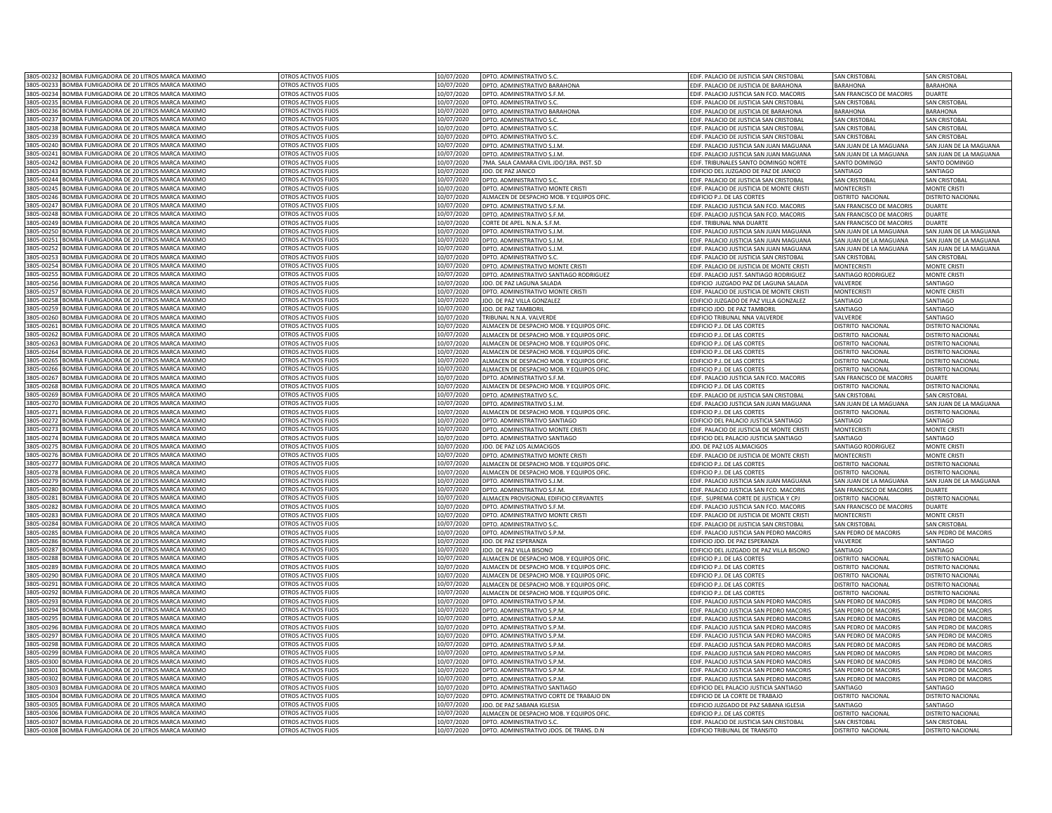|              | 3805-00232 BOMBA FUMIGADORA DE 20 LITROS MARCA MAXIMO | OTROS ACTIVOS FIJOS        | 10/07/2020 | DPTO. ADMINISTRATIVO S.C                       | EDIF. PALACIO DE JUSTICIA SAN CRISTOBAL        | SAN CRISTORA                    | <b>SAN CRISTOBAL</b>     |
|--------------|-------------------------------------------------------|----------------------------|------------|------------------------------------------------|------------------------------------------------|---------------------------------|--------------------------|
|              | 3805-00233 BOMBA FUMIGADORA DE 20 LITROS MARCA MAXIMO | OTROS ACTIVOS FIJOS        | 10/07/2020 | DPTO. ADMINISTRATIVO BARAHONA                  | EDIF. PALACIO DE JUSTICIA DE BARAHONA          | BARAHONA                        | <b>BARAHONA</b>          |
|              | 3805-00234 BOMBA FUMIGADORA DE 20 LITROS MARCA MAXIMO | OTROS ACTIVOS FIJOS        | 10/07/2020 | DPTO. ADMINISTRATIVO S.F.M.                    | EDIF. PALACIO JUSTICIA SAN FCO. MACORIS        | SAN FRANCISCO DE MACORIS        | <b>DUARTE</b>            |
| 805-00235    | OMBA FUMIGADORA DE 20 LITROS MARCA MAXIMO             | OTROS ACTIVOS FIJOS        | 10/07/2020 |                                                |                                                |                                 |                          |
| 805-00236    |                                                       |                            |            | DPTO. ADMINISTRATIVO S.C                       | EDIF. PALACIO DE JUSTICIA SAN CRISTOBAL        | <b>SAN CRISTOBAL</b>            | <b>SAN CRISTOBAL</b>     |
|              | OMBA FUMIGADORA DE 20 LITROS MARCA MAXIMO             | OTROS ACTIVOS FIJOS        | 0/07/2020  | DPTO. ADMINISTRATIVO BARAHONA                  | DIF. PALACIO DE JUSTICIA DE BARAHONA           | BARAHONA                        | <b>BARAHONA</b>          |
| 805-00237    | OMBA FUMIGADORA DE 20 LITROS MARCA MAXIMO             | OTROS ACTIVOS FIJOS        | 0/07/2020  | <b>PTO. ADMINISTRATIVO S.C</b>                 | DIF, PALACIO DE JUSTICIA SAN CRISTOBAL         | SAN CRISTOBAL                   | SAN CRISTOBAL            |
| 805-0023     | OMBA FUMIGADORA DE 20 LITROS MARCA MAXIMO             | OTROS ACTIVOS FIJOS        | 0/07/2020  | DPTO. ADMINISTRATIVO S.C                       | DIF. PALACIO DE JUSTICIA SAN CRISTOBAL         | SAN CRISTOBAL                   | <b>SAN CRISTOBAL</b>     |
| 805-0023     | OMBA FUMIGADORA DE 20 LITROS MARCA MAXIMO             | OTROS ACTIVOS FIJOS        | 0/07/2020  | OPTO. ADMINISTRATIVO S.C                       | DIF. PALACIO DE JUSTICIA SAN CRISTOBAL         | AN CRISTOBAL                    | AN CRISTOBAL             |
| 305-0024     | OMBA FUMIGADORA DE 20 LITROS MARCA MAXIMO             | OTROS ACTIVOS FIJOS        | 0/07/2020  | OPTO. ADMINISTRATIVO S.J.M                     | IF. PALACIO JUSTICIA SAN JUAN MAGUANA          | SAN JUAN DE LA MAGUANA          | AN JUAN DE LA MAGUANA    |
| 805-00241    | <b>3OMBA FUMIGADORA DE 20 LITROS MARCA MAXIMO</b>     | OTROS ACTIVOS FIJOS        | 10/07/2020 | DPTO. ADMINISTRATIVO S.J.M.                    | DIF. PALACIO JUSTICIA SAN JUAN MAGUANA         | AN JUAN DE LA MAGUANA           | SAN JUAN DE LA MAGUANA   |
| 805-00242    | <b>SOMBA FUMIGADORA DE 20 LITROS MARCA MAXIMO</b>     | OTROS ACTIVOS FIJOS        | 10/07/2020 | 7MA. SALA CAMARA CIVIL JDO/1RA. INST. SD       | DIF. TRIBUNALES SANTO DOMINGO NORTE            | SANTO DOMINGC                   | SANTO DOMINGO            |
| 805-0024     | OMBA FUMIGADORA DE 20 LITROS MARCA MAXIMO             | OTROS ACTIVOS FIJOS        | 10/07/2020 | JDO. DE PAZ JANICO                             | DIFICIO DEL JUZGADO DE PAZ DE JANICO           | SANTIAGO                        | SANTIAGO                 |
| 805-0024     | OMBA FUMIGADORA DE 20 LITROS MARCA MAXIMO             | OTROS ACTIVOS FIJOS        | 10/07/2020 | DPTO. ADMINISTRATIVO S.0                       | DIF. PALACIO DE JUSTICIA SAN CRISTOBAL         | SAN CRISTOBA                    | <b>SAN CRISTOBAI</b>     |
| 305-0024     | OMBA FUMIGADORA DE 20 LITROS MARCA MAXIMO             | <b>OTROS ACTIVOS FIJOS</b> | 10/07/2020 | DPTO ADMINISTRATIVO MONTE CRIST                | DIF, PALACIO DE JUSTICIA DE MONTE CRISTI       | <b>MONTECRIST</b>               | <b>MONTE CRIST</b>       |
| 305-0024     | OMBA FUMIGADORA DE 20 LITROS MARCA MAXIMO             | OTROS ACTIVOS FIJOS        | 10/07/2020 | ALMACEN DE DESPACHO MOB. Y EQUIPOS OFIC        | DIFICIO P.J. DE LAS CORTES                     | <b>ISTRITO NACIONAL</b>         | DISTRITO NACIONAL        |
| 305-0024     | OMBA FUMIGADORA DE 20 LITROS MARCA MAXIMO             | OTROS ACTIVOS FIJOS        | 10/07/2020 | DPTO. ADMINISTRATIVO S.F.M.                    | DIF. PALACIO JUSTICIA SAN FCO. MACORIS         | <b>SAN FRANCISCO DE MACORIS</b> | <b>DUARTE</b>            |
| 805-00248    | OMBA FUMIGADORA DE 20 LITROS MARCA MAXIMO             | OTROS ACTIVOS FIJOS        | 10/07/2020 | DPTO. ADMINISTRATIVO S.F.M.                    | DIF. PALACIO JUSTICIA SAN FCO. MACORIS         | <b>SAN FRANCISCO DE MACORIS</b> | <b>DUARTE</b>            |
| 805-00249    | BOMBA FUMIGADORA DE 20 LITROS MARCA MAXIMO            | OTROS ACTIVOS FIJOS        | 10/07/2020 | CORTE DE APEL. N.N.A. S.F.M.                   |                                                |                                 | <b>DUARTE</b>            |
| 805-00250    | OMBA FUMIGADORA DE 20 LITROS MARCA MAXIMO             | OTROS ACTIVOS FIJOS        |            |                                                | DIF. TRIBUNAL NNA DUARTE                       | SAN FRANCISCO DE MACORIS        |                          |
|              |                                                       |                            | 10/07/2020 | DPTO. ADMINISTRATIVO S.J.M.                    | EDIF. PALACIO JUSTICIA SAN JUAN MAGUANA        | SAN JUAN DE LA MAGUANA          | SAN JUAN DE LA MAGUANA   |
| 805-00251    | OMBA FUMIGADORA DE 20 LITROS MARCA MAXIMO             | OTROS ACTIVOS FIJOS        | 10/07/2020 | DPTO, ADMINISTRATIVO S.J.M                     | DIF. PALACIO JUSTICIA SAN JUAN MAGUANA         | SAN JUAN DE LA MAGUANA          | SAN JUAN DE LA MAGUANA   |
| 805-00252    | OMBA FUMIGADORA DE 20 LITROS MARCA MAXIMO             | OTROS ACTIVOS FIJOS        | 0/07/2020  | DPTO. ADMINISTRATIVO S.I.M.                    | DIF. PALACIO JUSTICIA SAN JUAN MAGUANA         | SAN JUAN DE LA MAGUANA          | SAN JUAN DE LA MAGUANA   |
| 805-00253    | OMBA FUMIGADORA DE 20 LITROS MARCA MAXIMO             | OTROS ACTIVOS FIJOS        | 0/07/2020  | DPTO. ADMINISTRATIVO S.C                       | DIF. PALACIO DE JUSTICIA SAN CRISTOBAL         | SAN CRISTOBAL                   | SAN CRISTOBAL            |
| 805-00254    | OMBA FUMIGADORA DE 20 LITROS MARCA MAXIMO             | OTROS ACTIVOS FIJOS        | 0/07/2020  | OPTO. ADMINISTRATIVO MONTE CRISTI              | DIF. PALACIO DE JUSTICIA DE MONTE CRISTI       | <b>MONTECRISTI</b>              | <b>MONTE CRISTI</b>      |
| 305-0025     | MBA FUMIGADORA DE 20 LITROS MARCA MAXIMO              | <b>ITROS ACTIVOS FIIOS</b> | 0/07/2020  | PTO. ADMINISTRATIVO SANTIAGO RODRIGUEZ         | DIF. PALACIO JUST. SANTIAGO RODRIGUEZ          | ANTIAGO RODRIGUEZ               | <b>JONTE CRISTI</b>      |
| 805-00256    | OMBA FUMIGADORA DE 20 LITROS MARCA MAXIMO             | OTROS ACTIVOS FIJOS        | 10/07/2020 | JDO. DE PAZ LAGUNA SALADA                      | DIFICIO JUZGADO PAZ DE LAGUNA SALADA           | VALVERDE                        | ANTIAGO                  |
| 805-0025     | OMBA FUMIGADORA DE 20 LITROS MARCA MAXIMO             | OTROS ACTIVOS FIJOS        | 10/07/2020 | DPTO. ADMINISTRATIVO MONTE CRISTI              | EDIF, PALACIO DE JUSTICIA DE MONTE CRIST       | <b>MONTECRISTI</b>              | <b>MONTE CRISTI</b>      |
| 805-00258    | OMBA FUMIGADORA DE 20 LITROS MARCA MAXIMO             | OTROS ACTIVOS FIJOS        | 10/07/2020 | JDO. DE PAZ VILLA GONZALEZ                     | EDIFICIO JUZGADO DE PAZ VILLA GONZALEZ         | SANTIAGO                        | SANTIAGO                 |
| 805-0025     | OMBA FUMIGADORA DE 20 LITROS MARCA MAXIMO             | OTROS ACTIVOS FIJOS        | 10/07/2020 | JDO. DE PAZ TAMBORI                            | DIFICIO JDO. DE PAZ TAMBORIL                   | SANTIAGO                        | SANTIAGO                 |
| 305-0026     | OMBA FUMIGADORA DE 20 LITROS MARCA MAXIMO             | OTROS ACTIVOS FIJOS        | 0/07/2020  | TRIBUNAL N.N.A. VALVERDE                       | DIFICIO TRIBUNAL NNA VALVERDE                  | AI VERDE                        | SANTIAGO                 |
| 305-0026     | OMBA FUMIGADORA DE 20 LITROS MARCA MAXIMO             | OTROS ACTIVOS FIJOS        | 10/07/2020 | ALMACEN DE DESPACHO MOB. Y EQUIPOS OFIC        | DIFICIO P. L DE LAS CORTES                     | <b>JISTRITO NACIONA</b>         | <b>DISTRITO NACIONA</b>  |
|              |                                                       |                            |            |                                                |                                                |                                 |                          |
| 805-0026     | OMBA FUMIGADORA DE 20 LITROS MARCA MAXIMO             | OTROS ACTIVOS FIJOS        | 10/07/2020 | ALMACEN DE DESPACHO MOB. Y EQUIPOS OFIC        | DIFICIO P. L DE LAS CORTES                     | <b>JISTRITO NACIONA</b>         | <b>DISTRITO NACIONA</b>  |
| 305-0026     | OMBA FUMIGADORA DE 20 LITROS MARCA MAXIMO             | OTROS ACTIVOS FIJOS        | 10/07/2020 | ALMACEN DE DESPACHO MOB. Y EQUIPOS OFIC        | DIFICIO P.J. DE LAS CORTES                     | <b>ISTRITO NACIONAL</b>         | DISTRITO NACIONAL        |
| 805-00264    | <b>3OMBA FUMIGADORA DE 20 LITROS MARCA MAXIMO</b>     | OTROS ACTIVOS FIJOS        | 10/07/2020 | ALMACEN DE DESPACHO MOB. Y EQUIPOS OFIC        | <b>EDIFICIO P.J. DE LAS CORTES</b>             | DISTRITO NACIONAL               | DISTRITO NACIONAL        |
| 805-00265    | BOMBA FUMIGADORA DE 20 LITROS MARCA MAXIMO            | OTROS ACTIVOS FIJOS        | 10/07/2020 | ALMACEN DE DESPACHO MOB. Y EQUIPOS OFIC.       | <b>EDIFICIO P.J. DE LAS CORTES</b>             | DISTRITO NACIONAL               | DISTRITO NACIONAL        |
| 805-00266    | BOMBA FUMIGADORA DE 20 LITROS MARCA MAXIMO            | OTROS ACTIVOS FIJOS        | 10/07/2020 | ALMACEN DE DESPACHO MOB. Y EQUIPOS OFIC.       | <b>EDIFICIO P.J. DE LAS CORTES</b>             | DISTRITO NACIONAL               | DISTRITO NACIONAL        |
| 805-00267    | OMBA FUMIGADORA DE 20 LITROS MARCA MAXIMO             | OTROS ACTIVOS FIJOS        | 0/07/2020  | DPTO. ADMINISTRATIVO S.F.M.                    | <b>DIF. PALACIO JUSTICIA SAN FCO. MACORIS</b>  | SAN FRANCISCO DE MACORIS        | <b>DUARTE</b>            |
| 805-00268    | OMBA FUMIGADORA DE 20 LITROS MARCA MAXIMO             | OTROS ACTIVOS FIJOS        | 0/07/2020  | ALMACEN DE DESPACHO MOB. Y EQUIPOS OFIC.       | DIFICIO P.J. DE LAS CORTES                     | ISTRITO NACIONAL                | <b>DISTRITO NACIONAL</b> |
| 805-00269    | OMBA FUMIGADORA DE 20 LITROS MARCA MAXIMO             | OTROS ACTIVOS FIJOS        | 0/07/2020  | OPTO, ADMINISTRATIVO S.C                       | DIF. PALACIO DE JUSTICIA SAN CRISTOBAL         | <b>SAN CRISTOBAL</b>            | SAN CRISTOBAL            |
| 805-0027     | OMBA FUMIGADORA DE 20 LITROS MARCA MAXIMO             | OTROS ACTIVOS FIJOS        | 0/07/2020  | DPTO. ADMINISTRATIVO S.I.M                     | DIF. PALACIO JUSTICIA SAN JUAN MAGUANA         | SAN JUAN DE LA MAGUANA          | SAN JUAN DE LA MAGUANA   |
| 805-0027     | OMBA FUMIGADORA DE 20 LITROS MARCA MAXIMO             | OTROS ACTIVOS FIJOS        | 0/07/2020  | ALMACEN DE DESPACHO MOB. Y EQUIPOS OFIC.       | DIFICIO P.J. DE LAS CORTES                     | <b>ISTRITO NACIONAL</b>         | <b>ISTRITO NACIONAL</b>  |
|              |                                                       |                            |            |                                                |                                                |                                 |                          |
| 805-0027     | OMBA FUMIGADORA DE 20 LITROS MARCA MAXIMO             | OTROS ACTIVOS FIJOS        | 0/07/2020  | OPTO. ADMINISTRATIVO SANTIAGO                  | DIFICIO DEL PALACIO JUSTICIA SANTIAGO          | SANTIAGO                        | ANTIAGO                  |
| 805-0027     | OMBA FUMIGADORA DE 20 LITROS MARCA MAXIMO             | OTROS ACTIVOS FIJOS        | 10/07/2020 | DPTO. ADMINISTRATIVO MONTE CRIST               | DIF. PALACIO DE JUSTICIA DE MONTE CRISTI       | MONTECRISTI                     | <b>MONTE CRISTI</b>      |
| 805-0027     | BOMBA FUMIGADORA DE 20 LITROS MARCA MAXIMO            | OTROS ACTIVOS FIJOS        | 10/07/2020 | DPTO. ADMINISTRATIVO SANTIAGO                  | DIFICIO DEL PALACIO JUSTICIA SANTIAGO          | SANTIAGO                        | SANTIAGO                 |
| 305-002      | OMBA FUMIGADORA DE 20 LITROS MARCA MAXIMO             | OTROS ACTIVOS FIJOS        | 10/07/2020 | JDO. DE PAZ LOS ALMACIGOS                      | <b>JDO. DE PAZ LOS ALMACIGOS</b>               | SANTIAGO RODRIGUEZ              | <b>MONTE CRISTI</b>      |
| 305-002      | OMBA FUMIGADORA DE 20 LITROS MARCA MAXIMO             | OTROS ACTIVOS FIJOS        | 10/07/2020 | DPTO. ADMINISTRATIVO MONTE CRISTI              | DIF. PALACIO DE JUSTICIA DE MONTE CRISTI       | MONTECRISTI                     | <b>MONTE CRISTI</b>      |
| 805-002      | OMBA FUMIGADORA DE 20 LITROS MARCA MAXIMO             | OTROS ACTIVOS FIJOS        | 10/07/2020 | ALMACEN DE DESPACHO MOB. Y EQUIPOS OFIC        | DIFICIO P.J. DE LAS CORTES                     | <b>ISTRITO NACIONAL</b>         | <b>DISTRITO NACIONA</b>  |
| 805-002      | OMBA FUMIGADORA DE 20 LITROS MARCA MAXIMO             | OTROS ACTIVOS FIJOS        | 10/07/2020 | <b>ALMACEN DE DESPACHO MOB. Y EQUIPOS OFIC</b> | DIFICIO P.J. DE LAS CORTES                     | <b>ISTRITO NACIONAL</b>         | <b>DISTRITO NACIONAL</b> |
| 805-0023     | OMBA FUMIGADORA DE 20 LITROS MARCA MAXIMO             | OTROS ACTIVOS FIJOS        | 10/07/2020 | DPTO. ADMINISTRATIVO S.J.M                     | DIF. PALACIO JUSTICIA SAN JUAN MAGUANA         | AN JUAN DE LA MAGUANA           | SAN JUAN DE LA MAGUANA   |
| 805-00280    | OMBA FUMIGADORA DE 20 LITROS MARCA MAXIMO             | OTROS ACTIVOS FIJOS        | 10/07/2020 | DPTO. ADMINISTRATIVO S.F.M.                    | DIF. PALACIO JUSTICIA SAN FCO. MACORIS         | <b>SAN FRANCISCO DE MACORIS</b> | DUARTE                   |
| 805-00281    | BOMBA FUMIGADORA DE 20 LITROS MARCA MAXIMO            | OTROS ACTIVOS FIJOS        | 10/07/2020 | ALMACEN PROVISIONAL EDIFICIO CERVANTES         | EDIF. SUPREMA CORTE DE JUSTICIA Y CPJ          | DISTRITO NACIONAL               | DISTRITO NACIONAL        |
| 805-00282    | <b>3OMBA FUMIGADORA DE 20 LITROS MARCA MAXIMO</b>     | OTROS ACTIVOS FIJOS        | 10/07/2020 | DPTO. ADMINISTRATIVO S.F.M.                    | EDIF. PALACIO JUSTICIA SAN FCO. MACORIS        | SAN FRANCISCO DE MACORIS        | <b>DUARTE</b>            |
| 805-00283    | OMBA FUMIGADORA DE 20 LITROS MARCA MAXIMO             | OTROS ACTIVOS FIJOS        |            |                                                |                                                |                                 |                          |
| 805-00284    | OMBA FUMIGADORA DE 20 LITROS MARCA MAXIMO             | OTROS ACTIVOS FIJOS        | 10/07/2020 | DPTO. ADMINISTRATIVO MONTE CRISTI              | EDIF. PALACIO DE JUSTICIA DE MONTE CRISTI      | <b>MONTECRISTI</b>              | <b>MONTE CRISTI</b>      |
|              |                                                       |                            | 0/07/2020  | DPTO. ADMINISTRATIVO S.C.                      | DIF. PALACIO DE JUSTICIA SAN CRISTOBAL         | SAN CRISTOBAL                   | <b>SAN CRISTOBAL</b>     |
| 805-00285    | OMBA FUMIGADORA DE 20 LITROS MARCA MAXIMO             | OTROS ACTIVOS FIJOS        | 0/07/2020  | DPTO. ADMINISTRATIVO S.P.M.                    | DIF. PALACIO JUSTICIA SAN PEDRO MACORIS        | SAN PEDRO DE MACORIS            | SAN PEDRO DE MACORIS     |
| 805-00286    | OMBA FUMIGADORA DE 20 LITROS MARCA MAXIMO             | OTROS ACTIVOS FIJOS        | 0/07/2020  | JDO. DE PAZ ESPERANZA                          | DIFICIO JDO. DE PAZ ESPERANZA                  | <b>ALVERDE</b>                  | <b>SANTIAGO</b>          |
| 305-0028     | MBA FUMIGADORA DE 20 LITROS MARCA MAXIMO              | <b>OTROS ACTIVOS FIJOS</b> | 0/07/2020  | DO. DE PAZ VILLA BISONO                        | DIFICIO DEL JUZGADO DE PAZ VILLA BISONO        | ANTIAGO                         | ANTIAGO                  |
| 805-00288    | OMBA FUMIGADORA DE 20 LITROS MARCA MAXIMO             | OTROS ACTIVOS FIJOS        | 10/07/2020 | ALMACEN DE DESPACHO MOB. Y EQUIPOS OFI         | <b>IFICIO P.J. DE LAS CORTES</b>               | <b>ISTRITO NACIONAL</b>         | <b>STRITO NACIONAL</b>   |
| 805-00289    | OMBA FUMIGADORA DE 20 LITROS MARCA MAXIMO             | OTROS ACTIVOS FIJOS        | 10/07/2020 | ALMACEN DE DESPACHO MOB. Y EQUIPOS OFIC        | DIFICIO P.J. DE LAS CORTES                     | DISTRITO NACIONAL               | DISTRITO NACIONAL        |
| 805-00290    | OMBA FUMIGADORA DE 20 LITROS MARCA MAXIMO             | OTROS ACTIVOS FIJOS        | 10/07/2020 | ALMACEN DE DESPACHO MOB. Y EQUIPOS OFIC        | EDIFICIO P.J. DE LAS CORTES                    | DISTRITO NACIONAL               | <b>DISTRITO NACIONAL</b> |
| $805 - 0029$ | OMBA FUMIGADORA DE 20 LITROS MARCA MAXIMO             | OTROS ACTIVOS FIJOS        | 10/07/2020 | ALMACEN DE DESPACHO MOB. Y EQUIPOS OFI         | DIFICIO P.J. DE LAS CORTES                     | ISTRITO NACIONAL                | <b>DISTRITO NACIONA</b>  |
| 305-0029     | OMBA FUMIGADORA DE 20 LITROS MARCA MAXIMO             | OTROS ACTIVOS FIJOS        | 0/07/2020  | ALMACEN DE DESPACHO MOB. Y EQUIPOS OFIC        | DIFICIO P.J. DE LAS CORTES                     | ISTRITO NACIONAL                | <b>ISTRITO NACIONAL</b>  |
| 305-0029     | OMBA FUMIGADORA DE 20 LITROS MARCA MAXIMO             | OTROS ACTIVOS FIJOS        | 10/07/2020 | DPTO. ADMINISTRATIVO S.P.M                     | DIE, PALACIO JUSTICIA SAN PEDRO MACORIS        | SAN PEDRO DE MACORIS            | SAN PEDRO DE MACORIS     |
| 305-0029     | OMBA FUMIGADORA DE 20 LITROS MARCA MAXIMO             | OTROS ACTIVOS FIJOS        | 10/07/2020 | DPTO, ADMINISTRATIVO S.P.M.                    | DIF, PALACIO JUSTICIA SAN PEDRO MACORIS        | SAN PEDRO DE MACORIS            | SAN PEDRO DE MACORIS     |
| 805-0029     | OMBA FUMIGADORA DE 20 LITROS MARCA MAXIMO             | OTROS ACTIVOS FIJOS        | 10/07/2020 | DPTO. ADMINISTRATIVO S.P.M.                    | DIF. PALACIO JUSTICIA SAN PEDRO MACORIS        | SAN PEDRO DE MACORIS            | SAN PEDRO DE MACORIS     |
| 805-00296    |                                                       |                            |            | DPTO. ADMINISTRATIVO S.P.M                     |                                                | SAN PEDRO DE MACORIS            | SAN PEDRO DE MACORIS     |
|              | OMBA FUMIGADORA DE 20 LITROS MARCA MAXIMO             | OTROS ACTIVOS FIJOS        | 10/07/2020 |                                                | EDIF. PALACIO JUSTICIA SAN PEDRO MACORIS       |                                 |                          |
| 805-00297    | OMBA FUMIGADORA DE 20 LITROS MARCA MAXIMO             | OTROS ACTIVOS FIJOS        | 10/07/2020 | DPTO. ADMINISTRATIVO S.P.M                     | EDIF. PALACIO JUSTICIA SAN PEDRO MACORIS       | SAN PEDRO DE MACORIS            | SAN PEDRO DE MACORIS     |
| 805-00298    | BOMBA FUMIGADORA DE 20 LITROS MARCA MAXIMO            | OTROS ACTIVOS FIJOS        | 10/07/2020 | DPTO. ADMINISTRATIVO S.P.M.                    | EDIF. PALACIO JUSTICIA SAN PEDRO MACORIS       | SAN PEDRO DE MACORIS            | SAN PEDRO DE MACORIS     |
| 805-00299    | OMBA FUMIGADORA DE 20 LITROS MARCA MAXIMO             | OTROS ACTIVOS FIJOS        | 10/07/2020 | DPTO. ADMINISTRATIVO S.P.M.                    | EDIF. PALACIO JUSTICIA SAN PEDRO MACORIS       | SAN PEDRO DE MACORIS            | SAN PEDRO DE MACORIS     |
| 805-00300    | OMBA FUMIGADORA DE 20 LITROS MARCA MAXIMO             | OTROS ACTIVOS FIJOS        | 10/07/2020 | DPTO, ADMINISTRATIVO S.P.M.                    | DIF. PALACIO JUSTICIA SAN PEDRO MACORIS        | SAN PEDRO DE MACORIS            | SAN PEDRO DE MACORIS     |
| 805-00301    | OMBA FUMIGADORA DE 20 LITROS MARCA MAXIMO             | OTROS ACTIVOS FIJOS        | 0/07/2020  | <b>PTO. ADMINISTRATIVO S.P.M</b>               | DIF. PALACIO JUSTICIA SAN PEDRO MACORIS        | <b>SAN PEDRO DE MACORIS</b>     | SAN PEDRO DE MACORIS     |
| 305-0030     | OMBA FUMIGADORA DE 20 LITROS MARCA MAXIMO             | OTROS ACTIVOS FIJOS        | 0/07/2020  | DPTO. ADMINISTRATIVO S.P.M                     | DIF. PALACIO JUSTICIA SAN PEDRO MACORIS        | SAN PEDRO DE MACORIS            | SAN PEDRO DE MACORIS     |
| 305-0030     | OMBA FUMIGADORA DE 20 LITROS MARCA MAXIMO             | <b>OTROS ACTIVOS FIJOS</b> | 0/07/2020  | OPTO. ADMINISTRATIVO SANTIAGO                  | DIFICIO DEL PALACIO JUSTICIA SANTIAGO          | ANTIAGO                         | ANTIAGO                  |
| 305-0030     | OMBA FUMIGADORA DE 20 LITROS MARCA MAXIMO             | OTROS ACTIVOS FIJOS        | 0/07/2020  | DPTO. ADMINISTRATIVO CORTE DE TRABAJO DN       | DIFICIO DE LA CORTE DE TRABAJO                 | ISTRITO NACIONAL                | <b>ISTRITO NACIONAL</b>  |
| 805-00305    | OMBA FUMIGADORA DE 20 LITROS MARCA MAXIMO             | OTROS ACTIVOS FIJOS        | 10/07/2020 | JDO. DE PAZ SABANA IGLESIA                     |                                                | SANTIAGO                        | SANTIAGO                 |
|              |                                                       |                            |            |                                                | DIFICIO JUZGADO DE PAZ SABANA IGLESIA          |                                 |                          |
| 8805-00306   | BOMBA FUMIGADORA DE 20 LITROS MARCA MAXIMO            | OTROS ACTIVOS FIJOS        | 10/07/2020 | ALMACEN DE DESPACHO MOB. Y EQUIPOS OFIC.       | DIFICIO P.J. DE LAS CORTES                     | <b>DISTRITO NACIONAL</b>        | DISTRITO NACIONAL        |
| 805-00307    | BOMBA FUMIGADORA DE 20 LITROS MARCA MAXIMO            | OTROS ACTIVOS FIJOS        | 10/07/2020 | DPTO. ADMINISTRATIVO S.C.                      | <b>EDIF. PALACIO DE JUSTICIA SAN CRISTOBAL</b> | <b>SAN CRISTOBAL</b>            | <b>SAN CRISTOBAL</b>     |
| 3805-00308   | BOMBA FUMIGADORA DE 20 LITROS MARCA MAXIMO            | OTROS ACTIVOS FIJOS        | 10/07/2020 | DPTO. ADMINISTRATIVO JDOS. DE TRANS. D.N       | DIFICIO TRIBUNAL DE TRANSITO                   | DISTRITO NACIONAL               | <b>DISTRITO NACIONAL</b> |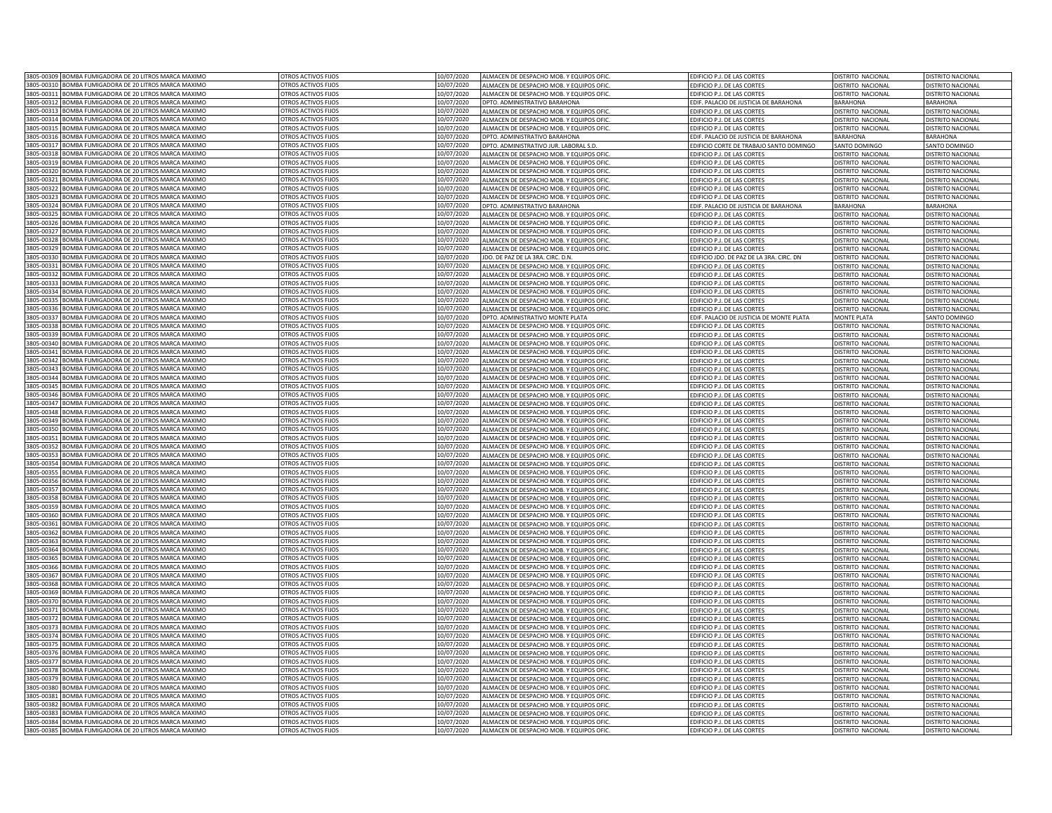|            | 3805-00309 BOMBA FUMIGADORA DE 20 LITROS MARCA MAXIMO                                  | OTROS ACTIVOS FIJOS                        | 10/07/2020               | ALMACEN DE DESPACHO MOB. Y EQUIPOS OFIC        | EDIFICIO P.J. DE LAS CORTES                  | DISTRITO NACIONAL                           | <b>JISTRITO NACIONAL</b> |
|------------|----------------------------------------------------------------------------------------|--------------------------------------------|--------------------------|------------------------------------------------|----------------------------------------------|---------------------------------------------|--------------------------|
|            | 3805-00310 BOMBA FUMIGADORA DE 20 LITROS MARCA MAXIMO                                  | OTROS ACTIVOS FIJOS                        | 10/07/2020               | ALMACEN DE DESPACHO MOB. Y EQUIPOS OFIC.       | EDIFICIO P.J. DE LAS CORTES                  | DISTRITO NACIONAL                           | DISTRITO NACIONAL        |
| 3805-00311 | BOMBA FUMIGADORA DE 20 LITROS MARCA MAXIMO                                             | OTROS ACTIVOS FIJOS                        | 10/07/2020               | ALMACEN DE DESPACHO MOB. Y EQUIPOS OFIC.       | EDIFICIO P.J. DE LAS CORTES                  | DISTRITO NACIONAL                           | DISTRITO NACIONAL        |
| 805-00312  | OMBA FUMIGADORA DE 20 LITROS MARCA MAXIMO                                              | OTROS ACTIVOS FIJOS                        | 10/07/2020               |                                                |                                              |                                             |                          |
|            |                                                                                        |                                            |                          | DPTO. ADMINISTRATIVO BARAHONA                  | EDIF. PALACIO DE JUSTICIA DE BARAHONA        | BARAHONA                                    | BARAHONA                 |
| 805-0031   | OMBA FUMIGADORA DE 20 LITROS MARCA MAXIMO                                              | OTROS ACTIVOS FIJOS                        | 10/07/2020               | ALMACEN DE DESPACHO MOB. Y EQUIPOS OFIC.       | <b>EDIFICIO P.J. DE LAS CORTES</b>           | DISTRITO NACIONAL                           | <b>DISTRITO NACIONAL</b> |
| 805-0031   | OMBA FUMIGADORA DE 20 LITROS MARCA MAXIMO                                              | OTROS ACTIVOS FIIOS                        | 10/07/2020               | LLMACEN DE DESPACHO MOB. Y EQUIPOS OFIC.       | <b>EDIFICIO P.J. DE LAS CORTES</b>           | DISTRITO NACIONAL                           | <b>DISTRITO NACIONAL</b> |
| 805-0031   | OMBA FUMIGADORA DE 20 LITROS MARCA MAXIMO                                              | OTROS ACTIVOS FIJOS                        | 10/07/2020               | ALMACEN DE DESPACHO MOB. Y EQUIPOS OFIC.       | <b>EDIFICIO P.J. DE LAS CORTES</b>           | DISTRITO NACIONAL                           | <b>JISTRITO NACIONAL</b> |
| 805-0031   | OMBA FUMIGADORA DE 20 LITROS MARCA MAXIMO                                              | OTROS ACTIVOS FIJOS                        | 10/07/2020               | PTO. ADMINISTRATIVO BARAHONA                   | DIF. PALACIO DE JUSTICIA DE BARAHONA         | BARAHONA                                    | <b>ARAHONA</b>           |
| 305-0031   | OMBA FUMIGADORA DE 20 LITROS MARCA MAXIMO                                              | OTROS ACTIVOS FIJOS                        | 10/07/2020               | PTO. ADMINISTRATIVO JUR. LABORAL S.D           | EDIFICIO CORTE DE TRABAJO SANTO DOMINGO      | SANTO DOMINGO                               | ANTO DOMINGO             |
| 8805-00318 | BOMBA FUMIGADORA DE 20 LITROS MARCA MAXIMO                                             | OTROS ACTIVOS FIJOS                        | 10/07/2020               | ALMACEN DE DESPACHO MOB. Y EQUIPOS OFIC        | EDIFICIO P.J. DE LAS CORTES                  | <b>ISTRITO NACIONAL</b>                     | <b>DISTRITO NACIONAL</b> |
| 805-0031   | OMBA FUMIGADORA DE 20 LITROS MARCA MAXIMO                                              | OTROS ACTIVOS FIJOS                        | 10/07/2020               | ALMACEN DE DESPACHO MOB. Y EQUIPOS OFIC        | EDIFICIO P.J. DE LAS CORTES                  | DISTRITO NACIONAL                           | <b>DISTRITO NACIONAL</b> |
| 805-0032   | OMBA FUMIGADORA DE 20 LITROS MARCA MAXIMO                                              | OTROS ACTIVOS FIJOS                        | 10/07/2020               | ALMACEN DE DESPACHO MOB. Y EQUIPOS OFIC        | EDIFICIO P.J. DE LAS CORTES                  | DISTRITO NACIONAL                           | DISTRITO NACIONA         |
| 805-0032   | OMBA FUMIGADORA DE 20 LITROS MARCA MAXIMO                                              | OTROS ACTIVOS FIJOS                        | 10/07/2020               | ALMACEN DE DESPACHO MOB. Y EQUIPOS OFIC        | EDIFICIO P.J. DE LAS CORTES                  | DISTRITO NACIONAL                           | DISTRITO NACIONA         |
| 805-003    | OMBA FUMIGADORA DE 20 LITROS MARCA MAXIMO                                              | OTROS ACTIVOS FIJOS                        | 10/07/2020               | ALMACEN DE DESPACHO MOB. Y EQUIPOS OFIC        | DIFICIO P. L DE LAS CORTES                   | <b>JISTRITO NACIONAL</b>                    | DISTRITO NACIONA         |
| 805-0032   | OMBA FUMIGADORA DE 20 LITROS MARCA MAXIMO                                              | OTROS ACTIVOS FIJOS                        | 10/07/2020               | ALMACEN DE DESPACHO MOB. Y EQUIPOS OFIC.       | <b>EDIFICIO P.J. DE LAS CORTES</b>           | DISTRITO NACIONAL                           | DISTRITO NACIONAL        |
| 805-0032   | OMBA FUMIGADORA DE 20 LITROS MARCA MAXIMO                                              | OTROS ACTIVOS FIIOS                        | 10/07/2020               | <b>PTO. ADMINISTRATIVO BARAHONA</b>            | <b>EDIF. PALACIO DE JUSTICIA DE BARAHONA</b> | <b>BARAHONA</b>                             | <b>BARAHONA</b>          |
| 805-00325  | BOMBA FUMIGADORA DE 20 LITROS MARCA MAXIMO                                             | OTROS ACTIVOS FIJOS                        | 10/07/2020               | ALMACEN DE DESPACHO MOB. Y EQUIPOS OFIC        | EDIFICIO P.J. DE LAS CORTES                  | DISTRITO NACIONAL                           | DISTRITO NACIONAL        |
| 805-00326  | OMBA FUMIGADORA DE 20 LITROS MARCA MAXIMO                                              | OTROS ACTIVOS FIJOS                        | 10/07/2020               | ALMACEN DE DESPACHO MOB. Y EQUIPOS OFIC.       | EDIFICIO P.J. DE LAS CORTES                  | DISTRITO NACIONAL                           | DISTRITO NACIONAL        |
| 805-0032   | OMBA FUMIGADORA DE 20 LITROS MARCA MAXIMO                                              | OTROS ACTIVOS FIJOS                        | 10/07/2020               | ALMACEN DE DESPACHO MOB. Y EQUIPOS OFIC.       | EDIFICIO P.J. DE LAS CORTES                  | DISTRITO NACIONAL                           | DISTRITO NACIONAL        |
| 805-0032   | OMBA FUMIGADORA DE 20 LITROS MARCA MAXIMO                                              | OTROS ACTIVOS FIJOS                        | 10/07/2020               | ALMACEN DE DESPACHO MOB. Y EQUIPOS OFIC        | EDIFICIO P.J. DE LAS CORTES                  | DISTRITO NACIONAL                           | <b>DISTRITO NACIONAL</b> |
| 805-0032   | MBA FUMIGADORA DE 20 LITROS MARCA MAXIMO                                               | <b>OTROS ACTIVOS FIIOS</b>                 | 10/07/2020               |                                                |                                              | <b>ISTRITO NACIONAL</b>                     | <b>DISTRITO NACIONAL</b> |
| 305-0033   |                                                                                        |                                            |                          | ALMACEN DE DESPACHO MOB. Y EQUIPOS OFIC.       | DIFICIO P.J. DE LAS CORTES                   |                                             |                          |
|            | MBA FUMIGADORA DE 20 LITROS MARCA MAXIMO                                               | <b>OTROS ACTIVOS FIJOS</b>                 | 10/07/2020               | DO. DE PAZ DE LA 3RA. CIRC. D.N.               | DIFICIO JDO. DE PAZ DE LA 3RA. CIRC. DN      | <b>ISTRITO NACIONAL</b>                     | <b>ISTRITO NACIONAL</b>  |
| 805-0033   | MBA FUMIGADORA DE 20 LITROS MARCA MAXIMO                                               | <b>OTROS ACTIVOS FIJOS</b>                 | 10/07/2020               | ALMACEN DE DESPACHO MOB. Y EQUIPOS OFIC.       | DIFICIO P.J. DE LAS CORTES                   | DISTRITO NACIONAL                           | <b>ISTRITO NACIONAL</b>  |
| 305-0033   | OMBA FUMIGADORA DE 20 LITROS MARCA MAXIMO                                              | OTROS ACTIVOS FIJOS                        | 10/07/2020               | LMACEN DE DESPACHO MOB. Y EQUIPOS OFIC         | DIFICIO P.J. DE LAS CORTES                   | <b>ISTRITO NACIONAL</b>                     | <b>ISTRITO NACIONA</b>   |
| 805-0033   | OMBA FUMIGADORA DE 20 LITROS MARCA MAXIMO                                              | OTROS ACTIVOS FIJOS                        | 10/07/2020               | ALMACEN DE DESPACHO MOB. Y EQUIPOS OFIC        | DIFICIO P.J. DE LAS CORTES                   | ISTRITO NACIONAL                            | <b>DISTRITO NACIONA</b>  |
| 805-00334  | OMBA FUMIGADORA DE 20 LITROS MARCA MAXIMO                                              | OTROS ACTIVOS FIJOS                        | 10/07/2020               | ALMACEN DE DESPACHO MOB. Y EQUIPOS OFIC        | EDIFICIO P.J. DE LAS CORTES                  | DISTRITO NACIONA                            | <b>DISTRITO NACIONA</b>  |
| 805-0033   | OMBA FUMIGADORA DE 20 LITROS MARCA MAXIMO                                              | OTROS ACTIVOS FIJOS                        | 10/07/2020               | ALMACEN DE DESPACHO MOB. Y EQUIPOS OFIC        | EDIFICIO P.J. DE LAS CORTES                  | DISTRITO NACIONAL                           | DISTRITO NACIONA         |
| 805-0033   | OMBA FUMIGADORA DE 20 LITROS MARCA MAXIMO                                              | OTROS ACTIVOS FIIOS                        | 10/07/2020               | ALMACEN DE DESPACHO MOB. Y FOUIPOS OFIC        | DIFICIO P. L DE LAS CORTES                   | DISTRITO NACIONAL                           | <b>JISTRITO NACIONA</b>  |
| 805-0033   | OMBA FUMIGADORA DE 20 LITROS MARCA MAXIMO                                              | OTROS ACTIVOS FIJOS                        | 10/07/2020               | DPTO. ADMINISTRATIVO MONTE PLATA               | EDIF. PALACIO DE JUSTICIA DE MONTE PLATA     | MONTF PLATA                                 | <b>ANTO DOMINGO</b>      |
| 805-0033   | OMBA FUMIGADORA DE 20 LITROS MARCA MAXIMO                                              | OTROS ACTIVOS FIIOS                        | 10/07/2020               | ALMACEN DE DESPACHO MOB. Y EQUIPOS OFIC        | <b>EDIFICIO P.J. DE LAS CORTES</b>           | DISTRITO NACIONAL                           | <b>JISTRITO NACIONA</b>  |
| 805-0033   | OMBA FUMIGADORA DE 20 LITROS MARCA MAXIMO                                              | OTROS ACTIVOS FIJOS                        | 10/07/2020               | ALMACEN DE DESPACHO MOB. Y EQUIPOS OFIC        | <b>EDIFICIO P.J. DE LAS CORTES</b>           | DISTRITO NACIONAL                           | <b>JISTRITO NACIONA</b>  |
| 805-00340  | BOMBA FUMIGADORA DE 20 LITROS MARCA MAXIMO                                             | OTROS ACTIVOS FIJOS                        | 10/07/2020               | ALMACEN DE DESPACHO MOB. Y EQUIPOS OFIC        | FDIFICIO P. L DE LAS CORTES                  | DISTRITO NACIONAL                           | <b>JISTRITO NACIONAL</b> |
| 805-00341  | BOMBA FUMIGADORA DE 20 LITROS MARCA MAXIMO                                             | OTROS ACTIVOS FIJOS                        | 10/07/2020               | ALMACEN DE DESPACHO MOB. Y EQUIPOS OFIC        | EDIFICIO P.J. DE LAS CORTES                  | DISTRITO NACIONAL                           | DISTRITO NACIONAL        |
| 805-00342  | BOMBA FUMIGADORA DE 20 LITROS MARCA MAXIMO                                             | OTROS ACTIVOS FIJOS                        | 10/07/2020               | ALMACEN DE DESPACHO MOB. Y EQUIPOS OFIC.       | EDIFICIO P.J. DE LAS CORTES                  | DISTRITO NACIONAL                           | DISTRITO NACIONAL        |
| 805-00343  | OMBA FUMIGADORA DE 20 LITROS MARCA MAXIMO                                              | OTROS ACTIVOS FIJOS                        | 10/07/2020               | ALMACEN DE DESPACHO MOB. Y EQUIPOS OFIC        | EDIFICIO P.J. DE LAS CORTES                  | DISTRITO NACIONAL                           | <b>DISTRITO NACIONAL</b> |
| 805-0034   | OMBA FUMIGADORA DE 20 LITROS MARCA MAXIMO                                              | OTROS ACTIVOS FIJOS                        | 10/07/2020               | LLMACEN DE DESPACHO MOB. Y EQUIPOS OFIC.       | EDIFICIO P.J. DE LAS CORTES                  | DISTRITO NACIONAL                           | DISTRITO NACIONAL        |
| 805-0034   | OMBA FUMIGADORA DE 20 LITROS MARCA MAXIMO                                              | OTROS ACTIVOS FIJOS                        | 10/07/2020               | LLMACEN DE DESPACHO MOB. Y EQUIPOS OFIC.       | EDIFICIO P.J. DE LAS CORTES                  | DISTRITO NACIONAL                           | <b>JISTRITO NACIONAL</b> |
| 805-0034   | MBA FUMIGADORA DE 20 LITROS MARCA MAXIMO                                               | OTROS ACTIVOS FIJOS                        | 10/07/2020               |                                                |                                              |                                             | <b>JISTRITO NACIONAL</b> |
| 805-00347  |                                                                                        | OTROS ACTIVOS FIJOS                        | 10/07/2020               | LMACEN DE DESPACHO MOB. Y EQUIPOS OFIC         | DIFICIO P.J. DE LAS CORTES                   | <b>ISTRITO NACIONAL</b>                     |                          |
|            | OMBA FUMIGADORA DE 20 LITROS MARCA MAXIMO                                              |                                            |                          | ALMACEN DE DESPACHO MOB. Y EQUIPOS OFIC        | DIFICIO P.J. DE LAS CORTES                   | DISTRITO NACIONAL                           | <b>ISTRITO NACIONAL</b>  |
| 805-00348  | <b>SOMBA FUMIGADORA DE 20 LITROS MARCA MAXIMO</b>                                      | OTROS ACTIVOS FIJOS                        | 10/07/2020               | ALMACEN DE DESPACHO MOB. Y EQUIPOS OFIC        | EDIFICIO P.J. DE LAS CORTES                  | DISTRITO NACIONAL                           | <b>DISTRITO NACIONAL</b> |
| 805-00349  | BOMBA FUMIGADORA DE 20 LITROS MARCA MAXIMO                                             | OTROS ACTIVOS FIJOS                        | 10/07/2020               | ALMACEN DE DESPACHO MOB. Y EQUIPOS OFIC.       | EDIFICIO P.J. DE LAS CORTES                  | DISTRITO NACIONAL                           | DISTRITO NACIONAL        |
| 805-0035   | OMBA FUMIGADORA DE 20 LITROS MARCA MAXIMO                                              | OTROS ACTIVOS FIJOS                        | 10/07/2020               | ALMACEN DE DESPACHO MOB. Y EQUIPOS OFIC        | EDIFICIO P.J. DE LAS CORTES                  | DISTRITO NACIONAL                           | <b>JISTRITO NACIONA</b>  |
| 805-0035   | OMBA FUMIGADORA DE 20 LITROS MARCA MAXIMO                                              | OTROS ACTIVOS FIJOS                        | 10/07/2020               | ALMACEN DE DESPACHO MOB. Y EQUIPOS OFIC        | EDIFICIO P.J. DE LAS CORTES                  | DISTRITO NACIONAL                           | DISTRITO NACIONAL        |
| 805-0035   | OMBA FUMIGADORA DE 20 LITROS MARCA MAXIMO                                              | OTROS ACTIVOS FIIOS                        | 10/07/2020               | ALMACEN DE DESPACHO MOB. Y EQUIPOS OFIC        | <b>EDIFICIO P.J. DE LAS CORTES</b>           | DISTRITO NACIONAL                           | <b>JISTRITO NACIONA</b>  |
| 805-0035   | OMBA FUMIGADORA DE 20 LITROS MARCA MAXIMO                                              | OTROS ACTIVOS FIJOS                        | 10/07/2020               | <b>ILMACEN DE DESPACHO MOB. Y EQUIPOS OFIC</b> | DIFICIO P. L DE LAS CORTES                   | DISTRITO NACIONAL                           | <b>JISTRITO NACIONA</b>  |
| 305-0035   | OMBA FUMIGADORA DE 20 LITROS MARCA MAXIMO                                              | OTROS ACTIVOS FIJOS                        | 10/07/2020               | LMACEN DE DESPACHO MOB. Y EQUIPOS OFIC         | DIFICIO P.J. DE LAS CORTES                   | <b>ISTRITO NACIONAL</b>                     | <b>DISTRITO NACIONAL</b> |
| 805-00355  | BOMBA FUMIGADORA DE 20 LITROS MARCA MAXIMO                                             | OTROS ACTIVOS FIJOS                        | 10/07/2020               | ALMACEN DE DESPACHO MOB. Y EQUIPOS OFIC.       | EDIFICIO P.J. DE LAS CORTES                  | DISTRITO NACIONAL                           | <b>JISTRITO NACIONAL</b> |
| 805-00356  | BOMBA FUMIGADORA DE 20 LITROS MARCA MAXIMO                                             | OTROS ACTIVOS FIJOS                        | 10/07/2020               | ALMACEN DE DESPACHO MOB. Y EQUIPOS OFIC.       | EDIFICIO P.J. DE LAS CORTES                  | DISTRITO NACIONAL                           | DISTRITO NACIONAL        |
| 8805-0035  | OMBA FUMIGADORA DE 20 LITROS MARCA MAXIMO                                              | OTROS ACTIVOS FIJOS                        | 10/07/2020               | ALMACEN DE DESPACHO MOB. Y EQUIPOS OFIC.       | EDIFICIO P.J. DE LAS CORTES                  | DISTRITO NACIONAL                           | DISTRITO NACIONAL        |
| 805-0035   | OMBA FUMIGADORA DE 20 LITROS MARCA MAXIMO                                              | OTROS ACTIVOS FIJOS                        | 10/07/2020               | ALMACEN DE DESPACHO MOB. Y EQUIPOS OFIC        | EDIFICIO P.J. DE LAS CORTES                  | DISTRITO NACIONAL                           | DISTRITO NACIONAL        |
| 805-0035   | OMBA FUMIGADORA DE 20 LITROS MARCA MAXIMO                                              | <b>OTROS ACTIVOS FIJOS</b>                 | 10/07/2020               | ALMACEN DE DESPACHO MOB. Y EQUIPOS OFIC.       | <b>EDIFICIO P.J. DE LAS CORTES</b>           | DISTRITO NACIONAL                           | <b>DISTRITO NACIONAL</b> |
| 305-0036   | MBA FUMIGADORA DE 20 LITROS MARCA MAXIMO                                               | <b>TROS ACTIVOS FIIOS</b>                  | 10/07/2020               | ALMACEN DE DESPACHO MOB. Y EQUIPOS OFIC.       | DIFICIO P.J. DE LAS CORTES                   | <b>DISTRITO NACIONAL</b>                    | <b>NSTRITO NACIONAL</b>  |
| 305-0036   | MBA FUMIGADORA DE 20 LITROS MARCA MAXIMO                                               | <b>OTROS ACTIVOS FIJOS</b>                 | 10/07/2020               | <b>NIMACEN DE DESPACHO MOB. Y FOUIPOS OFIC</b> | DIFICIO P.I. DE LAS CORTES                   | <b>JISTRITO NACIONAL</b>                    | <b>JISTRITO NACIONAL</b> |
| 305-0036   | OMBA FUMIGADORA DE 20 LITROS MARCA MAXIMO                                              | <b>OTROS ACTIVOS FIJOS</b>                 | 10/07/2020               | LMACEN DE DESPACHO MOB. Y EQUIPOS OFIC         | DIFICIO P.J. DE LAS CORTES                   | <b>ISTRITO NACIONAL</b>                     | <b>ISTRITO NACIONAL</b>  |
| 305-0036   | OMBA FUMIGADORA DE 20 LITROS MARCA MAXIMO                                              | <b>OTROS ACTIVOS FIJOS</b>                 | 10/07/2020               | LLMACEN DE DESPACHO MOB. Y EQUIPOS OFIC        | DIFICIO P.J. DE LAS CORTES                   | <b>ISTRITO NACIONAL</b>                     | <b>ISTRITO NACIONAL</b>  |
| 805-00364  | OMBA FUMIGADORA DE 20 LITROS MARCA MAXIMO                                              | OTROS ACTIVOS FIJOS                        | 10/07/2020               | ALMACEN DE DESPACHO MOB. Y EQUIPOS OFI         | <b>EDIFICIO P.J. DE LAS CORTES</b>           | ISTRITO NACIONAL                            | <b>DISTRITO NACIONA</b>  |
| 305-0036   | OMBA FUMIGADORA DE 20 LITROS MARCA MAXIMO                                              | OTROS ACTIVOS FIJOS                        | 10/07/2020               | ALMACEN DE DESPACHO MOB. Y EQUIPOS OFIC        | EDIFICIO P.J. DE LAS CORTES                  |                                             | <b>DISTRITO NACIONA</b>  |
| 305-0036   |                                                                                        |                                            |                          |                                                | EDIFICIO P.J. DE LAS CORTES                  | <b>ISTRITO NACIONA</b><br>DISTRITO NACIONAL | DISTRITO NACIONAL        |
| 805-0036   | OMBA FUMIGADORA DE 20 LITROS MARCA MAXIMO<br>OMBA FUMIGADORA DE 20 LITROS MARCA MAXIMO | OTROS ACTIVOS FIJOS<br>OTROS ACTIVOS FIJOS | 10/07/2020<br>10/07/2020 | ALMACEN DE DESPACHO MOB. Y EQUIPOS OFIC        | <b>EDIFICIO P.I. DE LAS CORTES</b>           | DISTRITO NACIONAL                           | DISTRITO NACIONAL        |
| 305-0036   |                                                                                        | OTROS ACTIVOS FIIOS                        |                          | ALMACEN DE DESPACHO MOB. Y EQUIPOS OFIC        |                                              |                                             |                          |
|            | OMBA FUMIGADORA DE 20 LITROS MARCA MAXIMO                                              |                                            | 10/07/2020               | ALMACEN DE DESPACHO MOB. Y FOUIPOS OFIC        | DIFICIO P.I. DE LAS CORTES                   | DISTRITO NACIONAL                           | DISTRITO NACIONA         |
| 305-0036   | OMBA FUMIGADORA DE 20 LITROS MARCA MAXIMO                                              | OTROS ACTIVOS FIJOS                        | 10/07/2020               | ALMACEN DE DESPACHO MOB. Y EQUIPOS OFIC        | EDIFICIO P.J. DE LAS CORTES                  | DISTRITO NACIONAL                           | DISTRITO NACIONAL        |
| 805-0037   | OMBA FUMIGADORA DE 20 LITROS MARCA MAXIMO                                              | OTROS ACTIVOS FIJOS                        | 10/07/2020               | <b>LLMACEN DE DESPACHO MOB. Y EQUIPOS OFIC</b> | EDIFICIO P.J. DE LAS CORTES                  | DISTRITO NACIONAL                           | DISTRITO NACIONA         |
| 805-00371  | BOMBA FUMIGADORA DE 20 LITROS MARCA MAXIMO                                             | OTROS ACTIVOS FIJOS                        | 10/07/2020               | ALMACEN DE DESPACHO MOB. Y FOUIPOS OFIC        | <b>EDIFICIO P.I. DE LAS CORTES</b>           | DISTRITO NACIONAL                           | DISTRITO NACIONAL        |
| 805-0037   | OMBA FUMIGADORA DE 20 LITROS MARCA MAXIMO                                              | OTROS ACTIVOS FIJOS                        | 10/07/2020               | ALMACEN DE DESPACHO MOB. Y EQUIPOS OFIC        | EDIFICIO P.J. DE LAS CORTES                  | DISTRITO NACIONAL                           | DISTRITO NACIONAL        |
| 805-0037   | OMBA FUMIGADORA DE 20 LITROS MARCA MAXIMO                                              | OTROS ACTIVOS FIJOS                        | 10/07/2020               | ALMACEN DE DESPACHO MOB. Y EQUIPOS OFIC        | EDIFICIO P.J. DE LAS CORTES                  | DISTRITO NACIONAL                           | DISTRITO NACIONAL        |
| 805-0037   | OMBA FUMIGADORA DE 20 LITROS MARCA MAXIMO                                              | OTROS ACTIVOS FIJOS                        | 10/07/2020               | ALMACEN DE DESPACHO MOB. Y EQUIPOS OFIC        | EDIFICIO P.J. DE LAS CORTES                  | DISTRITO NACIONAL                           | <b>DISTRITO NACIONAL</b> |
| 805-0037   | OMBA FUMIGADORA DE 20 LITROS MARCA MAXIMO                                              | OTROS ACTIVOS FIIOS                        | 10/07/2020               | LMACEN DE DESPACHO MOB. Y EQUIPOS OFIC.        | <b>EDIFICIO P.J. DE LAS CORTES</b>           | DISTRITO NACIONAL                           | <b>DISTRITO NACIONAL</b> |
| 805-0037   | OMBA FUMIGADORA DE 20 LITROS MARCA MAXIMO                                              | OTROS ACTIVOS FIJOS                        | 10/07/2020               | LMACEN DE DESPACHO MOB. Y EQUIPOS OFIC         | <b>EDIFICIO P.J. DE LAS CORTES</b>           | JISTRITO NACIONAL                           | <b>JISTRITO NACIONAL</b> |
| 305-0037   | OMBA FUMIGADORA DE 20 LITROS MARCA MAXIMO                                              | OTROS ACTIVOS FIJOS                        | 10/07/2020               | LIMACEN DE DESPACHO MOB. Y EQUIPOS OFIC.       | <b>EDIFICIO P.J. DE LAS CORTES</b>           | DISTRITO NACIONAL                           | <b>ISTRITO NACIONAL</b>  |
| 805-0037   | OMBA FUMIGADORA DE 20 LITROS MARCA MAXIMO                                              | OTROS ACTIVOS FIJOS                        | 10/07/2020               | LMACEN DE DESPACHO MOB. Y EQUIPOS OFIC         | DIFICIO P.J. DE LAS CORTES                   | <b>DISTRITO NACIONAL</b>                    | <b>ISTRITO NACIONA</b>   |
| 805-0037   | BOMBA FUMIGADORA DE 20 LITROS MARCA MAXIMO                                             | OTROS ACTIVOS FIJOS                        | 10/07/2020               | ALMACEN DE DESPACHO MOB. Y EQUIPOS OFIC        | EDIFICIO P.J. DE LAS CORTES                  | <b>DISTRITO NACIONAL</b>                    | <b>DISTRITO NACIONA</b>  |
| 805-00380  | <b>SOMBA FUMIGADORA DE 20 LITROS MARCA MAXIMO</b>                                      | OTROS ACTIVOS FIJOS                        | 10/07/2020               | ALMACEN DE DESPACHO MOB. Y EQUIPOS OFIC        | EDIFICIO P.J. DE LAS CORTES                  | DISTRITO NACIONAL                           | DISTRITO NACIONA         |
| 305-0038   | OMBA FUMIGADORA DE 20 LITROS MARCA MAXIMO                                              | OTROS ACTIVOS FIJOS                        | 10/07/2020               | ALMACEN DE DESPACHO MOB. Y EQUIPOS OFIC        | EDIFICIO P.J. DE LAS CORTES                  | DISTRITO NACIONAL                           | DISTRITO NACIONA         |
| 305-0038   | OMBA FUMIGADORA DE 20 LITROS MARCA MAXIMO                                              | OTROS ACTIVOS FIJOS                        | 10/07/2020               | ALMACEN DE DESPACHO MOB. Y EQUIPOS OFIC        | DIFICIO P. L DE LAS CORTES                   | <b>JISTRITO NACIONAL</b>                    | <b>JISTRITO NACIONA</b>  |
| 305-0038   | OMBA FUMIGADORA DE 20 LITROS MARCA MAXIMO                                              | OTROS ACTIVOS FIJOS                        | 10/07/2020               | <b>LIMACEN DE DESPACHO MOB. Y EQUIPOS OFIC</b> | DIFICIO P.I. DE LAS CORTES                   | DISTRITO NACIONAL                           | <b>JISTRITO NACIONA</b>  |
| 805-0038   |                                                                                        |                                            |                          |                                                |                                              |                                             |                          |
|            | BOMBA FUMIGADORA DE 20 LITROS MARCA MAXIMO                                             | OTROS ACTIVOS FIJOS                        | 10/07/2020               | ALMACEN DE DESPACHO MOB. Y EQUIPOS OFIC        | <b>EDIFICIO P.J. DE LAS CORTES</b>           | DISTRITO NACIONAL                           | <b>DISTRITO NACIONAL</b> |
| 8805-00385 | BOMBA FUMIGADORA DE 20 LITROS MARCA MAXIMO                                             | OTROS ACTIVOS FIJOS                        | 10/07/2020               | ALMACEN DE DESPACHO MOB. Y EQUIPOS OFIC        | EDIFICIO P.J. DE LAS CORTES                  | DISTRITO NACIONAL                           | DISTRITO NACIONAL        |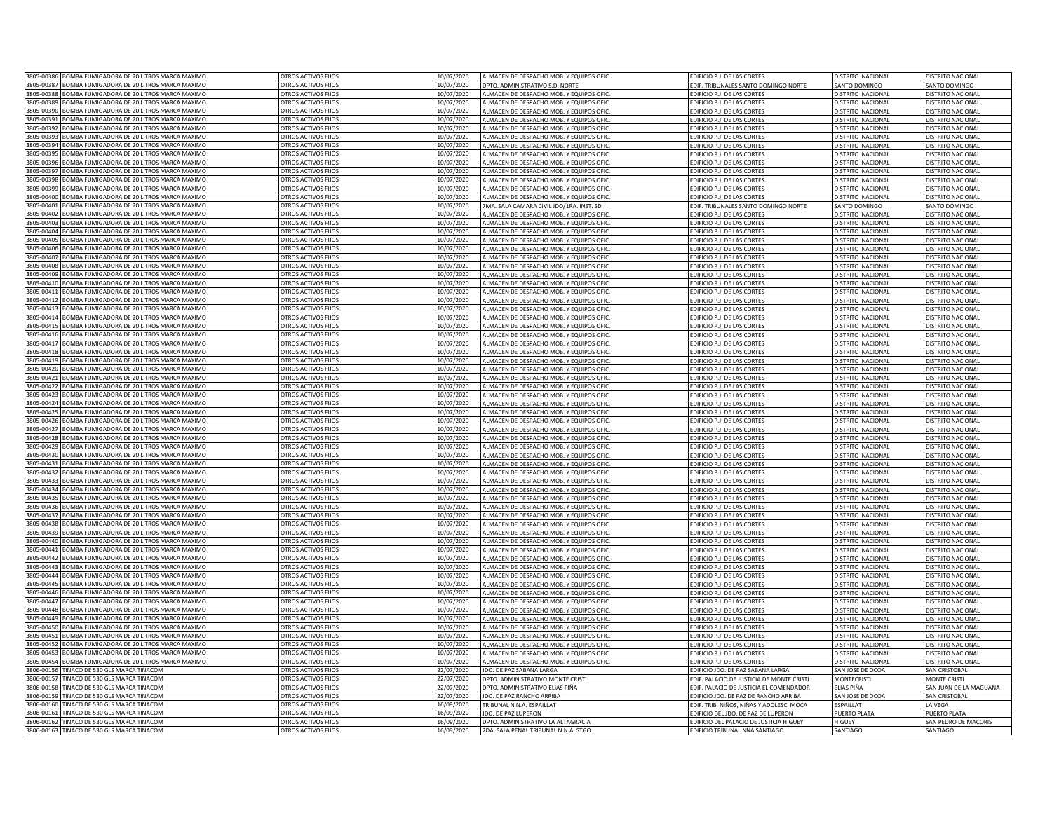| 3805-00386 BOMBA FUMIGADORA DE 20 LITROS MARCA MAXIMO           | OTROS ACTIVOS FIJOS        | 10/07/2020               | ALMACEN DE DESPACHO MOB. Y EQUIPOS OFIC         | EDIFICIO P.J. DE LAS CORTES                              | DISTRITO NACIONAL        | DISTRITO NACIONAL                                    |
|-----------------------------------------------------------------|----------------------------|--------------------------|-------------------------------------------------|----------------------------------------------------------|--------------------------|------------------------------------------------------|
| 3805-00387 BOMBA FUMIGADORA DE 20 LITROS MARCA MAXIMO           | OTROS ACTIVOS FIJOS        | 10/07/2020               | DPTO. ADMINISTRATIVO S.D. NORTE                 | EDIF. TRIBUNALES SANTO DOMINGO NORTE                     | SANTO DOMINGO            | SANTO DOMINGO                                        |
| 3805-00388<br>BOMBA FUMIGADORA DE 20 LITROS MARCA MAXIMO        | OTROS ACTIVOS FIJOS        | 10/07/2020               | ALMACEN DE DESPACHO MOB. Y EQUIPOS OFIC         | EDIFICIO P.J. DE LAS CORTES                              | DISTRITO NACIONAL        | DISTRITO NACIONAL                                    |
| 3805-00389<br>BOMBA FUMIGADORA DE 20 LITROS MARCA MAXIMO        | OTROS ACTIVOS FIJOS        | 10/07/2020               | <b>ILMACEN DE DESPACHO MOB. Y EQUIPOS OFIC.</b> | <b>EDIFICIO P.J. DE LAS CORTES</b>                       | DISTRITO NACIONAL        | DISTRITO NACIONAL                                    |
| 3805-00390<br><b>3OMBA FUMIGADORA DE 20 LITROS MARCA MAXIMO</b> | OTROS ACTIVOS FIJOS        | 10/07/2020               | LMACEN DE DESPACHO MOB. Y EQUIPOS OFIC          | DIFICIO P.I. DE LAS CORTES                               | DISTRITO NACIONAL        | DISTRITO NACIONAL                                    |
| 3805-00391<br>OMBA FUMIGADORA DE 20 LITROS MARCA MAXIMO         | OTROS ACTIVOS FIJOS        | 10/07/2020               | LIMACEN DE DESPACHO MOB. Y EQUIPOS OFIC         | <b>EDIFICIO P.J. DE LAS CORTES</b>                       | DISTRITO NACIONAL        | DISTRITO NACIONAL                                    |
| 3805-00392<br>BOMBA FUMIGADORA DE 20 LITROS MARCA MAXIMO        | OTROS ACTIVOS FIJOS        | 10/07/2020               | LIMACEN DE DESPACHO MOB. Y EQUIPOS OFIC         | DIFICIO P.J. DE LAS CORTES                               | DISTRITO NACIONAL        | <b>DISTRITO NACIONAL</b>                             |
| 3805-00393<br>BOMBA FUMIGADORA DE 20 LITROS MARCA MAXIMO        | OTROS ACTIVOS FIJOS        | 10/07/2020               | ALMACEN DE DESPACHO MOB. Y EQUIPOS OFIC         | EDIFICIO P.J. DE LAS CORTES                              | DISTRITO NACIONAL        | DISTRITO NACIONAL                                    |
| 3805-0039<br>BOMBA FUMIGADORA DE 20 LITROS MARCA MAXIMO         | OTROS ACTIVOS FIJOS        | 10/07/2020               | ALMACEN DE DESPACHO MOB. Y EQUIPOS OFIC         | EDIFICIO P.J. DE LAS CORTES                              | DISTRITO NACIONAL        | DISTRITO NACIONAL                                    |
| BOMBA FUMIGADORA DE 20 LITROS MARCA MAXIMO<br>3805-0039         | OTROS ACTIVOS FIJOS        | 10/07/2020               | ALMACEN DE DESPACHO MOB. Y EQUIPOS OFIC         | EDIFICIO P.J. DE LAS CORTES                              | DISTRITO NACIONAL        | DISTRITO NACIONAL                                    |
| BOMBA FUMIGADORA DE 20 LITROS MARCA MAXIMO<br>3805-003          | OTROS ACTIVOS FIJOS        | 0/07/2020                | ALMACEN DE DESPACHO MOB. Y EQUIPOS OFIC         | <b>EDIFICIO P.J. DE LAS CORTES</b>                       | DISTRITO NACIONAL        | <b>DISTRITO NACIONA</b>                              |
| BOMBA FUMIGADORA DE 20 LITROS MARCA MAXIMO<br>3805-0039         | OTROS ACTIVOS FIJOS        | 10/07/2020               | ALMACEN DE DESPACHO MOB. Y EQUIPOS OFIC         | EDIFICIO P.J. DE LAS CORTES                              | DISTRITO NACIONAL        | DISTRITO NACIONA                                     |
| 805-0039<br>BOMBA FUMIGADORA DE 20 LITROS MARCA MAXIMO          | OTROS ACTIVOS FIJOS        | 10/07/2020               | ALMACEN DE DESPACHO MOB. Y EQUIPOS OFIC         | EDIFICIO P.J. DE LAS CORTES                              | DISTRITO NACIONAL        | DISTRITO NACIONAL                                    |
| 805-0039<br>BOMBA FUMIGADORA DE 20 LITROS MARCA MAXIMO          | OTROS ACTIVOS FIJOS        | 10/07/2020               | LMACEN DE DESPACHO MOB. Y EQUIPOS OFIC          | <b>EDIFICIO P.J. DE LAS CORTES</b>                       | DISTRITO NACIONAL        | DISTRITO NACIONA                                     |
| 3805-00400<br>BOMBA FUMIGADORA DE 20 LITROS MARCA MAXIMO        | OTROS ACTIVOS FIJOS        | 10/07/2020               | LLMACEN DE DESPACHO MOB. Y EQUIPOS OFIC         |                                                          |                          |                                                      |
|                                                                 |                            |                          |                                                 | EDIFICIO P.J. DE LAS CORTES                              | DISTRITO NACIONAL        | DISTRITO NACIONAL                                    |
| 3805-00401<br>BOMBA FUMIGADORA DE 20 LITROS MARCA MAXIMO        | OTROS ACTIVOS FIJOS        | 10/07/2020               | 7MA. SALA CAMARA CIVIL JDO/1RA. INST. SD        | EDIF. TRIBUNALES SANTO DOMINGO NORTE                     | SANTO DOMINGO            | SANTO DOMINGO                                        |
| 3805-00402<br>BOMBA FUMIGADORA DE 20 LITROS MARCA MAXIMO        | OTROS ACTIVOS FIJOS        | 10/07/2020               | ALMACEN DE DESPACHO MOB. Y EQUIPOS OFIC         | EDIFICIO P.J. DE LAS CORTES                              | DISTRITO NACIONAL        | DISTRITO NACIONAL                                    |
| 3805-00403<br>BOMBA FUMIGADORA DE 20 LITROS MARCA MAXIMO        | OTROS ACTIVOS FIJOS        | 10/07/2020               | ALMACEN DE DESPACHO MOB. Y EQUIPOS OFIC         | EDIFICIO P.J. DE LAS CORTES                              | DISTRITO NACIONAL        | DISTRITO NACIONAL                                    |
| 3805-0040-<br>OMBA FUMIGADORA DE 20 LITROS MARCA MAXIMO         | OTROS ACTIVOS FIIOS        | 0/07/2020                | ALMACEN DE DESPACHO MOB. Y EQUIPOS OFIC         | DIFICIO P.J. DE LAS CORTES                               | DISTRITO NACIONAL        | DISTRITO NACIONAL                                    |
| 3805-0040<br>OMBA FUMIGADORA DE 20 LITROS MARCA MAXIMO          | OTROS ACTIVOS FIJOS        | 0/07/2020                | ALMACEN DE DESPACHO MOB. Y EQUIPOS OFIC         | DIFICIO P.I. DE LAS CORTES                               | <b>JISTRITO NACIONAL</b> | DISTRITO NACIONAL                                    |
| 3805-0040<br>OMBA FUMIGADORA DE 20 LITROS MARCA MAXIMO          | OTROS ACTIVOS FIJOS        | 0/07/2020                | LMACEN DE DESPACHO MOB. Y EQUIPOS OFIC          | DIFICIO P. L DE LAS CORTES                               | <b>JISTRITO NACIONAL</b> | <b>DISTRITO NACIONAL</b>                             |
| 3805-0040<br>OMBA FUMIGADORA DE 20 LITROS MARCA MAXIMO          | OTROS ACTIVOS FIJOS        | 0/07/2020                | LMACEN DE DESPACHO MOB. Y EQUIPOS OFIC          | DIFICIO P.J. DE LAS CORTES                               | <b>JISTRITO NACIONAL</b> | <b>DISTRITO NACIONAL</b>                             |
| 3805-0040<br>OMBA FUMIGADORA DE 20 LITROS MARCA MAXIMO          | OTROS ACTIVOS FIJOS        | 0/07/2020                | LLMACEN DE DESPACHO MOB. Y EQUIPOS OFIC         | DIFICIO P.J. DE LAS CORTES                               | <b>DISTRITO NACIONAL</b> | <b>DISTRITO NACIONAL</b>                             |
| 3805-00409<br>BOMBA FUMIGADORA DE 20 LITROS MARCA MAXIMO        | OTROS ACTIVOS FIJOS        | 10/07/2020               | LMACEN DE DESPACHO MOB. Y EQUIPOS OFI           | <b>EDIFICIO P.J. DE LAS CORTES</b>                       | DISTRITO NACIONAL        | <b>DISTRITO NACIONAL</b>                             |
| 3805-00410<br>BOMBA FUMIGADORA DE 20 LITROS MARCA MAXIMO        | OTROS ACTIVOS FIJOS        | 10/07/2020               | ALMACEN DE DESPACHO MOB. Y EQUIPOS OFIC         | EDIFICIO P.J. DE LAS CORTES                              | DISTRITO NACIONAL        | DISTRITO NACIONAL                                    |
| 805-0041<br>BOMBA FUMIGADORA DE 20 LITROS MARCA MAXIMO          | OTROS ACTIVOS FIJOS        | 10/07/2020               | ALMACEN DE DESPACHO MOB. Y EQUIPOS OFIC         | EDIFICIO P.J. DE LAS CORTES                              | DISTRITO NACIONAL        | DISTRITO NACIONAL                                    |
| 3805-0041<br>BOMBA FUMIGADORA DE 20 LITROS MARCA MAXIMO         | OTROS ACTIVOS FIJOS        | 10/07/2020               | ALMACEN DE DESPACHO MOB. Y EQUIPOS OFIC         | EDIFICIO P.J. DE LAS CORTES                              | DISTRITO NACIONAL        | DISTRITO NACIONA                                     |
| 805-0041<br>BOMBA FUMIGADORA DE 20 LITROS MARCA MAXIMO          | OTROS ACTIVOS FIJOS        | 10/07/2020               | ALMACEN DE DESPACHO MOB. Y FOUIPOS OFIC         | <b>EDIFICIO P. L DE LAS CORTES</b>                       | DISTRITO NACIONA         | DISTRITO NACIONA                                     |
| 805-0041<br><b>SOMBA FUMIGADORA DE 20 LITROS MARCA MAXIMO</b>   | OTROS ACTIVOS FIJOS        | 10/07/2020               | LLMACEN DE DESPACHO MOB. Y EQUIPOS OFIC         | EDIFICIO P.J. DE LAS CORTES                              | DISTRITO NACIONAL        | <b>DISTRITO NACIONAL</b>                             |
| 805-0041<br><b>SOMBA FUMIGADORA DE 20 LITROS MARCA MAXIMO</b>   | OTROS ACTIVOS FIJOS        | 10/07/2020               | LMACEN DE DESPACHO MOB. Y EQUIPOS OFIC          | <b>EDIFICIO P. L DE LAS CORTES</b>                       | DISTRITO NACIONAL        | DISTRITO NACIONA                                     |
| 3805-00416<br>BOMBA FUMIGADORA DE 20 LITROS MARCA MAXIMO        | OTROS ACTIVOS FIJOS        | 10/07/2020               | ALMACEN DE DESPACHO MOB. Y EQUIPOS OFIC         | EDIFICIO P.J. DE LAS CORTES                              | DISTRITO NACIONAL        | <b>DISTRITO NACIONAL</b>                             |
| 3805-00417 BOMBA FUMIGADORA DE 20 LITROS MARCA MAXIMO           | OTROS ACTIVOS FIJOS        | 10/07/2020               | ALMACEN DE DESPACHO MOB. Y EQUIPOS OFIC         | EDIFICIO P.J. DE LAS CORTES                              | DISTRITO NACIONAL        | DISTRITO NACIONAL                                    |
| 3805-00418<br>BOMBA FUMIGADORA DE 20 LITROS MARCA MAXIMO        | OTROS ACTIVOS FIJOS        | 10/07/2020               | ALMACEN DE DESPACHO MOB. Y EQUIPOS OFIC         | EDIFICIO P.J. DE LAS CORTES                              | DISTRITO NACIONAL        | DISTRITO NACIONAL                                    |
| 3805-00419<br>BOMBA FUMIGADORA DE 20 LITROS MARCA MAXIMO        | OTROS ACTIVOS FIJOS        |                          | ALMACEN DE DESPACHO MOB. Y EQUIPOS OFIC         | EDIFICIO P.J. DE LAS CORTES                              | DISTRITO NACIONAL        | DISTRITO NACIONAL                                    |
| 3805-00420<br>BOMBA FUMIGADORA DE 20 LITROS MARCA MAXIMO        | OTROS ACTIVOS FIJOS        | 10/07/2020<br>10/07/2020 |                                                 |                                                          |                          |                                                      |
| 3805-0042<br>OMBA FUMIGADORA DE 20 LITROS MARCA MAXIMO          | OTROS ACTIVOS FIJOS        | 10/07/2020               | <b>LLMACEN DE DESPACHO MOB. Y EQUIPOS OFIC</b>  | DIFICIO P.J. DE LAS CORTES<br>DIFICIO P.I. DE LAS CORTES | DISTRITO NACIONAL        | <b>DISTRITO NACIONAL</b><br><b>DISTRITO NACIONAL</b> |
|                                                                 |                            |                          | LIMACEN DE DESPACHO MOB. Y EQUIPOS OFIC         |                                                          | DISTRITO NACIONAL        |                                                      |
| 3805-00422<br>OMBA FUMIGADORA DE 20 LITROS MARCA MAXIMO         | OTROS ACTIVOS FIJOS        | 10/07/2020               | LIMACEN DE DESPACHO MOB. Y EQUIPOS OFIC         | DIFICIO P.J. DE LAS CORTES                               | DISTRITO NACIONAL        | DISTRITO NACIONAL                                    |
| 3805-00423<br>OMBA FUMIGADORA DE 20 LITROS MARCA MAXIMO         | OTROS ACTIVOS FIJOS        | 10/07/2020               | LIMACEN DE DESPACHO MOB. Y EQUIPOS OFIC         | DIFICIO P.J. DE LAS CORTES                               | DISTRITO NACIONAL        | DISTRITO NACIONAL                                    |
| 3805-00424<br>BOMBA FUMIGADORA DE 20 LITROS MARCA MAXIMO        | OTROS ACTIVOS FIJOS        | 10/07/2020               | ALMACEN DE DESPACHO MOB. Y EQUIPOS OFIC         | EDIFICIO P.J. DE LAS CORTES                              | DISTRITO NACIONAL        | <b>DISTRITO NACIONAL</b>                             |
| 3805-00425<br>BOMBA FUMIGADORA DE 20 LITROS MARCA MAXIMO        | OTROS ACTIVOS FIJOS        | 10/07/2020               | ALMACEN DE DESPACHO MOB. Y EQUIPOS OFIC         | EDIFICIO P.J. DE LAS CORTES                              | DISTRITO NACIONAL        | DISTRITO NACIONAL                                    |
| BOMBA FUMIGADORA DE 20 LITROS MARCA MAXIMO<br>3805-0042         | OTROS ACTIVOS FIJOS        | 10/07/2020               | ALMACEN DE DESPACHO MOB. Y EQUIPOS OFIC         | EDIFICIO P.J. DE LAS CORTES                              | DISTRITO NACIONAL        | DISTRITO NACIONAL                                    |
| BOMBA FUMIGADORA DE 20 LITROS MARCA MAXIMO<br>3805-0042         | OTROS ACTIVOS FIJOS        | 10/07/2020               | ALMACEN DE DESPACHO MOB. Y EQUIPOS OFIC         | <b>EDIFICIO P.J. DE LAS CORTES</b>                       | DISTRITO NACIONAL        | <b>DISTRITO NACIONA</b>                              |
| 3805-00428<br>BOMBA FUMIGADORA DE 20 LITROS MARCA MAXIMO        | OTROS ACTIVOS FIJOS        | 10/07/2020               | ALMACEN DE DESPACHO MOB. Y EQUIPOS OFIC         | DIFICIO P.J. DE LAS CORTES                               | DISTRITO NACIONAL        | <b>DISTRITO NACIONAL</b>                             |
| 3805-00429<br>BOMBA FUMIGADORA DE 20 LITROS MARCA MAXIMO        | OTROS ACTIVOS FIJOS        | 10/07/2020               | ALMACEN DE DESPACHO MOB. Y EQUIPOS OFIC         | EDIFICIO P.J. DE LAS CORTES                              | DISTRITO NACIONAL        | <b>DISTRITO NACIONAL</b>                             |
| 805-00430<br>BOMBA FUMIGADORA DE 20 LITROS MARCA MAXIMO         | OTROS ACTIVOS FIJOS        | 10/07/2020               | LMACEN DE DESPACHO MOB. Y EQUIPOS OFIC          | EDIFICIO P.J. DE LAS CORTES                              | DISTRITO NACIONAL        | <b>DISTRITO NACIONAL</b>                             |
| BOMBA FUMIGADORA DE 20 LITROS MARCA MAXIMO<br>3805-00431        | OTROS ACTIVOS FIJOS        | 10/07/2020               | ALMACEN DE DESPACHO MOB. Y EQUIPOS OFIC         | <b>EDIFICIO P.J. DE LAS CORTES</b>                       | DISTRITO NACIONAL        | DISTRITO NACIONAL                                    |
| 3805-00432<br>BOMBA FUMIGADORA DE 20 LITROS MARCA MAXIMO        | OTROS ACTIVOS FIJOS        | 10/07/2020               | ALMACEN DE DESPACHO MOB. Y EQUIPOS OFIC         | EDIFICIO P.J. DE LAS CORTES                              | DISTRITO NACIONAL        | DISTRITO NACIONAL                                    |
| 3805-00433<br>BOMBA FUMIGADORA DE 20 LITROS MARCA MAXIMO        | OTROS ACTIVOS FIJOS        | 10/07/2020               | ALMACEN DE DESPACHO MOB. Y EQUIPOS OFIC.        | EDIFICIO P.J. DE LAS CORTES                              | DISTRITO NACIONAL        | DISTRITO NACIONAL                                    |
| 3805-00434<br>BOMBA FUMIGADORA DE 20 LITROS MARCA MAXIMO        | OTROS ACTIVOS FIJOS        | 10/07/2020               | ALMACEN DE DESPACHO MOB. Y EQUIPOS OFIC         | EDIFICIO P.J. DE LAS CORTES                              | DISTRITO NACIONAL        | DISTRITO NACIONAL                                    |
| 3805-0043<br>OMBA FUMIGADORA DE 20 LITROS MARCA MAXIMO          | OTROS ACTIVOS FIJOS        | 0/07/2020                | ALMACEN DE DESPACHO MOB. Y EQUIPOS OFIC         | <b>EDIFICIO P.J. DE LAS CORTES</b>                       | DISTRITO NACIONAL        | <b>JISTRITO NACIONAL</b>                             |
| 3805-0043<br>OMBA FUMIGADORA DE 20 LITROS MARCA MAXIMO          | OTROS ACTIVOS FIIOS        | 0/07/2020                | LIMACEN DE DESPACHO MOB. Y EQUIPOS OFIC         | DIFICIO P. L DE LAS CORTES                               | DISTRITO NACIONAL        | <b>JISTRITO NACIONAL</b>                             |
| 3805-0043<br>OMBA FUMIGADORA DE 20 LITROS MARCA MAXIMO          | OTROS ACTIVOS FIJOS        | 0/07/2020                | <b>ILMACEN DE DESPACHO MOB. Y EQUIPOS OFIC.</b> | DIFICIO P.J. DE LAS CORTES                               | <b>JISTRITO NACIONAL</b> | <b>DISTRITO NACIONAL</b>                             |
| 3805-0043<br><b>OMBA FUMIGADORA DE 20 LITROS MARCA MAXIMO</b>   | <b>OTROS ACTIVOS FLIOS</b> | 0/07/2020                | LMACEN DE DESPACHO MOB. Y EQUIPOS OFIC          | DIFICIO P.J. DE LAS CORTES                               | DISTRITO NACIONAL        | <b>DISTRITO NACIONAL</b>                             |
| <b>3OMBA FUMIGADORA DE 20 LITROS MARCA MAXIMO</b><br>3805-0043  | OTROS ACTIVOS FIJOS        | 10/07/2020               | LLMACEN DE DESPACHO MOB. Y EQUIPOS OFIC         | <b>EDIFICIO P.J. DE LAS CORTES</b>                       | DISTRITO NACIONAL        | <b>DISTRITO NACIONAL</b>                             |
| BOMBA FUMIGADORA DE 20 LITROS MARCA MAXIMO<br>3805-00440        | OTROS ACTIVOS FIJOS        | 10/07/2020               | ALMACEN DE DESPACHO MOB. Y EQUIPOS OFIC         | EDIFICIO P.J. DE LAS CORTES                              | DISTRITO NACIONAL        | DISTRITO NACIONAL                                    |
| BOMBA FUMIGADORA DE 20 LITROS MARCA MAXIMO<br>3805-00441        | OTROS ACTIVOS FIJOS        | 10/07/2020               | ALMACEN DE DESPACHO MOB. Y EQUIPOS OFIC         | EDIFICIO P.J. DE LAS CORTES                              | DISTRITO NACIONAL        | DISTRITO NACIONAL                                    |
| 3805-00442<br>BOMBA FUMIGADORA DE 20 LITROS MARCA MAXIMO        | OTROS ACTIVOS FIJOS        | 10/07/2020               | ALMACEN DE DESPACHO MOB. Y EQUIPOS OFIC         | EDIFICIO P.J. DE LAS CORTES                              | DISTRITO NACIONAL        | <b>DISTRITO NACIONA</b>                              |
| 3805-00443<br>BOMBA FUMIGADORA DE 20 LITROS MARCA MAXIMO        | OTROS ACTIVOS FIJOS        | 10/07/2020               | ALMACEN DE DESPACHO MOB. Y EQUIPOS OFIC         | EDIFICIO P.J. DE LAS CORTES                              | DISTRITO NACIONAL        | <b>DISTRITO NACIONAL</b>                             |
| 3805-0044<br>BOMBA FUMIGADORA DE 20 LITROS MARCA MAXIMO         | OTROS ACTIVOS FIJOS        | 10/07/2020               | ALMACEN DE DESPACHO MOB. Y EQUIPOS OFIC         | <b>EDIFICIO P. L DE LAS CORTES</b>                       | DISTRITO NACIONAL        | <b>DISTRITO NACIONAL</b>                             |
| 805-0044<br>BOMBA FUMIGADORA DE 20 LITROS MARCA MAXIMO          | OTROS ACTIVOS FIJOS        | 10/07/2020               | LMACEN DE DESPACHO MOB. Y EQUIPOS OFIC          | <b>EDIFICIO P. I. DE LAS CORTES</b>                      | DISTRITO NACIONA         | <b>DISTRITO NACIONAL</b>                             |
|                                                                 |                            |                          |                                                 |                                                          |                          |                                                      |
| BOMBA FUMIGADORA DE 20 LITROS MARCA MAXIMO<br>3805-00446        | OTROS ACTIVOS FIJOS        | 10/07/2020               | LIMACEN DE DESPACHO MOB. Y EQUIPOS OFIC         | EDIFICIO P.J. DE LAS CORTES                              | DISTRITO NACIONAL        | DISTRITO NACIONAL                                    |
| 3805-00447<br>BOMBA FUMIGADORA DE 20 LITROS MARCA MAXIMO        | OTROS ACTIVOS FIJOS        | 10/07/2020               | <b>LLMACEN DE DESPACHO MOB. Y EQUIPOS OFIC</b>  | EDIFICIO P.J. DE LAS CORTES                              | DISTRITO NACIONAL        | DISTRITO NACIONAL                                    |
| 3805-00448 BOMBA FUMIGADORA DE 20 LITROS MARCA MAXIMO           | OTROS ACTIVOS FIJOS        | 10/07/2020               | ALMACEN DE DESPACHO MOB. Y EQUIPOS OFIC         | EDIFICIO P.J. DE LAS CORTES                              | DISTRITO NACIONAL        | DISTRITO NACIONAL                                    |
| 3805-00449<br>BOMBA FUMIGADORA DE 20 LITROS MARCA MAXIMO        | OTROS ACTIVOS FIJOS        | 10/07/2020               | ALMACEN DE DESPACHO MOB. Y EQUIPOS OFIC         | EDIFICIO P.J. DE LAS CORTES                              | DISTRITO NACIONAL        | DISTRITO NACIONAL                                    |
| 3805-00450<br>BOMBA FUMIGADORA DE 20 LITROS MARCA MAXIMO        | OTROS ACTIVOS FIJOS        | 10/07/2020               | LLMACEN DE DESPACHO MOB. Y EQUIPOS OFIC         | EDIFICIO P.J. DE LAS CORTES                              | DISTRITO NACIONAL        | DISTRITO NACIONAL                                    |
| 3805-00451<br>BOMBA FUMIGADORA DE 20 LITROS MARCA MAXIMO        | OTROS ACTIVOS FIIOS        | 10/07/2020               | ALMACEN DE DESPACHO MOB. Y EQUIPOS OFIC         | <b>EDIFICIO P.J. DE LAS CORTES</b>                       | DISTRITO NACIONAL        | DISTRITO NACIONAL                                    |
| 3805-00452<br>BOMBA FUMIGADORA DE 20 LITROS MARCA MAXIMO        | OTROS ACTIVOS FIJOS        | 10/07/2020               | <b>LLMACEN DE DESPACHO MOB. Y EQUIPOS OFIC</b>  | DIFICIO P.J. DE LAS CORTES                               | DISTRITO NACIONAL        | DISTRITO NACIONAL                                    |
| 3805-00453<br>OMBA FUMIGADORA DE 20 LITROS MARCA MAXIMO         | OTROS ACTIVOS FIJOS        | 10/07/2020               | LLMACEN DE DESPACHO MOB. Y EQUIPOS OFIC         | DIFICIO P.I. DE LAS CORTES                               | DISTRITO NACIONAL        | DISTRITO NACIONAL                                    |
| 3805-00454<br>OMBA FUMIGADORA DE 20 LITROS MARCA MAXIMO         | OTROS ACTIVOS FIJOS        | 10/07/2020               | ALMACEN DE DESPACHO MOB. Y EQUIPOS OFIC         | DIFICIO P.J. DE LAS CORTES                               | DISTRITO NACIONAL        | <b>DISTRITO NACIONAL</b>                             |
| 3806-0015<br>TINACO DE 530 GLS MARCA TINACOM                    | OTROS ACTIVOS FIJOS        | 22/07/2020               | DO. DE PAZ SABANA LARGA                         | DIFICIO JDO. DE PAZ SABANA LARGA                         | SAN JOSE DE OCOA         | <b>AN CRISTOBAL</b>                                  |
| 3806-00157<br>TINACO DE 530 GLS MARCA TINACOM                   | OTROS ACTIVOS FIJOS        | 22/07/2020               | DPTO. ADMINISTRATIVO MONTE CRISTI               | EDIF. PALACIO DE JUSTICIA DE MONTE CRISTI                | <b>MONTECRISTI</b>       | <b>MONTE CRISTI</b>                                  |
| 3806-00158<br>TINACO DE 530 GLS MARCA TINACOM                   | OTROS ACTIVOS FIJOS        | 22/07/2020               | DPTO. ADMINISTRATIVO ELIAS PIÑA                 | EDIF. PALACIO DE JUSTICIA EL COMENDADOR                  | ELIAS PIÑA               | SAN JUAN DE LA MAGUANA                               |
| TINACO DE 530 GLS MARCA TINACOM<br>3806-0015                    | OTROS ACTIVOS FIJOS        | 22/07/2020               | IDO. DE PAZ RANCHO ARRIBA                       | EDIFICIO JDO. DE PAZ DE RANCHO ARRIBA                    | SAN JOSE DE OCOA         | SAN CRISTOBAL                                        |
| <b>TINACO DE 530 GLS MARCA TINACOM</b><br>3806-0016             | OTROS ACTIVOS FIJOS        | 16/09/2020               | TRIBUNAL N.N.A. ESPAILLAT                       | DIF, TRIB, NIÑOS, NIÑAS Y ADOLESC, MOCA                  | <b>FSPAILLAT</b>         | A VEGA                                               |
| 3806-0016<br><b>INACO DE 530 GLS MARCA TINACOM</b>              | OTROS ACTIVOS FIJOS        | 6/09/2020                | IDO. DE PAZ LUPERON                             | EDIFICIO DEL JDO, DE PAZ DE LUPERON                      | PUFRTO PLATA             | PUFRTO PLATA                                         |
| 3806-00162<br>TINACO DE 530 GLS MARCA TINACOM                   | OTROS ACTIVOS FIJOS        | 16/09/2020               | DPTO. ADMINISTRATIVO LA ALTAGRACIA              | EDIFICIO DEL PALACIO DE JUSTICIA HIGUEY                  | HIGUEY                   | SAN PEDRO DE MACORIS                                 |
| 3806-00163 TINACO DE 530 GLS MARCA TINACOM                      | OTROS ACTIVOS FIJOS        | 16/09/2020               | 2DA. SALA PENAL TRIBUNAL N.N.A. STGO            | EDIFICIO TRIBUNAL NNA SANTIAGO                           | SANTIAGO                 | SANTIAGO                                             |
|                                                                 |                            |                          |                                                 |                                                          |                          |                                                      |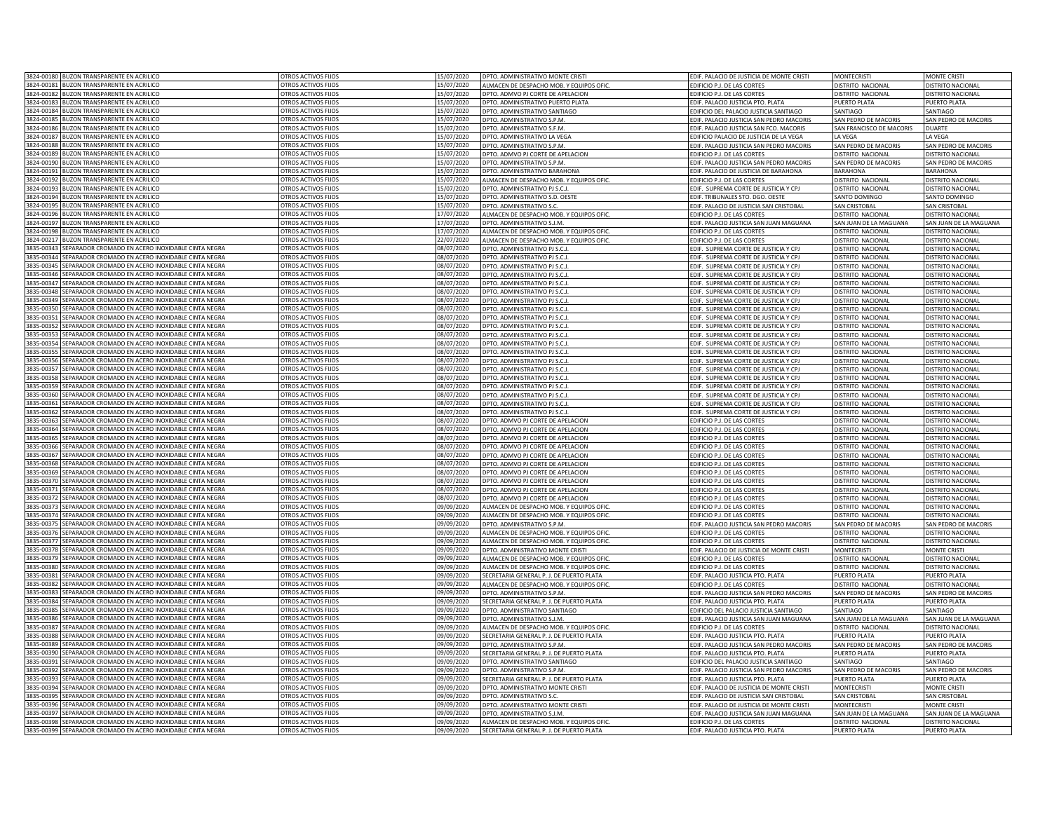|                        | 3824-00180 BUZON TRANSPARENTE EN ACRILICO                                                                 | OTROS ACTIVOS FIJOS                                      | 15/07/2020               | DPTO. ADMINISTRATIVO MONTE CRISTI                                                         | EDIF. PALACIO DE JUSTICIA DE MONTE CRISTI                                     | <b>MONTFCRISTI</b>                                  | <b>MONTE CRISTI</b>                           |
|------------------------|-----------------------------------------------------------------------------------------------------------|----------------------------------------------------------|--------------------------|-------------------------------------------------------------------------------------------|-------------------------------------------------------------------------------|-----------------------------------------------------|-----------------------------------------------|
|                        | 3824-00181 BUZON TRANSPARENTE EN ACRILICO                                                                 | OTROS ACTIVOS FIJOS                                      | 15/07/2020               | ALMACEN DE DESPACHO MOB. Y EQUIPOS OFIC.                                                  | EDIFICIO P.J. DE LAS CORTES                                                   | DISTRITO NACIONAL                                   | DISTRITO NACIONAL                             |
|                        | 3824-00182 BUZON TRANSPARENTE EN ACRILICO                                                                 | OTROS ACTIVOS FIJOS                                      | 15/07/2020               | DPTO. ADMVO PJ CORTE DE APELACION                                                         | EDIFICIO P.J. DE LAS CORTES                                                   | DISTRITO NACIONAL                                   | DISTRITO NACIONAL                             |
| 824-00183              | <b>BUZON TRANSPARENTE EN ACRILICO</b>                                                                     | OTROS ACTIVOS FIJOS                                      | 15/07/2020               | DPTO. ADMINISTRATIVO PUERTO PLATA                                                         | EDIF. PALACIO JUSTICIA PTO. PLATA                                             | PUERTO PLATA                                        | PUERTO PLATA                                  |
| 824-00184              | UZON TRANSPARENTE EN ACRILICO                                                                             | OTROS ACTIVOS FIJOS                                      | 15/07/2020               | DPTO. ADMINISTRATIVO SANTIAGO                                                             | EDIFICIO DEL PALACIO JUSTICIA SANTIAGO                                        | SANTIAGO                                            | SANTIAGO                                      |
| 824-00185              | UZON TRANSPARENTE EN ACRILICO                                                                             | <b>OTROS ACTIVOS FLIOS</b>                               | 15/07/2020               | OPTO, ADMINISTRATIVO S.P.M.                                                               | EDIF. PALACIO JUSTICIA SAN PEDRO MACORIS                                      | AN PEDRO DE MACORIS                                 | SAN PEDRO DE MACORIS                          |
| 824-00186              | UZON TRANSPARENTE EN ACRILICO                                                                             | OTROS ACTIVOS FIJOS                                      | 15/07/2020               | DPTO. ADMINISTRATIVO S.F.M.                                                               | FDIE, PALACIO ILISTICIA SAN ECO, MACORIS                                      | AN FRANCISCO DE MACORIS                             | <b>DUARTE</b>                                 |
| 824-00187              | UZON TRANSPARENTE EN ACRILICO                                                                             | <b>OTROS ACTIVOS FIJOS</b>                               | 15/07/2020               | OPTO. ADMINISTRATIVO LA VEGA                                                              | EDIFICIO PALACIO DE JUSTICIA DE LA VEGA                                       | A VEGA                                              | A VEGA                                        |
| 824-00188              | UZON TRANSPARENTE EN ACRILICO                                                                             | <b>OTROS ACTIVOS FIJOS</b>                               | 15/07/2020               | DPTO, ADMINISTRATIVO S.P.M                                                                | EDIF. PALACIO JUSTICIA SAN PEDRO MACORIS                                      | SAN PEDRO DE MACORIS                                | SAN PEDRO DE MACORIS                          |
| 824-00189              | BUZON TRANSPARENTE EN ACRILICO                                                                            | OTROS ACTIVOS FIJOS                                      | 15/07/2020               | DPTO. ADMVO PJ CORTE DE APELACION                                                         | EDIFICIO P.J. DE LAS CORTES                                                   | <b>DISTRITO NACIONAL</b>                            | DISTRITO NACIONAL                             |
| 824-00190              | BUZON TRANSPARENTE EN ACRILICO                                                                            | OTROS ACTIVOS FIJOS                                      | 15/07/2020               | DPTO. ADMINISTRATIVO S.P.M                                                                | EDIF. PALACIO JUSTICIA SAN PEDRO MACORIS                                      | SAN PEDRO DE MACORIS                                | SAN PEDRO DE MACORIS                          |
| 824-0019               | <b>JUZON TRANSPARENTE EN ACRILICO</b>                                                                     | OTROS ACTIVOS FIJOS                                      | 15/07/2020               | DPTO. ADMINISTRATIVO BARAHONA                                                             | EDIF. PALACIO DE JUSTICIA DE BARAHONA                                         | <b>BARAHONA</b>                                     | <b>BARAHONA</b>                               |
| 824-0019               | UZON TRANSPARENTE EN ACRILICO                                                                             | OTROS ACTIVOS FIJOS                                      | 15/07/2020               | ALMACEN DE DESPACHO MOB. Y FOUIPOS OFIC                                                   | FDIFICIO P. L DE LAS CORTES                                                   | DISTRITO NACIONAL                                   | DISTRITO NACIONAL                             |
| 324-0019               | <b>JUZON TRANSPARENTE EN ACRILICO</b>                                                                     | OTROS ACTIVOS FIJOS                                      | 15/07/2020               | DPTO, ADMINISTRATIVO PJ S.C.                                                              | EDIF. SUPREMA CORTE DE JUSTICIA Y CPJ                                         | DISTRITO NACIONAL                                   | <b>DISTRITO NACIONAL</b>                      |
| 824-0019               | <b>IUZON TRANSPARENTE EN ACRILICO</b>                                                                     | OTROS ACTIVOS FIJOS                                      | 15/07/2020               | DPTO. ADMINISTRATIVO S.D. OESTE                                                           | EDIF. TRIBUNALES STO. DGO. OESTE                                              | <b>SANTO DOMINGO</b>                                | SANTO DOMINGO                                 |
| 824-0019               | <b>ILIZON TRANSPARENTE EN ACRILICO</b>                                                                    | <b>OTROS ACTIVOS FIJOS</b>                               | 15/07/2020               | DPTO. ADMINISTRATIVO S.C                                                                  | EDIF. PALACIO DE JUSTICIA SAN CRISTOBAL                                       | SAN CRISTOBAL                                       | <b>SAN CRISTOBAL</b>                          |
|                        | 3824-00196 BUZON TRANSPARENTE EN ACRILICO                                                                 | OTROS ACTIVOS FIJOS                                      | 17/07/2020               | ALMACEN DE DESPACHO MOB. Y EQUIPOS OFIC                                                   | EDIFICIO P.J. DE LAS CORTES                                                   | <b>JISTRITO NACIONAL</b>                            | <b>DISTRITO NACIONAL</b>                      |
| 3824-00197             | BUZON TRANSPARENTE EN ACRILICO                                                                            | OTROS ACTIVOS FIJOS                                      | 17/07/2020               | DPTO. ADMINISTRATIVO S.J.M.                                                               | EDIF. PALACIO JUSTICIA SAN JUAN MAGUANA                                       | SAN JUAN DE LA MAGUANA                              | SAN JUAN DE LA MAGUANA                        |
| 824-00198<br>824-00217 | UZON TRANSPARENTE EN ACRILICO<br><b>UZON TRANSPARENTE EN ACRILICO</b>                                     | <b>OTROS ACTIVOS FIJOS</b><br><b>OTROS ACTIVOS FIIOS</b> | 17/07/2020               | ALMACEN DE DESPACHO MOB. Y EQUIPOS OFIC.<br>ALMACEN DE DESPACHO MOB. Y EQUIPOS OFIC.      | EDIFICIO P.J. DE LAS CORTES                                                   | DISTRITO NACIONAL                                   | DISTRITO NACIONAL                             |
| 835-0034               | <b>PARADOR CROMADO EN ACERO INOXIDABLE CINTA NEGRA</b>                                                    | <b>OTROS ACTIVOS FIJOS</b>                               | 22/07/2020<br>08/07/2020 |                                                                                           | EDIFICIO P.J. DE LAS CORTES                                                   | DISTRITO NACIONAL                                   | <b>DISTRITO NACIONAL</b>                      |
| 335-0034               | PARADOR CROMADO EN ACERO INOXIDABLE CINTA NEGRA                                                           | <b>OTROS ACTIVOS FIJOS</b>                               | 08/07/2020               | DPTO. ADMINISTRATIVO PJ S.C.J.<br><b>PTO. ADMINISTRATIVO PLS.C.</b>                       | EDIF. SUPREMA CORTE DE JUSTICIA Y CPJ<br>DIE. SUPREMA CORTE DE JUSTICIA Y CPI | <b>DISTRITO NACIONAL</b><br><b>ISTRITO NACIONAL</b> | DISTRITO NACIONAL<br><b>DISTRITO NACIONAL</b> |
| 335-0034               | PARADOR CROMADO EN ACERO INOXIDABLE CINTA NEGRA                                                           | <b>OTROS ACTIVOS FIJOS</b>                               | 08/07/2020               | OPTO. ADMINISTRATIVO PJ S.C.J.                                                            | EDIF. SUPREMA CORTE DE JUSTICIA Y CPJ                                         | <b>ISTRITO NACIONAL</b>                             | DISTRITO NACIONAL                             |
| 835-00346              | EPARADOR CROMADO EN ACERO INOXIDABLE CINTA NEGRA                                                          | <b>OTROS ACTIVOS FIJOS</b>                               | 08/07/2020               | OPTO. ADMINISTRATIVO PJ S.C.J                                                             | DIF. SUPREMA CORTE DE JUSTICIA Y CPJ                                          | <b>ISTRITO NACIONAL</b>                             | <b>DISTRITO NACIONAL</b>                      |
| 835-00347              | SEPARADOR CROMADO EN ACERO INOXIDABLE CINTA NEGRA                                                         | OTROS ACTIVOS FIJOS                                      | 08/07/2020               | DPTO, ADMINISTRATIVO PJ S.C.                                                              | EDIF. SUPREMA CORTE DE JUSTICIA Y CP.                                         | <b>ISTRITO NACIONAL</b>                             | <b>DISTRITO NACIONAL</b>                      |
| 835-00348              | EPARADOR CROMADO EN ACERO INOXIDABLE CINTA NEGRA                                                          | OTROS ACTIVOS FIJOS                                      | 08/07/2020               | DPTO. ADMINISTRATIVO PJ S.C.J                                                             | EDIF. SUPREMA CORTE DE JUSTICIA Y CPJ                                         | DISTRITO NACIONAL                                   | DISTRITO NACIONAL                             |
| 335-0034               | EPARADOR CROMADO EN ACERO INOXIDABLE CINTA NEGRA                                                          | OTROS ACTIVOS FIJOS                                      | 08/07/2020               | DPTO, ADMINISTRATIVO PJ S.C.J                                                             | EDIF. SUPREMA CORTE DE JUSTICIA Y CPJ                                         | DISTRITO NACIONAL                                   | <b>DISTRITO NACIONAL</b>                      |
| 835-0035               | EPARADOR CROMADO EN ACERO INOXIDABLE CINTA NEGRA                                                          | OTROS ACTIVOS FIJOS                                      | 08/07/2020               | DPTO. ADMINISTRATIVO PI S.C.                                                              | EDIF. SUPREMA CORTE DE JUSTICIA Y CP.                                         | <b>DISTRITO NACIONA</b>                             | DISTRITO NACIONA                              |
| 335-0035               | EPARADOR CROMADO EN ACERO INOXIDABLE CINTA NEGRA                                                          | OTROS ACTIVOS FIJOS                                      | 08/07/2020               | DPTO. ADMINISTRATIVO PI S.C.                                                              | FDIE. SUPREMA CORTE DE IUSTICIA Y CPI                                         | DISTRITO NACIONAL                                   | DISTRITO NACIONAL                             |
| 835-0035               | EPARADOR CROMADO EN ACERO INOXIDABLE CINTA NEGRA                                                          | OTROS ACTIVOS FIJOS                                      | 08/07/2020               | DPTO. ADMINISTRATIVO PJ S.C.J                                                             | EDIF. SUPREMA CORTE DE JUSTICIA Y CPJ                                         | DISTRITO NACIONAL                                   | <b>DISTRITO NACIONAL</b>                      |
| 335-0035               | EPARADOR CROMADO EN ACERO INOXIDABLE CINTA NEGRA                                                          | OTROS ACTIVOS FIJOS                                      | 08/07/2020               | DPTO. ADMINISTRATIVO PJ S.C.                                                              | EDIF. SUPREMA CORTE DE JUSTICIA Y CPJ                                         | DISTRITO NACIONAL                                   | <b>DISTRITO NACIONAL</b>                      |
|                        | 835-00354 SEPARADOR CROMADO EN ACERO INOXIDABLE CINTA NEGRA                                               | OTROS ACTIVOS FIJOS                                      | 08/07/2020               | DPTO. ADMINISTRATIVO PLS.C.                                                               | FDIE. SUPREMA CORTE DE IUSTICIA Y CPI                                         | DISTRITO NACIONAL                                   | DISTRITO NACIONAL                             |
| 8835-00355             | SEPARADOR CROMADO EN ACERO INOXIDABLE CINTA NEGRA                                                         | OTROS ACTIVOS FIJOS                                      | 08/07/2020               | DPTO. ADMINISTRATIVO PJ S.C.J.                                                            | EDIF. SUPREMA CORTE DE JUSTICIA Y CPJ                                         | DISTRITO NACIONAL                                   | DISTRITO NACIONAL                             |
| 8835-00356             | SEPARADOR CROMADO EN ACERO INOXIDABLE CINTA NEGRA                                                         | OTROS ACTIVOS FIJOS                                      | 08/07/2020               | DPTO, ADMINISTRATIVO PJ S.C.J                                                             | EDIF. SUPREMA CORTE DE JUSTICIA Y CPJ                                         | DISTRITO NACIONAL                                   | <b>DISTRITO NACIONAL</b>                      |
| 835-0035               | EPARADOR CROMADO EN ACERO INOXIDABLE CINTA NEGRA                                                          | OTROS ACTIVOS FIJOS                                      | 08/07/2020               | DPTO, ADMINISTRATIVO PJ S.C.                                                              | EDIF. SUPREMA CORTE DE JUSTICIA Y CPJ                                         | DISTRITO NACIONAL                                   | DISTRITO NACIONAL                             |
| 835-00358              | PARADOR CROMADO EN ACERO INOXIDABLE CINTA NEGRA                                                           | OTROS ACTIVOS FIJOS                                      | 08/07/2020               | OPTO. ADMINISTRATIVO PJ S.C.J                                                             | EDIF. SUPREMA CORTE DE JUSTICIA Y CPJ                                         | <b>DISTRITO NACIONAL</b>                            | DISTRITO NACIONAL                             |
| 835-0035               | <b>EPARADOR CROMADO EN ACERO INOXIDABLE CINTA NEGRA</b>                                                   | OTROS ACTIVOS FIJOS                                      | 08/07/2020               | <b>PTO. ADMINISTRATIVO PI S.C.I</b>                                                       | EDIF. SUPREMA CORTE DE JUSTICIA Y CPJ                                         | <b>DISTRITO NACIONAL</b>                            | DISTRITO NACIONAL                             |
| 335-00360              | EPARADOR CROMADO EN ACERO INOXIDABLE CINTA NEGRA                                                          | OTROS ACTIVOS FIJOS                                      | 08/07/2020               | DPTO. ADMINISTRATIVO PI S.C.                                                              | EDIF. SUPREMA CORTE DE JUSTICIA Y CPJ                                         | <b>DISTRITO NACIONAL</b>                            | DISTRITO NACIONAL                             |
| 8835-0036              | EPARADOR CROMADO EN ACERO INOXIDABLE CINTA NEGRA                                                          | OTROS ACTIVOS FIJOS                                      | 08/07/2020               | OPTO. ADMINISTRATIVO PJ S.C.J                                                             | EDIF. SUPREMA CORTE DE JUSTICIA Y CPJ                                         | <b>ISTRITO NACIONAL</b>                             | DISTRITO NACIONAL                             |
| 3835-00362             | SEPARADOR CROMADO EN ACERO INOXIDABLE CINTA NEGRA                                                         | OTROS ACTIVOS FIJOS                                      | 08/07/2020               | DPTO, ADMINISTRATIVO PJ S.C.J                                                             | EDIF. SUPREMA CORTE DE JUSTICIA Y CPJ                                         | DISTRITO NACIONAL                                   | <b>DISTRITO NACIONAL</b>                      |
| 835-00363              | SEPARADOR CROMADO EN ACERO INOXIDABLE CINTA NEGRA                                                         | OTROS ACTIVOS FIJOS                                      | 08/07/2020               | DPTO. ADMVO PJ CORTE DE APELACION                                                         | EDIFICIO P.J. DE LAS CORTES                                                   | DISTRITO NACIONAL                                   | DISTRITO NACIONAL                             |
| 335-00364              | SEPARADOR CROMADO EN ACERO INOXIDABLE CINTA NEGRA                                                         | OTROS ACTIVOS FIJOS                                      | 08/07/2020               | DPTO. ADMVO PJ CORTE DE APELACION                                                         | EDIFICIO P.J. DE LAS CORTES                                                   | DISTRITO NACIONAL                                   | <b>DISTRITO NACIONAL</b>                      |
| 335-0036               | EPARADOR CROMADO EN ACERO INOXIDABLE CINTA NEGRA                                                          | OTROS ACTIVOS FIJOS                                      | 08/07/2020               | DPTO. ADMVO PJ CORTE DE APELACION                                                         | EDIFICIO P.J. DE LAS CORTES                                                   | DISTRITO NACIONAL                                   | <b>DISTRITO NACIONAL</b>                      |
| 835-0036               | EPARADOR CROMADO EN ACERO INOXIDABLE CINTA NEGRA                                                          | OTROS ACTIVOS FIJOS                                      | 08/07/2020               | DPTO. ADMVO PI CORTE DE APFI ACION                                                        | EDIFICIO P.J. DE LAS CORTES                                                   | DISTRITO NACIONAL                                   | DISTRITO NACIONAL                             |
| 335-0036               | EPARADOR CROMADO EN ACERO INOXIDABLE CINTA NEGRA                                                          | <b>OTROS ACTIVOS FIJOS</b>                               | 08/07/2020               | DPTO, ADMVO PJ CORTE DE APELACION                                                         | FDIFICIO P. L DE LAS CORTES                                                   | DISTRITO NACIONAL                                   | <b>DISTRITO NACIONAL</b>                      |
| 335-0036               | EPARADOR CROMADO EN ACERO INOXIDABLE CINTA NEGRA                                                          | OTROS ACTIVOS FIJOS                                      | 08/07/2020               | DPTO. ADMVO PJ CORTE DE APELACION                                                         | EDIFICIO P.J. DE LAS CORTES                                                   | DISTRITO NACIONAL                                   | <b>DISTRITO NACIONAL</b>                      |
| 835-00369              | SEPARADOR CROMADO EN ACERO INOXIDABLE CINTA NEGRA                                                         | OTROS ACTIVOS FIJOS                                      | 08/07/2020               | DPTO. ADMVO PJ CORTE DE APELACION                                                         | <b>EDIFICIO P. L DE LAS CORTES</b>                                            | DISTRITO NACIONAL                                   | <b>DISTRITO NACIONAL</b>                      |
| 835-00370              | SEPARADOR CROMADO EN ACERO INOXIDABLE CINTA NEGRA                                                         | OTROS ACTIVOS FIJOS                                      | 08/07/2020               | DPTO. ADMVO PJ CORTE DE APELACION                                                         | EDIFICIO P.J. DE LAS CORTES                                                   | DISTRITO NACIONAL                                   | DISTRITO NACIONAL                             |
| 835-00371              | SEPARADOR CROMADO EN ACERO INOXIDABLE CINTA NEGRA                                                         | OTROS ACTIVOS FIJOS                                      | 08/07/2020               | DPTO. ADMVO PJ CORTE DE APELACION                                                         | EDIFICIO P.J. DE LAS CORTES                                                   | DISTRITO NACIONAL                                   | DISTRITO NACIONAL                             |
| 835-00372              | EPARADOR CROMADO EN ACERO INOXIDABLE CINTA NEGRA                                                          | OTROS ACTIVOS FIJOS                                      | 08/07/2020               | DPTO. ADMVO PJ CORTE DE APELACION                                                         | EDIFICIO P.J. DE LAS CORTES                                                   | <b>DISTRITO NACIONAL</b>                            | DISTRITO NACIONAL                             |
| 835-00373              | EPARADOR CROMADO EN ACERO INOXIDABLE CINTA NEGRA                                                          | <b>OTROS ACTIVOS FIJOS</b>                               | 09/09/2020               | ALMACEN DE DESPACHO MOB. Y EQUIPOS OFIC.                                                  | EDIFICIO P.J. DE LAS CORTES                                                   | <b>DISTRITO NACIONAL</b>                            | DISTRITO NACIONAL                             |
| 835-00374<br>335-0037  | PARADOR CROMADO EN ACERO INOXIDABLE CINTA NEGRA<br><b>PARADOR CROMADO EN ACERO INOXIDABLE CINTA NEGRA</b> | <b>OTROS ACTIVOS FIJOS</b>                               | 09/09/2020               | ALMACEN DE DESPACHO MOB. Y EQUIPOS OFIC.                                                  | DIFICIO P.J. DE LAS CORTES                                                    | <b>DISTRITO NACIONAL</b>                            | DISTRITO NACIONAL                             |
| 835-0037               | EPARADOR CROMADO EN ACERO INOXIDABLE CINTA NEGRA                                                          | <b>OTROS ACTIVOS FIJOS</b><br><b>OTROS ACTIVOS FIJOS</b> | 09/09/2020<br>09/09/2020 | OPTO. ADMINISTRATIVO S.P.M.                                                               | DIF. PALACIO JUSTICIA SAN PEDRO MACORIS                                       | AN PEDRO DE MACORIS                                 | <b>SAN PEDRO DE MACORIS</b>                   |
| 835-0037               | EPARADOR CROMADO EN ACERO INOXIDABLE CINTA NEGRA                                                          | <b>OTROS ACTIVOS FIJOS</b>                               | 09/09/2020               | LIMACEN DE DESPACHO MOB. Y EQUIPOS OFIC<br><b>LLMACEN DE DESPACHO MOB. Y EQUIPOS OFIC</b> | EDIFICIO P.J. DE LAS CORTES<br>EDIFICIO P.J. DE LAS CORTES                    | <b>ISTRITO NACIONAL</b><br><b>DISTRITO NACIONAL</b> | DISTRITO NACIONAL<br><b>DISTRITO NACIONAL</b> |
| 835-00378              | SEPARADOR CROMADO EN ACERO INOXIDABLE CINTA NEGRA                                                         | OTROS ACTIVOS FIJOS                                      | 09/09/2020               | PTO, ADMINISTRATIVO MONTE CRIST                                                           | EDIF, PALACIO DE JUSTICIA DE MONTE CRISTI                                     | <b>MONTECRISTI</b>                                  | <b>MONTE CRISTI</b>                           |
| 835-0037               | EPARADOR CROMADO EN ACERO INOXIDABLE CINTA NEGRA                                                          | OTROS ACTIVOS FIJOS                                      | 09/09/2020               | ALMACEN DE DESPACHO MOB. Y EQUIPOS OFIC                                                   | EDIFICIO P.J. DE LAS CORTES                                                   | DISTRITO NACIONAL                                   | DISTRITO NACIONAL                             |
| 335-0038               | EPARADOR CROMADO EN ACERO INOXIDABLE CINTA NEGRA                                                          | <b>OTROS ACTIVOS FIJOS</b>                               | 09/09/2020               | ALMACEN DE DESPACHO MOB. Y EQUIPOS OFIC                                                   | EDIFICIO P.J. DE LAS CORTES                                                   | DISTRITO NACIONAL                                   | <b>DISTRITO NACIONAL</b>                      |
| 835-00381              | <b>FPARADOR CROMADO EN ACERO INOXIDABLE CINTA NEGRA</b>                                                   | OTROS ACTIVOS FIJOS                                      | 09/09/2020               | SECRETARIA GENERAL P. I. DE PUERTO PLATA                                                  | EDIF. PALACIO JUSTICIA PTO. PLATA                                             | PUFRTO PLATA                                        | PUFRTO PLATA                                  |
| 335-0038               | EPARADOR CROMADO EN ACERO INOXIDABLE CINTA NEGRA                                                          | OTROS ACTIVOS FIJOS                                      | 09/09/2020               | ALMACEN DE DESPACHO MOB. Y EQUIPOS OFIC                                                   | <b>EDIFICIO P. I. DE LAS CORTES</b>                                           | DISTRITO NACIONAL                                   | <b>DISTRITO NACIONAL</b>                      |
| 335-0038               | EPARADOR CROMADO EN ACERO INOXIDABLE CINTA NEGRA                                                          | OTROS ACTIVOS FIJOS                                      | 09/09/2020               | DPTO. ADMINISTRATIVO S.P.M                                                                | EDIF. PALACIO JUSTICIA SAN PEDRO MACORIS                                      | SAN PEDRO DE MACORIS                                | SAN PEDRO DE MACORIS                          |
| 835-0038               | EPARADOR CROMADO EN ACERO INOXIDABLE CINTA NEGRA                                                          | OTROS ACTIVOS FIJOS                                      | 09/09/2020               | SECRETARIA GENERAL P. J. DE PUERTO PLATA                                                  | EDIF, PALACIO JUSTICIA PTO, PLATA                                             | PUERTO PLATA                                        | <b>PUERTO PLATA</b>                           |
| 835-00385              | SEPARADOR CROMADO EN ACERO INOXIDABLE CINTA NEGRA                                                         | OTROS ACTIVOS FIJOS                                      | 09/09/2020               | DPTO. ADMINISTRATIVO SANTIAGO                                                             | EDIFICIO DEL PALACIO JUSTICIA SANTIAGO                                        | <b>GANTIAGO</b>                                     | SANTIAGO                                      |
| 835-00386              | SEPARADOR CROMADO EN ACERO INOXIDABLE CINTA NEGRA                                                         | OTROS ACTIVOS FIJOS                                      | 09/09/2020               | DPTO. ADMINISTRATIVO S.J.M.                                                               | EDIF. PALACIO JUSTICIA SAN JUAN MAGUANA                                       | SAN JUAN DE LA MAGUANA                              | SAN JUAN DE LA MAGUANA                        |
| 835-00387              | SEPARADOR CROMADO EN ACERO INOXIDABLE CINTA NEGRA                                                         | OTROS ACTIVOS FIJOS                                      | 09/09/2020               | ALMACEN DE DESPACHO MOB. Y EQUIPOS OFIC                                                   | EDIFICIO P.J. DE LAS CORTES                                                   | DISTRITO NACIONAL                                   | DISTRITO NACIONAL                             |
| 835-00388              | EPARADOR CROMADO EN ACERO INOXIDABLE CINTA NEGRA                                                          | OTROS ACTIVOS FIJOS                                      | 09/09/2020               | ECRETARIA GENERAL P. J. DE PUERTO PLATA                                                   | EDIF. PALACIO JUSTICIA PTO. PLATA                                             | PUERTO PLATA                                        | PUERTO PLATA                                  |
| 835-00389              | EPARADOR CROMADO EN ACERO INOXIDABLE CINTA NEGRA                                                          | OTROS ACTIVOS FIJOS                                      | 09/09/2020               | PTO. ADMINISTRATIVO S.P.M.                                                                | DIF. PALACIO JUSTICIA SAN PEDRO MACORIS                                       | AN PEDRO DE MACORIS                                 | SAN PEDRO DE MACORIS                          |
| 335-0039               | PARADOR CROMADO EN ACERO INOXIDABLE CINTA NEGRA                                                           | OTROS ACTIVOS FIJOS                                      | 09/09/2020               | ECRETARIA GENERAL P. J. DE PUERTO PLATA                                                   | DIF. PALACIO JUSTICIA PTO. PLATA                                              | UERTO PLATA                                         | PUERTO PLATA                                  |
| 335-0039               | PARADOR CROMADO EN ACERO INOXIDABLE CINTA NEGRA                                                           | <b>OTROS ACTIVOS FIJOS</b>                               | 09/09/2020               | PTO. ADMINISTRATIVO SANTIAGO                                                              | DIFICIO DEL PALACIO JUSTICIA SANTIAGO                                         | ANTIAGO                                             | <b>SANTIAGO</b>                               |
| 835-0039               | EPARADOR CROMADO EN ACERO INOXIDABLE CINTA NEGRA                                                          | OTROS ACTIVOS FIJOS                                      | 09/09/2020               | PTO. ADMINISTRATIVO S.P.M.                                                                | DIF. PALACIO JUSTICIA SAN PEDRO MACORIS                                       | AN PEDRO DE MACORIS                                 | AN PEDRO DE MACORIS                           |
| 835-00393              | SEPARADOR CROMADO EN ACERO INOXIDABLE CINTA NEGRA                                                         | OTROS ACTIVOS FIJOS                                      | 09/09/2020               | SECRETARIA GENERAL P. J. DE PUERTO PLATA                                                  | EDIF. PALACIO JUSTICIA PTO. PLATA                                             | PUERTO PLATA                                        | PUERTO PLATA                                  |
| 835-00394              | EPARADOR CROMADO EN ACERO INOXIDABLE CINTA NEGRA                                                          | OTROS ACTIVOS FIJOS                                      | 09/09/2020               | DPTO. ADMINISTRATIVO MONTE CRISTI                                                         | EDIF. PALACIO DE JUSTICIA DE MONTE CRISTI                                     | MONTECRIST                                          | <b>MONTE CRISTI</b>                           |
| 835-0039               | EPARADOR CROMADO EN ACERO INOXIDABLE CINTA NEGRA                                                          | OTROS ACTIVOS FIJOS                                      | 09/09/2020               | DPTO. ADMINISTRATIVO S.C                                                                  | EDIF, PALACIO DE JUSTICIA SAN CRISTOBAL                                       | SAN CRISTOBA                                        | <b>SAN CRISTOBAL</b>                          |
| 335-003                | EPARADOR CROMADO EN ACERO INOXIDABLE CINTA NEGRA                                                          | OTROS ACTIVOS FIJOS                                      | 09/09/2020               | DPTO, ADMINISTRATIVO MONTE CRISTI                                                         | EDIF, PALACIO DE JUSTICIA DE MONTE CRIST                                      | <b>MONTFCRISTI</b>                                  | <b>MONTE CRISTI</b>                           |
| 335-003                | EPARADOR CROMADO EN ACERO INOXIDABLE CINTA NEGRA                                                          | OTROS ACTIVOS FIJOS                                      | 09/09/2020               | DPTO, ADMINISTRATIVO S.J.M.                                                               | EDIF. PALACIO JUSTICIA SAN JUAN MAGUANA                                       | SAN JUAN DE LA MAGUANA                              | SAN JUAN DE LA MAGUANA                        |
| 835-00398              | EPARADOR CROMADO EN ACERO INOXIDABLE CINTA NEGRA                                                          | <b>OTROS ACTIVOS FIJOS</b>                               | 09/09/2020               | ALMACEN DE DESPACHO MOB. Y EQUIPOS OFIC                                                   | EDIFICIO P.J. DE LAS CORTES                                                   | DISTRITO NACIONAL                                   | DISTRITO NACIONAL                             |
| 3835-00399             | SEPARADOR CROMADO EN ACERO INOXIDABLE CINTA NEGRA                                                         | OTROS ACTIVOS FIJOS                                      | 09/09/2020               | SECRETARIA GENERAL P. J. DE PUERTO PLATA                                                  | EDIF. PALACIO JUSTICIA PTO. PLATA                                             | PUERTO PLATA                                        | <b>PUERTO PLATA</b>                           |